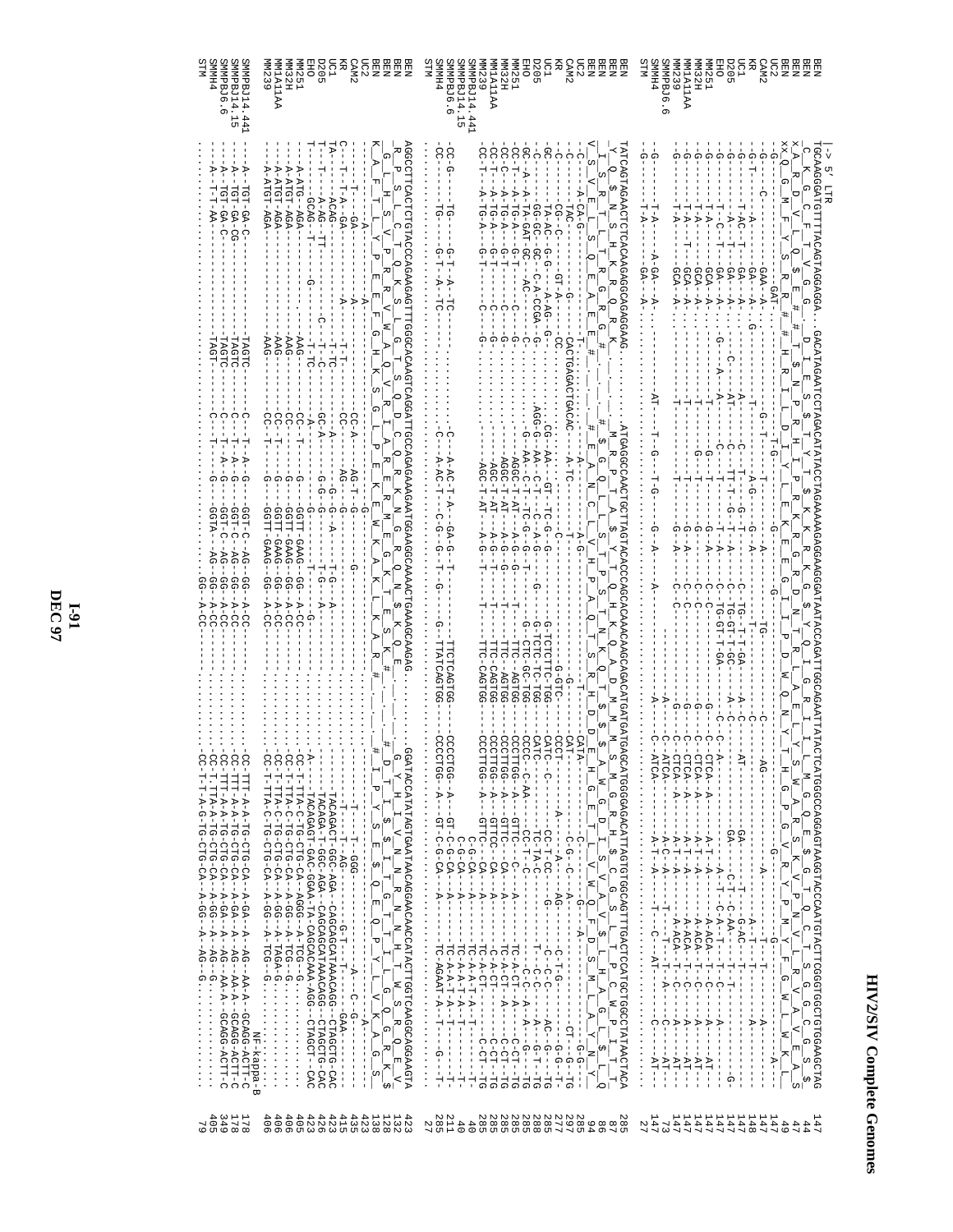| <b>BEN</b><br><b>CMAS</b><br>胃区<br><b>BEN</b><br>ic2<br>NHE<br>nc2<br>Ĕ<br>Ĕ<br>Ĕ<br>AAILAIM<br>MMPBJ6<br>픦<br><b>HZ SM</b><br>IN251<br><b>205</b><br>623<br>505<br>.<br>თ | RATCAGTAGAACTCTCAAGAGGCAGAGGCAGAA<br>Ω<br>TTACAGTAGGAGGA<br>$-A$ $-AA$<br>$A-CCGA--$<br>SACATAGAATCCTAGACATATACCTAGAAAAGAGAGAAGGATAATACCAGATTGCAGATTAGAATTATAC<br><b>ATGAGCCAACTGCT</b><br>TRGTACACCCAGCACAAACAAGCAGACATGATGATGT<br>-- 51<br>rg-i<br>1-1-GP<br>CTCTTC-TGG<br>PC-TGG<br>3-GTC<br>w<br>ц.<br>$-12C-A$<br>$TCA---$<br>$-TCA - -A - -T$<br>$-1 - A - A - -$<br>$-7CA - -A - -$<br>$-TCA - A - -$<br>$-10$<br>$-2G - - - - -$<br>PARPGGCCAGGARAAGGTACCCAATGTACTTCGGGTGGCTGCTGAAGCTAC<br>$\frac{1}{1}$<br>$\frac{1}{4}$<br>Ŧ<br>ъ<br>CATGGGAGACATTAGTGTGGCAGTTTGACTCCATGCTGGCCTATAACTACA<br>$\frac{1}{2}$<br>$\frac{1}{1}$<br>C<br>Έ<br>Ξ<br>$\mathbf{I}$<br>$\frac{1}{1}$<br>¦≍<br>z<br>C<br>I.<br>z<br>z<br>$\frac{1}{2}$<br>$\frac{1}{2}$<br>Ω<br>ັດ<br>$\begin{array}{c} \end{array}$<br>Ţ<br>$\overline{\phantom{a}}$<br>J.<br>$\mathbf{I}$<br>ှိုဂ<br>ົດ<br>$\overline{\phantom{a}}$<br>J.<br> <br>വ<br>J.<br>$\overline{\phantom{a}}$<br>$\mathbf{I}$<br>$\mathbf I$<br>Ħ<br>'n<br>J.<br>$\frac{1}{1}$<br>₩<br>0<br>$A------A---$<br>$\mathbf{I}$<br>1<br>H.<br>$\mathbf{I}$<br>L<br>ł<br>þ<br>ಸ<br>$--TC-FA-C---$<br>$- - C - G - - - C - - - A - -$<br>$\frac{1}{2}$ $\frac{1}{2}$ $\frac{1}{2}$ $\frac{1}{2}$ $\frac{1}{2}$ $\frac{1}{2}$ $\frac{1}{2}$ $\frac{1}{2}$ $\frac{1}{2}$ $\frac{1}{2}$ $\frac{1}{2}$ $\frac{1}{2}$ $\frac{1}{2}$ $\frac{1}{2}$ $\frac{1}{2}$ $\frac{1}{2}$ $\frac{1}{2}$ $\frac{1}{2}$ $\frac{1}{2}$ $\frac{1}{2}$ $\frac{1}{2}$ $\frac{1}{2}$<br>റ<br>$- - \mathbf{A} - \mathbf{C} - - \mathbf{A} - -$<br>$- -P - I - I - P - -$<br>$- -\Delta - -1 - -\Delta - -$<br>Έ<br>ø<br>cc-r-cc---------<br>$-{\bf A}-\boldsymbol{\Gamma}--\boldsymbol{\Delta}--\boldsymbol{\Gamma}$<br>$GA------$<br>$\mathbf I$<br>$-1 - 1 - -$<br>$-4-7-7-$<br>ţ<br>-- FO<br>ŗω<br>ု<br>п<br>k<br>¦رہ<br>ι<br>-Ω<br>$\mathbf{I}$<br>J.<br>$\mathbf{I}$<br>Ω<br>م'<br>م<br>ł<br>$\mathbf{I}$<br>П<br>--A---<br>$\frac{1}{1}$<br>¦≂<br>$\prec$<br>$\mathbf I$<br>ົດ<br>'n<br>A--T--C-A--T--T---<br>$A -$<br>$A -$<br>$\mathbf I$<br>$\prec$<br>₫<br>$---AC - -$<br>$C - T - -$<br>$\overline{\phantom{a}}$<br>z<br>'ဂ<br>፞ፇ<br>ึ<br>$\frac{1}{2}$<br>- - コ - - - - - - ATI - -<br>$\frac{1}{1}$<br>t<br>J.<br>- - - - - ACA- - -1-<br>$\frac{1}{1}$<br>ဂု<br>Ö<br>ם.<br>י<br>$\overline{1}$<br>ţ<br>ı<br>ا<br>ما<br>$\mathbf I$<br>j<br>ю<br>$\mathsf I$<br>$C - AA - -$<br>k<br>J.<br>$\begin{array}{c} \end{array}$<br>$-{\bf A}-{\bf A}{\bf C}{\bf A}-{\bf T}-{\bf T}-$<br>$-6-AC---T----$<br>z<br>s,<br>可<br>ł<br>$A - A C A - - T - -$<br>$A - A C A - - T - -$<br>$\frac{1}{1}$<br>$\frac{1}{1}$<br>റ<br>F<br>⋞<br>$\overline{r}$<br>'n<br>$\frac{1}{1}$<br>$\frac{1}{1}$<br>$-1 - 1 - 0 - 0$<br>k<br>σ<br>д<br>Η<br>ţ<br>$C = -C = C$<br>F<br>$C-T-G-$<br>⊢<br>Ŧ<br>m<br>$\frac{1}{1}$<br>o<br>CΩ<br>Έ<br>₩<br>ັດ<br>z<br>'n<br>ົດ<br>Ω<br>Ω<br>Ω<br>Ω<br>י<br>ה−<br>부<br>J.<br>$\mathbf{I}$<br>Ъ<br>⊲<br>$\frac{1}{1}$<br>I.<br>$\mathbf{I}$<br>ł.<br>Ť<br>$\frac{1}{1}$<br>ŧ<br>ŧ<br>ŧ<br>1<br>Ξ<br>z<br>ົດ<br>$\frac{1}{1}$<br>$\mathbf{I}$<br>$\blacksquare$<br>$\mathbf{I}$<br>$\mathbf{I}$<br>$\mathbf{I}$<br>'ဂ<br>J.<br>$\blacksquare$<br>$\frac{1}{1}$<br>$\mathbf{I}$<br>J<br>$\frac{1}{1}$<br>$\frac{1}{1}$<br>п<br>ł<br>л<br>H<br>$- - - 12 - - -$<br>F<br>$\mathbf I$<br>"ם<br>'n<br>$A--G--$<br>$A - -G - T - TG$<br>$AC - G - -$<br>Ω<br>$-4$<br>$A -$<br>$A -$<br>ъ<br>ኳ<br>$A -$<br>$A -$<br>Q<br>J.<br>Η<br>î,<br>⊲<br>$\frac{1}{1}$<br>$\frac{1}{1}$<br>$\frac{1}{1}$<br>$\mathbf{I}$<br>J.<br>$\mathbf{\overline{K}}$<br>Ξ<br>$-1 - 9 - 9 - 1 - 1 - 1$<br>$\mathbf{I}$<br>л<br>$\mathbf I$<br>ົດ<br>$\mathbf I$<br>$\frac{1}{1}$<br>$-9 - 0 - 0$<br>'n,<br>Ħ<br>$-1 - 2I - -$<br>$-17T - -$<br>$\frac{1}{1}$<br>$- - \Delta T - -$<br>$\frac{1}{1}$<br>$- - \Delta \mathbf{T} - -$<br>I<br>л<br>z<br>$\frac{1}{1}$<br>$\frac{1}{2}$<br>$-14$<br>$-17$<br>A----<br>c۵<br>$\begin{array}{c} \hline \end{array}$<br>$\mathbf{I}$<br>$-10$<br>F<br>$\begin{array}{c} \end{array}$<br>ţ<br>I<br>ှု<br>I,<br>J<br>۴ |
|----------------------------------------------------------------------------------------------------------------------------------------------------------------------------|-------------------------------------------------------------------------------------------------------------------------------------------------------------------------------------------------------------------------------------------------------------------------------------------------------------------------------------------------------------------------------------------------------------------------------------------------------------------------------------------------------------------------------------------------------------------------------------------------------------------------------------------------------------------------------------------------------------------------------------------------------------------------------------------------------------------------------------------------------------------------------------------------------------------------------------------------------------------------------------------------------------------------------------------------------------------------------------------------------------------------------------------------------------------------------------------------------------------------------------------------------------------------------------------------------------------------------------------------------------------------------------------------------------------------------------------------------------------------------------------------------------------------------------------------------------------------------------------------------------------------------------------------------------------------------------------------------------------------------------------------------------------------------------------------------------------------------------------------------------------------------------------------------------------------------------------------------------------------------------------------------------------------------------------------------------------------------------------------------------------------------------------------------------------------------------------------------------------------------------------------------------------------------------------------------------------------------------------------------------------------------------------------------------------------------------------------------------------------------------------------------------------------------------------------------------------------------------------------------------------------------------------------------------------------------------------------------------------------------------------------------------------------------------------------------------------------------------------------------------------------------------------------------------------------------------------------------------------------------------------------------------------------------------------------------------------------------------------------------------------------------------------------------------------------------------------------------------------------------------------------------------------------------------------------------------------------------------------------------------------------------------------------------------------------------------------------------------------------------------------------------------------------------------------------------------------------------------------------------------------------------------------------------------------------------------------------------------------------------------------------------------------------------------------------------------------------------------------------------------------------------------------------------------------------------------------------------------------------------------------------------------------------------------------------------------------|
|                                                                                                                                                                            |                                                                                                                                                                                                                                                                                                                                                                                                                                                                                                                                                                                                                                                                                                                                                                                                                                                                                                                                                                                                                                                                                                                                                                                                                                                                                                                                                                                                                                                                                                                                                                                                                                                                                                                                                                                                                                                                                                                                                                                                                                                                                                                                                                                                                                                                                                                                                                                                                                                                                                                                                                                                                                                                                                                                                                                                                                                                                                                                                                                                                                                                                                                                                                                                                                                                                                                                                                                                                                                                                                                                                                                                                                                                                                                                                                                                                                                                                                                                                                                                                                                                   |
|                                                                                                                                                                            |                                                                                                                                                                                                                                                                                                                                                                                                                                                                                                                                                                                                                                                                                                                                                                                                                                                                                                                                                                                                                                                                                                                                                                                                                                                                                                                                                                                                                                                                                                                                                                                                                                                                                                                                                                                                                                                                                                                                                                                                                                                                                                                                                                                                                                                                                                                                                                                                                                                                                                                                                                                                                                                                                                                                                                                                                                                                                                                                                                                                                                                                                                                                                                                                                                                                                                                                                                                                                                                                                                                                                                                                                                                                                                                                                                                                                                                                                                                                                                                                                                                                   |
| <b>LaqMy</b><br><b>LSZM</b><br><b>MPBJ1</b><br>68ZM<br>AAIIAI                                                                                                              | Š<br>-1-1-<br>$\frac{1}{2}$<br>ဂ<br>႕<br>⊅<br>-c--e---e-<br>ဂု<br>TTATCAGTG<br>-CAGTGG<br>-CAGTGG<br>-GC-TGG<br>--AGTGG<br>-AGTGG<br>CTGG--A---GT-C-G-CA---A--<br><u> 1766 - - A - - - GT - C - G - CA - - - A - -</u><br>$\Gamma \Gamma \mathbf{G} \mathbf{G}--\mathbf{A}--\mathbf{G} \Gamma \Gamma \mathbf{C}--\mathbf{C} \mathbf{A}--\mathbf{A}--$<br>ITGG--A---GITCC--CA---A--<br>ITGG--A---GITC---CA---A--<br>ITGG--A---GITC---C---A--<br>$\frac{1}{1}$<br>$C - A A -$<br>$-0$<br>$C - G - CA - - -A - -$<br>$C - G - CA - - -A - -$<br>.<br>$\mathbf{I}$<br>$\mathsf I$<br>$\mathsf I$<br>$\mathsf I$<br>$\frac{1}{4}$<br>$\mathbf{I}$<br>$\mathbf{I}$<br>ł<br>J.<br>$-1 - 2C - 2C - 2C - 1$<br>--10-A-CT--A--<br>-TC-AGAAT-A--------T-<br>$-\Gamma C - A - A - T - A - \ldots$<br>$-\Gamma C - A - A - T - A - -$<br>$-\mathbb{T} \mathbb{C} - \mathbb{A} - \mathbb{C} \mathbb{T} - - -$<br>$- -\mathbf{C} - \mathbf{A} - \mathbf{C} \mathbf{T} - - -$<br>- IC-A-CI--A--<br>$- - C - C - - A - -$<br>.<br>ł<br>۲<br>ا<br>부<br>$\mathbf I$<br>$\frac{1}{1}$<br>$\frac{1}{1}$<br>--C-CT-TG<br>$\mathbf{I}$                                                                                                                                                                                                                                                                                                                                                                                                                                                                                                                                                                                                                                                                                                                                                                                                                                                                                                                                                                                                                                                                                                                                                                                                                                                                                                                                                                                                                                                                                                                                                                                                                                                                                                                                                                                                                                                                                                                                                                                                                                                                                                                                                                                                                                                                                                                                                                                                                                                                                                                                                                                                                                                                                                                                                                                                                                                                                                                                                   |
| REN<br>BEN<br><b>BEN</b><br>Ĕ<br>ß<br><b>AM2</b><br><b>205</b>                                                                                                             | GGCTTTCACTCTGTACCAGAAGADTTGGGCACAAGTCAGGAATTGCCAGAAAAAAATGGAAGGCAAAACTGAAACTGAAAGCAAA<br>$A-AG$ --<br>ACAG--<br>$-6A-$<br>$-6A-$<br>cc-<br><b>AG-T-</b><br>ဂ္<br>ဂု<br>RTACCATATAGTGAATAACAGGAACAACCATACTTGGTCAAGGCAGGAAGTA<br>U<br>$\overline{\mathbf{K}}$<br>ካ<br>$\overline{\phantom{a}}$<br>Έ<br>TACAGA-T-GGC-AGA--CAGCAGCATAAACAG--<br>TACAGACT-GGC-AGA--CAGCAGCATAAACAGG--CTAGCTG-CAC<br>$\frac{1}{1}$<br>$\frac{1}{1}$<br>$\frac{1}{3}$<br>----------<br>īω<br>$\prec$<br>$\frac{1}{2}$<br>o<br>g<br>٠m<br>g<br>H<br>Ю<br>ਸ਼<br>ຸດ<br>$\mathbf{I}$<br>Þ<br>z<br>H<br>$\frac{1}{1}$<br>Ю<br>g<br>- G - T - - - T - - -<br>H<br>ł<br>Ð<br>Έ<br>J.<br>$- - p - - - - - - - - - - -$<br>J<br>F<br>z<br>ှု<br>⊲<br>מ,<br>$\frac{1}{1}$<br>io<br>$GAA$ --<br>ਦ<br>CTAGCTG-CAC<br>$A -$<br>഻൨<br>ъ<br>J.                                                                                                                                                                                                                                                                                                                                                                                                                                                                                                                                                                                                                                                                                                                                                                                                                                                                                                                                                                                                                                                                                                                                                                                                                                                                                                                                                                                                                                                                                                                                                                                                                                                                                                                                                                                                                                                                                                                                                                                                                                                                                                                                                                                                                                                                                                                                                                                                                                                                                                                                                                                                                                                                                                                                                                                                                                                                                                                                                                                                                                                                                                                                                                                                                                                          |
| <b>M239</b><br>M1A11AA<br><b>N251</b><br>HZ EM                                                                                                                             | $A-ATGTT-AGA$<br>A-ATGT-AGA<br>A-ATGT-AGA<br>A-ATG--AGA<br>GCAG-<br><b>AAG</b><br><b>AAG</b><br>DAA<br>69<br>යි<br>සි<br>A-CC<br>A-CC<br>A-CC<br>A-CC<br>$\begin{array}{l} -{\bf D}\Omega{\bf D}\Omega{\bf D}\Omega-{\bf G}\Omega{\bf C}-{\bf G}\Omega{\bf A}\Lambda-{\bf T}\Lambda-{\bf C}\Lambda{\bf G}\Omega{\bf A}\Lambda{\bf A}-{\bf A}{\bf G}{\bf G}-- \end{array}$<br>$A-TCG--G$<br>CTAGCT--CAC<br>NF-kappa-                                                                                                                                                                                                                                                                                                                                                                                                                                                                                                                                                                                                                                                                                                                                                                                                                                                                                                                                                                                                                                                                                                                                                                                                                                                                                                                                                                                                                                                                                                                                                                                                                                                                                                                                                                                                                                                                                                                                                                                                                                                                                                                                                                                                                                                                                                                                                                                                                                                                                                                                                                                                                                                                                                                                                                                                                                                                                                                                                                                                                                                                                                                                                                                                                                                                                                                                                                                                                                                                                                                                                                                                                                               |
| <b>RAMPB</b><br>MMPBJ.                                                                                                                                                     | rgr-ga-c<br>FGT-GA-C<br>TAGT<br>TAGTC<br>යි<br>සි<br>A-CC<br>A-CC<br>CC-T.TTA-A-TG-CTG-CA--A-GG--<br>CC-TTT-A-A-A-TG-CTG-CA--A-GA--A-AG--AA-A-GCAGG-ACTT-C<br>:C-TTT-A-A-TG-CTG-CA--A-GA--<br>C-TTT-A-A-A-CTG-CTG-A-A-GA--A--A--AG--AA-A-GCAGG-ACTT-C<br>$A - AG - G \ldots \ldots \ldots$<br>$\mathbf{A}--\mathbf{A}\mathbf{G}--\mathbf{A}\mathbf{A}-\mathbf{A}--$<br>GCAGG-ACTT-C                                                                                                                                                                                                                                                                                                                                                                                                                                                                                                                                                                                                                                                                                                                                                                                                                                                                                                                                                                                                                                                                                                                                                                                                                                                                                                                                                                                                                                                                                                                                                                                                                                                                                                                                                                                                                                                                                                                                                                                                                                                                                                                                                                                                                                                                                                                                                                                                                                                                                                                                                                                                                                                                                                                                                                                                                                                                                                                                                                                                                                                                                                                                                                                                                                                                                                                                                                                                                                                                                                                                                                                                                                                                               |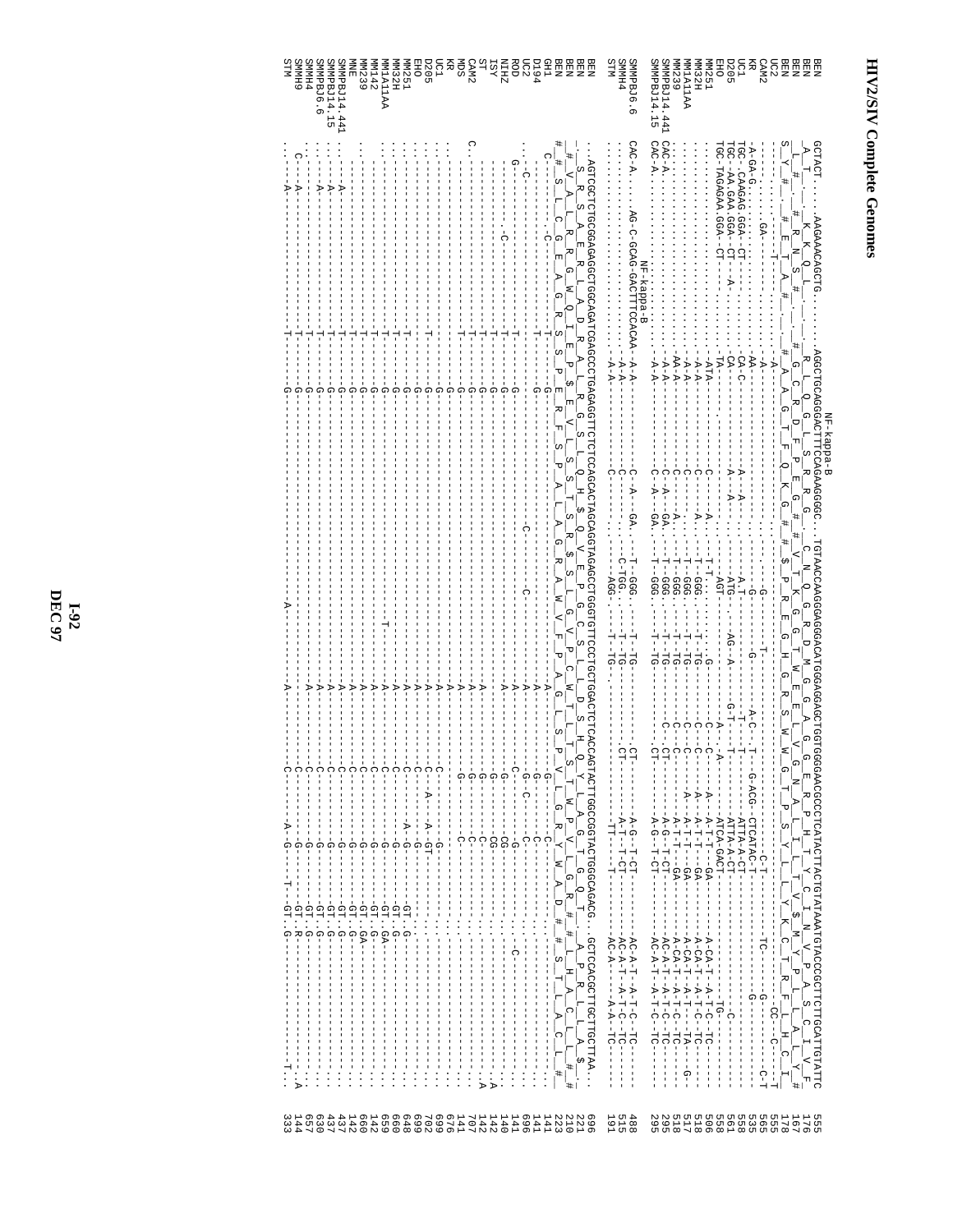| STM<br><b>CBAMNS</b><br><b>GHMMS</b><br><b>MMPBJ6</b><br><b>LaqMM</b>                                                                                                                                                                                                                                                                                                                                                             | Ř<br>SШ<br>DC1<br>D205<br><b>EHO</b><br><b>M251</b><br>IM32H<br>M239<br><b>AAILAIM</b><br>IM142                                                                                                                                                                                                                                                                                                                                                                                                                                                                                                                                                                                                                                                                                                                                                                                                                                                   | CAM <sub>2</sub><br>ŠΤ<br>ZHIN<br>UC2<br>ROD<br><b>1944</b><br><b>GH1</b><br>BEN<br><b>BEN</b><br><b>BEN</b><br><b>BEN</b><br>IST                                                                                                                                                                                                                                                                                                                                                                                                                                                                                                                                                                                                                                                                                                | DC1<br>D205<br>Ř<br>CAM <sub>2</sub><br>BEN<br>VC2<br><b>REN</b><br><b>BEN</b><br>REN<br><b>SMMPBJ6</b><br><b>NTS</b><br><b>PHMMS</b><br><b>EHO</b><br><b>SMMPBJ1</b><br>L <sub>3</sub> <sub>ZMM</sub><br>MN32H<br>AAILAIM<br>CREAMY<br><b>M239</b>                                                                                                                                                                                                                                                                                                                                                                                                                                                                                                                                                                                                                                                                                                                                                                                                                                                                                                                                                                                                                                                                                                                                                                                                                                                                                                                                                                                                                                                               |
|-----------------------------------------------------------------------------------------------------------------------------------------------------------------------------------------------------------------------------------------------------------------------------------------------------------------------------------------------------------------------------------------------------------------------------------|---------------------------------------------------------------------------------------------------------------------------------------------------------------------------------------------------------------------------------------------------------------------------------------------------------------------------------------------------------------------------------------------------------------------------------------------------------------------------------------------------------------------------------------------------------------------------------------------------------------------------------------------------------------------------------------------------------------------------------------------------------------------------------------------------------------------------------------------------------------------------------------------------------------------------------------------------|----------------------------------------------------------------------------------------------------------------------------------------------------------------------------------------------------------------------------------------------------------------------------------------------------------------------------------------------------------------------------------------------------------------------------------------------------------------------------------------------------------------------------------------------------------------------------------------------------------------------------------------------------------------------------------------------------------------------------------------------------------------------------------------------------------------------------------|-------------------------------------------------------------------------------------------------------------------------------------------------------------------------------------------------------------------------------------------------------------------------------------------------------------------------------------------------------------------------------------------------------------------------------------------------------------------------------------------------------------------------------------------------------------------------------------------------------------------------------------------------------------------------------------------------------------------------------------------------------------------------------------------------------------------------------------------------------------------------------------------------------------------------------------------------------------------------------------------------------------------------------------------------------------------------------------------------------------------------------------------------------------------------------------------------------------------------------------------------------------------------------------------------------------------------------------------------------------------------------------------------------------------------------------------------------------------------------------------------------------------------------------------------------------------------------------------------------------------------------------------------------------------------------------------------------------------|
|                                                                                                                                                                                                                                                                                                                                                                                                                                   |                                                                                                                                                                                                                                                                                                                                                                                                                                                                                                                                                                                                                                                                                                                                                                                                                                                                                                                                                   |                                                                                                                                                                                                                                                                                                                                                                                                                                                                                                                                                                                                                                                                                                                                                                                                                                  | CAC-A<br><b>GTACT</b><br>LGC-TAGAGAA.GGA<br>LGC--AA.GAZ<br><b>LGC-CAAGAG.GGA--CT</b><br>AC-A<br>$A-GA-G$ .<br><b>AAGAACAGCTG.</b><br>9A<br>NF-kappa                                                                                                                                                                                                                                                                                                                                                                                                                                                                                                                                                                                                                                                                                                                                                                                                                                                                                                                                                                                                                                                                                                                                                                                                                                                                                                                                                                                                                                                                                                                                                               |
|                                                                                                                                                                                                                                                                                                                                                                                                                                   |                                                                                                                                                                                                                                                                                                                                                                                                                                                                                                                                                                                                                                                                                                                                                                                                                                                                                                                                                   |                                                                                                                                                                                                                                                                                                                                                                                                                                                                                                                                                                                                                                                                                                                                                                                                                                  | -AG-C-GCAG-GACTTTCCACAA--A-A--<br>$-CA-C$<br>RGGCTGCAGGACTTTCCAAAGGGCC<br>$AA - AA$<br>-CA--<br>- - A - A<br>$A - A$<br>$-XITA -$<br>$A - A - A$<br>-A-A<br>A-A                                                                                                                                                                                                                                                                                                                                                                                                                                                                                                                                                                                                                                                                                                                                                                                                                                                                                                                                                                                                                                                                                                                                                                                                                                                                                                                                                                                                                                                                                                                                                   |
|                                                                                                                                                                                                                                                                                                                                                                                                                                   |                                                                                                                                                                                                                                                                                                                                                                                                                                                                                                                                                                                                                                                                                                                                                                                                                                                                                                                                                   | AGTCGCTCTGCGGAGAGGCTGGCAGATCGAGCCCTGAGAGGTTCTCCTGCACTAGGGGGTAGAGCCTGGGTTCCCTGCTGGGACTCTCACCC                                                                                                                                                                                                                                                                                                                                                                                                                                                                                                                                                                                                                                                                                                                                     | NF-kappa-B<br>ှ<br>Ω<br>リーアーリ<br>م<br>!<br>c-ree.<br><b>T--GGG</b><br><b>1--GGG</b><br>-- GGG<br>--GGG<br>--GGG<br>-DOG-<br>-955-<br>-AGT<br>ATG.<br>A. T<br>႕                                                                                                                                                                                                                                                                                                                                                                                                                                                                                                                                                                                                                                                                                                                                                                                                                                                                                                                                                                                                                                                                                                                                                                                                                                                                                                                                                                                                                                                                                                                                                    |
|                                                                                                                                                                                                                                                                                                                                                                                                                                   |                                                                                                                                                                                                                                                                                                                                                                                                                                                                                                                                                                                                                                                                                                                                                                                                                                                                                                                                                   |                                                                                                                                                                                                                                                                                                                                                                                                                                                                                                                                                                                                                                                                                                                                                                                                                                  | TGTAACCAAGGGAGGACATGGGAGGAGCTGGTG<br>1-1-10<br>$L - TG$<br>-- 1G<br>$-16$<br>↷<br>∩<br>∩                                                                                                                                                                                                                                                                                                                                                                                                                                                                                                                                                                                                                                                                                                                                                                                                                                                                                                                                                                                                                                                                                                                                                                                                                                                                                                                                                                                                                                                                                                                                                                                                                          |
| $\frac{1}{\Omega}$<br>$\frac{1}{\Omega}$<br>$\frac{1}{\Omega}$<br>$\frac{1}{\Omega}$<br>$\frac{1}{\Omega}$<br>$\frac{1}{\Omega}$<br>$\frac{1}{\Omega}$<br>$\frac{1}{\Omega}$<br>Ŧ<br>$\frac{1}{1}$<br>ł<br>$\frac{1}{1}$<br>$\frac{1}{1}$<br>Ŧ<br>$-4$<br>$\begin{array}{c} 1 \\ 1 \\ 1 \end{array}$<br>$\frac{1}{1}$<br>$\frac{1}{1}$<br>Ω<br>Ω<br>Ω<br>ω<br>Ω<br>ł<br>$\frac{1}{1}$<br>ŧ<br>ŧ<br>÷.<br>Ŧ.<br>÷.<br>$\mathbf{I}$ | $\frac{1}{\Omega}$<br>$\frac{1}{\Omega}$<br>$\frac{1}{\Omega}$<br>$\frac{1}{\Omega}$<br>$\frac{1}{\Omega}$<br>∩<br>Ĭ<br>$\frac{1}{1}$<br>Ω<br>H<br>$\frac{1}{1}$<br>$\frac{1}{1}$<br>$\frac{1}{1}$<br>$\frac{1}{1}$<br>$\frac{1}{1}$<br>I.<br>$-4$<br>$- - - - - - - - - - -$<br>$-1 - \Delta - -\mathrm{G}\mathrm{T} -$<br>$D$ –––––<br>$-1 - -1$<br>         <br>           <br>  ကုမ္မာ ဗုံ<br>$A - G$ .<br>$\frac{1}{1}$<br>Ť<br>ŧ<br>Ť<br>I.<br>挂卡<br>ŧ<br>$\mathbb{I}=\mathbb{I}$<br>$\mathbf{I}$<br>T.<br>$\mathbf{I}$                                                                                                                                                                                                                                                                                                                                                                                                                     | í.<br>l.<br>$\frac{1}{2}$<br>$-1 - 5 - 1$<br>∩<br><u>ရ</u><br> <br>Ω<br>ှ<br> <br>$\frac{1}{2}$<br>$-1$ $-1$ $-1$ $-1$ $-1$ $-1$ $-1$<br>Ω<br><u>ဂ</u><br>--<br>ł<br>Þ<br>$C$ ----<br>$\frac{1}{1}$<br>'ဂ<br>$---00---$<br>IJ<br>$-1 - C - -$<br>₩<br>$\frac{1}{1}$<br>ຸດ<br>Ĭ<br>H,<br>$\mathbb{H}^1$<br>$\frac{1}{1}$<br>ţ<br>'ဂ<br>¦റ                                                                                                                                                                                                                                                                                                                                                                                                                                                                                         | $\dot{\circ}$<br>$\dot{\Omega}$<br>$\dot{\circ}$<br>$\Omega$<br>Ğ<br>42<br>ω<br>$\begin{bmatrix} 1 & 1 \\ 1 & 1 \\ 1 & 1 \end{bmatrix}$<br>ົດ<br>'n<br>G-ACG--CTCATAC-T----<br>$\begin{aligned} &\begin{aligned} &\begin{aligned} &\begin{aligned} &\begin{aligned} &\begin{aligned} &\begin{aligned} &\begin{aligned} &\begin{aligned} &\begin{aligned} &\begin{aligned} &\begin{aligned} &\begin{aligned} &\begin{aligned} &\begin{aligned} &\begin{aligned} &\begin{aligned} &\begin{aligned} &\begin{aligned} &\begin{aligned} &\begin{aligned} &\begin{aligned} &\begin{aligned} &\begin{aligned} &\begin{aligned} &\begin{aligned} &\begin{aligned} &\begin{aligned} &\begin{aligned} &\begin{aligned} &\begin{aligned} &\begin{aligned} &\begin{aligned} &\begin{aligned} &\begin{aligned} &\begin{aligned} &\begin{aligned$<br>z<br>$\frac{1}{1}$<br>H<br>$\frac{1}{1}$<br>$\Gamma = \Gamma = \Gamma$<br>$\mathbb{I}$<br>$\mathsf I$<br>ł<br>'ত<br>IJ<br>$\begin{aligned} \text{ATT} & \text{AT} - \text{AT} - \text{CT} - \text{--} \end{aligned}$<br>$ATTAT-1------$<br>.<br>`دە<br>L<br>E<br>ų<br>F<br>H                                                                                                                                                                                                                                                                                                                                                                                                                                                                                                                                                                                               |
| ÷<br>İ<br>$- - -$ GT. $R - -$<br>$- - G T \cdot G - -$<br>$---GTG---$<br>$---GTG---$<br>$-91.9 - 9 - 9$<br>$-91.3 - 9 - 9$<br>$-GT. G$<br>$\begin{array}{c} 1 \\ 1 \\ 1 \end{array}$<br>$\overline{Y}$<br>$\begin{array}{c} 1 \\ 1 \\ 2 \end{array}$                                                                                                                                                                              | $---GT. GA---$<br>$- -$ GT. $G - -$<br>$\begin{array}{c} \begin{array}{c} \top \\ \top \\ \top \end{array} \end{array}$<br>$\frac{1}{1}$<br>$\frac{1}{2}$ $\frac{1}{2}$ $\frac{1}{2}$ $\frac{1}{2}$ $\frac{1}{2}$ $\frac{1}{2}$ $\frac{1}{2}$ $\frac{1}{2}$ $\frac{1}{2}$ $\frac{1}{2}$ $\frac{1}{2}$ $\frac{1}{2}$ $\frac{1}{2}$ $\frac{1}{2}$ $\frac{1}{2}$ $\frac{1}{2}$ $\frac{1}{2}$ $\frac{1}{2}$ $\frac{1}{2}$ $\frac{1}{2}$ $\frac{1}{2}$ $\frac{1}{2}$<br>$\frac{1}{2}$ = $\frac{1}{2}$ = $\frac{1}{2}$ = $\frac{1}{2}$ = $\frac{1}{2}$ = $\frac{1}{2}$ = $\frac{1}{2}$ = $\frac{1}{2}$ = $\frac{1}{2}$ = $\frac{1}{2}$ = $\frac{1}{2}$ = $\frac{1}{2}$ = $\frac{1}{2}$ = $\frac{1}{2}$ = $\frac{1}{2}$ = $\frac{1}{2}$ = $\frac{1}{2}$ = $\frac{1}{2}$ = $\frac{1$<br>$\begin{array}{c} \n\cdot & \cdot \\ \cdot & \cdot \\ \cdot & \cdot\n\end{array}$<br>$\frac{1}{2}$<br>$\frac{1}{2}$<br>$\begin{array}{c} 1 \\ 1 \\ 2 \end{array}$ | AGTACTTGGCCGGTACTGGGCAGACGGCTCCACGCTTGCTTGCTTAA<br>ļ.<br>$\frac{1}{2}$ = $\frac{1}{2}$ = $\frac{1}{2}$ = $\frac{1}{2}$ = $\frac{1}{2}$ = $\frac{1}{2}$ = $\frac{1}{2}$<br>₩<br>니<br>그<br>$\begin{array}{c} \begin{array}{c} \text{1} \\ \text{2} \\ \text{3} \\ \text{4} \end{array} \end{array}$<br>Έ<br>#<br>$\frac{1}{2}$<br>$\frac{1}{1}$<br>.<br>⊞<br>C-----------<br>ω,<br>ᡃ<br>⊅<br>Ω<br>$\frac{1}{2}$ = $\frac{1}{2}$ = $\frac{1}{2}$ = $\frac{1}{2}$ = $\frac{1}{2}$ = $\frac{1}{2}$ = $\frac{1}{2}$ = $\frac{1}{2}$ = $\frac{1}{2}$ = $\frac{1}{2}$ = $\frac{1}{2}$ = $\frac{1}{2}$ = $\frac{1}{2}$ = $\frac{1}{2}$ = $\frac{1}{2}$ = $\frac{1}{2}$ = $\frac{1}{2}$ = $\frac{1}{2}$ = $\frac{1$<br>'n<br>$-----$<br>⊅<br>$\begin{array}{c} 1 \\ 1 \\ 2 \end{array}$<br>$\begin{array}{c} 1 \\ 1 \\ 2 \end{array}$<br># | SGAACGCCCTCATACTTACTGTATAAATGTACCCGCTTCTTGCATTGTATTC<br>$\circ$<br>$\prec$<br>$\frac{1}{1}$<br>$\begin{bmatrix} 1 & 0 & 0 \\ 0 & 1 & 0 \\ 0 & 0 & 0 \\ 0 & 0 & 0 \\ 0 & 0 & 0 \\ 0 & 0 & 0 \\ 0 & 0 & 0 \\ 0 & 0 & 0 & 0 \\ 0 & 0 & 0 & 0 \\ 0 & 0 & 0 & 0 \\ 0 & 0 & 0 & 0 & 0 \\ 0 & 0 & 0 & 0 & 0 \\ 0 & 0 & 0 & 0 & 0 \\ 0 & 0 & 0 & 0 & 0 & 0 \\ 0 & 0 & 0 & 0 & 0 & 0 \\ 0 & 0 & 0 & 0 & 0 & 0 & 0 \\ 0 & 0 & 0 & 0 & $<br>$\begin{array}{c} \n\downarrow \\ \downarrow \\ \downarrow\n\end{array}$<br>z<br>- - AC-A-H-A-H-A-H-C--<br>Ĵ<br>$- - \mathbf{A} - \mathbf{C} \mathbf{A} - \mathbf{T} - - \mathbf{A} - \mathbf{T} - \mathbf{C} - - \mathbf{T} \mathbf{C} - -$<br>z<br>'n<br>$\prec$<br>$\mathtt{A}\hspace{-0.5mm}-\hspace{-0.5mm}\mathtt{C}\hspace{-0.5mm}\mathtt{A}\hspace{-0.5mm}-\hspace{-0.5mm}\mathtt{C}\hspace{-0.5mm}\mathtt{C}\hspace{-0.5mm}-\hspace{-0.5mm}\mathtt{D}\hspace{-0.5mm}-\hspace{-0.5mm}\mathtt{C}\hspace{-0.5mm}\mathtt{C}\hspace{-0.5mm}-\hspace{-0.5mm}\mathtt{D}\hspace{-0.5mm}-\hspace{-0.5mm}\mathtt{C}\hspace{-0.5mm}\mathtt{C}\hspace{-0.5mm}-\hspace{-0.5mm}\mathtt{D}\hspace{-0.5mm}\$<br>$\mathbf{A} - \mathbf{C}\mathbf{A} - \mathbf{T} - \mathbf{I} - \mathbf{T} - \mathbf{I} - \mathbf{T} + \mathbf{T}$<br>$\frac{1}{1}$<br>$\frac{1}{1}$<br>ᡃᠣ<br>٣J<br> -<br> -<br> -<br> -<br>₩<br>$-1 - 1 - 1 - 1$<br>'n<br>$- - - 22 - -$<br>מ,<br>Έ<br>b<br>$\frac{1}{1}$<br>$\frac{1}{1}$<br>'n<br>$\begin{array}{c} \n 1 \\  1 \\  1\n \end{array}$<br>$\frac{1}{1}$<br>$\frac{1}{1}$<br>$-6 - -$<br>Î<br>$\begin{bmatrix} 1 \\ 1 \\ 1 \\ 1 \end{bmatrix}$<br>$\frac{1}{1}$<br>$\frac{1}{1}$<br>$\begin{array}{c} 1 \\ 1 \\ 1 \end{array}$<br>I,<br>$\mathbf{H}$<br>т |
| $\frac{1}{2}$<br>$\begin{array}{c} 1 \\ 1 \\ 2 \end{array}$<br>È.<br>144<br>133<br>459<br>4 4 3 9<br>4 3 7 0<br>6 3 0                                                                                                                                                                                                                                                                                                             | $\begin{array}{c} 1 \\ 1 \\ 2 \end{array}$                                                                                                                                                                                                                                                                                                                                                                                                                                                                                                                                                                                                                                                                                                                                                                                                                                                                                                        | $\vdots$<br>#∣<br>6<br>6<br>8<br>8<br>8<br>8<br>8<br>9<br>8<br>9<br>8<br>9<br>8<br>9                                                                                                                                                                                                                                                                                                                                                                                                                                                                                                                                                                                                                                                                                                                                             | $\frac{1}{1}$<br>ţ<br>$\frac{1}{1}$<br>$C - T$<br>ŧ<br>٣J<br>₩<br>488<br>519<br>191                                                                                                                                                                                                                                                                                                                                                                                                                                                                                                                                                                                                                                                                                                                                                                                                                                                                                                                                                                                                                                                                                                                                                                                                                                                                                                                                                                                                                                                                                                                                                                                                                               |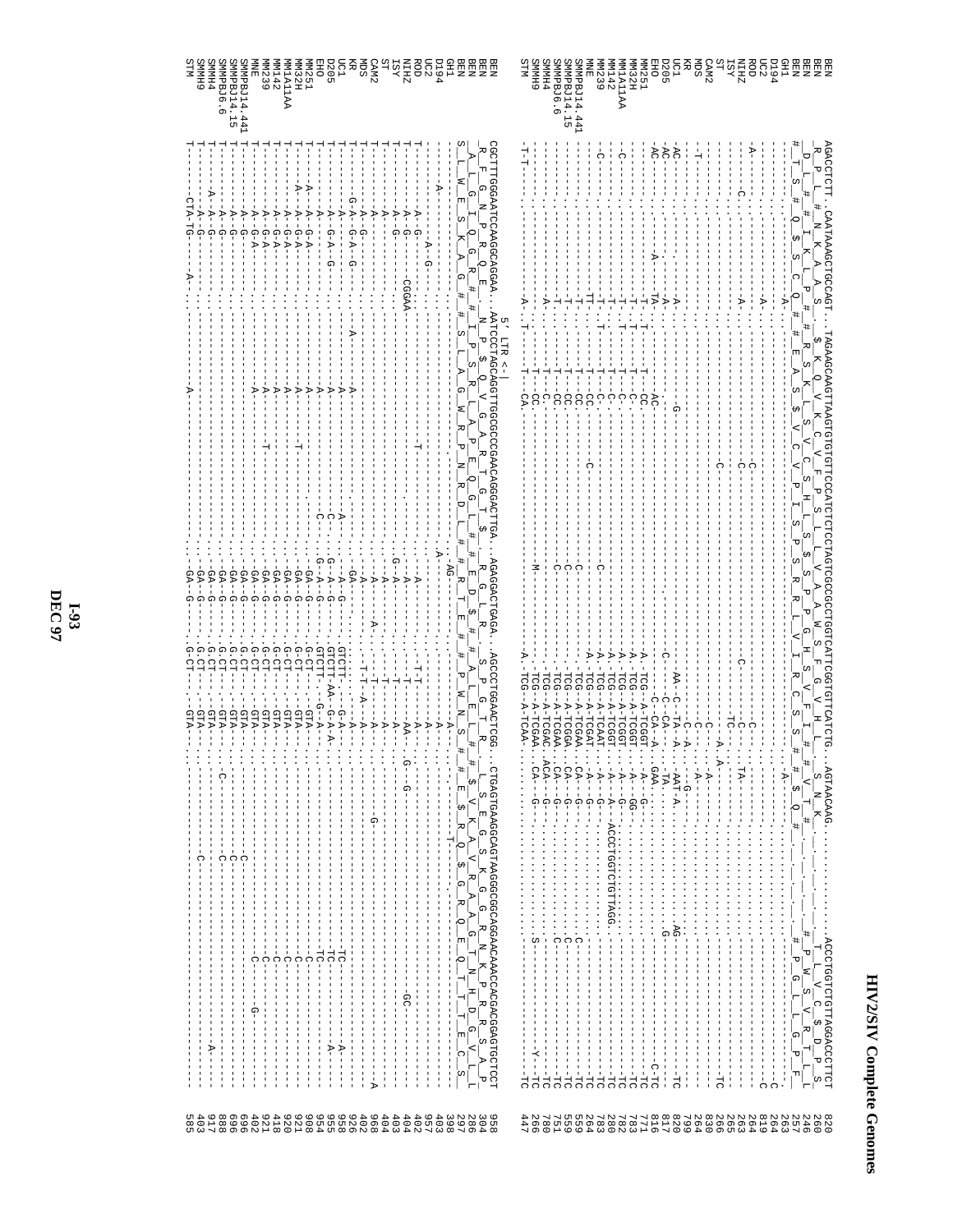|                                                                                                                                                                                                                                                                                                                                                                                                                                                                                                                                                                                                                                                                                                                  |                              |                                                                   |            |                                                                                                                                                                                                                                                                                                                                                                                                                                                                                                             | ZК                 |
|------------------------------------------------------------------------------------------------------------------------------------------------------------------------------------------------------------------------------------------------------------------------------------------------------------------------------------------------------------------------------------------------------------------------------------------------------------------------------------------------------------------------------------------------------------------------------------------------------------------------------------------------------------------------------------------------------------------|------------------------------|-------------------------------------------------------------------|------------|-------------------------------------------------------------------------------------------------------------------------------------------------------------------------------------------------------------------------------------------------------------------------------------------------------------------------------------------------------------------------------------------------------------------------------------------------------------------------------------------------------------|--------------------|
| л<br>C<br>I<br>п                                                                                                                                                                                                                                                                                                                                                                                                                                                                                                                                                                                                                                                                                                 |                              |                                                                   |            |                                                                                                                                                                                                                                                                                                                                                                                                                                                                                                             | 6HMMS              |
| J<br>I<br>п<br>п<br>$-\Delta$ -<br>$\overline{\phantom{a}}$                                                                                                                                                                                                                                                                                                                                                                                                                                                                                                                                                                                                                                                      |                              |                                                                   |            |                                                                                                                                                                                                                                                                                                                                                                                                                                                                                                             |                    |
|                                                                                                                                                                                                                                                                                                                                                                                                                                                                                                                                                                                                                                                                                                                  | GTA                          |                                                                   |            |                                                                                                                                                                                                                                                                                                                                                                                                                                                                                                             | <b>MMTH</b>        |
| $\frac{1}{\Omega}$<br>I<br>$\mathbf{I}$<br>$\blacksquare$<br>∩<br>$\mathbf{I}$                                                                                                                                                                                                                                                                                                                                                                                                                                                                                                                                                                                                                                   | Ω<br>.<br>អ<br><b>GTA</b>    | çy                                                                |            | ъ                                                                                                                                                                                                                                                                                                                                                                                                                                                                                                           | MMPBJ6             |
| Q                                                                                                                                                                                                                                                                                                                                                                                                                                                                                                                                                                                                                                                                                                                | Ω<br>.<br>អ្ន<br><b>GTA.</b> | ç<br>ဂ္ဂ်                                                         |            | ъ                                                                                                                                                                                                                                                                                                                                                                                                                                                                                                           | MMPBJ              |
| $\mathbf{I}$<br>Q                                                                                                                                                                                                                                                                                                                                                                                                                                                                                                                                                                                                                                                                                                | ⋒<br>.<br>អ<br><b>GTA</b>    | çy<br>ဂ္ဂ်                                                        |            |                                                                                                                                                                                                                                                                                                                                                                                                                                                                                                             | <b>TLASHIM</b>     |
| л<br>Ö<br>J.<br>ဂှ<br>J.<br>$\mathbf I$<br>I<br>л<br>J,<br>I<br>п                                                                                                                                                                                                                                                                                                                                                                                                                                                                                                                                                                                                                                                | G-CT<br><b>GTA-</b>          | ġ<br>$\frac{1}{\Omega}$                                           |            | $G - A$                                                                                                                                                                                                                                                                                                                                                                                                                                                                                                     |                    |
| Ω                                                                                                                                                                                                                                                                                                                                                                                                                                                                                                                                                                                                                                                                                                                | ω<br>្មិ<br>GTA-             | çy<br>$\frac{1}{\Omega}$                                          | ים.        | G-A                                                                                                                                                                                                                                                                                                                                                                                                                                                                                                         |                    |
|                                                                                                                                                                                                                                                                                                                                                                                                                                                                                                                                                                                                                                                                                                                  |                              |                                                                   |            |                                                                                                                                                                                                                                                                                                                                                                                                                                                                                                             | M142<br>N239       |
| Ö                                                                                                                                                                                                                                                                                                                                                                                                                                                                                                                                                                                                                                                                                                                | ω<br>$\overline{10}$<br>GTA- | Ġ<br>$\frac{1}{\Omega}$                                           | ⋗          | $\begin{array}{c} \n\mathbf{G}-\mathbf{A} \times \mathbf{A} \times \mathbf{A} \times \mathbf{A} \times \mathbf{A} \times \mathbf{A} \times \mathbf{A} \times \mathbf{A} \times \mathbf{A} \times \mathbf{A} \times \mathbf{A} \times \mathbf{A} \times \mathbf{A} \times \mathbf{A} \times \mathbf{A} \times \mathbf{A} \times \mathbf{A} \times \mathbf{A} \times \mathbf{A} \times \mathbf{A} \times \mathbf{A} \times \mathbf{A} \times \mathbf{A} \times \mathbf{A} \times \mathbf{A} \times \mathbf{A$ |                    |
| 1<br>$\mathbf{I}$<br>I<br>Ö<br>J.<br>1                                                                                                                                                                                                                                                                                                                                                                                                                                                                                                                                                                                                                                                                           | ດ<br>ເງ<br>$GTA-$            | -GA<br>္ဂ်                                                        | ⋗          |                                                                                                                                                                                                                                                                                                                                                                                                                                                                                                             | <b>AAIIAA</b>      |
| $\mathbf{I}$<br>$\mathbf I$<br>$\mathbf I$<br>Ω<br>-1<br>1                                                                                                                                                                                                                                                                                                                                                                                                                                                                                                                                                                                                                                                       | ດ−ດ<br>ເມ<br>$-57A-$         | -GA<br>$\frac{1}{\Omega}$                                         | ⋗          | $\Delta - D$                                                                                                                                                                                                                                                                                                                                                                                                                                                                                                | 132H               |
| л<br>$\frac{1}{4}$<br>Ö<br>J.<br>л<br>$\mathbf I$<br>л<br>I                                                                                                                                                                                                                                                                                                                                                                                                                                                                                                                                                                                                                                                      | $GTA-$                       | <b>45-</b><br>$\frac{1}{\Omega}$                                  | ⋗          | $G - A$                                                                                                                                                                                                                                                                                                                                                                                                                                                                                                     | 1251               |
| -rc-<br>п<br>п                                                                                                                                                                                                                                                                                                                                                                                                                                                                                                                                                                                                                                                                                                   | $G - A -$                    | !—д<br>$\frac{1}{\Omega}$                                         | ⊅          |                                                                                                                                                                                                                                                                                                                                                                                                                                                                                                             | ö                  |
| -re<br>$\mathbf{I}$<br>J.<br>$-\Delta$ -<br>J.<br>л                                                                                                                                                                                                                                                                                                                                                                                                                                                                                                                                                                                                                                                              | $G - A - i$                  | $\overline{r}$<br>$\frac{1}{\Omega}$                              | ⊅          | G-A--G                                                                                                                                                                                                                                                                                                                                                                                                                                                                                                      | <b>205</b>         |
| -rc-<br>$-\nabla -$                                                                                                                                                                                                                                                                                                                                                                                                                                                                                                                                                                                                                                                                                              | $G - A -$                    | j<br>P<br>ω                                                       | ⊅          |                                                                                                                                                                                                                                                                                                                                                                                                                                                                                                             |                    |
|                                                                                                                                                                                                                                                                                                                                                                                                                                                                                                                                                                                                                                                                                                                  |                              |                                                                   |            | G-A<br>ဂ္ဂ်                                                                                                                                                                                                                                                                                                                                                                                                                                                                                                 |                    |
|                                                                                                                                                                                                                                                                                                                                                                                                                                                                                                                                                                                                                                                                                                                  | $\mathbb P$                  | ♭                                                                 |            |                                                                                                                                                                                                                                                                                                                                                                                                                                                                                                             | ₹                  |
| ဂု<br>של                                                                                                                                                                                                                                                                                                                                                                                                                                                                                                                                                                                                                                                                                                         |                              |                                                                   |            |                                                                                                                                                                                                                                                                                                                                                                                                                                                                                                             | <b>SAM2</b>        |
|                                                                                                                                                                                                                                                                                                                                                                                                                                                                                                                                                                                                                                                                                                                  |                              |                                                                   |            |                                                                                                                                                                                                                                                                                                                                                                                                                                                                                                             | 섪                  |
|                                                                                                                                                                                                                                                                                                                                                                                                                                                                                                                                                                                                                                                                                                                  |                              |                                                                   |            |                                                                                                                                                                                                                                                                                                                                                                                                                                                                                                             |                    |
|                                                                                                                                                                                                                                                                                                                                                                                                                                                                                                                                                                                                                                                                                                                  |                              |                                                                   |            |                                                                                                                                                                                                                                                                                                                                                                                                                                                                                                             | <b>IST</b>         |
| ဂု<br>$\frac{1}{\Omega}$<br>GC-                                                                                                                                                                                                                                                                                                                                                                                                                                                                                                                                                                                                                                                                                  |                              |                                                                   |            | Ω                                                                                                                                                                                                                                                                                                                                                                                                                                                                                                           | ZHIN               |
| л<br>L.<br>H.<br>л<br>л<br>J<br>J.<br>л                                                                                                                                                                                                                                                                                                                                                                                                                                                                                                                                                                                                                                                                          |                              |                                                                   |            |                                                                                                                                                                                                                                                                                                                                                                                                                                                                                                             | šop                |
| п<br>J<br>п                                                                                                                                                                                                                                                                                                                                                                                                                                                                                                                                                                                                                                                                                                      |                              |                                                                   |            | $A--G$                                                                                                                                                                                                                                                                                                                                                                                                                                                                                                      | 1C2                |
| л<br>л<br>J.<br>J.<br>л<br>ţ<br>J.<br>л                                                                                                                                                                                                                                                                                                                                                                                                                                                                                                                                                                                                                                                                          |                              |                                                                   |            |                                                                                                                                                                                                                                                                                                                                                                                                                                                                                                             | <b>194</b>         |
|                                                                                                                                                                                                                                                                                                                                                                                                                                                                                                                                                                                                                                                                                                                  |                              |                                                                   |            |                                                                                                                                                                                                                                                                                                                                                                                                                                                                                                             |                    |
| п<br>E<br>ſ<br>J.<br>$\mathsf I$<br>1<br>I.<br>$\mathbf{I}$<br>т                                                                                                                                                                                                                                                                                                                                                                                                                                                                                                                                                                                                                                                 |                              |                                                                   |            |                                                                                                                                                                                                                                                                                                                                                                                                                                                                                                             | Ë                  |
| $\pm$<br>Þ<br>'n.<br>ੱਸ<br>j0<br>'n<br>່ດ<br>'ਸ਼<br>þ<br>'n<br>j0<br>þ<br>Ή<br>н<br>'n<br>'n<br>l<br>د <i>ن</i> ا                                                                                                                                                                                                                                                                                                                                                                                                                                                                                                                                                                                                |                              |                                                                   |            |                                                                                                                                                                                                                                                                                                                                                                                                                                                                                                             | <b>NEE</b>         |
| #<br>∙⊽<br>₫<br>⊅<br>◁<br>ਸ਼<br>ъ<br>⊅<br>ຸດ<br>H<br>z<br>Ξ<br>þ<br>ຸດ<br>⊲<br>F<br>Ή                                                                                                                                                                                                                                                                                                                                                                                                                                                                                                                                                                                                                            |                              |                                                                   | ℸ          | Ω                                                                                                                                                                                                                                                                                                                                                                                                                                                                                                           | <b>NEE</b>         |
| F<br>ัผ<br>'n<br>ັດ<br>ัต<br>'ဂ<br>ັດ<br>π<br>z<br>ď<br>₩<br>π<br>ן<br>מ<br>Ъ<br>đ                                                                                                                                                                                                                                                                                                                                                                                                                                                                                                                                                                                                                               | H<br>æ                       | Ω<br>ົດ                                                           | ᡃ<br>Ю     | д<br>Ħ                                                                                                                                                                                                                                                                                                                                                                                                                                                                                                      | <b>NEE</b>         |
| CTGAGTGAAGGCAGTAAGGGGGGCAGGAACAAACCACGACGGAGTGCTCCT                                                                                                                                                                                                                                                                                                                                                                                                                                                                                                                                                                                                                                                              | <b>AGCCCTGGAACTCGG</b>       | AATCCCTAGCAGGTTGGCGCCGAACAGGGACTTGA<br>AGAGGACTGAGA.              |            | CGCTTTGGGAATCCAAGGCAGGAA.                                                                                                                                                                                                                                                                                                                                                                                                                                                                                   | <b>NHE</b>         |
|                                                                                                                                                                                                                                                                                                                                                                                                                                                                                                                                                                                                                                                                                                                  |                              |                                                                   | <b>LTR</b> |                                                                                                                                                                                                                                                                                                                                                                                                                                                                                                             |                    |
|                                                                                                                                                                                                                                                                                                                                                                                                                                                                                                                                                                                                                                                                                                                  |                              |                                                                   |            |                                                                                                                                                                                                                                                                                                                                                                                                                                                                                                             |                    |
| $\frac{1}{2}$ $\frac{1}{2}$ $\frac{1}{2}$ $\frac{1}{2}$ $\frac{1}{2}$ $\frac{1}{2}$ $\frac{1}{2}$ $\frac{1}{2}$ $\frac{1}{2}$ $\frac{1}{2}$ $\frac{1}{2}$ $\frac{1}{2}$ $\frac{1}{2}$ $\frac{1}{2}$ $\frac{1}{2}$ $\frac{1}{2}$ $\frac{1}{2}$ $\frac{1}{2}$ $\frac{1}{2}$ $\frac{1}{2}$ $\frac{1}{2}$ $\frac{1}{2}$<br>$\cdot$<br>$\frac{1}{2}$ , $\frac{1}{2}$ , $\frac{1}{2}$ , $\frac{1}{2}$ , $\frac{1}{2}$ , $\frac{1}{2}$ , $\frac{1}{2}$<br>$\cdot$<br>$\vdots$<br>$\cdot$<br>$\cdot$<br>$\vdots$<br>$\cdot$<br>$\bullet$<br>$\ddot{\phantom{0}}$<br>$\blacksquare$<br>I.<br>I.<br>L.<br>I.<br>I.<br>J.<br>J.<br>$\mathbb{I}$<br>ł<br>J.<br>J.<br>I.<br>I<br>H.<br>L<br>I.<br>$\frac{1}{3}$ $\frac{1}{3}$ | TCG<br>$-A-TCAA-$            |                                                                   | ĠA         |                                                                                                                                                                                                                                                                                                                                                                                                                                                                                                             | <b>STM</b>         |
| $CA -$<br>$\mathsf I$<br>ဂှ<br>n<br>Ŧ<br>$\frac{1}{1}$<br>$\begin{array}{c} \hline \end{array}$<br>$\frac{1}{1}$<br>$\frac{1}{1}$<br>$\mathbb{I}$<br>$\mathsf I$<br>$\mathbf{I}$<br>$\mathsf I$<br>$\frac{1}{1}$<br>$\overline{K}$                                                                                                                                                                                                                                                                                                                                                                                                                                                                               |                              |                                                                   | S          |                                                                                                                                                                                                                                                                                                                                                                                                                                                                                                             | 6HMM               |
| $BCA---$<br>$\mathbf{I}$<br>$\mathbf{I}$<br>$^{-1}$                                                                                                                                                                                                                                                                                                                                                                                                                                                                                                                                                                                                                                                              | nce<br>A-TCGAC               |                                                                   |            |                                                                                                                                                                                                                                                                                                                                                                                                                                                                                                             | <b>PHMMS</b>       |
| $CA - - -$<br>Ţ<br>.<br>Ω<br>л.<br>ŧ<br>Ŕ                                                                                                                                                                                                                                                                                                                                                                                                                                                                                                                                                                                                                                                                        | rcg<br>A-TCGAZ               | ∩                                                                 | င္ပ်       |                                                                                                                                                                                                                                                                                                                                                                                                                                                                                                             | <b>REAMM</b>       |
| $CA = -1$<br>$\vdots$<br>.<br>Q<br>$\mathbf{I}$<br>$-L-C$                                                                                                                                                                                                                                                                                                                                                                                                                                                                                                                                                                                                                                                        | rcg<br>A-TCGGZ               |                                                                   | a<br>G     |                                                                                                                                                                                                                                                                                                                                                                                                                                                                                                             | <b>MMPB</b>        |
| $.CA---$<br>C<br>J.<br>л<br>$-1 -$                                                                                                                                                                                                                                                                                                                                                                                                                                                                                                                                                                                                                                                                               | LCG<br>A-TCGAZ               |                                                                   | -cc        |                                                                                                                                                                                                                                                                                                                                                                                                                                                                                                             | <b>LGRAW</b>       |
| п<br>$\cdot$<br>.<br>L                                                                                                                                                                                                                                                                                                                                                                                                                                                                                                                                                                                                                                                                                           |                              |                                                                   |            |                                                                                                                                                                                                                                                                                                                                                                                                                                                                                                             |                    |
| $  A$ $  -$<br>J.<br>$\frac{1}{1}$<br>Ŕ                                                                                                                                                                                                                                                                                                                                                                                                                                                                                                                                                                                                                                                                          | -TCG<br>A-TCGAT              |                                                                   | င္ပ်       |                                                                                                                                                                                                                                                                                                                                                                                                                                                                                                             |                    |
| $-4 - -6 - -$<br>J<br>$\frac{1}{2}$ $\frac{1}{2}$ $\frac{1}{2}$ $\frac{1}{2}$ $\frac{1}{2}$ $\frac{1}{2}$ $\frac{1}{2}$ $\frac{1}{2}$ $\frac{1}{2}$ $\frac{1}{2}$ $\frac{1}{2}$ $\frac{1}{2}$ $\frac{1}{2}$ $\frac{1}{2}$ $\frac{1}{2}$ $\frac{1}{2}$ $\frac{1}{2}$ $\frac{1}{2}$ $\frac{1}{2}$ $\frac{1}{2}$ $\frac{1}{2}$ $\frac{1}{2}$<br>$\overline{1}$<br>1<br>Ŕ                                                                                                                                                                                                                                                                                                                                            | ECG<br>TAAAT                 |                                                                   |            |                                                                                                                                                                                                                                                                                                                                                                                                                                                                                                             | 1239               |
| $- - - - - -$<br>$A - -$<br>Ţ<br>ACCCTGGTCTGTTAGG<br>$\mathbb{I}$<br>$\mathbb{I}$<br>J.<br>$\mathbb{I}$<br>ţ<br>л<br>I,<br>-- 1G                                                                                                                                                                                                                                                                                                                                                                                                                                                                                                                                                                                 | rcg<br>A-TCGGT               |                                                                   |            |                                                                                                                                                                                                                                                                                                                                                                                                                                                                                                             | 142                |
| $- -p - - -$<br>$\Gamma$<br>$\mathbf I$<br>$\frac{1}{2}$<br>$\overline{1}$<br>-- TC                                                                                                                                                                                                                                                                                                                                                                                                                                                                                                                                                                                                                              | ECG<br>A-TCGGI               |                                                                   |            |                                                                                                                                                                                                                                                                                                                                                                                                                                                                                                             | IAI<br>VVI         |
|                                                                                                                                                                                                                                                                                                                                                                                                                                                                                                                                                                                                                                                                                                                  |                              |                                                                   |            |                                                                                                                                                                                                                                                                                                                                                                                                                                                                                                             |                    |
| $\vdots$<br>f,<br>I<br>л<br>$-L-C$                                                                                                                                                                                                                                                                                                                                                                                                                                                                                                                                                                                                                                                                               | FCG<br>A-TCGGT               |                                                                   |            |                                                                                                                                                                                                                                                                                                                                                                                                                                                                                                             | HZ EM              |
| $-{\bf A}---$<br>$\Gamma$<br>$\overline{\phantom{a}}$<br>$\overline{1}$<br>$-L -$                                                                                                                                                                                                                                                                                                                                                                                                                                                                                                                                                                                                                                | rcg<br>A-TCGGT               |                                                                   | Ġ          |                                                                                                                                                                                                                                                                                                                                                                                                                                                                                                             | L251               |
| GAA<br>$\overline{1}$<br>I<br>$\frac{1}{1}$<br>$\mathbf{I}$<br>$\begin{array}{c} \rule{0pt}{2.5ex} \rule{0pt}{2.5ex} \rule{0pt}{2.5ex} \rule{0pt}{2.5ex} \rule{0pt}{2.5ex} \rule{0pt}{2.5ex} \rule{0pt}{2.5ex} \rule{0pt}{2.5ex} \rule{0pt}{2.5ex} \rule{0pt}{2.5ex} \rule{0pt}{2.5ex} \rule{0pt}{2.5ex} \rule{0pt}{2.5ex} \rule{0pt}{2.5ex} \rule{0pt}{2.5ex} \rule{0pt}{2.5ex} \rule{0pt}{2.5ex} \rule{0pt}{2.5ex} \rule{0pt}{2.5ex} \rule{0$<br>$\mathbf{I}$<br>$\mathbf I$<br>C-TC                                                                                                                                                                                                                           | CA--7                        |                                                                   |            | ਨੋ<br>FA.                                                                                                                                                                                                                                                                                                                                                                                                                                                                                                   | 풍                  |
| J<br>1<br>п                                                                                                                                                                                                                                                                                                                                                                                                                                                                                                                                                                                                                                                                                                      | ∩<br>CA-                     |                                                                   |            | R<br>$\frac{1}{\mathcal{V}}$                                                                                                                                                                                                                                                                                                                                                                                                                                                                                | 502                |
| $\mathbf{I}$<br>$\mathbf{I}$<br>Ŕ                                                                                                                                                                                                                                                                                                                                                                                                                                                                                                                                                                                                                                                                                | -- A-                        |                                                                   |            | כל                                                                                                                                                                                                                                                                                                                                                                                                                                                                                                          | ē                  |
| $-6 - -$<br>$\frac{1}{1}$<br>$\begin{bmatrix} 1 & 1 & 1 \\ 1 & 1 & 1 \\ 1 & 1 & 1 \\ 1 & 1 & 1 \\ 1 & 1 & 1 \\ 1 & 1 & 1 \\ 1 & 1 & 1 \\ 1 & 1 & 1 \\ 1 & 1 & 1 \\ 1 & 1 & 1 \\ 1 & 1 & 1 \\ 1 & 1 & 1 \\ 1 & 1 & 1 \\ 1 & 1 & 1 \\ 1 & 1 & 1 & 1 \\ 1 & 1 & 1 & 1 \\ 1 & 1 & 1 & 1 \\ 1 & 1 & 1 & 1 \\ 1 & 1 & 1 & 1 \\ 1 & 1 & 1 & 1 & 1 \\ 1 & 1 & 1 & 1 & $<br>$\mathbf I$<br>ł<br>J<br>J.<br>I,<br>л<br>л                                                                                                                                                                                                                                                                                                   | ှ                            |                                                                   |            |                                                                                                                                                                                                                                                                                                                                                                                                                                                                                                             |                    |
| $A$ – – – –<br>$\frac{1}{1}$<br>$\overline{\phantom{a}}$<br>$\begin{array}{c} 1 \\ 1 \\ 2 \end{array}$<br>$\begin{array}{c} \vdots \\ \vdots \\ \vdots \\ \vdots \end{array}$<br>1                                                                                                                                                                                                                                                                                                                                                                                                                                                                                                                               | ∩                            |                                                                   |            |                                                                                                                                                                                                                                                                                                                                                                                                                                                                                                             | ĞЯ                 |
| $-4 - -$<br>$\mathbf{I}$<br>Ţ<br>J.<br>I,<br>$\begin{array}{c} \vdots \\ \vdots \\ \vdots \\ \vdots \\ \vdots \end{array}$<br>л<br>ı<br>I<br>л                                                                                                                                                                                                                                                                                                                                                                                                                                                                                                                                                                   | Ω                            |                                                                   |            |                                                                                                                                                                                                                                                                                                                                                                                                                                                                                                             | <b>SMA2</b>        |
| $\frac{1}{2}$                                                                                                                                                                                                                                                                                                                                                                                                                                                                                                                                                                                                                                                                                                    |                              |                                                                   |            |                                                                                                                                                                                                                                                                                                                                                                                                                                                                                                             |                    |
| $A--$<br>I<br>I.<br>Ï<br>I<br>ı<br>Ŕ                                                                                                                                                                                                                                                                                                                                                                                                                                                                                                                                                                                                                                                                             |                              |                                                                   |            |                                                                                                                                                                                                                                                                                                                                                                                                                                                                                                             | Ĥ                  |
| $\mathbf{I}$<br>$\overline{\phantom{a}}$<br>$\mathbf{I}$<br>$\mathbf{I}$                                                                                                                                                                                                                                                                                                                                                                                                                                                                                                                                                                                                                                         |                              |                                                                   |            |                                                                                                                                                                                                                                                                                                                                                                                                                                                                                                             | <b>IST</b>         |
| $TA---$                                                                                                                                                                                                                                                                                                                                                                                                                                                                                                                                                                                                                                                                                                          |                              |                                                                   |            |                                                                                                                                                                                                                                                                                                                                                                                                                                                                                                             | ZHIN               |
| J<br>I.<br>-1<br>I.                                                                                                                                                                                                                                                                                                                                                                                                                                                                                                                                                                                                                                                                                              |                              |                                                                   |            |                                                                                                                                                                                                                                                                                                                                                                                                                                                                                                             | gos                |
| $\mathbf{I}$<br>J.<br>f,<br>т<br>J.<br>л<br>J.<br>л<br>J.<br>л<br>J.<br>J.<br>л<br>Q                                                                                                                                                                                                                                                                                                                                                                                                                                                                                                                                                                                                                             |                              |                                                                   |            |                                                                                                                                                                                                                                                                                                                                                                                                                                                                                                             | 1C2                |
| $\vdots$<br>$\mathbf{I}$<br>$\mathbf{I}$<br>-1<br>∩                                                                                                                                                                                                                                                                                                                                                                                                                                                                                                                                                                                                                                                              |                              |                                                                   |            |                                                                                                                                                                                                                                                                                                                                                                                                                                                                                                             | <b>194</b>         |
| $\overline{A}$<br>$\overline{\phantom{a}}$<br>$\cdot$<br>$\blacksquare$                                                                                                                                                                                                                                                                                                                                                                                                                                                                                                                                                                                                                                          |                              |                                                                   |            |                                                                                                                                                                                                                                                                                                                                                                                                                                                                                                             | IНE                |
| ٠m<br>ю<br>Ħ<br>$\pm$<br>ᡃᠣ<br>Ω<br>Ω<br>ᡃᠣ<br>'n                                                                                                                                                                                                                                                                                                                                                                                                                                                                                                                                                                                                                                                                |                              |                                                                   |            |                                                                                                                                                                                                                                                                                                                                                                                                                                                                                                             | <b>NHE</b>         |
| #<br>⋞<br>H<br>#<br>#<br>Ψ.<br>Σ<br>ω<br>⊲<br>₩<br>J<br>Ή                                                                                                                                                                                                                                                                                                                                                                                                                                                                                                                                                                                                                                                        |                              |                                                                   |            | ₫                                                                                                                                                                                                                                                                                                                                                                                                                                                                                                           | <b>NHE</b>         |
| ŗω.<br>z<br>Η<br>`⊏<br>$\prec$<br>'n<br>.<br>V<br>d<br>יט<br>ŗω.                                                                                                                                                                                                                                                                                                                                                                                                                                                                                                                                                                                                                                                 |                              |                                                                   |            | ᡃ<br>CΩ                                                                                                                                                                                                                                                                                                                                                                                                                                                                                                     | <b>REN<br/>REN</b> |
| AGTAACAAG<br>$\vdots$<br>$\vdots$<br>. . ACCCTGGTCTGTTAGGACCCTTCT                                                                                                                                                                                                                                                                                                                                                                                                                                                                                                                                                                                                                                                |                              | IAGAAGCAAGTTAAGTGTGTGTTCCCATCTCCTAGTCGCCGCCTGGTCATTCGGTGTTATTCGTT |            | GACCTCTT<br>CAATAAACCTGCCAGT                                                                                                                                                                                                                                                                                                                                                                                                                                                                                |                    |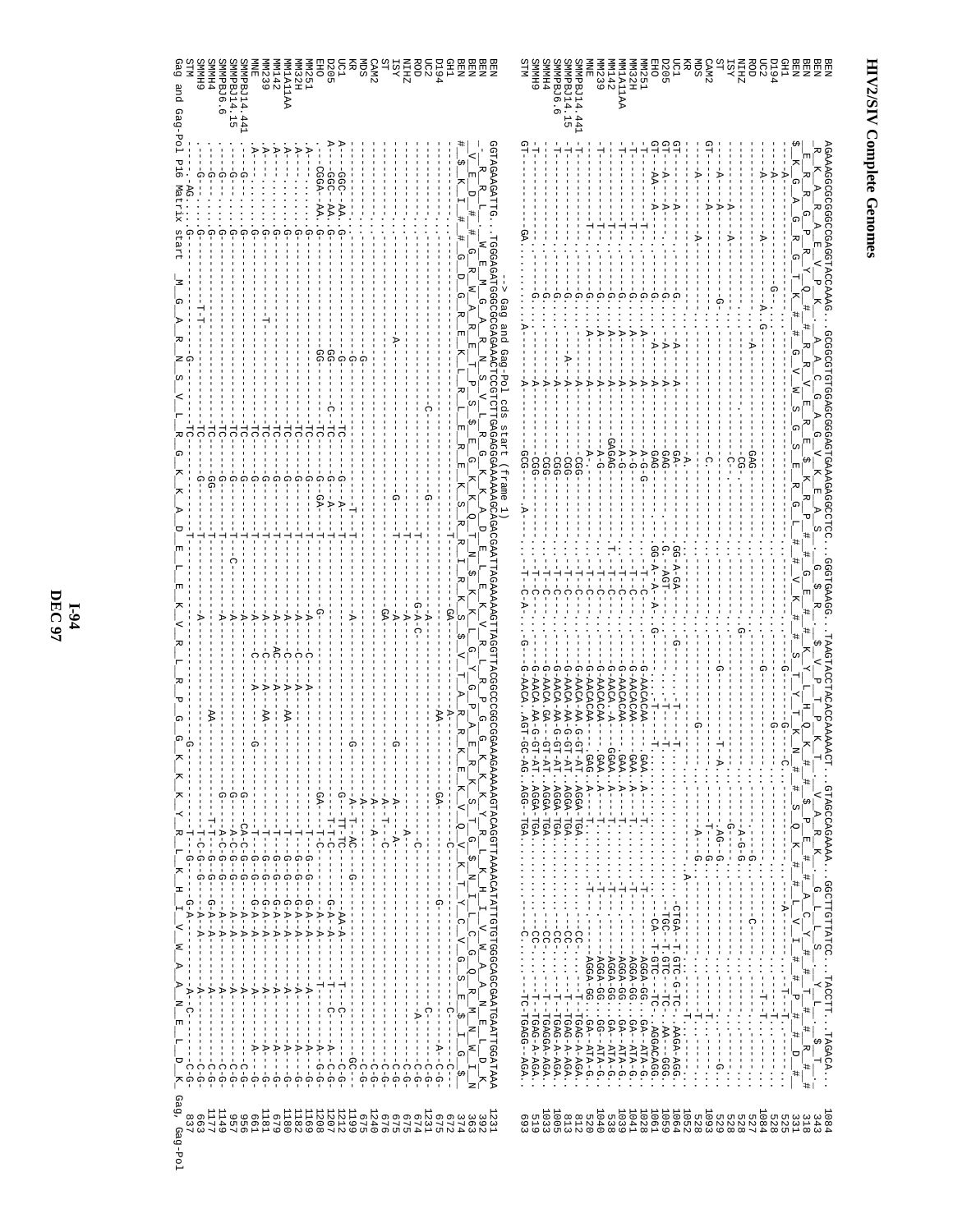| <b>ZHIN</b><br><b>P610</b><br><b>BEN</b><br><b>CMAS</b><br>gg<br>LC <sub>2</sub><br>Ë<br><b>BEN</b><br>田田区<br><b>BEN</b><br><b>GHNWE</b><br>€<br>Ğ<br>MMPBJ6.<br>LS7<br><b>MMN14</b><br>MMPBJ14<br>M142<br>M239<br>M251<br>M32H<br>FO<br>502<br>Ω<br><b>MMPBJ1</b><br>IA1A1.<br>AAL<br>σ                                                                                                                                                                                                                                                                                                                                                                                                                                                                                                                                                                                                                                                                                                                                                                                                                                                                                                                                                                                                                                                                                                                                                                                                                                                        | <b>ZHIN</b><br><b>CAM2</b><br>ROD<br>LC2<br>¥<br>Ξ<br><b>PHIMMS</b><br>ĞЯ<br><b>IST</b><br><b>NEN</b><br><b>SHE</b><br>ă<br>ਸ਼ਿ<br><b>194</b><br>ËN<br>ËN<br>ЦI,<br>6HMM3<br>MMPBJ6<br>MMPBJ1<br>MIAIIAA<br>M251<br>M32H<br>50Z<br><b>MMPBJ1</b><br><b>M239</b><br>IN142<br>4                                                                                                                                                                                                                                                                                                                                                                                                                                                                                                                                                                                                                                                                                            |
|-------------------------------------------------------------------------------------------------------------------------------------------------------------------------------------------------------------------------------------------------------------------------------------------------------------------------------------------------------------------------------------------------------------------------------------------------------------------------------------------------------------------------------------------------------------------------------------------------------------------------------------------------------------------------------------------------------------------------------------------------------------------------------------------------------------------------------------------------------------------------------------------------------------------------------------------------------------------------------------------------------------------------------------------------------------------------------------------------------------------------------------------------------------------------------------------------------------------------------------------------------------------------------------------------------------------------------------------------------------------------------------------------------------------------------------------------------------------------------------------------------------------------------------------------|--------------------------------------------------------------------------------------------------------------------------------------------------------------------------------------------------------------------------------------------------------------------------------------------------------------------------------------------------------------------------------------------------------------------------------------------------------------------------------------------------------------------------------------------------------------------------------------------------------------------------------------------------------------------------------------------------------------------------------------------------------------------------------------------------------------------------------------------------------------------------------------------------------------------------------------------------------------------------|
| <b>SGTAGAAGATTG.</b><br>COOL<br>ງ<br>ອີຣີ<br>Ġ<br>Ω<br>₽<br>R                                                                                                                                                                                                                                                                                                                                                                                                                                                                                                                                                                                                                                                                                                                                                                                                                                                                                                                                                                                                                                                                                                                                                                                                                                                                                                                                                                                                                                                                                   | P                                                                                                                                                                                                                                                                                                                                                                                                                                                                                                                                                                                                                                                                                                                                                                                                                                                                                                                                                                        |
| LGGAGATGGCGCAAAAACTCCG                                                                                                                                                                                                                                                                                                                                                                                                                                                                                                                                                                                                                                                                                                                                                                                                                                                                                                                                                                                                                                                                                                                                                                                                                                                                                                                                                                                                                                                                                                                          | ⋒<br>⋒<br>⋒<br>⋒<br>⋒<br>⋒<br>⋒<br>⋒<br>⋒                                                                                                                                                                                                                                                                                                                                                                                                                                                                                                                                                                                                                                                                                                                                                                                                                                                                                                                                |
| pue<br>Gag-Pol<br>යි<br>6G<br>ດ<br>⋒<br>Ω                                                                                                                                                                                                                                                                                                                                                                                                                                                                                                                                                                                                                                                                                                                                                                                                                                                                                                                                                                                                                                                                                                                                                                                                                                                                                                                                                                                                                                                                                                       | ኴ                                                                                                                                                                                                                                                                                                                                                                                                                                                                                                                                                                                                                                                                                                                                                                                                                                                                                                                                                                        |
| cds<br>Lart<br>(Exame)<br>Ω<br>Ω<br>ດ<br>⋒<br>⋒<br>⋒<br>⋒<br>⋒<br>⋒<br>⋒<br>⋒<br>⋒                                                                                                                                                                                                                                                                                                                                                                                                                                                                                                                                                                                                                                                                                                                                                                                                                                                                                                                                                                                                                                                                                                                                                                                                                                                                                                                                                                                                                                                              | <b>GAGAG</b><br>$A-G$<br>$A-G$<br>$A-G$<br>$D - D - F$<br>CAG<br>CA-<br>CGG<br>CGG                                                                                                                                                                                                                                                                                                                                                                                                                                                                                                                                                                                                                                                                                                                                                                                                                                                                                       |
| TTGAGAGGAAAAAGCAGAGAATTAGAAAAAGTTAGGTTACGCCCCGGCCGAA<br>-75<br>∀−                                                                                                                                                                                                                                                                                                                                                                                                                                                                                                                                                                                                                                                                                                                                                                                                                                                                                                                                                                                                                                                                                                                                                                                                                                                                                                                                                                                                                                                                               | 35-A-GA<br>$A--A$<br>AGT                                                                                                                                                                                                                                                                                                                                                                                                                                                                                                                                                                                                                                                                                                                                                                                                                                                                                                                                                 |
| G-A.<br>D<br>ŘC<br>Q                                                                                                                                                                                                                                                                                                                                                                                                                                                                                                                                                                                                                                                                                                                                                                                                                                                                                                                                                                                                                                                                                                                                                                                                                                                                                                                                                                                                                                                                                                                            |                                                                                                                                                                                                                                                                                                                                                                                                                                                                                                                                                                                                                                                                                                                                                                                                                                                                                                                                                                          |
| ⊅<br>মৃ<br>স্<br>্                                                                                                                                                                                                                                                                                                                                                                                                                                                                                                                                                                                                                                                                                                                                                                                                                                                                                                                                                                                                                                                                                                                                                                                                                                                                                                                                                                                                                                                                                                                              | AACA.<br><b>AACA-AA-G-G</b><br>AACA-AA.G.<br><b>AACACAA</b><br>AACACAA<br>AACA<br>AACA-AA-G<br>AACA.-A<br>AACACAA<br>AACACAA<br>ACACAA<br>$-55$<br>AGT-G                                                                                                                                                                                                                                                                                                                                                                                                                                                                                                                                                                                                                                                                                                                                                                                                                 |
| ×<br>¦≂<br>ø<br>×<br>$\frac{1}{1}$<br>ł<br>Ť<br>$\mathbin{\rtimes}$<br>-04----------<br>$- - - - - - -$<br>$--A--$<br>$- -A - -$<br>$\Gamma$<br>$G---TT-TT--D$<br>$GA----$<br>$\Gamma$<br>$\Gamma_{-}$<br>$\mathbf{I}$<br>$\frac{1}{2}$<br>$-4-$<br>H.<br>$\prec$<br>$\overline{\mathbf{K}}$<br>ŧ<br>$\frac{1}{1}$<br>$-1 - 1 - 1 - 1$<br>J.<br>ŧ<br>F<br>$-CA-C-$<br>コーローー<br>$- - \lambda - C -$<br>$\frac{1}{1}$<br>$\mathbf{I}$<br>$\mathbf{I}$<br>$\frac{1}{1}$<br>$- - A - -$<br>$\mathbf{I}$<br>$\mathsf I$<br>$-4 -$<br>L<br>įО.<br>æ<br>ţ                                                                                                                                                                                                                                                                                                                                                                                                                                                                                                                                                                                                                                                                                                                                                                                                                                                                                                                                                                                              | $\frac{1}{2}$ : $\frac{1}{2}$ : $\frac{1}{2}$ : $\frac{1}{2}$ : $\frac{1}{2}$ : $\frac{1}{2}$ : $\frac{1}{2}$ : $\frac{1}{2}$ : $\frac{1}{2}$ : $\frac{1}{2}$ : $\frac{1}{2}$ : $\frac{1}{2}$ : $\frac{1}{2}$ : $\frac{1}{2}$ : $\frac{1}{2}$ : $\frac{1}{2}$ : $\frac{1}{2}$ : $\frac{1}{2}$ : $\frac{1$<br>--A. ---<br>$\frac{1}{2}$<br>$\frac{1}{2}$ : $\frac{1}{2}$ : $\frac{1}{2}$ : $\frac{1}{2}$ : $\frac{1}{2}$ : $\frac{1}{2}$ : $\frac{1}{2}$ : $\frac{1}{2}$ : $\frac{1}{2}$ : $\frac{1}{2}$ : $\frac{1}{2}$ : $\frac{1}{2}$ : $\frac{1}{2}$ : $\frac{1}{2}$ : $\frac{1}{2}$ : $\frac{1}{2}$ : $\frac{1}{2}$ : $\frac{1}{2}$ : $\frac{1$<br>F<br>$-1$ , , , , $-1$ , $-1$ , $-1$ , $-1$ , $-1$ , $-1$<br>$\begin{array}{c} 1 \\ 1 \\ 2 \end{array}$<br>₩<br>ċ.<br>$\frac{1}{2}$<br>#<br>$\frac{1}{1}$<br>¦o,<br>ω,<br>$- - - - - - - - - -$<br>Ъ<br>$- - - - - - -$<br>$-6-1$<br>'ত<br>þ<br>'n                                                                |
| $- - \Delta - - T - - \Delta C - - - - - G - -$<br>$- - -A - C - G$<br>ローーローーーー<br>$\frac{1}{2}$<br>Ė,<br>۲<br>ا<br>$T-C-G$<br>$\frac{1}{1}$<br>$  A$ - $-$<br>$-1 - 1 - 1 - 1$<br>$\begin{array}{c} 1 \\ 1 \\ 1 \end{array}$<br>ŧ<br>$-1$<br>م¦<br>$\frac{1}{\epsilon}$<br>Ť<br>- 1<br>ု<br>$\begin{array}{c} \end{array}$<br>$\sim$<br>$-1$<br>Ω<br>$\blacksquare$<br>ດ<br>ດ<br>ର ର<br>ω<br>ω<br>$\Gamma$<br>ှ<br>-<br> <br>$\frac{1}{1}$<br>$\blacksquare$<br>$\overline{\phantom{a}}$<br>$\mathbf{I}$<br>$\mathsf I$<br>TITITI<br>J.<br>$\frac{1}{4}$<br>$\frac{1}{1}$<br>ŧ<br>÷<br>÷<br>$\mathbf{I}$<br>k<br>þ,<br>$\begin{array}{c} \hline \end{array}$<br>Ω<br>ଋ<br>ଋ<br><u>ດ ດ</u><br>ଋ<br>Ω<br>ଋ<br>Ω<br>ଋ<br>Ω<br>$\frac{1}{1}$<br>ł<br>$\mathbf{I}$<br>$\frac{1}{1}$<br>÷<br>÷<br>$\frac{1}{4}$<br>÷<br>$\frac{1}{2}$<br>$\frac{1}{1}$<br>Ť<br>Ť<br>Ŧ.<br>Ť<br>Ŧ<br>'n<br>$\mathbf I$<br>$-6 - A - i$<br>'K<br>ဂု<br>$G - A - -$<br>$\frac{1}{1}$<br>$\frac{1}{4}$<br>ł<br>ဂု<br>$\frac{1}{1}$<br>ဂု<br>ဂု<br>$G - A - -$<br>ဂု<br>$G - A - -$<br>$\frac{1}{1}$<br>$\frac{1}{1}$<br>'n<br>F<br>А<br>A<br>⋗                                                                                                                                                                                                                                                                                                                                                                                                                           | ø<br>$\pm$<br>!هٰهُ<br>::::<br>!!!!<br>$\begin{matrix} 0 & 0 & 1 \\ \vdots & \vdots & \vdots \\ 1 & 1 & 1 \end{matrix}$<br>$\frac{1}{2}$<br>≒<br>Ť<br>$A -$<br>(#<br>$^{\pm}$<br>'က<br>Ъ<br>F<br>$-V -$<br>F<br>$\frac{1}{2}$                                                                                                                                                                                                                                                                                                                                                                                                                                                                                                                                                                                                                                                                                                                                            |
| AGAAAAAGTACAGGTTAAAACATATTGTGGGCAGCAAATGAATTGGATAAA<br>$-1$<br>$-4-$<br>$-4$<br>$-4$<br>$\overline{AA} =$<br>$A$ --<br>$A$ --<br>$A -$<br>O,<br>Ŧ<br>Ŧ<br>Ŧ<br>⊲<br>$\mathbf{L}$<br>'n,<br>$\overline{Y}$<br>$\overline{P}$<br>$-\Delta$<br>А<br>$\mathbb{L}$<br>$\begin{array}{c} \begin{array}{c} \begin{array}{c} \begin{array}{c} \end{array} \\ \begin{array}{c} \end{array} \\ \begin{array}{c} \end{array} \\ \begin{array}{c} \end{array} \\ \begin{array}{c} \end{array} \\ \begin{array}{c} \end{array} \\ \begin{array}{c} \end{array} \end{array} \end{array}$<br>ъ<br>⊅<br>⋗<br>ъ<br>Þ<br>ъ<br>A<br>Þ<br>$A -$<br>Þ<br>$\blacksquare$<br> <br>¦≍<br>⊲<br>J,<br>T,<br>T,<br>Ŧ<br>$\frac{1}{1}$<br>$\frac{1}{1}$<br>$\mathbf{I}$<br>$\blacksquare$<br>$\mathbf{I}$<br>$\mathbf{I}$<br>$\mathbf{I}$<br>J.<br>¦Ω<br>$\mathsf I$<br>$\blacksquare$<br>$\mathbf{I}$<br>$\mathbf{I}$<br>$\mathbf{I}$<br>п<br>л<br>$\overline{1}$<br>л<br>-1<br>$\overline{1}$<br>ļ<br>¦ဂ<br>Ħ<br>$\mathbf{I}$<br>÷<br>$\frac{1}{1}$<br>þ<br>Ĵ<br>$\frac{1}{1}$<br>j.<br>$\frac{1}{4}$<br>$\frac{1}{1}$<br>t<br>$\frac{1}{4}$<br>$\mathsf I$<br>$\frac{1}{1}$<br>Ĵ<br>'co.<br>፞ቝ<br>$-4-$<br>$\frac{1}{1}$<br>$-1 - 1 - 1 - 1$<br>ユーーローー<br>$\frac{1}{1}$<br>$\frac{1}{2}$<br>$-1$ $-1$ $-1$ $-1$ $-1$ $-1$ $-1$<br>¦¤<br>$\overline{Y}$<br>$\mathbf{A}--$<br>$\begin{array}{c}\n\ddot{A} & \dot{A} \\ \ddot{A} & \dot{A} \\ \ddot{A} & \dot{A}\n\end{array}$<br>$A$ --<br>$\mathbf{A}--$<br>$A --$<br>Ţ<br>$\frac{1}{1}$<br>þ<br>$\blacksquare$<br>H<br>k | F<br>$\overline{\mathbf{K}}$<br>$\mathsf I$<br>'ഗ<br>≒‡<br>$\frac{1}{2}$<br>.<br>⊞<br>k<br>þ<br>$\frac{1}{2}$<br>ŀ۵<br>F                                                                                                                                                                                                                                                                                                                                                                                                                                                                                                                                                                                                                                                                                                                                                                                                                                                 |
| $A - -C - -$<br>l<br>F<br>$\frac{1}{1}$<br>$\frac{1}{4}$<br>$\mathbf{I}$<br>$\frac{1}{1}$<br>J.<br>$\mathsf I$<br>$\frac{1}{1}$<br>ŧ<br>ה<br>-<br>∣<br>⊀∿<br>!<br>™<br>J.<br>1<br>$\mathbf{I}$<br>$\mathbb{I}$<br>$\mathsf I$<br>$\mathsf I$<br>$\mathsf I$<br>$\mathbb{I}$<br>$\mathbb{I}$<br>$\mathbf{I}$<br>Þ,<br>$\,$ I<br>Ħ<br>Ĵ<br>$\mathbb{R}^n$<br>$\,$ I<br>$\mathsf I$<br>$\frac{1}{1}$<br>$\,$ I<br>$- -\Delta - -$<br>$-2 - -C - G -$<br>$\frac{1}{1}$<br>⊨<br>л.<br>¦≍.<br>$\frac{1}{1}$<br>$-90 -$<br>ຸດ<br>$\frac{1}{1}$<br>$\frac{1}{1}$<br>$\frac{1}{4}$<br>$\frac{1}{1}$<br>$\frac{1}{4}$<br>$\frac{1}{1}$<br>$\frac{1}{2}$<br>$\overline{1}$<br>$\frac{1}{1}$<br>$\frac{1}{1}$<br>σ<br>$\blacksquare$<br>$\mathbf{I}$<br>ှင်<br>၁၂၁<br>İ<br>İ<br>Ť<br>$\frac{1}{2}$<br>-0-0-<br>-0-0-<br>ں<br>ا<br>ن<br>-0-<br>$\frac{1}{2}$<br>C-G-<br>$\mathsf I$<br>$\frac{1}{2}$<br>-0<br>-0<br>C-G-<br>$C-C-$<br>ن<br>-0-<br>$\frac{1}{2}$<br>c--<br>$\mathbf{I}$<br>$\mathbf{I}% _{0}=\mathbf{I}_{0}=\mathbf{I}_{0}=\mathbf{I}_{0}=\mathbf{I}_{0}=\mathbf{I}_{0}=\mathbf{I}_{0}=\mathbf{I}_{0}=\mathbf{I}_{0}=\mathbf{I}_{0}=\mathbf{I}_{0}=\mathbf{I}_{0}=\mathbf{I}_{0}=\mathbf{I}_{0}=\mathbf{I}_{0}=\mathbf{I}_{0}=\mathbf{I}_{0}=\mathbf{I}_{0}=\mathbf{I}_{0}=\mathbf{I}_{0}=\mathbf{I}_{0}=\mathbf{I}_{0}=\mathbf{I}_{0}=\mathbf{I}_{0}=\mathbf{I}_{0}=\mathbf{I}_{0}=\mathbf{I}_{0}=\math$<br>$\mathbb T$<br>نې<br>ا<br>ဂု<br>ႁ<br>ဂု<br>ဂု<br>ဂှ<br>ဂှ<br>ဂု                                                                  | $\begin{array}{ll} -\frac{1}{1} & \cdots & \cdots & \cdots & \cdots \\ -\frac{1}{1} & \cdots & \cdots & \cdots & \cdots \\ -\frac{1}{1} & \cdots & \cdots & \cdots & \cdots \\ -\frac{1}{1} & \cdots & \cdots & \cdots & \cdots \\ -\frac{1}{1} & \cdots & \cdots & \cdots & \cdots \\ -\frac{1}{1} & \cdots & \cdots & \cdots & \cdots \\ -\frac{1}{1} & \cdots & \cdots & \cdots & \cdots \\ -\frac{1}{1} & \cdots & \cdots & \cdots & \cdots \\ -\frac{1}{1} & \cdots &$<br>$\frac{1}{1-\frac{1}{1-\frac{1}{1-\frac{1}{1-\frac{1}{1-\frac{1}{1-\frac{1}{1-\frac{1}{1-\frac{1}{1-\frac{1}{1-\frac{1}{1-\frac{1}{1-\frac{1}{1-\frac{1}{1-\frac{1}{1-\frac{1}{1-\frac{1}{1-\frac{1}{1-\frac{1}{1-\frac{1}{1-\frac{1}{1-\frac{1}{1-\frac{1}{1-\frac{1}{1-\frac{1}{1-\frac{1}{1-\frac{1}{1-\frac{1}{1-\frac{1}{1-\frac{1}{1-\frac{1}{1-\frac{1}{1-\frac{1}{1-\frac{1}{1-\frac{1}{1-\frac{1}{1-\frac{1$<br>₩,<br>≒<br>Ŧ,<br>$\mathsf I$<br>'n<br>켜<br>þ,<br>д<br>$\pm$<br>₩ |
| 33<br>$\sim$ $\mapsto$                                                                                                                                                                                                                                                                                                                                                                                                                                                                                                                                                                                                                                                                                                                                                                                                                                                                                                                                                                                                                                                                                                                                                                                                                                                                                                                                                                                                                                                                                                                          | $\frac{0}{3}$<br>$\omega$                                                                                                                                                                                                                                                                                                                                                                                                                                                                                                                                                                                                                                                                                                                                                                                                                                                                                                                                                |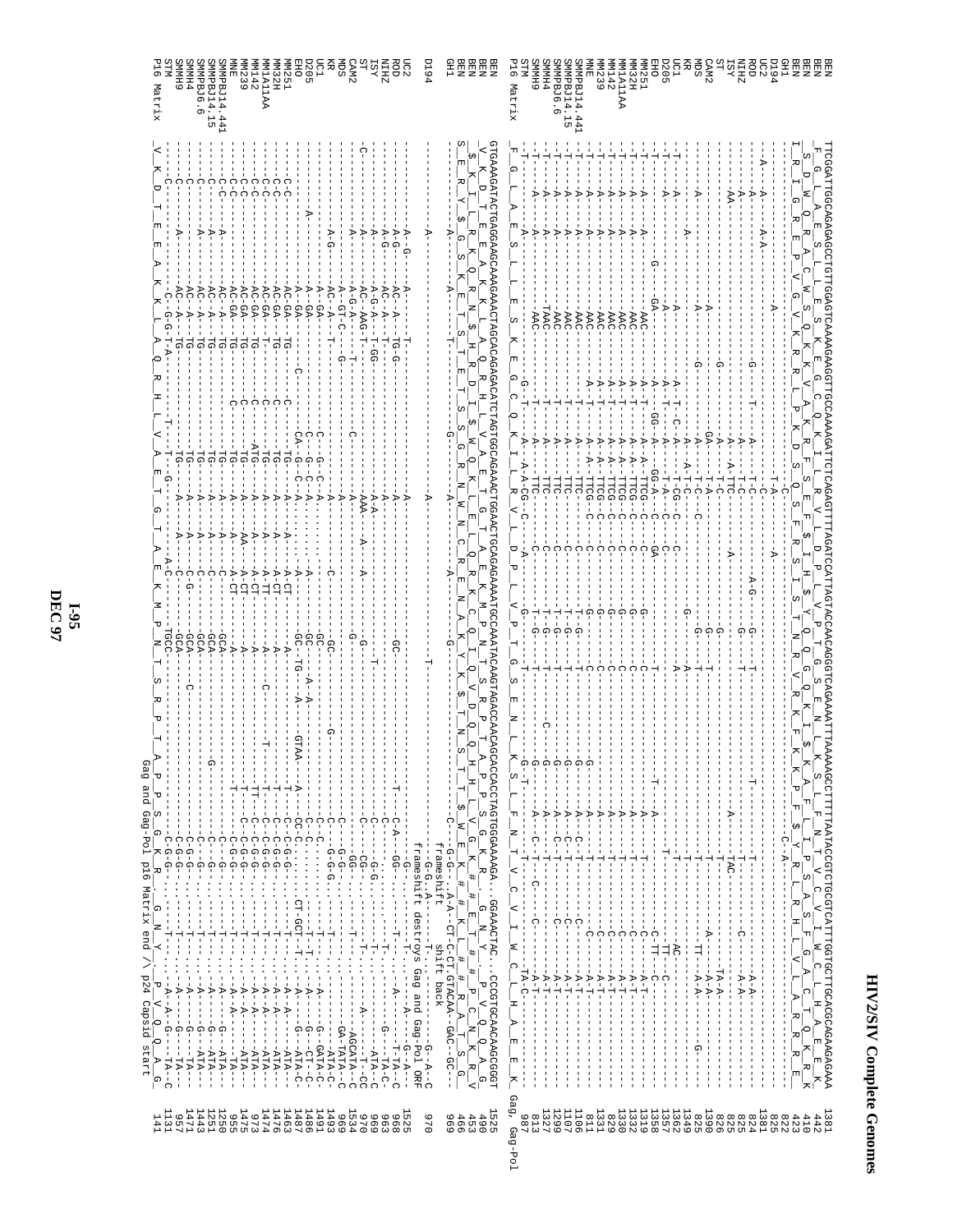| н<br>= |
|--------|

| $\overline{A}$<br>ý<br>!<br>ъ            |                                                 |                                      |                                                       |                      |                                         |                                                            |                                                                                                                             | $\,$ I<br>$\mathbf{I}$<br>J.                                                                                                                                                                                                                                                                                                                                                                                                                                                                                                                                                                                            | $\blacksquare$                                                                                                                                                |
|------------------------------------------|-------------------------------------------------|--------------------------------------|-------------------------------------------------------|----------------------|-----------------------------------------|------------------------------------------------------------|-----------------------------------------------------------------------------------------------------------------------------|-------------------------------------------------------------------------------------------------------------------------------------------------------------------------------------------------------------------------------------------------------------------------------------------------------------------------------------------------------------------------------------------------------------------------------------------------------------------------------------------------------------------------------------------------------------------------------------------------------------------------|---------------------------------------------------------------------------------------------------------------------------------------------------------------|
| ъ                                        | ⋒                                               |                                      |                                                       | $A-G$                | Ω                                       |                                                            | I.<br>보                                                                                                                     | J.<br>J.                                                                                                                                                                                                                                                                                                                                                                                                                                                                                                                                                                                                                | $\mathsf I$<br>$-A-A-$                                                                                                                                        |
| ⊅                                        |                                                 |                                      | 부                                                     |                      | Ω<br>⊣                                  |                                                            | I.<br>Ĥ                                                                                                                     | C--<br>$\mathbb{I}$                                                                                                                                                                                                                                                                                                                                                                                                                                                                                                                                                                                                     | $-{\bf A}-{\bf A}-$                                                                                                                                           |
|                                          |                                                 | ⊅                                    | <b>TTC</b><br>۲<br>ה                                  |                      |                                         |                                                            | ÷A-<br>TAC <sup>1</sup><br>보                                                                                                |                                                                                                                                                                                                                                                                                                                                                                                                                                                                                                                                                                                                                         |                                                                                                                                                               |
|                                          | Ω                                               | GA.<br>⊅                             | 7 – 7                                                 |                      | ଋ<br>Ω<br>闩                             |                                                            | 부부<br>ł                                                                                                                     | 1<br>$-\Delta$                                                                                                                                                                                                                                                                                                                                                                                                                                                                                                                                                                                                          | $-A -A -$<br>$-TA - A -$<br>$\blacksquare$                                                                                                                    |
|                                          | A-                                              | ע                                    | ۲L<br>ה                                               |                      | Ω<br>Н                                  |                                                            | 년                                                                                                                           |                                                                                                                                                                                                                                                                                                                                                                                                                                                                                                                                                                                                                         | -RT-1-A-A-A-                                                                                                                                                  |
|                                          |                                                 | ⋗                                    | $\overline{Y}$<br>H<br>C                              |                      | ъ                                       |                                                            | Ĥ                                                                                                                           | п                                                                                                                                                                                                                                                                                                                                                                                                                                                                                                                                                                                                                       |                                                                                                                                                               |
|                                          | ⋗                                               | ⊅<br>부<br>ဂု<br>⋗                    | $T - A -$<br>$-CCG-$<br>∩                             | Ω<br>С               | ъ                                       |                                                            | 부                                                                                                                           | $\blacksquare$<br>$AC$ -                                                                                                                                                                                                                                                                                                                                                                                                                                                                                                                                                                                                | Ω                                                                                                                                                             |
| Þ                                        | Ω<br>- 79<br>$\overline{A}$                     | $\overline{A}$<br>Þ<br>ĠG-<br>⋗<br>⊅ | <b>G-A</b><br>J<br>C<br>∩                             | $GA -$               | Н                                       | $-1 -$                                                     | $-\Delta -$<br>1<br>۲<br>ا<br>$\mathbf{I}$<br>$\overline{\phantom{a}}$                                                      | J.<br>J.<br>$C - T T - -$                                                                                                                                                                                                                                                                                                                                                                                                                                                                                                                                                                                               | $\frac{1}{\Omega}$<br>Ţ<br>ı<br>$\mathbf{I}$<br>$\overline{\phantom{a}}$                                                                                      |
|                                          | $-AAC$                                          | Þ<br>١,<br>⋗                         | $\overline{A}$<br><b>TTCG</b> .<br>$\frac{1}{1}$<br>Q | Ω<br>⋒               | Q                                       |                                                            | $\sum_{i=1}^{n}$<br>$\mathbf{I}$<br>Ė                                                                                       | I                                                                                                                                                                                                                                                                                                                                                                                                                                                                                                                                                                                                                       | $L - V$                                                                                                                                                       |
| ⊅<br>Þ                                   | -AAC-                                           | $\overline{r}$<br>н<br>₽<br>J.       | $A -$<br><b>TTCG</b><br>÷<br>↷                        | Ω<br>Ω               | C                                       | $\overline{\phantom{a}}$<br>п                              | $\frac{1}{4}$<br>$\sum_{i=1}^{n}$<br>$\blacksquare$<br>J.<br>$\mathbf{I}$<br>부부<br>$\frac{1}{1}$                            | $\mathbf{I}$<br>ł<br>$\Gamma$<br>$\mathbf I$                                                                                                                                                                                                                                                                                                                                                                                                                                                                                                                                                                            | $-1-\nabla$                                                                                                                                                   |
| ⊅<br>⋗                                   | $-AAC$                                          | $A$ – –<br>부<br>⊅                    | $\mathbb{F}$<br><b>TTCG</b><br>$\frac{1}{1}$<br>↷     | Ω<br>Ω               | Q                                       | $\overline{1}$                                             | $\frac{1}{1}$<br>$\overline{Y}$<br>$\blacksquare$<br>$\blacksquare$<br>부                                                    | $\Gamma$<br>$\mathbf I$                                                                                                                                                                                                                                                                                                                                                                                                                                                                                                                                                                                                 | $-\mathbf{I}-\mathbf{A}$ .                                                                                                                                    |
| ⋗<br>ъ                                   | $-AAC$                                          | $-4-$<br>H<br>⋗<br>п                 | $\overline{r}$<br><b>TTCG</b><br>÷<br>↷               | Ω<br>Ω               | ∩                                       | H.                                                         | Ŧ<br>$\overline{Y}$<br>J.<br>J.<br>$\mathbf{I}$<br>÷<br> <br>ł                                                              | ł<br>$\Gamma$<br>$\mathbb{I}$                                                                                                                                                                                                                                                                                                                                                                                                                                                                                                                                                                                           | $A-T--$<br>л                                                                                                                                                  |
| ъ                                        | <b>AAC</b>                                      | $\mathbb{A}$<br>н<br>⊅               | <b>TTCG</b><br>∩                                      | Ω<br>ଋ               | ↷                                       |                                                            | $\overline{Y}$<br>$-1 -$                                                                                                    | $\frac{1}{1}$<br>Q<br>$\frac{1}{1}$                                                                                                                                                                                                                                                                                                                                                                                                                                                                                                                                                                                     | $-1 - 1 -$                                                                                                                                                    |
| Þ                                        | -AAC                                            | $A -$<br>н<br>⋗                      | <b>TTCG</b>                                           | Ω<br>ω               | G                                       | $\frac{1}{1}$                                              | $\dot{P}$<br>$-1$                                                                                                           | $\Gamma$                                                                                                                                                                                                                                                                                                                                                                                                                                                                                                                                                                                                                | $A-T$<br>$\mathbf{I}$                                                                                                                                         |
| Þ                                        | -AAC                                            | ⊅                                    |                                                       | Ω<br>$-1 - G$        | H                                       | $\frac{1}{1}$<br>$\mathbf{I}$<br>$\mathbf{I}$              | $-1$<br>$-1$<br>$-1$<br>$-1$<br>$-1$<br>$-1$<br>$-1$                                                                        | $\frac{1}{4}$<br>$- -C - -$<br>Ť                                                                                                                                                                                                                                                                                                                                                                                                                                                                                                                                                                                        | л.<br>$-1-\Gamma-\Gamma$<br>$\mathbf I$                                                                                                                       |
|                                          | AAC.                                            | ⊅<br>$\mathbf{I}$                    | HTC                                                   | Ω<br>H<br>           | ω                                       | $-\frac{1}{2}$<br>$\blacksquare$<br>$\mathbf{I}$           | $\frac{1}{1}$<br>$A--C--T------$                                                                                            | $\mathsf I$<br>$\mathbf{I}$<br>İ<br>$\Gamma$<br>$\mathsf I$<br>$\mathbf{I}$<br>$\mathbf I$                                                                                                                                                                                                                                                                                                                                                                                                                                                                                                                              | - 1<br>$\mathbf I$<br>$-1 - 1 - 6$<br>$\mathbf{I}$                                                                                                            |
| ⋗<br>ъ                                   | $-AAC$                                          | H<br>⋗                               | HTC                                                   | Ω<br>۲<br>!          | ငှ                                      | $-\frac{1}{2}$<br>J.<br>L.                                 | Ŧ<br>$\mathbf{A}--\mathbf{C}--\mathbf{T}--$<br>ŧ                                                                            | ł,<br>$- -C - -$<br>J.<br>H.<br>L                                                                                                                                                                                                                                                                                                                                                                                                                                                                                                                                                                                       | L.<br>$\mathbb{I}$<br>H.                                                                                                                                      |
| ъ                                        | TAAC.                                           | 부<br>H<br>⋗<br>⋗                     | <b>TTC</b>                                            | Ω<br>Ω<br>÷<br>۲<br> | ω<br>Ω<br>闩                             | $\frac{1}{1}$                                              | $\overline{Y}$<br>$\frac{1}{1}$                                                                                             |                                                                                                                                                                                                                                                                                                                                                                                                                                                                                                                                                                                                                         | $\mathsf I$<br>$\mathbf{I}$<br>$A-T--$<br>$-1 - 1 -$<br>$\mathsf I$                                                                                           |
| A                                        |                                                 | ဂု<br>부                              | $A$ – CG.<br>C                                        | A-<br>Ω              |                                         |                                                            |                                                                                                                             |                                                                                                                                                                                                                                                                                                                                                                                                                                                                                                                                                                                                                         | п                                                                                                                                                             |
| ъ<br>ъ                                   | AAC.                                            | ⋗                                    |                                                       |                      | ⊣                                       | $\frac{1}{1}$<br>$C - T - T -$<br>I<br>$\blacksquare$      | $\mathbb{I}$<br>$\frac{1}{1}$<br>J.<br>л<br>$\frac{1}{1}$<br>$\mathbf{I}$                                                   | $\mathbf{I}$<br>$\mathbf{I}$<br>$\mathbb{I}$                                                                                                                                                                                                                                                                                                                                                                                                                                                                                                                                                                            | $-TA-C -$<br>$\mathbb{I}$<br>$\mathbf{I}$                                                                                                                     |
| ່ດ<br>۳<br>U<br>চা<br>囝<br>Ħ<br>īω       | F<br>⊢<br>E<br>ω.<br>×<br>চা                    | <u>'ဂ</u><br>'n<br>H<br>o            | 囝<br>ਸ਼<br>⋒                                          | Ō<br>Ή.<br>◁<br>U    | Ρ.<br>z<br>Η<br>ຸດ<br>.<br>Ï۵<br>m<br>団 | U<br>z<br>ъ<br>'נט<br>ď<br>ō<br>Þ                          | CACCACCTAGTGGGAAAGAGGAAACTACCCCGTGCAACAAGCGGGT<br>מ.<br>י<br>'n,<br>þ<br>က်<br>۳ļ<br>'×<br>$\frac{1}{\sqrt{2}}$<br>Ψ,       | $-\frac{1}{2}$ $-\frac{1}{2}$ $-\frac{1}{2}$                                                                                                                                                                                                                                                                                                                                                                                                                                                                                                                                                                            | ļ,<br> <br>F<br>Ŧ<br>$-A-E$                                                                                                                                   |
|                                          |                                                 |                                      | z                                                     |                      |                                         | Η<br>$\Xi$<br>H                                            | ₽<br>¦-ഗ<br> <br>$\frac{1}{2}$<br>$\begin{array}{c} -1 \\ -1 \end{array}$<br>≤<br>$\frac{1}{2}$<br>Ļ,<br>Ļ<br>ķ<br>ļ.<br>¦# | $\begin{bmatrix} 1 \\ 1 \\ 1 \end{bmatrix}$<br>¦#<br>ှြ<br>٣j<br>ķ<br>k<br>ļ,<br>Ļ<br>$\begin{bmatrix} 1 \\ -1 \end{bmatrix}$<br>$\frac{1}{1}$                                                                                                                                                                                                                                                                                                                                                                                                                                                                          | $\prod_{i=1}^n$<br>#<br>$\mathcal{L}$<br>P_V_Q_1<br>P_V_Q_1<br>$R_A$<br>$\frac{1}{\mathbf{z}}$<br>٣                                                           |
| ኔ                                        |                                                 |                                      |                                                       |                      |                                         |                                                            |                                                                                                                             | --G-G--A-A--CT-C-CT.GTACAA--GAC--GC---<br>frameshift shift back                                                                                                                                                                                                                                                                                                                                                                                                                                                                                                                                                         |                                                                                                                                                               |
| $\mathbb{F}$<br>Ġ                        |                                                 |                                      |                                                       |                      |                                         |                                                            |                                                                                                                             |                                                                                                                                                                                                                                                                                                                                                                                                                                                                                                                                                                                                                         | $\blacksquare$                                                                                                                                                |
| $A-G$                                    | D--DI                                           |                                      |                                                       |                      | සි                                      | $-1$                                                       | ↷<br>$-\cdots -9$                                                                                                           | $\frac{1}{4}$<br>$-1$                                                                                                                                                                                                                                                                                                                                                                                                                                                                                                                                                                                                   | $\begin{array}{c} \n\frac{1}{2} & \cdots & \cdots \n\end{array}$<br>$\blacksquare$<br>$-4-4-$<br>$\mathbf I$<br>$\mathbf I$<br>$\mathbf{I}$                   |
| $A-G$                                    | ð<br>$\overline{v}$                             |                                      |                                                       |                      |                                         |                                                            | Q<br>Ţ<br>$-A$ --dd--                                                                                                       |                                                                                                                                                                                                                                                                                                                                                                                                                                                                                                                                                                                                                         | $-\cdots$ $-\Delta$ ---<br>$\mathsf I$<br>$\blacksquare$<br>$\frac{1}{4}$<br>$\frac{1}{4}$<br>$-0 - -1 - 1 - 0 - 0 - 0$                                       |
| $\overline{r}$<br>$\overline{1}$         | G-A<br>-99-1                                    |                                      | $\mathrm{A}-\mathrm{A}$                               |                      |                                         |                                                            | $\overline{\phantom{a}}$                                                                                                    | $\frac{1}{1}$                                                                                                                                                                                                                                                                                                                                                                                                                                                                                                                                                                                                           | $\,$ I<br>$\blacksquare$<br>$\mathbf{I}$<br>$\mathbf I$                                                                                                       |
| $\overline{r}$                           | AC--AAG-                                        |                                      | $AA-$                                                 |                      | ဂု                                      | H.                                                         | $\frac{1}{1}$<br>$\Gamma$<br>л.                                                                                             | $\mathbf{I}$<br>ł,<br>$\frac{1}{2}$                                                                                                                                                                                                                                                                                                                                                                                                                                                                                                                                                                                     | I.                                                                                                                                                            |
| ⊅                                        | $A-G-A$<br>H                                    |                                      | ⊅                                                     |                      | C)                                      |                                                            | $-0.04 - 0.04$                                                                                                              | $-1 - 1 -$                                                                                                                                                                                                                                                                                                                                                                                                                                                                                                                                                                                                              |                                                                                                                                                               |
|                                          | A-<br>-GT-C-<br>Ģ                               |                                      |                                                       |                      |                                         |                                                            | ن<br>-                                                                                                                      | $\frac{1}{4}$<br>$\frac{1}{1}$<br>$\begin{array}{c} \begin{array}{c} \begin{array}{c} \begin{array}{c} \end{array}\\ \begin{array}{c} \end{array}\\ \begin{array}{c} \end{array}\\ \begin{array}{c} \end{array}\\ \begin{array}{c} \end{array}\\ \begin{array}{c} \end{array}\\ \begin{array}{c} \end{array}\\ \begin{array}{c} \end{array}\\ \begin{array}{c} \end{array}\\ \begin{array}{c} \end{array}\\ \begin{array}{c} \end{array}\\ \begin{array}{c} \end{array}\\ \begin{array}{c} \end{array}\\ \begin{array}{c} \end{array}\\ \begin{array}{c} \end{array}\\ \begin{array}{c} \end{array}\\ \begin{array}{c}$ | $\mathbf{I}$<br>$\mathbf{I}$<br>$\mathbf I$<br>$-GA-TATA--C$                                                                                                  |
| Ω                                        | $AC = -A -$                                     |                                      |                                                       | ∩                    | Š                                       | $\mathbf{I}$                                               | ł<br>$\frac{1}{2}$                                                                                                          |                                                                                                                                                                                                                                                                                                                                                                                                                                                                                                                                                                                                                         | $\mathbb I$<br>J.                                                                                                                                             |
|                                          | $\mathbb{A}$<br>-GA                             | G                                    | ⋒<br>$\frac{1}{1}$                                    |                      | -90-                                    |                                                            |                                                                                                                             | $\begin{bmatrix} 1 & 1 \\ 1 & 1 \\ 1 & 1 \end{bmatrix}$<br>$\frac{1}{1}$<br>$\begin{array}{c}\n-1 \\ -1 \\ 1\n\end{array}$                                                                                                                                                                                                                                                                                                                                                                                                                                                                                              | $\mathsf I$<br>$-\Delta -$<br>-1<br>G--GATA-C-                                                                                                                |
|                                          | $A - G A$ .                                     | م<br>ا                               | Ω<br>ł<br>Ω<br>Ŧ                                      | D                    | -90-<br>$A -$<br>Þ                      |                                                            |                                                                                                                             | $\frac{1}{1}$<br>$-1$ - $-1$ - $-1$ - $-1$                                                                                                                                                                                                                                                                                                                                                                                                                                                                                                                                                                              | $-$ – $\mathrm{A}$ – $-$<br>$\frac{1}{L}$                                                                                                                     |
|                                          | ₹<br>-GA                                        | CA-                                  | Ω<br>$\mathbf{I}$<br>Ω                                | ⊅                    | GC-<br>$\blacksquare$<br>ನ<br>ኌ         | $\tilde{A}$                                                | $\mathbf{I}$<br>$\blacksquare$                                                                                              | $\cdots$ CT-GCT--T $\cdots$                                                                                                                                                                                                                                                                                                                                                                                                                                                                                                                                                                                             | $\,$ $\,$<br>$\blacksquare$<br>$-\mathbf{A}-$<br>$\mathbf{I}$<br>J.<br>$\Gamma$                                                                               |
| ∩                                        | $AC-GA-$<br>55                                  | ∩<br>å                               |                                                       | A-<br>G              | Þ                                       | j<br>$-1$                                                  | $\frac{1}{1}$                                                                                                               | $\frac{1}{4}$<br>$\frac{1}{1}$<br>$\frac{1}{2}$                                                                                                                                                                                                                                                                                                                                                                                                                                                                                                                                                                         | $\,$ I<br>$\overline{1}$<br>$\mathbf{A}--\mathbf{A}-$                                                                                                         |
| ု<br>Q<br>$\mathbf{I}$                   | AC-GA<br>$-50$                                  | ↷<br>å                               |                                                       | $A-CT$               | P-                                      | $\frac{1}{2}$                                              | Ť                                                                                                                           |                                                                                                                                                                                                                                                                                                                                                                                                                                                                                                                                                                                                                         | $-\mathbf{A}--\mathbf{A}-$                                                                                                                                    |
| ု<br>Ω                                   | $AC-GA-$<br>난                                   | ↷<br>å                               | ⊅                                                     | $A-TT$               | ♭                                       | $\frac{1}{1}$                                              | $\mathbf{I}$                                                                                                                | ŧ<br>$\begin{array}{c}\n-1 \\ -1 \\ -1\n\end{array}$                                                                                                                                                                                                                                                                                                                                                                                                                                                                                                                                                                    | $\mathbf{A}--\mathbf{A}-$                                                                                                                                     |
| ု<br>C<br>J.                             | AC-GA<br>묘                                      | Q<br>ATG                             | ⊅                                                     | A-<br>Ğ              | $\overline{Y}$ –                        | į                                                          | $-11 - 11$                                                                                                                  | $\mathbb I$<br>$-1$ + $-1$ + $-1$ + $-1$ + $-1$                                                                                                                                                                                                                                                                                                                                                                                                                                                                                                                                                                         | $\blacksquare$<br>$A - -A - -$<br>$\blacksquare$                                                                                                              |
| ု<br>Ω<br>$\mathbf{I}$                   | AC-GA<br>-TG                                    | Ω<br>å                               | AA                                                    | $A - CT -$           | $\forall^-$                             | $\mathbf{I}$<br>٦I                                         |                                                                                                                             | $\mathbf I$<br>$\frac{1}{1}$<br>$\begin{array}{c} \mathbf{r}+\mathbf{r}-\mathbf{r} \end{array}$                                                                                                                                                                                                                                                                                                                                                                                                                                                                                                                         | $-4$<br>$\frac{1}{2}$<br>$\mathbf{I}$                                                                                                                         |
| റ<br>$\mathsf I$<br>G<br>ı               | $AC-GA-$<br>т.<br>Ġ                             | റ<br>-TG.                            | Þ                                                     | $A-CT$ -A            | $- -A$                                  | $\mathbf{I}$<br>$\frac{1}{1}$                              |                                                                                                                             | $\frac{1}{2}$                                                                                                                                                                                                                                                                                                                                                                                                                                                                                                                                                                                                           | I.                                                                                                                                                            |
| ∩<br>$\mathbf{I}$<br>Q<br>$\overline{A}$ | RC<br>$\mathbf{F}-\mathbf{A}$<br>$\overline{5}$ | ដូ                                   | Þ                                                     | ↷                    | GCA                                     |                                                            |                                                                                                                             | $\frac{1}{2}$                                                                                                                                                                                                                                                                                                                                                                                                                                                                                                                                                                                                           | $-4 - -4 - - -$<br>ω                                                                                                                                          |
| ∩<br>А                                   | K<br>$-1$<br>É,                                 | å                                    | Þ                                                     | ှ                    | GCA                                     | ဂု<br>$\overline{\phantom{a}}$<br>$\overline{\phantom{a}}$ |                                                                                                                             |                                                                                                                                                                                                                                                                                                                                                                                                                                                                                                                                                                                                                         | $--A--$<br>п<br>$\overline{\phantom{a}}$<br>$Q - -$                                                                                                           |
| ∩                                        | ð<br>$\mathbf{H}=-$<br>É,                       | 남                                    |                                                       |                      | -GCA                                    | Ť                                                          |                                                                                                                             | $\frac{1}{2}$                                                                                                                                                                                                                                                                                                                                                                                                                                                                                                                                                                                                           | Ť.<br>Ť                                                                                                                                                       |
| $\overline{r}$                           |                                                 |                                      | Þ                                                     | ှ                    |                                         |                                                            |                                                                                                                             | $\begin{array}{c} -1 \\ -1 \\ -1 \end{array}$                                                                                                                                                                                                                                                                                                                                                                                                                                                                                                                                                                           | $-4-$<br>$\frac{1}{2}$                                                                                                                                        |
| ↷<br>↷<br>₻                              | K<br>님<br>능                                     | ٦,<br>ă                              | ъ<br>ע                                                | ှ<br>∩               | -GCA<br>GCA                             |                                                            | $-2-6-6--.$                                                                                                                 | $\mathbf{I}$<br>$\mathbf{I}$<br>$\mathbf I$<br>$\mathbb{I}$<br>$-1 -$<br>$\mathbf I$                                                                                                                                                                                                                                                                                                                                                                                                                                                                                                                                    | f<br>$\vdots$<br>$\frac{1}{4}$<br>$- - \Delta - -$<br>$-4$<br>$\overline{1}$<br>$\frac{1}{1}$<br>т.<br>$\begin{smallmatrix} 0 & 1 \\ 1 & 1 \end{smallmatrix}$ |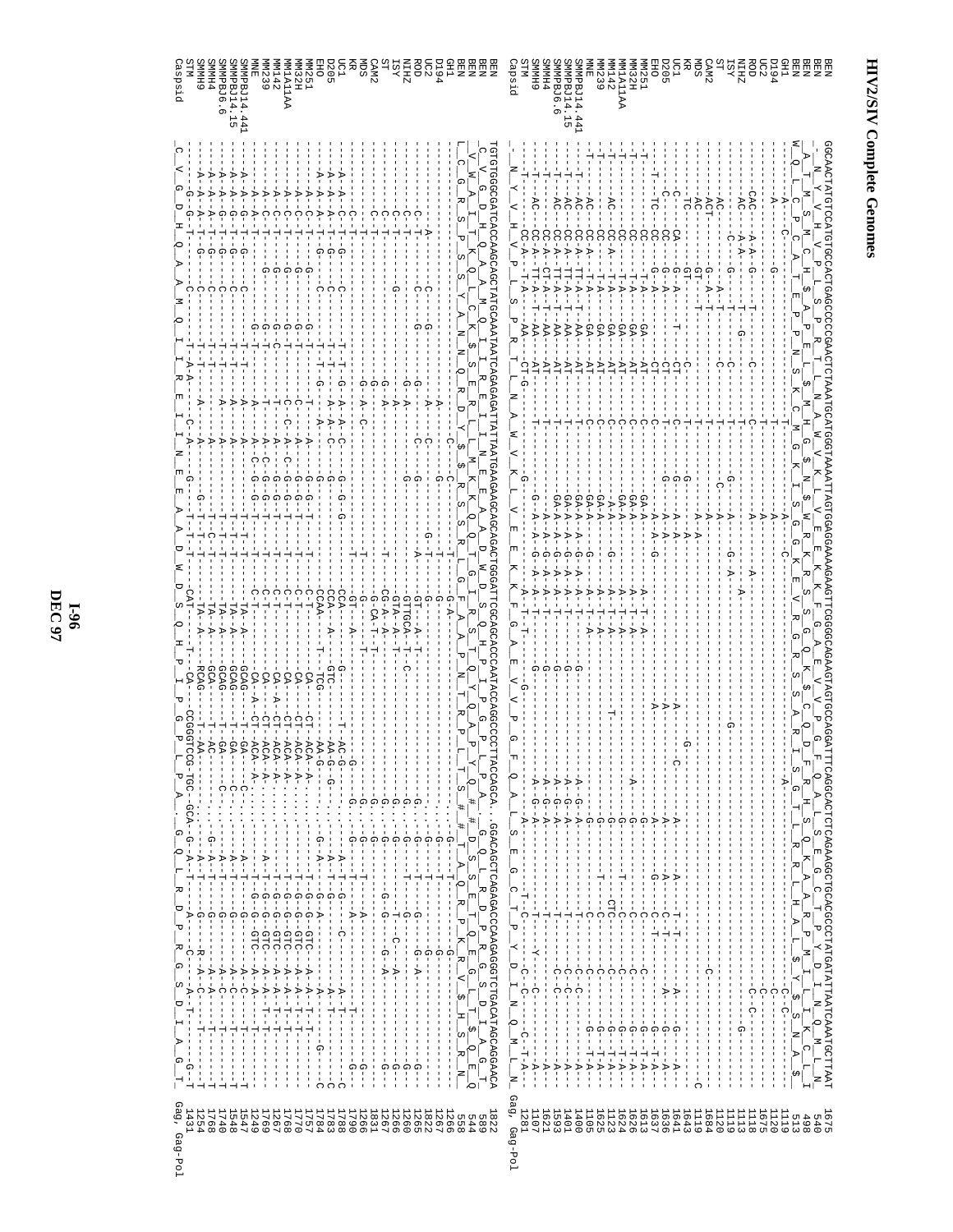| ω<br>ဂု<br>ဂု<br>ဂု<br>ဂု<br>$LT - A -$<br>$-LI - A - -$<br>1 – A –<br>$T - A$ .<br>$\frac{1}{1}$<br>$T - A$ .<br>ł<br>Ω<br>Ω<br>Ω<br>۲<br>٢<br>Y<br>$I' = PAP$<br>ှု<br>- AA<br>Š<br>Š<br>φ<br>ଦ<br>ω<br>$\Gamma$<br>P<br>£<br>£<br>-CT-G<br>Ω<br>Ω<br>$-1$<br>⋒<br>ດ<br>z<br>ъ<br>ታ<br>0<br>$\frac{1}{2}$<br>ု<br>Ω<br>Σ<br>⋗<br>⋗<br>⋗<br>⋗<br>⋗<br>∩<br>Ω<br>⋗<br>⋗<br>∩<br>↷<br>∩<br>$\mathbf{I}$<br>Ω<br>⋒<br>⋒<br>Ω<br>Ω<br>Ω<br>Ω<br>⋒<br>Ω<br>GA-A<br>$GA - A - -$<br>$-55$<br>i<br>P<br>۳<br>A-<br>ъ<br>н<br>⊅<br>Ħ<br>দ্ৰ<br>Ω<br>⋒<br>⋒<br>ଢ଼<br>⋒<br>⋗<br>⋗<br>⊅<br>⊅<br>⋗<br>ں<br>ה<br>⊅<br>P<br><b>GOOR</b><br>ローロアーロ<br>å<br>$-1 - 7$<br>ъ<br>Þ<br>⊅<br>ø<br>GTC<br>Ω<br>Ω<br>GAG<br>Ω<br>Ω<br>⋒<br>icAG<br>$CA - -$<br>rcg-<br>⊲<br>Ģ<br>TACCAGCAGGACAGCTCAGAGACCCAAGAGGGTCTGACATAGCAGGAACA<br>F<br>$\frac{1}{2}$<br>≺<br>$-\infty$<br>ł<br>$\mathbf{I}$<br>$\frac{1}{1}$<br>-1<br>ł<br>ł<br>л.<br>ď<br>$-{\bf A} - -$<br>$\mathsf I$<br>$\mathbb{I}$<br>ю<br>$A -$<br>$A - -G - -$<br>$-\mathbf{A}-$<br>$-\Delta$<br>$\mathsf I$<br>Ť<br>$\begin{array}{c} \begin{array}{c} \text{1} \\ \text{2} \\ \text{3} \end{array} \\ \begin{array}{c} \text{1} \\ \text{4} \end{array} \\ \end{array}$<br>$\frac{1}{1}$<br>$\begin{bmatrix} 1 \\ 1 \\ 1 \\ 1 \end{bmatrix}$<br>$\overline{\phantom{a}}$<br>I<br>$\mathbf{I}$<br>$\frac{1}{1}$<br>$\frac{1}{4}$<br>Ъ<br>$\mathbf{I}$<br>$\frac{1}{4}$<br>$\frac{1}{1}$<br>$\mathbf{I}$<br>$\mathbf{I}$<br>$\blacksquare$<br>-1<br>₩<br>ဂှ<br>ှစ် စုံ<br>၂၂၁<br>$\,$ I<br>ţ<br>$\mathbb{I}$<br>$\mathsf I$<br>$\mathbf{I}$<br>$- -A - -$<br>Ħ<br>÷<br>$\mathbf{I}$<br>Ť<br>$\frac{1}{4}$<br>$\frac{1}{1}$<br>$\frac{1}{4}$<br>$L_{\rm \sim S}$<br>$\mathbb{I}$<br>$\blacksquare$<br>$-\frac{1}{2}$<br>$-\Delta$ - - $\Delta$<br>$\mathbb{I}$<br>$\frac{1}{\sqrt{2}}$<br>$A -$<br>Ω<br>$\blacksquare$<br>$\mathbf{I}$<br>Ţ<br>Ť<br>$\frac{1}{2}$<br>$\blacksquare$<br>$\mathbf{I}$<br>ŪΤ<br>ł<br>J.<br>$\mathbf{I}$<br>-1<br>т<br>$\mathbb{I}$<br>$\mathbf I$<br>$\mathsf I$<br>$\mathbf I$<br>þ<br>'n<br>Ħ<br>$\frac{1}{4}$<br>$\overline{\phantom{a}}$<br>$\mathbf{I}$<br>$\blacksquare$<br>$\blacksquare$<br>$\mathbf{I}$<br>$\frac{1}{4}$<br>$\begin{array}{c} 1 \\ 1 \\ 1 \end{array}$<br>Ť<br>$\frac{1}{\infty}$<br>$\mathsf I$<br>$\frac{1}{1}$<br>$\mathbf{I}$<br>л.<br>-1<br>- 1<br>$\mathbf{I}$<br>$\mathbb{L}$<br>$\Gamma = 1$<br>Ĵ<br>Ĵ<br>$\mathbb{I}$<br>Ť<br>$\mathbb{I}$<br>$\blacksquare$<br>F<br>ັດ<br>$\,$ I<br>$\perp$<br>$\frac{1}{2}$<br>to.<br>$\mathbb T$<br>$\begin{array}{c} \begin{array}{c} \begin{array}{c} \begin{array}{c} \end{array} \\ \begin{array}{c} \end{array} \end{array} \end{array} \end{array}$<br>$\frac{1}{1}$<br>$\frac{1}{1}$<br>Ť<br>$\mathbf{I}$<br>$\frac{1}{4}$<br>$\mathbf{I}$<br>$\frac{1}{4}$<br>ļ,<br>$\blacksquare$<br>л<br>¦≂<br>$-1 - 1 - 1 - 1$<br>$\frac{1}{2}$ $\frac{1}{2}$ $\frac{1}{2}$ $\frac{1}{2}$ $\frac{1}{2}$ $\frac{1}{2}$<br>'n.<br>$\mathbf{I}$<br>÷<br>$\begin{array}{c} \begin{array}{c} \begin{array}{c} \cdot & \cdot & \cdot \\ \cdot & \cdot & \cdot \\ \cdot & \cdot & \cdot \end{array} \end{array} \end{array}$<br>$\mathbf{I}$<br>ŧ<br>$\frac{1}{1}$<br>$\mathbf{I}$<br>ļ,<br>Ť.<br>Ō<br>$\mathsf I$<br>$\mathbb T$<br>$\mathbb I$<br>д<br><b>ロー・ローーー</b><br>$\begin{array}{c} 6 \ 1 \end{array}$<br>စုံစုံ  <br>     <br>$\Omega$<br>$\mathbf{I}$<br>$\begin{smallmatrix} 0 & 0 \\ -1 & 1 \end{smallmatrix}$<br>Q<br>Ω<br>$\mathbf{f}^{(\Delta)}$<br>Ŧ<br>4114<br>$\frac{1}{4}$<br>TTTTTTTTT<br>ŦŦ<br>$\frac{1}{4}$<br>$\frac{1}{1}$<br>ł<br>Ť<br>Ť<br>ļ.<br>'ত<br>Ť.<br>io<br>$\blacksquare$<br>CTC-<br>ង់ អំ<br>- អំដុល<br>- - - - - - - - - -<br>Ť.<br>$\blacksquare$<br>$\mathbb I$<br>$\mathsf I$<br>Ħ<br>$\mathsf I$<br>J.<br>$\frac{1}{1}$<br>Ť<br>$\frac{1}{1}$<br>$\frac{1}{1}$<br>- i<br>$\frac{1}{1}$<br>白!<br>!<br>k<br>Ħ<br>Ħ<br>$\frac{1}{4}$<br>Ω<br>$\frac{1}{1}$<br>$\mathbf{I}$<br>ŧ<br>$\frac{1}{4}$<br>$\frac{1}{1}$<br>$\frac{1}{1}$<br>J.<br>'ਸ਼<br>k<br>$\mathbb{I}$<br>$\blacksquare$<br>ŧ<br>$\mathbf{I}$<br> <br>  ¤ <br>j≂j.<br>÷<br>−−<br>$\mathbf I$<br>$\begin{array}{ccccccccc} & \dot{\alpha} & \dot{\alpha} & \dot{\alpha} & \dot{\alpha} & \dot{\alpha} & \dot{\alpha} & \dot{\alpha} & \dot{\alpha} & \dot{\alpha} & \dot{\alpha} & \dot{\alpha} & \dot{\alpha} & \dot{\alpha} & \dot{\alpha} & \dot{\alpha} & \dot{\alpha} & \dot{\alpha} & \dot{\alpha} & \dot{\alpha} & \dot{\alpha} & \dot{\alpha} & \dot{\alpha} & \dot{\alpha} & \dot{\alpha} & \dot{\alpha} & \dot{\alpha} & \dot{\alpha} & \dot{\alpha} & \dot{\alpha} & \dot{\alpha} & \dot{\alpha} & \dot{\alpha} & \dot{\alpha} & \dot{\alpha} & \dot{\alpha} &$<br>ှု<br>$\mathbf{I}$<br>$\mathbb I$<br>$\mathbf{I}$<br>$\frac{1}{1}$<br>Ļ<br>-i<br>甘<br>$\begin{array}{c c} \cdot & \cdot & \cdot & \cdot \\ \hline \cdot & \cdot & \cdot & \cdot \\ \hline \cdot & \cdot & \cdot & \cdot \\ \hline \cdot & \cdot & \cdot & \cdot \\ \hline \cdot & \cdot & \cdot & \cdot \\ \hline \cdot & \cdot & \cdot & \cdot \\ \hline \cdot & \cdot & \cdot & \cdot \\ \hline \end{array}$<br>$\frac{1}{4}$<br>$\frac{1}{4}$<br>$\,$ I<br>$\frac{1}{1}$<br>$- - - - - - - -$<br>  ¦ဂ<br> -<br>$\mathbf{I}$<br>$\mathbf{I}$<br>-1<br>л.<br>$-\mathbf{A}-$<br>$\begin{aligned} &\cdot\mathbf{A}-\mathbf{A}-\mathbf{T}=-\frac{1}{2}=-\frac{1}{2}-\frac{1}{2}-\frac{1}{2}-\frac{1}{2}-\frac{1}{2}-\frac{1}{2}-\frac{1}{2}-\frac{1}{2}-\frac{1}{2}-\frac{1}{2}-\frac{1}{2}-\frac{1}{2}-\frac{1}{2}-\frac{1}{2}-\frac{1}{2}-\frac{1}{2}-\frac{1}{2}-\frac{1}{2}-\frac{1}{2}-\frac{1}{2}-\frac{1}{2}-\frac{1}{2}-\frac{1}{2}-\frac{1}{2}-\frac{1}{2}-\frac{1}{2}-\frac{1$<br>$\mathbb{I}$<br>$\int$<br>$\begin{array}{c} \dot{\mathsf{p}} \ \dot{\mathsf{p}} \ \mathsf{p} \ \mathsf{l} \ \mathsf{l} \ \mathsf{l} \ \mathsf{l} \ \mathsf{l} \ \mathsf{l} \ \mathsf{l} \ \mathsf{l} \ \mathsf{l} \ \mathsf{l} \ \mathsf{l} \ \mathsf{l} \ \mathsf{l} \ \mathsf{l} \ \mathsf{l} \ \mathsf{l} \ \mathsf{l} \ \mathsf{l} \ \mathsf{l} \ \mathsf{l} \ \mathsf{l} \ \mathsf{l} \ \mathsf{l} \ \mathsf{l} \ \mathsf{l} \ \mathsf{l} \ \mathsf{l} \ \mathsf{l} \ \mathsf{l} \ \mathsf{l} \ \mathsf{l} \ \math$<br>$\mathsf I$<br>$\mathsf I$<br>$\blacksquare$<br>$\mathbb{I}$<br>$\mathbb{L}$<br>$\mathbb{I}$<br>$\mathbf I$<br>$\mathbf{I}$<br>$\overline{\tilde{z}}$<br>$\frac{1}{1}$<br>$\Gamma = 1$<br>$\mathbf I$<br>$\frac{1}{2}$<br>$\frac{1}{1}$<br>$\blacksquare$<br>$\frac{1}{4}$<br>$\frac{1}{4}$<br>İ<br>$\frac{1}{\omega}$<br>$\frac{1}{1}$<br>$\mathbf{I}$<br>$\frac{1}{4}$<br>$\mathbf{I}$<br>J.<br>F<br>$\frac{1}{2}$<br>$A-----$<br>Ç<br>$\frac{1}{2}$<br>$A$ --<br>Q<br>↷<br>$\mathbf{I}$<br>J.<br>$\mathbf{I}$<br>$C - -C$<br>$\Gamma$<br>$\blacksquare$<br>п<br>ļΩ.<br>Ť<br>$\mathsf I$<br>$\mathsf I$<br>$\mathbb{I}$<br>J.<br>J.<br>÷<br>÷<br>þ<br>Ħ<br>$\frac{1}{1}$<br>J.<br>$\blacksquare$<br>ł<br>$\mathbf I$<br>$\mathbf I$<br>Ť<br>$\frac{1}{2}$<br>٢Ļ<br>$-1$ $-1$ $-1$ $-1$<br>$\blacksquare$<br>L.<br>Ģ<br>L.<br>-1<br>$\mathbf{I}$<br>$\mathbf{I}$<br>- 11<br>$\mathbf{I}$<br>$\frac{1}{R}$<br>ŧ<br>$\perp$<br>$1 - 1$<br>$\mathsf I$<br>$\mathbb T$<br>$\mathbb{I}$<br>$\mathbb{L}$<br>$1 - 1$<br>$\mathbb{L}$<br>$\mathbf I$<br>$\mathbf I$<br>$\mathsf I$<br>$\mathbf{I}$<br>J.<br>Ē<br>$\sim$<br>$\mathsf I$<br>$\mathbb T$<br>$\mathbb T$<br>$\,$ I<br>$\mathbf{I}$<br>$\mathsf I$<br>÷<br>$\frac{1}{1}$<br>$\frac{1}{2}$<br>$\mathsf I$<br>$\mathsf I$<br>$\mathbf{I}$<br>$\blacksquare$<br>$\mathbb I$<br>$\,$ I<br>√.<br>$\frac{1}{4}$<br>$\frac{1}{1}$<br>$- \, - \, \Delta - \, \Delta - \, - \, \Delta - \, -$<br>$\mathbf{I} = \mathbf{I}$<br>$-1$<br>부<br>부<br>J.<br>ŧ<br>Ť<br>÷<br>$\mathbf{I}$<br>- 1<br>-1<br>$\Omega$ $\Omega$ $\Omega$ $\Omega$<br>ଋ<br>ଋ<br>ର ର<br>$\mathbf{I}$<br>$\frac{1}{4}$<br>$\blacksquare$<br>$\mathbf{I}$<br>J.<br>Ť<br>$\mathbf{I}$<br>$\mathbf{I}$<br>$\mathbf{I}$<br>$\mathbf{I}$<br>$\blacksquare$<br>$\frac{1}{4}$ , $\frac{1}{4}$<br><u> A LITTITITI</u><br>$\mathbf{I}$<br>$\mathbf{I}$<br>$\mathbf{I}$<br>п.<br>л.<br>$\overline{1}$<br>-1<br>$\mathbb{I}$<br>$\mathbb T$<br>$\mathbb{I}$<br>Ъ<br>$\mathsf I$<br>$\mathbf I$<br>$\mathbb{I}$<br>T<br>ю<br>ှ<br> <br> <br>$\frac{1}{1}$<br>$\mathbf{I}$<br>$\mathbf{I}$<br>J.<br>$\overline{1}$<br>$\mathbf{I}$<br>$\mathbf{I}$<br>- 11<br>L.<br>$\mathbf{I}$<br>$\frac{1}{4}$<br>¦≂<br>ĖĖ<br>$\frac{1}{4}$<br>Ė<br>부<br>Ť<br>$\frac{1}{1}$<br>$\frac{1}{1}$<br>$\blacksquare$<br>$\mathbf{I}$<br>$\blacksquare$<br>$\blacksquare$<br>J.<br>$\frac{1}{4}$<br>土土<br>$\frac{1}{4}$<br>분<br>부<br>$\frac{1}{1}$<br>-1<br>$\mathbf{I}$<br>F<br>F.<br>ł<br>က်<br>$\mathbf I$<br>$\mathbb{I}$<br>$\mathsf I$<br>Þ<br>$\frac{1}{4}$<br>က် က<br>   <br>   <br><u>ດ ດ</u><br><u>ດ ດ</u><br>$A -$<br>ъ<br>Þ<br>$\lambda$ -<br>$A - -$<br>Þ<br>Þ<br>$-4$<br>$A -$<br>$A -$<br>$A -$<br>$\overline{Y}$<br>$A -$<br>$-4$<br>$\frac{1}{4}$<br>J.<br>1<br>'z<br>$\frac{1}{1}$<br>÷ĺ,<br>$\frac{1}{4}$<br>TTT<br>k<br>Ĩ.<br>Ĩ,<br>Ţ<br>I.<br>$\frac{1}{4}$<br>÷,<br>$\frac{1}{1}$<br>$\blacksquare$<br>$\blacksquare$<br>- 1<br>$\mathbb{R}^n$<br>÷<br>ŧ<br>$\frac{1}{1}$<br>÷<br>÷<br>$\blacksquare$<br>$\mathbf{I}$<br>÷<br>÷<br>$\blacksquare$<br>$\mathbf{I}$<br>$\mathbf{I}$<br>н<br>io I<br>н<br>н<br>н<br>日日<br>Г<br>n n | ⊅                         |
|--------------------------------------------------------------------------------------------------------------------------------------------------------------------------------------------------------------------------------------------------------------------------------------------------------------------------------------------------------------------------------------------------------------------------------------------------------------------------------------------------------------------------------------------------------------------------------------------------------------------------------------------------------------------------------------------------------------------------------------------------------------------------------------------------------------------------------------------------------------------------------------------------------------------------------------------------------------------------------------------------------------------------------------------------------------------------------------------------------------------------------------------------------------------------------------------------------------------------------------------------------------------------------------------------------------------------------------------------------------------------------------------------------------------------------------------------------------------------------------------------------------------------------------------------------------------------------------------------------------------------------------------------------------------------------------------------------------------------------------------------------------------------------------------------------------------------------------------------------------------------------------------------------------------------------------------------------------------------------------------------------------------------------------------------------------------------------------------------------------------------------------------------------------------------------------------------------------------------------------------------------------------------------------------------------------------------------------------------------------------------------------------------------------------------------------------------------------------------------------------------------------------------------------------------------------------------------------------------------------------------------------------------------------------------------------------------------------------------------------------------------------------------------------------------------------------------------------------------------------------------------------------------------------------------------------------------------------------------------------------------------------------------------------------------------------------------------------------------------------------------------------------------------------------------------------------------------------------------------------------------------------------------------------------------------------------------------------------------------------------------------------------------------------------------------------------------------------------------------------------------------------------------------------------------------------------------------------------------------------------------------------------------------------------------------------------------------------------------------------------------------------------------------------------------------------------------------------------------------------------------------------------------------------------------------------------------------------------------------------------------------------------------------------------------------------------------------------------------------------------------------------------------------------------------------------------------------------------------------------------------------------------------------------------------------------------------------------------------------------------------------------------------------------------------------------------------------------------------------------------------------------------------------------------------------------------------------------------------------------------------------------------------------------------------------------------------------------------------------------------------------------------------------------------------------------------------------------------------------------------------------------------------------------------------------------------------------------------------------------------------------------------------------------------------------------------------------------------------------------------------------------------------------------------------------------------------------------------------------------------------------------------------------------------------------------------------------------------------------------------------------------------------------------------------------------------------------------------------------------------------------------------------------------------------------------------------------------------------------------------------------------------------------------------------------------------------------------------------------------------------------------------------------------------------------------------------------------------------------------------------------------------------------------------------------------------------------------------------------------------------------------------------------------------------------------------------------------------------------------------------------------------------------------------------------------------------------------------------------------------------------------------------------------------------------------------------------------------------------------------------------------------------------------------------------------------------------------------------------------------------------------------------------------------------------------------------------------------------------------------------------------------------------------------------------------------------------------------------------------------------------------------------------------------------------------------------------------------------------------------------------------------------------------------------------------------------------------------------------------------------------------------------------------------------------------------------------------------------------------------------------------------------------------------------------------------------------------------------------------------------------------------------------------------------------------------------------------------------------------------------------------------------------------------------------------------------------------------------------------------------------------------------------------------------------------------------------------------------------------------------------------------------------------------------------------------------------------------------------------------------------------------------------------------------------------------------------------------------------------------------------------------------------------------------------------------------------------------------------------------------------------------------------------------------------------------------------------------------------------------------------------------------------------------------------------------------------------------------------------------------------------------------------------------------------------------------------------------------------------------------------------------------------------------------------------------------------------------------------------------------------------------------------------------------------------------------------------------------------------------------------------------------------------------------------------------------------------------------------------------------------------------------------------------------------------------------------------------------------------------------------------------------------------------------------------------------------------------------------------------------------------------------------------------------------------------------------------------------------------------------------------------------------------------------------------------------------------------------------------------------------------------------------------------------------------------------------------------------------------------|---------------------------|
|                                                                                                                                                                                                                                                                                                                                                                                                                                                                                                                                                                                                                                                                                                                                                                                                                                                                                                                                                                                                                                                                                                                                                                                                                                                                                                                                                                                                                                                                                                                                                                                                                                                                                                                                                                                                                                                                                                                                                                                                                                                                                                                                                                                                                                                                                                                                                                                                                                                                                                                                                                                                                                                                                                                                                                                                                                                                                                                                                                                                                                                                                                                                                                                                                                                                                                                                                                                                                                                                                                                                                                                                                                                                                                                                                                                                                                                                                                                                                                                                                                                                                                                                                                                                                                                                                                                                                                                                                                                                                                                                                                                                                                                                                                                                                                                                                                                                                                                                                                                                                                                                                                                                                                                                                                                                                                                                                                                                                                                                                                                                                                                                                                                                                                                                                                                                                                                                                                                                                                                                                                                                                                                                                                                                                                                                                                                                                                                                                                                                                                                                                                                                                                                                                                                                                                                                                                                                                                                                                                                                                                                                                                                                                                                                                                                                                                                                                                                                                                                                                                                                                                                                                                                                                                                                                                                                                                                                                                                                                                                                                                                                                                                                                                                                                                                                                                                                                                                                                                                                                                                                                                                                                                                                                                                                                                                                                                                                                                                                                                                                                                                                                                                                                                                                                                                                                                                                                                    |                           |
| Gag,                                                                                                                                                                                                                                                                                                                                                                                                                                                                                                                                                                                                                                                                                                                                                                                                                                                                                                                                                                                                                                                                                                                                                                                                                                                                                                                                                                                                                                                                                                                                                                                                                                                                                                                                                                                                                                                                                                                                                                                                                                                                                                                                                                                                                                                                                                                                                                                                                                                                                                                                                                                                                                                                                                                                                                                                                                                                                                                                                                                                                                                                                                                                                                                                                                                                                                                                                                                                                                                                                                                                                                                                                                                                                                                                                                                                                                                                                                                                                                                                                                                                                                                                                                                                                                                                                                                                                                                                                                                                                                                                                                                                                                                                                                                                                                                                                                                                                                                                                                                                                                                                                                                                                                                                                                                                                                                                                                                                                                                                                                                                                                                                                                                                                                                                                                                                                                                                                                                                                                                                                                                                                                                                                                                                                                                                                                                                                                                                                                                                                                                                                                                                                                                                                                                                                                                                                                                                                                                                                                                                                                                                                                                                                                                                                                                                                                                                                                                                                                                                                                                                                                                                                                                                                                                                                                                                                                                                                                                                                                                                                                                                                                                                                                                                                                                                                                                                                                                                                                                                                                                                                                                                                                                                                                                                                                                                                                                                                                                                                                                                                                                                                                                                                                                                                                                                                                                                                               | Þ<br>ဂ္                   |
|                                                                                                                                                                                                                                                                                                                                                                                                                                                                                                                                                                                                                                                                                                                                                                                                                                                                                                                                                                                                                                                                                                                                                                                                                                                                                                                                                                                                                                                                                                                                                                                                                                                                                                                                                                                                                                                                                                                                                                                                                                                                                                                                                                                                                                                                                                                                                                                                                                                                                                                                                                                                                                                                                                                                                                                                                                                                                                                                                                                                                                                                                                                                                                                                                                                                                                                                                                                                                                                                                                                                                                                                                                                                                                                                                                                                                                                                                                                                                                                                                                                                                                                                                                                                                                                                                                                                                                                                                                                                                                                                                                                                                                                                                                                                                                                                                                                                                                                                                                                                                                                                                                                                                                                                                                                                                                                                                                                                                                                                                                                                                                                                                                                                                                                                                                                                                                                                                                                                                                                                                                                                                                                                                                                                                                                                                                                                                                                                                                                                                                                                                                                                                                                                                                                                                                                                                                                                                                                                                                                                                                                                                                                                                                                                                                                                                                                                                                                                                                                                                                                                                                                                                                                                                                                                                                                                                                                                                                                                                                                                                                                                                                                                                                                                                                                                                                                                                                                                                                                                                                                                                                                                                                                                                                                                                                                                                                                                                                                                                                                                                                                                                                                                                                                                                                                                                                                                                                    | ⊅<br>⊅<br>ငှ              |
|                                                                                                                                                                                                                                                                                                                                                                                                                                                                                                                                                                                                                                                                                                                                                                                                                                                                                                                                                                                                                                                                                                                                                                                                                                                                                                                                                                                                                                                                                                                                                                                                                                                                                                                                                                                                                                                                                                                                                                                                                                                                                                                                                                                                                                                                                                                                                                                                                                                                                                                                                                                                                                                                                                                                                                                                                                                                                                                                                                                                                                                                                                                                                                                                                                                                                                                                                                                                                                                                                                                                                                                                                                                                                                                                                                                                                                                                                                                                                                                                                                                                                                                                                                                                                                                                                                                                                                                                                                                                                                                                                                                                                                                                                                                                                                                                                                                                                                                                                                                                                                                                                                                                                                                                                                                                                                                                                                                                                                                                                                                                                                                                                                                                                                                                                                                                                                                                                                                                                                                                                                                                                                                                                                                                                                                                                                                                                                                                                                                                                                                                                                                                                                                                                                                                                                                                                                                                                                                                                                                                                                                                                                                                                                                                                                                                                                                                                                                                                                                                                                                                                                                                                                                                                                                                                                                                                                                                                                                                                                                                                                                                                                                                                                                                                                                                                                                                                                                                                                                                                                                                                                                                                                                                                                                                                                                                                                                                                                                                                                                                                                                                                                                                                                                                                                                                                                                                                                    |                           |
|                                                                                                                                                                                                                                                                                                                                                                                                                                                                                                                                                                                                                                                                                                                                                                                                                                                                                                                                                                                                                                                                                                                                                                                                                                                                                                                                                                                                                                                                                                                                                                                                                                                                                                                                                                                                                                                                                                                                                                                                                                                                                                                                                                                                                                                                                                                                                                                                                                                                                                                                                                                                                                                                                                                                                                                                                                                                                                                                                                                                                                                                                                                                                                                                                                                                                                                                                                                                                                                                                                                                                                                                                                                                                                                                                                                                                                                                                                                                                                                                                                                                                                                                                                                                                                                                                                                                                                                                                                                                                                                                                                                                                                                                                                                                                                                                                                                                                                                                                                                                                                                                                                                                                                                                                                                                                                                                                                                                                                                                                                                                                                                                                                                                                                                                                                                                                                                                                                                                                                                                                                                                                                                                                                                                                                                                                                                                                                                                                                                                                                                                                                                                                                                                                                                                                                                                                                                                                                                                                                                                                                                                                                                                                                                                                                                                                                                                                                                                                                                                                                                                                                                                                                                                                                                                                                                                                                                                                                                                                                                                                                                                                                                                                                                                                                                                                                                                                                                                                                                                                                                                                                                                                                                                                                                                                                                                                                                                                                                                                                                                                                                                                                                                                                                                                                                                                                                                                                    |                           |
|                                                                                                                                                                                                                                                                                                                                                                                                                                                                                                                                                                                                                                                                                                                                                                                                                                                                                                                                                                                                                                                                                                                                                                                                                                                                                                                                                                                                                                                                                                                                                                                                                                                                                                                                                                                                                                                                                                                                                                                                                                                                                                                                                                                                                                                                                                                                                                                                                                                                                                                                                                                                                                                                                                                                                                                                                                                                                                                                                                                                                                                                                                                                                                                                                                                                                                                                                                                                                                                                                                                                                                                                                                                                                                                                                                                                                                                                                                                                                                                                                                                                                                                                                                                                                                                                                                                                                                                                                                                                                                                                                                                                                                                                                                                                                                                                                                                                                                                                                                                                                                                                                                                                                                                                                                                                                                                                                                                                                                                                                                                                                                                                                                                                                                                                                                                                                                                                                                                                                                                                                                                                                                                                                                                                                                                                                                                                                                                                                                                                                                                                                                                                                                                                                                                                                                                                                                                                                                                                                                                                                                                                                                                                                                                                                                                                                                                                                                                                                                                                                                                                                                                                                                                                                                                                                                                                                                                                                                                                                                                                                                                                                                                                                                                                                                                                                                                                                                                                                                                                                                                                                                                                                                                                                                                                                                                                                                                                                                                                                                                                                                                                                                                                                                                                                                                                                                                                                                    |                           |
|                                                                                                                                                                                                                                                                                                                                                                                                                                                                                                                                                                                                                                                                                                                                                                                                                                                                                                                                                                                                                                                                                                                                                                                                                                                                                                                                                                                                                                                                                                                                                                                                                                                                                                                                                                                                                                                                                                                                                                                                                                                                                                                                                                                                                                                                                                                                                                                                                                                                                                                                                                                                                                                                                                                                                                                                                                                                                                                                                                                                                                                                                                                                                                                                                                                                                                                                                                                                                                                                                                                                                                                                                                                                                                                                                                                                                                                                                                                                                                                                                                                                                                                                                                                                                                                                                                                                                                                                                                                                                                                                                                                                                                                                                                                                                                                                                                                                                                                                                                                                                                                                                                                                                                                                                                                                                                                                                                                                                                                                                                                                                                                                                                                                                                                                                                                                                                                                                                                                                                                                                                                                                                                                                                                                                                                                                                                                                                                                                                                                                                                                                                                                                                                                                                                                                                                                                                                                                                                                                                                                                                                                                                                                                                                                                                                                                                                                                                                                                                                                                                                                                                                                                                                                                                                                                                                                                                                                                                                                                                                                                                                                                                                                                                                                                                                                                                                                                                                                                                                                                                                                                                                                                                                                                                                                                                                                                                                                                                                                                                                                                                                                                                                                                                                                                                                                                                                                                                    |                           |
|                                                                                                                                                                                                                                                                                                                                                                                                                                                                                                                                                                                                                                                                                                                                                                                                                                                                                                                                                                                                                                                                                                                                                                                                                                                                                                                                                                                                                                                                                                                                                                                                                                                                                                                                                                                                                                                                                                                                                                                                                                                                                                                                                                                                                                                                                                                                                                                                                                                                                                                                                                                                                                                                                                                                                                                                                                                                                                                                                                                                                                                                                                                                                                                                                                                                                                                                                                                                                                                                                                                                                                                                                                                                                                                                                                                                                                                                                                                                                                                                                                                                                                                                                                                                                                                                                                                                                                                                                                                                                                                                                                                                                                                                                                                                                                                                                                                                                                                                                                                                                                                                                                                                                                                                                                                                                                                                                                                                                                                                                                                                                                                                                                                                                                                                                                                                                                                                                                                                                                                                                                                                                                                                                                                                                                                                                                                                                                                                                                                                                                                                                                                                                                                                                                                                                                                                                                                                                                                                                                                                                                                                                                                                                                                                                                                                                                                                                                                                                                                                                                                                                                                                                                                                                                                                                                                                                                                                                                                                                                                                                                                                                                                                                                                                                                                                                                                                                                                                                                                                                                                                                                                                                                                                                                                                                                                                                                                                                                                                                                                                                                                                                                                                                                                                                                                                                                                                                                    |                           |
|                                                                                                                                                                                                                                                                                                                                                                                                                                                                                                                                                                                                                                                                                                                                                                                                                                                                                                                                                                                                                                                                                                                                                                                                                                                                                                                                                                                                                                                                                                                                                                                                                                                                                                                                                                                                                                                                                                                                                                                                                                                                                                                                                                                                                                                                                                                                                                                                                                                                                                                                                                                                                                                                                                                                                                                                                                                                                                                                                                                                                                                                                                                                                                                                                                                                                                                                                                                                                                                                                                                                                                                                                                                                                                                                                                                                                                                                                                                                                                                                                                                                                                                                                                                                                                                                                                                                                                                                                                                                                                                                                                                                                                                                                                                                                                                                                                                                                                                                                                                                                                                                                                                                                                                                                                                                                                                                                                                                                                                                                                                                                                                                                                                                                                                                                                                                                                                                                                                                                                                                                                                                                                                                                                                                                                                                                                                                                                                                                                                                                                                                                                                                                                                                                                                                                                                                                                                                                                                                                                                                                                                                                                                                                                                                                                                                                                                                                                                                                                                                                                                                                                                                                                                                                                                                                                                                                                                                                                                                                                                                                                                                                                                                                                                                                                                                                                                                                                                                                                                                                                                                                                                                                                                                                                                                                                                                                                                                                                                                                                                                                                                                                                                                                                                                                                                                                                                                                                    |                           |
|                                                                                                                                                                                                                                                                                                                                                                                                                                                                                                                                                                                                                                                                                                                                                                                                                                                                                                                                                                                                                                                                                                                                                                                                                                                                                                                                                                                                                                                                                                                                                                                                                                                                                                                                                                                                                                                                                                                                                                                                                                                                                                                                                                                                                                                                                                                                                                                                                                                                                                                                                                                                                                                                                                                                                                                                                                                                                                                                                                                                                                                                                                                                                                                                                                                                                                                                                                                                                                                                                                                                                                                                                                                                                                                                                                                                                                                                                                                                                                                                                                                                                                                                                                                                                                                                                                                                                                                                                                                                                                                                                                                                                                                                                                                                                                                                                                                                                                                                                                                                                                                                                                                                                                                                                                                                                                                                                                                                                                                                                                                                                                                                                                                                                                                                                                                                                                                                                                                                                                                                                                                                                                                                                                                                                                                                                                                                                                                                                                                                                                                                                                                                                                                                                                                                                                                                                                                                                                                                                                                                                                                                                                                                                                                                                                                                                                                                                                                                                                                                                                                                                                                                                                                                                                                                                                                                                                                                                                                                                                                                                                                                                                                                                                                                                                                                                                                                                                                                                                                                                                                                                                                                                                                                                                                                                                                                                                                                                                                                                                                                                                                                                                                                                                                                                                                                                                                                                                    |                           |
|                                                                                                                                                                                                                                                                                                                                                                                                                                                                                                                                                                                                                                                                                                                                                                                                                                                                                                                                                                                                                                                                                                                                                                                                                                                                                                                                                                                                                                                                                                                                                                                                                                                                                                                                                                                                                                                                                                                                                                                                                                                                                                                                                                                                                                                                                                                                                                                                                                                                                                                                                                                                                                                                                                                                                                                                                                                                                                                                                                                                                                                                                                                                                                                                                                                                                                                                                                                                                                                                                                                                                                                                                                                                                                                                                                                                                                                                                                                                                                                                                                                                                                                                                                                                                                                                                                                                                                                                                                                                                                                                                                                                                                                                                                                                                                                                                                                                                                                                                                                                                                                                                                                                                                                                                                                                                                                                                                                                                                                                                                                                                                                                                                                                                                                                                                                                                                                                                                                                                                                                                                                                                                                                                                                                                                                                                                                                                                                                                                                                                                                                                                                                                                                                                                                                                                                                                                                                                                                                                                                                                                                                                                                                                                                                                                                                                                                                                                                                                                                                                                                                                                                                                                                                                                                                                                                                                                                                                                                                                                                                                                                                                                                                                                                                                                                                                                                                                                                                                                                                                                                                                                                                                                                                                                                                                                                                                                                                                                                                                                                                                                                                                                                                                                                                                                                                                                                                                                    | ဂု                        |
|                                                                                                                                                                                                                                                                                                                                                                                                                                                                                                                                                                                                                                                                                                                                                                                                                                                                                                                                                                                                                                                                                                                                                                                                                                                                                                                                                                                                                                                                                                                                                                                                                                                                                                                                                                                                                                                                                                                                                                                                                                                                                                                                                                                                                                                                                                                                                                                                                                                                                                                                                                                                                                                                                                                                                                                                                                                                                                                                                                                                                                                                                                                                                                                                                                                                                                                                                                                                                                                                                                                                                                                                                                                                                                                                                                                                                                                                                                                                                                                                                                                                                                                                                                                                                                                                                                                                                                                                                                                                                                                                                                                                                                                                                                                                                                                                                                                                                                                                                                                                                                                                                                                                                                                                                                                                                                                                                                                                                                                                                                                                                                                                                                                                                                                                                                                                                                                                                                                                                                                                                                                                                                                                                                                                                                                                                                                                                                                                                                                                                                                                                                                                                                                                                                                                                                                                                                                                                                                                                                                                                                                                                                                                                                                                                                                                                                                                                                                                                                                                                                                                                                                                                                                                                                                                                                                                                                                                                                                                                                                                                                                                                                                                                                                                                                                                                                                                                                                                                                                                                                                                                                                                                                                                                                                                                                                                                                                                                                                                                                                                                                                                                                                                                                                                                                                                                                                                                                    |                           |
|                                                                                                                                                                                                                                                                                                                                                                                                                                                                                                                                                                                                                                                                                                                                                                                                                                                                                                                                                                                                                                                                                                                                                                                                                                                                                                                                                                                                                                                                                                                                                                                                                                                                                                                                                                                                                                                                                                                                                                                                                                                                                                                                                                                                                                                                                                                                                                                                                                                                                                                                                                                                                                                                                                                                                                                                                                                                                                                                                                                                                                                                                                                                                                                                                                                                                                                                                                                                                                                                                                                                                                                                                                                                                                                                                                                                                                                                                                                                                                                                                                                                                                                                                                                                                                                                                                                                                                                                                                                                                                                                                                                                                                                                                                                                                                                                                                                                                                                                                                                                                                                                                                                                                                                                                                                                                                                                                                                                                                                                                                                                                                                                                                                                                                                                                                                                                                                                                                                                                                                                                                                                                                                                                                                                                                                                                                                                                                                                                                                                                                                                                                                                                                                                                                                                                                                                                                                                                                                                                                                                                                                                                                                                                                                                                                                                                                                                                                                                                                                                                                                                                                                                                                                                                                                                                                                                                                                                                                                                                                                                                                                                                                                                                                                                                                                                                                                                                                                                                                                                                                                                                                                                                                                                                                                                                                                                                                                                                                                                                                                                                                                                                                                                                                                                                                                                                                                                                                    |                           |
|                                                                                                                                                                                                                                                                                                                                                                                                                                                                                                                                                                                                                                                                                                                                                                                                                                                                                                                                                                                                                                                                                                                                                                                                                                                                                                                                                                                                                                                                                                                                                                                                                                                                                                                                                                                                                                                                                                                                                                                                                                                                                                                                                                                                                                                                                                                                                                                                                                                                                                                                                                                                                                                                                                                                                                                                                                                                                                                                                                                                                                                                                                                                                                                                                                                                                                                                                                                                                                                                                                                                                                                                                                                                                                                                                                                                                                                                                                                                                                                                                                                                                                                                                                                                                                                                                                                                                                                                                                                                                                                                                                                                                                                                                                                                                                                                                                                                                                                                                                                                                                                                                                                                                                                                                                                                                                                                                                                                                                                                                                                                                                                                                                                                                                                                                                                                                                                                                                                                                                                                                                                                                                                                                                                                                                                                                                                                                                                                                                                                                                                                                                                                                                                                                                                                                                                                                                                                                                                                                                                                                                                                                                                                                                                                                                                                                                                                                                                                                                                                                                                                                                                                                                                                                                                                                                                                                                                                                                                                                                                                                                                                                                                                                                                                                                                                                                                                                                                                                                                                                                                                                                                                                                                                                                                                                                                                                                                                                                                                                                                                                                                                                                                                                                                                                                                                                                                                                                    |                           |
|                                                                                                                                                                                                                                                                                                                                                                                                                                                                                                                                                                                                                                                                                                                                                                                                                                                                                                                                                                                                                                                                                                                                                                                                                                                                                                                                                                                                                                                                                                                                                                                                                                                                                                                                                                                                                                                                                                                                                                                                                                                                                                                                                                                                                                                                                                                                                                                                                                                                                                                                                                                                                                                                                                                                                                                                                                                                                                                                                                                                                                                                                                                                                                                                                                                                                                                                                                                                                                                                                                                                                                                                                                                                                                                                                                                                                                                                                                                                                                                                                                                                                                                                                                                                                                                                                                                                                                                                                                                                                                                                                                                                                                                                                                                                                                                                                                                                                                                                                                                                                                                                                                                                                                                                                                                                                                                                                                                                                                                                                                                                                                                                                                                                                                                                                                                                                                                                                                                                                                                                                                                                                                                                                                                                                                                                                                                                                                                                                                                                                                                                                                                                                                                                                                                                                                                                                                                                                                                                                                                                                                                                                                                                                                                                                                                                                                                                                                                                                                                                                                                                                                                                                                                                                                                                                                                                                                                                                                                                                                                                                                                                                                                                                                                                                                                                                                                                                                                                                                                                                                                                                                                                                                                                                                                                                                                                                                                                                                                                                                                                                                                                                                                                                                                                                                                                                                                                                                    |                           |
|                                                                                                                                                                                                                                                                                                                                                                                                                                                                                                                                                                                                                                                                                                                                                                                                                                                                                                                                                                                                                                                                                                                                                                                                                                                                                                                                                                                                                                                                                                                                                                                                                                                                                                                                                                                                                                                                                                                                                                                                                                                                                                                                                                                                                                                                                                                                                                                                                                                                                                                                                                                                                                                                                                                                                                                                                                                                                                                                                                                                                                                                                                                                                                                                                                                                                                                                                                                                                                                                                                                                                                                                                                                                                                                                                                                                                                                                                                                                                                                                                                                                                                                                                                                                                                                                                                                                                                                                                                                                                                                                                                                                                                                                                                                                                                                                                                                                                                                                                                                                                                                                                                                                                                                                                                                                                                                                                                                                                                                                                                                                                                                                                                                                                                                                                                                                                                                                                                                                                                                                                                                                                                                                                                                                                                                                                                                                                                                                                                                                                                                                                                                                                                                                                                                                                                                                                                                                                                                                                                                                                                                                                                                                                                                                                                                                                                                                                                                                                                                                                                                                                                                                                                                                                                                                                                                                                                                                                                                                                                                                                                                                                                                                                                                                                                                                                                                                                                                                                                                                                                                                                                                                                                                                                                                                                                                                                                                                                                                                                                                                                                                                                                                                                                                                                                                                                                                                                                    |                           |
|                                                                                                                                                                                                                                                                                                                                                                                                                                                                                                                                                                                                                                                                                                                                                                                                                                                                                                                                                                                                                                                                                                                                                                                                                                                                                                                                                                                                                                                                                                                                                                                                                                                                                                                                                                                                                                                                                                                                                                                                                                                                                                                                                                                                                                                                                                                                                                                                                                                                                                                                                                                                                                                                                                                                                                                                                                                                                                                                                                                                                                                                                                                                                                                                                                                                                                                                                                                                                                                                                                                                                                                                                                                                                                                                                                                                                                                                                                                                                                                                                                                                                                                                                                                                                                                                                                                                                                                                                                                                                                                                                                                                                                                                                                                                                                                                                                                                                                                                                                                                                                                                                                                                                                                                                                                                                                                                                                                                                                                                                                                                                                                                                                                                                                                                                                                                                                                                                                                                                                                                                                                                                                                                                                                                                                                                                                                                                                                                                                                                                                                                                                                                                                                                                                                                                                                                                                                                                                                                                                                                                                                                                                                                                                                                                                                                                                                                                                                                                                                                                                                                                                                                                                                                                                                                                                                                                                                                                                                                                                                                                                                                                                                                                                                                                                                                                                                                                                                                                                                                                                                                                                                                                                                                                                                                                                                                                                                                                                                                                                                                                                                                                                                                                                                                                                                                                                                                                                    |                           |
|                                                                                                                                                                                                                                                                                                                                                                                                                                                                                                                                                                                                                                                                                                                                                                                                                                                                                                                                                                                                                                                                                                                                                                                                                                                                                                                                                                                                                                                                                                                                                                                                                                                                                                                                                                                                                                                                                                                                                                                                                                                                                                                                                                                                                                                                                                                                                                                                                                                                                                                                                                                                                                                                                                                                                                                                                                                                                                                                                                                                                                                                                                                                                                                                                                                                                                                                                                                                                                                                                                                                                                                                                                                                                                                                                                                                                                                                                                                                                                                                                                                                                                                                                                                                                                                                                                                                                                                                                                                                                                                                                                                                                                                                                                                                                                                                                                                                                                                                                                                                                                                                                                                                                                                                                                                                                                                                                                                                                                                                                                                                                                                                                                                                                                                                                                                                                                                                                                                                                                                                                                                                                                                                                                                                                                                                                                                                                                                                                                                                                                                                                                                                                                                                                                                                                                                                                                                                                                                                                                                                                                                                                                                                                                                                                                                                                                                                                                                                                                                                                                                                                                                                                                                                                                                                                                                                                                                                                                                                                                                                                                                                                                                                                                                                                                                                                                                                                                                                                                                                                                                                                                                                                                                                                                                                                                                                                                                                                                                                                                                                                                                                                                                                                                                                                                                                                                                                                                    |                           |
|                                                                                                                                                                                                                                                                                                                                                                                                                                                                                                                                                                                                                                                                                                                                                                                                                                                                                                                                                                                                                                                                                                                                                                                                                                                                                                                                                                                                                                                                                                                                                                                                                                                                                                                                                                                                                                                                                                                                                                                                                                                                                                                                                                                                                                                                                                                                                                                                                                                                                                                                                                                                                                                                                                                                                                                                                                                                                                                                                                                                                                                                                                                                                                                                                                                                                                                                                                                                                                                                                                                                                                                                                                                                                                                                                                                                                                                                                                                                                                                                                                                                                                                                                                                                                                                                                                                                                                                                                                                                                                                                                                                                                                                                                                                                                                                                                                                                                                                                                                                                                                                                                                                                                                                                                                                                                                                                                                                                                                                                                                                                                                                                                                                                                                                                                                                                                                                                                                                                                                                                                                                                                                                                                                                                                                                                                                                                                                                                                                                                                                                                                                                                                                                                                                                                                                                                                                                                                                                                                                                                                                                                                                                                                                                                                                                                                                                                                                                                                                                                                                                                                                                                                                                                                                                                                                                                                                                                                                                                                                                                                                                                                                                                                                                                                                                                                                                                                                                                                                                                                                                                                                                                                                                                                                                                                                                                                                                                                                                                                                                                                                                                                                                                                                                                                                                                                                                                                                    |                           |
|                                                                                                                                                                                                                                                                                                                                                                                                                                                                                                                                                                                                                                                                                                                                                                                                                                                                                                                                                                                                                                                                                                                                                                                                                                                                                                                                                                                                                                                                                                                                                                                                                                                                                                                                                                                                                                                                                                                                                                                                                                                                                                                                                                                                                                                                                                                                                                                                                                                                                                                                                                                                                                                                                                                                                                                                                                                                                                                                                                                                                                                                                                                                                                                                                                                                                                                                                                                                                                                                                                                                                                                                                                                                                                                                                                                                                                                                                                                                                                                                                                                                                                                                                                                                                                                                                                                                                                                                                                                                                                                                                                                                                                                                                                                                                                                                                                                                                                                                                                                                                                                                                                                                                                                                                                                                                                                                                                                                                                                                                                                                                                                                                                                                                                                                                                                                                                                                                                                                                                                                                                                                                                                                                                                                                                                                                                                                                                                                                                                                                                                                                                                                                                                                                                                                                                                                                                                                                                                                                                                                                                                                                                                                                                                                                                                                                                                                                                                                                                                                                                                                                                                                                                                                                                                                                                                                                                                                                                                                                                                                                                                                                                                                                                                                                                                                                                                                                                                                                                                                                                                                                                                                                                                                                                                                                                                                                                                                                                                                                                                                                                                                                                                                                                                                                                                                                                                                                                    |                           |
|                                                                                                                                                                                                                                                                                                                                                                                                                                                                                                                                                                                                                                                                                                                                                                                                                                                                                                                                                                                                                                                                                                                                                                                                                                                                                                                                                                                                                                                                                                                                                                                                                                                                                                                                                                                                                                                                                                                                                                                                                                                                                                                                                                                                                                                                                                                                                                                                                                                                                                                                                                                                                                                                                                                                                                                                                                                                                                                                                                                                                                                                                                                                                                                                                                                                                                                                                                                                                                                                                                                                                                                                                                                                                                                                                                                                                                                                                                                                                                                                                                                                                                                                                                                                                                                                                                                                                                                                                                                                                                                                                                                                                                                                                                                                                                                                                                                                                                                                                                                                                                                                                                                                                                                                                                                                                                                                                                                                                                                                                                                                                                                                                                                                                                                                                                                                                                                                                                                                                                                                                                                                                                                                                                                                                                                                                                                                                                                                                                                                                                                                                                                                                                                                                                                                                                                                                                                                                                                                                                                                                                                                                                                                                                                                                                                                                                                                                                                                                                                                                                                                                                                                                                                                                                                                                                                                                                                                                                                                                                                                                                                                                                                                                                                                                                                                                                                                                                                                                                                                                                                                                                                                                                                                                                                                                                                                                                                                                                                                                                                                                                                                                                                                                                                                                                                                                                                                                                    |                           |
|                                                                                                                                                                                                                                                                                                                                                                                                                                                                                                                                                                                                                                                                                                                                                                                                                                                                                                                                                                                                                                                                                                                                                                                                                                                                                                                                                                                                                                                                                                                                                                                                                                                                                                                                                                                                                                                                                                                                                                                                                                                                                                                                                                                                                                                                                                                                                                                                                                                                                                                                                                                                                                                                                                                                                                                                                                                                                                                                                                                                                                                                                                                                                                                                                                                                                                                                                                                                                                                                                                                                                                                                                                                                                                                                                                                                                                                                                                                                                                                                                                                                                                                                                                                                                                                                                                                                                                                                                                                                                                                                                                                                                                                                                                                                                                                                                                                                                                                                                                                                                                                                                                                                                                                                                                                                                                                                                                                                                                                                                                                                                                                                                                                                                                                                                                                                                                                                                                                                                                                                                                                                                                                                                                                                                                                                                                                                                                                                                                                                                                                                                                                                                                                                                                                                                                                                                                                                                                                                                                                                                                                                                                                                                                                                                                                                                                                                                                                                                                                                                                                                                                                                                                                                                                                                                                                                                                                                                                                                                                                                                                                                                                                                                                                                                                                                                                                                                                                                                                                                                                                                                                                                                                                                                                                                                                                                                                                                                                                                                                                                                                                                                                                                                                                                                                                                                                                                                                    | $CC - A -$                |
|                                                                                                                                                                                                                                                                                                                                                                                                                                                                                                                                                                                                                                                                                                                                                                                                                                                                                                                                                                                                                                                                                                                                                                                                                                                                                                                                                                                                                                                                                                                                                                                                                                                                                                                                                                                                                                                                                                                                                                                                                                                                                                                                                                                                                                                                                                                                                                                                                                                                                                                                                                                                                                                                                                                                                                                                                                                                                                                                                                                                                                                                                                                                                                                                                                                                                                                                                                                                                                                                                                                                                                                                                                                                                                                                                                                                                                                                                                                                                                                                                                                                                                                                                                                                                                                                                                                                                                                                                                                                                                                                                                                                                                                                                                                                                                                                                                                                                                                                                                                                                                                                                                                                                                                                                                                                                                                                                                                                                                                                                                                                                                                                                                                                                                                                                                                                                                                                                                                                                                                                                                                                                                                                                                                                                                                                                                                                                                                                                                                                                                                                                                                                                                                                                                                                                                                                                                                                                                                                                                                                                                                                                                                                                                                                                                                                                                                                                                                                                                                                                                                                                                                                                                                                                                                                                                                                                                                                                                                                                                                                                                                                                                                                                                                                                                                                                                                                                                                                                                                                                                                                                                                                                                                                                                                                                                                                                                                                                                                                                                                                                                                                                                                                                                                                                                                                                                                                                                    | AC.                       |
|                                                                                                                                                                                                                                                                                                                                                                                                                                                                                                                                                                                                                                                                                                                                                                                                                                                                                                                                                                                                                                                                                                                                                                                                                                                                                                                                                                                                                                                                                                                                                                                                                                                                                                                                                                                                                                                                                                                                                                                                                                                                                                                                                                                                                                                                                                                                                                                                                                                                                                                                                                                                                                                                                                                                                                                                                                                                                                                                                                                                                                                                                                                                                                                                                                                                                                                                                                                                                                                                                                                                                                                                                                                                                                                                                                                                                                                                                                                                                                                                                                                                                                                                                                                                                                                                                                                                                                                                                                                                                                                                                                                                                                                                                                                                                                                                                                                                                                                                                                                                                                                                                                                                                                                                                                                                                                                                                                                                                                                                                                                                                                                                                                                                                                                                                                                                                                                                                                                                                                                                                                                                                                                                                                                                                                                                                                                                                                                                                                                                                                                                                                                                                                                                                                                                                                                                                                                                                                                                                                                                                                                                                                                                                                                                                                                                                                                                                                                                                                                                                                                                                                                                                                                                                                                                                                                                                                                                                                                                                                                                                                                                                                                                                                                                                                                                                                                                                                                                                                                                                                                                                                                                                                                                                                                                                                                                                                                                                                                                                                                                                                                                                                                                                                                                                                                                                                                                                                    | ┪╹<br>$-BC-$<br>$-2$ -A-- |
|                                                                                                                                                                                                                                                                                                                                                                                                                                                                                                                                                                                                                                                                                                                                                                                                                                                                                                                                                                                                                                                                                                                                                                                                                                                                                                                                                                                                                                                                                                                                                                                                                                                                                                                                                                                                                                                                                                                                                                                                                                                                                                                                                                                                                                                                                                                                                                                                                                                                                                                                                                                                                                                                                                                                                                                                                                                                                                                                                                                                                                                                                                                                                                                                                                                                                                                                                                                                                                                                                                                                                                                                                                                                                                                                                                                                                                                                                                                                                                                                                                                                                                                                                                                                                                                                                                                                                                                                                                                                                                                                                                                                                                                                                                                                                                                                                                                                                                                                                                                                                                                                                                                                                                                                                                                                                                                                                                                                                                                                                                                                                                                                                                                                                                                                                                                                                                                                                                                                                                                                                                                                                                                                                                                                                                                                                                                                                                                                                                                                                                                                                                                                                                                                                                                                                                                                                                                                                                                                                                                                                                                                                                                                                                                                                                                                                                                                                                                                                                                                                                                                                                                                                                                                                                                                                                                                                                                                                                                                                                                                                                                                                                                                                                                                                                                                                                                                                                                                                                                                                                                                                                                                                                                                                                                                                                                                                                                                                                                                                                                                                                                                                                                                                                                                                                                                                                                                                                    | AC-<br>C-A-               |
|                                                                                                                                                                                                                                                                                                                                                                                                                                                                                                                                                                                                                                                                                                                                                                                                                                                                                                                                                                                                                                                                                                                                                                                                                                                                                                                                                                                                                                                                                                                                                                                                                                                                                                                                                                                                                                                                                                                                                                                                                                                                                                                                                                                                                                                                                                                                                                                                                                                                                                                                                                                                                                                                                                                                                                                                                                                                                                                                                                                                                                                                                                                                                                                                                                                                                                                                                                                                                                                                                                                                                                                                                                                                                                                                                                                                                                                                                                                                                                                                                                                                                                                                                                                                                                                                                                                                                                                                                                                                                                                                                                                                                                                                                                                                                                                                                                                                                                                                                                                                                                                                                                                                                                                                                                                                                                                                                                                                                                                                                                                                                                                                                                                                                                                                                                                                                                                                                                                                                                                                                                                                                                                                                                                                                                                                                                                                                                                                                                                                                                                                                                                                                                                                                                                                                                                                                                                                                                                                                                                                                                                                                                                                                                                                                                                                                                                                                                                                                                                                                                                                                                                                                                                                                                                                                                                                                                                                                                                                                                                                                                                                                                                                                                                                                                                                                                                                                                                                                                                                                                                                                                                                                                                                                                                                                                                                                                                                                                                                                                                                                                                                                                                                                                                                                                                                                                                                                                    | Š<br>$CC - A - -$         |
|                                                                                                                                                                                                                                                                                                                                                                                                                                                                                                                                                                                                                                                                                                                                                                                                                                                                                                                                                                                                                                                                                                                                                                                                                                                                                                                                                                                                                                                                                                                                                                                                                                                                                                                                                                                                                                                                                                                                                                                                                                                                                                                                                                                                                                                                                                                                                                                                                                                                                                                                                                                                                                                                                                                                                                                                                                                                                                                                                                                                                                                                                                                                                                                                                                                                                                                                                                                                                                                                                                                                                                                                                                                                                                                                                                                                                                                                                                                                                                                                                                                                                                                                                                                                                                                                                                                                                                                                                                                                                                                                                                                                                                                                                                                                                                                                                                                                                                                                                                                                                                                                                                                                                                                                                                                                                                                                                                                                                                                                                                                                                                                                                                                                                                                                                                                                                                                                                                                                                                                                                                                                                                                                                                                                                                                                                                                                                                                                                                                                                                                                                                                                                                                                                                                                                                                                                                                                                                                                                                                                                                                                                                                                                                                                                                                                                                                                                                                                                                                                                                                                                                                                                                                                                                                                                                                                                                                                                                                                                                                                                                                                                                                                                                                                                                                                                                                                                                                                                                                                                                                                                                                                                                                                                                                                                                                                                                                                                                                                                                                                                                                                                                                                                                                                                                                                                                                                                                    | $CC-A$ -                  |
|                                                                                                                                                                                                                                                                                                                                                                                                                                                                                                                                                                                                                                                                                                                                                                                                                                                                                                                                                                                                                                                                                                                                                                                                                                                                                                                                                                                                                                                                                                                                                                                                                                                                                                                                                                                                                                                                                                                                                                                                                                                                                                                                                                                                                                                                                                                                                                                                                                                                                                                                                                                                                                                                                                                                                                                                                                                                                                                                                                                                                                                                                                                                                                                                                                                                                                                                                                                                                                                                                                                                                                                                                                                                                                                                                                                                                                                                                                                                                                                                                                                                                                                                                                                                                                                                                                                                                                                                                                                                                                                                                                                                                                                                                                                                                                                                                                                                                                                                                                                                                                                                                                                                                                                                                                                                                                                                                                                                                                                                                                                                                                                                                                                                                                                                                                                                                                                                                                                                                                                                                                                                                                                                                                                                                                                                                                                                                                                                                                                                                                                                                                                                                                                                                                                                                                                                                                                                                                                                                                                                                                                                                                                                                                                                                                                                                                                                                                                                                                                                                                                                                                                                                                                                                                                                                                                                                                                                                                                                                                                                                                                                                                                                                                                                                                                                                                                                                                                                                                                                                                                                                                                                                                                                                                                                                                                                                                                                                                                                                                                                                                                                                                                                                                                                                                                                                                                                                                    | $CC$ --                   |
|                                                                                                                                                                                                                                                                                                                                                                                                                                                                                                                                                                                                                                                                                                                                                                                                                                                                                                                                                                                                                                                                                                                                                                                                                                                                                                                                                                                                                                                                                                                                                                                                                                                                                                                                                                                                                                                                                                                                                                                                                                                                                                                                                                                                                                                                                                                                                                                                                                                                                                                                                                                                                                                                                                                                                                                                                                                                                                                                                                                                                                                                                                                                                                                                                                                                                                                                                                                                                                                                                                                                                                                                                                                                                                                                                                                                                                                                                                                                                                                                                                                                                                                                                                                                                                                                                                                                                                                                                                                                                                                                                                                                                                                                                                                                                                                                                                                                                                                                                                                                                                                                                                                                                                                                                                                                                                                                                                                                                                                                                                                                                                                                                                                                                                                                                                                                                                                                                                                                                                                                                                                                                                                                                                                                                                                                                                                                                                                                                                                                                                                                                                                                                                                                                                                                                                                                                                                                                                                                                                                                                                                                                                                                                                                                                                                                                                                                                                                                                                                                                                                                                                                                                                                                                                                                                                                                                                                                                                                                                                                                                                                                                                                                                                                                                                                                                                                                                                                                                                                                                                                                                                                                                                                                                                                                                                                                                                                                                                                                                                                                                                                                                                                                                                                                                                                                                                                                                                    | $CC - A -$                |
|                                                                                                                                                                                                                                                                                                                                                                                                                                                                                                                                                                                                                                                                                                                                                                                                                                                                                                                                                                                                                                                                                                                                                                                                                                                                                                                                                                                                                                                                                                                                                                                                                                                                                                                                                                                                                                                                                                                                                                                                                                                                                                                                                                                                                                                                                                                                                                                                                                                                                                                                                                                                                                                                                                                                                                                                                                                                                                                                                                                                                                                                                                                                                                                                                                                                                                                                                                                                                                                                                                                                                                                                                                                                                                                                                                                                                                                                                                                                                                                                                                                                                                                                                                                                                                                                                                                                                                                                                                                                                                                                                                                                                                                                                                                                                                                                                                                                                                                                                                                                                                                                                                                                                                                                                                                                                                                                                                                                                                                                                                                                                                                                                                                                                                                                                                                                                                                                                                                                                                                                                                                                                                                                                                                                                                                                                                                                                                                                                                                                                                                                                                                                                                                                                                                                                                                                                                                                                                                                                                                                                                                                                                                                                                                                                                                                                                                                                                                                                                                                                                                                                                                                                                                                                                                                                                                                                                                                                                                                                                                                                                                                                                                                                                                                                                                                                                                                                                                                                                                                                                                                                                                                                                                                                                                                                                                                                                                                                                                                                                                                                                                                                                                                                                                                                                                                                                                                                                    |                           |
|                                                                                                                                                                                                                                                                                                                                                                                                                                                                                                                                                                                                                                                                                                                                                                                                                                                                                                                                                                                                                                                                                                                                                                                                                                                                                                                                                                                                                                                                                                                                                                                                                                                                                                                                                                                                                                                                                                                                                                                                                                                                                                                                                                                                                                                                                                                                                                                                                                                                                                                                                                                                                                                                                                                                                                                                                                                                                                                                                                                                                                                                                                                                                                                                                                                                                                                                                                                                                                                                                                                                                                                                                                                                                                                                                                                                                                                                                                                                                                                                                                                                                                                                                                                                                                                                                                                                                                                                                                                                                                                                                                                                                                                                                                                                                                                                                                                                                                                                                                                                                                                                                                                                                                                                                                                                                                                                                                                                                                                                                                                                                                                                                                                                                                                                                                                                                                                                                                                                                                                                                                                                                                                                                                                                                                                                                                                                                                                                                                                                                                                                                                                                                                                                                                                                                                                                                                                                                                                                                                                                                                                                                                                                                                                                                                                                                                                                                                                                                                                                                                                                                                                                                                                                                                                                                                                                                                                                                                                                                                                                                                                                                                                                                                                                                                                                                                                                                                                                                                                                                                                                                                                                                                                                                                                                                                                                                                                                                                                                                                                                                                                                                                                                                                                                                                                                                                                                                                    | Ġ                         |
|                                                                                                                                                                                                                                                                                                                                                                                                                                                                                                                                                                                                                                                                                                                                                                                                                                                                                                                                                                                                                                                                                                                                                                                                                                                                                                                                                                                                                                                                                                                                                                                                                                                                                                                                                                                                                                                                                                                                                                                                                                                                                                                                                                                                                                                                                                                                                                                                                                                                                                                                                                                                                                                                                                                                                                                                                                                                                                                                                                                                                                                                                                                                                                                                                                                                                                                                                                                                                                                                                                                                                                                                                                                                                                                                                                                                                                                                                                                                                                                                                                                                                                                                                                                                                                                                                                                                                                                                                                                                                                                                                                                                                                                                                                                                                                                                                                                                                                                                                                                                                                                                                                                                                                                                                                                                                                                                                                                                                                                                                                                                                                                                                                                                                                                                                                                                                                                                                                                                                                                                                                                                                                                                                                                                                                                                                                                                                                                                                                                                                                                                                                                                                                                                                                                                                                                                                                                                                                                                                                                                                                                                                                                                                                                                                                                                                                                                                                                                                                                                                                                                                                                                                                                                                                                                                                                                                                                                                                                                                                                                                                                                                                                                                                                                                                                                                                                                                                                                                                                                                                                                                                                                                                                                                                                                                                                                                                                                                                                                                                                                                                                                                                                                                                                                                                                                                                                                                                    |                           |
|                                                                                                                                                                                                                                                                                                                                                                                                                                                                                                                                                                                                                                                                                                                                                                                                                                                                                                                                                                                                                                                                                                                                                                                                                                                                                                                                                                                                                                                                                                                                                                                                                                                                                                                                                                                                                                                                                                                                                                                                                                                                                                                                                                                                                                                                                                                                                                                                                                                                                                                                                                                                                                                                                                                                                                                                                                                                                                                                                                                                                                                                                                                                                                                                                                                                                                                                                                                                                                                                                                                                                                                                                                                                                                                                                                                                                                                                                                                                                                                                                                                                                                                                                                                                                                                                                                                                                                                                                                                                                                                                                                                                                                                                                                                                                                                                                                                                                                                                                                                                                                                                                                                                                                                                                                                                                                                                                                                                                                                                                                                                                                                                                                                                                                                                                                                                                                                                                                                                                                                                                                                                                                                                                                                                                                                                                                                                                                                                                                                                                                                                                                                                                                                                                                                                                                                                                                                                                                                                                                                                                                                                                                                                                                                                                                                                                                                                                                                                                                                                                                                                                                                                                                                                                                                                                                                                                                                                                                                                                                                                                                                                                                                                                                                                                                                                                                                                                                                                                                                                                                                                                                                                                                                                                                                                                                                                                                                                                                                                                                                                                                                                                                                                                                                                                                                                                                                                                                    |                           |
|                                                                                                                                                                                                                                                                                                                                                                                                                                                                                                                                                                                                                                                                                                                                                                                                                                                                                                                                                                                                                                                                                                                                                                                                                                                                                                                                                                                                                                                                                                                                                                                                                                                                                                                                                                                                                                                                                                                                                                                                                                                                                                                                                                                                                                                                                                                                                                                                                                                                                                                                                                                                                                                                                                                                                                                                                                                                                                                                                                                                                                                                                                                                                                                                                                                                                                                                                                                                                                                                                                                                                                                                                                                                                                                                                                                                                                                                                                                                                                                                                                                                                                                                                                                                                                                                                                                                                                                                                                                                                                                                                                                                                                                                                                                                                                                                                                                                                                                                                                                                                                                                                                                                                                                                                                                                                                                                                                                                                                                                                                                                                                                                                                                                                                                                                                                                                                                                                                                                                                                                                                                                                                                                                                                                                                                                                                                                                                                                                                                                                                                                                                                                                                                                                                                                                                                                                                                                                                                                                                                                                                                                                                                                                                                                                                                                                                                                                                                                                                                                                                                                                                                                                                                                                                                                                                                                                                                                                                                                                                                                                                                                                                                                                                                                                                                                                                                                                                                                                                                                                                                                                                                                                                                                                                                                                                                                                                                                                                                                                                                                                                                                                                                                                                                                                                                                                                                                                                    | Ω                         |
|                                                                                                                                                                                                                                                                                                                                                                                                                                                                                                                                                                                                                                                                                                                                                                                                                                                                                                                                                                                                                                                                                                                                                                                                                                                                                                                                                                                                                                                                                                                                                                                                                                                                                                                                                                                                                                                                                                                                                                                                                                                                                                                                                                                                                                                                                                                                                                                                                                                                                                                                                                                                                                                                                                                                                                                                                                                                                                                                                                                                                                                                                                                                                                                                                                                                                                                                                                                                                                                                                                                                                                                                                                                                                                                                                                                                                                                                                                                                                                                                                                                                                                                                                                                                                                                                                                                                                                                                                                                                                                                                                                                                                                                                                                                                                                                                                                                                                                                                                                                                                                                                                                                                                                                                                                                                                                                                                                                                                                                                                                                                                                                                                                                                                                                                                                                                                                                                                                                                                                                                                                                                                                                                                                                                                                                                                                                                                                                                                                                                                                                                                                                                                                                                                                                                                                                                                                                                                                                                                                                                                                                                                                                                                                                                                                                                                                                                                                                                                                                                                                                                                                                                                                                                                                                                                                                                                                                                                                                                                                                                                                                                                                                                                                                                                                                                                                                                                                                                                                                                                                                                                                                                                                                                                                                                                                                                                                                                                                                                                                                                                                                                                                                                                                                                                                                                                                                                                                    |                           |
|                                                                                                                                                                                                                                                                                                                                                                                                                                                                                                                                                                                                                                                                                                                                                                                                                                                                                                                                                                                                                                                                                                                                                                                                                                                                                                                                                                                                                                                                                                                                                                                                                                                                                                                                                                                                                                                                                                                                                                                                                                                                                                                                                                                                                                                                                                                                                                                                                                                                                                                                                                                                                                                                                                                                                                                                                                                                                                                                                                                                                                                                                                                                                                                                                                                                                                                                                                                                                                                                                                                                                                                                                                                                                                                                                                                                                                                                                                                                                                                                                                                                                                                                                                                                                                                                                                                                                                                                                                                                                                                                                                                                                                                                                                                                                                                                                                                                                                                                                                                                                                                                                                                                                                                                                                                                                                                                                                                                                                                                                                                                                                                                                                                                                                                                                                                                                                                                                                                                                                                                                                                                                                                                                                                                                                                                                                                                                                                                                                                                                                                                                                                                                                                                                                                                                                                                                                                                                                                                                                                                                                                                                                                                                                                                                                                                                                                                                                                                                                                                                                                                                                                                                                                                                                                                                                                                                                                                                                                                                                                                                                                                                                                                                                                                                                                                                                                                                                                                                                                                                                                                                                                                                                                                                                                                                                                                                                                                                                                                                                                                                                                                                                                                                                                                                                                                                                                                                                    | HC-<br>Ř                  |
|                                                                                                                                                                                                                                                                                                                                                                                                                                                                                                                                                                                                                                                                                                                                                                                                                                                                                                                                                                                                                                                                                                                                                                                                                                                                                                                                                                                                                                                                                                                                                                                                                                                                                                                                                                                                                                                                                                                                                                                                                                                                                                                                                                                                                                                                                                                                                                                                                                                                                                                                                                                                                                                                                                                                                                                                                                                                                                                                                                                                                                                                                                                                                                                                                                                                                                                                                                                                                                                                                                                                                                                                                                                                                                                                                                                                                                                                                                                                                                                                                                                                                                                                                                                                                                                                                                                                                                                                                                                                                                                                                                                                                                                                                                                                                                                                                                                                                                                                                                                                                                                                                                                                                                                                                                                                                                                                                                                                                                                                                                                                                                                                                                                                                                                                                                                                                                                                                                                                                                                                                                                                                                                                                                                                                                                                                                                                                                                                                                                                                                                                                                                                                                                                                                                                                                                                                                                                                                                                                                                                                                                                                                                                                                                                                                                                                                                                                                                                                                                                                                                                                                                                                                                                                                                                                                                                                                                                                                                                                                                                                                                                                                                                                                                                                                                                                                                                                                                                                                                                                                                                                                                                                                                                                                                                                                                                                                                                                                                                                                                                                                                                                                                                                                                                                                                                                                                                                                    | ACT-                      |
|                                                                                                                                                                                                                                                                                                                                                                                                                                                                                                                                                                                                                                                                                                                                                                                                                                                                                                                                                                                                                                                                                                                                                                                                                                                                                                                                                                                                                                                                                                                                                                                                                                                                                                                                                                                                                                                                                                                                                                                                                                                                                                                                                                                                                                                                                                                                                                                                                                                                                                                                                                                                                                                                                                                                                                                                                                                                                                                                                                                                                                                                                                                                                                                                                                                                                                                                                                                                                                                                                                                                                                                                                                                                                                                                                                                                                                                                                                                                                                                                                                                                                                                                                                                                                                                                                                                                                                                                                                                                                                                                                                                                                                                                                                                                                                                                                                                                                                                                                                                                                                                                                                                                                                                                                                                                                                                                                                                                                                                                                                                                                                                                                                                                                                                                                                                                                                                                                                                                                                                                                                                                                                                                                                                                                                                                                                                                                                                                                                                                                                                                                                                                                                                                                                                                                                                                                                                                                                                                                                                                                                                                                                                                                                                                                                                                                                                                                                                                                                                                                                                                                                                                                                                                                                                                                                                                                                                                                                                                                                                                                                                                                                                                                                                                                                                                                                                                                                                                                                                                                                                                                                                                                                                                                                                                                                                                                                                                                                                                                                                                                                                                                                                                                                                                                                                                                                                                                                    | ă                         |
|                                                                                                                                                                                                                                                                                                                                                                                                                                                                                                                                                                                                                                                                                                                                                                                                                                                                                                                                                                                                                                                                                                                                                                                                                                                                                                                                                                                                                                                                                                                                                                                                                                                                                                                                                                                                                                                                                                                                                                                                                                                                                                                                                                                                                                                                                                                                                                                                                                                                                                                                                                                                                                                                                                                                                                                                                                                                                                                                                                                                                                                                                                                                                                                                                                                                                                                                                                                                                                                                                                                                                                                                                                                                                                                                                                                                                                                                                                                                                                                                                                                                                                                                                                                                                                                                                                                                                                                                                                                                                                                                                                                                                                                                                                                                                                                                                                                                                                                                                                                                                                                                                                                                                                                                                                                                                                                                                                                                                                                                                                                                                                                                                                                                                                                                                                                                                                                                                                                                                                                                                                                                                                                                                                                                                                                                                                                                                                                                                                                                                                                                                                                                                                                                                                                                                                                                                                                                                                                                                                                                                                                                                                                                                                                                                                                                                                                                                                                                                                                                                                                                                                                                                                                                                                                                                                                                                                                                                                                                                                                                                                                                                                                                                                                                                                                                                                                                                                                                                                                                                                                                                                                                                                                                                                                                                                                                                                                                                                                                                                                                                                                                                                                                                                                                                                                                                                                                                                    |                           |
|                                                                                                                                                                                                                                                                                                                                                                                                                                                                                                                                                                                                                                                                                                                                                                                                                                                                                                                                                                                                                                                                                                                                                                                                                                                                                                                                                                                                                                                                                                                                                                                                                                                                                                                                                                                                                                                                                                                                                                                                                                                                                                                                                                                                                                                                                                                                                                                                                                                                                                                                                                                                                                                                                                                                                                                                                                                                                                                                                                                                                                                                                                                                                                                                                                                                                                                                                                                                                                                                                                                                                                                                                                                                                                                                                                                                                                                                                                                                                                                                                                                                                                                                                                                                                                                                                                                                                                                                                                                                                                                                                                                                                                                                                                                                                                                                                                                                                                                                                                                                                                                                                                                                                                                                                                                                                                                                                                                                                                                                                                                                                                                                                                                                                                                                                                                                                                                                                                                                                                                                                                                                                                                                                                                                                                                                                                                                                                                                                                                                                                                                                                                                                                                                                                                                                                                                                                                                                                                                                                                                                                                                                                                                                                                                                                                                                                                                                                                                                                                                                                                                                                                                                                                                                                                                                                                                                                                                                                                                                                                                                                                                                                                                                                                                                                                                                                                                                                                                                                                                                                                                                                                                                                                                                                                                                                                                                                                                                                                                                                                                                                                                                                                                                                                                                                                                                                                                                                    | RC                        |
|                                                                                                                                                                                                                                                                                                                                                                                                                                                                                                                                                                                                                                                                                                                                                                                                                                                                                                                                                                                                                                                                                                                                                                                                                                                                                                                                                                                                                                                                                                                                                                                                                                                                                                                                                                                                                                                                                                                                                                                                                                                                                                                                                                                                                                                                                                                                                                                                                                                                                                                                                                                                                                                                                                                                                                                                                                                                                                                                                                                                                                                                                                                                                                                                                                                                                                                                                                                                                                                                                                                                                                                                                                                                                                                                                                                                                                                                                                                                                                                                                                                                                                                                                                                                                                                                                                                                                                                                                                                                                                                                                                                                                                                                                                                                                                                                                                                                                                                                                                                                                                                                                                                                                                                                                                                                                                                                                                                                                                                                                                                                                                                                                                                                                                                                                                                                                                                                                                                                                                                                                                                                                                                                                                                                                                                                                                                                                                                                                                                                                                                                                                                                                                                                                                                                                                                                                                                                                                                                                                                                                                                                                                                                                                                                                                                                                                                                                                                                                                                                                                                                                                                                                                                                                                                                                                                                                                                                                                                                                                                                                                                                                                                                                                                                                                                                                                                                                                                                                                                                                                                                                                                                                                                                                                                                                                                                                                                                                                                                                                                                                                                                                                                                                                                                                                                                                                                                                                    |                           |
|                                                                                                                                                                                                                                                                                                                                                                                                                                                                                                                                                                                                                                                                                                                                                                                                                                                                                                                                                                                                                                                                                                                                                                                                                                                                                                                                                                                                                                                                                                                                                                                                                                                                                                                                                                                                                                                                                                                                                                                                                                                                                                                                                                                                                                                                                                                                                                                                                                                                                                                                                                                                                                                                                                                                                                                                                                                                                                                                                                                                                                                                                                                                                                                                                                                                                                                                                                                                                                                                                                                                                                                                                                                                                                                                                                                                                                                                                                                                                                                                                                                                                                                                                                                                                                                                                                                                                                                                                                                                                                                                                                                                                                                                                                                                                                                                                                                                                                                                                                                                                                                                                                                                                                                                                                                                                                                                                                                                                                                                                                                                                                                                                                                                                                                                                                                                                                                                                                                                                                                                                                                                                                                                                                                                                                                                                                                                                                                                                                                                                                                                                                                                                                                                                                                                                                                                                                                                                                                                                                                                                                                                                                                                                                                                                                                                                                                                                                                                                                                                                                                                                                                                                                                                                                                                                                                                                                                                                                                                                                                                                                                                                                                                                                                                                                                                                                                                                                                                                                                                                                                                                                                                                                                                                                                                                                                                                                                                                                                                                                                                                                                                                                                                                                                                                                                                                                                                                                    |                           |
| -11<br>J.<br>ု<br>$\mathbf{I}$<br>$\mathbf{I}$                                                                                                                                                                                                                                                                                                                                                                                                                                                                                                                                                                                                                                                                                                                                                                                                                                                                                                                                                                                                                                                                                                                                                                                                                                                                                                                                                                                                                                                                                                                                                                                                                                                                                                                                                                                                                                                                                                                                                                                                                                                                                                                                                                                                                                                                                                                                                                                                                                                                                                                                                                                                                                                                                                                                                                                                                                                                                                                                                                                                                                                                                                                                                                                                                                                                                                                                                                                                                                                                                                                                                                                                                                                                                                                                                                                                                                                                                                                                                                                                                                                                                                                                                                                                                                                                                                                                                                                                                                                                                                                                                                                                                                                                                                                                                                                                                                                                                                                                                                                                                                                                                                                                                                                                                                                                                                                                                                                                                                                                                                                                                                                                                                                                                                                                                                                                                                                                                                                                                                                                                                                                                                                                                                                                                                                                                                                                                                                                                                                                                                                                                                                                                                                                                                                                                                                                                                                                                                                                                                                                                                                                                                                                                                                                                                                                                                                                                                                                                                                                                                                                                                                                                                                                                                                                                                                                                                                                                                                                                                                                                                                                                                                                                                                                                                                                                                                                                                                                                                                                                                                                                                                                                                                                                                                                                                                                                                                                                                                                                                                                                                                                                                                                                                                                                                                                                                                     |                           |
| $A---$<br>$\blacksquare$<br>$\blacksquare$<br>$\blacksquare$<br>$\mathbf{I}$<br>$\blacksquare$<br>$C - -C - -$<br>$\blacksquare$<br>$\blacksquare$<br>$\blacksquare$<br>$\overline{\phantom{a}}$                                                                                                                                                                                                                                                                                                                                                                                                                                                                                                                                                                                                                                                                                                                                                                                                                                                                                                                                                                                                                                                                                                                                                                                                                                                                                                                                                                                                                                                                                                                                                                                                                                                                                                                                                                                                                                                                                                                                                                                                                                                                                                                                                                                                                                                                                                                                                                                                                                                                                                                                                                                                                                                                                                                                                                                                                                                                                                                                                                                                                                                                                                                                                                                                                                                                                                                                                                                                                                                                                                                                                                                                                                                                                                                                                                                                                                                                                                                                                                                                                                                                                                                                                                                                                                                                                                                                                                                                                                                                                                                                                                                                                                                                                                                                                                                                                                                                                                                                                                                                                                                                                                                                                                                                                                                                                                                                                                                                                                                                                                                                                                                                                                                                                                                                                                                                                                                                                                                                                                                                                                                                                                                                                                                                                                                                                                                                                                                                                                                                                                                                                                                                                                                                                                                                                                                                                                                                                                                                                                                                                                                                                                                                                                                                                                                                                                                                                                                                                                                                                                                                                                                                                                                                                                                                                                                                                                                                                                                                                                                                                                                                                                                                                                                                                                                                                                                                                                                                                                                                                                                                                                                                                                                                                                                                                                                                                                                                                                                                                                                                                                                                                                                                                                   |                           |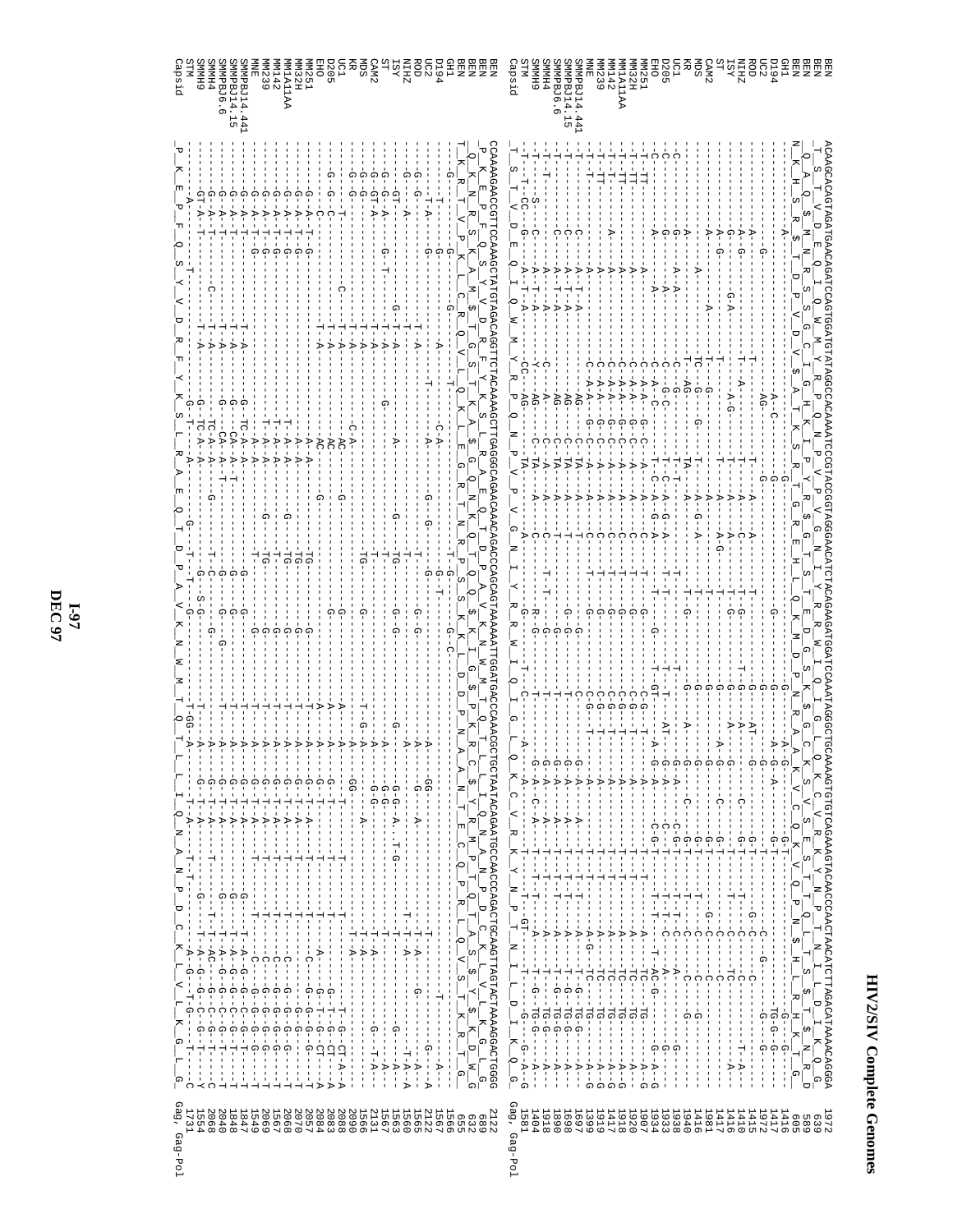| <b>GHMMS</b><br><b>SUBBUG</b><br>ĝ<br><b>NHE</b><br>ZHIN<br>₿<br>AR239<br><b>194</b><br>χS<br>Ę<br>Ę<br>Ę<br><b>PHMM</b><br><b>MMPBJ1</b><br>IM142<br>M1A11AA<br>LSZM<br><b>AM2</b><br>C2<br>뇬<br><b>M32H</b>                                                                                                                                                                                                                                                                                                                                                                                                                                                                                                                                                                                                                                                                                                                                                                                                                                                                                                                                                                                                                                                                                                                                                                                                                                            | ZHIN<br>ĝ<br>IC2<br><b>MMPBJ</b> :<br>MIAIIAA<br>Ë<br>pisde<br><b>MMM4</b><br>M239<br>Ë<br>ŽŽ<br>NЦ<br><b>MMPBJ1</b><br>M142<br>25<br>χS<br>194<br>6HMIN<br>즴<br><b>H22H</b><br>50Z<br><b>AM2</b><br><b>LASMM</b>                                                                                                                                                                                                                                                                                                                                                                                                                                                                                                                                                                                                                                                                                                                                                                                                                                                                                                                                                                                                                                                                                                                                                                                                                                                                                                                                                                                                                                                                                                                                               |
|----------------------------------------------------------------------------------------------------------------------------------------------------------------------------------------------------------------------------------------------------------------------------------------------------------------------------------------------------------------------------------------------------------------------------------------------------------------------------------------------------------------------------------------------------------------------------------------------------------------------------------------------------------------------------------------------------------------------------------------------------------------------------------------------------------------------------------------------------------------------------------------------------------------------------------------------------------------------------------------------------------------------------------------------------------------------------------------------------------------------------------------------------------------------------------------------------------------------------------------------------------------------------------------------------------------------------------------------------------------------------------------------------------------------------------------------------------|-----------------------------------------------------------------------------------------------------------------------------------------------------------------------------------------------------------------------------------------------------------------------------------------------------------------------------------------------------------------------------------------------------------------------------------------------------------------------------------------------------------------------------------------------------------------------------------------------------------------------------------------------------------------------------------------------------------------------------------------------------------------------------------------------------------------------------------------------------------------------------------------------------------------------------------------------------------------------------------------------------------------------------------------------------------------------------------------------------------------------------------------------------------------------------------------------------------------------------------------------------------------------------------------------------------------------------------------------------------------------------------------------------------------------------------------------------------------------------------------------------------------------------------------------------------------------------------------------------------------------------------------------------------------------------------------------------------------------------------------------------------------|
| Ω<br>Ω<br>Ω<br>囝<br>Ω<br>G--A<br>Q<br>コーピ<br>U<br>Þ.<br>Þ<br>Þ                                                                                                                                                                                                                                                                                                                                                                                                                                                                                                                                                                                                                                                                                                                                                                                                                                                                                                                                                                                                                                                                                                                                                                                                                                                                                                                                                                                           | Ė<br>m<br>੮<br>Ω<br>ଋ<br>Ω<br>₻<br>ኌ                                                                                                                                                                                                                                                                                                                                                                                                                                                                                                                                                                                                                                                                                                                                                                                                                                                                                                                                                                                                                                                                                                                                                                                                                                                                                                                                                                                                                                                                                                                                                                                                                                                                                                                            |
| ن<br>- اب<br>5 – G<br>$\frac{1}{\Omega}$<br>$\frac{1}{\Omega}$<br>Ω<br>ດ<br>ଋ<br>m                                                                                                                                                                                                                                                                                                                                                                                                                                                                                                                                                                                                                                                                                                                                                                                                                                                                                                                                                                                                                                                                                                                                                                                                                                                                                                                                                                       | CAAGCACAGATAGATGAACAGATCCAGTGGATGTATAGGCCACAAAATCCCGTACGGGTAGGGAACATCTACAGAAGATGGATCCAAATAGGGC<br>Ģ<br>ဂ္<br>Ю<br>÷<br>⊦<br>⊅<br>A-<br>₹<br>Ю<br>৮−                                                                                                                                                                                                                                                                                                                                                                                                                                                                                                                                                                                                                                                                                                                                                                                                                                                                                                                                                                                                                                                                                                                                                                                                                                                                                                                                                                                                                                                                                                                                                                                                             |
| ဂု<br>Ģ<br>ω<br>CΩ<br>능<br>rc-:                                                                                                                                                                                                                                                                                                                                                                                                                                                                                                                                                                                                                                                                                                                                                                                                                                                                                                                                                                                                                                                                                                                                                                                                                                                                                                                                                                                                                          | DY:<br>$A - A$ .<br>₹-<br>A-<br>م∼<br>٣<br>ဂူ<br>ᡃᠣ<br>AG-<br>⋗<br>$AG-$<br>ю<br>ଢ଼                                                                                                                                                                                                                                                                                                                                                                                                                                                                                                                                                                                                                                                                                                                                                                                                                                                                                                                                                                                                                                                                                                                                                                                                                                                                                                                                                                                                                                                                                                                                                                                                                                                                             |
| RC<br>Ω<br>G.                                                                                                                                                                                                                                                                                                                                                                                                                                                                                                                                                                                                                                                                                                                                                                                                                                                                                                                                                                                                                                                                                                                                                                                                                                                                                                                                                                                                                                            | ω<br>ု<br>∩<br>ᡃ<br>ဂု<br>ဂ္<br>G.<br>ຸດ                                                                                                                                                                                                                                                                                                                                                                                                                                                                                                                                                                                                                                                                                                                                                                                                                                                                                                                                                                                                                                                                                                                                                                                                                                                                                                                                                                                                                                                                                                                                                                                                                                                                                                                        |
| 5<br>ᡃ<br>↷<br>⋒<br>⋒<br>ດ<br>CΩ<br>Ю<br>m<br>U.<br>⋒<br>⋒<br>ດ<br>⋒<br>ଋ<br>Ω<br>ດ                                                                                                                                                                                                                                                                                                                                                                                                                                                                                                                                                                                                                                                                                                                                                                                                                                                                                                                                                                                                                                                                                                                                                                                                                                                                                                                                                                      | ⊅<br>C                                                                                                                                                                                                                                                                                                                                                                                                                                                                                                                                                                                                                                                                                                                                                                                                                                                                                                                                                                                                                                                                                                                                                                                                                                                                                                                                                                                                                                                                                                                                                                                                                                                                                                                                                          |
|                                                                                                                                                                                                                                                                                                                                                                                                                                                                                                                                                                                                                                                                                                                                                                                                                                                                                                                                                                                                                                                                                                                                                                                                                                                                                                                                                                                                                                                          | $\frac{1}{\Omega}$<br>ុំ ក្<br>Ġ<br>Ω<br>ω                                                                                                                                                                                                                                                                                                                                                                                                                                                                                                                                                                                                                                                                                                                                                                                                                                                                                                                                                                                                                                                                                                                                                                                                                                                                                                                                                                                                                                                                                                                                                                                                                                                                                                                      |
| Ή<br>Q<br>Ή<br>$\mathsf I$<br>J.<br>г<br>'nΩ<br>Ω<br>Ω<br>ଋ<br>Ω<br>Ω<br>Ω<br>ଋ<br>Ω<br>Ω<br>$A - T - T - A$<br>Ω<br>Ω<br>6ġ<br>Φ<br>Ω<br>$G - G - - -$<br>Ω<br>Ω<br>ł<br>$\frac{1}{1}$<br>$\frac{1}{1}$<br>$\frac{1}{1}$<br>$-1 - 7 - A$<br>$-1 - 2 - A$<br>$-$ -T--A<br>$\frac{1}{1}$<br>$\frac{1}{1}$<br>$\frac{1}{1}$<br>ŧ<br>$-1 - 1 - 1 - 1$<br>J.<br>G-G--<br>G-G--<br>$-1 - 1 -$<br>$\mathbf{I}$<br>н<br>$\frac{1}{1}$<br>H.<br>ŧ<br>$\mathbf{I}$<br>J.<br>≺<br>÷<br>F<br>۲<br>ا<br>÷.<br>$\begin{array}{c}\n\mathbf{A} - -\mathbf{B} \\ \mathbf{A} - -\mathbf{B}\n\end{array}$<br>$V - -L$<br>Ý<br>보<br>$\frac{1}{1}$<br>J.<br>ł<br>$\frac{6}{5}$<br>o<br>I.<br>$\mathbf{I}$<br>$\overline{1}$<br>Þ<br>Þ<br>А<br>А<br>А<br>$-4-$<br>f,<br>$\ddot{A}$ .<br>$\overline{Y}$<br>₩                                                                                                                                                                                                                                                                                                                                                                                                                                                                                                                                                                                                                                                                   | AT-<br>$\overline{1}$<br>п<br>$\blacksquare$<br>J,<br>л.<br>Ю<br>$\mathsf I$<br>$\mathbf I$<br>Ю<br>ဂု<br>$\frac{1}{2}$<br>$\frac{1}{2}$<br>$\frac{1}{\sqrt{2}}$<br>$\frac{1}{\sqrt{2}}$<br>ရဲ ရဲ ရဲ<br>၂ ၂ ၂<br>ဂှ<br>Ω<br>ω<br>ဂု<br>$\Gamma$<br>ဂှ<br>$\Gamma$<br>ှ<br>$\Gamma$<br>H.<br>$\mathbb I$<br>$\mathsf I$<br>×<br>$\overline{Y}$<br>$-4-$<br>ŗω.<br>A<br>Þ<br>ъ<br>Þ<br>⊅<br>Þ<br>Þ<br>$\triangleright$<br>Þ<br>⊅<br>ъ<br>$-4$<br>$A -$<br>$A - -$<br>$\begin{array}{c} \hline \end{array}$<br>$\mathbf I$<br>$\frac{1}{1}$<br>$\frac{1}{4}$<br>111<br>ŧ<br>$\blacksquare$<br>$-1 - 1$<br>$\frac{1}{1}$<br>$\frac{1}{4}$<br>$\overline{\phantom{a}}$<br>л<br> <br>מ<br>Ť.<br>÷ĭ.<br>'n,<br>$\mathbb{I}$<br>$\frac{1}{2}$<br>$\mathbb{L}$<br>$\blacksquare$<br>п<br>-1<br>⊲<br>$\Gamma$<br>L<br>م.<br>أ<br>$\mathbb{I}$<br>$\overline{\phantom{a}}$<br>J.<br>$\mathbf{I}$<br>$\frac{1}{1}$<br>$\frac{1}{1}$<br>$\frac{1}{1}$<br>J.<br>I.<br>J.<br>J.<br>Q<br>$\prec$<br>ี่<<br>$\mathbf{I}$<br>$\mathbf{I}$<br>$\mathbf{I}$<br>$\mathbf{I}$<br>л.<br>$\mathbf{I}$<br>$-4-$<br>$-4$<br>$-4$<br>$-4$<br>Þ<br>ŗΩ.<br>$\mathbf{I}$<br>J.                                                                                                                                                                                                                                                                                                                                                                                                                                                                                                                                                                                                                |
| E<br>z<br>$\mathbf{I}$<br>$\mathbf{I}$<br>$\mathbf{I}$<br>$\blacksquare$<br>$\blacksquare$<br>$\blacksquare$<br>$\mathbf{I}$<br>z<br>$\mathbf{I}$<br>$\mathbf{I}$<br>$\mathbf{I}$<br>$\mathbf{I}$<br>$\mathbf{I}$<br>л.<br>$\mathbf{I}$<br>п<br>-1<br>л.<br>$\mathbb{I}$<br>İ<br>$\mathsf I$<br>$-9 - 1$<br>J.<br>∩<br>$\mathbb{Y}$<br>$\overline{1}$<br>ł<br>å<br>$\mathbf{I}$<br>$\mathbf{I}$<br>$\blacksquare$<br>I.<br>$\blacksquare$<br>J.<br>J.<br>J.<br>$\overline{1}$<br>$\mathbf{I}$<br>$\mathbf{I}$<br>ъ<br>$\frac{1}{1}$<br>$\overline{1}$<br>Ψ<br>÷<br>†<br>Ĥ<br>Ĥ<br>Ĥ<br>Ĥ<br>н<br>۳J<br>⊣<br>$\mathbf{I}$<br>부<br>H.<br>H.<br>$\mathbf I$<br>$\mathbf{I}$<br>$\mathbf{I}$<br>J.<br>Ю<br>z<br>÷T<br>$\mathbb I$<br>Η<br>$\mathbf{I}$<br>$\mathbf{I}$<br>$\blacksquare$<br>$\mathbf{I}$<br>$\mathbf{I}$<br>$\mathbf{I}$<br>ᡃ<br>ł<br>J.<br>ŧ<br>$\mathbf{I}$<br>$\mathbf{I}$<br>¦o<br>٣J<br>o,<br>Ω<br>$\overline{\phantom{a}}$<br>$\mathbf{I}$<br>ှ<br>$-1$<br>ှ<br>ţ<br>$\overline{\phantom{a}}$<br>Ť<br>$\mathbf{I}$<br>겨<br>$\mathbf{I}$<br>$\frac{1}{1}$<br>$\frac{1}{1}$<br>$\mathbf{I}$<br>J.<br>ł<br>ŧ<br>ŧ<br>ł<br>-1<br>Ρ.<br>σ<br>μ<br>Ť<br>н<br>$\frac{1}{2}$<br>н<br>н<br>$\frac{1}{2}$<br>۲I<br>1<br>۲I<br>T<br>۲<br>ا<br>$\frac{1}{2}$<br>ť<br>$\frac{1}{1}$<br>ſ<br>$\frac{1}{1}$<br>$\frac{1}{1}$<br>$\frac{1}{1}$<br>$\frac{1}{1}$<br>ł                                                                                   | J.<br>T,<br>$-1 - 1 - 1 - 1 -$<br>t<br>Ю<br>¦≂<br>₩<br>$\mathbf{I}$<br>L.<br>$\mathbf{I}$<br>$-1 - 1 - -1 -$<br>J.<br>J.<br>$-1 - 1 - -$<br>'n,<br>$-1 - 5$<br>$\frac{1}{1}$<br>$\mathbf{I}$<br>$-1 - 1 - 9$<br>$-1 - 1 - 9$<br>$\frac{1}{1}$<br>--1−-<br>-1<br>$-1$<br>ł<br>$\mathbf{I}$<br>$\mathbf{I}$<br>$\frac{1}{1}$<br>۱<br>۲<br>÷<br>k,<br>×<br>$\frac{1}{1}$<br>۲<br>ا<br>$\frac{1}{1}$<br>۲<br> <br>ローーローー<br>ローー ローー<br>부<br>۲<br> <br>ŗω.<br>$\mathbf I$<br>$\mathbf{K}$<br>K<br>ڹ<br>!<br>$-1 - 1 - -1 -$<br>$\frac{1}{1}$<br>$-1$<br>$-1$<br>$\frac{1}{1}$<br>$\frac{1}{1}$<br>$\frac{1}{1}$<br>J<br>$\mathbf I$<br>Ţ<br>$-1$ $-1$ $-1$ $-1$<br>$\blacksquare$<br>I.<br>$\blacksquare$<br>J.<br>J.<br>J.<br>$\mathbf{I}$<br>$\mathbf{I}$<br>J.<br>$-1$<br>$\frac{1}{1}$<br>1<br>$\mathbf{I}$<br>п<br>Ю<br>g.<br>z<br>$-1 - 1 - 1 - 1$<br>$\frac{1}{1}$<br>Η<br>$\mathsf I$<br>$-1$<br>$\mathbf{I}$<br>J.<br>H<br>I<br>۲<br>ا<br>۲<br>ا<br>$\frac{1}{1}$<br>$\blacksquare$<br>٣<br>$\mathbf{I}$<br>-1<br>-1<br>л.<br>.۳<br>יט<br>$\mathbb{I}$<br>$\mathbf{I}$<br>$\mathbf{I}$<br>ю<br>$\mathsf I$<br>$\mathsf I$<br>۲I<br>T<br>۲<br>ا<br>$-1$<br>Ω<br>$\frac{1}{4}$<br>$\frac{1}{4}$<br>z<br>ł<br>ł<br>ł<br>ł                                                                                                                                                                                                                                                                                                                                                                                                                                                                                                                                      |
| CTGCTAATACAGAATGCCAACCCAGACTGCAAGTTAGTACTAAAAGGACTGGGG<br>ŧ<br>$\frac{1}{1}$<br>$\frac{1}{1}$<br>$-1$<br>t<br>ŧ<br>'റ<br>n<br>$-1 = -A - -1 -$<br>ኳ<br>$T--D--G--T$<br>$\Gamma$<br>H<br>H<br>۲<br> <br>$-1 - 7 - -1$<br>ーーー<br>÷<br>⊢<br>÷<br>F<br>$\frac{1}{1}$<br>년<br>J.<br>ーー<br>O<br>$\overline{\phantom{a}}$<br>ţ<br>ı<br>$\mathbf{I}$<br>$\frac{1}{4}$<br>J.<br>$\mathbf{I}$<br>Ť.<br>Þ.<br>×<br>$\overline{1}$<br>$\frac{1}{1}$<br>J.<br>т<br>ŗΩ.<br>$-4$<br>$AC--$<br>$-4$<br>$-4-$<br>$\begin{array}{ccc} 1 & 1 & 1 \\ 0 & 0 & 0 \\ 1 & 1 & 1 \end{array}$<br>$\mathbb{I}$<br>$\ddot{\mathbf{r}}$<br>$-4$<br>$-4$<br>$-4-$<br>⊲<br>$\frac{1}{\sqrt{2}}$<br>C--<br>Έ<br>F<br>-1<br>п<br>п<br>ဂူ<br>ဂု<br>ဂု<br>$\mathbf I$<br>'n<br>$\frac{1}{2}$<br>$\mathbb I$<br>I.<br>$\mathbb{I}$<br>$\mathbf I$<br>$\mathbf{I}$<br>J.<br>ِ co<br>J.<br>$\mathbf I$<br>⋞<br>⊲<br>$\mathbf{I}$<br>$\mathbf{I}$<br>$\overline{1}$<br>$\blacksquare$<br>$\mathbf{I}$<br>$\mathbf{I}$<br>$\frac{1}{1}$<br>ဂှ<br>К<br>ရှ် ရှ် ရှ်<br>     <br>$-5 - -5 - -6 - -6$<br>$-1$<br>т<br>-1<br>ن<br>- م<br>Ť<br>F<br>F<br>$\mathbf{I}$<br>łΩ<br>ရုဂ္ဂ ရု<br>     <br>     <br>000000<br>      <br>      <br>н<br>н<br>н<br>Ŧ<br>$\mathbf{I}$<br>Ţ<br>$\,$ I<br>$\mathbb I$<br>$\mathsf I$<br>J.<br>ŧ<br>$\blacksquare$<br>Ţ<br>×<br>ω<br>$\Omega$ $\Omega$ $\Omega$ $\Omega$<br>$\Omega$ $\Omega$ $\Omega$<br>ດ<br>ດ<br>ଋ<br>Ω<br>ω<br>J.<br>Ţ<br>J.<br>$\blacksquare$ | CAAAAGTGTCTCAGAAGTACAACCCAACTAACATCTTAGACATAAAACAGGGA<br>$-1$ -DJ-<br>$\frac{1}{1}$<br>$\frac{1}{1}$<br>J<br>J<br>ŧ<br>$\frac{1}{2}$<br>$\frac{1}{1}$<br>H<br>۲,<br>-1<br>$-4-$<br>$-4-$<br>Ή<br>$A -$<br>$-\nabla$<br>$-\Delta$<br>$A-G--T\\C--$<br>$A -$<br>$A -$<br>$A -$<br>$A -$<br>$A -$<br>$\begin{array}{c} \hline \end{array}$<br>$\frac{1}{2}$<br>$\frac{1}{2}$<br>C<br>Ω<br>$\Gamma$<br>C<br>C<br>Ω<br>Ω<br>G<br>$\frac{1}{1}$<br>ł<br>Ţ<br>$\mathsf I$<br>Ţ<br>Ţ.<br>$\frac{1}{1}$<br>Ť<br>ሇ<br>z<br>þ<br>н<br>$\mathbb{I}$<br>$---LC---$<br>$\mathbb{I}$<br>$\mathbb T$<br>$\mathsf I$<br>$\mathsf I$<br>L<br>$\mathbf I$<br>$---LC---$<br>$\mathsf I$<br>$\mathbf{I}$<br>I.<br>۲<br>ا<br>I,<br>$\mathbf{I}$<br>$\frac{1}{1}$<br>$\frac{1}{1}$<br>$-1 - 1 - -$<br>$-1 - 1 - -0 - -10 - 0$<br>$-1C - -$<br>$---TCC---$<br>$-LC$ --<br>$\frac{1}{1}$<br>$\frac{1}{1}$<br>$\Gamma$<br>Ξ<br>ł<br>J<br>ţ<br>$---TC$<br>н<br>$\frac{1}{1}$<br>ţ<br>$T - -C - TG - G$<br>$AC-G--$<br>$\overline{P}$<br>А<br>ŗω.<br>J,<br>C<br>Ω<br>$\frac{1}{2}$<br>Ω<br>C<br>F<br>Þ<br>Ţ.<br>$\overline{1}$<br>$\frac{1}{1}$<br>Ŧ<br>Ţ<br>$\frac{1}{1}$<br>Ť<br>ŧ<br>I.<br>ļω<br>J.<br>$\mathbf{I}$<br>$\overline{\phantom{a}}$<br>$\mathbf{I}$<br>- 11<br>$- -2G - -$<br>İ<br>$\mathsf I$<br>$\overline{1}$<br>I<br>$-26 - 0$<br>$-10 - -$<br>$\mathsf I$<br>L<br>J.<br>$-16 - -$<br>$\mathbf{I}$<br>$-16-$<br>ρ.<br>$-LG-$<br>∪<br>$-6 - -$<br>$-LG-G--$<br>$-1$<br>$-1$<br>$-1$<br>$\frac{1}{1}$<br>$-LG - -$<br>H<br>$\mathbf{I}$<br>п<br>$\mathbf I$<br>$\frac{1}{1}$<br>Έ<br>$\mathbf{I}$<br>$\,$ I<br>$\,$ I<br>$\mathbb I$<br>jн,<br>$\frac{1}{4}$<br>'n<br>$\mathbf{I}$<br>$\blacksquare$<br>$\blacksquare$<br>$\blacksquare$<br>$\blacksquare$<br>$\mathbf{I}$ |
| $C = -1 - 7 - - - -$<br>$-1$<br>--1---<br>t<br>U<br>$\frac{1}{1}$<br>H<br>Ĩ<br>$\frac{1}{1}$<br>$\mathbf{I}$<br>111<br>$\frac{1}{1}$<br>$\frac{1}{1}$<br>ŧ<br>H.<br>$\mathbf{I}$<br>л.<br>$\mathbf{I}$<br>п<br>ရ<br>Ω<br>$-1 - 7 - 7 - 7$<br>J.<br>부<br>P.<br>Ļ.<br>H<br>부<br>Ĥ<br><u>ဂ</u><br>ូម<br>អូមិ<br>$C T - A = -A$<br>п<br>п<br>$---+----$<br>J.<br>$\Gamma$<br>Η<br>$\frac{1}{1}$<br>J<br>$--A---$<br>H.<br>J<br>F<br>$\mathbf I$<br>$\mathsf I$<br>Ή<br>$\mathbb{I}$<br>≍<br>$-4-$<br>$\,$ I<br>J.<br>$A -$<br>$\mathsf I$<br>ຸດ<br>$\frac{1}{1}$<br>$\frac{1}{1}$<br>ł<br>$\frac{1}{1}$<br>$\frac{1}{1}$<br>t<br>$\frac{1}{14}$<br>$\frac{1}{1}$<br>$\frac{1}{1}$<br>Ţ<br>t,<br>J.<br>J<br>$\blacksquare$<br>J.<br>$-$ – $\mathbf{A}$<br>ှု<br>ຸດ<br>.<br>J.<br>'ဂ၊<br>⋗<br>G<br>н<br>н<br>н<br>н<br>Н<br>н<br>Þ<br>Ω<br>н<br>н                                                                                                                                                                                                                                                                                                                                                                                                                                                                                                                                                                                                              | $- - - - - - - - - - - -$<br>$- - - - - - - - - - -$<br>$\frac{1}{1}$<br>J.<br>$\mathbf{I}$<br>$\frac{1}{1}$<br>$\mathbf{I}$<br>$-$ -- $-$ 5 – - $-$ 5 – -<br>ŧ<br>ŧ<br>ŧ<br>т<br>$\overline{1}$<br>$\overline{1}$<br>- 1<br>$\frac{1}{1}$<br>×<br>$\mathbf I$<br>z<br>$\frac{1}{2}$<br>$\mathbf{I}$<br>$\mathbf{I}$<br>$\blacksquare$<br>L.<br>$\blacksquare$<br>$\blacksquare$<br>л<br>$\frac{1}{2}$<br><u> ရာ ရာ</u><br>   <br>$\overline{\phantom{a}}$<br>$\overline{\phantom{a}}$<br>$\blacksquare$<br>ှ<br>н<br>J<br>J.<br>$\frac{1}{4}$<br>Ť<br>J<br>$\frac{1}{1}$<br>J.<br>$\frac{1}{1}$<br>$\mathbf{I}$<br>-1<br>л.<br>л<br>п<br>л<br>-1<br>ļ.<br>ł<br>ö<br>$\mathbb I$<br>ю<br>ξĀ<br>$\overline{A}$<br>$A$ --<br>$A -$<br>$A -$<br>$-4-$<br>$A -$<br>$A - G$<br>$A - G$<br>$D - F$<br>$A -$<br>$A -$<br>$A - I$<br>ъ<br>Ţ<br>$\begin{array}{c} \end{array}$<br>$\begin{array}{c} \rule{0pt}{2.5ex} \rule{0pt}{2.5ex} \rule{0pt}{2.5ex} \rule{0pt}{2.5ex} \rule{0pt}{2.5ex} \rule{0pt}{2.5ex} \rule{0pt}{2.5ex} \rule{0pt}{2.5ex} \rule{0pt}{2.5ex} \rule{0pt}{2.5ex} \rule{0pt}{2.5ex} \rule{0pt}{2.5ex} \rule{0pt}{2.5ex} \rule{0pt}{2.5ex} \rule{0pt}{2.5ex} \rule{0pt}{2.5ex} \rule{0pt}{2.5ex} \rule{0pt}{2.5ex} \rule{0pt}{2.5ex} \rule{0$<br>'ဂ<br>Ţ<br>$\mathbf{I}$<br>ł<br>$\mathbf{I}$<br>$\mathbf{I}$<br>ှို<br>ှိဂ<br>Ω<br>ω<br>Ω<br>Έ<br>Gag,<br>1<br>9 0 0 0 4 4<br>1 4 9 0 0 4<br>1 4 4 1<br>1 4 9 0 1                                                                                                                                                                                                                                                                                                                                  |
| Gag, Gag-Pol                                                                                                                                                                                                                                                                                                                                                                                                                                                                                                                                                                                                                                                                                                                                                                                                                                                                                                                                                                                                                                                                                                                                                                                                                                                                                                                                                                                                                                             | Gag-Pol                                                                                                                                                                                                                                                                                                                                                                                                                                                                                                                                                                                                                                                                                                                                                                                                                                                                                                                                                                                                                                                                                                                                                                                                                                                                                                                                                                                                                                                                                                                                                                                                                                                                                                                                                         |

**L97**<br>DEC 97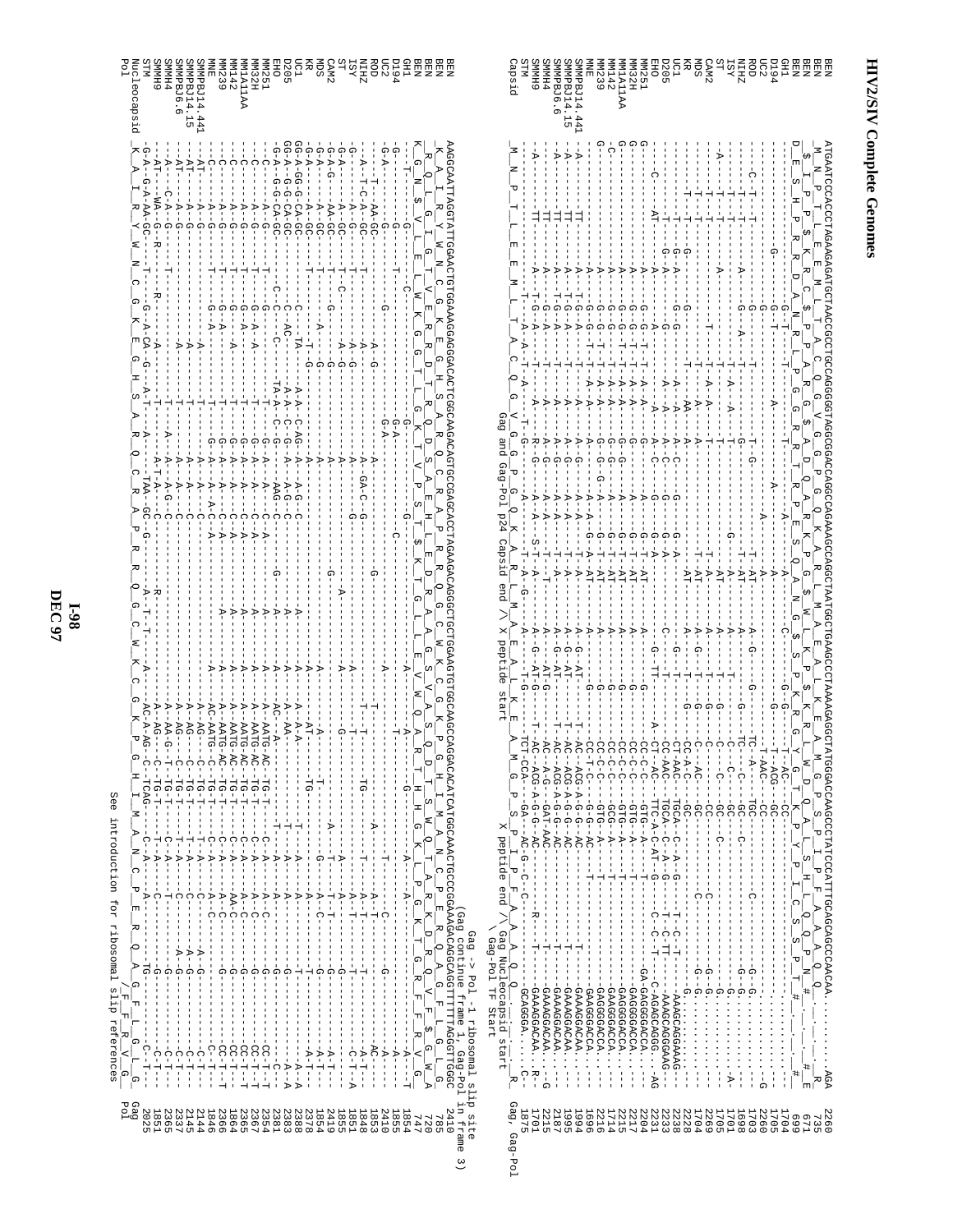**PEC 97**<br>**DEC 97** 

See introduction for ribosomal slip references

| ZHI1<br>员<br>ğ<br><b>194</b><br>χS<br>ន<br>呂<br>Ę<br><b>GHMM</b><br><b>LTBRINM</b><br>2<br>멿<br>펺<br>MMPB<br><b>MMPBJ1</b><br>N142<br>ALLAIN<br>풍<br>68ZM<br>LSZM<br>AM2<br>I3 2 H                                                                                                                                                                                                                                                                                                                                                                                                                                                                                                                                                                                                                                                                                                                                                                                                                                                                                                                                                                                                                                                                                                                                                            | 6HMM3<br>ZHIN<br>ĝ<br>ms<br><b>PHMM</b><br>C3<br>呂<br><b>AM2</b><br>χS<br>日<br>豆<br>apsid<br>REMIN<br><b>LA qimi</b><br><b>ILBENIN</b><br>AAILAIM<br>풍<br>50Z<br>Z & IN<br>68ZM<br>194<br>LS21                                                                                                                                                                                                                                                                                                                                                                                                                                                                                                                                                                                                                                                                                                                                                                                                                                                                                                                                                                                                                                                                                                             |
|-----------------------------------------------------------------------------------------------------------------------------------------------------------------------------------------------------------------------------------------------------------------------------------------------------------------------------------------------------------------------------------------------------------------------------------------------------------------------------------------------------------------------------------------------------------------------------------------------------------------------------------------------------------------------------------------------------------------------------------------------------------------------------------------------------------------------------------------------------------------------------------------------------------------------------------------------------------------------------------------------------------------------------------------------------------------------------------------------------------------------------------------------------------------------------------------------------------------------------------------------------------------------------------------------------------------------------------------------|------------------------------------------------------------------------------------------------------------------------------------------------------------------------------------------------------------------------------------------------------------------------------------------------------------------------------------------------------------------------------------------------------------------------------------------------------------------------------------------------------------------------------------------------------------------------------------------------------------------------------------------------------------------------------------------------------------------------------------------------------------------------------------------------------------------------------------------------------------------------------------------------------------------------------------------------------------------------------------------------------------------------------------------------------------------------------------------------------------------------------------------------------------------------------------------------------------------------------------------------------------------------------------------------------------|
| န္<br>AAGGCAATTAGGTATTGGA<br>G-A<br>∩<br>Ģ<br>ω<br>-G-CA-GC<br>-CA-GC<br>CA-<br><b>AA-GC</b><br>ġ<br>Ŏ<br>œ<br>පි<br>ଢ଼<br>Ω<br>⊕                                                                                                                                                                                                                                                                                                                                                                                                                                                                                                                                                                                                                                                                                                                                                                                                                                                                                                                                                                                                                                                                                                                                                                                                             | ∩<br>С<br>녑<br>Ħ                                                                                                                                                                                                                                                                                                                                                                                                                                                                                                                                                                                                                                                                                                                                                                                                                                                                                                                                                                                                                                                                                                                                                                                                                                                                                           |
| н<br>ω<br>ω<br>ω<br>Ω<br>ଢ଼<br>ठै<br>Q<br>C                                                                                                                                                                                                                                                                                                                                                                                                                                                                                                                                                                                                                                                                                                                                                                                                                                                                                                                                                                                                                                                                                                                                                                                                                                                                                                   | ITGAATCCCACCCTAGAAGAGATGCTAACCGCTGCCAGGGGGTAGGCGGACCAGCGGACCAGAAAGCCAGGCTAATGGCTGAAGCCCTAAAAGAGGGG<br>ႁ<br>ဂ္<br>⋒<br>Ħ<br>Ď<br>ъ<br>ъ<br>ъ<br>ъ<br>כל<br>ъ<br>부<br>부<br>Ω<br>Ω<br>Ω<br>⋒<br>⋒<br>⋒                                                                                                                                                                                                                                                                                                                                                                                                                                                                                                                                                                                                                                                                                                                                                                                                                                                                                                                                                                                                                                                                                                        |
| ⋒<br>⋒<br>⋒<br>- H.T<br>PA<br>Ω<br>⋒<br>Ω<br>Ω<br>Ω<br>Ω<br>J.                                                                                                                                                                                                                                                                                                                                                                                                                                                                                                                                                                                                                                                                                                                                                                                                                                                                                                                                                                                                                                                                                                                                                                                                                                                                                | pue<br>Ω<br>ດ<br>Ω<br>∩<br>∩<br>C<br>⋒                                                                                                                                                                                                                                                                                                                                                                                                                                                                                                                                                                                                                                                                                                                                                                                                                                                                                                                                                                                                                                                                                                                                                                                                                                                                     |
| CGGAARGACAGTGCCGAGCACTAGAAGACAGGGCTGCTGCAAGTGTGTGGAA<br>-A-<br><b>AAG</b><br>A<br>₹<br>∩<br>∩<br>А<br>ゼ<br>⊅                                                                                                                                                                                                                                                                                                                                                                                                                                                                                                                                                                                                                                                                                                                                                                                                                                                                                                                                                                                                                                                                                                                                                                                                                                  | Gag-Po.<br>ດ<br>P24<br>ଋ<br>⋒<br>⋒<br>ດ<br>⋒<br>capsid<br>C                                                                                                                                                                                                                                                                                                                                                                                                                                                                                                                                                                                                                                                                                                                                                                                                                                                                                                                                                                                                                                                                                                                                                                                                                                                |
| ଜ<br>ω<br>Þ<br>⊅<br>J.<br>⊅<br>⋗<br>⊅                                                                                                                                                                                                                                                                                                                                                                                                                                                                                                                                                                                                                                                                                                                                                                                                                                                                                                                                                                                                                                                                                                                                                                                                                                                                                                         | ⋒<br>peptide<br>Ω<br>Ω<br>ଢ଼<br>Ω<br>Ω<br>$-LK$<br>AT-                                                                                                                                                                                                                                                                                                                                                                                                                                                                                                                                                                                                                                                                                                                                                                                                                                                                                                                                                                                                                                                                                                                                                                                                                                                     |
| $-7C - 1C - 1$<br>$-7C - TG - T$<br>$-1 - 2$ C $-1 - 1$ C $-1$<br>₩<br>L.<br>-1<br>ł<br>'ဂ<br>AC--TG-T-<br>ົດ<br>σ<br>Η<br>ʻ¤<br>Έ<br>Ą                                                                                                                                                                                                                                                                                                                                                                                                                                                                                                                                                                                                                                                                                                                                                                                                                                                                                                                                                                                                                                                                                                                                                                                                       | ⋒<br>start<br>⋒<br>$\begin{array}{c}\n1 - 5 \\ 1 - 1\n\end{array}$<br>T-ACG-<br>T--AC-<br>к<br>--7-C--<br>c-c-c-<br>C-A-C--<br>--C-C-<br>c-c-c-<br>c-c-c-<br>--a--a--<br>-94--A<br><b>C-AAC-</b><br>T-AAC-<br>ē<br>$- - \text{AC} - -$<br>$-4-$<br>≍<br>$-5$<br>$\frac{1}{2}$<br>'ု<br>ຸດ<br>.<br>þ                                                                                                                                                                                                                                                                                                                                                                                                                                                                                                                                                                                                                                                                                                                                                                                                                                                                                                                                                                                                        |
| $-100 - 10 - 10 - 1$<br>GGACACATCATGGCAAACTGCCGGAAAGACAGGCAGCTTTTTTAGGGTTGGGC<br>H--HQ-H--<br>$C--T-G--T--T$<br>$C--TG--T--T$<br>C--TCAG--<br>C--TG-T-<br>C--TG-T-<br>C--TG-T-<br>-- DG--<br>-- 1<br>--<br>$-52 -$<br>'n,<br>ဂု<br>I<br>$\blacksquare$<br>'n<br>J.<br>1<br>ا<br>ما<br>E<br>$\mathbf{I}$<br>z<br>z<br>ł<br>$\blacksquare$<br>$\blacksquare$<br>п<br>$\frac{1}{1}$<br>ี่≍<br>$-1 - 2 - 4 - 5$<br>$-{\bf A}=-{\bf T}$<br>$- \mathbf{C} - \mathbf{A} -$<br>부<br>$-1$<br>$A -$<br>$A - -$<br>Ω<br>$ C$ $  R$ $-$<br>Ţ<br>⋗<br>$-{\bf L}--{\bf A}-$<br>$-C--D--$<br>⋗<br>$-{\bf L}--{\bf A}-$<br>$-C--A-$<br>$-C--A-$<br>$-C--A-$<br>I,<br>$-$ C $-$ A $-$<br>þ<br>$C = -R -$<br>п<br>$\frac{1}{14}$<br>$-4-$<br>$--A-$<br>z<br>Þ,<br>$\frac{1}{1}$<br>÷<br>J<br>$\frac{1}{1}$<br>Η<br>$\frac{1}{2}$<br>ր-<br>$A$ – –<br>Ĭ<br>Ή<br>Q<br>'n<br>⋗<br>ł<br>J.<br>Ţ<br>$\frac{1}{1}$<br>$\mathbf{I}$<br>$\mathbf{I}$<br>$\mathbf{I}$<br>$\mathbf{I}$<br>J.<br>$\mathbf{I}$<br>ึ<br>ł<br>ď<br>ŗ٥                                                                                                                                                                                                                                                                                                                                         | C--ACG-A-G-G--AC--<br>C--A-G---GAT-AAC---<br>C--ACG-A-G-G--AC---<br>$C = -ACG - A - G - G - -AC - - -$<br>C--ACG-A-G-G--AC---<br>H<br>$\blacksquare$<br>$\mathbf{I}$<br>$---LGC---$<br>$\overline{\phantom{a}}$<br>'ত<br>'ত<br>-TTC-A-C-AT--G--<br>$-0.00 - 1$<br>$= -620$<br>--620 ---<br>$-90 - -$<br>ю,<br>$-6-6-76-1-1-1-1-1-1$<br>$-00 -$<br>$-$ CC.<br>$-6TG - A -$<br>$-GLG - -N - - - - - - -$<br>$-50 -$<br>$-90-$<br>-GTG--A------T----<br>-GTG--A------T----<br>$-GTC - -A -$<br>×<br>ŗω.<br>Ъ<br>ď<br>ᡃᠣ<br>$-AC-G---C---C---$<br>$\begin{bmatrix} 1 & 1 & 1 \\ 1 & 1 & 1 \\ 1 & 1 & 1 \\ 1 & 1 & 1 \end{bmatrix}$<br>$\frac{1}{1}$<br>Ή<br>$+\cdots+\mathbf{T}\mathbf{I}\mathbf{+}\mathbf{I}\mathbf{+}$<br>_u<br>$\frac{1}{1}$<br>д<br>$-1 - 1 -$<br>יט<br>$\begin{array}{c} \rule{0pt}{2.5ex} \rule{0pt}{2.5ex} \rule{0pt}{2.5ex} \rule{0pt}{2.5ex} \rule{0pt}{2.5ex} \rule{0pt}{2.5ex} \rule{0pt}{2.5ex} \rule{0pt}{2.5ex} \rule{0pt}{2.5ex} \rule{0pt}{2.5ex} \rule{0pt}{2.5ex} \rule{0pt}{2.5ex} \rule{0pt}{2.5ex} \rule{0pt}{2.5ex} \rule{0pt}{2.5ex} \rule{0pt}{2.5ex} \rule{0pt}{2.5ex} \rule{0pt}{2.5ex} \rule{0pt}{2.5ex} \rule{0$<br>$\frac{1}{2}$<br>뇌<br>$\begin{array}{c} \hline \end{array}$<br>$\mathbf{I}$<br>$\mathbf{I}$<br>$\frac{1}{1}$<br>I<br>ł<br>۱ <sub>۳1</sub><br>먹 |
| $-1 -$<br>$\frac{1}{2}$<br>$-4-$<br>$-\nabla -$<br>¦≂<br>$C -$<br>$\mathbb{A}--$<br>$\overline{A}$<br>$\overline{A}$<br>$A -$<br>$A$ – – $A$<br>$A - I$<br>$\Gamma$<br>$\frac{1}{1}$<br>$A$ – –<br>$A$ – –<br>$AA -$<br>$A -$<br>$A -$<br>$\overline{A}$<br>$A -$<br>$-1$<br>$A -$<br>$A$ – – $A$<br>Į<br>(ဂ<br>'n<br>(Gag continue frame 1,<br>k<br>$\Gamma$<br>م-<br>أ<br>$\Gamma$<br>Ω<br>G<br>$-1$<br>부<br>۲<br>ا<br>C<br>$\Gamma$<br>$\Gamma$<br>÷<br>$\frac{1}{1}$<br>I<br>$\begin{bmatrix} 1 \\ 1 \\ 1 \\ 1 \end{bmatrix}$<br>₩<br>ਸ਼<br>ŢΩ,<br>Gag<br>$\frac{1}{1}$<br>$\frac{1}{1}$<br>Η<br>Gag-Pol TF Start<br>$\mathsf I$<br>÷<br>J<br>$\frac{1}{1}$<br>$\overline{\phantom{a}}$<br>þ<br>Ö<br>$\mathbf{I}$<br>$\mathbf{I}$<br>¦≂<br>$A - -G - -$<br>$-A$ -G--<br>$A - G -$<br>$\mathsf I$<br>$\mathbb I$<br>$\mathsf I$<br>п<br>$\mathbf{I}$<br>Ι.<br>$\overline{\phantom{a}}$<br>'က<br>$-LG-$<br>$\frac{1}{1}$<br>$-6-$<br>$\frac{1}{1}$<br>$\frac{1}{1}$<br>$\frac{1}{1}$<br>$\frac{1}{1}$<br>Ť<br>Ť<br>ł<br>$\frac{1}{4}$<br>ł<br>Ъ<br>፞ፇ<br>J.<br>¦o<br>ဂှ<br>Ω<br>Ť<br>ဂှ<br>Ĥ<br>Ω<br><u>ດ ດ</u><br>$\frac{1}{2}$<br>Ω<br><u>ດ ດ</u><br>부<br>$-1$<br>ှ<br>ب<br>ا<br>'ਸਾ<br>Ŧ<br>¦റ<br><u>(ဂ</u><br>$\frac{1}{\sqrt{2}}$<br>$\mathbf{I}$<br>$\blacksquare$<br>$\blacksquare$<br>$\mathbf{I}$<br>$\mathbf{I}$<br>$\frac{1}{2}$ | -- TGCA--C--A--G-----T--C--T-------AAAGCAGGAAAG--<br>-- TGCA--C--A--G-----T--C-TT------AAAGCAGGAAAG--<br>$\frac{P-1}{X} \frac{1}{P} \frac{P}{P} \frac{P}{P} \frac{A}{P} \frac{A}{P} \frac{A}{P} \frac{Q}{Q} \frac{Q}{Q} \frac{C}{Q} \cdots \cdots \cdots \cdots$<br>$\frac{1}{1}$<br>$-1 - 1$<br>$-1$<br>$\begin{array}{c} 1 \\ 0 \\ 1 \end{array}$<br>F<br>$\mathbf{I}$<br>÷<br>$\mathbf{I}$<br>$\mathbf{I}$<br>Ţ<br>Ωļ<br>$\mathbf{I}$<br>J.<br>$\frac{1}{1}$<br>$\frac{1}{1}$<br>$\frac{1}{1}$<br>ł<br>፞ፇ<br>$R$ <sup>-</sup><br>$\mathsf I$<br>$\frac{1}{1}$<br>$\frac{1}{1}$<br>፞፞<br>I.<br>¦o<br>$-1$ - $-1$<br>$-1 - 1 - 1 - 1 - 1$<br>$-1$<br>$-1 - \frac{1}{2} - \frac{1}{2} - \frac{1}{2}$<br>'n,<br>$\mathbf{I}$<br>H.<br>¦P<br>$\mathbb{I}$<br>J.<br>A<br>ю<br>$\mathbf{I}$<br>$\mathbf{I}$<br>g<br>$\overline{1}$<br>$\mathbf I$<br>Η<br>Ť<br>ю<br>'≠                                                                                                                                                                                                                                                                                                                                                                                                                                         |
| -> Pol -1 ribosomal slip site<br>itinue frame 1, Gag-Pol in frame<br>q<br>F<br>IJ<br>Ļ,<br>Ļ,<br>$\bigcup_{i\in\mathbb{N}_+}^{\mathbb{P}^1}$<br>þ<br>۲<br>$- - \Delta - - \Delta - - -$<br>$-1 - 1 - 1 - 1 - 1 - 1$<br>¦¤<br>'n<br>J.<br>$\frac{1}{1}$<br>$-1 - 1 - 1 - 1$<br>$-2AC$ --<br>ຸດ<br>ှဂ<br>$-1 - 2 - 1 -$<br>$-1 - C - T -$<br>$- - C - T - - A$<br>$- - \Delta - \Gamma - \mathbf{L}$<br>$-1 - 1 - 1$<br>$-1 - C - T -$<br>$-1$<br>$-1$<br>$-1$<br>- - マーコー<br>$- -\Delta - T - -$<br>¦റ<br>$\frac{1}{4}$<br>$-1 - 1 - 2$<br>$CC-T--T$<br>CC-T-T-T<br>--1-1-<br>$-4-$<br>- 4-<br>$\prec$<br>$\ddot{\mathbf{r}}$<br>$- - \Delta - -$<br>$\frac{1}{1}$<br>$- -A - -A$<br>$\overleftarrow{\!\!\!~}^\vdash_{\!\!\!~}$<br>þ<br>ķ<br>$\Gamma$ -<br>¦റ<br><u>ဂ</u><br>J.<br>I<br>i<br>4<br>$\Omega_{\parallel}$<br>ຸດ<br>Ĥ<br>Þ<br>Ъ                                                                                                                                                                                                                                                                                                                                                                                                                                                                                                    | GA-GAGGGGACCA<br>$-$ C-AGAGCAGGG.- AG<br>--GAAAGGACAA<br>--GAAAGGACAA<br>--GAGGGGACCA<br>$-GAAAGGACAA$<br>$-GAAAGGACAA$<br>$-GCAGGGAC--$<br>-GAAAGGACAAF-<br>-GAAGGGACCA<br>-GAAGGGACCA<br>GAGGGGACCA<br>GAGGGGACCA<br>₩<br>$\vdots$<br>$\cdot$<br>$\pm$<br>$\frac{1}{\Omega}$<br>$\mathsf I$<br>$\frac{1}{\Omega}$<br>$\frac{1}{4}$<br>$\mathbf I$<br>$\frac{1}{1}$<br>$\mathbf{I}$<br>$\blacksquare$<br>#<br>א'<br>ו<br>ÞΣ<br>'n                                                                                                                                                                                                                                                                                                                                                                                                                                                                                                                                                                                                                                                                                                                                                                                                                                                                         |
| <b>Beg</b><br>1851<br>2025<br>1848<br>1851<br>1855<br>1854<br>2410<br>1853<br>2410<br>$720$<br>747<br>785<br>$\tilde{\circ}$                                                                                                                                                                                                                                                                                                                                                                                                                                                                                                                                                                                                                                                                                                                                                                                                                                                                                                                                                                                                                                                                                                                                                                                                                  | Gag, Gag-Pol<br>1875<br>1995<br>1994<br>22699<br>1701<br>1705<br>1698<br>1703<br>1705<br>2260<br>1704<br>2250<br>77851<br>2871<br>669                                                                                                                                                                                                                                                                                                                                                                                                                                                                                                                                                                                                                                                                                                                                                                                                                                                                                                                                                                                                                                                                                                                                                                      |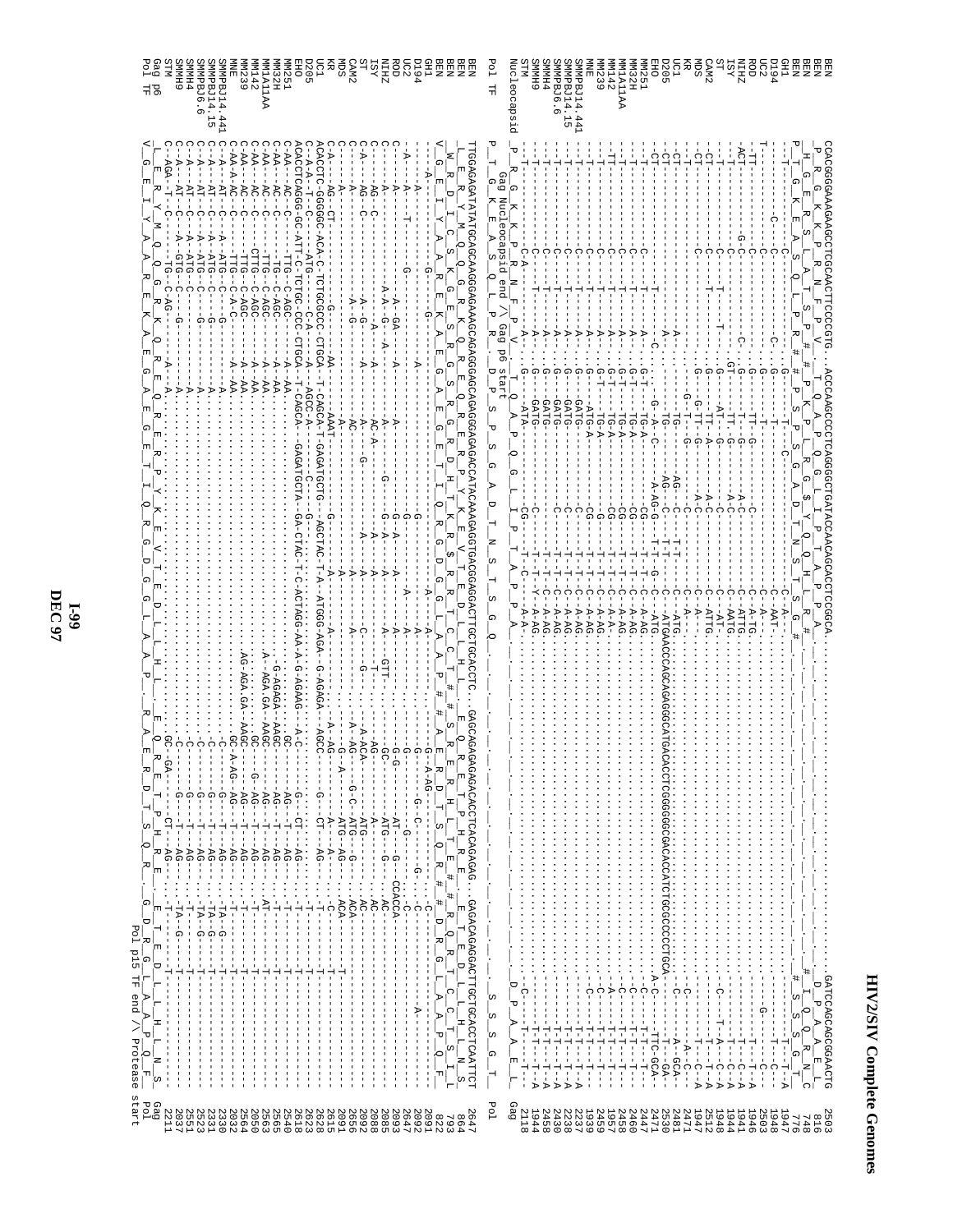| <b>SURPBJ6</b><br><b>PHMMS</b><br>ğ<br>icz<br><b>NHN</b><br>ZHIN<br>Ë<br><b>GHMMS</b><br>ZHIN<br><b>PHNM</b><br>ĝ<br>ğ<br>lucleocaps:<br>ĔN<br>6HMM3<br><b>194</b><br><b>MMPBJ1</b><br>59<br>χS<br>豆<br>MMPBJ6<br><b>ZMA</b><br>χS<br>Ë<br>Ë<br>픕<br>呂<br>C2<br>M239<br>AAILAIM<br>풍<br>S05<br>2M <sub>2</sub><br>194<br><b>LASHIN</b><br><b>MMPBJ14</b><br><b>N251</b><br><b>205</b><br><b>IDB311</b><br>즭<br>M142<br>M32H<br>LSZM<br>M239<br>M142<br>AAILAIN<br><b>HZEN</b><br>법<br>- AA-<br>--AA--<br>RCACCTCAGGG-GC-<br>$-AA-$<br>$-AA---AC$<br>$-AA-AA-AC$<br>CACCTC-GGGGGC-<br>-AA-<br>$\frac{1}{2}$<br>$\frac{1}{2}$<br>Ř<br>$-4-4-7-$<br>$\frac{1}{\mathcal{V}}$<br>$A - -$<br>ښ.<br>ъ<br>$-4-$<br>Gag<br>₩<br>--94--cr<br>ଇ<br>$-AC$<br>'ဂ<br>Ħ<br>$-AC$<br>Ř<br>AT<br>ΗT<br>ΆT<br>AC.<br>$AG = -C -$<br>PA<br>$\overline{A}$<br>Ω<br>AI<br>⊅<br>Nucleocapsid<br>⋝<br>ဂု<br>ø<br>z<br>ATT-C-TCTGC-CCC-CTGCA-<br>CA-1<br>$\circ$<br>ᡃ<br>∩<br>∩<br>STTS<br>ŗω.<br>GTG<br>ATG<br><b>TTG</b><br>ATG<br>ATG<br>ATG<br>PTG<br>ᇽ<br>O<br>م<br>ا<br>ଜ<br>TCTGCGCC-CTGCA<br>Ö<br>end<br>ဂ<br>z<br>∩<br>Ö<br>C-AGC-<br>∩<br>∩<br>-7-4-C<br>C-AGC<br>C-AGC.<br>- AGC-<br>C-AGC<br>$A - A - -G -$<br>F<br>ᅓ<br>$A -$<br>먹<br>ဂှ<br>Ŧ<br>ᡃ<br>ဂ္ဂ်<br>$-6A-$<br>႕<br>Ġ<br>ဂှ<br>ဂု<br>ດ<br>Gag<br>J)<br>ੇਸ਼<br>$\circ$<br>b6<br>t.<br>₩<br>Q<br>start<br>σ<br>Ω<br>G.<br>œ<br>R<br>m<br>₽<br>I-CAGCA<br>.٣<br>$\circ$<br>CAGCA-T-GAGATGCTG<br>Ю<br>ローコー<br><b>GATG</b><br>GATG<br>GATG<br>GATG<br><u>ဂ</u><br><b>ATA-</b><br><b>GATG</b><br>ŗΩ.<br>ATG-A<br>AT-<br>더<br>-TG-A<br>-TAAAT-<br>₩<br>$TG - A -$<br>ą<br>TG-A<br>5g<br>$TG - A$<br>$TC - A -$<br>- 1<br>- 1<br>÷<br>⊢<br>G<br>$AC-$<br>$AC-A$<br>∀−<br>A-<br>ם,<br>Ω<br>ø<br>ᡃᠣ<br>Ω<br>ଜ<br>Ω<br>∩<br>Ω<br>⋒<br>⋗<br>⋒<br>'c۵<br><b>ATOPTADAE</b><br>저<br>ଢ଼<br>⋷<br><u>်ဂ</u><br>J<br>Ω<br>$AG-$<br>AG-<br>$A - AG - G$<br>∃<br>A-<br>$A-C$<br>A-<br>$A-C$<br>Ō<br>$\overline{C}$<br>-co<br>-cg<br>$\frac{1}{\Omega}$<br>ភ្ន<br>Ġ<br>Ö<br>Ω<br>∩<br>යි<br>Ö<br>G<br>Ω<br>∩<br>$A - D$<br>ဂူ<br>ώ<br>$A - D$<br>Η<br>AGCTAC-T-<br>д<br>E<br>ά<br>Þ<br>z<br>⋞<br>מ'<br>E<br>∱−<br>Þ.<br>έ<br>Ω<br>Η<br>Ħ<br>ᡃᠣ<br>7J<br>ŗΩ.<br>ATGGG-<br>$-$ A-AG<br>$-$ A-AG<br>--ATTG<br>--ATTG<br>$-4-14$<br>$-4-1-1$<br>$-4-4-$<br>$-4-1$<br>--AATG<br>$-4 - TG$<br>--A-AG<br>Ò<br>ᠸ<br>$-A-AG$<br>$-4-$<br>$-XT-$<br>$A - A$<br>-A-AG<br>- A-<br>$-4-$<br>-TAAT-<br>$A - A$ G<br>DIW-<br>$A - AG$<br>≖<br>-ATG<br>$-ATG$<br>'ဂ<br>Ω<br>⊇<br>Ю<br>כ<br>Ξ<br>GTT<br>ဂ္<br>GAGCAG.<br>$\frac{1}{R} = \frac{1}{R} - \frac{1}{R} - \frac{1}{R} - \frac{1}{R} - \frac{1}{R} - \frac{1}{R} - \frac{1}{R} - \frac{1}{R} - \frac{1}{R} - \frac{1}{R} - \frac{1}{R} - \frac{1}{R} - \frac{1}{R} - \frac{1}{R} - \frac{1}{R} - \frac{1}{R} - \frac{1}{R} - \frac{1}{R} - \frac{1}{R} - \frac{1}{R} - \frac{1}{R} - \frac{1}{R} - \frac{1}{R} - \frac{1}{R} - \frac{1}{R} - \frac{1}{R} - \frac{1$<br>$\begin{aligned} &\mathbf{0} & \mathbf{0} & \mathbf{0} & \mathbf{0} & \mathbf{0} & \mathbf{0} & \mathbf{0} & \mathbf{0} & \mathbf{0} & \mathbf{0} & \mathbf{0} & \mathbf{0} & \mathbf{0} & \mathbf{0} & \mathbf{0} & \mathbf{0} & \mathbf{0} & \mathbf{0} & \mathbf{0} & \mathbf{0} & \mathbf{0} & \mathbf{0} & \mathbf{0} & \mathbf{0} & \mathbf{0} & \mathbf{0} & \mathbf{0} & \mathbf{0} & \mathbf{0} & \mathbf{0} & \mathbf{$<br>$\mathbf{I}$<br>$-AD - DG - -$<br>E<br>¦≂<br>$\ddot{\cdot}$<br>$\mathbf I$<br>! ~!<br>$\,$ I<br>þ<br>$\frac{1}{1}$<br>:مەمۇم<br>           <br>             <br>Ŧ<br>$C = -C = -1$<br>Ť |  |
|---------------------------------------------------------------------------------------------------------------------------------------------------------------------------------------------------------------------------------------------------------------------------------------------------------------------------------------------------------------------------------------------------------------------------------------------------------------------------------------------------------------------------------------------------------------------------------------------------------------------------------------------------------------------------------------------------------------------------------------------------------------------------------------------------------------------------------------------------------------------------------------------------------------------------------------------------------------------------------------------------------------------------------------------------------------------------------------------------------------------------------------------------------------------------------------------------------------------------------------------------------------------------------------------------------------------------------------------------------------------------------------------------------------------------------------------------------------------------------------------------------------------------------------------------------------------------------------------------------------------------------------------------------------------------------------------------------------------------------------------------------------------------------------------------------------------------------------------------------------------------------------------------------------------------------------------------------------------------------------------------------------------------------------------------------------------------------------------------------------------------------------------------------------------------------------------------------------------------------------------------------------------------------------------------------------------------------------------------------------------------------------------------------------------------------------------------------------------------------------------------------------------------------------------------------------------------------------------------------------------------------------------------------------------------------------------------------------------------------------------------------------------------------------------------------------------------------------------------------------------------------------------------------------------------------------------------------------------------------------------------------------------------------------------------------------------------------------------------------------------------------------------------------------------------------------------------------------------------------------------------------------------------------------------------------------------------------------------------------------------------------------------------------------------------------------------------------------------------------------------------------------------------------------------------------------------|--|
|                                                                                                                                                                                                                                                                                                                                                                                                                                                                                                                                                                                                                                                                                                                                                                                                                                                                                                                                                                                                                                                                                                                                                                                                                                                                                                                                                                                                                                                                                                                                                                                                                                                                                                                                                                                                                                                                                                                                                                                                                                                                                                                                                                                                                                                                                                                                                                                                                                                                                                                                                                                                                                                                                                                                                                                                                                                                                                                                                                                                                                                                                                                                                                                                                                                                                                                                                                                                                                                                                                                                                                     |  |
|                                                                                                                                                                                                                                                                                                                                                                                                                                                                                                                                                                                                                                                                                                                                                                                                                                                                                                                                                                                                                                                                                                                                                                                                                                                                                                                                                                                                                                                                                                                                                                                                                                                                                                                                                                                                                                                                                                                                                                                                                                                                                                                                                                                                                                                                                                                                                                                                                                                                                                                                                                                                                                                                                                                                                                                                                                                                                                                                                                                                                                                                                                                                                                                                                                                                                                                                                                                                                                                                                                                                                                     |  |
|                                                                                                                                                                                                                                                                                                                                                                                                                                                                                                                                                                                                                                                                                                                                                                                                                                                                                                                                                                                                                                                                                                                                                                                                                                                                                                                                                                                                                                                                                                                                                                                                                                                                                                                                                                                                                                                                                                                                                                                                                                                                                                                                                                                                                                                                                                                                                                                                                                                                                                                                                                                                                                                                                                                                                                                                                                                                                                                                                                                                                                                                                                                                                                                                                                                                                                                                                                                                                                                                                                                                                                     |  |
|                                                                                                                                                                                                                                                                                                                                                                                                                                                                                                                                                                                                                                                                                                                                                                                                                                                                                                                                                                                                                                                                                                                                                                                                                                                                                                                                                                                                                                                                                                                                                                                                                                                                                                                                                                                                                                                                                                                                                                                                                                                                                                                                                                                                                                                                                                                                                                                                                                                                                                                                                                                                                                                                                                                                                                                                                                                                                                                                                                                                                                                                                                                                                                                                                                                                                                                                                                                                                                                                                                                                                                     |  |
|                                                                                                                                                                                                                                                                                                                                                                                                                                                                                                                                                                                                                                                                                                                                                                                                                                                                                                                                                                                                                                                                                                                                                                                                                                                                                                                                                                                                                                                                                                                                                                                                                                                                                                                                                                                                                                                                                                                                                                                                                                                                                                                                                                                                                                                                                                                                                                                                                                                                                                                                                                                                                                                                                                                                                                                                                                                                                                                                                                                                                                                                                                                                                                                                                                                                                                                                                                                                                                                                                                                                                                     |  |
|                                                                                                                                                                                                                                                                                                                                                                                                                                                                                                                                                                                                                                                                                                                                                                                                                                                                                                                                                                                                                                                                                                                                                                                                                                                                                                                                                                                                                                                                                                                                                                                                                                                                                                                                                                                                                                                                                                                                                                                                                                                                                                                                                                                                                                                                                                                                                                                                                                                                                                                                                                                                                                                                                                                                                                                                                                                                                                                                                                                                                                                                                                                                                                                                                                                                                                                                                                                                                                                                                                                                                                     |  |
|                                                                                                                                                                                                                                                                                                                                                                                                                                                                                                                                                                                                                                                                                                                                                                                                                                                                                                                                                                                                                                                                                                                                                                                                                                                                                                                                                                                                                                                                                                                                                                                                                                                                                                                                                                                                                                                                                                                                                                                                                                                                                                                                                                                                                                                                                                                                                                                                                                                                                                                                                                                                                                                                                                                                                                                                                                                                                                                                                                                                                                                                                                                                                                                                                                                                                                                                                                                                                                                                                                                                                                     |  |
|                                                                                                                                                                                                                                                                                                                                                                                                                                                                                                                                                                                                                                                                                                                                                                                                                                                                                                                                                                                                                                                                                                                                                                                                                                                                                                                                                                                                                                                                                                                                                                                                                                                                                                                                                                                                                                                                                                                                                                                                                                                                                                                                                                                                                                                                                                                                                                                                                                                                                                                                                                                                                                                                                                                                                                                                                                                                                                                                                                                                                                                                                                                                                                                                                                                                                                                                                                                                                                                                                                                                                                     |  |
|                                                                                                                                                                                                                                                                                                                                                                                                                                                                                                                                                                                                                                                                                                                                                                                                                                                                                                                                                                                                                                                                                                                                                                                                                                                                                                                                                                                                                                                                                                                                                                                                                                                                                                                                                                                                                                                                                                                                                                                                                                                                                                                                                                                                                                                                                                                                                                                                                                                                                                                                                                                                                                                                                                                                                                                                                                                                                                                                                                                                                                                                                                                                                                                                                                                                                                                                                                                                                                                                                                                                                                     |  |
|                                                                                                                                                                                                                                                                                                                                                                                                                                                                                                                                                                                                                                                                                                                                                                                                                                                                                                                                                                                                                                                                                                                                                                                                                                                                                                                                                                                                                                                                                                                                                                                                                                                                                                                                                                                                                                                                                                                                                                                                                                                                                                                                                                                                                                                                                                                                                                                                                                                                                                                                                                                                                                                                                                                                                                                                                                                                                                                                                                                                                                                                                                                                                                                                                                                                                                                                                                                                                                                                                                                                                                     |  |
|                                                                                                                                                                                                                                                                                                                                                                                                                                                                                                                                                                                                                                                                                                                                                                                                                                                                                                                                                                                                                                                                                                                                                                                                                                                                                                                                                                                                                                                                                                                                                                                                                                                                                                                                                                                                                                                                                                                                                                                                                                                                                                                                                                                                                                                                                                                                                                                                                                                                                                                                                                                                                                                                                                                                                                                                                                                                                                                                                                                                                                                                                                                                                                                                                                                                                                                                                                                                                                                                                                                                                                     |  |
|                                                                                                                                                                                                                                                                                                                                                                                                                                                                                                                                                                                                                                                                                                                                                                                                                                                                                                                                                                                                                                                                                                                                                                                                                                                                                                                                                                                                                                                                                                                                                                                                                                                                                                                                                                                                                                                                                                                                                                                                                                                                                                                                                                                                                                                                                                                                                                                                                                                                                                                                                                                                                                                                                                                                                                                                                                                                                                                                                                                                                                                                                                                                                                                                                                                                                                                                                                                                                                                                                                                                                                     |  |
|                                                                                                                                                                                                                                                                                                                                                                                                                                                                                                                                                                                                                                                                                                                                                                                                                                                                                                                                                                                                                                                                                                                                                                                                                                                                                                                                                                                                                                                                                                                                                                                                                                                                                                                                                                                                                                                                                                                                                                                                                                                                                                                                                                                                                                                                                                                                                                                                                                                                                                                                                                                                                                                                                                                                                                                                                                                                                                                                                                                                                                                                                                                                                                                                                                                                                                                                                                                                                                                                                                                                                                     |  |
|                                                                                                                                                                                                                                                                                                                                                                                                                                                                                                                                                                                                                                                                                                                                                                                                                                                                                                                                                                                                                                                                                                                                                                                                                                                                                                                                                                                                                                                                                                                                                                                                                                                                                                                                                                                                                                                                                                                                                                                                                                                                                                                                                                                                                                                                                                                                                                                                                                                                                                                                                                                                                                                                                                                                                                                                                                                                                                                                                                                                                                                                                                                                                                                                                                                                                                                                                                                                                                                                                                                                                                     |  |
|                                                                                                                                                                                                                                                                                                                                                                                                                                                                                                                                                                                                                                                                                                                                                                                                                                                                                                                                                                                                                                                                                                                                                                                                                                                                                                                                                                                                                                                                                                                                                                                                                                                                                                                                                                                                                                                                                                                                                                                                                                                                                                                                                                                                                                                                                                                                                                                                                                                                                                                                                                                                                                                                                                                                                                                                                                                                                                                                                                                                                                                                                                                                                                                                                                                                                                                                                                                                                                                                                                                                                                     |  |
|                                                                                                                                                                                                                                                                                                                                                                                                                                                                                                                                                                                                                                                                                                                                                                                                                                                                                                                                                                                                                                                                                                                                                                                                                                                                                                                                                                                                                                                                                                                                                                                                                                                                                                                                                                                                                                                                                                                                                                                                                                                                                                                                                                                                                                                                                                                                                                                                                                                                                                                                                                                                                                                                                                                                                                                                                                                                                                                                                                                                                                                                                                                                                                                                                                                                                                                                                                                                                                                                                                                                                                     |  |
|                                                                                                                                                                                                                                                                                                                                                                                                                                                                                                                                                                                                                                                                                                                                                                                                                                                                                                                                                                                                                                                                                                                                                                                                                                                                                                                                                                                                                                                                                                                                                                                                                                                                                                                                                                                                                                                                                                                                                                                                                                                                                                                                                                                                                                                                                                                                                                                                                                                                                                                                                                                                                                                                                                                                                                                                                                                                                                                                                                                                                                                                                                                                                                                                                                                                                                                                                                                                                                                                                                                                                                     |  |
|                                                                                                                                                                                                                                                                                                                                                                                                                                                                                                                                                                                                                                                                                                                                                                                                                                                                                                                                                                                                                                                                                                                                                                                                                                                                                                                                                                                                                                                                                                                                                                                                                                                                                                                                                                                                                                                                                                                                                                                                                                                                                                                                                                                                                                                                                                                                                                                                                                                                                                                                                                                                                                                                                                                                                                                                                                                                                                                                                                                                                                                                                                                                                                                                                                                                                                                                                                                                                                                                                                                                                                     |  |
|                                                                                                                                                                                                                                                                                                                                                                                                                                                                                                                                                                                                                                                                                                                                                                                                                                                                                                                                                                                                                                                                                                                                                                                                                                                                                                                                                                                                                                                                                                                                                                                                                                                                                                                                                                                                                                                                                                                                                                                                                                                                                                                                                                                                                                                                                                                                                                                                                                                                                                                                                                                                                                                                                                                                                                                                                                                                                                                                                                                                                                                                                                                                                                                                                                                                                                                                                                                                                                                                                                                                                                     |  |
|                                                                                                                                                                                                                                                                                                                                                                                                                                                                                                                                                                                                                                                                                                                                                                                                                                                                                                                                                                                                                                                                                                                                                                                                                                                                                                                                                                                                                                                                                                                                                                                                                                                                                                                                                                                                                                                                                                                                                                                                                                                                                                                                                                                                                                                                                                                                                                                                                                                                                                                                                                                                                                                                                                                                                                                                                                                                                                                                                                                                                                                                                                                                                                                                                                                                                                                                                                                                                                                                                                                                                                     |  |
|                                                                                                                                                                                                                                                                                                                                                                                                                                                                                                                                                                                                                                                                                                                                                                                                                                                                                                                                                                                                                                                                                                                                                                                                                                                                                                                                                                                                                                                                                                                                                                                                                                                                                                                                                                                                                                                                                                                                                                                                                                                                                                                                                                                                                                                                                                                                                                                                                                                                                                                                                                                                                                                                                                                                                                                                                                                                                                                                                                                                                                                                                                                                                                                                                                                                                                                                                                                                                                                                                                                                                                     |  |
|                                                                                                                                                                                                                                                                                                                                                                                                                                                                                                                                                                                                                                                                                                                                                                                                                                                                                                                                                                                                                                                                                                                                                                                                                                                                                                                                                                                                                                                                                                                                                                                                                                                                                                                                                                                                                                                                                                                                                                                                                                                                                                                                                                                                                                                                                                                                                                                                                                                                                                                                                                                                                                                                                                                                                                                                                                                                                                                                                                                                                                                                                                                                                                                                                                                                                                                                                                                                                                                                                                                                                                     |  |
|                                                                                                                                                                                                                                                                                                                                                                                                                                                                                                                                                                                                                                                                                                                                                                                                                                                                                                                                                                                                                                                                                                                                                                                                                                                                                                                                                                                                                                                                                                                                                                                                                                                                                                                                                                                                                                                                                                                                                                                                                                                                                                                                                                                                                                                                                                                                                                                                                                                                                                                                                                                                                                                                                                                                                                                                                                                                                                                                                                                                                                                                                                                                                                                                                                                                                                                                                                                                                                                                                                                                                                     |  |
|                                                                                                                                                                                                                                                                                                                                                                                                                                                                                                                                                                                                                                                                                                                                                                                                                                                                                                                                                                                                                                                                                                                                                                                                                                                                                                                                                                                                                                                                                                                                                                                                                                                                                                                                                                                                                                                                                                                                                                                                                                                                                                                                                                                                                                                                                                                                                                                                                                                                                                                                                                                                                                                                                                                                                                                                                                                                                                                                                                                                                                                                                                                                                                                                                                                                                                                                                                                                                                                                                                                                                                     |  |
|                                                                                                                                                                                                                                                                                                                                                                                                                                                                                                                                                                                                                                                                                                                                                                                                                                                                                                                                                                                                                                                                                                                                                                                                                                                                                                                                                                                                                                                                                                                                                                                                                                                                                                                                                                                                                                                                                                                                                                                                                                                                                                                                                                                                                                                                                                                                                                                                                                                                                                                                                                                                                                                                                                                                                                                                                                                                                                                                                                                                                                                                                                                                                                                                                                                                                                                                                                                                                                                                                                                                                                     |  |
|                                                                                                                                                                                                                                                                                                                                                                                                                                                                                                                                                                                                                                                                                                                                                                                                                                                                                                                                                                                                                                                                                                                                                                                                                                                                                                                                                                                                                                                                                                                                                                                                                                                                                                                                                                                                                                                                                                                                                                                                                                                                                                                                                                                                                                                                                                                                                                                                                                                                                                                                                                                                                                                                                                                                                                                                                                                                                                                                                                                                                                                                                                                                                                                                                                                                                                                                                                                                                                                                                                                                                                     |  |
|                                                                                                                                                                                                                                                                                                                                                                                                                                                                                                                                                                                                                                                                                                                                                                                                                                                                                                                                                                                                                                                                                                                                                                                                                                                                                                                                                                                                                                                                                                                                                                                                                                                                                                                                                                                                                                                                                                                                                                                                                                                                                                                                                                                                                                                                                                                                                                                                                                                                                                                                                                                                                                                                                                                                                                                                                                                                                                                                                                                                                                                                                                                                                                                                                                                                                                                                                                                                                                                                                                                                                                     |  |
|                                                                                                                                                                                                                                                                                                                                                                                                                                                                                                                                                                                                                                                                                                                                                                                                                                                                                                                                                                                                                                                                                                                                                                                                                                                                                                                                                                                                                                                                                                                                                                                                                                                                                                                                                                                                                                                                                                                                                                                                                                                                                                                                                                                                                                                                                                                                                                                                                                                                                                                                                                                                                                                                                                                                                                                                                                                                                                                                                                                                                                                                                                                                                                                                                                                                                                                                                                                                                                                                                                                                                                     |  |
|                                                                                                                                                                                                                                                                                                                                                                                                                                                                                                                                                                                                                                                                                                                                                                                                                                                                                                                                                                                                                                                                                                                                                                                                                                                                                                                                                                                                                                                                                                                                                                                                                                                                                                                                                                                                                                                                                                                                                                                                                                                                                                                                                                                                                                                                                                                                                                                                                                                                                                                                                                                                                                                                                                                                                                                                                                                                                                                                                                                                                                                                                                                                                                                                                                                                                                                                                                                                                                                                                                                                                                     |  |
|                                                                                                                                                                                                                                                                                                                                                                                                                                                                                                                                                                                                                                                                                                                                                                                                                                                                                                                                                                                                                                                                                                                                                                                                                                                                                                                                                                                                                                                                                                                                                                                                                                                                                                                                                                                                                                                                                                                                                                                                                                                                                                                                                                                                                                                                                                                                                                                                                                                                                                                                                                                                                                                                                                                                                                                                                                                                                                                                                                                                                                                                                                                                                                                                                                                                                                                                                                                                                                                                                                                                                                     |  |
|                                                                                                                                                                                                                                                                                                                                                                                                                                                                                                                                                                                                                                                                                                                                                                                                                                                                                                                                                                                                                                                                                                                                                                                                                                                                                                                                                                                                                                                                                                                                                                                                                                                                                                                                                                                                                                                                                                                                                                                                                                                                                                                                                                                                                                                                                                                                                                                                                                                                                                                                                                                                                                                                                                                                                                                                                                                                                                                                                                                                                                                                                                                                                                                                                                                                                                                                                                                                                                                                                                                                                                     |  |
|                                                                                                                                                                                                                                                                                                                                                                                                                                                                                                                                                                                                                                                                                                                                                                                                                                                                                                                                                                                                                                                                                                                                                                                                                                                                                                                                                                                                                                                                                                                                                                                                                                                                                                                                                                                                                                                                                                                                                                                                                                                                                                                                                                                                                                                                                                                                                                                                                                                                                                                                                                                                                                                                                                                                                                                                                                                                                                                                                                                                                                                                                                                                                                                                                                                                                                                                                                                                                                                                                                                                                                     |  |
|                                                                                                                                                                                                                                                                                                                                                                                                                                                                                                                                                                                                                                                                                                                                                                                                                                                                                                                                                                                                                                                                                                                                                                                                                                                                                                                                                                                                                                                                                                                                                                                                                                                                                                                                                                                                                                                                                                                                                                                                                                                                                                                                                                                                                                                                                                                                                                                                                                                                                                                                                                                                                                                                                                                                                                                                                                                                                                                                                                                                                                                                                                                                                                                                                                                                                                                                                                                                                                                                                                                                                                     |  |
|                                                                                                                                                                                                                                                                                                                                                                                                                                                                                                                                                                                                                                                                                                                                                                                                                                                                                                                                                                                                                                                                                                                                                                                                                                                                                                                                                                                                                                                                                                                                                                                                                                                                                                                                                                                                                                                                                                                                                                                                                                                                                                                                                                                                                                                                                                                                                                                                                                                                                                                                                                                                                                                                                                                                                                                                                                                                                                                                                                                                                                                                                                                                                                                                                                                                                                                                                                                                                                                                                                                                                                     |  |
|                                                                                                                                                                                                                                                                                                                                                                                                                                                                                                                                                                                                                                                                                                                                                                                                                                                                                                                                                                                                                                                                                                                                                                                                                                                                                                                                                                                                                                                                                                                                                                                                                                                                                                                                                                                                                                                                                                                                                                                                                                                                                                                                                                                                                                                                                                                                                                                                                                                                                                                                                                                                                                                                                                                                                                                                                                                                                                                                                                                                                                                                                                                                                                                                                                                                                                                                                                                                                                                                                                                                                                     |  |
|                                                                                                                                                                                                                                                                                                                                                                                                                                                                                                                                                                                                                                                                                                                                                                                                                                                                                                                                                                                                                                                                                                                                                                                                                                                                                                                                                                                                                                                                                                                                                                                                                                                                                                                                                                                                                                                                                                                                                                                                                                                                                                                                                                                                                                                                                                                                                                                                                                                                                                                                                                                                                                                                                                                                                                                                                                                                                                                                                                                                                                                                                                                                                                                                                                                                                                                                                                                                                                                                                                                                                                     |  |
|                                                                                                                                                                                                                                                                                                                                                                                                                                                                                                                                                                                                                                                                                                                                                                                                                                                                                                                                                                                                                                                                                                                                                                                                                                                                                                                                                                                                                                                                                                                                                                                                                                                                                                                                                                                                                                                                                                                                                                                                                                                                                                                                                                                                                                                                                                                                                                                                                                                                                                                                                                                                                                                                                                                                                                                                                                                                                                                                                                                                                                                                                                                                                                                                                                                                                                                                                                                                                                                                                                                                                                     |  |
|                                                                                                                                                                                                                                                                                                                                                                                                                                                                                                                                                                                                                                                                                                                                                                                                                                                                                                                                                                                                                                                                                                                                                                                                                                                                                                                                                                                                                                                                                                                                                                                                                                                                                                                                                                                                                                                                                                                                                                                                                                                                                                                                                                                                                                                                                                                                                                                                                                                                                                                                                                                                                                                                                                                                                                                                                                                                                                                                                                                                                                                                                                                                                                                                                                                                                                                                                                                                                                                                                                                                                                     |  |
|                                                                                                                                                                                                                                                                                                                                                                                                                                                                                                                                                                                                                                                                                                                                                                                                                                                                                                                                                                                                                                                                                                                                                                                                                                                                                                                                                                                                                                                                                                                                                                                                                                                                                                                                                                                                                                                                                                                                                                                                                                                                                                                                                                                                                                                                                                                                                                                                                                                                                                                                                                                                                                                                                                                                                                                                                                                                                                                                                                                                                                                                                                                                                                                                                                                                                                                                                                                                                                                                                                                                                                     |  |
|                                                                                                                                                                                                                                                                                                                                                                                                                                                                                                                                                                                                                                                                                                                                                                                                                                                                                                                                                                                                                                                                                                                                                                                                                                                                                                                                                                                                                                                                                                                                                                                                                                                                                                                                                                                                                                                                                                                                                                                                                                                                                                                                                                                                                                                                                                                                                                                                                                                                                                                                                                                                                                                                                                                                                                                                                                                                                                                                                                                                                                                                                                                                                                                                                                                                                                                                                                                                                                                                                                                                                                     |  |
|                                                                                                                                                                                                                                                                                                                                                                                                                                                                                                                                                                                                                                                                                                                                                                                                                                                                                                                                                                                                                                                                                                                                                                                                                                                                                                                                                                                                                                                                                                                                                                                                                                                                                                                                                                                                                                                                                                                                                                                                                                                                                                                                                                                                                                                                                                                                                                                                                                                                                                                                                                                                                                                                                                                                                                                                                                                                                                                                                                                                                                                                                                                                                                                                                                                                                                                                                                                                                                                                                                                                                                     |  |
|                                                                                                                                                                                                                                                                                                                                                                                                                                                                                                                                                                                                                                                                                                                                                                                                                                                                                                                                                                                                                                                                                                                                                                                                                                                                                                                                                                                                                                                                                                                                                                                                                                                                                                                                                                                                                                                                                                                                                                                                                                                                                                                                                                                                                                                                                                                                                                                                                                                                                                                                                                                                                                                                                                                                                                                                                                                                                                                                                                                                                                                                                                                                                                                                                                                                                                                                                                                                                                                                                                                                                                     |  |
| PACGGGAAAGAAGCCTCGCAACTTCCCCGTG                                                                                                                                                                                                                                                                                                                                                                                                                                                                                                                                                                                                                                                                                                                                                                                                                                                                                                                                                                                                                                                                                                                                                                                                                                                                                                                                                                                                                                                                                                                                                                                                                                                                                                                                                                                                                                                                                                                                                                                                                                                                                                                                                                                                                                                                                                                                                                                                                                                                                                                                                                                                                                                                                                                                                                                                                                                                                                                                                                                                                                                                                                                                                                                                                                                                                                                                                                                                                                                                                                                                     |  |

**L99**<br>PEC 97

Pol pl5 TF end // Protease start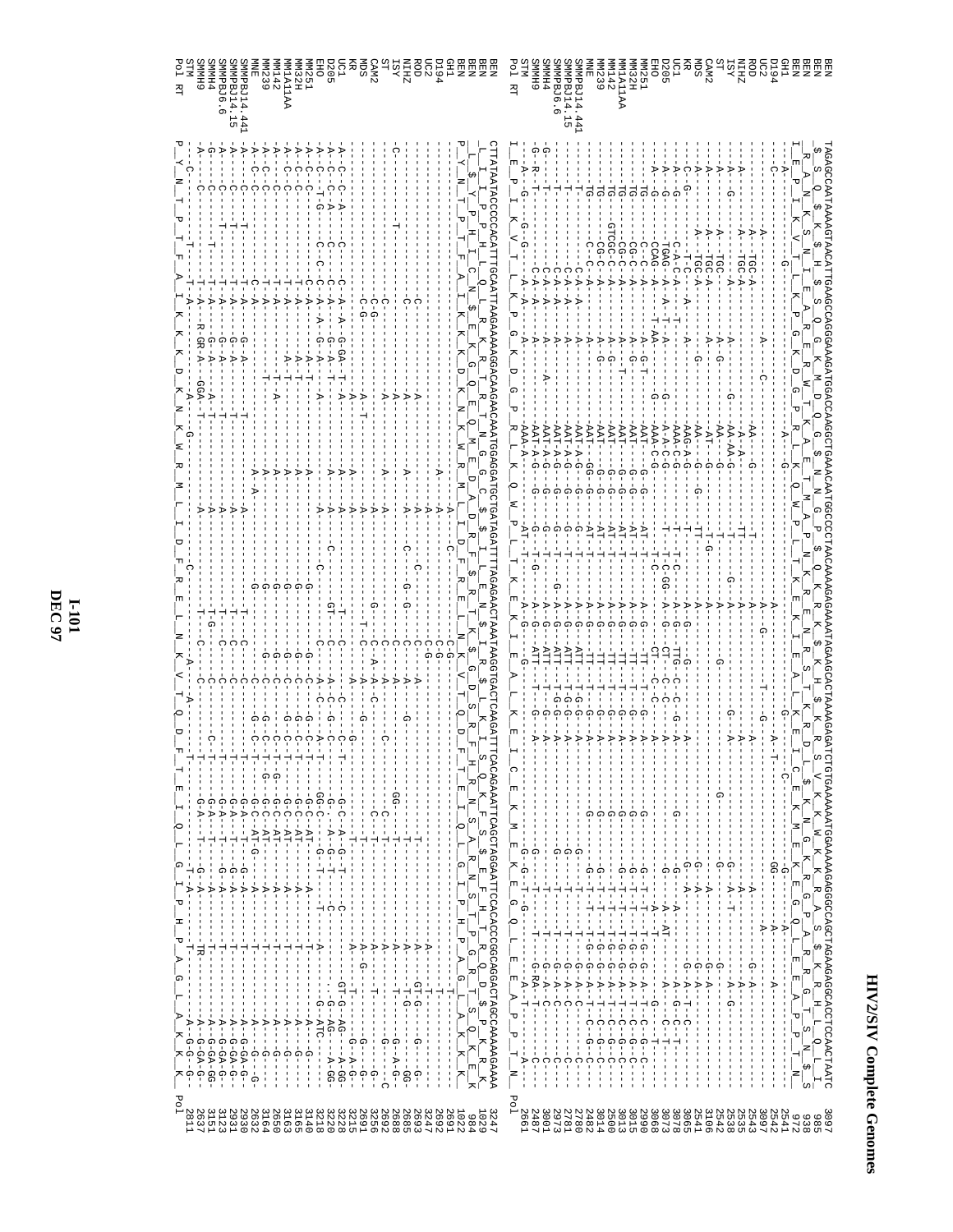| $\mathbb{F}_{\mathbb{F}}$<br>Ω<br>⊅<br>A-<br>∀<br>₽<br>⊅<br>٢<br>囯<br>$-V-$<br>Ö<br>ъ<br>ъ<br>Q<br>Þ<br>Ō<br>Ö<br>Ö<br>Ω<br>Ö<br>적<br>⊅<br>∩<br>Ť<br>J.<br>ᡃᠣ<br>∩<br>∩<br>Ω<br>Ω<br>Ω<br>Ω<br>Ω<br>Ω<br>റ<br>봄<br>님<br>능<br>님<br>유<br>ω<br>∩<br>Ω<br>유<br>ດ<br>ω<br>Ω<br>$\mathbf{I}$<br>L<br>U<br>TCGC-<br>LGAG<br>rgc<br>$-50$<br>ъ<br>ά<br>$\overline{A}$<br>$R-GR -$<br>ົດ<br>ω<br>Ω<br>G-GA-<br>J.<br>ω<br>ω<br>ゼ<br>Ω<br>ローコ<br>⋒<br>ଋ<br>Ω<br>ᇦ<br>GGA<br>ኔ<br>⊅<br>ъ<br>ኴ<br>ኌ<br><b>AAT</b><br><b>AAT</b><br>$-{\rm A-A-A}$<br><b>AAT-A-G</b><br><b>AAT-A-G</b><br><b>AAT</b><br><b>AAT-</b><br>$A - A - C -$<br><b>AAA-C</b><br>$-0.7$<br>-TAT-<br><b>AAG-A-G</b><br>$D - A - T A - C$<br>$\mathrm{AT}-$<br>Ω<br>Ω<br>Ω<br>6ġ<br>Ω<br>ົດ<br>Ω<br>⋒<br>Ω<br>⋒<br>Ω<br>₻<br>⊅<br>∍<br>⋒<br>AT<br>ד−ט−<br>င္ပြ<br>စ္စစ္<br>⋒<br>ଇ<br>⋒<br>Ω<br>ଢ଼<br><b>ATT</b><br>ATT<br>ဂှ<br>Ė<br><u>ດ ດ</u><br>녑<br>ດ<br>ଇ<br>⋒<br>₻<br>⋗<br>O<br>부<br>-9-1<br>부<br>ဂူ<br>∩<br>Ω<br>ω<br>ω<br>ω<br>Ω<br>Ω<br>Ω<br>ଋ<br>ω<br>ଢ଼<br>Ω<br>'n<br>'n.<br>'n,<br>I<br>J.<br>J<br>∀<br>-1<br>J.<br>л.<br>ł<br>ਜ਼<br>キート<br>피<br>$\mathbf I$<br>$\overline{\phantom{a}}$<br>$\begin{array}{c} \end{array}$<br>보<br>$\frac{1}{1}$<br>īω.<br>۲I<br>İ<br>۲I<br>T<br>۲I<br>T<br>۲I<br> <br>۲<br> <br>년<br> <br>۲<br> <br>4<br>-<br>۲<br>ا<br>$\frac{1}{1}$<br>부<br>$\overline{\phantom{a}}$<br>J.<br>۲<br>ا<br>ㅁ<br>$\frac{1}{1}$<br>л<br>Ή<br>H<br>'n<br>I<br>$\begin{array}{c} \hline \end{array}$<br>Q<br>o<br>$\Gamma$<br>Ω<br>$\mathbf{I}$<br>ω<br>I<br>$\mathbf{I}$<br>J.<br>п<br>п<br>٠U<br>ヵ<br>$\frac{1}{1}$<br>л<br>п<br>ł.<br>л<br>п<br>п<br>H.<br>1<br>Þ<br>$\mathbf I$<br>চ্য<br>国<br>Ħ<br>J,<br>J.<br>л<br>H<br>GG-<br>Ω<br>ω<br>z<br>$G - A$<br>ႁ<br>ှာ<br>ှာ<br>ှာ<br>ဂု<br>ဂ<br>ဂ<br>ဂု<br>ဂု<br>ဂု<br>ဂု<br>ဂု<br>$G-C$ – –<br>ႁ<br>Ή<br>×<br>$-4-$<br>C<br>ъ<br>ъ<br>$A -$<br>C<br>Ω<br>Ω<br>$\Gamma$<br>Ω<br>피<br>Ω<br>റ<br>Ω<br>Ω<br>Ω<br>Ω<br>Ω<br>Ω<br>⋒<br>ω<br>z<br>$\frac{1}{1}$<br>ı<br>$\frac{1}{1}$<br>$\frac{1}{1}$<br>$\frac{1}{1}$<br>$\frac{1}{1}$<br>$\frac{1}{1}$<br>$\frac{1}{1}$<br>Ţ<br>$\frac{1}{1}$<br>J.<br>$\frac{1}{1}$<br>I<br>$\begin{array}{c} \hline \end{array}$<br>$\begin{array}{c} \hline \end{array}$<br>$\overline{\phantom{a}}$<br>J.<br>$\mathbf{I}$<br>J.<br>þ<br>Ξ<br>$\mathbf{I}$<br>$\mathbf{I}$<br>$\frac{1}{1}$<br>$\frac{1}{1}$<br>C<br>п<br>т<br>л<br>з<br>$AT-G--$<br>$AT$ --<br>$-14$<br>$-7T-$<br>$-10$<br>$A - -G - -$<br>ن<br>ا<br>ับว<br>$\mathbf I$<br>$-10$<br>$A$ – $-$<br>$\overline{1}$<br>J.<br>J.<br>۲<br>T<br>۲<br>F<br>ັດ<br>닌<br>۲I<br>ъ<br>户<br>۲L<br>ا<br>ł<br>Þ<br>Þ<br>J.<br>$\frac{1}{1}$<br>$\blacksquare$<br>$\mathbf{I}$<br>$\blacksquare$<br>$-\frac{1}{2}$<br>団<br>f,<br>$\mathbf{I}$<br>$\overline{1}$<br>ဂု<br>ှ<br> <br>٠m<br>$\frac{1}{\sqrt{2}}$<br>$\frac{1}{2}$<br>ဂှ<br>J.<br>$\mathbf{I}$<br>ဂု<br>J<br>₩<br>J.<br>×<br><u>(ဂ</u><br>$\overline{1}$<br>$-G - H -$<br>$\mathbf{I}$<br>$\blacksquare$<br>$\mathbf{I}$<br>J.<br>$\blacksquare$<br>$\mathbf{I}$<br>⋒<br>$\overline{\phantom{a}}$<br>J.<br>$-1 - 1 -$<br>$\blacksquare$<br>$-1$<br>ω<br>ω<br>ω<br>J.<br>ငှ<br>$\mathbf{I}$<br>$-4 - 5 -$<br>Ė<br>$G--A--$<br>$-F$<br>ø<br>ဂှ<br>H<br>!<br>부<br>$\Gamma$<br>ဂု<br>ဂ္<br>ဂု<br>ဂု<br>ဂု<br>$\frac{1}{1}$<br>-1<br>-1<br>$\mathbf{I}$<br>1<br>$\blacksquare$<br>п<br>부<br>$\mathbf{I}$<br>$\mathbf{I}$<br>л<br><b>I</b><br>ł<br>л<br>$\mathbf{I}$<br>$\mathbf{I}$<br>H.<br>-1<br>H.<br>$\mathbb I$<br>z<br>$\mathbb{I}$<br>$\mathsf I$<br>$\mathbf I$<br>$\mathbf I$<br>$\mathbb{I}$<br>$\mathsf I$<br>₩<br>$\mathbf{I}$<br>J.<br>$\mathbf{I}$<br>$\mathbf{I}$<br>т<br>л<br>$-\Delta$ -<br>$-\Delta -$<br>Þ<br>$-1 - 1 - 0 - 1$<br>휴<br>로<br>$-\Delta -$<br>$-\Delta$ -<br>$-\Delta -$<br>$-\Delta -$<br>$\frac{1}{1}$<br>۳<br>با<br>$-4-7-$<br>$-\nabla -$<br>団<br>÷.<br>ŋ<br>$\overline{r}$<br>$\sum_{i=1}^{n}$<br>$\overline{r}$<br>$A -$<br>⋗<br>H<br>I<br>н<br>부<br>부<br>부<br>-1<br>л<br>1<br>ı<br>'ဟ  <br>ï<br>ť<br>റ<br>$\overline{\phantom{a}}$<br>-1<br>т<br>J.<br>L<br>ັດ<br>٣<br>$\mathbf I$<br>f,<br>$\mathbf I$<br>$\begin{array}{c} \end{array}$<br>ᡃ<br>$\mathbb I$<br>$\mathbf{I}$<br>$\mathsf I$<br>Ω.<br>Ξ<br>Ω<br>$\blacksquare$<br>J.<br>넌<br>Ω<br>$\blacksquare$<br>부<br>부<br>۲<br>ا<br>년<br>부<br>⋗<br>$A -$<br>⋗<br>$\blacksquare$<br>$\mathbf{I}$<br>$\mathbf{I}$<br>л<br>п<br>Η<br>۳<br>$\frac{1}{1}$<br>$\frac{1}{1}$<br>$\blacksquare$<br>п<br>т<br>-1<br>H.<br>$\overline{1}$<br>H.<br>-1<br>п<br>1<br>п<br>ö<br>F<br>$\mathbb{I}$<br>$\mathbf I$<br>出<br>Ю<br>H<br>$\mathbf{I}$<br>л<br>$\blacksquare$<br>AT.<br>л<br>J.<br>$A -$<br>A-<br>$A -$<br>ا<br>ا<br>Ρ.<br>Ė<br>부<br>۲<br> <br>-- G--<br>ローロ<br>부<br>н<br>J.<br>л.<br>부<br>⊣<br>ឹ<br>부<br>H.<br>-1<br>ᡃᠣ<br>$\mathbf{I}$<br>F<br>T<br>L<br>$\mathbf I$<br>$\mathbf{I}$<br>$\mathbf{I}$<br>ᡃᠣ<br>$\mathbb I$<br>$\overline{1}$<br>Е<br>₩<br>н<br>-<br>H<br>부<br>부<br>년<br>$A$ – $-$<br>$A -$<br>ъ<br>$A -$<br>ъ<br>$\overline{A}$<br>ъ<br>$\mathbf I$<br>$\overline{1}$<br>Ω<br>Ω<br>Ω<br>부<br>н<br>н<br>H<br>부<br>부<br>ຸດ<br>T<br>Ţ<br>$\mathbf{I}$<br>1<br>$\mathbf{I}$<br>$\blacksquare$<br>Ì<br>ı<br>$\mathbf{I}$<br>л<br>$\blacksquare$<br>J.<br>$\begin{array}{c} \hline \end{array}$<br>I<br>ヵ<br>-1<br>J,<br>'≖<br>Þ<br>ኌ<br>1<br>固<br>$\overline{\phantom{a}}$<br><u>ဂု</u><br>O<br>$G - RA - -$<br>ဂု<br>Ω<br>Ω<br>Ω<br>Ω<br>Ω<br>Ω<br>Ω<br>Ω<br><u>ဂု</u><br>Ω<br><u>ဂု</u><br>Ω<br><u>ဂု</u><br>⋒<br>゚゚゚゚゙゙゙゙゙゙゚゙゚゙゙ゕ゙<br>$\frac{1}{1}$<br>₩<br>J.<br>J.<br>J.<br>J.<br>$- - \Delta - -$<br>Ť<br>$\frac{1}{1}$<br>Ť<br>$\frac{1}{1}$<br>ł<br>$\frac{1}{1}$<br>$\frac{1}{1}$<br>$\frac{1}{1}$<br>Ť<br>I.<br>$\overline{\phantom{a}}$<br>$\mathbf{I}$<br>$\mathbf{I}$<br>п<br>I<br>ပြု<br>ຸດ<br>চ্য<br>$-9 - 5 - -$<br>$\mathbf{I}$<br>J<br>J.<br>п<br>л<br>-1<br>$\mathbf{I}$<br>-1<br>団<br>$\mathsf I$<br>$\mathbb{I}$<br>$\mathbb{I}$<br>$\mathsf I$<br>$-5 - 5 -$<br>$\mathbb{I}$<br>Α<br>$-4$<br>$-4-$<br>А<br>ъ<br>А<br>ъ<br>А<br>Þ<br>А<br>А<br>ъ<br>$\frac{1}{2}$<br>ъ<br>А<br>Þ<br>$\,$ I<br>ъ<br>⊅<br>ゼ<br>⊅<br>I,<br>J.<br>H<br>$-6 -$<br>Ĥ<br>ັດ<br>J.<br>$-1$<br>- コーロー<br>- ワー<br>부<br>۲I<br>T<br>Ţ<br>Ŧ<br>Ŧ<br>Ŧ<br>Ţ<br>$-1 - 1 - 1$<br>Ì<br>i.<br>T<br>T,<br>Ţ,<br>T,<br>ì.<br>н<br>Ł<br>$\frac{1}{1}$<br>⊧<br>፞ቝ<br>Ţ<br>F<br>$\mathbf{I}$<br>J.<br>I.<br>п<br>$\mathbf{I}$<br>$\blacksquare$<br>$\blacksquare$<br>$\mathbf{I}$<br>$\blacksquare$<br>ъ<br>л<br>Ĥ<br>C<br>н<br>٠U<br>↷<br>↷<br>н<br>н<br>н<br>ဂု<br>$\mathbf{I}$<br>н<br>⊣<br>ဂု<br>ဂု<br>H.<br>п<br>부<br>( )<br>ဂု<br>-1<br>л<br>п<br>ŗω,<br>$\,$ I<br>$\mathbf{I}$<br>$\mathbf I$<br>Т<br>Í<br>F<br>ł<br>'д<br>⋗<br>$\blacksquare$<br>$\overline{\phantom{a}}$<br>J.<br>$\overline{1}$<br>$\mathbf{I}$<br>J.<br>₻<br>$\mathbf{I}$<br>$\mathbf{I}$<br>$\overline{1}$<br>п<br>J.<br>J.<br>J.<br>л<br>᠊ᠣ<br>$\overline{1}$<br>Ю<br>$\sum_{i=1}^{n}$<br>$\overline{Y}$<br>$A -$<br>$A -$<br>A-<br>$\overline{r}$<br>A-<br>$\lambda$ -<br>↷<br>◠<br>$\overline{1}$<br>$\overline{1}$<br>л.<br>л.<br>$\blacksquare$<br>റ<br>റ<br>∩<br>↷<br>↷<br>Ω<br>റ<br>л<br>ю<br>ŗΩ.<br>$\mathsf I$<br>$\,$ I<br>$\mathsf I$<br>$\mathsf I$<br>$\overline{\phantom{a}}$<br>J.<br>$\overline{\phantom{a}}$<br>L<br>J.<br>т<br>$\overline{1}$<br>л<br>-1<br>$\mathbf{I}$<br>л.<br>-1<br>$\overline{1}$<br>л | TTCACAGAAATTCAGCTAGGAATTCCACACCGGGCAGGACTAGCCAAAAAGAAAA<br>$-ATC --$<br>$AG---A-GG--$<br>$-4$<br>$-56-$<br>$A -$<br>$A -$<br>$A -$<br>ď<br>f,<br>J<br>$\overline{1}$<br>$\mathbb{I}$<br>ヤ<br>င-<br>၁-၁-၁<br>$G - GA - G -$<br>G-GA-GG-<br>$G - GA - G -$<br>$G - GA - G -$<br>$G - GA - G - -$<br>ł<br>$\frac{1}{1}$<br>$\mathbf{I}$<br>$\frac{1}{1}$<br>$\frac{1}{1}$<br>$\frac{1}{2}$<br>$\mathbf{I}$<br>$\Gamma$<br>ှ<br>$\blacksquare$<br>ဂု<br>ဂု<br>ဂု<br>$\blacksquare$<br>$\Gamma$<br>ဂု<br>$\Gamma$<br>ဂု<br>ဂု<br>ႁ<br>부<br>부<br>$\overline{1}$<br>H.<br>부<br>л<br>Ť<br>Ť<br>z<br>J.<br>$\overline{1}$<br>$\mathbf{I}$<br>т<br>J.<br>л.<br>н<br>×<br>$\frac{1}{1}$<br>$\frac{1}{\sqrt{2}}$<br>$\begin{matrix} 1 & 1 \ 1 & 0 \ 1 & 1 \end{matrix}$<br>Ω<br>ဂု<br>J<br>$\mathbf I$<br>J.<br>$\mathbf I$<br>$\overline{1}$<br>J,<br>$-9-00-$<br>₩<br>$A-G--$<br>ł<br>$\mathbf{I}$<br>$\mathbf{I}$<br>$A-G--$<br>J.<br>A--<br>Ω<br>Ω<br>Ω<br>Ω<br>↷<br>Ω<br>∩<br>∩<br>Ω<br>റ<br>J.<br>J.<br>$\overline{1}$<br>л<br>∩<br>চ্য<br>٠W<br>$\mathbf{I}$<br>J.<br>1<br>$\overline{1}$<br>л<br>$\overline{1}$<br>л.<br>т.<br>$\mathbf{I}$<br>л.<br>$\mathbf{I}$<br>л.<br>-1<br>$\overline{1}$<br>ł<br>$\mathbf{I}$<br>H.<br>л<br>×<br>ဂူ<br>$\dot{P}$<br>z<br>$\mathbf I$<br>$-1$<br>ငှ<br>$\Omega$<br>z<br>$\mathbf{I}$<br>ႁ<br>$\frac{1}{\Omega}$<br>'z<br>ທ່<br>л<br>Pol<br>Pol<br>איטואס משמעות האיטואס משמעות האיטואס משמעות האיטואס משמעות האיטואס משמעות האיטואס משמעות האיטואס משמעות האיטוא<br>איטואס משמעות האיטואס משמעות האיטואס משמעות האיטואס משמעות האיטואס משמעות האיטואס משמעות האיטואס מאמא מה מה הי | <b>GHMMS</b> | <b>PHMMS</b><br><b>SUMPBJ6</b> | <b>MMPB</b> . | <b>MMPBJ1</b> | MN142<br>MN239 | MIAILAA | <b>IN32H</b> | L <sub>3</sub> 2M | FO | <b>205</b> |  | ŠЩ<br><b>CMAC</b> | <b>IST</b> | ZHIN | gop | 1C2 | <b>Perd</b> | <b>BEN</b><br>GHI | 胃区<br>胃因 | 胃区 | pol<br>RН | STIM | <b>PHMM</b><br>6HMM3 | <b>LaqMM</b> | <b>LASMMS</b> | WMPBJ. | 콤 | MN142<br>MN239 | MM251<br>MM32H<br>MM1A11AA |  | <b>205</b> |  | ĝ | <b>CMAS</b> | χS. | ZHIN | ROD | DC2 | 019 | <b>BEN1</b> | REN |
|--------------------------------------------------------------------------------------------------------------------------------------------------------------------------------------------------------------------------------------------------------------------------------------------------------------------------------------------------------------------------------------------------------------------------------------------------------------------------------------------------------------------------------------------------------------------------------------------------------------------------------------------------------------------------------------------------------------------------------------------------------------------------------------------------------------------------------------------------------------------------------------------------------------------------------------------------------------------------------------------------------------------------------------------------------------------------------------------------------------------------------------------------------------------------------------------------------------------------------------------------------------------------------------------------------------------------------------------------------------------------------------------------------------------------------------------------------------------------------------------------------------------------------------------------------------------------------------------------------------------------------------------------------------------------------------------------------------------------------------------------------------------------------------------------------------------------------------------------------------------------------------------------------------------------------------------------------------------------------------------------------------------------------------------------------------------------------------------------------------------------------------------------------------------------------------------------------------------------------------------------------------------------------------------------------------------------------------------------------------------------------------------------------------------------------------------------------------------------------------------------------------------------------------------------------------------------------------------------------------------------------------------------------------------------------------------------------------------------------------------------------------------------------------------------------------------------------------------------------------------------------------------------------------------------------------------------------------------------------------------------------------------------------------------------------------------------------------------------------------------------------------------------------------------------------------------------------------------------------------------------------------------------------------------------------------------------------------------------------------------------------------------------------------------------------------------------------------------------------------------------------------------------------------------------------------------------------------------------------------------------------------------------------------------------------------------------------------------------------------------------------------------------------------------------------------------------------------------------------------------------------------------------------------------------------------------------------------------------------------------------------------------------------------------------------------------------------------------------------------------------------------------------------------------------------------------------------------------------------------------------------------------------------------------------------------------------------------------------------------------------------------------------------------------------------------------------------------------------------------------------------------------------------------------------------------------------------------------------------------------------------------------------------------------------------------------------------------------------------------------------------------------------------------------------------------------------------------------------------------------------------------------------------------------------------------------------------------------------------------------------------------------------------------------------------------------------------------------------------------------------------------------------------------------------------------------------------------------------------------------------------------------------------------------------------------------------------------------------------------------------------------------------------------------------------------------------------------------------------------------------------------------------------------------------------------------------------------------------------------------------------------------------------------------------------------------------------------------------------------------------------------------------------------------------------------------------------------------------------------------------------------------------------------------------------------------------------------------------------------------------------------------------------------------------------------------------------------------------------------------------------------------------------------------------------------------------------------------------------------------------------------------------------------------------------------------------------------------------------------------------------------------------------------------------------------------------------------------------------------------------------------------------------------------------------------------------------------------------------------------------------------------------------------------------------------------------------------------------------------------------------------------------------------------------------------------------------------------------------------------------------------------------------------------------------------------------------------------------------------------------------------------------------------------------------------------------------------------------------------------------------------------------------------------------------------------------------------------------------------------------------------------------------------------------------------------------------------------------------------------|----------------------------------------------------------------------------------------------------------------------------------------------------------------------------------------------------------------------------------------------------------------------------------------------------------------------------------------------------------------------------------------------------------------------------------------------------------------------------------------------------------------------------------------------------------------------------------------------------------------------------------------------------------------------------------------------------------------------------------------------------------------------------------------------------------------------------------------------------------------------------------------------------------------------------------------------------------------------------------------------------------------------------------------------------------------------------------------------------------------------------------------------------------------------------------------------------------------------------------------------------------------------------------------------------------------------------------------------------------------------------------------------------------------------------------------------------------------------------------------------------------------------------------------------------------------------------------------------------------------------|--------------|--------------------------------|---------------|---------------|----------------|---------|--------------|-------------------|----|------------|--|-------------------|------------|------|-----|-----|-------------|-------------------|----------|----|-----------|------|----------------------|--------------|---------------|--------|---|----------------|----------------------------|--|------------|--|---|-------------|-----|------|-----|-----|-----|-------------|-----|
|                                                                                                                                                                                                                                                                                                                                                                                                                                                                                                                                                                                                                                                                                                                                                                                                                                                                                                                                                                                                                                                                                                                                                                                                                                                                                                                                                                                                                                                                                                                                                                                                                                                                                                                                                                                                                                                                                                                                                                                                                                                                                                                                                                                                                                                                                                                                                                                                                                                                                                                                                                                                                                                                                                                                                                                                                                                                                                                                                                                                                                                                                                                                                                                                                                                                                                                                                                                                                                                                                                                                                                                                                                                                                                                                                                                                                                                                                                                                                                                                                                                                                                                                                                                                                                                                                                                                                                                                                                                                                                                                                                                                                                                                                                                                                                                                                                                                                                                                                                                                                                                                                                                                                                                                                                                                                                                                                                                                                                                                                                                                                                                                                                                                                                                                                                                                                                                                                                                                                                                                                                                                                                                                                                                                                                                                                                                                                                                                                                                                                                                                                                                                                                                                                                                                                                                                                                                                                                                                                                                                                                                                                                                                                                                                                                                                                                                                                                    |                                                                                                                                                                                                                                                                                                                                                                                                                                                                                                                                                                                                                                                                                                                                                                                                                                                                                                                                                                                                                                                                                                                                                                                                                                                                                                                                                                                                                                                                                                                                                                                                                      |              |                                |               |               |                |         |              |                   |    |            |  |                   |            |      |     |     |             |                   |          |    |           |      |                      |              |               |        |   |                |                            |  |            |  |   |             |     |      |     |     |     |             |     |
|                                                                                                                                                                                                                                                                                                                                                                                                                                                                                                                                                                                                                                                                                                                                                                                                                                                                                                                                                                                                                                                                                                                                                                                                                                                                                                                                                                                                                                                                                                                                                                                                                                                                                                                                                                                                                                                                                                                                                                                                                                                                                                                                                                                                                                                                                                                                                                                                                                                                                                                                                                                                                                                                                                                                                                                                                                                                                                                                                                                                                                                                                                                                                                                                                                                                                                                                                                                                                                                                                                                                                                                                                                                                                                                                                                                                                                                                                                                                                                                                                                                                                                                                                                                                                                                                                                                                                                                                                                                                                                                                                                                                                                                                                                                                                                                                                                                                                                                                                                                                                                                                                                                                                                                                                                                                                                                                                                                                                                                                                                                                                                                                                                                                                                                                                                                                                                                                                                                                                                                                                                                                                                                                                                                                                                                                                                                                                                                                                                                                                                                                                                                                                                                                                                                                                                                                                                                                                                                                                                                                                                                                                                                                                                                                                                                                                                                                                                    |                                                                                                                                                                                                                                                                                                                                                                                                                                                                                                                                                                                                                                                                                                                                                                                                                                                                                                                                                                                                                                                                                                                                                                                                                                                                                                                                                                                                                                                                                                                                                                                                                      |              |                                |               |               |                |         |              |                   |    |            |  |                   |            |      |     |     |             |                   |          |    |           |      |                      |              |               |        |   |                |                            |  |            |  |   |             |     |      |     |     |     |             |     |
|                                                                                                                                                                                                                                                                                                                                                                                                                                                                                                                                                                                                                                                                                                                                                                                                                                                                                                                                                                                                                                                                                                                                                                                                                                                                                                                                                                                                                                                                                                                                                                                                                                                                                                                                                                                                                                                                                                                                                                                                                                                                                                                                                                                                                                                                                                                                                                                                                                                                                                                                                                                                                                                                                                                                                                                                                                                                                                                                                                                                                                                                                                                                                                                                                                                                                                                                                                                                                                                                                                                                                                                                                                                                                                                                                                                                                                                                                                                                                                                                                                                                                                                                                                                                                                                                                                                                                                                                                                                                                                                                                                                                                                                                                                                                                                                                                                                                                                                                                                                                                                                                                                                                                                                                                                                                                                                                                                                                                                                                                                                                                                                                                                                                                                                                                                                                                                                                                                                                                                                                                                                                                                                                                                                                                                                                                                                                                                                                                                                                                                                                                                                                                                                                                                                                                                                                                                                                                                                                                                                                                                                                                                                                                                                                                                                                                                                                                                    |                                                                                                                                                                                                                                                                                                                                                                                                                                                                                                                                                                                                                                                                                                                                                                                                                                                                                                                                                                                                                                                                                                                                                                                                                                                                                                                                                                                                                                                                                                                                                                                                                      |              |                                |               |               |                |         |              |                   |    |            |  |                   |            |      |     |     |             |                   |          |    |           |      |                      |              |               |        |   |                |                            |  |            |  |   |             |     |      |     |     |     |             |     |
|                                                                                                                                                                                                                                                                                                                                                                                                                                                                                                                                                                                                                                                                                                                                                                                                                                                                                                                                                                                                                                                                                                                                                                                                                                                                                                                                                                                                                                                                                                                                                                                                                                                                                                                                                                                                                                                                                                                                                                                                                                                                                                                                                                                                                                                                                                                                                                                                                                                                                                                                                                                                                                                                                                                                                                                                                                                                                                                                                                                                                                                                                                                                                                                                                                                                                                                                                                                                                                                                                                                                                                                                                                                                                                                                                                                                                                                                                                                                                                                                                                                                                                                                                                                                                                                                                                                                                                                                                                                                                                                                                                                                                                                                                                                                                                                                                                                                                                                                                                                                                                                                                                                                                                                                                                                                                                                                                                                                                                                                                                                                                                                                                                                                                                                                                                                                                                                                                                                                                                                                                                                                                                                                                                                                                                                                                                                                                                                                                                                                                                                                                                                                                                                                                                                                                                                                                                                                                                                                                                                                                                                                                                                                                                                                                                                                                                                                                                    |                                                                                                                                                                                                                                                                                                                                                                                                                                                                                                                                                                                                                                                                                                                                                                                                                                                                                                                                                                                                                                                                                                                                                                                                                                                                                                                                                                                                                                                                                                                                                                                                                      |              |                                |               |               |                |         |              |                   |    |            |  |                   |            |      |     |     |             |                   |          |    |           |      |                      |              |               |        |   |                |                            |  |            |  |   |             |     |      |     |     |     |             |     |
|                                                                                                                                                                                                                                                                                                                                                                                                                                                                                                                                                                                                                                                                                                                                                                                                                                                                                                                                                                                                                                                                                                                                                                                                                                                                                                                                                                                                                                                                                                                                                                                                                                                                                                                                                                                                                                                                                                                                                                                                                                                                                                                                                                                                                                                                                                                                                                                                                                                                                                                                                                                                                                                                                                                                                                                                                                                                                                                                                                                                                                                                                                                                                                                                                                                                                                                                                                                                                                                                                                                                                                                                                                                                                                                                                                                                                                                                                                                                                                                                                                                                                                                                                                                                                                                                                                                                                                                                                                                                                                                                                                                                                                                                                                                                                                                                                                                                                                                                                                                                                                                                                                                                                                                                                                                                                                                                                                                                                                                                                                                                                                                                                                                                                                                                                                                                                                                                                                                                                                                                                                                                                                                                                                                                                                                                                                                                                                                                                                                                                                                                                                                                                                                                                                                                                                                                                                                                                                                                                                                                                                                                                                                                                                                                                                                                                                                                                                    |                                                                                                                                                                                                                                                                                                                                                                                                                                                                                                                                                                                                                                                                                                                                                                                                                                                                                                                                                                                                                                                                                                                                                                                                                                                                                                                                                                                                                                                                                                                                                                                                                      |              |                                |               |               |                |         |              |                   |    |            |  |                   |            |      |     |     |             |                   |          |    |           |      |                      |              |               |        |   |                |                            |  |            |  |   |             |     |      |     |     |     |             |     |
|                                                                                                                                                                                                                                                                                                                                                                                                                                                                                                                                                                                                                                                                                                                                                                                                                                                                                                                                                                                                                                                                                                                                                                                                                                                                                                                                                                                                                                                                                                                                                                                                                                                                                                                                                                                                                                                                                                                                                                                                                                                                                                                                                                                                                                                                                                                                                                                                                                                                                                                                                                                                                                                                                                                                                                                                                                                                                                                                                                                                                                                                                                                                                                                                                                                                                                                                                                                                                                                                                                                                                                                                                                                                                                                                                                                                                                                                                                                                                                                                                                                                                                                                                                                                                                                                                                                                                                                                                                                                                                                                                                                                                                                                                                                                                                                                                                                                                                                                                                                                                                                                                                                                                                                                                                                                                                                                                                                                                                                                                                                                                                                                                                                                                                                                                                                                                                                                                                                                                                                                                                                                                                                                                                                                                                                                                                                                                                                                                                                                                                                                                                                                                                                                                                                                                                                                                                                                                                                                                                                                                                                                                                                                                                                                                                                                                                                                                                    |                                                                                                                                                                                                                                                                                                                                                                                                                                                                                                                                                                                                                                                                                                                                                                                                                                                                                                                                                                                                                                                                                                                                                                                                                                                                                                                                                                                                                                                                                                                                                                                                                      |              |                                |               |               |                |         |              |                   |    |            |  |                   |            |      |     |     |             |                   |          |    |           |      |                      |              |               |        |   |                |                            |  |            |  |   |             |     |      |     |     |     |             |     |
|                                                                                                                                                                                                                                                                                                                                                                                                                                                                                                                                                                                                                                                                                                                                                                                                                                                                                                                                                                                                                                                                                                                                                                                                                                                                                                                                                                                                                                                                                                                                                                                                                                                                                                                                                                                                                                                                                                                                                                                                                                                                                                                                                                                                                                                                                                                                                                                                                                                                                                                                                                                                                                                                                                                                                                                                                                                                                                                                                                                                                                                                                                                                                                                                                                                                                                                                                                                                                                                                                                                                                                                                                                                                                                                                                                                                                                                                                                                                                                                                                                                                                                                                                                                                                                                                                                                                                                                                                                                                                                                                                                                                                                                                                                                                                                                                                                                                                                                                                                                                                                                                                                                                                                                                                                                                                                                                                                                                                                                                                                                                                                                                                                                                                                                                                                                                                                                                                                                                                                                                                                                                                                                                                                                                                                                                                                                                                                                                                                                                                                                                                                                                                                                                                                                                                                                                                                                                                                                                                                                                                                                                                                                                                                                                                                                                                                                                                                    |                                                                                                                                                                                                                                                                                                                                                                                                                                                                                                                                                                                                                                                                                                                                                                                                                                                                                                                                                                                                                                                                                                                                                                                                                                                                                                                                                                                                                                                                                                                                                                                                                      |              |                                |               |               |                |         |              |                   |    |            |  |                   |            |      |     |     |             |                   |          |    |           |      |                      |              |               |        |   |                |                            |  |            |  |   |             |     |      |     |     |     |             |     |
|                                                                                                                                                                                                                                                                                                                                                                                                                                                                                                                                                                                                                                                                                                                                                                                                                                                                                                                                                                                                                                                                                                                                                                                                                                                                                                                                                                                                                                                                                                                                                                                                                                                                                                                                                                                                                                                                                                                                                                                                                                                                                                                                                                                                                                                                                                                                                                                                                                                                                                                                                                                                                                                                                                                                                                                                                                                                                                                                                                                                                                                                                                                                                                                                                                                                                                                                                                                                                                                                                                                                                                                                                                                                                                                                                                                                                                                                                                                                                                                                                                                                                                                                                                                                                                                                                                                                                                                                                                                                                                                                                                                                                                                                                                                                                                                                                                                                                                                                                                                                                                                                                                                                                                                                                                                                                                                                                                                                                                                                                                                                                                                                                                                                                                                                                                                                                                                                                                                                                                                                                                                                                                                                                                                                                                                                                                                                                                                                                                                                                                                                                                                                                                                                                                                                                                                                                                                                                                                                                                                                                                                                                                                                                                                                                                                                                                                                                                    |                                                                                                                                                                                                                                                                                                                                                                                                                                                                                                                                                                                                                                                                                                                                                                                                                                                                                                                                                                                                                                                                                                                                                                                                                                                                                                                                                                                                                                                                                                                                                                                                                      |              |                                |               |               |                |         |              |                   |    |            |  |                   |            |      |     |     |             |                   |          |    |           |      |                      |              |               |        |   |                |                            |  |            |  |   |             |     |      |     |     |     |             |     |
|                                                                                                                                                                                                                                                                                                                                                                                                                                                                                                                                                                                                                                                                                                                                                                                                                                                                                                                                                                                                                                                                                                                                                                                                                                                                                                                                                                                                                                                                                                                                                                                                                                                                                                                                                                                                                                                                                                                                                                                                                                                                                                                                                                                                                                                                                                                                                                                                                                                                                                                                                                                                                                                                                                                                                                                                                                                                                                                                                                                                                                                                                                                                                                                                                                                                                                                                                                                                                                                                                                                                                                                                                                                                                                                                                                                                                                                                                                                                                                                                                                                                                                                                                                                                                                                                                                                                                                                                                                                                                                                                                                                                                                                                                                                                                                                                                                                                                                                                                                                                                                                                                                                                                                                                                                                                                                                                                                                                                                                                                                                                                                                                                                                                                                                                                                                                                                                                                                                                                                                                                                                                                                                                                                                                                                                                                                                                                                                                                                                                                                                                                                                                                                                                                                                                                                                                                                                                                                                                                                                                                                                                                                                                                                                                                                                                                                                                                                    |                                                                                                                                                                                                                                                                                                                                                                                                                                                                                                                                                                                                                                                                                                                                                                                                                                                                                                                                                                                                                                                                                                                                                                                                                                                                                                                                                                                                                                                                                                                                                                                                                      |              |                                |               |               |                |         |              |                   |    |            |  |                   |            |      |     |     |             |                   |          |    |           |      |                      |              |               |        |   |                |                            |  |            |  |   |             |     |      |     |     |     |             |     |
|                                                                                                                                                                                                                                                                                                                                                                                                                                                                                                                                                                                                                                                                                                                                                                                                                                                                                                                                                                                                                                                                                                                                                                                                                                                                                                                                                                                                                                                                                                                                                                                                                                                                                                                                                                                                                                                                                                                                                                                                                                                                                                                                                                                                                                                                                                                                                                                                                                                                                                                                                                                                                                                                                                                                                                                                                                                                                                                                                                                                                                                                                                                                                                                                                                                                                                                                                                                                                                                                                                                                                                                                                                                                                                                                                                                                                                                                                                                                                                                                                                                                                                                                                                                                                                                                                                                                                                                                                                                                                                                                                                                                                                                                                                                                                                                                                                                                                                                                                                                                                                                                                                                                                                                                                                                                                                                                                                                                                                                                                                                                                                                                                                                                                                                                                                                                                                                                                                                                                                                                                                                                                                                                                                                                                                                                                                                                                                                                                                                                                                                                                                                                                                                                                                                                                                                                                                                                                                                                                                                                                                                                                                                                                                                                                                                                                                                                                                    |                                                                                                                                                                                                                                                                                                                                                                                                                                                                                                                                                                                                                                                                                                                                                                                                                                                                                                                                                                                                                                                                                                                                                                                                                                                                                                                                                                                                                                                                                                                                                                                                                      |              |                                |               |               |                |         |              |                   |    |            |  |                   |            |      |     |     |             |                   |          |    |           |      |                      |              |               |        |   |                |                            |  |            |  |   |             |     |      |     |     |     |             |     |

**F-101**<br>DEC 97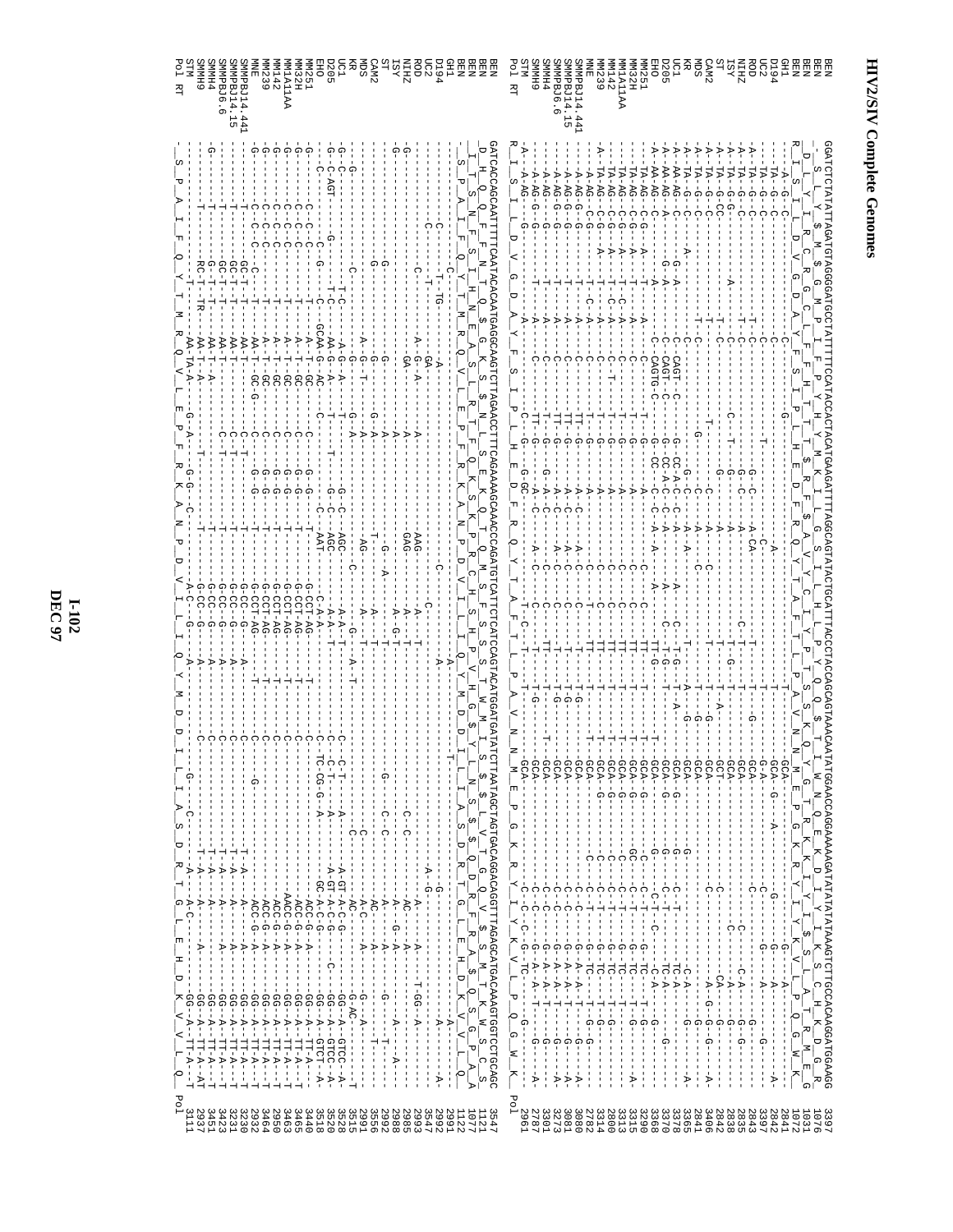| $\mathbf{A}=-\mathbf{T}\mathbf{T}-\mathbf{A}=-\mathbf{A}$<br>$-4$<br>$-1 - A - -1$                      |                                                               |                                                                                   | ۲<br>ا<br>$-4-$                                                              | п                                                        |          | ⋒                           |             |                   |         |                   |                        |               |                                                                                                      |                               |
|---------------------------------------------------------------------------------------------------------|---------------------------------------------------------------|-----------------------------------------------------------------------------------|------------------------------------------------------------------------------|----------------------------------------------------------|----------|-----------------------------|-------------|-------------------|---------|-------------------|------------------------|---------------|------------------------------------------------------------------------------------------------------|-------------------------------|
|                                                                                                         | $-{\bf A}--$<br>$-55-$<br>$-50 -$                             | $\overline{A}$<br>$\overline{A}$                                                  | $-1$<br>$-1$<br>А<br>А<br>T                                                  |                                                          | ⊅<br>⋗   | $C - C$<br>ე<br>ე<br>∩<br>∩ |             |                   |         |                   | ™-                     | ှ             |                                                                                                      | <b>PHMM</b><br>MMPBJ6         |
| $-4$<br>TT-A-<br>$\,$ I                                                                                 | $-\Delta$<br>$-50-$                                           | $\overline{A}$                                                                    | $-1$<br>Þ                                                                    |                                                          |          | G-CC-<br>ഹ                  |             |                   |         |                   |                        | しょう           |                                                                                                      | <b>MMPBJ1</b>                 |
| $\mathbf{A}--\mathbf{T}^{\mathbf{T}}-\mathbf{A}--$                                                      | $-\mathbf{A}$ – $-$<br>$-50-$                                 | $A -$<br>$\overline{\phantom{a}}$                                                 | $\frac{1}{1}$<br>А                                                           |                                                          |          | $B - C C - D$               |             |                   |         |                   | - AA –                 | C-T--         |                                                                                                      | <b>TLARINI</b>                |
| $-7$<br>$T T - A - -$<br>$\mathsf I$                                                                    | $\mathbf{I}$<br>.<br>-- ୧୦-                                   | $ACC-G--A-$<br>$\mathsf{ACC-G--A--}$                                              |                                                                              | J.<br><u>ဂု</u>                                          |          | ଢ଼<br>-CCT-A                |             |                   | ଇ       | ĠC-               | AA-'                   |               | ∩                                                                                                    |                               |
| $-66 - -A - -TT - A -$<br>$-4$<br>$\begin{array}{c}\n-\mathbf{A}-\mathbf{T} \end{array}$<br>$\mathsf I$ | $\mathbf{A}--$<br>$\mathsf I$                                 | $-ACC-G--$                                                                        |                                                                              |                                                          |          | ၐ<br>-CCT-AG                |             | ⋒<br>⋒            | Ω       | .<br>მ            | ÷.<br>$\sum_{i=1}^{n}$ |               |                                                                                                      | <b>M239</b><br>M142           |
| $\mathbf{A}=-\mathbf{T}\mathbf{T}-\mathbf{A}=-\mathbf{A}$                                               | $-50-$<br>$-55 -$                                             | $\mathbf{A}\mathbf{A}\mathbf{C}\mathbf{C}-\mathbf{G}--\mathbf{A}--$               |                                                                              |                                                          |          | -ccr-A<br>CCT-AG            |             | ଋ                 | ၐ       | $- -$             | $-4-$<br>$-1 - 9C$     |               |                                                                                                      | AAIIAIM                       |
| $\mathbf{A}--\mathbf{T}^{\mathbf{T}}-\mathbf{A}--$                                                      | $\mathbf{A}--$<br>$-55 -$                                     | $-ACC-G--$                                                                        |                                                                              |                                                          |          | <b>CT-AG</b>                |             | Ω                 | Ģ       | $-60 -$           |                        |               | Ω                                                                                                    | <b>H22H</b>                   |
| $\mathbf{A}--\mathbf{T}^{\mathsf{T}}\mathbf{T}-\mathbf{A}--$                                            | $-\Delta$<br>$-99 -$                                          | $-ACC-G--$                                                                        |                                                                              |                                                          |          | CCT-AG                      |             | Ģ                 | ဂု      |                   | 1--GC                  |               | C                                                                                                    | <b>M251</b>                   |
| $A--GTCT--\\$                                                                                           | J.<br>$-99-$                                                  | GC-A-C-G--                                                                        | $A - -$                                                                      | TC-CG-G--                                                |          | $A-A$                       |             |                   |         |                   | CAA-<br>$=-AC$         |               |                                                                                                      |                               |
| $A - GTCC - -$                                                                                          | $\mathbf{I}$<br>$-1$<br>$-99 - -$                             | $- - B - GL - A - C - G - -$                                                      | $A -$<br>$\mathbf{I}$                                                        | $\mathbf{I}$<br>$C-T--$<br>$\,$ I<br>$\frac{1}{1}$       |          |                             | -AGC        | Φ<br>ု            |         | ⋗                 | $AA -$<br>Ω<br>J       |               | C-AGT-                                                                                               |                               |
| $A - GTCC --$                                                                                           | л<br>J<br>$-99 -$                                             | $\mathbf{A} - \mathbf{G}\mathbf{T} - \mathbf{A} - \mathbf{C} - \mathbf{G} - -$    | $A$ – –<br>$\mathbf{I}$                                                      | ÷<br>$C - T -$<br>$\overline{\phantom{a}}$<br>÷          |          |                             | $-ACC$      |                   |         |                   | ٦<br>ا<br>ω            |               | ု                                                                                                    |                               |
| $\blacksquare$<br>$\mathbf{I}$<br>$\blacksquare$<br>$\mathbf{I}$                                        | $G-AC-$                                                       | $AC-$<br>-1                                                                       | $\mathbf{I}$<br>Q<br>$\mathsf I$                                             |                                                          |          |                             |             |                   |         |                   |                        |               |                                                                                                      |                               |
| Ť.<br>$-\frac{1}{2}$<br>$\frac{1}{1}$<br>J.<br>H.<br>J.                                                 | $-4$<br>ဂု                                                    | Ţ<br>$A-C--$<br>I.                                                                | H.<br>I.<br>C<br>Ţ                                                           |                                                          |          |                             | DY:         |                   |         |                   | ဂု                     |               |                                                                                                      |                               |
| $\blacksquare$<br>부<br>$\overline{1}$<br>$\mathbf I$<br>$\begin{array}{c} \hline \end{array}$           | $-4$                                                          | $\overline{1}$<br>$AC-$<br>j                                                      |                                                                              |                                                          |          |                             |             |                   | ⊅       |                   |                        |               |                                                                                                      |                               |
| $\mathbf{I}$<br>ーロー<br>$\mathbf I$<br>$\frac{1}{4}$<br>$\mathbf I$                                      | $-4$<br>ှ                                                     | $A --$<br>I.                                                                      | Ω<br>$\frac{1}{4}$<br>$\Gamma$                                               | ဂူ<br>J.                                                 |          |                             | Ω           |                   | ⊅       |                   |                        |               |                                                                                                      |                               |
| $\mathbb{I}$<br>$\overline{P}$<br>$\mathbf{I}$<br>$\mathbf{I}$<br>$\overline{Y}$                        | $A -$                                                         | A-<br>$\overline{\phantom{a}}$<br>$\frac{1}{2}$                                   |                                                                              |                                                          |          |                             |             |                   | ⊅       |                   |                        |               |                                                                                                      |                               |
| $\mathbf{I}$                                                                                            | $-{\bf V}-$                                                   | $\overline{1}$<br>$AC-$<br>$\mathbf{I}$                                           | $C - 1$<br>C<br>$\mathbf{I}$<br>$\blacksquare$<br>$\overline{1}$             |                                                          |          |                             | CAG         |                   |         |                   |                        |               |                                                                                                      |                               |
| $-GG--A---$<br>л<br>I<br>J,<br>I                                                                        | $-4-$<br>л<br>н                                               | $\mathbb{A}$<br>I<br>Í<br>J,                                                      |                                                                              |                                                          |          |                             |             |                   |         |                   | ဂု                     |               |                                                                                                      |                               |
| $\blacksquare$                                                                                          |                                                               | $\blacksquare$                                                                    | $A - G -$                                                                    |                                                          |          |                             |             |                   |         |                   |                        |               |                                                                                                      |                               |
| $-4-$<br>л<br>J.<br>п<br>$\mathbb I$<br>J.                                                              | п<br>$\frac{1}{1}$                                            | л                                                                                 | $\frac{1}{\Omega}$                                                           |                                                          |          |                             |             |                   |         |                   |                        | ភ្ជ           |                                                                                                      |                               |
| ¦<<br>$\mathbf{I}$<br>$\overline{P}$<br>⋜<br>$\mathbf{I}$<br>F<br>ö                                     | Ξ<br>Έ<br>Þ                                                   | က်<br>F<br>įĦ,                                                                    | ِ (C<br>P<br>¦7J<br>н                                                        | F<br>⋗                                                   |          |                             |             |                   |         |                   |                        |               |                                                                                                      |                               |
|                                                                                                         |                                                               |                                                                                   | CTTAATAGCTAGTGACAGGACAGGTTTAGAGCATGACAAAGTGGTCCTGCAGC                        |                                                          |          |                             |             |                   |         |                   |                        |               | TCACCAGCAATTTTCAATACAATGAGGAAGTCAAGTCTTAGAACCTTTCAGAAAAGCAAACCAAATGTCATTTCTCATCCAGTACAATACATGGATGATA |                               |
| ю<br>¦Q<br>ี่≅<br>×                                                                                     | ี่<<br>F<br>'д.                                               | ้∺<br>k<br>×                                                                      | ັດ<br>×<br>₩<br>$\mathbf{K}$                                                 | k,<br>!<br>™<br>Ρ.                                       | Δ        | ᅿ                           | Ю<br>К<br>Н | 먹<br>₩            | н<br>Ħ  | F                 | F<br>Ω                 | ω<br>∪        | īω<br>∀                                                                                              | RН                            |
| $\mathbf{I}$<br>ဂု<br>$\mathbf{I}$<br>$\frac{1}{1}$<br>J.<br>J.<br>f,                                   | $G - TC - -$<br>J<br>$\blacksquare$<br>J.<br>J.               | c--c--c-                                                                          | J.<br>л<br>л                                                                 | J,<br>$-6CA -$<br>J.<br>л                                |          |                             |             | <u>၉၄</u>         | Ω<br>ဂ္ |                   |                        |               | $A-AG$<br>ω                                                                                          |                               |
| $\mathsf I$<br>$\frac{1}{4}$<br><u>ף ף</u><br>Ť                                                         | $G - -A - -$<br>$A - T$ .<br>Ť                                | $\mathsf I$                                                                       |                                                                              | $-6C_A$                                                  |          |                             |             | റ                 | Ω       |                   |                        |               | $A-AG-G-$<br>Ω                                                                                       |                               |
| $\frac{1}{1}$<br>$\mathbf{I}$                                                                           | $\Gamma$<br>$A -$<br>$A - I$<br>н<br>$\overline{\phantom{a}}$ |                                                                                   |                                                                              | $-6C_A$                                                  |          |                             | ∩           | $\overline{r}$    |         |                   | Ω                      |               | A-AG<br>⋒                                                                                            | <b>PHIMIN</b>                 |
| $\mathbf{I}$<br>$-6 - -$<br>J.<br>İ                                                                     | $\overline{C}$<br>$A--$<br>$A - T - T -$                      | л<br>$\mathbb I$                                                                  | л<br>$\mathbb I$                                                             | $-6CA$<br>$\blacksquare$                                 |          |                             | ∩           | ∩                 |         |                   | Ω                      |               | -AG-G--<br>Ω                                                                                         | ERA                           |
| $\frac{1}{2}$<br>$\blacksquare$<br>$\frac{1}{1}$                                                        | $-G--A--A--T--\\$                                             | $-10$<br>---0<br>---0<br>Ō<br>$\mathbf{I}$<br>$\mathbf{I}$                        |                                                                              | $CQ -$                                                   | 부        |                             | ∩           | $\mathbb{F}$<br>G |         | 녑<br>$\mathbf{I}$ | ⊅<br>Ω                 |               | $A - A$ G-G--<br>Ω                                                                                   | CBEM                          |
| Ť<br>ဂှ<br>$\mathbb{I}$<br>$\mathbf{I}$                                                                 | $G - -A - -$<br>$\mathbf{A}=-\mathbf{T}=-\mathbf{A}$          | $\frac{1}{2}$<br>$\mathbb I$                                                      | $\mathbb I$<br>ł                                                             | <b>GCA</b><br>$\blacksquare$                             |          |                             | ↷           |                   |         | Ť                 |                        |               | $-9 - -9 - 0 - 0$                                                                                    | MPBJ11                        |
| $-9 - 9 - 9$                                                                                            | $G - T C -$<br>$-1 -$                                         | $-1 - 1 - 1 -$                                                                    | Ω<br>Ť                                                                       | $GCA -$                                                  |          |                             | ↷           |                   |         | H                 | Þ                      | Q             | A-AG--C-G                                                                                            |                               |
| ဂု<br>$\overline{1}$                                                                                    | $G - T C - -$<br>$-1$                                         | $\frac{1}{2}$<br>÷<br>F<br>$\overline{\phantom{a}}$<br>$\overline{1}$             | Ω<br>Ť<br>$\frac{1}{1}$                                                      | $GCA -$<br>Ω                                             |          |                             |             |                   |         |                   |                        |               | $A - AC$<br>С<br>$\frac{1}{\Omega}$                                                                  | <b>622M</b>                   |
| $\frac{1}{1}$<br>f,                                                                                     | $-10C - 1$                                                    | $C=-T=-$<br>л<br>$\mathbf{I}$                                                     | J.<br>л<br>Ť.<br>Ţ.<br>Q<br>$\frac{1}{4}$<br>$\frac{1}{1}$                   |                                                          |          |                             |             |                   |         |                   |                        | $\frac{1}{2}$ | PA-AG<br>Ω<br>$\mathbb{A}^{-}$                                                                       | M142                          |
| $\mathbf{I}$<br>$\,$ I<br>$\blacksquare$                                                                | ---PC---<br>$\frac{1}{1}$<br>÷,                               | $C - T - T -$<br>$\mathbf I$                                                      | $\overline{1}$<br>$\mathbf{I}$<br>$\frac{1}{1}$<br>$\Gamma$<br>$\frac{1}{1}$ | -GCA--G---<br>-GCA--G----<br>-GCA--G---                  |          |                             |             |                   |         |                   |                        |               | LA-AG<br>$\frac{1}{\Omega}$<br>⋗                                                                     | <b>IAIA1</b><br>VVI           |
| $\frac{1}{1}$<br>$\frac{1}{1}$<br>J.<br>$\mathbf{I}$<br>$\mathbb{I}$<br>$\mathbb I$                     | $\frac{1}{1}$                                                 | $-1 - 1 - 0$<br>J,                                                                | J.<br>J.<br>$-90 -$<br>$\frac{1}{4}$                                         |                                                          |          |                             |             |                   |         |                   |                        |               | <b>TA-AG</b><br>႕<br>$\mathbb{Y}_{-}$                                                                | <b>M32H</b>                   |
| $-9 - -1$<br>J.<br>1<br>J.                                                                              | ---rc---<br>$\frac{1}{1}$                                     | --1-1--<br>J                                                                      | $\overline{\phantom{a}}$<br>$\frac{1}{1}$<br>$\frac{1}{2}$                   | $GCA--G$<br>$\frac{1}{1}$                                |          |                             |             |                   |         |                   |                        |               | -AG                                                                                                  | L <sub>5</sub> Z <sub>M</sub> |
| Ω<br>Ţ<br>$\blacksquare$<br>$\begin{array}{c} \hline \end{array}$<br>$\mathbf{I}$<br>$\overline{1}$     | $---C - A - -$<br>$\mathbf{I}$<br>$\frac{1}{1}$               | $C-T-C--$                                                                         | $\overline{\phantom{a}}$<br>$\mathbf{I}$<br>$\blacksquare$<br><u>ဂု</u>      | $GCA -$<br>$\mathbf I$<br>$\blacksquare$<br>$\mathbf{I}$ |          |                             |             |                   |         | CAGTG-            |                        |               |                                                                                                      |                               |
| 1<br>$-6 - -$<br>ł                                                                                      | $-TC - Y - -$<br>$\mathbf{I}$                                 | $-1 - 1 -$<br>$\mathsf I$                                                         | $\frac{1}{1}$<br>$\frac{1}{\sqrt{2}}$<br>Q                                   | $GCA - G --$                                             | -<br>د ا |                             |             |                   |         | -- TOAC           |                        | ω             |                                                                                                      |                               |
|                                                                                                         | $-1C - A - -$                                                 | $-1$ $-1$ $-1$ $-1$                                                               | Ω<br>Ω                                                                       | $GCA = -G$<br>$\frac{1}{1}$                              |          |                             |             |                   |         |                   |                        |               |                                                                                                      |                               |
| $C = -1$<br>$\mathbf{I}$<br>$\mathbf{I}$<br>$\mathbf I$<br>$\mathbf I$                                  | $-C - A - -$<br>$\mathbf I$<br>$\frac{1}{1}$                  |                                                                                   |                                                                              | $GCA$ --<br>$\mathbf{I}$                                 |          |                             |             |                   | ဂု      |                   |                        |               |                                                                                                      |                               |
| $\mathbf{I}$<br>Ω<br>Ŧ<br>1                                                                             | п.<br>$\mathsf I$<br>$\overline{\phantom{a}}$<br>-1<br>п      | $\mathbf{I}$                                                                      |                                                                              | $-6C-A-$<br>$\mathbf{I}$<br>т                            |          |                             |             |                   |         |                   |                        |               |                                                                                                      |                               |
| န်<br> -<br> -<br> -<br>j.                                                                              | $---A---$<br>ဂှ                                               | Ï.<br>J.<br>$\mathbb{I}$<br>$\frac{1}{1}$                                         | C                                                                            | $GCA -$<br>J.<br>л                                       |          |                             |             |                   |         |                   |                        |               |                                                                                                      |                               |
| J.                                                                                                      | $-50-$                                                        | J.                                                                                | Q                                                                            | -409-                                                    |          |                             |             |                   |         |                   |                        |               |                                                                                                      |                               |
| ດ<br>Ť<br>$\blacksquare$                                                                                | J<br>$\overline{Y}$<br>$\mathbf{I}$                           | $\begin{array}{c} 1 \\ 1 \\ 1 \end{array}$                                        |                                                                              | $CQ -$                                                   |          |                             |             |                   |         |                   |                        |               |                                                                                                      |                               |
| $\Gamma$<br>နဲ<br>I<br>I.                                                                               | J.<br>л<br>$C - A - -$<br>ł                                   | I<br>ı<br>I<br>$\frac{1}{2}$                                                      |                                                                              | $GPA -$<br>п                                             |          |                             |             |                   |         |                   |                        |               | 넓                                                                                                    |                               |
| т<br>Ω<br>Ť<br>п                                                                                        | -1                                                            | $\frac{1}{1}$<br>т                                                                | J.<br>Ò                                                                      | $GCA -$                                                  |          |                             |             |                   |         |                   |                        |               |                                                                                                      |                               |
| $\frac{1}{1}$<br>$\mathbf{I}$<br>$\mathbb{I}$<br>$\mathbf I$                                            | $-5-$<br>$\mathbf{I}$<br>$-4-4$                               | Ŧ<br>J.<br>$\mathbf I$<br>J.                                                      | $\overline{Q}$                                                               | G-A-                                                     |          |                             |             |                   |         |                   |                        |               |                                                                                                      |                               |
| $\blacksquare$<br>$\mathbf{I}$<br>$\overline{1}$<br>$\overline{\phantom{a}}$                            | $\frac{1}{2}$<br>$\overline{A}$                               | ဂု<br>$\blacksquare$<br>$\mathbf I$<br>$\blacksquare$<br>$\overline{\phantom{a}}$ | $\frac{1}{1}$<br>$\ddot{r}$                                                  | $GCA -$<br>$\frac{1}{1}$                                 |          |                             |             |                   |         |                   |                        |               |                                                                                                      |                               |
| 'o                                                                                                      | Ģ<br>1<br>F<br>$\overline{A}$<br>$\blacksquare$               |                                                                                   |                                                                              | $G2A -$                                                  |          |                             |             |                   |         |                   |                        |               |                                                                                                      |                               |
| <u>်ဂ</u><br>¦≍.<br>ø                                                                                   | <br> <<br>'⊍                                                  |                                                                                   | ູ່ດ<br>겨                                                                     | Ξ<br><u>်ဂ</u><br>ø<br>יט <sup>ן</sup>                   |          |                             |             |                   |         |                   |                        |               |                                                                                                      |                               |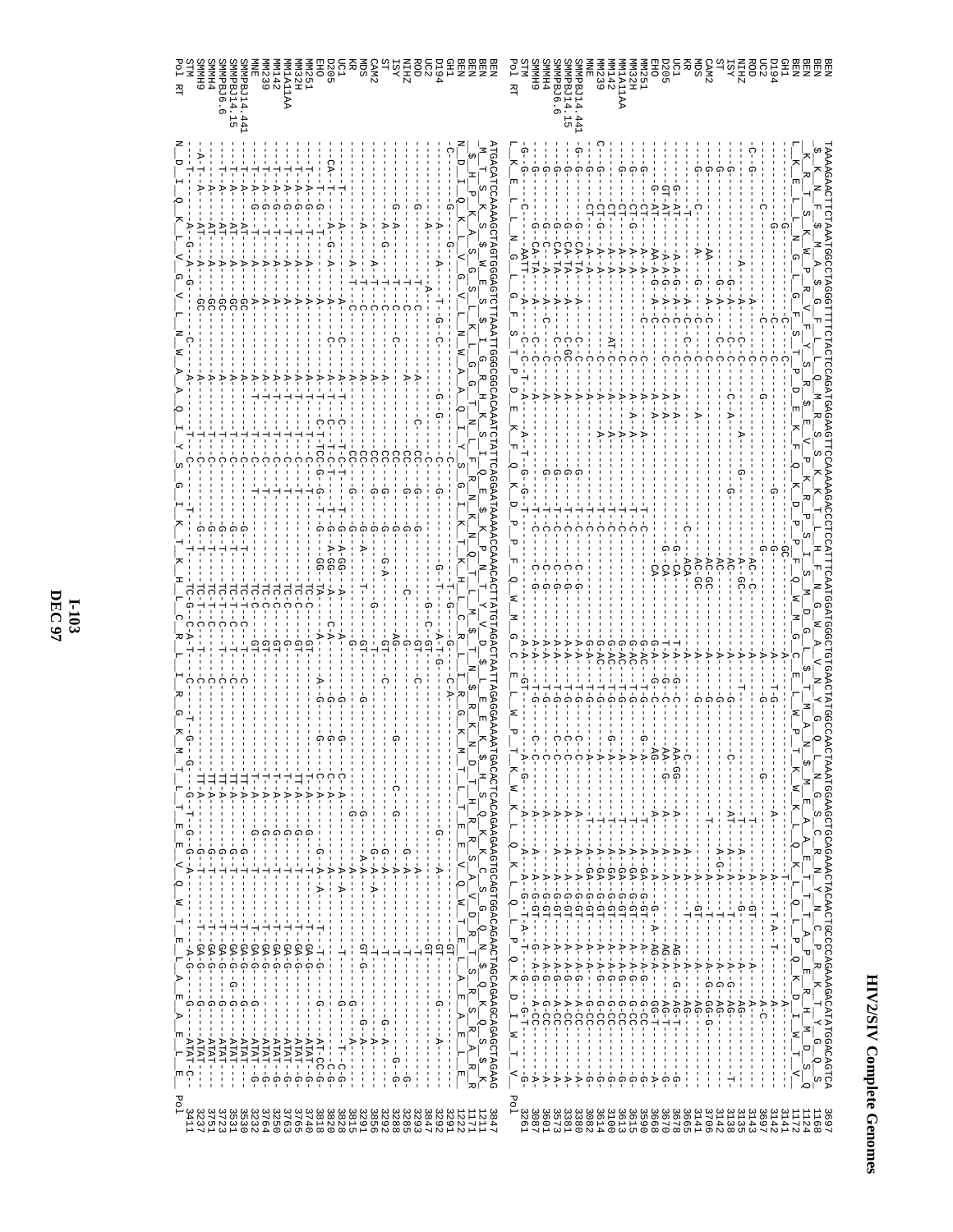#### $\begin{tabular}{c|c|c|c} \texttt{BRER} & \texttt{BRER} \\ \texttt{B} & \texttt{BRER} \\ \texttt{B} & \texttt{B} & \texttt{B} \\ \texttt{B} & \texttt{B} & \texttt{B} \\ \texttt{B} & \texttt{B} & \texttt{B} \\ \texttt{B} & \texttt{B} & \texttt{B} \\ \texttt{B} & \texttt{B} & \texttt{B} \\ \texttt{B} & \texttt{B} & \texttt{B} \\ \texttt{B} & \texttt{B} & \texttt{B} \\ \texttt{B} & \texttt{B} & \texttt{B} \\ \texttt{B} &$ **Pol**<br>Pol **STN**<br>Po1 점 ΚŢ  $\sigma$  $-441$ <br> $-15$  $\left.\begin{matrix} 1 \\ 0 \\ 0 \\ 0 \end{matrix}\right|^{-1}$ Pol Pol שה האורחה האורחים המסרה האורחים האורחים האורחים הספרים המסרים המסרים האורחים האורחים היום המסרים היום המסרים ה<br>האורחים האורחים המסרים המסרים המסרים המסרים המסרים המסרים הספרים<br>האורחים האורחים המסרים המסרים המסרים המסרים ה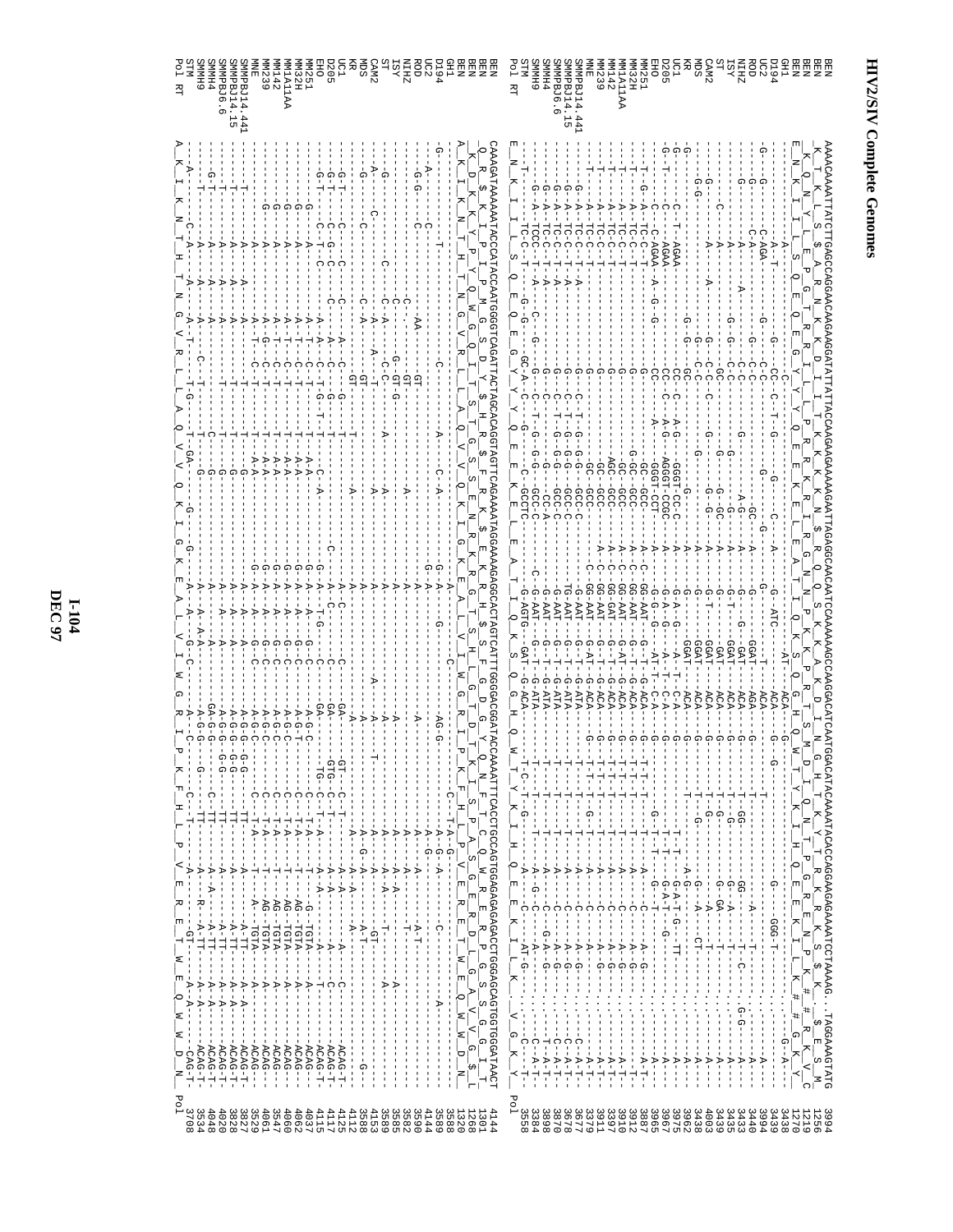| <b>GHIMIN</b><br>IMPBJG                                                                                                                                                                                                                                                                         | <b>MPBJ</b>                                                                                                       | 1142<br>1239<br>R                                                                                                                  | 132H<br>1711                                                                                                     |                                                                                                                               |                                                                                                                              |                                                                                                  |                                                                            |                        |                                                                           |                                         |                                                                                         | RT                                                                                                                                                                 |                                                                                                                      | <b>MH19</b><br><b>PHMI</b>                                                                                                                                                                                    | <b>MPB</b> .                                                                                                                                                                                                                                   | MPBJ<br>こいさい                                                                                                         |                                                                           | 1239                                                       | Z 5 I M<br><b>LA11AA</b>                                                                                      | 32H                                                                |                                                                                          |                                                                                             |                                                                                                                                    |                                               |                                                   |                                                                                          |                                                            | EHE<br>N                                                                                                                                           |                                                                                       | C<br>2                                                        |                                                          |                     |                                   |                                              |
|-------------------------------------------------------------------------------------------------------------------------------------------------------------------------------------------------------------------------------------------------------------------------------------------------|-------------------------------------------------------------------------------------------------------------------|------------------------------------------------------------------------------------------------------------------------------------|------------------------------------------------------------------------------------------------------------------|-------------------------------------------------------------------------------------------------------------------------------|------------------------------------------------------------------------------------------------------------------------------|--------------------------------------------------------------------------------------------------|----------------------------------------------------------------------------|------------------------|---------------------------------------------------------------------------|-----------------------------------------|-----------------------------------------------------------------------------------------|--------------------------------------------------------------------------------------------------------------------------------------------------------------------|----------------------------------------------------------------------------------------------------------------------|---------------------------------------------------------------------------------------------------------------------------------------------------------------------------------------------------------------|------------------------------------------------------------------------------------------------------------------------------------------------------------------------------------------------------------------------------------------------|----------------------------------------------------------------------------------------------------------------------|---------------------------------------------------------------------------|------------------------------------------------------------|---------------------------------------------------------------------------------------------------------------|--------------------------------------------------------------------|------------------------------------------------------------------------------------------|---------------------------------------------------------------------------------------------|------------------------------------------------------------------------------------------------------------------------------------|-----------------------------------------------|---------------------------------------------------|------------------------------------------------------------------------------------------|------------------------------------------------------------|----------------------------------------------------------------------------------------------------------------------------------------------------|---------------------------------------------------------------------------------------|---------------------------------------------------------------|----------------------------------------------------------|---------------------|-----------------------------------|----------------------------------------------|
| م<br>⊣                                                                                                                                                                                                                                                                                          |                                                                                                                   |                                                                                                                                    | Ω                                                                                                                | -<br>-<br>ម<br>ن<br>ج<br>∩                                                                                                    | o−<br>P                                                                                                                      | $\frac{1}{\Omega}$                                                                               | $\frac{1}{2}$<br>ፊ                                                         |                        |                                                                           | ۴<br>$\frac{1}{2}$                      |                                                                                         |                                                                                                                                                                    |                                                                                                                      | Ω<br><b>LCC</b>                                                                                                                                                                                               |                                                                                                                                                                                                                                                |                                                                                                                      |                                                                           |                                                            |                                                                                                               |                                                                    |                                                                                          |                                                                                             |                                                                                                                                    |                                               | Ω<br>Ω                                            |                                                                                          |                                                            |                                                                                                                                                    |                                                                                       |                                                               |                                                          |                     |                                   |                                              |
| ⊅<br>⊅<br>⊅<br>⋗                                                                                                                                                                                                                                                                                |                                                                                                                   |                                                                                                                                    |                                                                                                                  | G.<br>∩<br>∩                                                                                                                  |                                                                                                                              | ∩                                                                                                |                                                                            |                        |                                                                           |                                         |                                                                                         | τn<br>Ю                                                                                                                                                            |                                                                                                                      |                                                                                                                                                                                                               | ⋗                                                                                                                                                                                                                                              | ⋗                                                                                                                    |                                                                           |                                                            | ÷                                                                                                             | ł                                                                  |                                                                                          | É                                                                                           |                                                                                                                                    |                                               |                                                   |                                                                                          |                                                            |                                                                                                                                                    |                                                                                       | $-AGA-$                                                       |                                                          |                     |                                   |                                              |
|                                                                                                                                                                                                                                                                                                 |                                                                                                                   |                                                                                                                                    |                                                                                                                  | ω                                                                                                                             |                                                                                                                              |                                                                                                  |                                                                            |                        |                                                                           |                                         |                                                                                         |                                                                                                                                                                    | G)<br>Ω                                                                                                              | ଢ଼<br>⋒<br>Ω<br>↷                                                                                                                                                                                             | ⋒<br>ု                                                                                                                                                                                                                                         | ⋒<br>⋒<br>∩                                                                                                          |                                                                           |                                                            |                                                                                                               |                                                                    |                                                                                          |                                                                                             | ∩<br>∩                                                                                                                             |                                               |                                                   | Ω                                                                                        |                                                            |                                                                                                                                                    |                                                                                       |                                                               |                                                          |                     |                                   |                                              |
| ω<br>ଋ<br>Ω                                                                                                                                                                                                                                                                                     | $A - A$<br>Ω                                                                                                      | $\mathbf{A}-\mathbf{A}$<br>A-<br>Þ                                                                                                 | A-                                                                                                               |                                                                                                                               |                                                                                                                              |                                                                                                  |                                                                            |                        |                                                                           |                                         |                                                                                         | RARGATAAAAATRCCATACCAATGGGGTCAGATTACTAGGACACAGGTAGTTCAGAAAAATAGGAAAAGGGACTAGTCATTTGGGGACGGATAC<br>Ω<br>CΩ<br>囯                                                     |                                                                                                                      | ဂု<br>ဂု                                                                                                                                                                                                      | Ω<br>ဂု<br>-905-                                                                                                                                                                                                                               | Ω<br>Ω<br>-905-                                                                                                      |                                                                           | -905                                                       | -330-                                                                                                         |                                                                    |                                                                                          | GT-CCT                                                                                      | $A-G$ .<br>AGGGT-CCGC<br>BGGT-CC-                                                                                                  |                                               |                                                   | ပ္ပ်                                                                                     | $-9$                                                       | $A-G$                                                                                                                                              |                                                                                       |                                                               |                                                          |                     |                                   |                                              |
|                                                                                                                                                                                                                                                                                                 | ଋ                                                                                                                 | ଋ<br>Ω<br>ଋ                                                                                                                        | ଢ଼                                                                                                               |                                                                                                                               |                                                                                                                              |                                                                                                  |                                                                            |                        |                                                                           |                                         |                                                                                         | 囨                                                                                                                                                                  |                                                                                                                      | ъ                                                                                                                                                                                                             |                                                                                                                                                                                                                                                |                                                                                                                      |                                                                           |                                                            |                                                                                                               |                                                                    |                                                                                          |                                                                                             |                                                                                                                                    |                                               |                                                   |                                                                                          |                                                            |                                                                                                                                                    |                                                                                       |                                                               |                                                          |                     |                                   |                                              |
|                                                                                                                                                                                                                                                                                                 |                                                                                                                   |                                                                                                                                    |                                                                                                                  |                                                                                                                               |                                                                                                                              |                                                                                                  |                                                                            |                        |                                                                           |                                         |                                                                                         | Ю<br>מט                                                                                                                                                            |                                                                                                                      |                                                                                                                                                                                                               |                                                                                                                                                                                                                                                |                                                                                                                      |                                                                           |                                                            | -IAD-DE<br>3-ACA<br>3-ACA                                                                                     | 3-ACA                                                              | -TAA-25-<br>3-ACA                                                                        |                                                                                             |                                                                                                                                    |                                               |                                                   |                                                                                          |                                                            |                                                                                                                                                    |                                                                                       |                                                               | ATC                                                      |                     |                                   |                                              |
| G.<br>$-9 - 0$<br>$-5 - 5$<br>$\mathbf{I}$<br>ဂှ<br>$\mathbf{I}$<br>$\mathbf{I}$<br>J.                                                                                                                                                                                                          | Φ<br>Ω<br>$-9 - 9$                                                                                                | Φ                                                                                                                                  | $\frac{1}{1}$<br>$\frac{1}{1}$                                                                                   | -- 518<br><b>TG--</b>                                                                                                         | $-15$<br>$\mathbf{I}$                                                                                                        |                                                                                                  | ۲<br>ا                                                                     |                        |                                                                           |                                         |                                                                                         | H<br>z                                                                                                                                                             | - コーローロー                                                                                                             | $\frac{1}{1}$<br>$-\frac{1}{1}$<br>$\frac{1}{1}$                                                                                                                                                              | $\frac{1}{1}$                                                                                                                                                                                                                                  | ÷<br>부<br>$\overline{1}$                                                                                             | ACA<br>ローロー - ローー                                                         | ACA<br>ローロー - ロー                                           | ローロー - ローー<br>부<br>۲<br>ا                                                                                     | ローローー                                                              | ローローーロー                                                                                  | $C - A$                                                                                     | $C - A$<br>C – A                                                                                                                   | ACA                                           | ACA                                               | ACA                                                                                      | ACA                                                        | ACA<br>ACA                                                                                                                                         | AGA<br>I                                                                              | ACA<br>J,                                                     | ACA<br>ှု<br>$\overline{1}$                              | ⊣                   | p                                 | Ω<br>Έ                                       |
| $\mathbf{I}$<br>п<br>റ<br>J.<br>∩<br>$-1.1 - -$<br>$\frac{1}{1}$<br>t<br>-11-<br>1<br>白<br>「<br>「<br>부<br>$\blacksquare$<br>I.<br>H.<br>$\blacksquare$<br>$\overline{1}$<br>л<br>L.<br>-1<br>л<br>т<br>-1<br>1<br>$\mathbf{I}$<br>$\overline{A}$<br>A-<br>$A -$<br>$\overline{A}$               | п<br>C<br>Į<br>-<br>-<br>1<br>$\mathbb{T}-\mathbb{A}$<br>T<br>⋗                                                   | п<br>റ<br>↷<br>↷<br>$\frac{1}{1}$<br>Ï<br>$\mathsf I$<br>$\mathsf I$<br>$\mathbf I$<br>$-4-7$<br>$-5 - 7$<br>$T - R$<br>T          | C<br>$\Gamma$<br>$- - \Delta - \Delta -$<br>$\mathbb{I}$<br>$-5 - 7$<br>J.<br>л                                  | C<br>C<br>ij<br>$T - A -$<br>т<br>л<br>л                                                                                      | $\mathbf{I}$<br>Q<br>ーーー<br>$\frac{1}{2}$                                                                                    | $\blacksquare$<br>J.<br>$A = -6$<br>ဂု                                                           | $\mathbb{A}$<br>$\overline{r}$<br>ı                                        | A-                     | $A -$<br>$\mathbf{I}$<br>$\mathbf{I}$<br>$\overline{1}$<br>$\overline{r}$ | $A - -G - -$<br>$\mathbb{A}$<br>-1<br>⋗ | G<br>$T - R - -G -$<br>$A - -G - -$<br>$\overline{Y}$                                   | $\prec$<br>F<br>١T<br>ŗω<br>×<br>Έ<br>Ч<br>ď<br>Ή<br>്റ<br>Ъ<br>Ξ<br>'д<br>ю<br>ŗΩ<br>$\leq$<br>Ö<br>z                                                             | <u>ဂုံ</u><br>л<br>$\mathbb{I}$<br>л<br>$\mathbf I$                                                                  | $\frac{1}{1}$<br>Ė<br>$\overline{1}$<br>$\mathbf{I}$<br>J.<br>$\overline{\phantom{a}}$<br>부<br>н<br>$\overline{1}$<br>J.<br>$\blacksquare$<br>1<br>$\mathbf{I}$<br>ı                                          | $\frac{1}{1}$<br>л<br>J.<br>$\frac{1}{4}$<br>н<br>$\mathbf{I}$<br>J.                                                                                                                                                                           | ーーーー<br>$\mathbf{I}$<br>부<br>$\blacksquare$<br>⊣<br>⊣<br>$\overline{A}$<br>A-                                        | <u>ဂု</u><br>H<br>T<br>$\overline{A}$                                     | $\mathbf I$<br>$\frac{1}{1}$<br>н<br>$\mathbf{I}$<br>$A -$ | Ŕ<br>$\mathbb{I}$<br>ł<br>$\overline{1}$<br>н<br>н<br>T,<br>$\mathbf{I}$<br>л<br>л<br>$\overline{A}$<br>$A -$ | Ĥ<br>!<br>ı<br>ł<br>۲<br>ا<br>J.<br>$\mathbf I$<br>I               | T<br>$\mathbf{I}$<br>부<br>$\overline{A}$                                                 | $\mathbf{I}$<br>1<br>ဂု<br>$\frac{1}{1}$<br>부<br>부<br>$\begin{array}{c} \hline \end{array}$ | $\blacksquare$<br>-<br>--<br>부<br>Ė<br>부<br>$\begin{array}{c} \hline \end{array}$                                                  | л<br>$\frac{1}{1}$<br>I                       | $\frac{1}{1}$<br>$\mathsf I$<br>Ω<br>ı<br>I.<br>L | ۲<br>ا<br><u>ဂုံ</u><br>л<br>$\mathbf{I}$                                                | ÷<br> <br>န<br>                                            | $-1$<br>$\,$ I<br>Ω<br>J.                                                                                                                          | I.<br>$\frac{1}{1}$<br>J.<br>J.<br>J.                                                 | $\frac{1}{1}$<br>ť<br>л<br>п<br>J.<br>л<br>л<br>л<br>J.<br>J. | п                                                        | ю                   | þ<br>z<br>A<br>ď                  | ⊣<br>×<br>қ<br>$\overline{\phantom{0}}$<br>₩ |
| $A -$<br>$\mathbf{I}$<br>$\mathbb{A}$<br>J.<br>--<br>B---<br>B---<br>$\overline{1}$<br>1<br>$\mathsf I$<br>I<br>$\mathbf{I}$<br>п<br>I<br>$\overline{\phantom{a}}$<br>$\mathbf{I}$<br>$A-TT$ -<br>$A-TT-T$<br>$A-TT-T$<br>GT-<br>$\mathbf I$<br>$\overline{1}$<br>л<br>п                        | 부<br>$\mathbf{I}$<br>I<br>$\frac{1}{1}$<br>$\mathbf{I}$<br>$A--TGTA-$<br>$\mathbf{I}$<br>$\overline{1}$<br>$A-TT$ | $\mathbf{I}$<br>$\mathbf{I}$<br>$\overline{1}$<br>I<br>$\mathbf{I}$<br>$\mathbf{I}$<br>AG--TGTA<br>$AG-$<br>T<br>-TGTA<br>$-LGLA-$ | ۲<br>ا<br>ゖ<br>$\frac{1}{1}$<br>л<br>J.<br>AG.<br>$AG--TGTA-$<br>$\mathbf I$<br>Ω<br>$-TGTA-$<br>л               | $A--$<br>$A - -$<br>$A -$<br>$A--$<br>J.<br>л<br>$\frac{1}{1}$<br>$\frac{1}{1}$<br>$\sum_{i=1}^{n}$<br>$\sum_{i=1}^{n}$<br>J. | $A - 1$<br>$A$ – – $A$<br>$\overline{Y}$<br>$\overline{A}$<br>$-{\bf A}--$<br>$\mathbf{I}$<br>$\mathbf{I}$<br>$\overline{Y}$ | $A$ – –<br>J.<br>п<br>$\overline{1}$<br>J,<br>$\blacksquare$<br>$\mathbf{I}$<br>$-1 - 1 -$<br>J. | $A - -A - -$<br>$A$ – $-$<br>$\mathbf{I}$<br>I<br>J.<br>н<br>-ID<br>Ť<br>I | $A -$<br>A-<br>л<br>J. | $\mathbf{I}$<br>$\mathbf{I}$<br>Ĥ<br>$\mathbf{I}$<br>т                    | $\mathbf{I}$<br>$L - V$<br>f,           | I<br>t<br>J.<br>$\mathbf{I}$<br>J<br>Ţ<br>$\mathbf{I}$<br>C<br>Ţ<br>J.<br>J.<br>J,<br>л | ົດ<br>'n<br>Ħ<br>₩<br>E<br>ੱਡ<br>'n<br>E<br>゙゚゚゚゙゙゙゙゙ヹ<br>×<br>'n<br>ਸ਼<br>ō<br>Η<br>Ή<br>٣<br>H<br>F<br>z                                                         | $A -$<br>ł<br>$\mathbf{I}$<br>C<br>Ţ<br>л<br>J.<br>$\mathbf{I}$<br>$-5L-0$                                           | $A -$<br>$A - -A$<br>$\Gamma$<br>$\frac{1}{1}$<br>Ω<br>Ω<br>÷<br>J.<br>$\overline{1}$<br>1<br>$\frac{1}{1}$<br>ဂု<br>А<br>Þ<br>T,<br>l.<br>$\mathbf{I}$                                                       | $A -$<br>J.<br>ł<br>Ω<br>$\frac{1}{1}$<br>$\frac{1}{1}$<br>$A -$                                                                                                                                                                               | ∩<br>∩<br>$\mathbf{I}$<br>J.<br>$\blacksquare$<br>$\mathbf{I}$<br>$\mathbf{I}$<br>$A -$<br>$A - -$<br>$\blacksquare$ | Ω<br>$\mathbf{I}$<br>$\mathbf{I}$<br>Ť.<br>$\overline{Y}$<br>$\mathbf{I}$ | $\overline{1}$<br>Ω<br>Ť<br>$\frac{1}{1}$<br>$-4$          | л<br>J.<br>$\mathbf{I}$<br>Ω<br>∩<br>Ť<br>$\mathsf I$<br>Ť<br>$\frac{1}{1}$<br>$A - -$<br>$A - -$             | $A - -$<br>J.<br>$\frac{1}{4}$<br>Ω<br>Ŧ<br>$\frac{1}{1}$<br>$-4-$ | т<br>∩<br>$\mathbf{I}$<br>$\mathbf{I}$<br>$\mathbf{I}$<br>$\overline{A}$<br>$\mathbf{I}$ | $\blacksquare$<br>ဂု<br>$\blacksquare$<br>$\begin{array}{c} \end{array}$                    | $- - - - - - - - - - - - - - -$<br>$\overline{1}$<br>$C - A - T$<br>ှ<br>$\mathbf{I}$<br>$\mathbf{I}$<br>$-1.5 -$<br>$\frac{1}{1}$ | $A-G--$<br>ı<br>п<br>J.<br>J.<br>I.<br>I<br>п | <u>ရာ</u><br>၂<br>÷<br>P<br>I.<br>$-12 -$<br>÷    | п<br>-1<br>$\mathbf{I}$<br>$\mathbf{I}$<br>$A -$<br>л<br>$\frac{1}{1}$<br>$\blacksquare$ | $\mathbf{I}$<br>ှ<br> <br> <br>$-5A-$<br>$\mathbf{I}$<br>휴 | $\blacksquare$<br>л<br>ဂု<br>85--<br>$\blacksquare$<br>$\mathbb{A}$<br>I<br>J.<br>л<br>ţ<br>$\blacksquare$<br>$\frac{1}{1}$<br>$\blacksquare$<br>Ė | 1<br>J.<br>1<br>ъ<br>Ĩ,<br>$\begin{array}{c} \end{array}$<br>$\frac{1}{1}$<br>부<br>I. | л<br>I<br>л<br>л                                              | -1<br>ဂုံ<br>$\mathbf I$<br>$-000 - 1$<br>$\overline{1}$ | Ħ<br>Ħ              | "ם.<br>ה<br>'ਸ਼<br>'n<br>þ<br>∣ − | 'n<br>.<br>دo                                |
| п<br>ш<br>$\blacksquare$<br>J.<br>$A - -A -$<br>$A$ – – $A$<br>A-<br>$A - A -$<br>$A -$<br>$-\nabla -$<br>→<br>ト<br>$\lambda$<br>J.<br>$\blacksquare$<br>л<br>л<br>п<br>п<br>п<br>J.<br>ı<br>J.<br>$\blacksquare$                                                                               | $\blacksquare$<br>$\mathbb{A}$<br>$A -$<br>÷.<br>$\mathbf{I}$<br>л<br>$\mathbf{I}$<br>J,                          | J.<br>J.<br>⊅<br>$\overline{A}$<br>$\overline{r}$<br>-ACAG<br>-ACAG                                                                | $\overline{\phantom{a}}$<br>J<br>$\blacksquare$<br>$\blacksquare$<br>$\overline{A}$<br>ř<br>$\overline{1}$<br>J, | I<br>л<br>н<br>↷<br>I,<br>I                                                                                                   | ∩                                                                                                                            | л<br>$\mathbf I$                                                                                 | л<br>$\overline{r}$                                                        | J.<br>$\overline{A}$   |                                                                           |                                         | л<br>л<br>л<br>$\overline{r}$<br>J.<br>л<br>л                                           | AAAATTTCACCTGCCAGTGGAGAGAGAGCCTGGGAGCAGTGGTGGGATAACT<br>Ω<br>ဂ<br>k<br>b<br>מ'<br>ኳ<br>Ö<br>'co<br>◁<br>₹<br>Ξ<br>ົດ<br>$\prec$<br>Ξ<br>ົດ<br>ົດ<br>ຸດ<br>ŢΩ,<br>× | Ť,<br>$\mathbf{I}$<br>$\frac{1}{4}$<br>$\vdots$<br>$\ddot{\cdot}$<br>$\cdot$<br>I.<br>J.<br>H.<br>$\mathbf{I}$<br>Ċ- | Ġ<br>Ţ<br>$\blacksquare$<br>- 1<br>$\overline{\phantom{a}}$<br>$\mathbf{I}$<br>$\,$ $\,$<br>$\vdots$<br>$\overline{\phantom{a}}$<br>-1<br>$\overline{1}$<br>$\mathsf I$<br>$\overline{1}$<br>$\Gamma$<br>$-1$ | Ġ<br>Ţ<br>$\frac{1}{4}$<br>$\vdots$<br>л<br>$\mathbf I$<br>د-<br>ا                                                                                                                                                                             | ଋ<br>Ω<br>$\mathbf{I}$<br>$\blacksquare$<br>$\overline{1}$<br>$\blacksquare$<br>c<br>-<br>ှ<br>                      | $\mathbf{I}$<br>$\ddot{\cdot}$                                            | Ω<br>Ţ<br>$\mathbf I$<br>$\vdots$<br>$\vdots$<br>ł         | ဂှ<br>Ω<br>$\mathbf{I}$<br>J.<br>$\mathbf I$<br>$\overline{1}$<br>$\vdots$<br>ł                               | Ω<br>Ť<br>J.<br>п<br>$\vdots$                                      | ⋒<br>$\mathbf{I}$<br>$\mathbf{I}$<br>$\vdots$                                            | $\mathbf{I}$<br>$\mathbf{I}$<br>$\ddot{\cdot}$<br>ł                                         | $\overline{1}$<br>$\mathbf{I}$<br>$\begin{array}{c} \hline \end{array}$<br>$\vdots$                                                | I<br>$\ddot{\cdot}$                           | ı<br>J.<br>п<br>$\overline{1}$                    | п<br>л<br>п                                                                              |                                                            | Ò<br>Ţ<br>п<br>л<br>$-9 - 0 - 0$<br>ł                                                                                                              | J.<br>1<br>$\begin{array}{c} \end{array}$<br>J.<br>ı<br>л<br>1                        | J.<br>л<br>f,<br>л<br>л<br>$\mathbf{I}$<br>л                  | -1<br>$\mathbf{I}$<br>$\mathbf I$<br>$\cdot$             | ົດ<br>ဂု            | ×<br>₩<br>$_{\rm \pm}$<br>'ਸ਼     | 'n,<br>'≍<br>-02<br>'n,                      |
| $-ACAG-T-$<br>$-ACAG - T -$<br>$-ACAC-T-$<br>ACAG-T-<br>CAG-T-<br>4年1111112月19日である。そのこのことはそうです。そうきょうきょうきょうごうないと思いるのでもないというのでもないことでしょうとうないことからのものになります。そのことは、そのころは、そのころは、そのころは、そのころは、そのことは、そのことは、そのことは、そのことは、そのことは、そのことは、そのことは、そのことは、そのことは、そのことは、そのことは、そのことは、そのことは、そのことは、そのことは、そのことは、そのことが、そのことが | $-ACAG - -$<br>$-ACAG-TT-$                                                                                        | $-ACAG - -$<br>$\overline{1}$<br>1                                                                                                 | $-ACAC - -$<br>$-ACAG - -$                                                                                       | -ACAG-T-<br>$-ACAG-T-$                                                                                                        | ACAG-T-                                                                                                                      | ှု<br>Ť<br>$\mathbf{I}$                                                                          |                                                                            |                        |                                                                           |                                         |                                                                                         | Η<br>٠m<br>g.<br>$\mathbf{K}$<br>Η<br>Ή<br>Pol                                                                                                                     | $\mathbf{I}$<br>н<br>J.                                                                                              | $-1 - 1 -$<br>$\mathbbm{A}-\mathbbm{A}$<br>Ť                                                                                                                                                                  | $A-T$<br>ť<br>שלא של הרבונים של שלושה של הרבונים של הרבונים של הרבונים של הרבונים של שלושה של הרבונים שלושה של הרבונים של הר<br>שלושה הרבונים של הרבונים של הרבונים של הרבונים של הרבונים של הרבונים של הרבונים של הרבונים של הרבונים של היה ש | $L - V$<br>$\geq$<br>н                                                                                               | $A-T$                                                                     | $\mathbbm{A}-\mathbbm{A}$<br>$\overline{1}$                | $-1 - 1 - 0$<br>$L - V$                                                                                       | $\mathbf{I}$<br>부                                                  | $A-T$                                                                                    | Þ<br>$\overline{A}$<br>Ī.<br>J.                                                             | $\overline{A}$                                                                                                                     | $\overline{Y}$<br>I                           | $A -$<br>1                                        | $A -$<br>л                                                                               | $A -$                                                      | $\mathbb{Y}_{-}$<br>$A -$                                                                                                                          | Þ<br>J<br>1                                                                           | ъ<br>Ţ<br>J.                                                  |                                                          | $\overline{A}$<br>Ŕ | $\prec$<br>'n                     | ŗω.<br>Ξ                                     |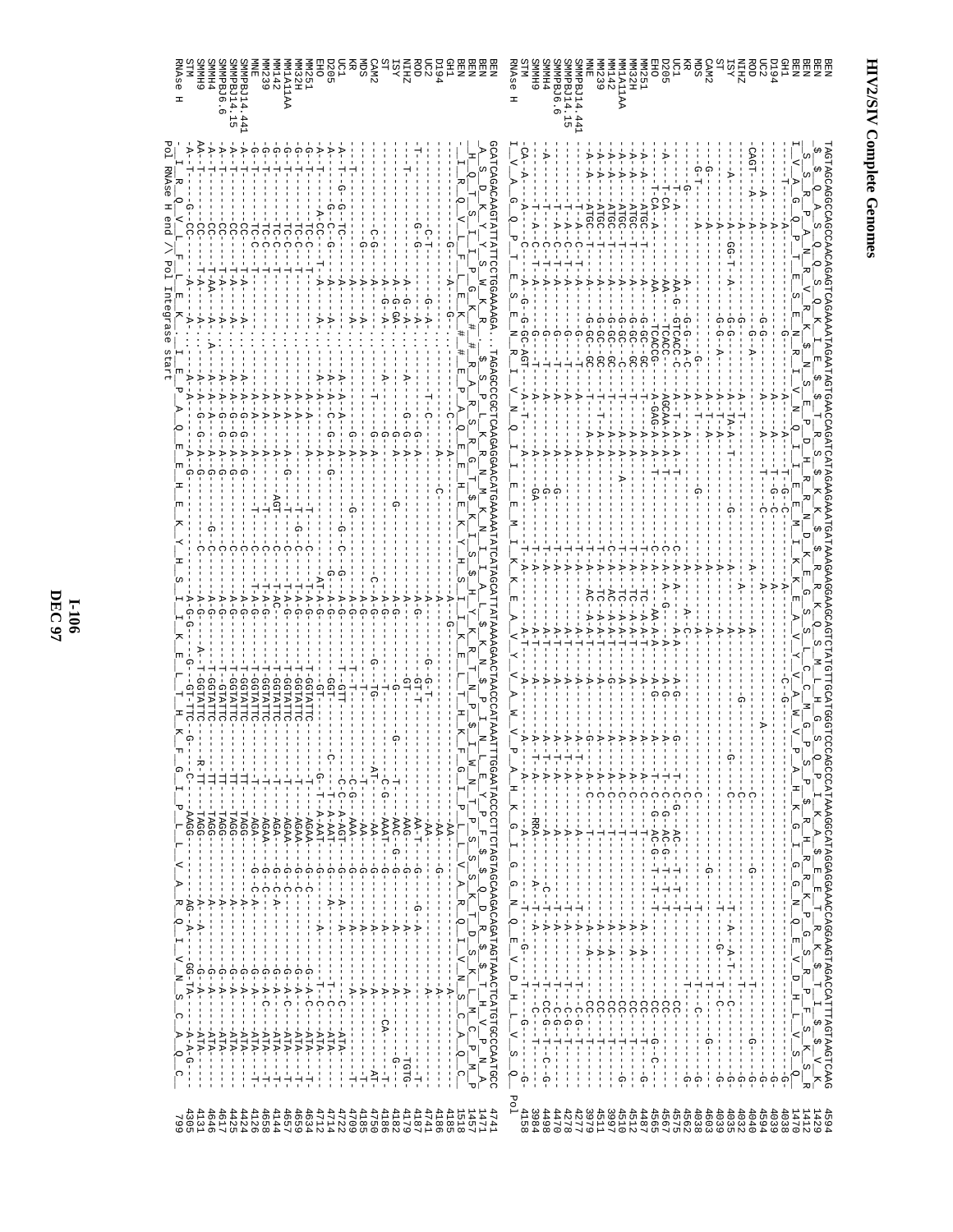| GCATCAGACAAGTATTATTCCTGGAAAAGA.<br>$\frac{1}{\Omega}$<br>$\frac{1}{\Omega}$<br>$\frac{1}{\rho}$<br>Ġ<br>÷<br>⊢<br>؋<br>$CA -$<br>$\overline{A}$<br>Ω<br>∀−<br>$\mathbb{A}$<br>⋗<br><b>ZAGT-</b><br>Þ<br>ኌ<br>$A -$<br>⊲<br>å<br>ģ<br>c٥<br>Ģ<br>闩<br>G-T<br>∱<br>ż<br>Ξ<br>ኴ<br>ن<br>ا<br>Ò<br>ω<br><b>T-CA</b><br>ω<br>쿠<br>$CA -$<br>ົດ<br>Þ<br>ATGC--<br><b>ATGC</b><br>ATGC.<br>ATGC<br>ATGC.<br>ATG<br>۴<br>ю<br>Q<br>S<br>Sc<br>⊅<br>ă<br>FC-<br>ă<br>rC-<br>∩<br>∩<br>n<br>∩<br>ဂု<br>ဂု<br>ု<br>Ω<br>ု<br>ł<br>Α<br>$\mathbf{I}$<br>á<br>H.<br>C<br>Q<br>C<br>ଋ<br>Ω<br>Ω<br>Ω<br>⋒<br>∩<br>ရှ<br>H<br>T<br>н<br>н<br>$-L-A-$<br>보<br>$T - AA$ .<br>년<br>চ্য<br>Ď<br><b>AA-G</b><br>$\overline{A}$<br>ு<br>⊅<br>⊅<br>ъ<br>D<br>AA-<br>AA-<br>מט<br>$G - -A$<br>$G - A -$<br>ဂု<br>$G-GA$ .<br>Ω<br>囨<br>Ω<br>$\mathbb{F}$<br>⊅<br>∀−<br>A-<br>Þ<br>A-<br>⋗<br>A-<br>⊅<br>⋗<br>⋗<br>G-GC-AGT<br>GTCACC-C<br>G-G<br>ω<br>ဂု<br>Q-G<br>39-9<br>0<br>3-GC--5C<br>G-GC.<br>-99--99-5<br>3-GC--95-5<br>reacee<br>Ξ<br>Ġ<br>CACC-<br>Ω<br>Ω<br>Ω<br>Ω<br>Ω<br>Ω<br>ଜ<br>ଢ଼<br>₩<br>$\sum_{i=1}^{n}$<br>Ġ<br>8<br>Ω<br>Ļ<br>ုပ်<br>C<br>H<br>$\overline{Y}$<br>ъ<br>$\frac{1}{2}$<br>CΩ<br>⊅<br>⊲<br>Þ<br>i<br>P<br>А<br>Ъ<br>ъ<br>₩<br>ኳ<br>ኔ<br>⊅<br>⊅<br>⊅<br>ኌ<br>ゼ<br>Þ<br>ኌ<br>$A - T -$<br>$A - T - T -$<br>ታ<br>⊣<br>넌<br>A-GAG-<br>AGCAA-.<br>Þ<br>Ţ<br>z<br>青土<br>Ŷ<br>Ġ<br>Ď<br>Þ<br>₫<br>ά<br>ဂှ<br>Ω<br>ъ<br>⊅<br>C<br>C<br>TA-<br>ດ<br>⋒<br>Ю<br>ဂှ<br>÷<br>⊢<br>ъ<br>Φ<br>ω<br>ω<br>ω<br>Ģ<br>φ<br>ω<br>Ģ<br>ታ<br>ω<br>ၐ<br>ъ<br>$\overline{r}$<br>$\overline{1}$<br>$\frac{1}{\mathcal{V}}$<br>ь<br>ъ<br>ኔ<br>ኴ<br>⊅<br>$\overline{r}$<br>ъ<br>ъ<br>ъ<br>э<br>z<br>Ω<br>Ω<br>∩<br>ດ<br>⋒<br>⋒<br>⋒<br>Ħ<br>$-6A -$<br>∩<br>ω<br>ω<br>ω<br>ဂု<br>G.<br>AGT.<br>Ħ<br>н<br>н<br>Ω<br>Ģ<br>C<br>н<br>↷<br>↷<br>റ<br>∩<br>∩<br>↷<br>∩<br>н<br>н<br>н<br>⊣<br>부<br>н<br>∩<br>н<br>н<br>∩<br>⊣<br>∩<br>C<br>0<br>0<br>∀−<br>⊅<br>۲<br>Ω<br>ω<br>$AT -$<br>G<br>$\frac{1}{\sqrt{2}}$<br>분<br>$\overline{A}$<br>년<br>분<br>부<br>1<br>∀−<br>ЭÝ.<br>FC-<br>$TC$ --<br>R<br>ъ<br>⊅<br>⊅<br>$A-G$<br>Þ<br>$A-G$<br>ኔ<br>⊅<br>⊅<br>$A-G$<br>$A-G$<br>$A-G$<br>囝<br>.<br>ດ<br>စ်<br>႕<br>ငှ<br>ဂ္ဂ်<br>ဂ္ဂ်<br>႕<br>ငှ<br>ဂု<br>HH-<br>$A - A - T$<br>$R - R - T$<br>$-\nabla -$<br>$A - A$<br>A-T<br>⊅<br>$\mathbf{A}-\mathbf{T}$<br>$A-T$<br>⊅<br>Þ<br>$A -$<br>A-T<br>Ω<br>$\prec$<br>≺<br><b>P-GGTATTC</b><br>P-GGTATTC<br>CGTATTC<br>⊲<br>-GGTATTC<br>-GGTATTC<br>-GGTATTC<br>-<br>-<br>ម<br>GGTATTC<br>91-I<br>А<br><b>GGTATTC</b><br>GGT.<br>GT-<br>ъ<br>ъ<br>⊅<br>Þ<br>Ω<br>Þ<br>ъ<br>⊅<br>J.<br>₹<br>$A-G$<br><b>GTATTC</b><br><b>GTATTC</b><br>$A-G$<br>년<br>ă<br>CTATTC<br><b>GTT</b><br>년<br>부<br>ω<br>ଢ଼<br>₩<br>≲<br>⊲<br>ъ<br>ъ<br>ъ<br>ъ<br>⋗<br>⊅<br>ດ<br>⋗<br>ี่≍<br>$R-TT$ -<br>GGAATACCCCTTCTAGTAGCAAGACAGATAGTAAACTCATGTGCCCAATGCC<br>J.<br>$\mathbf{I}$<br>$- -A$ .<br>$-111$<br>J<br>H<br>$\frac{1}{1}$<br>ł<br>-1<br>$-1$<br>'ဂ<br>ー<br>コロー<br>፞፞<br>$-4$<br>$-LL-$<br>$\frac{1}{1}$<br>$-1 -$<br>'n,<br>녑<br>$\mathbf{I}$<br>ω<br>$\mathbf{k}_i$<br>Þ<br>$\overline{A}$<br>⋗<br>$A -$<br>п.<br>$\mathbf{I}$<br>$\blacksquare$<br>$-5 - 0$<br>$A -$<br>⋗<br>$A$ --<br>$A$ --<br>$A -$<br>$A -$<br>$-1$<br>$\frac{1}{1}$<br>$\mathbf{I}$<br>부<br>Ĥ<br>부부<br>C-G--<br>보<br>$\frac{1}{1}$<br>부<br>$C - C = -A - A G T - -$<br>부<br>ħ<br>ł<br>$\mathbf{I}$<br>ŧ<br>п<br>л<br>Ļ<br>Έ<br>$\mathbb{I}$<br>$\mathbf{I}$<br>TAA-A-T<br>È.<br>G<br>C<br>C<br>G<br>Ω<br>$C - G - - - RC - -$<br>C-<br>Q<br>C<br>G<br>∩<br>Ω<br>G<br>م<br>-<br>$\mathbf{H}$<br>$\frac{1}{1}$<br>ł<br>ł<br>$\frac{1}{1}$<br>ł<br>$-6 - -$<br>ł<br>!<br>په<br>۱۳.<br>k<br>J<br>$-LAGG--$<br>$\mathbb{F}_{\mathbb{P}_i}$<br>TAGG--<br>TAGG--<br>TAGG--<br>TAGG--<br>$-AGAA$ -<br>$A - AAT - -$<br>$-PAP$<br>$- - 2A - - - - -$<br>$-AAAT$ -<br>$-RRA--$<br>$\,$ I<br>$-1 - 1 - 1 -$<br>$-1 - 1 - 1$<br>ţ<br>$\Gamma$<br>$\,$ I<br>$\mathbf I$<br>$-AGA -$<br>$-AGAA-$<br>$-7P$ A-T-<br>$- - A A - - -$<br>$\mathbf{I}$<br> <br>മ<br>$AGAA --$<br>AGA-<br>AGAA-<br>$AAC--$<br>$AAG--$<br>$-1$<br>$\frac{1}{1}$<br>$-AA$ - $-AA$<br>$\blacksquare$<br>÷<br>÷<br>÷<br>J,<br>$\frac{1}{1}$<br>ŧ<br>$\frac{1}{1}$<br>I.<br>$\frac{1}{4}$<br>Ļ,<br>$AA$ --<br>$AA$ --<br>Ή<br>L.<br>$A$ – – – –<br>$-4$<br>$-\Delta$<br>$-4$<br>$A$ – $-$<br>Ť<br>$AC-G--$<br>AC-G---T--T--コ--<br>$\mathsf I$<br>$\frac{1}{1}$<br>$\frac{1}{5}$<br>'n<br>$\mathbf{I}$<br>$\frac{1}{1}$<br>ł<br>H.<br>ŀΩ<br>$\mathsf I$<br>$\mathbb{L}$<br>နဲ<br>၂<br>$\mathbb{I}$<br>$\mathbf{I}$<br>$\mathbf{I}$<br>L<br>$\mathbf{I}$<br>$\mathbf I$<br>$\mathsf I$<br>J.<br>$\frac{1}{2}$<br> <br>൧<br>$\mathbf I$<br>$\frac{1}{1}$<br>Ť<br>$\frac{1}{1}$<br>$\,$ I<br>$\frac{1}{4}$<br>$\frac{1}{2}$<br>$\begin{array}{c} \rule{0pt}{2.5ex} \rule{0pt}{2.5ex} \rule{0pt}{2.5ex} \rule{0pt}{2.5ex} \rule{0pt}{2.5ex} \rule{0pt}{2.5ex} \rule{0pt}{2.5ex} \rule{0pt}{2.5ex} \rule{0pt}{2.5ex} \rule{0pt}{2.5ex} \rule{0pt}{2.5ex} \rule{0pt}{2.5ex} \rule{0pt}{2.5ex} \rule{0pt}{2.5ex} \rule{0pt}{2.5ex} \rule{0pt}{2.5ex} \rule{0pt}{2.5ex} \rule{0pt}{2.5ex} \rule{0pt}{2.5ex} \rule{0$<br>$\mathsf I$<br>$\mathbf I$<br>$\mathsf I$<br>$- - 0 - -$<br>!<br>⊹∿<br>k<br>$\overline{\phantom{a}}$<br>$\mathbf{I}$<br>$\mathbf{I}$<br>$\overline{\phantom{a}}$<br>$\mathbf{I}$<br>$\mathbf{I}$<br>$\blacksquare$<br>J.<br>J.<br>$\overline{\phantom{a}}$<br>$\overline{\phantom{a}}$<br>J.<br>$\frac{1}{\Omega}$<br>ဂှ<br>ှ<br> <br>$\frac{1}{2}$<br>ဂူ<br>$G--C-A$<br>ဂု<br>Ω<br>ω<br>$-5 - -5$<br>ဂု<br>$\Gamma$<br>ဂု<br>ဂု<br>$-1$ $-1$ $-1$ $-1$ $-1$<br>------<br>$\overline{1}$<br>-1<br>L.<br>- 1<br> <br>വ<br>$\frac{1}{2}$<br>¦o<br>Þ<br>$\frac{1}{2}$ $\frac{1}{2}$<br>$\begin{array}{c} 1 \ 1 \end{array}$<br>Ģ<br>$\mathbf{I}$<br>п<br>$\mathbf{I}$<br>ı<br>k<br>ł<br>Į<br>$\mathbb{I}$<br>$\mathbf I$<br>$\mathbf{I}$<br>$\mathbf I$<br>$- \Delta - - \Delta -$<br>$\mathbf I$<br>$\,$ I<br>$\mathbf I$<br>$\frac{1}{1}$<br>十里山<br>$\mathbb{I}$<br>J.<br>¦≂<br> <br> J<br> x<br>$A---A---$<br>$A -$<br>$\lambda$ -<br>$A -$<br>$\overline{A}$<br>ъ<br>$A -$<br>$A$ - - - $A$<br>- 1 - - - - - -<br>$\mathbb{I}$<br>$\mathbb{I}$<br>-1<br>¦⊣<br>Ŧ<br>H<br>I<br>$-1$<br>H<br>T<br>$\mathbf{I}$<br>$\mathbf{I}$<br>$\blacksquare$<br>$\mathbf{I}$<br>$\mathbf{I}$<br>$\sqrt{\frac{1}{2}}$<br>$-1 - 7 - -1$<br><b>コーマーー</b><br>$\mathbf{I}$<br>J.<br>J.<br>۲<br>ا<br>L.<br>۲<br> <br>۲<br>ا<br>$\mathbf{I}$<br>$\mathbf{I}$<br>- 11<br>J<br>J.<br>$--\mathbf{A}---\mathbf{A}--$<br>$--\mathbb{A}---\mathbb{A}--$<br>J.<br>J.<br>-1<br>-1<br>$\mathbf{I}$<br>J<br>$\blacksquare$<br>$\mathbf{I}$<br>л<br>þ<br>$\mathbb{I}$<br>$\mathbb{I}$<br>$A$ – $-$<br>$-4-$<br>$-4$<br>$\overline{r}$<br>$\overline{r}$<br>$\overline{Y}$<br>$-4-$<br>$-4$<br>$-4$<br>J.<br>L.<br>J.<br>$\mathbf{I}$<br>$\blacksquare$<br>$-4-$<br>$-\Delta$<br>⋗<br>L.<br>$\blacksquare$<br>$A - -$<br>'n,<br>$\blacksquare$<br>T.<br>$\blacksquare$<br>$\mathbf{I}$<br>-1<br>л.<br>$\mathbf{I}$<br>л.<br>$\frac{1}{1}$<br>$\mathbf{I}$<br>Ή<br>'n<br>$\mathsf I$<br>$\mathbf I$<br>T.<br>$\mathbf I$<br>$\mathbf{I}$<br>J.<br>¦∽<br>¦<br>$\mathbf I$<br>$\mathbf I$<br>$\overline{Q}$<br>$\,$ I<br>$-4 - -$<br>$-4 - -$<br>$\frac{1}{2}$<br>$-1 - 1 - -$<br>$\frac{1}{2}$<br>'s<br>$\,$ I<br>$\mathcal{A}$<br>$A -$<br>$\mathbf{I}$<br>$\frac{1}{4}$<br>$\frac{1}{1}$<br>$\mathbf{I}$<br>$\blacksquare$<br>$\mathbf{I}$<br>$\frac{1}{4}$<br>$\frac{1}{2}$<br>$\blacksquare$<br>$\overline{\phantom{a}}$<br>$\blacksquare$<br>$\mathbf{I}$<br>$\mathbf{I}$<br>$\mathbf{I}$<br>$\blacksquare$<br>ł.<br>k,<br>!<br>به<br>$\blacksquare$<br>$\mathbf{I}$<br>$\blacksquare$<br>$\frac{1}{1}$<br>-1<br>GG-TA<br>$L = H - L - V$<br>k<br>$G - -A - -$<br>Į<br>Ť<br>$\frac{1}{1}$<br>$\Gamma$<br>$-1$<br>$\frac{1}{1}$<br>$\overline{C}$<br>$Q -$<br>$\Gamma$<br>$\overline{C}$<br>$\frac{1}{1}$<br>$\Omega$<br>$G--A-C$<br>$-1 - 1 - 1 - 1 - 1$<br>ŧί<br>$-1 - 1 - -c$<br>$\frac{1}{1}$<br>J.<br>$\mathbf{I}$<br>ŧ<br>$\frac{1}{1}$<br>$\frac{1}{1}$<br>Ť<br>$\frac{1}{1}$<br>J.<br>$-1$ + $-1$ - $-1$<br>Ĵ<br>$\frac{1}{4}$<br>I.<br>$- - \mathbf{A} - -$<br>$\frac{1}{2}$<br>- 1 - 1 - 1 - 1<br>-1<br>J.<br>-1<br>H<br>$\downarrow$<br>$-4-4-$<br>÷,<br>н<br>H<br>!<br>ローーC--<br>$\begin{array}{l} 0\to 0\to -\frac{1}{2} \cr -\frac{1}{2} \cr -\frac{1}{2} \cr -\frac{1}{2} \cr -\frac{1}{2} \cr -\frac{1}{2} \cr -\frac{1}{2} \cr -\frac{1}{2} \cr -\frac{1}{2} \cr -\frac{1}{2} \cr -\frac{1}{2} \cr -\frac{1}{2} \cr -\frac{1}{2} \cr -\frac{1}{2} \cr -\frac{1}{2} \cr -\frac{1}{2} \cr -\frac{1}{2} \cr -\frac{1}{2} \cr -\frac{1}{2} \cr -\frac{1}{2} \cr -\frac{1$<br>$-4-$<br>$-4$<br>$\sum_{i=1}^{n}$<br>Þ<br>$A$ --<br>⊅<br>$A -$<br>$A-C--$<br>$A$ --<br>$A-C$<br>$A$ – –<br>$A -$<br>$A -$<br>$A--$<br>$A - -$<br>Ť<br>$-1$ – $-1$<br>$\frac{1}{\Omega}$<br>$\frac{1}{1}$<br>$\frac{1}{\Omega}$<br>$-20$<br>$-c$ cc.<br>$-cc-$<br>$- - 2C - -$<br>'ผ <br>$\frac{1}{1}$<br>$\frac{1}{1}$<br>$\blacksquare$<br>'n,<br>Ò<br>J.<br>ှ<br> <br>↷<br>k,<br>$\frac{1}{1}$<br>Ţ<br>Ŧ<br>こ<br>- - - - -<br>- - - -<br>Ğ-<br>$-1$<br>$\frac{1}{1}$<br>'n<br>$\frac{1}{1}$<br>$\mathbf{I}$<br>$\mathbf{I}$<br>$\frac{1}{1}$<br>J.<br>$\overline{\phantom{a}}$<br>$\blacksquare$<br>$\blacksquare$<br>$-CA---$<br>J.<br>$\blacksquare$<br>J.<br>$\blacksquare$<br>$\frac{1}{1}$<br>$\frac{1}{1}$<br>ŧ<br>$\mathbf{I}$<br>J.<br>¦<<br>Ť.<br>$\mathbf{I}$<br>$\blacksquare$<br>$\mathbf{I}$<br>$\frac{1}{1}$<br>$\frac{1}{1}$<br>J.<br>$\frac{1}{1}$<br>$\mathbf{I}$<br>J.<br>$\mathbf{I}$<br>п<br>$\frac{1}{2} \frac{C}{A} \frac{P}{Q} M$<br>$\frac{1}{4}$<br>$\mathbf I$<br>$\mathbf{I}$<br>$\mathbb{I}$<br>$\mathsf I$<br>$\blacksquare$<br>$\mathbb{I}$<br>$\mathbf I$<br>$-1$<br>$\mathbb{I}$<br>$\mathsf I$<br>ļ.<br>$ATA -$<br>$-ATA-$<br>$\texttt{NTA}$ .<br>$ATA -$<br><b>ATA-----</b><br>$A - A - G -$<br>$\texttt{ATTA}$ -<br>$\begin{aligned} \mathbf{ATA} = \mathbf{1} \mathbf{1} \mathbf{1} \mathbf{1} \mathbf{1} \mathbf{1} \mathbf{1} \mathbf{1} \mathbf{1} \mathbf{1} \mathbf{1} \mathbf{1} \mathbf{1} \mathbf{1} \mathbf{1} \mathbf{1} \mathbf{1} \mathbf{1} \mathbf{1} \mathbf{1} \mathbf{1} \mathbf{1} \mathbf{1} \mathbf{1} \mathbf{1} \mathbf{1} \mathbf{1} \mathbf{1} \mathbf{1} \mathbf{1} \mathbf{1} \mathbf{1} \mathbf{1} \mathbf{1} \mathbf$<br>$\begin{minipage}{.4\linewidth} \label{eq:1} \begin{minipage}{.4\linewidth} \begin{tabular}{l} \multicolumn{3}{c}{\textbf{0}} & \multicolumn{3}{c}{\textbf{0}} & \multicolumn{3}{c}{\textbf{0}} & \multicolumn{3}{c}{\textbf{0}} & \multicolumn{3}{c}{\textbf{0}} & \multicolumn{3}{c}{\textbf{0}} & \multicolumn{3}{c}{\textbf{0}} & \multicolumn{3}{c}{\textbf{0}} & \multicolumn{3}{c}{\textbf{0}} & \multicolumn{3}{c}{\textbf{0}} & \multicolumn{3}{c}{\textbf{0}} & \multicolumn{$<br>$\mathbf{ATA} -$<br>$-{\tt NTA}$ .<br>$\texttt{ATA} -$<br>$ATA -$<br>$\mathbf I$<br>$\,$ I<br>$\begin{array}{c} \hline \end{array}$<br>$\mathsf I$<br>$\frac{1}{1}$<br>$\begin{array}{c} \end{array}$<br>$-\frac{1}{2}$ |                  | 4<br>⋗<br>ੌਨ<br>$AG-$<br>ю<br>$\overline{Y}$<br>4 | 'ဂ<br>ှ<br>Ή<br>דם<br>AAGG-<br>Þ<br>Ή |   |  | Ю<br>더<br>Ħ<br>ଢ଼ | A-<br>固<br>∀−<br>Ψ | S<br>먹<br>ান | $\mathbb{Y}_{-}$<br>С |
|-----------------------------------------------------------------------------------------------------------------------------------------------------------------------------------------------------------------------------------------------------------------------------------------------------------------------------------------------------------------------------------------------------------------------------------------------------------------------------------------------------------------------------------------------------------------------------------------------------------------------------------------------------------------------------------------------------------------------------------------------------------------------------------------------------------------------------------------------------------------------------------------------------------------------------------------------------------------------------------------------------------------------------------------------------------------------------------------------------------------------------------------------------------------------------------------------------------------------------------------------------------------------------------------------------------------------------------------------------------------------------------------------------------------------------------------------------------------------------------------------------------------------------------------------------------------------------------------------------------------------------------------------------------------------------------------------------------------------------------------------------------------------------------------------------------------------------------------------------------------------------------------------------------------------------------------------------------------------------------------------------------------------------------------------------------------------------------------------------------------------------------------------------------------------------------------------------------------------------------------------------------------------------------------------------------------------------------------------------------------------------------------------------------------------------------------------------------------------------------------------------------------------------------------------------------------------------------------------------------------------------------------------------------------------------------------------------------------------------------------------------------------------------------------------------------------------------------------------------------------------------------------------------------------------------------------------------------------------------------------------------------------------------------------------------------------------------------------------------------------------------------------------------------------------------------------------------------------------------------------------------------------------------------------------------------------------------------------------------------------------------------------------------------------------------------------------------------------------------------------------------------------------------------------------------------------------------------------------------------------------------------------------------------------------------------------------------------------------------------------------------------------------------------------------------------------------------------------------------------------------------------------------------------------------------------------------------------------------------------------------------------------------------------------------------------------------------------------------------------------------------------------------------------------------------------------------------------------------------------------------------------------------------------------------------------------------------------------------------------------------------------------------------------------------------------------------------------------------------------------------------------------------------------------------------------------------------------------------------------------------------------------------------------------------------------------------------------------------------------------------------------------------------------------------------------------------------------------------------------------------------------------------------------------------------------------------------------------------------------------------------------------------------------------------------------------------------------------------------------------------------------------------------------------------------------------------------------------------------------------------------------------------------------------------------------------------------------------------------------------------------------------------------------------------------------------------------------------------------------------------------------------------------------------------------------------------------------------------------------------------------------------------------------------------------------------------------------------------------------------------------------------------------------------------------------------------------------------------------------------------------------------------------------------------------------------------------------------------------------------------------------------------------------------------------------------------------------------------------------------------------------------------------------------------------------------------------------------------------------------------------------------------------------------------------------------------------------------------------------------------------------------------------------------------------------------------------------------------------------------------------------------------------------------------------------------------------------------------------------------------------------------------------------------------------------------------------------------------------------------------------------------------------------------------------------------------------------------------------------------------------------------------------------------------------------------------------------------------------------------------------------------------------------------------------------------------------------------------------------------------------------------------------------------------------------------------------------------------------------------------------------------------------------------------------------------------------------------------------------------------------------------------------------------------------------------------------------------------------------------------------------------------------------------------------------------------------------------------------------------------------------------------------------------------------------------------------------------------------------------------------------------------------------------------------------------------------------------------------------------------------------------------------------------------------------------------------------------------------------------------------------------------------------------------------------------------------------------------------------------------------------------------------------------------------------------------------------------------------------------------------------------------------------------------------------------------------------------------------------------------------------------------------------------------------------------------------------------------------------------------------------------------------------------------------------------------------------------------------------------------------------------------------------------------------------------------------------------------------------------------------------------------------------------------------------------------------------------------------------------------------------------------------------------------------------------------------------------------------------------------------------------------------------------------------------------------------------------------------------------------------------------------------------------------------------------------------------------------------------------------------------------------------------------------------------------------------------------------------------------------------------------------------------------------------------------------------------------------------------------------------------------------------------------------------------------------------------------------------------------------------------------------------------------------------------------------------------------------------------------------------------------------------------------------------------------------------------------------------------------------------------------------------------------------------------------------------------------------------------------------------------------------------------------------------------------------------------------------------------------------------------------------------------------------------------------------------------------------------------------------------------------------------------------------------------------------------------------------------------------------------------------------------------------------------------------------------------------------------------------------------------------------------------------------------------------------------------------------------------------------------------------------------------------------------------------------------------------------------------------------------------------------------------------------------------------------------------------------------------------------------------------------------------------------------------------------------------------------------------------------------------------------------------------------------------------------------------------------------------------------------|------------------|---------------------------------------------------|---------------------------------------|---|--|-------------------|--------------------|--------------|-----------------------|
|                                                                                                                                                                                                                                                                                                                                                                                                                                                                                                                                                                                                                                                                                                                                                                                                                                                                                                                                                                                                                                                                                                                                                                                                                                                                                                                                                                                                                                                                                                                                                                                                                                                                                                                                                                                                                                                                                                                                                                                                                                                                                                                                                                                                                                                                                                                                                                                                                                                                                                                                                                                                                                                                                                                                                                                                                                                                                                                                                                                                                                                                                                                                                                                                                                                                                                                                                                                                                                                                                                                                                                                                                                                                                                                                                                                                                                                                                                                                                                                                                                                                                                                                                                                                                                                                                                                                                                                                                                                                                                                                                                                                                                                                                                                                                                                                                                                                                                                                                                                                                                                                                                                                                                                                                                                                                                                                                                                                                                                                                                                                                                                                                                                                                                                                                                                                                                                                                                                                                                                                                                                                                                                                                                                                                                                                                                                                                                                                                                                                                                                                                                                                                                                                                                                                                                                                                                                                                                                                                                                                                                                                                                                                                                                                                                                                                                                                                                                                                                                                                                                                                                                                                                                                                                                                                                                                                                                                                                                                                                                                                                                                                                                                                                                                                                                                                                                                                                                                                                                                                                                                                                                                                                                                                                                                                                                                                                                                                                                                                                                                                                                                                                                                                                                                                                                                                                                                                                                                                                                                                                                                                                                                                                                                                                                                                                                                                                                                                                                                                                                                                                                                                                                                                                                                                                                                                                                                                                                                                                                                                                                                                                                                                                                                                                                                                                                                                                                                                                                                                                                                                                                                                                                             |                  |                                                   |                                       |   |  |                   |                    |              | $T - T$               |
|                                                                                                                                                                                                                                                                                                                                                                                                                                                                                                                                                                                                                                                                                                                                                                                                                                                                                                                                                                                                                                                                                                                                                                                                                                                                                                                                                                                                                                                                                                                                                                                                                                                                                                                                                                                                                                                                                                                                                                                                                                                                                                                                                                                                                                                                                                                                                                                                                                                                                                                                                                                                                                                                                                                                                                                                                                                                                                                                                                                                                                                                                                                                                                                                                                                                                                                                                                                                                                                                                                                                                                                                                                                                                                                                                                                                                                                                                                                                                                                                                                                                                                                                                                                                                                                                                                                                                                                                                                                                                                                                                                                                                                                                                                                                                                                                                                                                                                                                                                                                                                                                                                                                                                                                                                                                                                                                                                                                                                                                                                                                                                                                                                                                                                                                                                                                                                                                                                                                                                                                                                                                                                                                                                                                                                                                                                                                                                                                                                                                                                                                                                                                                                                                                                                                                                                                                                                                                                                                                                                                                                                                                                                                                                                                                                                                                                                                                                                                                                                                                                                                                                                                                                                                                                                                                                                                                                                                                                                                                                                                                                                                                                                                                                                                                                                                                                                                                                                                                                                                                                                                                                                                                                                                                                                                                                                                                                                                                                                                                                                                                                                                                                                                                                                                                                                                                                                                                                                                                                                                                                                                                                                                                                                                                                                                                                                                                                                                                                                                                                                                                                                                                                                                                                                                                                                                                                                                                                                                                                                                                                                                                                                                                                                                                                                                                                                                                                                                                                                                                                                                                                                                                                                             |                  |                                                   |                                       |   |  |                   |                    |              |                       |
|                                                                                                                                                                                                                                                                                                                                                                                                                                                                                                                                                                                                                                                                                                                                                                                                                                                                                                                                                                                                                                                                                                                                                                                                                                                                                                                                                                                                                                                                                                                                                                                                                                                                                                                                                                                                                                                                                                                                                                                                                                                                                                                                                                                                                                                                                                                                                                                                                                                                                                                                                                                                                                                                                                                                                                                                                                                                                                                                                                                                                                                                                                                                                                                                                                                                                                                                                                                                                                                                                                                                                                                                                                                                                                                                                                                                                                                                                                                                                                                                                                                                                                                                                                                                                                                                                                                                                                                                                                                                                                                                                                                                                                                                                                                                                                                                                                                                                                                                                                                                                                                                                                                                                                                                                                                                                                                                                                                                                                                                                                                                                                                                                                                                                                                                                                                                                                                                                                                                                                                                                                                                                                                                                                                                                                                                                                                                                                                                                                                                                                                                                                                                                                                                                                                                                                                                                                                                                                                                                                                                                                                                                                                                                                                                                                                                                                                                                                                                                                                                                                                                                                                                                                                                                                                                                                                                                                                                                                                                                                                                                                                                                                                                                                                                                                                                                                                                                                                                                                                                                                                                                                                                                                                                                                                                                                                                                                                                                                                                                                                                                                                                                                                                                                                                                                                                                                                                                                                                                                                                                                                                                                                                                                                                                                                                                                                                                                                                                                                                                                                                                                                                                                                                                                                                                                                                                                                                                                                                                                                                                                                                                                                                                                                                                                                                                                                                                                                                                                                                                                                                                                                                                                                             |                  |                                                   |                                       |   |  |                   |                    |              |                       |
|                                                                                                                                                                                                                                                                                                                                                                                                                                                                                                                                                                                                                                                                                                                                                                                                                                                                                                                                                                                                                                                                                                                                                                                                                                                                                                                                                                                                                                                                                                                                                                                                                                                                                                                                                                                                                                                                                                                                                                                                                                                                                                                                                                                                                                                                                                                                                                                                                                                                                                                                                                                                                                                                                                                                                                                                                                                                                                                                                                                                                                                                                                                                                                                                                                                                                                                                                                                                                                                                                                                                                                                                                                                                                                                                                                                                                                                                                                                                                                                                                                                                                                                                                                                                                                                                                                                                                                                                                                                                                                                                                                                                                                                                                                                                                                                                                                                                                                                                                                                                                                                                                                                                                                                                                                                                                                                                                                                                                                                                                                                                                                                                                                                                                                                                                                                                                                                                                                                                                                                                                                                                                                                                                                                                                                                                                                                                                                                                                                                                                                                                                                                                                                                                                                                                                                                                                                                                                                                                                                                                                                                                                                                                                                                                                                                                                                                                                                                                                                                                                                                                                                                                                                                                                                                                                                                                                                                                                                                                                                                                                                                                                                                                                                                                                                                                                                                                                                                                                                                                                                                                                                                                                                                                                                                                                                                                                                                                                                                                                                                                                                                                                                                                                                                                                                                                                                                                                                                                                                                                                                                                                                                                                                                                                                                                                                                                                                                                                                                                                                                                                                                                                                                                                                                                                                                                                                                                                                                                                                                                                                                                                                                                                                                                                                                                                                                                                                                                                                                                                                                                                                                                                                                             |                  |                                                   |                                       |   |  |                   |                    |              |                       |
|                                                                                                                                                                                                                                                                                                                                                                                                                                                                                                                                                                                                                                                                                                                                                                                                                                                                                                                                                                                                                                                                                                                                                                                                                                                                                                                                                                                                                                                                                                                                                                                                                                                                                                                                                                                                                                                                                                                                                                                                                                                                                                                                                                                                                                                                                                                                                                                                                                                                                                                                                                                                                                                                                                                                                                                                                                                                                                                                                                                                                                                                                                                                                                                                                                                                                                                                                                                                                                                                                                                                                                                                                                                                                                                                                                                                                                                                                                                                                                                                                                                                                                                                                                                                                                                                                                                                                                                                                                                                                                                                                                                                                                                                                                                                                                                                                                                                                                                                                                                                                                                                                                                                                                                                                                                                                                                                                                                                                                                                                                                                                                                                                                                                                                                                                                                                                                                                                                                                                                                                                                                                                                                                                                                                                                                                                                                                                                                                                                                                                                                                                                                                                                                                                                                                                                                                                                                                                                                                                                                                                                                                                                                                                                                                                                                                                                                                                                                                                                                                                                                                                                                                                                                                                                                                                                                                                                                                                                                                                                                                                                                                                                                                                                                                                                                                                                                                                                                                                                                                                                                                                                                                                                                                                                                                                                                                                                                                                                                                                                                                                                                                                                                                                                                                                                                                                                                                                                                                                                                                                                                                                                                                                                                                                                                                                                                                                                                                                                                                                                                                                                                                                                                                                                                                                                                                                                                                                                                                                                                                                                                                                                                                                                                                                                                                                                                                                                                                                                                                                                                                                                                                                                                             |                  |                                                   |                                       |   |  |                   |                    |              |                       |
|                                                                                                                                                                                                                                                                                                                                                                                                                                                                                                                                                                                                                                                                                                                                                                                                                                                                                                                                                                                                                                                                                                                                                                                                                                                                                                                                                                                                                                                                                                                                                                                                                                                                                                                                                                                                                                                                                                                                                                                                                                                                                                                                                                                                                                                                                                                                                                                                                                                                                                                                                                                                                                                                                                                                                                                                                                                                                                                                                                                                                                                                                                                                                                                                                                                                                                                                                                                                                                                                                                                                                                                                                                                                                                                                                                                                                                                                                                                                                                                                                                                                                                                                                                                                                                                                                                                                                                                                                                                                                                                                                                                                                                                                                                                                                                                                                                                                                                                                                                                                                                                                                                                                                                                                                                                                                                                                                                                                                                                                                                                                                                                                                                                                                                                                                                                                                                                                                                                                                                                                                                                                                                                                                                                                                                                                                                                                                                                                                                                                                                                                                                                                                                                                                                                                                                                                                                                                                                                                                                                                                                                                                                                                                                                                                                                                                                                                                                                                                                                                                                                                                                                                                                                                                                                                                                                                                                                                                                                                                                                                                                                                                                                                                                                                                                                                                                                                                                                                                                                                                                                                                                                                                                                                                                                                                                                                                                                                                                                                                                                                                                                                                                                                                                                                                                                                                                                                                                                                                                                                                                                                                                                                                                                                                                                                                                                                                                                                                                                                                                                                                                                                                                                                                                                                                                                                                                                                                                                                                                                                                                                                                                                                                                                                                                                                                                                                                                                                                                                                                                                                                                                                                                                             |                  |                                                   |                                       |   |  |                   |                    |              |                       |
|                                                                                                                                                                                                                                                                                                                                                                                                                                                                                                                                                                                                                                                                                                                                                                                                                                                                                                                                                                                                                                                                                                                                                                                                                                                                                                                                                                                                                                                                                                                                                                                                                                                                                                                                                                                                                                                                                                                                                                                                                                                                                                                                                                                                                                                                                                                                                                                                                                                                                                                                                                                                                                                                                                                                                                                                                                                                                                                                                                                                                                                                                                                                                                                                                                                                                                                                                                                                                                                                                                                                                                                                                                                                                                                                                                                                                                                                                                                                                                                                                                                                                                                                                                                                                                                                                                                                                                                                                                                                                                                                                                                                                                                                                                                                                                                                                                                                                                                                                                                                                                                                                                                                                                                                                                                                                                                                                                                                                                                                                                                                                                                                                                                                                                                                                                                                                                                                                                                                                                                                                                                                                                                                                                                                                                                                                                                                                                                                                                                                                                                                                                                                                                                                                                                                                                                                                                                                                                                                                                                                                                                                                                                                                                                                                                                                                                                                                                                                                                                                                                                                                                                                                                                                                                                                                                                                                                                                                                                                                                                                                                                                                                                                                                                                                                                                                                                                                                                                                                                                                                                                                                                                                                                                                                                                                                                                                                                                                                                                                                                                                                                                                                                                                                                                                                                                                                                                                                                                                                                                                                                                                                                                                                                                                                                                                                                                                                                                                                                                                                                                                                                                                                                                                                                                                                                                                                                                                                                                                                                                                                                                                                                                                                                                                                                                                                                                                                                                                                                                                                                                                                                                                                                             |                  |                                                   |                                       |   |  |                   |                    |              |                       |
|                                                                                                                                                                                                                                                                                                                                                                                                                                                                                                                                                                                                                                                                                                                                                                                                                                                                                                                                                                                                                                                                                                                                                                                                                                                                                                                                                                                                                                                                                                                                                                                                                                                                                                                                                                                                                                                                                                                                                                                                                                                                                                                                                                                                                                                                                                                                                                                                                                                                                                                                                                                                                                                                                                                                                                                                                                                                                                                                                                                                                                                                                                                                                                                                                                                                                                                                                                                                                                                                                                                                                                                                                                                                                                                                                                                                                                                                                                                                                                                                                                                                                                                                                                                                                                                                                                                                                                                                                                                                                                                                                                                                                                                                                                                                                                                                                                                                                                                                                                                                                                                                                                                                                                                                                                                                                                                                                                                                                                                                                                                                                                                                                                                                                                                                                                                                                                                                                                                                                                                                                                                                                                                                                                                                                                                                                                                                                                                                                                                                                                                                                                                                                                                                                                                                                                                                                                                                                                                                                                                                                                                                                                                                                                                                                                                                                                                                                                                                                                                                                                                                                                                                                                                                                                                                                                                                                                                                                                                                                                                                                                                                                                                                                                                                                                                                                                                                                                                                                                                                                                                                                                                                                                                                                                                                                                                                                                                                                                                                                                                                                                                                                                                                                                                                                                                                                                                                                                                                                                                                                                                                                                                                                                                                                                                                                                                                                                                                                                                                                                                                                                                                                                                                                                                                                                                                                                                                                                                                                                                                                                                                                                                                                                                                                                                                                                                                                                                                                                                                                                                                                                                                                                                             |                  |                                                   |                                       |   |  |                   |                    |              |                       |
|                                                                                                                                                                                                                                                                                                                                                                                                                                                                                                                                                                                                                                                                                                                                                                                                                                                                                                                                                                                                                                                                                                                                                                                                                                                                                                                                                                                                                                                                                                                                                                                                                                                                                                                                                                                                                                                                                                                                                                                                                                                                                                                                                                                                                                                                                                                                                                                                                                                                                                                                                                                                                                                                                                                                                                                                                                                                                                                                                                                                                                                                                                                                                                                                                                                                                                                                                                                                                                                                                                                                                                                                                                                                                                                                                                                                                                                                                                                                                                                                                                                                                                                                                                                                                                                                                                                                                                                                                                                                                                                                                                                                                                                                                                                                                                                                                                                                                                                                                                                                                                                                                                                                                                                                                                                                                                                                                                                                                                                                                                                                                                                                                                                                                                                                                                                                                                                                                                                                                                                                                                                                                                                                                                                                                                                                                                                                                                                                                                                                                                                                                                                                                                                                                                                                                                                                                                                                                                                                                                                                                                                                                                                                                                                                                                                                                                                                                                                                                                                                                                                                                                                                                                                                                                                                                                                                                                                                                                                                                                                                                                                                                                                                                                                                                                                                                                                                                                                                                                                                                                                                                                                                                                                                                                                                                                                                                                                                                                                                                                                                                                                                                                                                                                                                                                                                                                                                                                                                                                                                                                                                                                                                                                                                                                                                                                                                                                                                                                                                                                                                                                                                                                                                                                                                                                                                                                                                                                                                                                                                                                                                                                                                                                                                                                                                                                                                                                                                                                                                                                                                                                                                                                                             |                  |                                                   |                                       |   |  |                   |                    |              |                       |
|                                                                                                                                                                                                                                                                                                                                                                                                                                                                                                                                                                                                                                                                                                                                                                                                                                                                                                                                                                                                                                                                                                                                                                                                                                                                                                                                                                                                                                                                                                                                                                                                                                                                                                                                                                                                                                                                                                                                                                                                                                                                                                                                                                                                                                                                                                                                                                                                                                                                                                                                                                                                                                                                                                                                                                                                                                                                                                                                                                                                                                                                                                                                                                                                                                                                                                                                                                                                                                                                                                                                                                                                                                                                                                                                                                                                                                                                                                                                                                                                                                                                                                                                                                                                                                                                                                                                                                                                                                                                                                                                                                                                                                                                                                                                                                                                                                                                                                                                                                                                                                                                                                                                                                                                                                                                                                                                                                                                                                                                                                                                                                                                                                                                                                                                                                                                                                                                                                                                                                                                                                                                                                                                                                                                                                                                                                                                                                                                                                                                                                                                                                                                                                                                                                                                                                                                                                                                                                                                                                                                                                                                                                                                                                                                                                                                                                                                                                                                                                                                                                                                                                                                                                                                                                                                                                                                                                                                                                                                                                                                                                                                                                                                                                                                                                                                                                                                                                                                                                                                                                                                                                                                                                                                                                                                                                                                                                                                                                                                                                                                                                                                                                                                                                                                                                                                                                                                                                                                                                                                                                                                                                                                                                                                                                                                                                                                                                                                                                                                                                                                                                                                                                                                                                                                                                                                                                                                                                                                                                                                                                                                                                                                                                                                                                                                                                                                                                                                                                                                                                                                                                                                                                                             |                  |                                                   |                                       |   |  |                   |                    |              | ⊅                     |
|                                                                                                                                                                                                                                                                                                                                                                                                                                                                                                                                                                                                                                                                                                                                                                                                                                                                                                                                                                                                                                                                                                                                                                                                                                                                                                                                                                                                                                                                                                                                                                                                                                                                                                                                                                                                                                                                                                                                                                                                                                                                                                                                                                                                                                                                                                                                                                                                                                                                                                                                                                                                                                                                                                                                                                                                                                                                                                                                                                                                                                                                                                                                                                                                                                                                                                                                                                                                                                                                                                                                                                                                                                                                                                                                                                                                                                                                                                                                                                                                                                                                                                                                                                                                                                                                                                                                                                                                                                                                                                                                                                                                                                                                                                                                                                                                                                                                                                                                                                                                                                                                                                                                                                                                                                                                                                                                                                                                                                                                                                                                                                                                                                                                                                                                                                                                                                                                                                                                                                                                                                                                                                                                                                                                                                                                                                                                                                                                                                                                                                                                                                                                                                                                                                                                                                                                                                                                                                                                                                                                                                                                                                                                                                                                                                                                                                                                                                                                                                                                                                                                                                                                                                                                                                                                                                                                                                                                                                                                                                                                                                                                                                                                                                                                                                                                                                                                                                                                                                                                                                                                                                                                                                                                                                                                                                                                                                                                                                                                                                                                                                                                                                                                                                                                                                                                                                                                                                                                                                                                                                                                                                                                                                                                                                                                                                                                                                                                                                                                                                                                                                                                                                                                                                                                                                                                                                                                                                                                                                                                                                                                                                                                                                                                                                                                                                                                                                                                                                                                                                                                                                                                                                                             |                  |                                                   |                                       |   |  |                   |                    |              |                       |
|                                                                                                                                                                                                                                                                                                                                                                                                                                                                                                                                                                                                                                                                                                                                                                                                                                                                                                                                                                                                                                                                                                                                                                                                                                                                                                                                                                                                                                                                                                                                                                                                                                                                                                                                                                                                                                                                                                                                                                                                                                                                                                                                                                                                                                                                                                                                                                                                                                                                                                                                                                                                                                                                                                                                                                                                                                                                                                                                                                                                                                                                                                                                                                                                                                                                                                                                                                                                                                                                                                                                                                                                                                                                                                                                                                                                                                                                                                                                                                                                                                                                                                                                                                                                                                                                                                                                                                                                                                                                                                                                                                                                                                                                                                                                                                                                                                                                                                                                                                                                                                                                                                                                                                                                                                                                                                                                                                                                                                                                                                                                                                                                                                                                                                                                                                                                                                                                                                                                                                                                                                                                                                                                                                                                                                                                                                                                                                                                                                                                                                                                                                                                                                                                                                                                                                                                                                                                                                                                                                                                                                                                                                                                                                                                                                                                                                                                                                                                                                                                                                                                                                                                                                                                                                                                                                                                                                                                                                                                                                                                                                                                                                                                                                                                                                                                                                                                                                                                                                                                                                                                                                                                                                                                                                                                                                                                                                                                                                                                                                                                                                                                                                                                                                                                                                                                                                                                                                                                                                                                                                                                                                                                                                                                                                                                                                                                                                                                                                                                                                                                                                                                                                                                                                                                                                                                                                                                                                                                                                                                                                                                                                                                                                                                                                                                                                                                                                                                                                                                                                                                                                                                                                                             |                  |                                                   |                                       |   |  |                   |                    |              |                       |
|                                                                                                                                                                                                                                                                                                                                                                                                                                                                                                                                                                                                                                                                                                                                                                                                                                                                                                                                                                                                                                                                                                                                                                                                                                                                                                                                                                                                                                                                                                                                                                                                                                                                                                                                                                                                                                                                                                                                                                                                                                                                                                                                                                                                                                                                                                                                                                                                                                                                                                                                                                                                                                                                                                                                                                                                                                                                                                                                                                                                                                                                                                                                                                                                                                                                                                                                                                                                                                                                                                                                                                                                                                                                                                                                                                                                                                                                                                                                                                                                                                                                                                                                                                                                                                                                                                                                                                                                                                                                                                                                                                                                                                                                                                                                                                                                                                                                                                                                                                                                                                                                                                                                                                                                                                                                                                                                                                                                                                                                                                                                                                                                                                                                                                                                                                                                                                                                                                                                                                                                                                                                                                                                                                                                                                                                                                                                                                                                                                                                                                                                                                                                                                                                                                                                                                                                                                                                                                                                                                                                                                                                                                                                                                                                                                                                                                                                                                                                                                                                                                                                                                                                                                                                                                                                                                                                                                                                                                                                                                                                                                                                                                                                                                                                                                                                                                                                                                                                                                                                                                                                                                                                                                                                                                                                                                                                                                                                                                                                                                                                                                                                                                                                                                                                                                                                                                                                                                                                                                                                                                                                                                                                                                                                                                                                                                                                                                                                                                                                                                                                                                                                                                                                                                                                                                                                                                                                                                                                                                                                                                                                                                                                                                                                                                                                                                                                                                                                                                                                                                                                                                                                                                                             |                  |                                                   |                                       |   |  |                   |                    |              |                       |
|                                                                                                                                                                                                                                                                                                                                                                                                                                                                                                                                                                                                                                                                                                                                                                                                                                                                                                                                                                                                                                                                                                                                                                                                                                                                                                                                                                                                                                                                                                                                                                                                                                                                                                                                                                                                                                                                                                                                                                                                                                                                                                                                                                                                                                                                                                                                                                                                                                                                                                                                                                                                                                                                                                                                                                                                                                                                                                                                                                                                                                                                                                                                                                                                                                                                                                                                                                                                                                                                                                                                                                                                                                                                                                                                                                                                                                                                                                                                                                                                                                                                                                                                                                                                                                                                                                                                                                                                                                                                                                                                                                                                                                                                                                                                                                                                                                                                                                                                                                                                                                                                                                                                                                                                                                                                                                                                                                                                                                                                                                                                                                                                                                                                                                                                                                                                                                                                                                                                                                                                                                                                                                                                                                                                                                                                                                                                                                                                                                                                                                                                                                                                                                                                                                                                                                                                                                                                                                                                                                                                                                                                                                                                                                                                                                                                                                                                                                                                                                                                                                                                                                                                                                                                                                                                                                                                                                                                                                                                                                                                                                                                                                                                                                                                                                                                                                                                                                                                                                                                                                                                                                                                                                                                                                                                                                                                                                                                                                                                                                                                                                                                                                                                                                                                                                                                                                                                                                                                                                                                                                                                                                                                                                                                                                                                                                                                                                                                                                                                                                                                                                                                                                                                                                                                                                                                                                                                                                                                                                                                                                                                                                                                                                                                                                                                                                                                                                                                                                                                                                                                                                                                                                                             |                  |                                                   |                                       |   |  |                   |                    |              |                       |
|                                                                                                                                                                                                                                                                                                                                                                                                                                                                                                                                                                                                                                                                                                                                                                                                                                                                                                                                                                                                                                                                                                                                                                                                                                                                                                                                                                                                                                                                                                                                                                                                                                                                                                                                                                                                                                                                                                                                                                                                                                                                                                                                                                                                                                                                                                                                                                                                                                                                                                                                                                                                                                                                                                                                                                                                                                                                                                                                                                                                                                                                                                                                                                                                                                                                                                                                                                                                                                                                                                                                                                                                                                                                                                                                                                                                                                                                                                                                                                                                                                                                                                                                                                                                                                                                                                                                                                                                                                                                                                                                                                                                                                                                                                                                                                                                                                                                                                                                                                                                                                                                                                                                                                                                                                                                                                                                                                                                                                                                                                                                                                                                                                                                                                                                                                                                                                                                                                                                                                                                                                                                                                                                                                                                                                                                                                                                                                                                                                                                                                                                                                                                                                                                                                                                                                                                                                                                                                                                                                                                                                                                                                                                                                                                                                                                                                                                                                                                                                                                                                                                                                                                                                                                                                                                                                                                                                                                                                                                                                                                                                                                                                                                                                                                                                                                                                                                                                                                                                                                                                                                                                                                                                                                                                                                                                                                                                                                                                                                                                                                                                                                                                                                                                                                                                                                                                                                                                                                                                                                                                                                                                                                                                                                                                                                                                                                                                                                                                                                                                                                                                                                                                                                                                                                                                                                                                                                                                                                                                                                                                                                                                                                                                                                                                                                                                                                                                                                                                                                                                                                                                                                                                                             |                  |                                                   |                                       |   |  |                   |                    |              |                       |
|                                                                                                                                                                                                                                                                                                                                                                                                                                                                                                                                                                                                                                                                                                                                                                                                                                                                                                                                                                                                                                                                                                                                                                                                                                                                                                                                                                                                                                                                                                                                                                                                                                                                                                                                                                                                                                                                                                                                                                                                                                                                                                                                                                                                                                                                                                                                                                                                                                                                                                                                                                                                                                                                                                                                                                                                                                                                                                                                                                                                                                                                                                                                                                                                                                                                                                                                                                                                                                                                                                                                                                                                                                                                                                                                                                                                                                                                                                                                                                                                                                                                                                                                                                                                                                                                                                                                                                                                                                                                                                                                                                                                                                                                                                                                                                                                                                                                                                                                                                                                                                                                                                                                                                                                                                                                                                                                                                                                                                                                                                                                                                                                                                                                                                                                                                                                                                                                                                                                                                                                                                                                                                                                                                                                                                                                                                                                                                                                                                                                                                                                                                                                                                                                                                                                                                                                                                                                                                                                                                                                                                                                                                                                                                                                                                                                                                                                                                                                                                                                                                                                                                                                                                                                                                                                                                                                                                                                                                                                                                                                                                                                                                                                                                                                                                                                                                                                                                                                                                                                                                                                                                                                                                                                                                                                                                                                                                                                                                                                                                                                                                                                                                                                                                                                                                                                                                                                                                                                                                                                                                                                                                                                                                                                                                                                                                                                                                                                                                                                                                                                                                                                                                                                                                                                                                                                                                                                                                                                                                                                                                                                                                                                                                                                                                                                                                                                                                                                                                                                                                                                                                                                                                                             |                  |                                                   |                                       |   |  |                   |                    |              |                       |
|                                                                                                                                                                                                                                                                                                                                                                                                                                                                                                                                                                                                                                                                                                                                                                                                                                                                                                                                                                                                                                                                                                                                                                                                                                                                                                                                                                                                                                                                                                                                                                                                                                                                                                                                                                                                                                                                                                                                                                                                                                                                                                                                                                                                                                                                                                                                                                                                                                                                                                                                                                                                                                                                                                                                                                                                                                                                                                                                                                                                                                                                                                                                                                                                                                                                                                                                                                                                                                                                                                                                                                                                                                                                                                                                                                                                                                                                                                                                                                                                                                                                                                                                                                                                                                                                                                                                                                                                                                                                                                                                                                                                                                                                                                                                                                                                                                                                                                                                                                                                                                                                                                                                                                                                                                                                                                                                                                                                                                                                                                                                                                                                                                                                                                                                                                                                                                                                                                                                                                                                                                                                                                                                                                                                                                                                                                                                                                                                                                                                                                                                                                                                                                                                                                                                                                                                                                                                                                                                                                                                                                                                                                                                                                                                                                                                                                                                                                                                                                                                                                                                                                                                                                                                                                                                                                                                                                                                                                                                                                                                                                                                                                                                                                                                                                                                                                                                                                                                                                                                                                                                                                                                                                                                                                                                                                                                                                                                                                                                                                                                                                                                                                                                                                                                                                                                                                                                                                                                                                                                                                                                                                                                                                                                                                                                                                                                                                                                                                                                                                                                                                                                                                                                                                                                                                                                                                                                                                                                                                                                                                                                                                                                                                                                                                                                                                                                                                                                                                                                                                                                                                                                                                                             |                  |                                                   |                                       |   |  |                   |                    |              |                       |
|                                                                                                                                                                                                                                                                                                                                                                                                                                                                                                                                                                                                                                                                                                                                                                                                                                                                                                                                                                                                                                                                                                                                                                                                                                                                                                                                                                                                                                                                                                                                                                                                                                                                                                                                                                                                                                                                                                                                                                                                                                                                                                                                                                                                                                                                                                                                                                                                                                                                                                                                                                                                                                                                                                                                                                                                                                                                                                                                                                                                                                                                                                                                                                                                                                                                                                                                                                                                                                                                                                                                                                                                                                                                                                                                                                                                                                                                                                                                                                                                                                                                                                                                                                                                                                                                                                                                                                                                                                                                                                                                                                                                                                                                                                                                                                                                                                                                                                                                                                                                                                                                                                                                                                                                                                                                                                                                                                                                                                                                                                                                                                                                                                                                                                                                                                                                                                                                                                                                                                                                                                                                                                                                                                                                                                                                                                                                                                                                                                                                                                                                                                                                                                                                                                                                                                                                                                                                                                                                                                                                                                                                                                                                                                                                                                                                                                                                                                                                                                                                                                                                                                                                                                                                                                                                                                                                                                                                                                                                                                                                                                                                                                                                                                                                                                                                                                                                                                                                                                                                                                                                                                                                                                                                                                                                                                                                                                                                                                                                                                                                                                                                                                                                                                                                                                                                                                                                                                                                                                                                                                                                                                                                                                                                                                                                                                                                                                                                                                                                                                                                                                                                                                                                                                                                                                                                                                                                                                                                                                                                                                                                                                                                                                                                                                                                                                                                                                                                                                                                                                                                                                                                                                                             |                  |                                                   |                                       |   |  |                   |                    |              |                       |
|                                                                                                                                                                                                                                                                                                                                                                                                                                                                                                                                                                                                                                                                                                                                                                                                                                                                                                                                                                                                                                                                                                                                                                                                                                                                                                                                                                                                                                                                                                                                                                                                                                                                                                                                                                                                                                                                                                                                                                                                                                                                                                                                                                                                                                                                                                                                                                                                                                                                                                                                                                                                                                                                                                                                                                                                                                                                                                                                                                                                                                                                                                                                                                                                                                                                                                                                                                                                                                                                                                                                                                                                                                                                                                                                                                                                                                                                                                                                                                                                                                                                                                                                                                                                                                                                                                                                                                                                                                                                                                                                                                                                                                                                                                                                                                                                                                                                                                                                                                                                                                                                                                                                                                                                                                                                                                                                                                                                                                                                                                                                                                                                                                                                                                                                                                                                                                                                                                                                                                                                                                                                                                                                                                                                                                                                                                                                                                                                                                                                                                                                                                                                                                                                                                                                                                                                                                                                                                                                                                                                                                                                                                                                                                                                                                                                                                                                                                                                                                                                                                                                                                                                                                                                                                                                                                                                                                                                                                                                                                                                                                                                                                                                                                                                                                                                                                                                                                                                                                                                                                                                                                                                                                                                                                                                                                                                                                                                                                                                                                                                                                                                                                                                                                                                                                                                                                                                                                                                                                                                                                                                                                                                                                                                                                                                                                                                                                                                                                                                                                                                                                                                                                                                                                                                                                                                                                                                                                                                                                                                                                                                                                                                                                                                                                                                                                                                                                                                                                                                                                                                                                                                                                                             |                  |                                                   |                                       |   |  |                   |                    |              |                       |
|                                                                                                                                                                                                                                                                                                                                                                                                                                                                                                                                                                                                                                                                                                                                                                                                                                                                                                                                                                                                                                                                                                                                                                                                                                                                                                                                                                                                                                                                                                                                                                                                                                                                                                                                                                                                                                                                                                                                                                                                                                                                                                                                                                                                                                                                                                                                                                                                                                                                                                                                                                                                                                                                                                                                                                                                                                                                                                                                                                                                                                                                                                                                                                                                                                                                                                                                                                                                                                                                                                                                                                                                                                                                                                                                                                                                                                                                                                                                                                                                                                                                                                                                                                                                                                                                                                                                                                                                                                                                                                                                                                                                                                                                                                                                                                                                                                                                                                                                                                                                                                                                                                                                                                                                                                                                                                                                                                                                                                                                                                                                                                                                                                                                                                                                                                                                                                                                                                                                                                                                                                                                                                                                                                                                                                                                                                                                                                                                                                                                                                                                                                                                                                                                                                                                                                                                                                                                                                                                                                                                                                                                                                                                                                                                                                                                                                                                                                                                                                                                                                                                                                                                                                                                                                                                                                                                                                                                                                                                                                                                                                                                                                                                                                                                                                                                                                                                                                                                                                                                                                                                                                                                                                                                                                                                                                                                                                                                                                                                                                                                                                                                                                                                                                                                                                                                                                                                                                                                                                                                                                                                                                                                                                                                                                                                                                                                                                                                                                                                                                                                                                                                                                                                                                                                                                                                                                                                                                                                                                                                                                                                                                                                                                                                                                                                                                                                                                                                                                                                                                                                                                                                                                                             |                  |                                                   |                                       |   |  |                   |                    |              |                       |
|                                                                                                                                                                                                                                                                                                                                                                                                                                                                                                                                                                                                                                                                                                                                                                                                                                                                                                                                                                                                                                                                                                                                                                                                                                                                                                                                                                                                                                                                                                                                                                                                                                                                                                                                                                                                                                                                                                                                                                                                                                                                                                                                                                                                                                                                                                                                                                                                                                                                                                                                                                                                                                                                                                                                                                                                                                                                                                                                                                                                                                                                                                                                                                                                                                                                                                                                                                                                                                                                                                                                                                                                                                                                                                                                                                                                                                                                                                                                                                                                                                                                                                                                                                                                                                                                                                                                                                                                                                                                                                                                                                                                                                                                                                                                                                                                                                                                                                                                                                                                                                                                                                                                                                                                                                                                                                                                                                                                                                                                                                                                                                                                                                                                                                                                                                                                                                                                                                                                                                                                                                                                                                                                                                                                                                                                                                                                                                                                                                                                                                                                                                                                                                                                                                                                                                                                                                                                                                                                                                                                                                                                                                                                                                                                                                                                                                                                                                                                                                                                                                                                                                                                                                                                                                                                                                                                                                                                                                                                                                                                                                                                                                                                                                                                                                                                                                                                                                                                                                                                                                                                                                                                                                                                                                                                                                                                                                                                                                                                                                                                                                                                                                                                                                                                                                                                                                                                                                                                                                                                                                                                                                                                                                                                                                                                                                                                                                                                                                                                                                                                                                                                                                                                                                                                                                                                                                                                                                                                                                                                                                                                                                                                                                                                                                                                                                                                                                                                                                                                                                                                                                                                                                                             |                  |                                                   |                                       |   |  |                   |                    |              |                       |
|                                                                                                                                                                                                                                                                                                                                                                                                                                                                                                                                                                                                                                                                                                                                                                                                                                                                                                                                                                                                                                                                                                                                                                                                                                                                                                                                                                                                                                                                                                                                                                                                                                                                                                                                                                                                                                                                                                                                                                                                                                                                                                                                                                                                                                                                                                                                                                                                                                                                                                                                                                                                                                                                                                                                                                                                                                                                                                                                                                                                                                                                                                                                                                                                                                                                                                                                                                                                                                                                                                                                                                                                                                                                                                                                                                                                                                                                                                                                                                                                                                                                                                                                                                                                                                                                                                                                                                                                                                                                                                                                                                                                                                                                                                                                                                                                                                                                                                                                                                                                                                                                                                                                                                                                                                                                                                                                                                                                                                                                                                                                                                                                                                                                                                                                                                                                                                                                                                                                                                                                                                                                                                                                                                                                                                                                                                                                                                                                                                                                                                                                                                                                                                                                                                                                                                                                                                                                                                                                                                                                                                                                                                                                                                                                                                                                                                                                                                                                                                                                                                                                                                                                                                                                                                                                                                                                                                                                                                                                                                                                                                                                                                                                                                                                                                                                                                                                                                                                                                                                                                                                                                                                                                                                                                                                                                                                                                                                                                                                                                                                                                                                                                                                                                                                                                                                                                                                                                                                                                                                                                                                                                                                                                                                                                                                                                                                                                                                                                                                                                                                                                                                                                                                                                                                                                                                                                                                                                                                                                                                                                                                                                                                                                                                                                                                                                                                                                                                                                                                                                                                                                                                                                                             |                  |                                                   |                                       |   |  |                   |                    |              |                       |
|                                                                                                                                                                                                                                                                                                                                                                                                                                                                                                                                                                                                                                                                                                                                                                                                                                                                                                                                                                                                                                                                                                                                                                                                                                                                                                                                                                                                                                                                                                                                                                                                                                                                                                                                                                                                                                                                                                                                                                                                                                                                                                                                                                                                                                                                                                                                                                                                                                                                                                                                                                                                                                                                                                                                                                                                                                                                                                                                                                                                                                                                                                                                                                                                                                                                                                                                                                                                                                                                                                                                                                                                                                                                                                                                                                                                                                                                                                                                                                                                                                                                                                                                                                                                                                                                                                                                                                                                                                                                                                                                                                                                                                                                                                                                                                                                                                                                                                                                                                                                                                                                                                                                                                                                                                                                                                                                                                                                                                                                                                                                                                                                                                                                                                                                                                                                                                                                                                                                                                                                                                                                                                                                                                                                                                                                                                                                                                                                                                                                                                                                                                                                                                                                                                                                                                                                                                                                                                                                                                                                                                                                                                                                                                                                                                                                                                                                                                                                                                                                                                                                                                                                                                                                                                                                                                                                                                                                                                                                                                                                                                                                                                                                                                                                                                                                                                                                                                                                                                                                                                                                                                                                                                                                                                                                                                                                                                                                                                                                                                                                                                                                                                                                                                                                                                                                                                                                                                                                                                                                                                                                                                                                                                                                                                                                                                                                                                                                                                                                                                                                                                                                                                                                                                                                                                                                                                                                                                                                                                                                                                                                                                                                                                                                                                                                                                                                                                                                                                                                                                                                                                                                                                                             |                  |                                                   |                                       |   |  |                   |                    |              |                       |
|                                                                                                                                                                                                                                                                                                                                                                                                                                                                                                                                                                                                                                                                                                                                                                                                                                                                                                                                                                                                                                                                                                                                                                                                                                                                                                                                                                                                                                                                                                                                                                                                                                                                                                                                                                                                                                                                                                                                                                                                                                                                                                                                                                                                                                                                                                                                                                                                                                                                                                                                                                                                                                                                                                                                                                                                                                                                                                                                                                                                                                                                                                                                                                                                                                                                                                                                                                                                                                                                                                                                                                                                                                                                                                                                                                                                                                                                                                                                                                                                                                                                                                                                                                                                                                                                                                                                                                                                                                                                                                                                                                                                                                                                                                                                                                                                                                                                                                                                                                                                                                                                                                                                                                                                                                                                                                                                                                                                                                                                                                                                                                                                                                                                                                                                                                                                                                                                                                                                                                                                                                                                                                                                                                                                                                                                                                                                                                                                                                                                                                                                                                                                                                                                                                                                                                                                                                                                                                                                                                                                                                                                                                                                                                                                                                                                                                                                                                                                                                                                                                                                                                                                                                                                                                                                                                                                                                                                                                                                                                                                                                                                                                                                                                                                                                                                                                                                                                                                                                                                                                                                                                                                                                                                                                                                                                                                                                                                                                                                                                                                                                                                                                                                                                                                                                                                                                                                                                                                                                                                                                                                                                                                                                                                                                                                                                                                                                                                                                                                                                                                                                                                                                                                                                                                                                                                                                                                                                                                                                                                                                                                                                                                                                                                                                                                                                                                                                                                                                                                                                                                                                                                                                                             |                  |                                                   |                                       |   |  |                   |                    |              |                       |
|                                                                                                                                                                                                                                                                                                                                                                                                                                                                                                                                                                                                                                                                                                                                                                                                                                                                                                                                                                                                                                                                                                                                                                                                                                                                                                                                                                                                                                                                                                                                                                                                                                                                                                                                                                                                                                                                                                                                                                                                                                                                                                                                                                                                                                                                                                                                                                                                                                                                                                                                                                                                                                                                                                                                                                                                                                                                                                                                                                                                                                                                                                                                                                                                                                                                                                                                                                                                                                                                                                                                                                                                                                                                                                                                                                                                                                                                                                                                                                                                                                                                                                                                                                                                                                                                                                                                                                                                                                                                                                                                                                                                                                                                                                                                                                                                                                                                                                                                                                                                                                                                                                                                                                                                                                                                                                                                                                                                                                                                                                                                                                                                                                                                                                                                                                                                                                                                                                                                                                                                                                                                                                                                                                                                                                                                                                                                                                                                                                                                                                                                                                                                                                                                                                                                                                                                                                                                                                                                                                                                                                                                                                                                                                                                                                                                                                                                                                                                                                                                                                                                                                                                                                                                                                                                                                                                                                                                                                                                                                                                                                                                                                                                                                                                                                                                                                                                                                                                                                                                                                                                                                                                                                                                                                                                                                                                                                                                                                                                                                                                                                                                                                                                                                                                                                                                                                                                                                                                                                                                                                                                                                                                                                                                                                                                                                                                                                                                                                                                                                                                                                                                                                                                                                                                                                                                                                                                                                                                                                                                                                                                                                                                                                                                                                                                                                                                                                                                                                                                                                                                                                                                                                                             |                  |                                                   |                                       |   |  |                   |                    |              |                       |
|                                                                                                                                                                                                                                                                                                                                                                                                                                                                                                                                                                                                                                                                                                                                                                                                                                                                                                                                                                                                                                                                                                                                                                                                                                                                                                                                                                                                                                                                                                                                                                                                                                                                                                                                                                                                                                                                                                                                                                                                                                                                                                                                                                                                                                                                                                                                                                                                                                                                                                                                                                                                                                                                                                                                                                                                                                                                                                                                                                                                                                                                                                                                                                                                                                                                                                                                                                                                                                                                                                                                                                                                                                                                                                                                                                                                                                                                                                                                                                                                                                                                                                                                                                                                                                                                                                                                                                                                                                                                                                                                                                                                                                                                                                                                                                                                                                                                                                                                                                                                                                                                                                                                                                                                                                                                                                                                                                                                                                                                                                                                                                                                                                                                                                                                                                                                                                                                                                                                                                                                                                                                                                                                                                                                                                                                                                                                                                                                                                                                                                                                                                                                                                                                                                                                                                                                                                                                                                                                                                                                                                                                                                                                                                                                                                                                                                                                                                                                                                                                                                                                                                                                                                                                                                                                                                                                                                                                                                                                                                                                                                                                                                                                                                                                                                                                                                                                                                                                                                                                                                                                                                                                                                                                                                                                                                                                                                                                                                                                                                                                                                                                                                                                                                                                                                                                                                                                                                                                                                                                                                                                                                                                                                                                                                                                                                                                                                                                                                                                                                                                                                                                                                                                                                                                                                                                                                                                                                                                                                                                                                                                                                                                                                                                                                                                                                                                                                                                                                                                                                                                                                                                                                                             |                  |                                                   |                                       |   |  |                   |                    |              |                       |
|                                                                                                                                                                                                                                                                                                                                                                                                                                                                                                                                                                                                                                                                                                                                                                                                                                                                                                                                                                                                                                                                                                                                                                                                                                                                                                                                                                                                                                                                                                                                                                                                                                                                                                                                                                                                                                                                                                                                                                                                                                                                                                                                                                                                                                                                                                                                                                                                                                                                                                                                                                                                                                                                                                                                                                                                                                                                                                                                                                                                                                                                                                                                                                                                                                                                                                                                                                                                                                                                                                                                                                                                                                                                                                                                                                                                                                                                                                                                                                                                                                                                                                                                                                                                                                                                                                                                                                                                                                                                                                                                                                                                                                                                                                                                                                                                                                                                                                                                                                                                                                                                                                                                                                                                                                                                                                                                                                                                                                                                                                                                                                                                                                                                                                                                                                                                                                                                                                                                                                                                                                                                                                                                                                                                                                                                                                                                                                                                                                                                                                                                                                                                                                                                                                                                                                                                                                                                                                                                                                                                                                                                                                                                                                                                                                                                                                                                                                                                                                                                                                                                                                                                                                                                                                                                                                                                                                                                                                                                                                                                                                                                                                                                                                                                                                                                                                                                                                                                                                                                                                                                                                                                                                                                                                                                                                                                                                                                                                                                                                                                                                                                                                                                                                                                                                                                                                                                                                                                                                                                                                                                                                                                                                                                                                                                                                                                                                                                                                                                                                                                                                                                                                                                                                                                                                                                                                                                                                                                                                                                                                                                                                                                                                                                                                                                                                                                                                                                                                                                                                                                                                                                                                                             |                  |                                                   |                                       |   |  |                   |                    |              |                       |
|                                                                                                                                                                                                                                                                                                                                                                                                                                                                                                                                                                                                                                                                                                                                                                                                                                                                                                                                                                                                                                                                                                                                                                                                                                                                                                                                                                                                                                                                                                                                                                                                                                                                                                                                                                                                                                                                                                                                                                                                                                                                                                                                                                                                                                                                                                                                                                                                                                                                                                                                                                                                                                                                                                                                                                                                                                                                                                                                                                                                                                                                                                                                                                                                                                                                                                                                                                                                                                                                                                                                                                                                                                                                                                                                                                                                                                                                                                                                                                                                                                                                                                                                                                                                                                                                                                                                                                                                                                                                                                                                                                                                                                                                                                                                                                                                                                                                                                                                                                                                                                                                                                                                                                                                                                                                                                                                                                                                                                                                                                                                                                                                                                                                                                                                                                                                                                                                                                                                                                                                                                                                                                                                                                                                                                                                                                                                                                                                                                                                                                                                                                                                                                                                                                                                                                                                                                                                                                                                                                                                                                                                                                                                                                                                                                                                                                                                                                                                                                                                                                                                                                                                                                                                                                                                                                                                                                                                                                                                                                                                                                                                                                                                                                                                                                                                                                                                                                                                                                                                                                                                                                                                                                                                                                                                                                                                                                                                                                                                                                                                                                                                                                                                                                                                                                                                                                                                                                                                                                                                                                                                                                                                                                                                                                                                                                                                                                                                                                                                                                                                                                                                                                                                                                                                                                                                                                                                                                                                                                                                                                                                                                                                                                                                                                                                                                                                                                                                                                                                                                                                                                                                                                                             |                  |                                                   |                                       |   |  |                   |                    |              |                       |
|                                                                                                                                                                                                                                                                                                                                                                                                                                                                                                                                                                                                                                                                                                                                                                                                                                                                                                                                                                                                                                                                                                                                                                                                                                                                                                                                                                                                                                                                                                                                                                                                                                                                                                                                                                                                                                                                                                                                                                                                                                                                                                                                                                                                                                                                                                                                                                                                                                                                                                                                                                                                                                                                                                                                                                                                                                                                                                                                                                                                                                                                                                                                                                                                                                                                                                                                                                                                                                                                                                                                                                                                                                                                                                                                                                                                                                                                                                                                                                                                                                                                                                                                                                                                                                                                                                                                                                                                                                                                                                                                                                                                                                                                                                                                                                                                                                                                                                                                                                                                                                                                                                                                                                                                                                                                                                                                                                                                                                                                                                                                                                                                                                                                                                                                                                                                                                                                                                                                                                                                                                                                                                                                                                                                                                                                                                                                                                                                                                                                                                                                                                                                                                                                                                                                                                                                                                                                                                                                                                                                                                                                                                                                                                                                                                                                                                                                                                                                                                                                                                                                                                                                                                                                                                                                                                                                                                                                                                                                                                                                                                                                                                                                                                                                                                                                                                                                                                                                                                                                                                                                                                                                                                                                                                                                                                                                                                                                                                                                                                                                                                                                                                                                                                                                                                                                                                                                                                                                                                                                                                                                                                                                                                                                                                                                                                                                                                                                                                                                                                                                                                                                                                                                                                                                                                                                                                                                                                                                                                                                                                                                                                                                                                                                                                                                                                                                                                                                                                                                                                                                                                                                                                                             |                  |                                                   |                                       |   |  |                   |                    |              |                       |
|                                                                                                                                                                                                                                                                                                                                                                                                                                                                                                                                                                                                                                                                                                                                                                                                                                                                                                                                                                                                                                                                                                                                                                                                                                                                                                                                                                                                                                                                                                                                                                                                                                                                                                                                                                                                                                                                                                                                                                                                                                                                                                                                                                                                                                                                                                                                                                                                                                                                                                                                                                                                                                                                                                                                                                                                                                                                                                                                                                                                                                                                                                                                                                                                                                                                                                                                                                                                                                                                                                                                                                                                                                                                                                                                                                                                                                                                                                                                                                                                                                                                                                                                                                                                                                                                                                                                                                                                                                                                                                                                                                                                                                                                                                                                                                                                                                                                                                                                                                                                                                                                                                                                                                                                                                                                                                                                                                                                                                                                                                                                                                                                                                                                                                                                                                                                                                                                                                                                                                                                                                                                                                                                                                                                                                                                                                                                                                                                                                                                                                                                                                                                                                                                                                                                                                                                                                                                                                                                                                                                                                                                                                                                                                                                                                                                                                                                                                                                                                                                                                                                                                                                                                                                                                                                                                                                                                                                                                                                                                                                                                                                                                                                                                                                                                                                                                                                                                                                                                                                                                                                                                                                                                                                                                                                                                                                                                                                                                                                                                                                                                                                                                                                                                                                                                                                                                                                                                                                                                                                                                                                                                                                                                                                                                                                                                                                                                                                                                                                                                                                                                                                                                                                                                                                                                                                                                                                                                                                                                                                                                                                                                                                                                                                                                                                                                                                                                                                                                                                                                                                                                                                                                                             |                  |                                                   |                                       |   |  |                   |                    |              |                       |
|                                                                                                                                                                                                                                                                                                                                                                                                                                                                                                                                                                                                                                                                                                                                                                                                                                                                                                                                                                                                                                                                                                                                                                                                                                                                                                                                                                                                                                                                                                                                                                                                                                                                                                                                                                                                                                                                                                                                                                                                                                                                                                                                                                                                                                                                                                                                                                                                                                                                                                                                                                                                                                                                                                                                                                                                                                                                                                                                                                                                                                                                                                                                                                                                                                                                                                                                                                                                                                                                                                                                                                                                                                                                                                                                                                                                                                                                                                                                                                                                                                                                                                                                                                                                                                                                                                                                                                                                                                                                                                                                                                                                                                                                                                                                                                                                                                                                                                                                                                                                                                                                                                                                                                                                                                                                                                                                                                                                                                                                                                                                                                                                                                                                                                                                                                                                                                                                                                                                                                                                                                                                                                                                                                                                                                                                                                                                                                                                                                                                                                                                                                                                                                                                                                                                                                                                                                                                                                                                                                                                                                                                                                                                                                                                                                                                                                                                                                                                                                                                                                                                                                                                                                                                                                                                                                                                                                                                                                                                                                                                                                                                                                                                                                                                                                                                                                                                                                                                                                                                                                                                                                                                                                                                                                                                                                                                                                                                                                                                                                                                                                                                                                                                                                                                                                                                                                                                                                                                                                                                                                                                                                                                                                                                                                                                                                                                                                                                                                                                                                                                                                                                                                                                                                                                                                                                                                                                                                                                                                                                                                                                                                                                                                                                                                                                                                                                                                                                                                                                                                                                                                                                                                                             |                  |                                                   |                                       |   |  |                   |                    |              |                       |
|                                                                                                                                                                                                                                                                                                                                                                                                                                                                                                                                                                                                                                                                                                                                                                                                                                                                                                                                                                                                                                                                                                                                                                                                                                                                                                                                                                                                                                                                                                                                                                                                                                                                                                                                                                                                                                                                                                                                                                                                                                                                                                                                                                                                                                                                                                                                                                                                                                                                                                                                                                                                                                                                                                                                                                                                                                                                                                                                                                                                                                                                                                                                                                                                                                                                                                                                                                                                                                                                                                                                                                                                                                                                                                                                                                                                                                                                                                                                                                                                                                                                                                                                                                                                                                                                                                                                                                                                                                                                                                                                                                                                                                                                                                                                                                                                                                                                                                                                                                                                                                                                                                                                                                                                                                                                                                                                                                                                                                                                                                                                                                                                                                                                                                                                                                                                                                                                                                                                                                                                                                                                                                                                                                                                                                                                                                                                                                                                                                                                                                                                                                                                                                                                                                                                                                                                                                                                                                                                                                                                                                                                                                                                                                                                                                                                                                                                                                                                                                                                                                                                                                                                                                                                                                                                                                                                                                                                                                                                                                                                                                                                                                                                                                                                                                                                                                                                                                                                                                                                                                                                                                                                                                                                                                                                                                                                                                                                                                                                                                                                                                                                                                                                                                                                                                                                                                                                                                                                                                                                                                                                                                                                                                                                                                                                                                                                                                                                                                                                                                                                                                                                                                                                                                                                                                                                                                                                                                                                                                                                                                                                                                                                                                                                                                                                                                                                                                                                                                                                                                                                                                                                                                                             |                  |                                                   |                                       |   |  |                   |                    |              |                       |
|                                                                                                                                                                                                                                                                                                                                                                                                                                                                                                                                                                                                                                                                                                                                                                                                                                                                                                                                                                                                                                                                                                                                                                                                                                                                                                                                                                                                                                                                                                                                                                                                                                                                                                                                                                                                                                                                                                                                                                                                                                                                                                                                                                                                                                                                                                                                                                                                                                                                                                                                                                                                                                                                                                                                                                                                                                                                                                                                                                                                                                                                                                                                                                                                                                                                                                                                                                                                                                                                                                                                                                                                                                                                                                                                                                                                                                                                                                                                                                                                                                                                                                                                                                                                                                                                                                                                                                                                                                                                                                                                                                                                                                                                                                                                                                                                                                                                                                                                                                                                                                                                                                                                                                                                                                                                                                                                                                                                                                                                                                                                                                                                                                                                                                                                                                                                                                                                                                                                                                                                                                                                                                                                                                                                                                                                                                                                                                                                                                                                                                                                                                                                                                                                                                                                                                                                                                                                                                                                                                                                                                                                                                                                                                                                                                                                                                                                                                                                                                                                                                                                                                                                                                                                                                                                                                                                                                                                                                                                                                                                                                                                                                                                                                                                                                                                                                                                                                                                                                                                                                                                                                                                                                                                                                                                                                                                                                                                                                                                                                                                                                                                                                                                                                                                                                                                                                                                                                                                                                                                                                                                                                                                                                                                                                                                                                                                                                                                                                                                                                                                                                                                                                                                                                                                                                                                                                                                                                                                                                                                                                                                                                                                                                                                                                                                                                                                                                                                                                                                                                                                                                                                                                                             |                  |                                                   |                                       |   |  |                   |                    |              |                       |
|                                                                                                                                                                                                                                                                                                                                                                                                                                                                                                                                                                                                                                                                                                                                                                                                                                                                                                                                                                                                                                                                                                                                                                                                                                                                                                                                                                                                                                                                                                                                                                                                                                                                                                                                                                                                                                                                                                                                                                                                                                                                                                                                                                                                                                                                                                                                                                                                                                                                                                                                                                                                                                                                                                                                                                                                                                                                                                                                                                                                                                                                                                                                                                                                                                                                                                                                                                                                                                                                                                                                                                                                                                                                                                                                                                                                                                                                                                                                                                                                                                                                                                                                                                                                                                                                                                                                                                                                                                                                                                                                                                                                                                                                                                                                                                                                                                                                                                                                                                                                                                                                                                                                                                                                                                                                                                                                                                                                                                                                                                                                                                                                                                                                                                                                                                                                                                                                                                                                                                                                                                                                                                                                                                                                                                                                                                                                                                                                                                                                                                                                                                                                                                                                                                                                                                                                                                                                                                                                                                                                                                                                                                                                                                                                                                                                                                                                                                                                                                                                                                                                                                                                                                                                                                                                                                                                                                                                                                                                                                                                                                                                                                                                                                                                                                                                                                                                                                                                                                                                                                                                                                                                                                                                                                                                                                                                                                                                                                                                                                                                                                                                                                                                                                                                                                                                                                                                                                                                                                                                                                                                                                                                                                                                                                                                                                                                                                                                                                                                                                                                                                                                                                                                                                                                                                                                                                                                                                                                                                                                                                                                                                                                                                                                                                                                                                                                                                                                                                                                                                                                                                                                                                                             |                  |                                                   |                                       |   |  |                   |                    |              |                       |
|                                                                                                                                                                                                                                                                                                                                                                                                                                                                                                                                                                                                                                                                                                                                                                                                                                                                                                                                                                                                                                                                                                                                                                                                                                                                                                                                                                                                                                                                                                                                                                                                                                                                                                                                                                                                                                                                                                                                                                                                                                                                                                                                                                                                                                                                                                                                                                                                                                                                                                                                                                                                                                                                                                                                                                                                                                                                                                                                                                                                                                                                                                                                                                                                                                                                                                                                                                                                                                                                                                                                                                                                                                                                                                                                                                                                                                                                                                                                                                                                                                                                                                                                                                                                                                                                                                                                                                                                                                                                                                                                                                                                                                                                                                                                                                                                                                                                                                                                                                                                                                                                                                                                                                                                                                                                                                                                                                                                                                                                                                                                                                                                                                                                                                                                                                                                                                                                                                                                                                                                                                                                                                                                                                                                                                                                                                                                                                                                                                                                                                                                                                                                                                                                                                                                                                                                                                                                                                                                                                                                                                                                                                                                                                                                                                                                                                                                                                                                                                                                                                                                                                                                                                                                                                                                                                                                                                                                                                                                                                                                                                                                                                                                                                                                                                                                                                                                                                                                                                                                                                                                                                                                                                                                                                                                                                                                                                                                                                                                                                                                                                                                                                                                                                                                                                                                                                                                                                                                                                                                                                                                                                                                                                                                                                                                                                                                                                                                                                                                                                                                                                                                                                                                                                                                                                                                                                                                                                                                                                                                                                                                                                                                                                                                                                                                                                                                                                                                                                                                                                                                                                                                                                                             |                  |                                                   |                                       |   |  |                   |                    |              |                       |
|                                                                                                                                                                                                                                                                                                                                                                                                                                                                                                                                                                                                                                                                                                                                                                                                                                                                                                                                                                                                                                                                                                                                                                                                                                                                                                                                                                                                                                                                                                                                                                                                                                                                                                                                                                                                                                                                                                                                                                                                                                                                                                                                                                                                                                                                                                                                                                                                                                                                                                                                                                                                                                                                                                                                                                                                                                                                                                                                                                                                                                                                                                                                                                                                                                                                                                                                                                                                                                                                                                                                                                                                                                                                                                                                                                                                                                                                                                                                                                                                                                                                                                                                                                                                                                                                                                                                                                                                                                                                                                                                                                                                                                                                                                                                                                                                                                                                                                                                                                                                                                                                                                                                                                                                                                                                                                                                                                                                                                                                                                                                                                                                                                                                                                                                                                                                                                                                                                                                                                                                                                                                                                                                                                                                                                                                                                                                                                                                                                                                                                                                                                                                                                                                                                                                                                                                                                                                                                                                                                                                                                                                                                                                                                                                                                                                                                                                                                                                                                                                                                                                                                                                                                                                                                                                                                                                                                                                                                                                                                                                                                                                                                                                                                                                                                                                                                                                                                                                                                                                                                                                                                                                                                                                                                                                                                                                                                                                                                                                                                                                                                                                                                                                                                                                                                                                                                                                                                                                                                                                                                                                                                                                                                                                                                                                                                                                                                                                                                                                                                                                                                                                                                                                                                                                                                                                                                                                                                                                                                                                                                                                                                                                                                                                                                                                                                                                                                                                                                                                                                                                                                                                                                                             |                  |                                                   |                                       |   |  |                   |                    |              |                       |
|                                                                                                                                                                                                                                                                                                                                                                                                                                                                                                                                                                                                                                                                                                                                                                                                                                                                                                                                                                                                                                                                                                                                                                                                                                                                                                                                                                                                                                                                                                                                                                                                                                                                                                                                                                                                                                                                                                                                                                                                                                                                                                                                                                                                                                                                                                                                                                                                                                                                                                                                                                                                                                                                                                                                                                                                                                                                                                                                                                                                                                                                                                                                                                                                                                                                                                                                                                                                                                                                                                                                                                                                                                                                                                                                                                                                                                                                                                                                                                                                                                                                                                                                                                                                                                                                                                                                                                                                                                                                                                                                                                                                                                                                                                                                                                                                                                                                                                                                                                                                                                                                                                                                                                                                                                                                                                                                                                                                                                                                                                                                                                                                                                                                                                                                                                                                                                                                                                                                                                                                                                                                                                                                                                                                                                                                                                                                                                                                                                                                                                                                                                                                                                                                                                                                                                                                                                                                                                                                                                                                                                                                                                                                                                                                                                                                                                                                                                                                                                                                                                                                                                                                                                                                                                                                                                                                                                                                                                                                                                                                                                                                                                                                                                                                                                                                                                                                                                                                                                                                                                                                                                                                                                                                                                                                                                                                                                                                                                                                                                                                                                                                                                                                                                                                                                                                                                                                                                                                                                                                                                                                                                                                                                                                                                                                                                                                                                                                                                                                                                                                                                                                                                                                                                                                                                                                                                                                                                                                                                                                                                                                                                                                                                                                                                                                                                                                                                                                                                                                                                                                                                                                                                                             |                  |                                                   |                                       |   |  |                   |                    |              |                       |
|                                                                                                                                                                                                                                                                                                                                                                                                                                                                                                                                                                                                                                                                                                                                                                                                                                                                                                                                                                                                                                                                                                                                                                                                                                                                                                                                                                                                                                                                                                                                                                                                                                                                                                                                                                                                                                                                                                                                                                                                                                                                                                                                                                                                                                                                                                                                                                                                                                                                                                                                                                                                                                                                                                                                                                                                                                                                                                                                                                                                                                                                                                                                                                                                                                                                                                                                                                                                                                                                                                                                                                                                                                                                                                                                                                                                                                                                                                                                                                                                                                                                                                                                                                                                                                                                                                                                                                                                                                                                                                                                                                                                                                                                                                                                                                                                                                                                                                                                                                                                                                                                                                                                                                                                                                                                                                                                                                                                                                                                                                                                                                                                                                                                                                                                                                                                                                                                                                                                                                                                                                                                                                                                                                                                                                                                                                                                                                                                                                                                                                                                                                                                                                                                                                                                                                                                                                                                                                                                                                                                                                                                                                                                                                                                                                                                                                                                                                                                                                                                                                                                                                                                                                                                                                                                                                                                                                                                                                                                                                                                                                                                                                                                                                                                                                                                                                                                                                                                                                                                                                                                                                                                                                                                                                                                                                                                                                                                                                                                                                                                                                                                                                                                                                                                                                                                                                                                                                                                                                                                                                                                                                                                                                                                                                                                                                                                                                                                                                                                                                                                                                                                                                                                                                                                                                                                                                                                                                                                                                                                                                                                                                                                                                                                                                                                                                                                                                                                                                                                                                                                                                                                                                                             |                  |                                                   |                                       |   |  |                   |                    |              |                       |
|                                                                                                                                                                                                                                                                                                                                                                                                                                                                                                                                                                                                                                                                                                                                                                                                                                                                                                                                                                                                                                                                                                                                                                                                                                                                                                                                                                                                                                                                                                                                                                                                                                                                                                                                                                                                                                                                                                                                                                                                                                                                                                                                                                                                                                                                                                                                                                                                                                                                                                                                                                                                                                                                                                                                                                                                                                                                                                                                                                                                                                                                                                                                                                                                                                                                                                                                                                                                                                                                                                                                                                                                                                                                                                                                                                                                                                                                                                                                                                                                                                                                                                                                                                                                                                                                                                                                                                                                                                                                                                                                                                                                                                                                                                                                                                                                                                                                                                                                                                                                                                                                                                                                                                                                                                                                                                                                                                                                                                                                                                                                                                                                                                                                                                                                                                                                                                                                                                                                                                                                                                                                                                                                                                                                                                                                                                                                                                                                                                                                                                                                                                                                                                                                                                                                                                                                                                                                                                                                                                                                                                                                                                                                                                                                                                                                                                                                                                                                                                                                                                                                                                                                                                                                                                                                                                                                                                                                                                                                                                                                                                                                                                                                                                                                                                                                                                                                                                                                                                                                                                                                                                                                                                                                                                                                                                                                                                                                                                                                                                                                                                                                                                                                                                                                                                                                                                                                                                                                                                                                                                                                                                                                                                                                                                                                                                                                                                                                                                                                                                                                                                                                                                                                                                                                                                                                                                                                                                                                                                                                                                                                                                                                                                                                                                                                                                                                                                                                                                                                                                                                                                                                                                                             |                  |                                                   |                                       |   |  |                   |                    |              |                       |
|                                                                                                                                                                                                                                                                                                                                                                                                                                                                                                                                                                                                                                                                                                                                                                                                                                                                                                                                                                                                                                                                                                                                                                                                                                                                                                                                                                                                                                                                                                                                                                                                                                                                                                                                                                                                                                                                                                                                                                                                                                                                                                                                                                                                                                                                                                                                                                                                                                                                                                                                                                                                                                                                                                                                                                                                                                                                                                                                                                                                                                                                                                                                                                                                                                                                                                                                                                                                                                                                                                                                                                                                                                                                                                                                                                                                                                                                                                                                                                                                                                                                                                                                                                                                                                                                                                                                                                                                                                                                                                                                                                                                                                                                                                                                                                                                                                                                                                                                                                                                                                                                                                                                                                                                                                                                                                                                                                                                                                                                                                                                                                                                                                                                                                                                                                                                                                                                                                                                                                                                                                                                                                                                                                                                                                                                                                                                                                                                                                                                                                                                                                                                                                                                                                                                                                                                                                                                                                                                                                                                                                                                                                                                                                                                                                                                                                                                                                                                                                                                                                                                                                                                                                                                                                                                                                                                                                                                                                                                                                                                                                                                                                                                                                                                                                                                                                                                                                                                                                                                                                                                                                                                                                                                                                                                                                                                                                                                                                                                                                                                                                                                                                                                                                                                                                                                                                                                                                                                                                                                                                                                                                                                                                                                                                                                                                                                                                                                                                                                                                                                                                                                                                                                                                                                                                                                                                                                                                                                                                                                                                                                                                                                                                                                                                                                                                                                                                                                                                                                                                                                                                                                                                                             |                  |                                                   |                                       |   |  |                   |                    |              |                       |
|                                                                                                                                                                                                                                                                                                                                                                                                                                                                                                                                                                                                                                                                                                                                                                                                                                                                                                                                                                                                                                                                                                                                                                                                                                                                                                                                                                                                                                                                                                                                                                                                                                                                                                                                                                                                                                                                                                                                                                                                                                                                                                                                                                                                                                                                                                                                                                                                                                                                                                                                                                                                                                                                                                                                                                                                                                                                                                                                                                                                                                                                                                                                                                                                                                                                                                                                                                                                                                                                                                                                                                                                                                                                                                                                                                                                                                                                                                                                                                                                                                                                                                                                                                                                                                                                                                                                                                                                                                                                                                                                                                                                                                                                                                                                                                                                                                                                                                                                                                                                                                                                                                                                                                                                                                                                                                                                                                                                                                                                                                                                                                                                                                                                                                                                                                                                                                                                                                                                                                                                                                                                                                                                                                                                                                                                                                                                                                                                                                                                                                                                                                                                                                                                                                                                                                                                                                                                                                                                                                                                                                                                                                                                                                                                                                                                                                                                                                                                                                                                                                                                                                                                                                                                                                                                                                                                                                                                                                                                                                                                                                                                                                                                                                                                                                                                                                                                                                                                                                                                                                                                                                                                                                                                                                                                                                                                                                                                                                                                                                                                                                                                                                                                                                                                                                                                                                                                                                                                                                                                                                                                                                                                                                                                                                                                                                                                                                                                                                                                                                                                                                                                                                                                                                                                                                                                                                                                                                                                                                                                                                                                                                                                                                                                                                                                                                                                                                                                                                                                                                                                                                                                                                                             |                  |                                                   |                                       |   |  |                   |                    |              |                       |
|                                                                                                                                                                                                                                                                                                                                                                                                                                                                                                                                                                                                                                                                                                                                                                                                                                                                                                                                                                                                                                                                                                                                                                                                                                                                                                                                                                                                                                                                                                                                                                                                                                                                                                                                                                                                                                                                                                                                                                                                                                                                                                                                                                                                                                                                                                                                                                                                                                                                                                                                                                                                                                                                                                                                                                                                                                                                                                                                                                                                                                                                                                                                                                                                                                                                                                                                                                                                                                                                                                                                                                                                                                                                                                                                                                                                                                                                                                                                                                                                                                                                                                                                                                                                                                                                                                                                                                                                                                                                                                                                                                                                                                                                                                                                                                                                                                                                                                                                                                                                                                                                                                                                                                                                                                                                                                                                                                                                                                                                                                                                                                                                                                                                                                                                                                                                                                                                                                                                                                                                                                                                                                                                                                                                                                                                                                                                                                                                                                                                                                                                                                                                                                                                                                                                                                                                                                                                                                                                                                                                                                                                                                                                                                                                                                                                                                                                                                                                                                                                                                                                                                                                                                                                                                                                                                                                                                                                                                                                                                                                                                                                                                                                                                                                                                                                                                                                                                                                                                                                                                                                                                                                                                                                                                                                                                                                                                                                                                                                                                                                                                                                                                                                                                                                                                                                                                                                                                                                                                                                                                                                                                                                                                                                                                                                                                                                                                                                                                                                                                                                                                                                                                                                                                                                                                                                                                                                                                                                                                                                                                                                                                                                                                                                                                                                                                                                                                                                                                                                                                                                                                                                                                                             |                  |                                                   |                                       |   |  |                   |                    |              |                       |
|                                                                                                                                                                                                                                                                                                                                                                                                                                                                                                                                                                                                                                                                                                                                                                                                                                                                                                                                                                                                                                                                                                                                                                                                                                                                                                                                                                                                                                                                                                                                                                                                                                                                                                                                                                                                                                                                                                                                                                                                                                                                                                                                                                                                                                                                                                                                                                                                                                                                                                                                                                                                                                                                                                                                                                                                                                                                                                                                                                                                                                                                                                                                                                                                                                                                                                                                                                                                                                                                                                                                                                                                                                                                                                                                                                                                                                                                                                                                                                                                                                                                                                                                                                                                                                                                                                                                                                                                                                                                                                                                                                                                                                                                                                                                                                                                                                                                                                                                                                                                                                                                                                                                                                                                                                                                                                                                                                                                                                                                                                                                                                                                                                                                                                                                                                                                                                                                                                                                                                                                                                                                                                                                                                                                                                                                                                                                                                                                                                                                                                                                                                                                                                                                                                                                                                                                                                                                                                                                                                                                                                                                                                                                                                                                                                                                                                                                                                                                                                                                                                                                                                                                                                                                                                                                                                                                                                                                                                                                                                                                                                                                                                                                                                                                                                                                                                                                                                                                                                                                                                                                                                                                                                                                                                                                                                                                                                                                                                                                                                                                                                                                                                                                                                                                                                                                                                                                                                                                                                                                                                                                                                                                                                                                                                                                                                                                                                                                                                                                                                                                                                                                                                                                                                                                                                                                                                                                                                                                                                                                                                                                                                                                                                                                                                                                                                                                                                                                                                                                                                                                                                                                                                                             |                  |                                                   |                                       |   |  |                   |                    |              |                       |
|                                                                                                                                                                                                                                                                                                                                                                                                                                                                                                                                                                                                                                                                                                                                                                                                                                                                                                                                                                                                                                                                                                                                                                                                                                                                                                                                                                                                                                                                                                                                                                                                                                                                                                                                                                                                                                                                                                                                                                                                                                                                                                                                                                                                                                                                                                                                                                                                                                                                                                                                                                                                                                                                                                                                                                                                                                                                                                                                                                                                                                                                                                                                                                                                                                                                                                                                                                                                                                                                                                                                                                                                                                                                                                                                                                                                                                                                                                                                                                                                                                                                                                                                                                                                                                                                                                                                                                                                                                                                                                                                                                                                                                                                                                                                                                                                                                                                                                                                                                                                                                                                                                                                                                                                                                                                                                                                                                                                                                                                                                                                                                                                                                                                                                                                                                                                                                                                                                                                                                                                                                                                                                                                                                                                                                                                                                                                                                                                                                                                                                                                                                                                                                                                                                                                                                                                                                                                                                                                                                                                                                                                                                                                                                                                                                                                                                                                                                                                                                                                                                                                                                                                                                                                                                                                                                                                                                                                                                                                                                                                                                                                                                                                                                                                                                                                                                                                                                                                                                                                                                                                                                                                                                                                                                                                                                                                                                                                                                                                                                                                                                                                                                                                                                                                                                                                                                                                                                                                                                                                                                                                                                                                                                                                                                                                                                                                                                                                                                                                                                                                                                                                                                                                                                                                                                                                                                                                                                                                                                                                                                                                                                                                                                                                                                                                                                                                                                                                                                                                                                                                                                                                                                                             |                  |                                                   |                                       |   |  |                   |                    |              |                       |
|                                                                                                                                                                                                                                                                                                                                                                                                                                                                                                                                                                                                                                                                                                                                                                                                                                                                                                                                                                                                                                                                                                                                                                                                                                                                                                                                                                                                                                                                                                                                                                                                                                                                                                                                                                                                                                                                                                                                                                                                                                                                                                                                                                                                                                                                                                                                                                                                                                                                                                                                                                                                                                                                                                                                                                                                                                                                                                                                                                                                                                                                                                                                                                                                                                                                                                                                                                                                                                                                                                                                                                                                                                                                                                                                                                                                                                                                                                                                                                                                                                                                                                                                                                                                                                                                                                                                                                                                                                                                                                                                                                                                                                                                                                                                                                                                                                                                                                                                                                                                                                                                                                                                                                                                                                                                                                                                                                                                                                                                                                                                                                                                                                                                                                                                                                                                                                                                                                                                                                                                                                                                                                                                                                                                                                                                                                                                                                                                                                                                                                                                                                                                                                                                                                                                                                                                                                                                                                                                                                                                                                                                                                                                                                                                                                                                                                                                                                                                                                                                                                                                                                                                                                                                                                                                                                                                                                                                                                                                                                                                                                                                                                                                                                                                                                                                                                                                                                                                                                                                                                                                                                                                                                                                                                                                                                                                                                                                                                                                                                                                                                                                                                                                                                                                                                                                                                                                                                                                                                                                                                                                                                                                                                                                                                                                                                                                                                                                                                                                                                                                                                                                                                                                                                                                                                                                                                                                                                                                                                                                                                                                                                                                                                                                                                                                                                                                                                                                                                                                                                                                                                                                                                                             |                  |                                                   |                                       |   |  |                   |                    |              |                       |
|                                                                                                                                                                                                                                                                                                                                                                                                                                                                                                                                                                                                                                                                                                                                                                                                                                                                                                                                                                                                                                                                                                                                                                                                                                                                                                                                                                                                                                                                                                                                                                                                                                                                                                                                                                                                                                                                                                                                                                                                                                                                                                                                                                                                                                                                                                                                                                                                                                                                                                                                                                                                                                                                                                                                                                                                                                                                                                                                                                                                                                                                                                                                                                                                                                                                                                                                                                                                                                                                                                                                                                                                                                                                                                                                                                                                                                                                                                                                                                                                                                                                                                                                                                                                                                                                                                                                                                                                                                                                                                                                                                                                                                                                                                                                                                                                                                                                                                                                                                                                                                                                                                                                                                                                                                                                                                                                                                                                                                                                                                                                                                                                                                                                                                                                                                                                                                                                                                                                                                                                                                                                                                                                                                                                                                                                                                                                                                                                                                                                                                                                                                                                                                                                                                                                                                                                                                                                                                                                                                                                                                                                                                                                                                                                                                                                                                                                                                                                                                                                                                                                                                                                                                                                                                                                                                                                                                                                                                                                                                                                                                                                                                                                                                                                                                                                                                                                                                                                                                                                                                                                                                                                                                                                                                                                                                                                                                                                                                                                                                                                                                                                                                                                                                                                                                                                                                                                                                                                                                                                                                                                                                                                                                                                                                                                                                                                                                                                                                                                                                                                                                                                                                                                                                                                                                                                                                                                                                                                                                                                                                                                                                                                                                                                                                                                                                                                                                                                                                                                                                                                                                                                                                                             |                  |                                                   |                                       |   |  |                   |                    |              |                       |
|                                                                                                                                                                                                                                                                                                                                                                                                                                                                                                                                                                                                                                                                                                                                                                                                                                                                                                                                                                                                                                                                                                                                                                                                                                                                                                                                                                                                                                                                                                                                                                                                                                                                                                                                                                                                                                                                                                                                                                                                                                                                                                                                                                                                                                                                                                                                                                                                                                                                                                                                                                                                                                                                                                                                                                                                                                                                                                                                                                                                                                                                                                                                                                                                                                                                                                                                                                                                                                                                                                                                                                                                                                                                                                                                                                                                                                                                                                                                                                                                                                                                                                                                                                                                                                                                                                                                                                                                                                                                                                                                                                                                                                                                                                                                                                                                                                                                                                                                                                                                                                                                                                                                                                                                                                                                                                                                                                                                                                                                                                                                                                                                                                                                                                                                                                                                                                                                                                                                                                                                                                                                                                                                                                                                                                                                                                                                                                                                                                                                                                                                                                                                                                                                                                                                                                                                                                                                                                                                                                                                                                                                                                                                                                                                                                                                                                                                                                                                                                                                                                                                                                                                                                                                                                                                                                                                                                                                                                                                                                                                                                                                                                                                                                                                                                                                                                                                                                                                                                                                                                                                                                                                                                                                                                                                                                                                                                                                                                                                                                                                                                                                                                                                                                                                                                                                                                                                                                                                                                                                                                                                                                                                                                                                                                                                                                                                                                                                                                                                                                                                                                                                                                                                                                                                                                                                                                                                                                                                                                                                                                                                                                                                                                                                                                                                                                                                                                                                                                                                                                                                                                                                                                                             | 4<br>þ<br>Ξ<br>F | ω<br>(ည<br>k<br>ю<br>Ħ                            | Ъ<br>Ξ<br>k<br>ົດ                     | ⊲ |  |                   |                    |              |                       |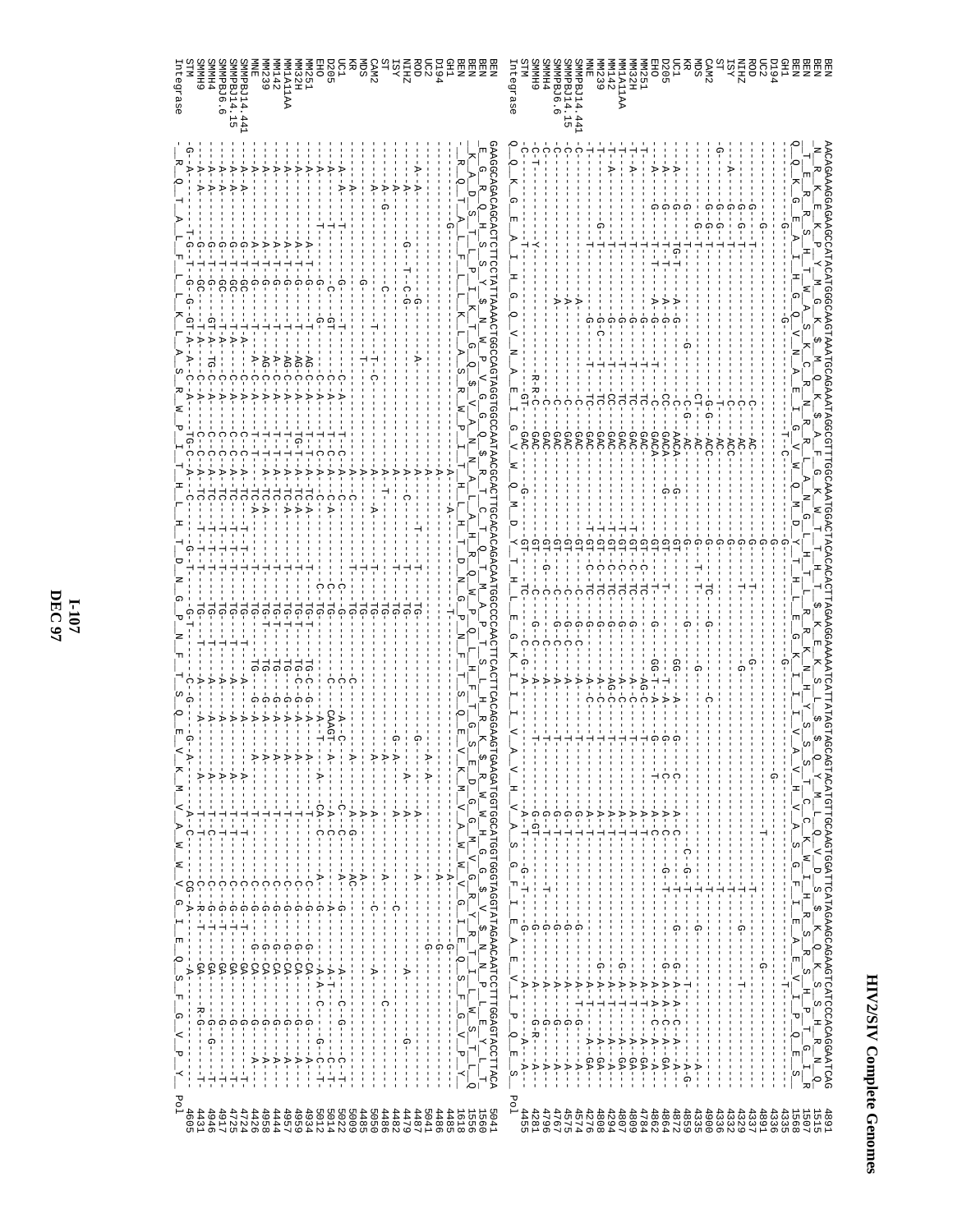| <b>P610</b><br>EHC<br><b>BEN</b><br>ZHIN<br>MN142<br>MN239<br>₿<br>ĔN<br>ğ<br><b>MMN44</b><br>ā<br>ĝ<br>Ë<br>MIAIIAA<br><b>IN251</b><br><b>ZMA!</b><br>ΥS<br>6HMIN<br>MMPBJ6<br>S05<br>LARM<br>ARTEBJ14<br><b>M32H</b>                                                                                                                                                                                                                                                                                                                                                                                                                                                                                                                                                                                                                                                                                                                                                                                                                                                                                                                                                                                                                                                                                                                                                                                                                                                                                                                                                                                                                                                                                                                                                                                             | ÎЮ<br>REN<br>ZHIN<br><b>DER</b><br>ntegrase<br>ğ<br>IC2<br>Ĕ<br>ZMA:<br>ΚS.<br><b>GHMM</b><br>IM142<br><b>194</b><br><b>MMPBJ:</b><br><b>PHMW</b><br><b>M239</b><br>AAILAIN<br>IN32H<br><b>N251</b><br>50 5<br>MMPBJ6<br><b>MPBJ14</b><br>É                                                                                                                                                                                                                                                                                                                                                                                                                                                                                                                                                                                                                                                                                                                                                                                                                                                                              |
|--------------------------------------------------------------------------------------------------------------------------------------------------------------------------------------------------------------------------------------------------------------------------------------------------------------------------------------------------------------------------------------------------------------------------------------------------------------------------------------------------------------------------------------------------------------------------------------------------------------------------------------------------------------------------------------------------------------------------------------------------------------------------------------------------------------------------------------------------------------------------------------------------------------------------------------------------------------------------------------------------------------------------------------------------------------------------------------------------------------------------------------------------------------------------------------------------------------------------------------------------------------------------------------------------------------------------------------------------------------------------------------------------------------------------------------------------------------------------------------------------------------------------------------------------------------------------------------------------------------------------------------------------------------------------------------------------------------------------------------------------------------------------------------------------------------------|--------------------------------------------------------------------------------------------------------------------------------------------------------------------------------------------------------------------------------------------------------------------------------------------------------------------------------------------------------------------------------------------------------------------------------------------------------------------------------------------------------------------------------------------------------------------------------------------------------------------------------------------------------------------------------------------------------------------------------------------------------------------------------------------------------------------------------------------------------------------------------------------------------------------------------------------------------------------------------------------------------------------------------------------------------------------------------------------------------------------------|
| ÷<br>⊦<br>G<br>$A -$<br>$\overline{A}$<br>$\mathbb{Y}_{-}$<br>$\overline{Y}$<br>۲<br>$A$ --<br>A-<br>$\mathbb{Y}_{-}$<br>⋗<br>⋗<br>∀<br>স্<br>A-<br>$-\Delta$ -<br>Þ<br>⋗<br>⋗<br>ъ<br>ъ<br>⊅<br>כל<br>⋗<br>⊅<br>⊅<br>੮<br>ŗΩ<br>C<br>⋒<br>∩<br>∩<br>⋒<br>⋗<br>⊅<br>⋗<br>⊅<br>⋗<br>ଋ<br>CΩ<br>н<br>н<br>н<br>부<br>н<br>U<br>$\blacksquare$                                                                                                                                                                                                                                                                                                                                                                                                                                                                                                                                                                                                                                                                                                                                                                                                                                                                                                                                                                                                                                                                                                                                                                                                                                                                                                                                                                                                                                                                         | J.<br>Ļ<br>Ö<br>$\mathbb{F}$<br>$\overline{Y}$<br>Ý.<br>۲<br>۲<br>⋗<br>ົດ<br>ດ<br>⋒<br>Ω<br>G<br>Ω<br>⋒<br>'n<br>ດ<br>Ω<br>Ω<br>Ω<br>I<br>부<br>н<br>⊣<br>Н.<br>ដុ                                                                                                                                                                                                                                                                                                                                                                                                                                                                                                                                                                                                                                                                                                                                                                                                                                                                                                                                                        |
| -ac<br>do<br>C<br>Ġ<br>ဂူ<br>Ģ<br>ဂူ<br>Ģ<br>R<br>ດ<br>ω<br>Ω<br>ဂု<br>ဂု<br>z<br>GT-A<br>$GL-A.$<br>GJ<br>$T - A$<br>부<br>$T - A$<br>7 – 7<br>부<br>$T - A$<br>Σ<br>Ω<br>$AG-C$<br>-AG-C<br>TG-C.<br>$A = -C$<br>$A$ – – $A$<br>$AG-$<br>$AG-C$<br>ᡃᠣ<br>O<br>∩<br>G<br>Q<br>U<br>C<br>wν                                                                                                                                                                                                                                                                                                                                                                                                                                                                                                                                                                                                                                                                                                                                                                                                                                                                                                                                                                                                                                                                                                                                                                                                                                                                                                                                                                                                                                                                                                                          | ົດ<br>ע<br>$\mathbb{F}$<br>$\tilde{A}$<br>Ω<br>Ω<br>Ω<br>∩<br>Ω<br>Ω<br>⋒<br>⋒<br>Ω<br>Ω<br>R-R-                                                                                                                                                                                                                                                                                                                                                                                                                                                                                                                                                                                                                                                                                                                                                                                                                                                                                                                                                                                                                         |
| $\mathbb{A} \mathbb{A}$<br>$\mathbb{A} \rightarrow \mathbb{A}$<br>$-$ – $\mathbf{A}$<br>$-$ – $\mathbb{A}$<br>$-$ – $\mathrm{A}$<br>$\mathbb{A} \mathbb{A}$<br>Þ<br>ъ<br>ъ<br>А<br>А<br>А<br>А<br>А<br>Ъ<br>Φ<br>ଇ<br>ن<br>ا<br>Ю<br>Ö<br>$\Gamma$<br>н<br>부<br>휴<br>∩<br>ဂ္<br>부<br>년<br>부<br>z<br>C<br>∩<br>J.<br>z<br>$\overline{Y}$<br>ъ<br>Þ<br>ъ<br>ኌ<br>⊅<br>⋗<br>₻<br>ኌ<br>⊅<br>⊅<br>⊅<br>כל<br>ъ<br>i<br>RC<br>-TC                                                                                                                                                                                                                                                                                                                                                                                                                                                                                                                                                                                                                                                                                                                                                                                                                                                                                                                                                                                                                                                                                                                                                                                                                                                                                                                                                                                        | E<br>C<br>$\Omega$<br>∩<br>∩<br><u>ດ</u><br>ດ<br>ှု<br>Ω<br>-GAC<br>-GAC<br>-GAC<br>-GAC<br>-GAC<br>-GAC<br>-GACA<br>-GAC<br>-GAC<br>-GAC<br>-GACA<br>OAC<br>GAC<br><b>AACA</b><br>GAC<br>-ACC<br>$-BC-$<br>ÄC.<br>RC-<br>ACC<br>⊲<br>Σ<br>Ю<br>Ω                                                                                                                                                                                                                                                                                                                                                                                                                                                                                                                                                                                                                                                                                                                                                                                                                                                                        |
| $-LC-A$<br>$-LC-R$<br>-TC-A<br>$-TC-A$<br>Ė<br>능<br>TC-<br>ਨੋ<br>$C - A$<br>$\Omega$<br>↷<br>G<br>Ъ<br>-c--re<br>ှ<br>С                                                                                                                                                                                                                                                                                                                                                                                                                                                                                                                                                                                                                                                                                                                                                                                                                                                                                                                                                                                                                                                                                                                                                                                                                                                                                                                                                                                                                                                                                                                                                                                                                                                                                            | ω<br>੮<br>L-GI--C--IC<br>$-1$ -Gl<br>$-GT--C---$<br>$\frac{1}{2}$<br>$-45-$<br>ĠT-<br>ĠT-<br>$-10$<br>$-10$<br>$\mathsf{K}$<br>GT<br>GT-<br>$-15$<br>Ğ<br>읍<br>ଢ଼<br>⋒<br>H<br>$C = -TC$<br>ဂု<br>$C - C$<br>ှ<br>ှ<br>Ą<br>Ξ<br>Ŕ<br>5C<br>$\overline{1}$<br>능<br>C<br>O<br>C<br>∩                                                                                                                                                                                                                                                                                                                                                                                                                                                                                                                                                                                                                                                                                                                                                                                                                                      |
| -16-1<br>-TG<br>ដ<br>đ<br>ನ<br>ನ<br>10-11<br>능<br>d<br>ᡃᠣ<br>O<br>$-LG-$<br>LG-<br>Ġ<br>Ë,<br>C<br>TG-C-<br>TG-C--<br>$\mathbb{A}^{-}$<br>$\overline{Y}$<br>C<br>⊅<br>Q<br>n<br>C<br>$\frac{1}{\Omega}$<br>Ω                                                                                                                                                                                                                                                                                                                                                                                                                                                                                                                                                                                                                                                                                                                                                                                                                                                                                                                                                                                                                                                                                                                                                                                                                                                                                                                                                                                                                                                                                                                                                                                                       | 囯<br>Ω<br>Ω<br>$-2$<br>ω<br>ω<br>ଋ<br>Ω<br>Ω<br>ω<br>Ω<br>ଢ଼<br>Ω<br>ု<br>Q<br>Ω<br>ω<br>$-1 - 1 - 0$<br>ଋ<br>$-2G-C$<br>$A - C$<br>$P = C$<br>i<br>⊅<br>$-4$<br>$-4$<br>ن<br>ا<br>ゼ<br>⊅<br>٣<br>⊅<br>ъ<br>А<br>C<br>⊅<br>∩<br>↷                                                                                                                                                                                                                                                                                                                                                                                                                                                                                                                                                                                                                                                                                                                                                                                                                                                                                        |
| $-6-$<br>ှု<br>ဂူ<br>ဂု<br>Ť<br>CAAG<br>А<br>ъ<br>ъ<br>ゼ<br>ъ<br>⋗<br>⋗<br>⋗<br>⊅<br>₹<br>U)<br>⊲<br>$-4$<br>$-4-$<br>ι<br>-Ω-<br>$A -$<br>$A -$<br>$A - -A - -$<br>$\frac{1}{1}$<br>$A$ - $-$<br>$A$ - $-$<br>$A -$<br>$A$ – –<br>$A$ - $-$<br>$A$ – –<br>$A$ - $-$<br>$A$ — — —<br>п<br>þ<br>J<br>$\frac{1}{1}$<br>$--A--$<br>ł<br>т<br>$-4-7-$<br>л<br>k<br>¦7J<br>$A -$<br>$\overline{A}$<br>$\frac{1}{1}$<br>$\overline{Y}$<br>$\mathbf{I}$<br>Ť<br>$A$ – –<br>$A -$<br>J.<br>$\mathbf{I}$<br>$\blacksquare$<br>$\mathbf{I}$<br>$\overline{\phantom{a}}$<br>$\blacksquare$<br>$\mathbf{I}$<br>J.<br>J.<br>þ<br>$\mathbf{I}$<br>п<br>H.<br>¦≍<br>3<br>≤<br>່ດ<br>$\mathbf{I}$                                                                                                                                                                                                                                                                                                                                                                                                                                                                                                                                                                                                                                                                                                                                                                                                                                                                                                                                                                                                                                                                                                                                  | ଢ଼<br>⊅<br>Ö<br>ω,<br>$\frac{1}{1}$<br>$\prec$<br>⋞<br>ှု<br>k<br>۲I<br>ς-<br>Ι<br>$\Gamma$<br>$\overline{\phantom{a}}$<br>J.<br>H<br>Ť<br>л<br>H.<br>Έ<br>Ξ<br>k<br>ן<br>מ                                                                                                                                                                                                                                                                                                                                                                                                                                                                                                                                                                                                                                                                                                                                                                                                                                                                                                                                              |
| $\frac{1}{4}$<br>$-CA$ -<br>$\frac{1}{1}$<br>$\frac{1}{1}$<br>ł<br>ł<br>ł,<br>ł<br>ή<br>ł<br>⋜<br>⊲<br>≤<br>$A - -$<br>$A -$<br>$\frac{1}{1}$<br>$A -$<br>$A$ – –<br>$\overline{A}$<br>ъ<br>۲<br>ا<br>۲<br>ا<br>$\frac{1}{1}$<br>けー<br>۲Ļ<br>$\frac{1}{1}$<br>부<br>۲L<br>T<br>۲<br>ا<br>$A -$<br>$A -$<br>۲<br>ا<br>"ם,<br>Ť<br>L<br>$\blacksquare$<br>ל<br>ק<br>J.<br>Ξ<br>÷<br>†<br>ن<br>ا<br>م.<br>ا<br>부<br>부<br>$-1$<br>$\mathbf I$<br>C<br>G<br>Ω<br>↷<br>J.<br>z<br>L<br>$\frac{1}{1}$<br>Ţ<br>I<br>ี่≍<br>z<br>I<br>п<br>$\mathbf{I}$<br>ົດ<br>$\prec$<br>≍<br>Ξ<br>$\frac{1}{1}$<br>$\frac{1}{1}$<br>$\frac{1}{1}$<br>$\frac{1}{4}$<br>ł<br>$\frac{1}{1}$<br>ł<br>$\frac{1}{1}$<br>Ť<br>f.<br>$-4-$<br>ပြ<br> <br>၉<br>$\frac{1}{1}$<br>$-A---G---$<br>ţ<br>Ť<br>$\mathsf I$<br>$\frac{1}{4}$<br>$\mathbf{I}$<br>$\mathbf{I}$<br>$\frac{1}{1}$<br>$\frac{1}{1}$<br>ŧ<br>$-4 - - - -$<br>$AC---$<br>$-4-$<br>$-\Delta$<br>$A---$<br>$-4-$<br>'≍.<br>l<br>{∿<br>⊲<br>င္ပာ<br>م-<br>-<br>$\frac{1}{2}$<br>$\frac{1}{2}$<br>$\Gamma$<br>$\Gamma$<br>$\Gamma$<br>$\bigcap\limits_{i=1}^{n}$<br>۲-<br>Ċ-<br>$\Gamma$<br>$\dot{C}$<br>п<br>'∞<br>Ĵ<br>$\mathbb I$<br>$\mathbb{I}$<br>ဂ<br>$\mathsf I$<br>Ţ<br>$\mathbf I$<br>$\mathbf I$<br>$\mathbf{I}$<br>$\mathbb I$<br>റ                                                                                                                                                                                                                                                                                                                                                                                                                                                                                                                                     | ł<br>₹<br>⊲<br>բ.<br>$A -$<br>$-12 - 0$<br>ଋ<br>A<br>$A -$<br>$\overline{y}$<br>Ω<br>Ω<br>ଋ<br>$A -$<br>$A$ – – $A$<br>$A -$<br>⋗<br>A--<br>$\mathbb{F}$<br>'n<br>Ŧ<br>$\frac{1}{1}$<br>Ĩ.<br>Ţ<br>Ť<br>ŧ<br>$\frac{1}{1}$<br>ن<br>ا<br>۲Ì<br>Н<br>Ť<br>ю<br>부<br>$\frac{1}{1}$<br>$\frac{1}{1}$<br>부<br>۲<br>ا<br>∩<br>↷<br>∩<br>부<br>k<br>I<br>$-1 - 1 - 0 - 0 - 1 - 1$<br>מט<br>α,<br>$\mathbf{I}$<br>$\mathbf{I}$<br>$\overline{1}$<br>L<br>п<br>¦<<br>$\mathbb{I}$<br>Ť<br>$\mathsf I$<br>$\mathbf I$<br>$\mathbb{I}$<br>$\mathsf I$<br>ı<br>z<br>$\begin{array}{c} \end{array}$<br>$\mathbb{I}$<br>Ţ<br>$\frac{1}{1}$<br>'ဂ<br>Φ<br>$\mathbf{I}$<br>$\mathbf{I}$<br>Ţ.<br>$\overline{\phantom{a}}$<br>$\blacksquare$<br>Τ.<br>$\mathbf{I}$<br>J.<br>$C = -T = -D$<br>$\frac{1}{2}$<br>'n,<br>T<br>$\mathbf{I}$<br>J.<br>$-1$ $-1$ $-1$<br>J.<br>1<br>$\frac{1}{1}$<br>$\mathbb I$<br>$\mathbb{I}$<br>$\overline{\phantom{a}}$<br>$\mathbf I$<br>I,<br>$\mathbf{I}$<br>$\mathbf{r}$<br>피<br>מ'<br>$\frac{1}{1}$<br>부<br>부<br>н<br>ł,<br>부<br>н<br>н<br>н<br>Ξ<br>$\mathbf{I}$<br>ť<br>$\overline{1}$<br>Ή<br>$\,$ I |
| FTGAAGATGGTGCATGGTGGGTAGGTATAGAACAATCCTTTGGAGTACCTTACA<br>$\prec$<br>$C = -T - -D$<br>ର ର<br>Ω<br>Ω<br>$\mathbb{L}$<br>$\overline{A}$<br>$R - T - T -$<br>$G - T - T - T$<br>$C = -T - -D$<br>G---H----<br>$\Gamma$<br>Ω<br>$\blacksquare$<br>$\mathbf{I}$<br>Ω<br>I.<br>$\frac{1}{1}$<br>≺<br>$\frac{1}{4}$<br>ŧ<br>$\mathbf{I}$<br>$\mathbf{I}$<br>'n<br>$\frac{1}{2}$<br>$\frac{1}{1}$<br>$-$ - $-$ 0 $-$ - - -<br>ξ<br>Ť<br>Ť<br>$\mathbb{L}$<br>$\blacksquare$<br>$\blacksquare$<br>$\mathbf{I}$<br>$\mathbf{I}$<br>J.<br>$\mathbf{I}$<br>J.<br>т.<br>$\mathbb{I}$<br>ø<br>Ħ<br>z<br>I<br>$\mathop{\downarrow}\limits_{\mathop{\rightarrow}\limits}$<br>$G - -CAA - -$<br>$\mathsf I$<br>$\begin{array}{c} \hline \end{array}$<br>$\mathbf I$<br>-G--CA---<br>-G--CA---<br>$G--CA---$<br>ဂုံ<br>$G--CAA--$<br>$----1$<br>ဂု<br>$- - GA - -$<br>$-GB-$<br>$-6A-$<br>$-GB-$<br>$- - GA - -$<br>$\frac{1}{2}$<br>ŧ<br>0<br>$---A---$<br>р<br>-- マーコー<br>J.<br>g<br>$-\Delta$ -<br>$-CA$ -<br>$  A$ $ -$<br>ا<br>∞<br>$\mathbf{A}-\mathbf{A}--\mathbf{C}--$<br>Ţ.<br>$\,$ I<br>$\blacksquare$<br>$\blacksquare$<br>$\frac{1}{1}$<br>J.<br>c٥<br>J.<br>J.<br>$\mathbf{I}$<br>đ<br>$\mathbf{I}$<br>J.<br>$\frac{1}{1}$<br>İ<br>$\blacksquare$<br>$- -C - -$<br>I,<br>'nŋ<br>F<br>$\frac{1}{4}$<br>$\blacksquare$<br>$\frac{1}{1}$<br>ł<br>$\frac{1}{1}$<br>$\frac{1}{1}$<br>J.<br>J,<br>$\mathbf{I}$<br>J.<br>J<br>$\mathbf{I}$<br>F<br>$\overline{\phantom{a}}$<br>т<br>п                                                                                                                                                                                                                                                                                                                                          | FCAGTACATGTTGCAAGTGGATTCATAGAAGCAGAAGTATCATCCACAGGAATCAG<br>٠m<br>$\frac{1}{4}$<br>$\frac{1}{1}$<br>$\frac{1}{1}$<br>÷<br>$\frac{1}{1}$<br>$\mathbf{I}$<br>¦¤<br>$\frac{1}{4}$<br>т.<br>п<br>Ħ<br>E<br>ှု<br>ω<br>ဂူ<br>ဂူ<br>ဂှ<br><u>ရာ ရှာ</u><br>   <br>$\Gamma$<br>ဂု<br>Į<br>י<br>מ<br>$\frac{1}{1}$<br>$\mathbb{I}$<br>ъ<br>o,<br>Ţ<br>$\begin{array}{c} \hline \end{array}$<br>¦¤<br>T.<br>$\blacksquare$<br>$\overline{\phantom{a}}$<br>$\mathbf{I}$<br>$- - - - - - - - - - - - -$<br>Ħ<br>Ħ<br>$-\mathbb{G}--\mathbb{A}--\mathbb{A}--\mathbb{H}-$<br>$-6 - -A - -A - C - -$<br>$-1 - 2 - -1 - -1 - -1$<br>$\frac{1}{1}$<br>י<br>מ'<br>L.<br>$\frac{1}{1}$<br>$\frac{1}{1}$<br>÷,<br>$\frac{1}{1}$<br>$\frac{1}{1}$<br>$-1 - 2 - 1 - 1 - 1$<br>- - A - - T - - -<br>- - マー・コー<br>$\frac{1}{14}$<br>i<br>H<br>$\prec$<br>$\sum_{\mathbf{L}}$<br>÷<br>'ഗ<br>$\mathcal{P}$<br>$\overline{Y}$<br>А<br>A<br>ъ<br>$\mathbb{I}$<br>Ĭ<br>F<br>Ĩ,<br>Ĩ<br>Ì<br>Ĩ,<br>I<br>J.<br>ļ.<br>ŗω,                                                                                                                               |
| $-1 - C - -C - -$<br>$\mathbf{z}^{\mathsf{I}}$<br>$R-G--$<br>$-6 - -$<br>$-6$<br>$\frac{1}{2}$<br>$\frac{1}{1}$<br>$-6 - -$<br>$-6 - -$<br>$-6 - -$<br>j<br>$-$ -0 $-$ -0 $-$<br>ຸດ<br>ຸດ<br>J.<br>$\blacksquare$<br>I.<br>$\frac{1}{1}$<br>ł<br>'n<br>$\frac{1}{\alpha}$<br>$\Omega$<br>$\mathbf{I}$<br>J.<br>$\overline{\mathbf{z}}$<br>$\mathbf I$<br>$-6 -$<br>J.<br>'<<br>I<br>$\frac{1}{1}$<br>Ţ<br>$\begin{array}{c} \rule{0pt}{2.5ex} \rule{0pt}{2.5ex} \rule{0pt}{2.5ex} \rule{0pt}{2.5ex} \rule{0pt}{2.5ex} \rule{0pt}{2.5ex} \rule{0pt}{2.5ex} \rule{0pt}{2.5ex} \rule{0pt}{2.5ex} \rule{0pt}{2.5ex} \rule{0pt}{2.5ex} \rule{0pt}{2.5ex} \rule{0pt}{2.5ex} \rule{0pt}{2.5ex} \rule{0pt}{2.5ex} \rule{0pt}{2.5ex} \rule{0pt}{2.5ex} \rule{0pt}{2.5ex} \rule{0pt}{2.5ex} \rule{0$<br>$\,$ I<br>$\overline{\mathbf{K}}$<br>J<br>ł<br>ł<br>$\mathbf{I}$<br>$\frac{1}{1}$<br>$\mathbf{I}$<br>$\blacksquare$<br>J.<br>$\overline{1}$<br>$\frac{1}{1}$<br>ł<br>Ť<br>j.<br>j<br>$\mathbf{I}$<br>$\mathbf{I}$<br>ì<br>J.<br>.۳<br>١d<br>$\begin{array}{c} \end{array}$<br>J.<br>$-4-7$<br>J.<br>$\begin{array}{c} \end{array}$<br>$\begin{array}{c} \rule{0pt}{2.5ex} \rule{0pt}{2.5ex} \rule{0pt}{2.5ex} \rule{0pt}{2.5ex} \rule{0pt}{2.5ex} \rule{0pt}{2.5ex} \rule{0pt}{2.5ex} \rule{0pt}{2.5ex} \rule{0pt}{2.5ex} \rule{0pt}{2.5ex} \rule{0pt}{2.5ex} \rule{0pt}{2.5ex} \rule{0pt}{2.5ex} \rule{0pt}{2.5ex} \rule{0pt}{2.5ex} \rule{0pt}{2.5ex} \rule{0pt}{2.5ex} \rule{0pt}{2.5ex} \rule{0pt}{2.5ex} \rule{0$<br>Ţ<br>F<br>$-4$<br>$-$ A $-$<br>$-4$<br>$A - -$<br>Ω<br>$\blacksquare$<br>$\overline{\phantom{a}}$<br>$A - -$<br>Ω<br>Ω<br>$\mathbf{I}$<br>J.<br>$\mathbf{I}$<br>Ή<br>$\mathbf{I}$<br>t<br>ŧ<br>$\frac{1}{1}$<br>t<br>ŧ<br>ŧ<br>ŧ<br>1<br>л<br>Ή<br>H<br>년<br>보<br>부<br>부<br>H<br>'o<br>Pol | --A--A--C--A---A-<br>$-1 - 1 - 0 - 0 - 0$<br>ł<br>$\mathsf I$<br>$-6 - -$<br>$-6 - -$<br>.۳<br>Д<br>$-G-B--$<br>$\mathbf{I}$<br>Έ<br>$-\infty$<br>$\mathbf{I}$<br>م<br>-<br>Ť<br>$\mathbf{I}$<br>þ<br>$\mathbb{I}$<br>$-A--GA-$<br>$\mathsf I$<br>$\mathsf I$<br>$-\Delta -$<br>$-A---A-$<br>$-A--GA-$<br>$-A--GA-$<br>Ö<br>¦≂<br>$\frac{1}{1}$<br>$A - GA -$<br>$A - GA -$<br>$A--GA-$<br>$\frac{1}{1}$<br>$A - -$<br>'ဂ<br>-1<br>Ħ<br>$-4-$<br>$\frac{1}{1}$<br>$\frac{1}{4}$<br>$\frac{1}{4}$<br>$\frac{1}{1}$<br>$\frac{1}{4}$<br>$- -A-G$<br>þ<br>$\blacksquare$<br>'⊣<br>$\sum_{i=1}^{n}$<br>$\frac{1}{2}$<br>$\overline{Y}$<br>$\overline{Y}$<br>$\overline{Y}$<br>$\overline{A}$<br>$A -$<br>מ'<br>מ'<br>þ<br>'ਸ਼<br>Pol                                                                                                                                                                                                                                                                                                                                                                                         |
| 49177<br>4946<br>4431<br>4 4 9 4 7 7 8<br>4 9 4 7 7 7 7<br>4 8 0 6 4 0<br>4 9 0 4 0<br><b>4605</b><br>4957<br>495<br>501508<br>19555<br>1955<br>4482<br>4479<br>4487<br>4486<br>5041<br>4485<br>Ō                                                                                                                                                                                                                                                                                                                                                                                                                                                                                                                                                                                                                                                                                                                                                                                                                                                                                                                                                                                                                                                                                                                                                                                                                                                                                                                                                                                                                                                                                                                                                                                                                  | 4 4 4 4 4 4 4 4 4<br>2 5 5 7 6 9 8 6<br>7 7 7 6 9 8 6<br>6 4 7 7 6 9 1 5<br>4 4 4 4 4 4 4 4 4 4<br>5 6 6 6 6 7 6 8 7 9<br>5 7 7 8 7 8 9 0 0 1<br>9 7 4 7 4 7 9 7 4<br>4808<br>4335<br>4900<br>4336<br>4 4 4 4 4 4<br>3 3 3 3 3 3 3<br>9 4 7 9 7<br>4335<br>4891<br>1515<br>$-568$<br>507                                                                                                                                                                                                                                                                                                                                                                                                                                                                                                                                                                                                                                                                                                                                                                                                                                 |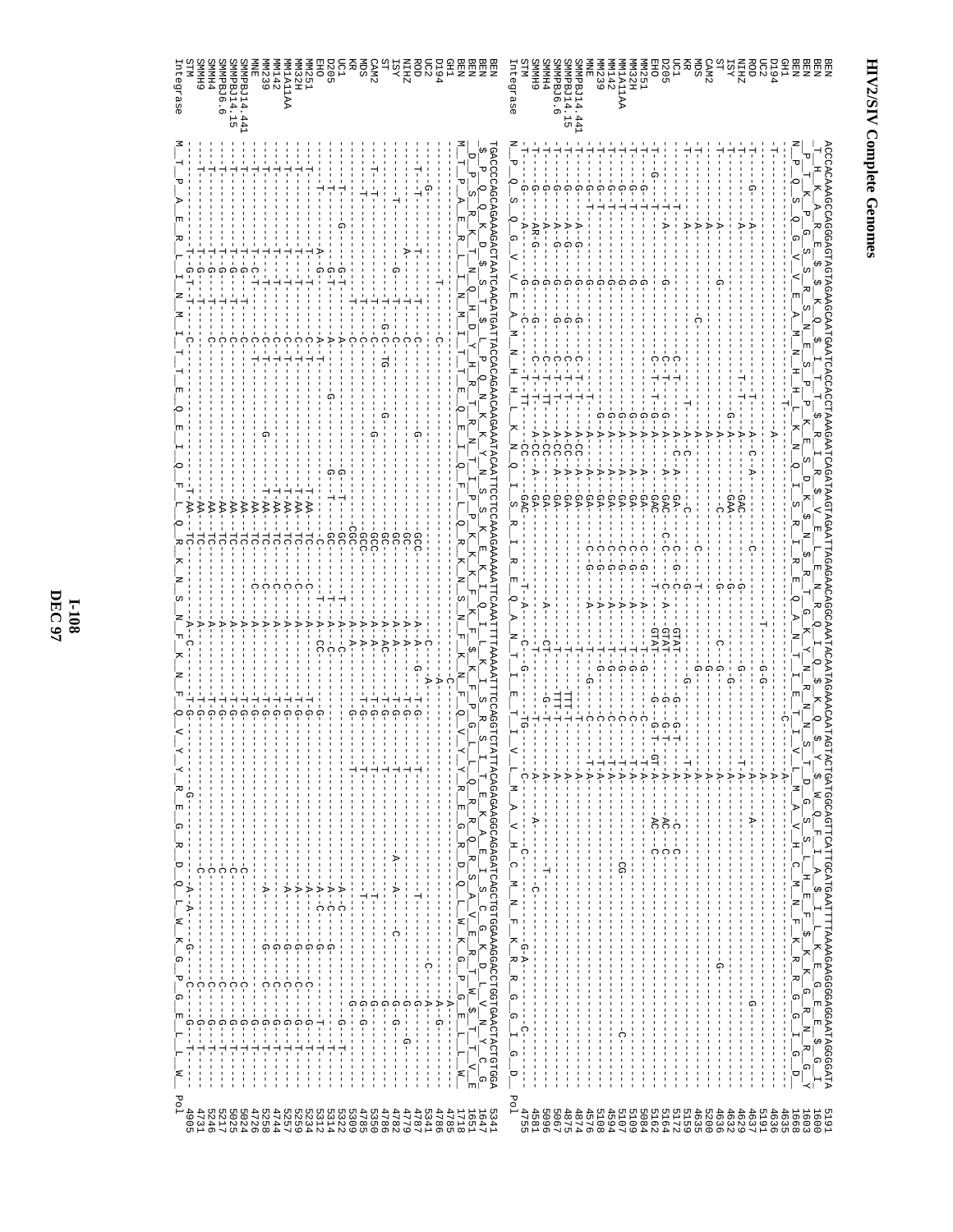| IGACCCAGCAGAAGACTAATCAACATAGATTACCACAGAAGAAGAATACAATTTCCTCCAAGAAAAAATTCAAATTTAAATTTTAAATTTCGGTCT7TA<br>д<br>н<br>₹<br>Ю<br>G<br>Ω<br>⋒<br>ω<br>⋒<br>⋒<br>ഹ<br>⋒<br>⋒<br>ଢ଼<br>⋒<br>⋒<br>G.<br>⋒<br>U.<br>īω<br>년<br>Ö<br>A-<br>$AR-G$<br>⋗<br>$A -$<br>$\mathbb{F}$<br>⊅<br>⊅<br>J.<br>⊅<br>⊅<br>⋗<br>ັດ<br>Ω<br>Ω<br>⋒<br>Ω<br>ω<br>$C-T$ -<br>ဂု<br>ဂု<br>н<br>ດ<br>⋒<br>⊣<br>GΣ<br>G.)<br>G)<br>G)<br>G)<br>G)<br>60<br>GΣ<br>'n<br>J.<br>ဂ္<br>ဂု<br>Ω<br>Ω<br>$\overline{1}$<br>ഹ<br>ဂု<br>z<br>н<br>H<br>넘<br>Ω<br>Ω<br>Ω<br>∩<br>년<br>년<br>Ġ<br>Ω<br>Ω<br>Ω<br>Ω<br><del>k</del><br>ł<br>G<br>$A-CC$<br>⊅<br>⊅<br>$A-CC$<br>ಗಿ–೭೮<br>ಗಿ–೭೦<br>ኌ<br>$A-CC$<br>z<br>8<br>Ò<br>C<br>Ö<br>ь<br>ኳ<br>ъ<br>ъ<br>של<br>ъ<br>⋗<br>⋗<br>$T - AA - T$<br>1-AA<br><b>F-AA</b><br>T-AA.<br><b>F-AA</b><br>6A<br><b>GA</b><br>PD.<br>$-50$<br>GA.<br>GAC<br>P<br>GA<br>6A<br>P<br>P<br>GAC<br>τ<br>P<br>P<br>RAA<br>GAC<br>CAC<br>AA.<br>ับว<br>AA<br>AA<br>AA.<br>∩<br>င္ပဲ<br>븡<br>붕<br>붕<br>යි<br>යි<br>ccc<br>80<br>GC-<br>යි<br>ု<br>붕<br>븡<br>븡<br>븡<br>Ω<br>∩<br>ŧ<br>ヵ<br>ω<br>ଋ<br>ଢ଼<br>ଋ<br>চা<br>∩<br>∩<br>∩<br>0<br>Ю<br>۳<br>$\overline{r}$<br>⊅<br>⋗<br><b>GTAT</b><br>$\frac{1}{\Omega}$<br>ά<br>A<br>٣<br>8<br>∀−<br>ਨੋ<br>⊅<br>Ö<br>$\frac{1}{\Omega}$<br>$-5 - 1$<br>$\frac{1}{\Omega}$<br>ှု<br>ဂု<br>ω<br>Ģ<br>Φ<br>ഩ<br>ଢ଼<br>⋒<br>囨<br>LIT-<br>1<br>1<br>1<br>1<br>5 - 9<br>1 - 9<br>Η<br>Ω<br>$\frac{1}{\Omega}$<br>Ġ<br>Ω<br>Ω<br>Ω<br>⋒<br>∩<br>G.<br>⋒<br>⋒<br>∩<br>$-T - A -$<br>$V-L-$<br>$-2 - \Delta -$<br>$-1-Y$<br>$V-L-$<br>$-T-\mathbf{A}-$<br>$A-TD$<br>$\mathbf{I}$<br>J.<br>л<br>$\mathbf{I}$<br>л<br>Н<br>TTACAGAGAAGGCAGAGATCAGCTGTGGAAAGGACCTGGTGAACTACTGTGGA<br>п<br>$\mathbf{I}$<br>т<br>п<br>ーピー<br>・マーヤー<br>로<br>휴<br>휴<br>$\mathbf{I}$<br>부<br>휴<br>1<br>-1<br>J,<br>H<br>н<br>≺<br>F<br>$\overline{1}$<br>$\blacksquare$<br>$-\Delta -$<br>$\overline{1}$<br>$\mathbf{I}$<br>п<br>$\blacksquare$<br>$\mathbf{I}$<br>J.<br>Ď<br>$\dot{P}$<br>$\dot{P}$<br>н<br>$\overline{Y}$<br>Þ<br>$\overline{r}$<br>⋗<br>$\blacksquare$<br>Q<br>$A -$<br>⋗<br>$A -$<br>$\overline{A}$<br>A-<br>$\overline{r}$<br>ш<br>Ö<br>'n,<br>'n.<br>ï.<br>J.<br>$\mathbf{I}$<br>л<br>л<br>т<br>л.<br>-1<br>k,<br>₩<br>I<br>įĦ,<br>J.<br>$\mathbf{I}$<br>J.<br>J.<br>J.<br>л<br>л<br>$\mathbf{I}$<br>л<br>л<br>ξđ<br>т<br>л<br>л<br>Ħ<br>ፇ<br>$\mathbf{I}$<br>J.<br>$\blacksquare$<br>I.<br>J.<br>$\mathbf{I}$<br>л<br>ŔC<br>$\frac{1}{2}$<br>Ř<br>ਸ਼<br>$\overline{A}$<br>$\overline{1}$<br>л<br>$\blacksquare$<br>л<br>л<br>л<br>$\leq$<br>C<br>Ω<br>⋗<br>$\begin{array}{c} \rule{0pt}{2.5ex} \rule{0pt}{2.5ex} \rule{0pt}{2.5ex} \rule{0pt}{2.5ex} \rule{0pt}{2.5ex} \rule{0pt}{2.5ex} \rule{0pt}{2.5ex} \rule{0pt}{2.5ex} \rule{0pt}{2.5ex} \rule{0pt}{2.5ex} \rule{0pt}{2.5ex} \rule{0pt}{2.5ex} \rule{0pt}{2.5ex} \rule{0pt}{2.5ex} \rule{0pt}{2.5ex} \rule{0pt}{2.5ex} \rule{0pt}{2.5ex} \rule{0pt}{2.5ex} \rule{0pt}{2.5ex} \rule{0$<br>$\sf I$<br>$\begin{array}{c} \hline \end{array}$<br>Ö<br>$\overline{\phantom{a}}$<br>$\mathbf{I}$<br>п<br>$\overline{1}$<br>Ħ<br>ੱਡ<br>$\blacksquare$<br>$\mathbf{I}$<br>т<br>$\overline{\phantom{a}}$<br>Þ<br>Ģ<br>Ω<br>Ω<br>C<br>Þ<br>⊅<br>$\overline{\phantom{a}}$<br>$\overline{\phantom{a}}$<br>T<br>$\overline{\phantom{a}}$<br>л<br>$\mathbf{I}$<br>л<br>л<br>л<br>'n<br>Έ<br>CG-<br>$\mathbf{I}$<br>$\blacksquare$<br>$\overline{1}$<br>$\overline{1}$<br>л<br>п<br>т<br>л<br>л.<br>л<br>т<br>ш<br>Q<br>ΩQ<br>Ή<br>I<br>↷<br>부<br>л<br>т<br>т<br>ш<br>$\mathsf I$<br>$\mathbf I$<br>ω,<br>Σ,<br>O<br>ł<br>$\frac{1}{1}$<br>$\mathbf{I}$<br>J.<br>$\overline{1}$<br>$\mathbf{I}$<br>$\dot{P}$<br>÷<br>P<br>$\dot{P}$<br>ัต<br>Ò<br>ኔ<br>$\overline{P}$<br>$\overline{Y}$<br>$-4-$<br>$-1$<br>л.<br>$\mathbf{I}$<br>ı<br>T<br>부<br>부<br>ъ<br>$\begin{array}{c} \hline \end{array}$<br>J<br>þ<br>$\blacksquare$<br>L.<br>$\mathbf{I}$<br>$\overline{1}$<br>-1<br>H.<br>੍ਹ<br>G<br>↷<br>$\Omega$<br>п<br>п<br>H.<br>$\mathbf{I}$<br>п<br>л.<br>$\mathbf{I}$<br>⊲<br>T<br>J.<br>$\mathbf{I}$<br>$\overline{\phantom{a}}$<br>т<br>z<br>'n,<br>'ဂ<br>$\blacksquare$<br>п<br>л<br>т<br>т<br>т<br>п<br>л.<br>$\mathbf{I}$<br>'n<br>J.<br>റ<br>$\overline{1}$<br>ı<br>J.<br>×<br>'z<br>ဂု<br>Ω<br>ດ<br>Ω<br>Ω<br>ဂု<br>ဂု<br>ω<br>$\overline{1}$<br>$\mathbf{I}$<br>п<br>'ਸ਼<br>$\mathbf{I}$<br>$\mathbf{I}$<br>$\mathbf{I}$<br>$\mathbf{I}$<br>J.<br>$\mathbf{I}$<br>$\mathbf{I}$<br>л<br>л<br>¦≂<br>A<br>ດ<br>'n,<br>$\blacksquare$<br>п<br>$\Gamma$<br>T<br>л<br>ω<br>л<br>$\blacksquare$<br>п<br>$\blacksquare$<br>Η<br>$\mathbf{I}$<br>$\overline{1}$<br>H.<br>1<br>$\mathbf{I}$<br>л<br>л<br>л.<br>$\mathbf{I}$<br>т<br>л<br>Ψ.<br>ੇಸ<br>$\overline{1}$<br>п<br>$\overline{1}$<br>л.<br>$\mathbf{I}$<br>л<br>Ω<br>Ω<br>Q<br>Ω<br>Ω<br>Ω<br>Q<br>C<br>C<br>$\begin{array}{c} \hline \end{array}$<br>⊢ | $\blacksquare$<br>ъ | CC.<br>σ<br>Ξ<br>Ω<br>ъ<br>ω<br>₫<br>CΩ<br>н<br>Ë<br>∩<br>Ξ<br>Σ<br>団<br>z<br>٣ŋ<br>먹<br>wν<br>⋝<br>ᆽ<br>ੌਨ | $\frac{1}{\Omega}$ | R<br>PA<br>능<br>đ |  |  |
|--------------------------------------------------------------------------------------------------------------------------------------------------------------------------------------------------------------------------------------------------------------------------------------------------------------------------------------------------------------------------------------------------------------------------------------------------------------------------------------------------------------------------------------------------------------------------------------------------------------------------------------------------------------------------------------------------------------------------------------------------------------------------------------------------------------------------------------------------------------------------------------------------------------------------------------------------------------------------------------------------------------------------------------------------------------------------------------------------------------------------------------------------------------------------------------------------------------------------------------------------------------------------------------------------------------------------------------------------------------------------------------------------------------------------------------------------------------------------------------------------------------------------------------------------------------------------------------------------------------------------------------------------------------------------------------------------------------------------------------------------------------------------------------------------------------------------------------------------------------------------------------------------------------------------------------------------------------------------------------------------------------------------------------------------------------------------------------------------------------------------------------------------------------------------------------------------------------------------------------------------------------------------------------------------------------------------------------------------------------------------------------------------------------------------------------------------------------------------------------------------------------------------------------------------------------------------------------------------------------------------------------------------------------------------------------------------------------------------------------------------------------------------------------------------------------------------------------------------------------------------------------------------------------------------------------------------------------------------------------------------------------------------------------------------------------------------------------------------------------------------------------------------------------------------------------------------------------------------------------------------------------------------------------------------------------------------------------------------------------------------------------------------------------------------------------------------------------------------------------------------------------------------------------------------------------------------------------------------------------------------------------------------------------------------------------------------------------------------------------------------------------------------------------------------------------------------------------------------------------------------------------------------------------------------------------------------------------------------------------------------------------------------------------------------------------------------------------------------------------------------------------------------------------------------------------------------------------------------------------------------------------------------------------------------------------------------------------------------------------------------------------------------------------------------------------------------------------------------------------------------------------------------------------------------------------------------------------------------------------------------------------------------------------------------------------------------------------------------------------------------------------------------------------------------------------------------------------------------------------------------|---------------------|-------------------------------------------------------------------------------------------------------------|--------------------|-------------------|--|--|
|                                                                                                                                                                                                                                                                                                                                                                                                                                                                                                                                                                                                                                                                                                                                                                                                                                                                                                                                                                                                                                                                                                                                                                                                                                                                                                                                                                                                                                                                                                                                                                                                                                                                                                                                                                                                                                                                                                                                                                                                                                                                                                                                                                                                                                                                                                                                                                                                                                                                                                                                                                                                                                                                                                                                                                                                                                                                                                                                                                                                                                                                                                                                                                                                                                                                                                                                                                                                                                                                                                                                                                                                                                                                                                                                                                                                                                                                                                                                                                                                                                                                                                                                                                                                                                                                                                                                                                                                                                                                                                                                                                                                                                                                                                                                                                                                                                                                          |                     |                                                                                                             |                    |                   |  |  |
|                                                                                                                                                                                                                                                                                                                                                                                                                                                                                                                                                                                                                                                                                                                                                                                                                                                                                                                                                                                                                                                                                                                                                                                                                                                                                                                                                                                                                                                                                                                                                                                                                                                                                                                                                                                                                                                                                                                                                                                                                                                                                                                                                                                                                                                                                                                                                                                                                                                                                                                                                                                                                                                                                                                                                                                                                                                                                                                                                                                                                                                                                                                                                                                                                                                                                                                                                                                                                                                                                                                                                                                                                                                                                                                                                                                                                                                                                                                                                                                                                                                                                                                                                                                                                                                                                                                                                                                                                                                                                                                                                                                                                                                                                                                                                                                                                                                                          |                     |                                                                                                             |                    |                   |  |  |
|                                                                                                                                                                                                                                                                                                                                                                                                                                                                                                                                                                                                                                                                                                                                                                                                                                                                                                                                                                                                                                                                                                                                                                                                                                                                                                                                                                                                                                                                                                                                                                                                                                                                                                                                                                                                                                                                                                                                                                                                                                                                                                                                                                                                                                                                                                                                                                                                                                                                                                                                                                                                                                                                                                                                                                                                                                                                                                                                                                                                                                                                                                                                                                                                                                                                                                                                                                                                                                                                                                                                                                                                                                                                                                                                                                                                                                                                                                                                                                                                                                                                                                                                                                                                                                                                                                                                                                                                                                                                                                                                                                                                                                                                                                                                                                                                                                                                          |                     |                                                                                                             |                    |                   |  |  |
|                                                                                                                                                                                                                                                                                                                                                                                                                                                                                                                                                                                                                                                                                                                                                                                                                                                                                                                                                                                                                                                                                                                                                                                                                                                                                                                                                                                                                                                                                                                                                                                                                                                                                                                                                                                                                                                                                                                                                                                                                                                                                                                                                                                                                                                                                                                                                                                                                                                                                                                                                                                                                                                                                                                                                                                                                                                                                                                                                                                                                                                                                                                                                                                                                                                                                                                                                                                                                                                                                                                                                                                                                                                                                                                                                                                                                                                                                                                                                                                                                                                                                                                                                                                                                                                                                                                                                                                                                                                                                                                                                                                                                                                                                                                                                                                                                                                                          |                     |                                                                                                             |                    |                   |  |  |
|                                                                                                                                                                                                                                                                                                                                                                                                                                                                                                                                                                                                                                                                                                                                                                                                                                                                                                                                                                                                                                                                                                                                                                                                                                                                                                                                                                                                                                                                                                                                                                                                                                                                                                                                                                                                                                                                                                                                                                                                                                                                                                                                                                                                                                                                                                                                                                                                                                                                                                                                                                                                                                                                                                                                                                                                                                                                                                                                                                                                                                                                                                                                                                                                                                                                                                                                                                                                                                                                                                                                                                                                                                                                                                                                                                                                                                                                                                                                                                                                                                                                                                                                                                                                                                                                                                                                                                                                                                                                                                                                                                                                                                                                                                                                                                                                                                                                          |                     |                                                                                                             |                    |                   |  |  |
|                                                                                                                                                                                                                                                                                                                                                                                                                                                                                                                                                                                                                                                                                                                                                                                                                                                                                                                                                                                                                                                                                                                                                                                                                                                                                                                                                                                                                                                                                                                                                                                                                                                                                                                                                                                                                                                                                                                                                                                                                                                                                                                                                                                                                                                                                                                                                                                                                                                                                                                                                                                                                                                                                                                                                                                                                                                                                                                                                                                                                                                                                                                                                                                                                                                                                                                                                                                                                                                                                                                                                                                                                                                                                                                                                                                                                                                                                                                                                                                                                                                                                                                                                                                                                                                                                                                                                                                                                                                                                                                                                                                                                                                                                                                                                                                                                                                                          |                     |                                                                                                             |                    |                   |  |  |
|                                                                                                                                                                                                                                                                                                                                                                                                                                                                                                                                                                                                                                                                                                                                                                                                                                                                                                                                                                                                                                                                                                                                                                                                                                                                                                                                                                                                                                                                                                                                                                                                                                                                                                                                                                                                                                                                                                                                                                                                                                                                                                                                                                                                                                                                                                                                                                                                                                                                                                                                                                                                                                                                                                                                                                                                                                                                                                                                                                                                                                                                                                                                                                                                                                                                                                                                                                                                                                                                                                                                                                                                                                                                                                                                                                                                                                                                                                                                                                                                                                                                                                                                                                                                                                                                                                                                                                                                                                                                                                                                                                                                                                                                                                                                                                                                                                                                          |                     |                                                                                                             |                    |                   |  |  |
|                                                                                                                                                                                                                                                                                                                                                                                                                                                                                                                                                                                                                                                                                                                                                                                                                                                                                                                                                                                                                                                                                                                                                                                                                                                                                                                                                                                                                                                                                                                                                                                                                                                                                                                                                                                                                                                                                                                                                                                                                                                                                                                                                                                                                                                                                                                                                                                                                                                                                                                                                                                                                                                                                                                                                                                                                                                                                                                                                                                                                                                                                                                                                                                                                                                                                                                                                                                                                                                                                                                                                                                                                                                                                                                                                                                                                                                                                                                                                                                                                                                                                                                                                                                                                                                                                                                                                                                                                                                                                                                                                                                                                                                                                                                                                                                                                                                                          |                     |                                                                                                             |                    |                   |  |  |
|                                                                                                                                                                                                                                                                                                                                                                                                                                                                                                                                                                                                                                                                                                                                                                                                                                                                                                                                                                                                                                                                                                                                                                                                                                                                                                                                                                                                                                                                                                                                                                                                                                                                                                                                                                                                                                                                                                                                                                                                                                                                                                                                                                                                                                                                                                                                                                                                                                                                                                                                                                                                                                                                                                                                                                                                                                                                                                                                                                                                                                                                                                                                                                                                                                                                                                                                                                                                                                                                                                                                                                                                                                                                                                                                                                                                                                                                                                                                                                                                                                                                                                                                                                                                                                                                                                                                                                                                                                                                                                                                                                                                                                                                                                                                                                                                                                                                          |                     |                                                                                                             |                    |                   |  |  |
|                                                                                                                                                                                                                                                                                                                                                                                                                                                                                                                                                                                                                                                                                                                                                                                                                                                                                                                                                                                                                                                                                                                                                                                                                                                                                                                                                                                                                                                                                                                                                                                                                                                                                                                                                                                                                                                                                                                                                                                                                                                                                                                                                                                                                                                                                                                                                                                                                                                                                                                                                                                                                                                                                                                                                                                                                                                                                                                                                                                                                                                                                                                                                                                                                                                                                                                                                                                                                                                                                                                                                                                                                                                                                                                                                                                                                                                                                                                                                                                                                                                                                                                                                                                                                                                                                                                                                                                                                                                                                                                                                                                                                                                                                                                                                                                                                                                                          |                     |                                                                                                             |                    |                   |  |  |
|                                                                                                                                                                                                                                                                                                                                                                                                                                                                                                                                                                                                                                                                                                                                                                                                                                                                                                                                                                                                                                                                                                                                                                                                                                                                                                                                                                                                                                                                                                                                                                                                                                                                                                                                                                                                                                                                                                                                                                                                                                                                                                                                                                                                                                                                                                                                                                                                                                                                                                                                                                                                                                                                                                                                                                                                                                                                                                                                                                                                                                                                                                                                                                                                                                                                                                                                                                                                                                                                                                                                                                                                                                                                                                                                                                                                                                                                                                                                                                                                                                                                                                                                                                                                                                                                                                                                                                                                                                                                                                                                                                                                                                                                                                                                                                                                                                                                          |                     |                                                                                                             |                    |                   |  |  |
|                                                                                                                                                                                                                                                                                                                                                                                                                                                                                                                                                                                                                                                                                                                                                                                                                                                                                                                                                                                                                                                                                                                                                                                                                                                                                                                                                                                                                                                                                                                                                                                                                                                                                                                                                                                                                                                                                                                                                                                                                                                                                                                                                                                                                                                                                                                                                                                                                                                                                                                                                                                                                                                                                                                                                                                                                                                                                                                                                                                                                                                                                                                                                                                                                                                                                                                                                                                                                                                                                                                                                                                                                                                                                                                                                                                                                                                                                                                                                                                                                                                                                                                                                                                                                                                                                                                                                                                                                                                                                                                                                                                                                                                                                                                                                                                                                                                                          |                     |                                                                                                             |                    |                   |  |  |
|                                                                                                                                                                                                                                                                                                                                                                                                                                                                                                                                                                                                                                                                                                                                                                                                                                                                                                                                                                                                                                                                                                                                                                                                                                                                                                                                                                                                                                                                                                                                                                                                                                                                                                                                                                                                                                                                                                                                                                                                                                                                                                                                                                                                                                                                                                                                                                                                                                                                                                                                                                                                                                                                                                                                                                                                                                                                                                                                                                                                                                                                                                                                                                                                                                                                                                                                                                                                                                                                                                                                                                                                                                                                                                                                                                                                                                                                                                                                                                                                                                                                                                                                                                                                                                                                                                                                                                                                                                                                                                                                                                                                                                                                                                                                                                                                                                                                          |                     |                                                                                                             |                    |                   |  |  |
|                                                                                                                                                                                                                                                                                                                                                                                                                                                                                                                                                                                                                                                                                                                                                                                                                                                                                                                                                                                                                                                                                                                                                                                                                                                                                                                                                                                                                                                                                                                                                                                                                                                                                                                                                                                                                                                                                                                                                                                                                                                                                                                                                                                                                                                                                                                                                                                                                                                                                                                                                                                                                                                                                                                                                                                                                                                                                                                                                                                                                                                                                                                                                                                                                                                                                                                                                                                                                                                                                                                                                                                                                                                                                                                                                                                                                                                                                                                                                                                                                                                                                                                                                                                                                                                                                                                                                                                                                                                                                                                                                                                                                                                                                                                                                                                                                                                                          |                     |                                                                                                             |                    |                   |  |  |
|                                                                                                                                                                                                                                                                                                                                                                                                                                                                                                                                                                                                                                                                                                                                                                                                                                                                                                                                                                                                                                                                                                                                                                                                                                                                                                                                                                                                                                                                                                                                                                                                                                                                                                                                                                                                                                                                                                                                                                                                                                                                                                                                                                                                                                                                                                                                                                                                                                                                                                                                                                                                                                                                                                                                                                                                                                                                                                                                                                                                                                                                                                                                                                                                                                                                                                                                                                                                                                                                                                                                                                                                                                                                                                                                                                                                                                                                                                                                                                                                                                                                                                                                                                                                                                                                                                                                                                                                                                                                                                                                                                                                                                                                                                                                                                                                                                                                          |                     |                                                                                                             |                    |                   |  |  |
|                                                                                                                                                                                                                                                                                                                                                                                                                                                                                                                                                                                                                                                                                                                                                                                                                                                                                                                                                                                                                                                                                                                                                                                                                                                                                                                                                                                                                                                                                                                                                                                                                                                                                                                                                                                                                                                                                                                                                                                                                                                                                                                                                                                                                                                                                                                                                                                                                                                                                                                                                                                                                                                                                                                                                                                                                                                                                                                                                                                                                                                                                                                                                                                                                                                                                                                                                                                                                                                                                                                                                                                                                                                                                                                                                                                                                                                                                                                                                                                                                                                                                                                                                                                                                                                                                                                                                                                                                                                                                                                                                                                                                                                                                                                                                                                                                                                                          |                     |                                                                                                             |                    |                   |  |  |
|                                                                                                                                                                                                                                                                                                                                                                                                                                                                                                                                                                                                                                                                                                                                                                                                                                                                                                                                                                                                                                                                                                                                                                                                                                                                                                                                                                                                                                                                                                                                                                                                                                                                                                                                                                                                                                                                                                                                                                                                                                                                                                                                                                                                                                                                                                                                                                                                                                                                                                                                                                                                                                                                                                                                                                                                                                                                                                                                                                                                                                                                                                                                                                                                                                                                                                                                                                                                                                                                                                                                                                                                                                                                                                                                                                                                                                                                                                                                                                                                                                                                                                                                                                                                                                                                                                                                                                                                                                                                                                                                                                                                                                                                                                                                                                                                                                                                          |                     |                                                                                                             |                    |                   |  |  |
|                                                                                                                                                                                                                                                                                                                                                                                                                                                                                                                                                                                                                                                                                                                                                                                                                                                                                                                                                                                                                                                                                                                                                                                                                                                                                                                                                                                                                                                                                                                                                                                                                                                                                                                                                                                                                                                                                                                                                                                                                                                                                                                                                                                                                                                                                                                                                                                                                                                                                                                                                                                                                                                                                                                                                                                                                                                                                                                                                                                                                                                                                                                                                                                                                                                                                                                                                                                                                                                                                                                                                                                                                                                                                                                                                                                                                                                                                                                                                                                                                                                                                                                                                                                                                                                                                                                                                                                                                                                                                                                                                                                                                                                                                                                                                                                                                                                                          |                     |                                                                                                             |                    |                   |  |  |
|                                                                                                                                                                                                                                                                                                                                                                                                                                                                                                                                                                                                                                                                                                                                                                                                                                                                                                                                                                                                                                                                                                                                                                                                                                                                                                                                                                                                                                                                                                                                                                                                                                                                                                                                                                                                                                                                                                                                                                                                                                                                                                                                                                                                                                                                                                                                                                                                                                                                                                                                                                                                                                                                                                                                                                                                                                                                                                                                                                                                                                                                                                                                                                                                                                                                                                                                                                                                                                                                                                                                                                                                                                                                                                                                                                                                                                                                                                                                                                                                                                                                                                                                                                                                                                                                                                                                                                                                                                                                                                                                                                                                                                                                                                                                                                                                                                                                          |                     |                                                                                                             |                    |                   |  |  |
|                                                                                                                                                                                                                                                                                                                                                                                                                                                                                                                                                                                                                                                                                                                                                                                                                                                                                                                                                                                                                                                                                                                                                                                                                                                                                                                                                                                                                                                                                                                                                                                                                                                                                                                                                                                                                                                                                                                                                                                                                                                                                                                                                                                                                                                                                                                                                                                                                                                                                                                                                                                                                                                                                                                                                                                                                                                                                                                                                                                                                                                                                                                                                                                                                                                                                                                                                                                                                                                                                                                                                                                                                                                                                                                                                                                                                                                                                                                                                                                                                                                                                                                                                                                                                                                                                                                                                                                                                                                                                                                                                                                                                                                                                                                                                                                                                                                                          |                     |                                                                                                             |                    |                   |  |  |
|                                                                                                                                                                                                                                                                                                                                                                                                                                                                                                                                                                                                                                                                                                                                                                                                                                                                                                                                                                                                                                                                                                                                                                                                                                                                                                                                                                                                                                                                                                                                                                                                                                                                                                                                                                                                                                                                                                                                                                                                                                                                                                                                                                                                                                                                                                                                                                                                                                                                                                                                                                                                                                                                                                                                                                                                                                                                                                                                                                                                                                                                                                                                                                                                                                                                                                                                                                                                                                                                                                                                                                                                                                                                                                                                                                                                                                                                                                                                                                                                                                                                                                                                                                                                                                                                                                                                                                                                                                                                                                                                                                                                                                                                                                                                                                                                                                                                          |                     |                                                                                                             |                    |                   |  |  |
|                                                                                                                                                                                                                                                                                                                                                                                                                                                                                                                                                                                                                                                                                                                                                                                                                                                                                                                                                                                                                                                                                                                                                                                                                                                                                                                                                                                                                                                                                                                                                                                                                                                                                                                                                                                                                                                                                                                                                                                                                                                                                                                                                                                                                                                                                                                                                                                                                                                                                                                                                                                                                                                                                                                                                                                                                                                                                                                                                                                                                                                                                                                                                                                                                                                                                                                                                                                                                                                                                                                                                                                                                                                                                                                                                                                                                                                                                                                                                                                                                                                                                                                                                                                                                                                                                                                                                                                                                                                                                                                                                                                                                                                                                                                                                                                                                                                                          |                     |                                                                                                             |                    |                   |  |  |
|                                                                                                                                                                                                                                                                                                                                                                                                                                                                                                                                                                                                                                                                                                                                                                                                                                                                                                                                                                                                                                                                                                                                                                                                                                                                                                                                                                                                                                                                                                                                                                                                                                                                                                                                                                                                                                                                                                                                                                                                                                                                                                                                                                                                                                                                                                                                                                                                                                                                                                                                                                                                                                                                                                                                                                                                                                                                                                                                                                                                                                                                                                                                                                                                                                                                                                                                                                                                                                                                                                                                                                                                                                                                                                                                                                                                                                                                                                                                                                                                                                                                                                                                                                                                                                                                                                                                                                                                                                                                                                                                                                                                                                                                                                                                                                                                                                                                          |                     |                                                                                                             |                    |                   |  |  |
|                                                                                                                                                                                                                                                                                                                                                                                                                                                                                                                                                                                                                                                                                                                                                                                                                                                                                                                                                                                                                                                                                                                                                                                                                                                                                                                                                                                                                                                                                                                                                                                                                                                                                                                                                                                                                                                                                                                                                                                                                                                                                                                                                                                                                                                                                                                                                                                                                                                                                                                                                                                                                                                                                                                                                                                                                                                                                                                                                                                                                                                                                                                                                                                                                                                                                                                                                                                                                                                                                                                                                                                                                                                                                                                                                                                                                                                                                                                                                                                                                                                                                                                                                                                                                                                                                                                                                                                                                                                                                                                                                                                                                                                                                                                                                                                                                                                                          |                     |                                                                                                             |                    |                   |  |  |
|                                                                                                                                                                                                                                                                                                                                                                                                                                                                                                                                                                                                                                                                                                                                                                                                                                                                                                                                                                                                                                                                                                                                                                                                                                                                                                                                                                                                                                                                                                                                                                                                                                                                                                                                                                                                                                                                                                                                                                                                                                                                                                                                                                                                                                                                                                                                                                                                                                                                                                                                                                                                                                                                                                                                                                                                                                                                                                                                                                                                                                                                                                                                                                                                                                                                                                                                                                                                                                                                                                                                                                                                                                                                                                                                                                                                                                                                                                                                                                                                                                                                                                                                                                                                                                                                                                                                                                                                                                                                                                                                                                                                                                                                                                                                                                                                                                                                          |                     |                                                                                                             |                    |                   |  |  |
|                                                                                                                                                                                                                                                                                                                                                                                                                                                                                                                                                                                                                                                                                                                                                                                                                                                                                                                                                                                                                                                                                                                                                                                                                                                                                                                                                                                                                                                                                                                                                                                                                                                                                                                                                                                                                                                                                                                                                                                                                                                                                                                                                                                                                                                                                                                                                                                                                                                                                                                                                                                                                                                                                                                                                                                                                                                                                                                                                                                                                                                                                                                                                                                                                                                                                                                                                                                                                                                                                                                                                                                                                                                                                                                                                                                                                                                                                                                                                                                                                                                                                                                                                                                                                                                                                                                                                                                                                                                                                                                                                                                                                                                                                                                                                                                                                                                                          |                     |                                                                                                             |                    |                   |  |  |
|                                                                                                                                                                                                                                                                                                                                                                                                                                                                                                                                                                                                                                                                                                                                                                                                                                                                                                                                                                                                                                                                                                                                                                                                                                                                                                                                                                                                                                                                                                                                                                                                                                                                                                                                                                                                                                                                                                                                                                                                                                                                                                                                                                                                                                                                                                                                                                                                                                                                                                                                                                                                                                                                                                                                                                                                                                                                                                                                                                                                                                                                                                                                                                                                                                                                                                                                                                                                                                                                                                                                                                                                                                                                                                                                                                                                                                                                                                                                                                                                                                                                                                                                                                                                                                                                                                                                                                                                                                                                                                                                                                                                                                                                                                                                                                                                                                                                          |                     |                                                                                                             |                    |                   |  |  |
|                                                                                                                                                                                                                                                                                                                                                                                                                                                                                                                                                                                                                                                                                                                                                                                                                                                                                                                                                                                                                                                                                                                                                                                                                                                                                                                                                                                                                                                                                                                                                                                                                                                                                                                                                                                                                                                                                                                                                                                                                                                                                                                                                                                                                                                                                                                                                                                                                                                                                                                                                                                                                                                                                                                                                                                                                                                                                                                                                                                                                                                                                                                                                                                                                                                                                                                                                                                                                                                                                                                                                                                                                                                                                                                                                                                                                                                                                                                                                                                                                                                                                                                                                                                                                                                                                                                                                                                                                                                                                                                                                                                                                                                                                                                                                                                                                                                                          |                     |                                                                                                             |                    |                   |  |  |
|                                                                                                                                                                                                                                                                                                                                                                                                                                                                                                                                                                                                                                                                                                                                                                                                                                                                                                                                                                                                                                                                                                                                                                                                                                                                                                                                                                                                                                                                                                                                                                                                                                                                                                                                                                                                                                                                                                                                                                                                                                                                                                                                                                                                                                                                                                                                                                                                                                                                                                                                                                                                                                                                                                                                                                                                                                                                                                                                                                                                                                                                                                                                                                                                                                                                                                                                                                                                                                                                                                                                                                                                                                                                                                                                                                                                                                                                                                                                                                                                                                                                                                                                                                                                                                                                                                                                                                                                                                                                                                                                                                                                                                                                                                                                                                                                                                                                          |                     |                                                                                                             |                    |                   |  |  |
|                                                                                                                                                                                                                                                                                                                                                                                                                                                                                                                                                                                                                                                                                                                                                                                                                                                                                                                                                                                                                                                                                                                                                                                                                                                                                                                                                                                                                                                                                                                                                                                                                                                                                                                                                                                                                                                                                                                                                                                                                                                                                                                                                                                                                                                                                                                                                                                                                                                                                                                                                                                                                                                                                                                                                                                                                                                                                                                                                                                                                                                                                                                                                                                                                                                                                                                                                                                                                                                                                                                                                                                                                                                                                                                                                                                                                                                                                                                                                                                                                                                                                                                                                                                                                                                                                                                                                                                                                                                                                                                                                                                                                                                                                                                                                                                                                                                                          |                     |                                                                                                             |                    |                   |  |  |
|                                                                                                                                                                                                                                                                                                                                                                                                                                                                                                                                                                                                                                                                                                                                                                                                                                                                                                                                                                                                                                                                                                                                                                                                                                                                                                                                                                                                                                                                                                                                                                                                                                                                                                                                                                                                                                                                                                                                                                                                                                                                                                                                                                                                                                                                                                                                                                                                                                                                                                                                                                                                                                                                                                                                                                                                                                                                                                                                                                                                                                                                                                                                                                                                                                                                                                                                                                                                                                                                                                                                                                                                                                                                                                                                                                                                                                                                                                                                                                                                                                                                                                                                                                                                                                                                                                                                                                                                                                                                                                                                                                                                                                                                                                                                                                                                                                                                          |                     |                                                                                                             |                    |                   |  |  |
|                                                                                                                                                                                                                                                                                                                                                                                                                                                                                                                                                                                                                                                                                                                                                                                                                                                                                                                                                                                                                                                                                                                                                                                                                                                                                                                                                                                                                                                                                                                                                                                                                                                                                                                                                                                                                                                                                                                                                                                                                                                                                                                                                                                                                                                                                                                                                                                                                                                                                                                                                                                                                                                                                                                                                                                                                                                                                                                                                                                                                                                                                                                                                                                                                                                                                                                                                                                                                                                                                                                                                                                                                                                                                                                                                                                                                                                                                                                                                                                                                                                                                                                                                                                                                                                                                                                                                                                                                                                                                                                                                                                                                                                                                                                                                                                                                                                                          |                     |                                                                                                             |                    |                   |  |  |
|                                                                                                                                                                                                                                                                                                                                                                                                                                                                                                                                                                                                                                                                                                                                                                                                                                                                                                                                                                                                                                                                                                                                                                                                                                                                                                                                                                                                                                                                                                                                                                                                                                                                                                                                                                                                                                                                                                                                                                                                                                                                                                                                                                                                                                                                                                                                                                                                                                                                                                                                                                                                                                                                                                                                                                                                                                                                                                                                                                                                                                                                                                                                                                                                                                                                                                                                                                                                                                                                                                                                                                                                                                                                                                                                                                                                                                                                                                                                                                                                                                                                                                                                                                                                                                                                                                                                                                                                                                                                                                                                                                                                                                                                                                                                                                                                                                                                          |                     |                                                                                                             |                    |                   |  |  |
|                                                                                                                                                                                                                                                                                                                                                                                                                                                                                                                                                                                                                                                                                                                                                                                                                                                                                                                                                                                                                                                                                                                                                                                                                                                                                                                                                                                                                                                                                                                                                                                                                                                                                                                                                                                                                                                                                                                                                                                                                                                                                                                                                                                                                                                                                                                                                                                                                                                                                                                                                                                                                                                                                                                                                                                                                                                                                                                                                                                                                                                                                                                                                                                                                                                                                                                                                                                                                                                                                                                                                                                                                                                                                                                                                                                                                                                                                                                                                                                                                                                                                                                                                                                                                                                                                                                                                                                                                                                                                                                                                                                                                                                                                                                                                                                                                                                                          |                     |                                                                                                             |                    |                   |  |  |
|                                                                                                                                                                                                                                                                                                                                                                                                                                                                                                                                                                                                                                                                                                                                                                                                                                                                                                                                                                                                                                                                                                                                                                                                                                                                                                                                                                                                                                                                                                                                                                                                                                                                                                                                                                                                                                                                                                                                                                                                                                                                                                                                                                                                                                                                                                                                                                                                                                                                                                                                                                                                                                                                                                                                                                                                                                                                                                                                                                                                                                                                                                                                                                                                                                                                                                                                                                                                                                                                                                                                                                                                                                                                                                                                                                                                                                                                                                                                                                                                                                                                                                                                                                                                                                                                                                                                                                                                                                                                                                                                                                                                                                                                                                                                                                                                                                                                          |                     |                                                                                                             |                    |                   |  |  |
|                                                                                                                                                                                                                                                                                                                                                                                                                                                                                                                                                                                                                                                                                                                                                                                                                                                                                                                                                                                                                                                                                                                                                                                                                                                                                                                                                                                                                                                                                                                                                                                                                                                                                                                                                                                                                                                                                                                                                                                                                                                                                                                                                                                                                                                                                                                                                                                                                                                                                                                                                                                                                                                                                                                                                                                                                                                                                                                                                                                                                                                                                                                                                                                                                                                                                                                                                                                                                                                                                                                                                                                                                                                                                                                                                                                                                                                                                                                                                                                                                                                                                                                                                                                                                                                                                                                                                                                                                                                                                                                                                                                                                                                                                                                                                                                                                                                                          |                     |                                                                                                             |                    |                   |  |  |
|                                                                                                                                                                                                                                                                                                                                                                                                                                                                                                                                                                                                                                                                                                                                                                                                                                                                                                                                                                                                                                                                                                                                                                                                                                                                                                                                                                                                                                                                                                                                                                                                                                                                                                                                                                                                                                                                                                                                                                                                                                                                                                                                                                                                                                                                                                                                                                                                                                                                                                                                                                                                                                                                                                                                                                                                                                                                                                                                                                                                                                                                                                                                                                                                                                                                                                                                                                                                                                                                                                                                                                                                                                                                                                                                                                                                                                                                                                                                                                                                                                                                                                                                                                                                                                                                                                                                                                                                                                                                                                                                                                                                                                                                                                                                                                                                                                                                          |                     |                                                                                                             |                    |                   |  |  |
|                                                                                                                                                                                                                                                                                                                                                                                                                                                                                                                                                                                                                                                                                                                                                                                                                                                                                                                                                                                                                                                                                                                                                                                                                                                                                                                                                                                                                                                                                                                                                                                                                                                                                                                                                                                                                                                                                                                                                                                                                                                                                                                                                                                                                                                                                                                                                                                                                                                                                                                                                                                                                                                                                                                                                                                                                                                                                                                                                                                                                                                                                                                                                                                                                                                                                                                                                                                                                                                                                                                                                                                                                                                                                                                                                                                                                                                                                                                                                                                                                                                                                                                                                                                                                                                                                                                                                                                                                                                                                                                                                                                                                                                                                                                                                                                                                                                                          |                     |                                                                                                             |                    |                   |  |  |
|                                                                                                                                                                                                                                                                                                                                                                                                                                                                                                                                                                                                                                                                                                                                                                                                                                                                                                                                                                                                                                                                                                                                                                                                                                                                                                                                                                                                                                                                                                                                                                                                                                                                                                                                                                                                                                                                                                                                                                                                                                                                                                                                                                                                                                                                                                                                                                                                                                                                                                                                                                                                                                                                                                                                                                                                                                                                                                                                                                                                                                                                                                                                                                                                                                                                                                                                                                                                                                                                                                                                                                                                                                                                                                                                                                                                                                                                                                                                                                                                                                                                                                                                                                                                                                                                                                                                                                                                                                                                                                                                                                                                                                                                                                                                                                                                                                                                          |                     |                                                                                                             |                    |                   |  |  |
|                                                                                                                                                                                                                                                                                                                                                                                                                                                                                                                                                                                                                                                                                                                                                                                                                                                                                                                                                                                                                                                                                                                                                                                                                                                                                                                                                                                                                                                                                                                                                                                                                                                                                                                                                                                                                                                                                                                                                                                                                                                                                                                                                                                                                                                                                                                                                                                                                                                                                                                                                                                                                                                                                                                                                                                                                                                                                                                                                                                                                                                                                                                                                                                                                                                                                                                                                                                                                                                                                                                                                                                                                                                                                                                                                                                                                                                                                                                                                                                                                                                                                                                                                                                                                                                                                                                                                                                                                                                                                                                                                                                                                                                                                                                                                                                                                                                                          |                     |                                                                                                             |                    |                   |  |  |
|                                                                                                                                                                                                                                                                                                                                                                                                                                                                                                                                                                                                                                                                                                                                                                                                                                                                                                                                                                                                                                                                                                                                                                                                                                                                                                                                                                                                                                                                                                                                                                                                                                                                                                                                                                                                                                                                                                                                                                                                                                                                                                                                                                                                                                                                                                                                                                                                                                                                                                                                                                                                                                                                                                                                                                                                                                                                                                                                                                                                                                                                                                                                                                                                                                                                                                                                                                                                                                                                                                                                                                                                                                                                                                                                                                                                                                                                                                                                                                                                                                                                                                                                                                                                                                                                                                                                                                                                                                                                                                                                                                                                                                                                                                                                                                                                                                                                          |                     |                                                                                                             |                    |                   |  |  |
|                                                                                                                                                                                                                                                                                                                                                                                                                                                                                                                                                                                                                                                                                                                                                                                                                                                                                                                                                                                                                                                                                                                                                                                                                                                                                                                                                                                                                                                                                                                                                                                                                                                                                                                                                                                                                                                                                                                                                                                                                                                                                                                                                                                                                                                                                                                                                                                                                                                                                                                                                                                                                                                                                                                                                                                                                                                                                                                                                                                                                                                                                                                                                                                                                                                                                                                                                                                                                                                                                                                                                                                                                                                                                                                                                                                                                                                                                                                                                                                                                                                                                                                                                                                                                                                                                                                                                                                                                                                                                                                                                                                                                                                                                                                                                                                                                                                                          |                     |                                                                                                             |                    |                   |  |  |
|                                                                                                                                                                                                                                                                                                                                                                                                                                                                                                                                                                                                                                                                                                                                                                                                                                                                                                                                                                                                                                                                                                                                                                                                                                                                                                                                                                                                                                                                                                                                                                                                                                                                                                                                                                                                                                                                                                                                                                                                                                                                                                                                                                                                                                                                                                                                                                                                                                                                                                                                                                                                                                                                                                                                                                                                                                                                                                                                                                                                                                                                                                                                                                                                                                                                                                                                                                                                                                                                                                                                                                                                                                                                                                                                                                                                                                                                                                                                                                                                                                                                                                                                                                                                                                                                                                                                                                                                                                                                                                                                                                                                                                                                                                                                                                                                                                                                          |                     |                                                                                                             |                    |                   |  |  |
|                                                                                                                                                                                                                                                                                                                                                                                                                                                                                                                                                                                                                                                                                                                                                                                                                                                                                                                                                                                                                                                                                                                                                                                                                                                                                                                                                                                                                                                                                                                                                                                                                                                                                                                                                                                                                                                                                                                                                                                                                                                                                                                                                                                                                                                                                                                                                                                                                                                                                                                                                                                                                                                                                                                                                                                                                                                                                                                                                                                                                                                                                                                                                                                                                                                                                                                                                                                                                                                                                                                                                                                                                                                                                                                                                                                                                                                                                                                                                                                                                                                                                                                                                                                                                                                                                                                                                                                                                                                                                                                                                                                                                                                                                                                                                                                                                                                                          |                     |                                                                                                             |                    |                   |  |  |
|                                                                                                                                                                                                                                                                                                                                                                                                                                                                                                                                                                                                                                                                                                                                                                                                                                                                                                                                                                                                                                                                                                                                                                                                                                                                                                                                                                                                                                                                                                                                                                                                                                                                                                                                                                                                                                                                                                                                                                                                                                                                                                                                                                                                                                                                                                                                                                                                                                                                                                                                                                                                                                                                                                                                                                                                                                                                                                                                                                                                                                                                                                                                                                                                                                                                                                                                                                                                                                                                                                                                                                                                                                                                                                                                                                                                                                                                                                                                                                                                                                                                                                                                                                                                                                                                                                                                                                                                                                                                                                                                                                                                                                                                                                                                                                                                                                                                          |                     |                                                                                                             |                    |                   |  |  |
|                                                                                                                                                                                                                                                                                                                                                                                                                                                                                                                                                                                                                                                                                                                                                                                                                                                                                                                                                                                                                                                                                                                                                                                                                                                                                                                                                                                                                                                                                                                                                                                                                                                                                                                                                                                                                                                                                                                                                                                                                                                                                                                                                                                                                                                                                                                                                                                                                                                                                                                                                                                                                                                                                                                                                                                                                                                                                                                                                                                                                                                                                                                                                                                                                                                                                                                                                                                                                                                                                                                                                                                                                                                                                                                                                                                                                                                                                                                                                                                                                                                                                                                                                                                                                                                                                                                                                                                                                                                                                                                                                                                                                                                                                                                                                                                                                                                                          |                     |                                                                                                             |                    |                   |  |  |
|                                                                                                                                                                                                                                                                                                                                                                                                                                                                                                                                                                                                                                                                                                                                                                                                                                                                                                                                                                                                                                                                                                                                                                                                                                                                                                                                                                                                                                                                                                                                                                                                                                                                                                                                                                                                                                                                                                                                                                                                                                                                                                                                                                                                                                                                                                                                                                                                                                                                                                                                                                                                                                                                                                                                                                                                                                                                                                                                                                                                                                                                                                                                                                                                                                                                                                                                                                                                                                                                                                                                                                                                                                                                                                                                                                                                                                                                                                                                                                                                                                                                                                                                                                                                                                                                                                                                                                                                                                                                                                                                                                                                                                                                                                                                                                                                                                                                          |                     |                                                                                                             |                    |                   |  |  |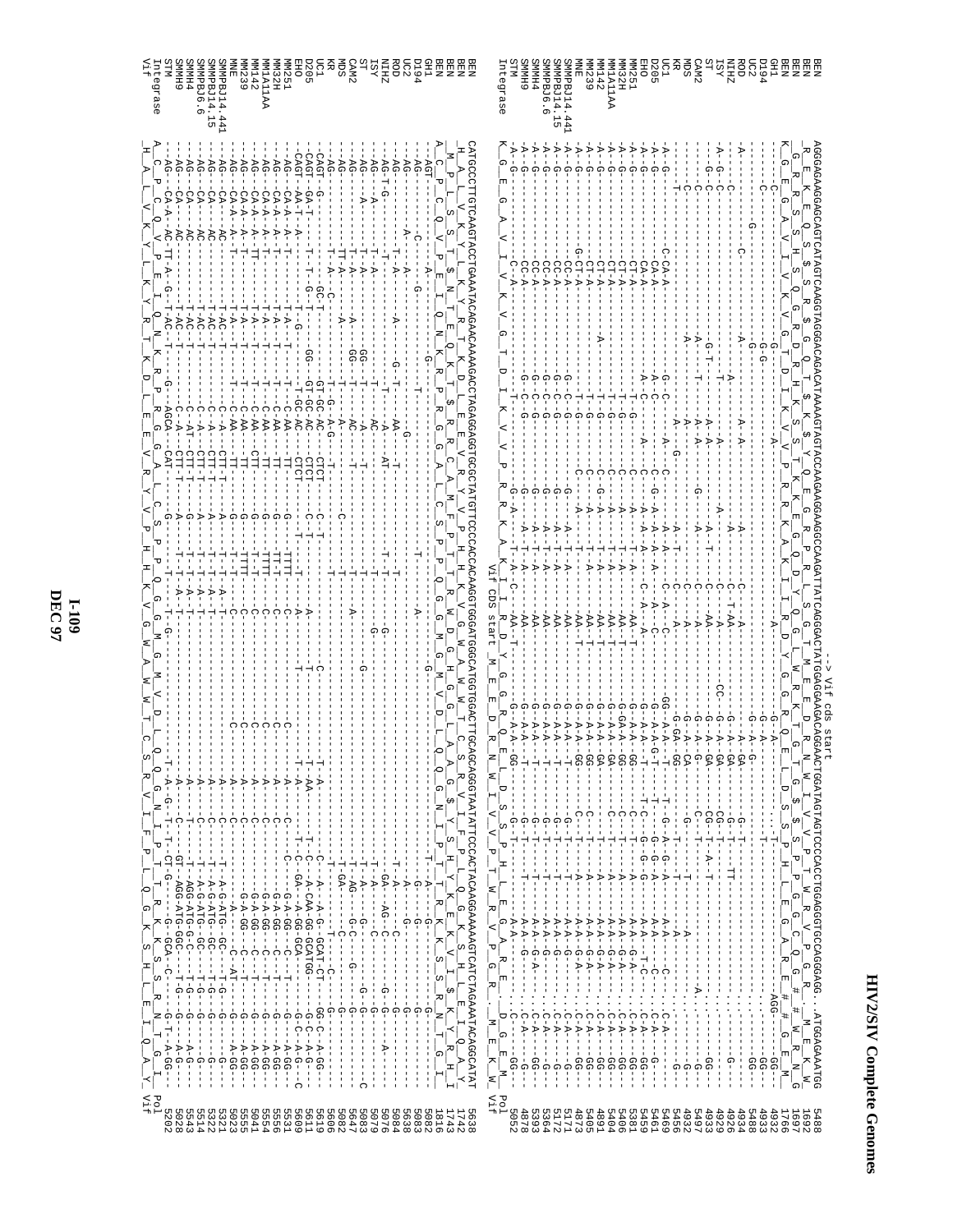### ${\footnotesize \begin{tabular}{lrrrrrrrrrrrrrrrrrr} \texttt{BEBRRS} \texttt{BRS} \texttt{BRS} \texttt{BRS} \texttt{BRS} \texttt{BRS} \texttt{BRS} \texttt{BRS} \texttt{BRS} \texttt{BRS} \texttt{BRS} \texttt{BRS} \texttt{BRS} \texttt{BRS} \texttt{BRS} \texttt{BRS} \texttt{BRS} \texttt{BRS} \texttt{BRS} \texttt{BRS} \texttt{BRS} \texttt{BRS} \texttt{BRS} \texttt{BRS} \texttt{BRS} \texttt{BRS} \texttt{BRS} \texttt{BRS} \$  $\begin{smallmatrix} \texttt{BRS} \\ \texttt{BRS} \\ \texttt{BRS} \\ \texttt{BRS} \\ \texttt{BRS} \\ \texttt{BRS} \\ \texttt{BRS} \\ \texttt{BRS} \\ \texttt{BRS} \\ \texttt{BRS} \\ \texttt{BRS} \\ \texttt{BRS} \\ \texttt{BRS} \\ \texttt{BRS} \\ \texttt{BRS} \\ \texttt{BRS} \\ \texttt{BRS} \\ \texttt{BRS} \\ \texttt{BRS} \\ \texttt{BRS} \\ \texttt{BRS} \\ \texttt{BRS} \\ \texttt{BRS} \\ \texttt{BRS} \\ \texttt{BRS} \\ \texttt{BRS} \\ \texttt{BRS$ SMME9<br>STM Integrase<br>Vif STM Integrase  $\begin{array}{l} \mathbf{1}_{\mathbf{1}}\mathbf{1}_{\mathbf{2}}\mathbf{1}_{\mathbf{3}}\mathbf{1}_{\mathbf{4}}\mathbf{1}_{\mathbf{5}}\mathbf{1}_{\mathbf{6}}\mathbf{1}_{\mathbf{7}}\mathbf{1}_{\mathbf{8}}\mathbf{1}_{\mathbf{9}}\mathbf{1}_{\mathbf{1}}\mathbf{1}_{\mathbf{1}}\mathbf{1}_{\mathbf{1}}\mathbf{1}_{\mathbf{1}}\mathbf{1}_{\mathbf{1}}\mathbf{1}_{\mathbf{1}}\mathbf{1}_{\mathbf{1}}\mathbf{1}_{\mathbf{1}}\mathbf{1}_{\mathbf$ 1441 Pol<br>Vif

DEC 97 60I-I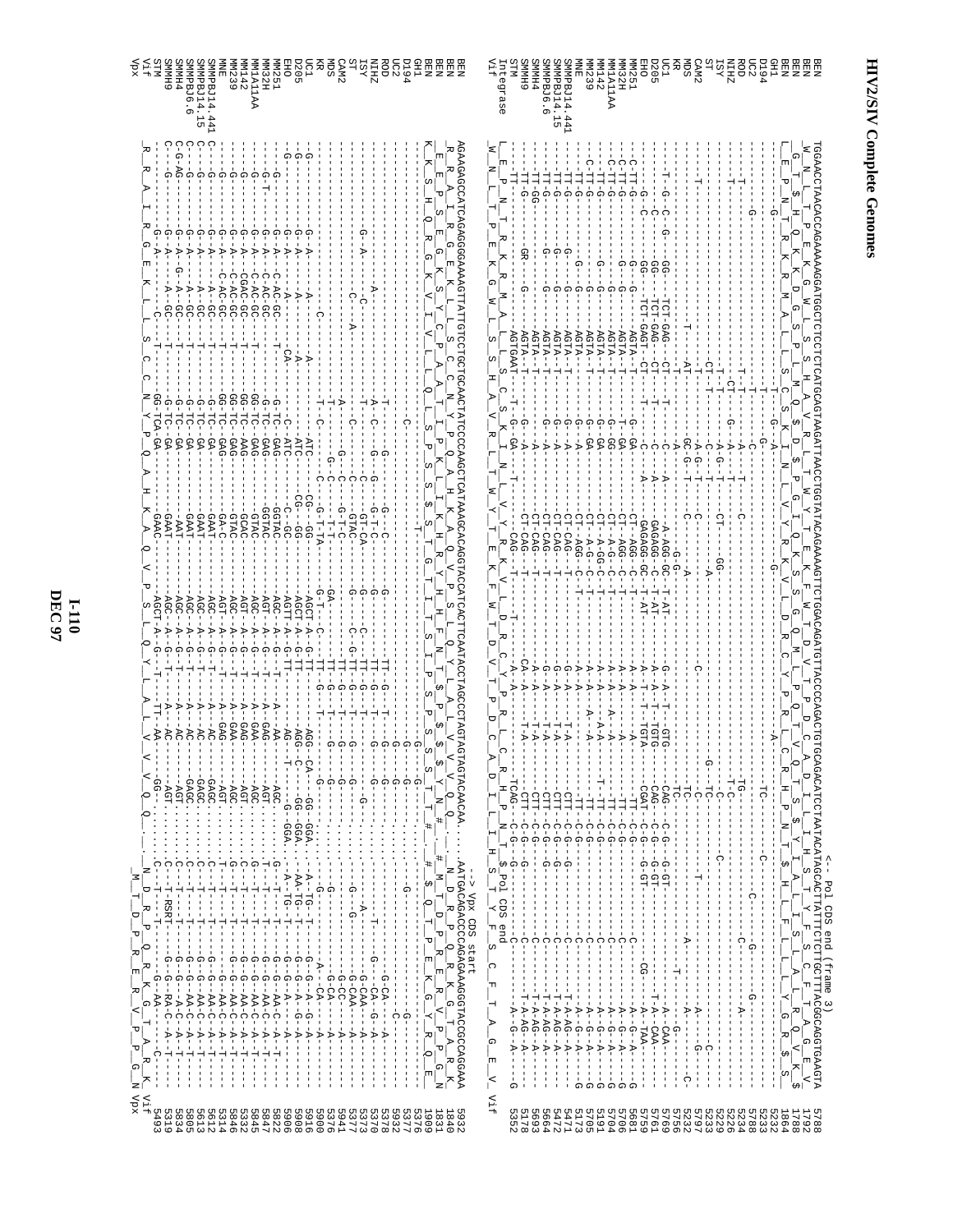| Ξ | ۰<br>ı<br>ь<br>ь<br>3 |
|---|-----------------------|
|   |                       |

| <b>GHMMS</b><br><b>PHNMS</b><br><b>SMMPBJ6</b><br><b>SMMPBJ11</b><br>¥<br>ZHIN<br>LC <sub>2</sub><br><b>P610</b><br><b>BEN</b><br>STM<br><b>ITARY</b><br>ĞЯ<br><b>CHE</b><br><b>NER</b><br><b>NES</b><br>502C<br>प्रि<br><b>TST</b><br>ãop<br><b>NHE</b><br><b>IM142</b><br>MIAILAA<br>Ĕ<br><b>ZMA2</b><br>Ζi<br>M239<br><b>IN251</b><br><b>IM32H</b><br>FO                                                                                                                                                                                                                                                                                                                                                                                                                                                                                                                                                                                                                                                                                                       | Ş<br><b>P610</b><br>Ji<br>H<br><b>PHNMS</b><br><b>BURENTS</b><br>ALLSONNS<br>ZHIN<br>LC <sub>2</sub><br><b>GHNWS</b><br><b>ITARY</b><br>₿S<br><b>TST</b><br>š<br>Ë<br>ŘN<br><b>NHE</b><br>₩<br><b>SAM2</b><br>MN142<br>MN239<br>AAILAIM<br>ntegrase<br>ĔN<br>L <sub>3</sub> 2M<br>IM32H<br>g<br>픦<br>넗<br>Ğ<br><b>205</b>                                                                                                                                                                                                                                                                                                                                                                                                                                                                                            |
|-------------------------------------------------------------------------------------------------------------------------------------------------------------------------------------------------------------------------------------------------------------------------------------------------------------------------------------------------------------------------------------------------------------------------------------------------------------------------------------------------------------------------------------------------------------------------------------------------------------------------------------------------------------------------------------------------------------------------------------------------------------------------------------------------------------------------------------------------------------------------------------------------------------------------------------------------------------------------------------------------------------------------------------------------------------------|----------------------------------------------------------------------------------------------------------------------------------------------------------------------------------------------------------------------------------------------------------------------------------------------------------------------------------------------------------------------------------------------------------------------------------------------------------------------------------------------------------------------------------------------------------------------------------------------------------------------------------------------------------------------------------------------------------------------------------------------------------------------------------------------------------------------|
| $-9 - 20$<br>⋒<br>ဂ္ဂ<br>ငှ<br>Þ<br>ଋ<br>Ω<br>∩<br>Ω<br>ଋ<br>ω<br>ω<br>Ω<br>ω.<br>J,<br>4<br>τ<br>н                                                                                                                                                                                                                                                                                                                                                                                                                                                                                                                                                                                                                                                                                                                                                                                                                                                                                                                                                               | Ω<br>Ħ<br>C-11-<br>ē<br>-11-2<br>-11-<br>-11-0<br>z<br>z<br>占上<br>-11-G<br>$2 - 77$<br>-11-G<br>TT-G<br>녑<br><b>PD-5G</b><br>᠊ᠣ<br>ᡃ<br>Ή<br>Ω<br>Ω<br>Ω<br>Ω<br>Ω<br>⋒<br>z<br>z                                                                                                                                                                                                                                                                                                                                                                                                                                                                                                                                                                                                                                    |
| m<br>Ю<br>ਂਸ਼<br>Ω<br>ଋ<br>Ħ<br>⋒<br>⋒<br>∩<br>⋒<br>ഹ<br>ഹ<br>⋒<br>∩<br>Ω<br>ഹ<br>⋒<br>₩<br>ຸ່ດ<br>G.<br>Ġ<br>Þ<br>⋗<br>Ď<br>Þ<br>Þ<br>Ω<br>Þ<br>A<br>Þ<br>A<br>⋗<br>⊅<br>Þ<br>⊅<br>റ<br>'n                                                                                                                                                                                                                                                                                                                                                                                                                                                                                                                                                                                                                                                                                                                                                                                                                                                                       | Η<br>Ġ<br>ᡃᠣ<br>Ħ<br>GR-<br>Ω<br>Ω<br>ଋ<br>×<br>ω<br>ω                                                                                                                                                                                                                                                                                                                                                                                                                                                                                                                                                                                                                                                                                                                                                               |
| ⋒<br>CGAC-GC<br>C-AC-GC-<br>C-AC-GC<br>$C-AC$<br>$C - AC - GC$<br>C-AC-GC<br>$-4-$<br>∀−<br>A-<br>$A -$<br>m<br>$\tilde{\mathcal{F}}$<br>♭<br>∱<br>C<br>$-5$<br>-gc<br>$-5C-$<br>ġ<br>ġ<br>8<br>C<br>$\mathsf I$                                                                                                                                                                                                                                                                                                                                                                                                                                                                                                                                                                                                                                                                                                                                                                                                                                                  | ငှ<br>ဂု<br>ဂု<br>සි<br>8<br>ົດ<br>ှု<br>Ö<br>ଋ<br>စ္စစ္စ<br>ω<br>Ω<br>z<br>rct-GAG-<br>CT-GAG-<br>ᡛ                                                                                                                                                                                                                                                                                                                                                                                                                                                                                                                                                                                                                                                                                                                 |
| ŗΩ<br>닌<br>Δ<br>۳<br>부<br>부<br>CA-<br>$-V -$<br>'n<br>∩<br>⊅<br>'n                                                                                                                                                                                                                                                                                                                                                                                                                                                                                                                                                                                                                                                                                                                                                                                                                                                                                                                                                                                                | ICH-GAGH--CH-<br>RGTA--T<br><b>AGTA--T</b><br><b>AGTA--T</b><br><b>AGTA--T</b><br>AGTA--T<br><b>AGTGAAT</b><br>AGTA--<br>AGTA--<br><b>AGTA--T</b><br><b>AGTA-</b><br><b>AGTA--T</b><br>RGTA--T<br>ŗΩ.<br>ŗΩ.<br>CT-<br>$-14$<br>م<br>-<br>'n<br>E                                                                                                                                                                                                                                                                                                                                                                                                                                                                                                                                                                    |
| z<br>GG-TC<br>GG-TC--AAG<br>GG-TC--GAG<br>$GG-TC$ .<br>3G-TCA<br>$-G-TC$ .<br>-40--07-07-<br>$-TC --GY - 9$<br>$-5$<br>G-TC--GA<br>-DC-<br>부<br>G-TC.<br>G-TC--GAG<br>$\overline{Y}$<br>ုံ<br>Ö<br>Q<br>C<br>Ω<br>--GAG<br>C)<br>--GAG<br>-- ATC<br>- GA-<br>- ATC<br>д<br>-<br>Gy<br>$-62A -$<br>-GAG<br>₫<br>ATC<br>ဂ္ဂ်<br>Ω<br>Ω<br>co                                                                                                                                                                                                                                                                                                                                                                                                                                                                                                                                                                                                                                                                                                                        | ∩<br>H<br>Þ<br>īω<br>⊲<br>B---B<br>Ģ<br>ဂု<br>Φ<br>ω<br>Ω<br>Ω<br>Φ<br>G--GA<br>н<br>ဂ္<br>-GA-<br>₩<br>6A<br>P<br>$-\nabla$<br>--9-09<br>Þ<br>Ď<br>ု<br>A-G<br>∩<br>A-G<br>н                                                                                                                                                                                                                                                                                                                                                                                                                                                                                                                                                                                                                                        |
| ∩<br>-99----92<br>-99---92<br>$-G-L-LH$<br>GGTAC<br>GGTAC<br>C--GC<br>-1-5<br>-1<br>-<br>-<br>-<br>-<br>-<br>GTAC.<br>CAAT<br>$C-A-$ C<br>GTAC<br>GCAC<br>ーローロー<br>CAAT<br>GAAT<br><b>GAAT-</b><br>GTAC<br>GT-CA<br>-PAT<br>Ю                                                                                                                                                                                                                                                                                                                                                                                                                                                                                                                                                                                                                                                                                                                                                                                                                                     | LGGAACCTAACACAAAAAAGGATGGCTCTCCTCTATGCAGTAAGATTAACCTGGTATACAAAAAGTTCTGGACAGAATACTGGAA<br>Ą<br>н<br>н<br>CT-CAG<br>CT-CAG<br>G<br>CT-CAG--<br>CT-CAG---<br>CT-CAG-<br>--9-7--7-<br>--DOG---<br>$-1 - 7 - 6 - -$<br><b>CT--A-GG-C</b><br><b>CT--AGG</b><br>21--AGG--C<br>GAGAGG-GC.<br>SAGAGG-<br>н<br>-CAG<br>ヵ<br>AGG-GC<br>Ħ                                                                                                                                                                                                                                                                                                                                                                                                                                                                                        |
| ᡃ<br>ω<br>Ω<br>⋒<br>Ω<br>د<br>ٻا<br>GA-<br>$-ABC$<br>-AGCT-A<br><b>AGT</b><br>AGC<br>AGC<br>$AGT-T-A$<br>AGC<br><b>AGT</b><br>AGC.<br>AGC<br><b>AGT</b><br>AGC.<br><b>AGC</b><br>AGCT-<br>lgcr-<br>Ξ<br>ł<br>$\frac{1}{1}$<br>ł<br>ŧ<br>ł<br>ł<br>ゼ<br>ъ<br>ゼ<br>ъ<br>ъ<br>⋗<br>⊅<br>Þ<br>Þ<br>ъ<br>C<br>ŋ                                                                                                                                                                                                                                                                                                                                                                                                                                                                                                                                                                                                                                                                                                                                                        | င-၁-၁<br>-<br>8<br>റ<br>∩<br>C<br>С<br>田<br>$T - T$<br>H<br>부<br>H<br>$-L-AT$<br>부<br>z<br>AT<br>н                                                                                                                                                                                                                                                                                                                                                                                                                                                                                                                                                                                                                                                                                                                   |
| ⋒<br>유<br>니그-<br>남<br>녀<br>-<br>녑<br>ヨー<br>ŧ<br>Ť<br>Η<br>Ġ<br>Ġ<br>Ω<br>Ω<br>Ω<br>⋒<br>ດ<br>$A -$<br>₫<br>∀−<br>$\overline{A}$<br>A-<br>$\overline{A}$<br>⊄<br>$\overline{A}$<br>$\overline{r}$<br>Α-                                                                                                                                                                                                                                                                                                                                                                                                                                                                                                                                                                                                                                                                                                                                                                                                                                                            | p<br>∩<br>◁<br>CA--A<br>$\overline{P}$<br><u>ဂ်</u><br> <br><u>ဂု</u><br>ဂှ<br>А<br>$-4$<br>$-4-$<br>$A - T -$<br>ъ<br>$\overline{A}$<br>ъ<br>Þ<br>Ω<br>Ŧ<br>Ŧ<br>Ţ<br>$\mathbf{H}$<br>Þ<br>Þ<br>♭<br>Þ<br>ᡃᠣ<br>۳<br>Ō                                                                                                                                                                                                                                                                                                                                                                                                                                                                                                                                                                                              |
| -GAC<br>CAG<br><b>GAA</b><br>Ω<br>⋒<br>ດ<br>ŗω.<br>$\prec$<br>$\overline{\phantom{a}}$<br>J.<br>۲<br>ا<br>Ċ-<br>CA-<br>÷Ω-<br>$\left.\right\vert^{2}$<br>'n,<br>L<br>п<br>$\mathbf{I}$<br>п<br>⊲<br>$\mathbb{I}$<br>$\mathbb{I}$<br>$\mathbf{I}$<br>$\mathbf{I}$<br>$\overline{1}$<br>$\overline{1}$<br>к<br>Ω<br>Ω<br>Ω                                                                                                                                                                                                                                                                                                                                                                                                                                                                                                                                                                                                                                                                                                                                          | È<br>$E - \Delta$<br>$T - R$<br>$\overline{P}$<br>TGTA<br>۳,<br><b>TGT</b><br>Þ<br>Q<br>ъ<br>∀⊦<br>0<br>Ω,<br>♭<br>Ъ<br>$G---TCC---$<br>jО<br>'ਸਾ<br>ξĀ<br>¦a<br>L)<br>Έ<br>I.<br>$\mathsf I$<br>$\sf I$                                                                                                                                                                                                                                                                                                                                                                                                                                                                                                                                                                                                             |
| $\begin{array}{ll} \texttt{CFAGTACAAABA} \ldots \\ \texttt{--} \texttt{V} \!\!\! \texttt{-} \texttt{0} \!\! \texttt{0} \end{array}$<br>$-AGT$<br>GAGC<br>$-48$<br>$-148$<br>$-148$<br>$-148$<br>$-148$<br>$-148$<br>$-148$<br>$-148$<br>$-148$<br>$-148$<br>$-148$<br>$-148$<br>$-148$<br>$-148$<br>$-148$<br>$-148$<br>$-148$<br>$-148$<br>$-148$<br>$-148$<br>$-148$<br>$-148$<br>$-148$<br>$-148$<br>$-148$<br>$-148$<br>$-148$<br>$-148$<br>$\Gamma$<br>$\Gamma$<br>$\frac{1}{2}$<br>$\Gamma$<br>$\Gamma$<br>$\frac{1}{2}$<br>$-99$<br>lo<br>1<br>H<br>AGT<br>$X \subseteq T$ .<br>$-AGC$<br>$- -$ GG $- -$ GGA.<br>$-00 - -$<br>$\frac{1}{1}$<br>$\frac{1}{1}$<br>ŧ<br>÷<br>$-6 -$<br>ဂှ<br>z<br>$\frac{1}{1}$<br>H<br>I<br>$\frac{1}{1}$<br>$\frac{1}{1}$<br>$\frac{1}{1}$<br>п<br>ю<br>$\vdots$<br>$\overline{1}$<br>J.<br>H<br>- 1<br>-1<br>$\frac{1}{2}$<br>$\,$ $\,$<br>$\mathbb{I}$<br>I.<br>$\mathsf I$<br>$\mathbf I$<br>#<br>$-GGA$<br>GGA.<br>Ħ<br>$\vdots$<br>$\vdots$<br>$\vdots$<br>(#<br>$\vdots$<br>$\vdots$                                  | -- PC---<br>$-LC$<br>FG-<br>$-10 - 1$<br>TCAG---<br>---<br>1--<br>$\frac{1}{1}$<br>$T - C -$<br>$-CCAT$ -<br>Ξ<br>ᄑ<br>-CTT--C-G-G-<br>$-1.15 -$<br>--CTT--C-G--<br>--CTT--C-G---<br>-- 11-<br>$\frac{1}{1}$<br>-- 11-<br>CAG-<br>CAG-<br>I.<br>--<br>--<br>--<br>'n<br>ن<br>ا<br>Ή<br>$-1.1 -$<br>自<br>--<br>co<br>'დ<br>יס<br>$\blacksquare$<br>J.<br>F<br>Ή<br>$\mathbf{I}$<br>J.<br>$\mathbf{I}$<br>$\mathbf{I}$<br>л.<br>-1<br>п<br>$\overline{1}$<br>₩<br>z<br>.<br>م-9-<br>$C - G -$<br>ှင်<br>မှ မှ<br>ဂ်ဂ်ဂ်<br>ရှစ်ရှစ်<br>$C - G -$<br>$C-G$ -<br>$C - G -$<br>- G<br>- G<br>z<br>H<br>Η<br>Έ<br>Ξ<br>$\blacksquare$<br>L.<br>$\blacksquare$<br>$\blacksquare$<br>$\blacksquare$<br>$\blacksquare$<br>$\blacksquare$<br>$\mathbf{I}$<br>$\mathbf{I}$<br>- 11<br>J.                                        |
| $-9 - 7$<br>#<br>$C = -1$<br>$C$ ---<br>$C = -1$<br>$C$ ---<br>$C = -1$<br>$-1$<br>$C - -1$<br>---------<br>ローー ローー<br>₩<br>k<br>Þ.<br>$-LT - LG - -L -$<br>$-2I - -1G - -1I -$<br>¦≍<br>¦≍<br>$A--TG--T--$<br>ł<br>$\frac{1}{1}$<br>-> Vpx CDS start<br>ļ,<br>Ť<br>ŀω<br>'n,<br>けー<br>$-1$<br>부<br>$\begin{bmatrix} 1 \\ -1 \end{bmatrix}$<br>$\Gamma$<br>$\Gamma$<br>ଜ<br>$\Gamma$<br>년<br>۲<br>ا<br>けー<br>부<br>н<br>н<br>$\overline{\phantom{a}}$<br>ļ,<br>Ö<br>$\mathbf{I}$<br>$\mathbf{I}$<br>¦ <sub>v</sub><br>$\mathbb I$<br>ー<br>中<br>$\frac{1}{1}$<br>$\frac{1}{1}$<br>$\ddot{P}$<br>$\blacksquare$<br>$\frac{1}{1}$<br>$\mathsf I$<br>$\begin{array}{c} \hline \end{array}$<br>$\mathbf I$<br>$\frac{1}{1}$<br>$\mathbf{I}$<br>$\mathbf{I}$<br>t<br>p.<br>U<br>휴<br>I<br>$\Gamma$<br>$-\frac{1}{1}$<br>ļ<br>"<br>Ė<br>Η<br>户<br>부<br>п<br>$\overline{\phantom{a}}$<br>부<br>부<br>-1<br>$\mathbf{I}$<br>¦o<br>יט<br>Ю.                                                                                                                                    | $\sf I$<br>$\frac{1}{1}$<br>$-6 - -$<br>$\frac{1}{1}$<br>Ģ<br>Ġ<br>$\int_{1}^{\infty}$<br>т<br>л.<br>$\frac{1}{2}$<br>$\frac{1}{2}$<br>နဲ့<br>ဂှ<br>٠m<br>- GT -<br>- GT -<br>$-15-9$<br>$\mathbf I$<br>$-1$ $-1$ $-1$ $-1$<br>$\mathbf I$<br>٠m<br>L<br>נט.<br>י<br>ŗΩ.<br>$\begin{array}{c} \end{array}$<br>।<br>ठ<br>$\frac{1}{4}$<br>⊅<br>ł<br>j<br>Έ<br>J.<br>Η<br>н<br>$\frac{1}{1}$<br>F<br>$\mathbf{I}$<br>I<br>CDS<br>F<br>л.<br>$\overline{\mathbf{K}}$<br>$\mathbf k$<br>J.<br>$\frac{1}{4}$<br>피<br>л.<br>'n<br>end<br>'n<br>$\mathbf{I}$<br>$\mathbb{I}$<br>$\mathbb T$<br>$\mathbf{I}$<br>$\mathsf I$<br>$\overline{1}$<br>H<br>J.<br>ω                                                                                                                                                                |
| AATGACAGACCCCAGAGAAAGGGTACCGCCAGGAAA<br>$\frac{1}{\circ}$<br>'д<br>þ<br>ਸ਼<br>₩<br>$\mathbf I$<br>ļ,<br>$\frac{1}{2}$<br>$-1$<br>$\Gamma$<br>Þ<br>$\Gamma$<br>$-9$<br>ဂု<br>$\Omega$<br>Ω<br>$-1$<br>$\Gamma$<br>ရ ရ<br>၂ ၂<br>$\frac{1}{1}$<br>$\overline{r}$<br>'ਸ<br>-1<br>Ħ<br>Ħ<br>ķ<br>Ω<br>$\Gamma$<br>Ω<br>$G-CA-$<br>$-5 - 5 -$<br>$G-CAA---$<br>$G-CAA-$<br>×<br>⋒<br><u>ဂ</u><br>Ω<br>⋒<br>Ω<br>⋒<br>Ω<br>Ω<br>⋒<br>Ω<br>⋒<br>Ω<br>G-CA--<br>'z<br>Ï<br>$-AA-C$<br>Ţ<br>$\frac{1}{1}$<br>$\frac{1}{1}$<br>j.<br>f.<br>$\frac{1}{1}$<br>$-44 - C$<br>$\frac{1}{1}$<br>$\frac{1}{1}$<br>$\frac{1}{1}$<br>ŧ<br>$-CA$ -<br>$-CA$ -<br>'¤<br>₩<br>$-AA$<br>$BA-C$<br>$C - A - C$<br>$-56 -$<br>$D-W$<br>$D - \nabla V$<br>$D-VV$<br>$-A$ -<br>$-AA -$<br>$D-W$<br>$\sum_{i=1}^{n}$<br>$-4$<br>$-\nabla$<br>ຸດ<br>ים.<br>ה<br> <br>מ<br>₹<br>4<br>п<br>$\mathbf{I}$<br>$\blacksquare$<br>п<br>$\mathbf{I}$<br>C<br>C<br>$\Omega$<br>ဂှ<br>$\Omega$<br>Ω<br>ငှ –<br> <br>I.<br>$\mathsf I$<br>$\mathbf I$<br>$\mathbf{\kappa}$<br>$\mathbf{I}$<br>д<br>д<br>Ť | GCAGACATCCTAATACATAGCACTTATTTCTCTTGCTTTACGGCAGGTGAAGTA<br>Pol CDS end (frame 3)<br>$A -$<br>Ω<br>Ω<br>ה -<br>- -<br>Ω<br>$\Gamma$<br>Ω<br>Ω<br>Ω<br>Ω<br>$\Gamma$<br>Ω<br>∩<br>$\frac{1}{1}$<br>F<br>מ'<br>.<br>מ<br>$\frac{1}{1}$<br>$\frac{1}{1}$<br>$\frac{1}{4}$<br>$\frac{1}{4}$<br>Ť<br>÷<br>÷<br>ŧ<br>ŧ<br>F<br>٣<br>-00-<br>'n<br>n.<br>I,<br>$-1 -$<br>$\mathbb{I}$<br>$\mathbb{I}$<br>Ъ<br>Ţ<br>F<br>Ŧ<br>'nŋ<br>$\mathbf I$<br>J<br>$-\frac{1}{1}$<br>⊨<br>$\mathbf{I}$<br>$\mathbf{I}$<br>$\overline{1}$<br>$T - A - A G - -$<br>$T - A - A G - -$<br>$T - A - A G - - A$<br>$-5 - 7$<br>κ<br>$T - A - AG$<br>$- -P - -G - -A$<br>- A-<br>Ļ,<br>н<br>$\sum_{i=1}^{n}$<br>÷.<br>$\ddot{\mathbf{r}}$<br>¦7J<br>$\overline{Y}$<br>$\frac{1}{2}$<br>$A--A$<br>$A--$<br>$\mathbf{I}$<br>$\mathsf I$<br>ဂ<br>Ъ |
| $G - A -$<br>$\frac{1}{1}$<br>$\frac{1}{1}$<br>$\frac{1}{1}$<br>Ŧ<br>$\frac{1}{1}$<br>Ŧ<br>$\frac{1}{1}$<br>$\frac{1}{1}$<br>Ŧ<br>$\frac{1}{1}$<br>$\frac{1}{1}$<br>ł<br>$\frac{1}{1}$<br>$\frac{1}{1}$<br>$\frac{1}{1}$<br>U<br>Ю.<br>ļ<br>¦≂<br>$-4-$<br>$-4$<br>$-4$<br>$-4-$<br>$-4$<br>$\frac{1}{2}$<br>$\sum_{i=1}^{n}$<br>$A$ --A<br>$A -$<br>$A$ --A<br>$A -$<br>$A -$<br>$A$ --<br>$A$ --<br>A-<br>$-4$<br>A-<br>$A -$<br>$\mathbb{Y}$<br>$\overline{r}$<br>ᡃ⊅<br>Ð<br>Ψ.<br>$\overline{1}$<br>$\mathbf{I}$<br>$\mathbf{I}$<br>$\mathbf{I}$<br>$\overline{\phantom{a}}$<br>Ė<br>Ė<br>부<br>보<br>부<br>įО.<br>부<br>부<br>년<br>부<br>부<br>$\mathbf{I}$<br>Ģ<br>H<br>л.<br>т<br>$\mathbf{I}$<br>п<br>1<br>$\overline{1}$<br>'ᆽ<br>'ᆽ<br>$\overline{1}$<br>່ດ<br>ດ<br>Þ.<br>k<br>ΣÍ<br>z                                                                                                                                                                                                                                                                         | $\mathbb{T}-\mathbb{A}-\mathbb{A}\mathbb{G}--\mathbb{A}--$<br>$A - G - G -$<br>$A - -G - -$<br>$\mathbf{A}--\mathbf{G}--\mathbf{A}--$<br>$\overline{r}$<br>$-TAA-$<br>$\frac{1}{1}$<br>þ<br>$\Gamma$<br>$G = -R -$<br>CAA-<br><u>၉</u><br>၂<br>CAA-<br>J.<br>$\begin{array}{c} \hline \end{array}$<br>ĸ<br>$--A$<br>$\frac{1}{\Omega}$<br> <br>വ<br>'ဂ<br>⊲<br>$A -$<br>Þ<br>⋗<br>Þ<br>Ω<br>⊅<br>⊅<br>$\mathbf{I}$<br>J.<br>$\mathbf{I}$<br>$\mathbf{I}$<br>$\frac{1}{1}$<br>ł<br>٩D.<br>1<br>J,<br>J.<br>ł<br>þ<br>'n<br>$\mathbf I$<br>L<br>$\mathsf I$<br>×<br>$\frac{1}{\sqrt{2}}$<br>ŗω.<br>'<<br>∩<br>ω<br>$\omega$<br>ଋ<br>⋒<br>∩<br>⋒<br>⋒<br>⋒                                                                                                                                                              |
| $x d\Lambda$<br>Σif                                                                                                                                                                                                                                                                                                                                                                                                                                                                                                                                                                                                                                                                                                                                                                                                                                                                                                                                                                                                                                               | Vif<br>5778<br>1778<br>1988                                                                                                                                                                                                                                                                                                                                                                                                                                                                                                                                                                                                                                                                                                                                                                                          |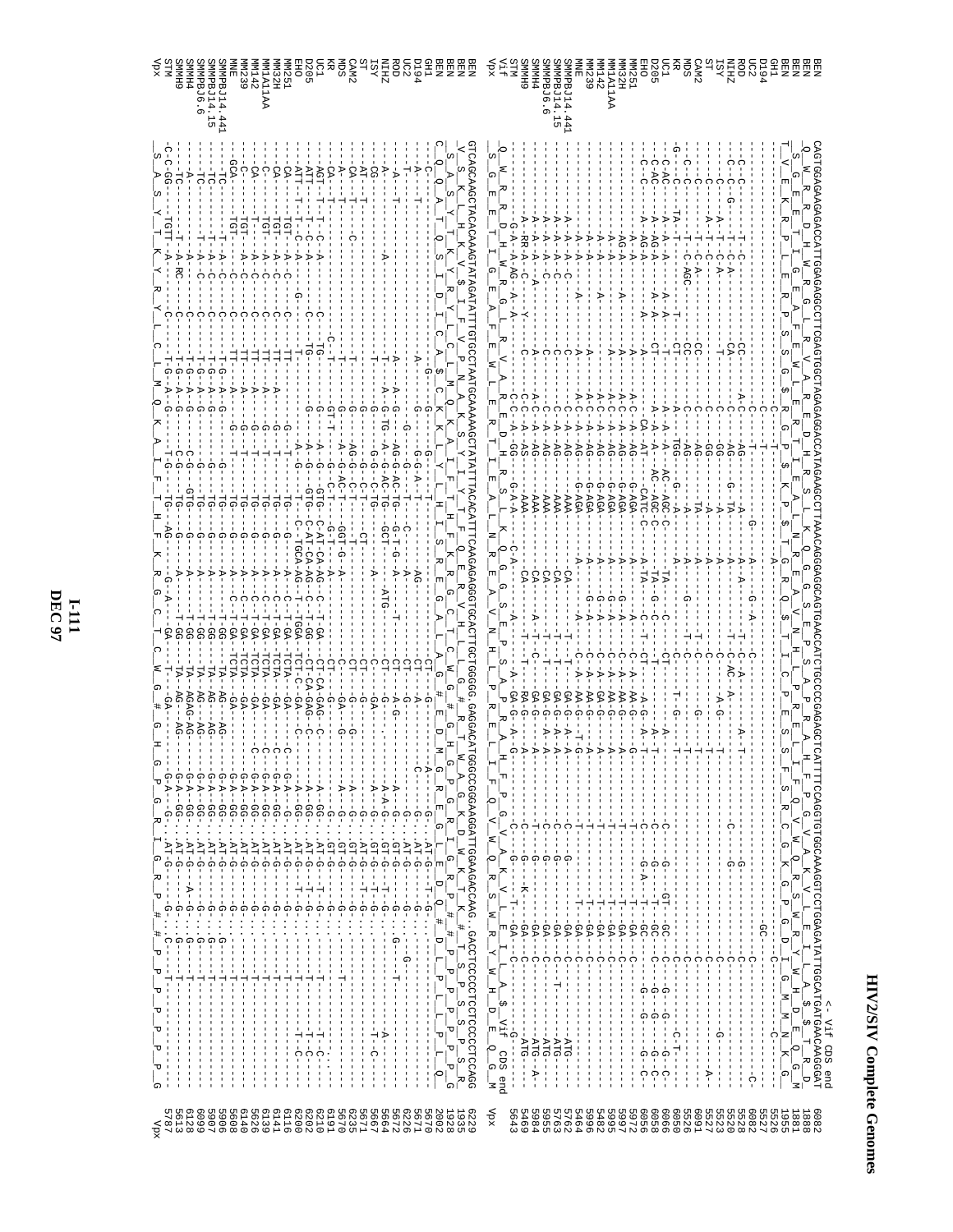| ZAGTGGAGAAGAGCATTGGAGAGGCTTTCGAGTGGCTAGAGAGGACCATAGAAGCCTTAAACAGGGAGGAGTGAATGACATTCGCCGGAGAG<br>C<br>GCA<br>$-V -$<br><b>ATT</b><br>ဂု<br><b>AGT</b><br>٢<br>β<br>යි<br>Ö<br>Ö<br>$-AC$<br>Ω<br>団<br>m<br>m<br>ດ<br>団<br>⊅<br>TGT.<br>LG1-<br>부<br>۲<br>ا<br>TST<br>-<br>101<br>TSI<br>∩<br>∩<br>$A$ --<br>AG-.<br>AG-.<br>AG-.<br>I.<br>J,<br>ъ<br>ታ<br>⊅<br>٣<br>⊅<br>⊅<br>C-AGC<br>₩<br>RG<br>∩<br>∩<br>∩<br>∩<br>റ<br>∩<br>∩<br>∩<br>∩<br>∩<br>Ω<br>∩<br>$\mathbf{I}$<br>∀−<br>⋒<br>피<br>団<br>Σ<br>G<br>റ<br>ഹ<br>⋒<br>ഩ<br>ഩ<br>െ<br>ω<br>⋒<br>Ω<br>⋒<br>යි<br>ငှ<br>ဂု<br>-AC-T<br>AC-1<br>団<br>$G - A -$<br><b>G-AGA</b><br>3-AGA<br>3-AGA<br>3-AGA<br><b>GAGA</b><br>`c۵<br><b>GTG</b><br>AGA.<br>AGC<br>AAA<br>AAA<br>AAA<br>AGC-<br>AAA<br>Ω<br>$-AT-CA-AG-$<br>-D-TDE<br>⋒<br>ດ<br>Ω<br>$A - AC$<br>ř<br>A-TA-<br>⋒<br>RG<br>РA<br>ኔ<br>Ω<br>m<br><b>L-GA</b><br>VD-1<br>-95<br>ģ<br>-GA<br><b>GA</b><br>Ħ<br>စ်<br>GGA<br>ດ<br>G<br>⋒<br>P<br>⋒<br>P-CA-GAG<br>구<br>ഹ<br>ଇ<br>Д<br>PD.<br>ω<br>Ω<br>ω<br>Έ<br>RIGGGCGGGRAGGRITGGAAGACCAAGGACCTCCCCCTCCTCCCCCTCCACCAGG<br>TCATTTTCCAGGTGTGGCAAAGGTCCTGGAGATATTGGCATGAAGGAGGATELLELER GEOSETGTTGCAGGGATELLER CDS<br>Ξ<br>$\begin{array}{c} -1 \\ -1 \end{array}$<br>$\mathbf{I}$<br>ь<br>$\begin{array}{c} 1 \\ -1 \end{array}$<br>ı<br>J,<br>Ŕ<br>$\frac{1}{\sqrt{2}}$<br>Ω<br>Σ<br>Ω<br>ъ<br>ъ<br>ъ<br>⊅<br>Ω<br>⊅<br>ъ<br>ъ<br>Ω<br>н<br>н<br>부<br>부<br>부<br>н<br>ŗΩ.<br>ኴ<br>н<br>z<br>E,<br>$\mathbf{I}$<br>J,<br>$\frac{1}{1}$<br>J.<br>ł<br>$\mathsf I$<br>$\mathbf{I}$<br>$\frac{1}{1}$<br>л<br>'ດ<br>'ဂ<br>н<br>ູ່ດ<br>C<br>$\mathbb{A}-$<br>피<br>$-6 - A - -$<br>$-4-7-1$<br>$G - A - - GG -$<br>F<br>ω<br>ဂု<br>$G - A - GG - C$<br>G-A--GG- .<br>$G - A - GG - .$<br>$G - A - - GG$<br>$G-A$<br>G-A--GG<br>$G - A - -$<br>ł<br>ъ<br>$\mathbf{I}$<br>ᡃ<br>Ħ<br>٣<br>F<br>ŀ<br>л<br>$\overline{1}$<br>л<br>$\overline{1}$<br>ъ<br>$A - GG -$<br>$A - GG -$<br>$-4$<br>$\frac{1}{2}$<br>$A---$<br>$A - A - G$<br>$A -$<br>$A -$<br>$\mathbf I$<br>₩<br>īω<br>$\overline{\phantom{a}}$<br>Ĩ,<br>Ţ,<br>$-99 - 7$<br>ັດ<br>٦J.<br>j۵,<br>O<br>$\blacksquare$<br>J.<br>I<br>ດ<br>Ю<br>$-55-$<br>Ġ,<br>င္ပ်<br>နှ<br>င္ပြ<br>囝<br>₩<br>$\frac{1}{\Omega}$<br>1<br>$\mathbf{I}$<br>Ω<br><u>ှ</u><br>Ω<br>Ω<br>Ω<br>$\ddot{e}$<br>Ω<br>$\Omega$ .<br>်<br>$\therefore$<br><u>ັດ</u><br>J<br>◁<br>ੱਸ਼<br>Ţ<br>Ĩ,<br>$\mathsf I$<br>$\mathbf{I}$<br>$\mathbf{I}$<br>Ĵ<br>$\mathsf I$<br>$\cdot$ <sup>1</sup><br>÷,<br>Ť<br>$\frac{1}{2}$<br>Ţ<br>$\frac{1}{2}$<br>蚊<br>$\overline{1}$<br>п<br>$\blacksquare$<br>J.<br>$\blacksquare$<br>л<br>п<br>່ດ<br>↷<br>H<br>ဂု<br>Ω<br>↷<br>H<br>Ω<br>∩<br>Ω<br>н<br>부<br>부<br>부<br>∩<br>∩<br>С<br>$\ddot{\phantom{0}}$<br>$\cdot$<br>$\vdots$<br>$-1.5 - 1$<br>$\cdot$<br>Έ<br>⊲<br>-1<br>т<br>$\mathbf{I}$<br>л<br>J.<br>u,<br>-1<br>z<br>$-75-$<br>z<br>$D-LV$<br>$-5 - 5$<br>$-LL$<br>$AT - T$<br>$AT-G$ .<br>$AT-G$ .<br>ATA<br>$AT-G$ .<br>ATA<br>$GL-G$<br>$-14$<br>$-GL-G$<br>$GT-G$ .<br>$AT -$<br>ATA<br>$AT -$<br>$AT-G$<br>$AT-G$<br>$C_T-G$<br>$AT-G$ .<br>$AT -$<br>$AT-G--$<br>AT-1<br>ຸດ<br>⊢<br>п<br>п<br>Σ<br>ъ<br>$\overline{1}$<br>1<br>ູ່ ດ<br>ູ່ດ<br>Ö<br>န် နဲ<br>ဂှ<br>ω<br>Ω<br>Ю<br>Ω<br>ω<br>Ω<br>Ω<br>Ω<br>Ω<br>Ω<br>Ω<br>Ω<br>ଋ<br>Ω<br>ω<br>Ħ<br>$\blacksquare$<br>ဂု<br>ω<br>ω<br>⋒<br>Ω<br>ᆽ<br>₩<br>×<br>$\mathbf{I}$<br>$\blacksquare$<br>H.<br>$\overline{1}$<br>1<br>л<br>H.<br>$\mathbf{I}$<br>л<br>т<br>$\overline{1}$<br>л<br>1<br>п<br>$\overline{1}$<br>$\mathbf{I}$<br>`¤<br>₩<br>ξÞ<br>$\frac{1}{2}$<br>ヵ<br>∪<br>ຸດ<br>$\overline{1}$<br>$\mathbf{I}$<br>п<br>$\mathbf{I}$<br>$\blacksquare$<br>л<br>H<br>₹<br>۲I<br>F<br>$\overline{A}$<br>부<br>$-1$<br>K-<br>부<br>۲I<br>İ<br>1<br>$\mathbf{I}$<br>부<br>부<br>л<br>л<br>$\overline{1}$<br>п<br>-1<br>ш<br>ш<br>л<br>л<br>ם,<br>д<br>'c۵<br>ĠT-<br>$\mathsf I$<br>ï۵<br>1<br>$\mathbf{I}$<br>J,<br>ᡃ<br>$\dot{\Omega}$<br>Ю<br>È<br>н<br>н<br>н<br>Н<br>ᅼ<br>$\mathbf{I}$<br>ω<br>Ω<br>Ω<br>Ω<br>Ω<br>ଋ<br>Ω<br>Ω<br>Ω<br>∩<br>Ω<br>Ω<br>Ω<br>Ω<br>ω<br>ଋ<br>ω<br>Ω<br>Ω<br>ω<br>ဂု<br>ω<br>$\Gamma$ .<br>Ω<br>$\mathbf{I}$<br>J.<br>$\overline{1}$<br>$\mathbf{I}$<br>$\overline{\phantom{a}}$<br>$\blacksquare$<br>Ξ<br>Ξ<br>#<br>Ť<br>$\mathbf{I}$<br>л.<br>$\mathbf{I}$<br>Ц<br>$\mathbf{I}$<br>$\mathbf{I}$<br>$\mathbf{I}$<br>$\blacksquare$<br>$\blacksquare$<br>п<br>$\mathbf{I}$<br>л.<br>-1<br>$\blacksquare$<br>$\blacksquare$<br>$\mathbf{I}$<br>$\mathbf{I}$<br>$\mathbf{I}$<br>п<br>л<br>л<br>$\mathbf{I}$<br>$\vdots$<br>$\ddot{\cdot}$<br>$-45-$<br>$-52 -$<br>$\begin{array}{c} \rule{0pt}{2.5ex} \rule{0pt}{2.5ex} \rule{0pt}{2.5ex} \rule{0pt}{2.5ex} \rule{0pt}{2.5ex} \rule{0pt}{2.5ex} \rule{0pt}{2.5ex} \rule{0pt}{2.5ex} \rule{0pt}{2.5ex} \rule{0pt}{2.5ex} \rule{0pt}{2.5ex} \rule{0pt}{2.5ex} \rule{0pt}{2.5ex} \rule{0pt}{2.5ex} \rule{0pt}{2.5ex} \rule{0pt}{2.5ex} \rule{0pt}{2.5ex} \rule{0pt}{2.5ex} \rule{0pt}{2.5ex} \rule{0$<br>$-5A-$<br>ຸດ<br>#<br>$-KD$ -<br>$-9$<br>$\ddot{\phantom{0}}$<br>$\ddot{\phantom{a}}$<br>$\ddot{\phantom{0}}$<br>$\cdot$<br>$\pm$<br>ø<br>$-6A-$<br>$GA -$<br>$GA -$<br>$-55 -$<br>$-5A-$<br>G.<br>$\cdot$<br>$GA -$<br>$GA -$<br>$GA -$<br>ငှ<br>-29<br>п<br>'ਸ਼<br>'ਸ<br>#<br>п<br>Ω<br>Ω<br>Ω<br>Φ<br>Ō<br>Q<br>Ω<br>ଋ<br>f,<br>∀<br>⊣<br>$\overline{1}$<br>Ť.<br>j<br>Ť<br>I<br>ď<br>k<br>٦U.<br>$\mathbf{I}$<br>$\blacksquare$<br>$\blacksquare$<br>л<br>л<br>$\blacksquare$<br>л<br>ရှ<br>↷<br>↷<br>↷<br>↷<br>↷<br>∩<br>∩<br>◠<br>╘<br>↷<br>∩<br>∩<br>∩<br>∩<br>∩<br>∩<br>∩<br>∩<br>↷<br>∩<br>∩<br>↷<br>∩<br>ု<br>ŗω.<br>⊢<br>ï<br>ï<br>ี่≍<br><del>יט</del><br>٣<br>J.<br>J.<br>$\mathbf{I}$<br>$\blacksquare$<br>J.<br>z<br>ᠸ<br>.ଦ<br>н<br>부<br>н<br>н<br>н<br>н<br>н<br>н<br>н<br>н<br>н<br>부<br>н<br>н<br>⊣<br>H<br>부<br>T<br>д<br>$\mathbf{I}$<br>Ť<br>ъ<br>Ĥ<br>$\overline{1}$<br>J.<br>1<br>-1<br>л<br>$\mathbb{H}$<br>٦U.<br>ᡃ<br>Ω<br>ω<br>Ω<br>Ξ<br>s<br>J.<br>$\mathbf{I}$<br>$\frac{1}{1}$<br>ω<br>'n<br>Þ<br>٣<br>ᡃ<br>Έ<br>z<br>ω<br>Ω<br>Ω<br>$\mathbf{I}$<br>Vif<br>ับว<br>п<br>п<br>$\overline{1}$<br>-1<br>ш<br>ᡃᠣ<br>ᡃ<br>'n<br>$\mathbf I$<br>দ<br>J.<br>J.<br>$\blacksquare$<br>۲<br>ا<br>z<br>보<br>$\overline{Y}$<br>ᡃ<br>ဂု<br>ဂု<br>۲<br>ا<br>۲<br>ا<br>$-XTC--$<br>$-ATG$<br>$-ATG-$<br>$C-T$ -7<br>↷<br>$-ATG--$<br>$-ATG$<br>ᡃᠣ<br>л<br>-1<br>ᡃᠣ<br>$\overline{1}$<br>д<br>Ö<br>$\mathsf I$<br>I<br>Ю<br>л<br>п<br>H<br>CDS<br>C<br>C<br>G<br>C<br>ဂု<br>ဂု<br>ှ<br>J<br>J<br>īω<br>$\frac{1}{2}$<br>Ţ.<br>I<br>I.<br>$\mathsf I$<br>J.<br>$\mathbf{I}$<br>J.<br>$\mathbf{I}$<br>$\blacksquare$<br>$\blacksquare$<br>п<br>п<br>'ဂ<br>ᠣ<br>ᡃ<br>ഹ<br>J.<br>$\mathbf{I}$<br>$\overline{\phantom{a}}$<br>$\overline{\phantom{a}}$<br>1<br>$\mathbf{I}$<br>л<br>л<br>$\blacksquare$<br>п<br>п<br>ш<br>$\sum_{i=1}^{n}$<br>.ရ<br>Ю<br>$\mathbf I$<br>ှ<br>Ω<br>ř<br>ု<br>ı<br>-1<br>end<br>ヵ<br>$\mathbf{I}$<br>J.<br>G<br>л<br>'≍<br>ົດ<br>ົດ<br>Ξ<br>п<br>л<br>$\vdash \vdash \circ$<br>$xd\Lambda$<br>хđд | <b>PHMMS</b><br><b>SMMPBJ</b><br><b>STIM</b><br><b>GHMMS</b><br>UC2<br>019<br>EHS.<br>BEN<br>胃区<br>5<br>O<br><b>CMAC</b><br>Ĕ<br>ă<br>MN142<br>MN239<br>ZHIN<br>ਾਰੋਂ<br>ਲ<br><b>IN251</b><br>ksi<br>ã<br><b>MMPB</b><br><b>MMPBJ1</b><br>IN32H<br>$\frac{50}{5}$<br><b>AAILAIM</b> | ZHIN<br>UC2<br><b>P19</b><br><b>BEN</b><br>BEN<br>BEN<br>SON<br><b>CAM2</b><br>Ľ<br>GHI<br><b>BEN</b><br>STIM<br>ISZ<br>š<br>ਦੇ<br>ਲ<br>W142<br><b>IM251</b><br><b>MMH44</b><br>LASH<br>N239<br>MIAIIAA<br><b>IN32H</b><br>Ω<br><b>GHMIN</b><br><b>LTAGMM</b><br><b>205</b><br><b>LARMM</b> |
|--------------------------------------------------------------------------------------------------------------------------------------------------------------------------------------------------------------------------------------------------------------------------------------------------------------------------------------------------------------------------------------------------------------------------------------------------------------------------------------------------------------------------------------------------------------------------------------------------------------------------------------------------------------------------------------------------------------------------------------------------------------------------------------------------------------------------------------------------------------------------------------------------------------------------------------------------------------------------------------------------------------------------------------------------------------------------------------------------------------------------------------------------------------------------------------------------------------------------------------------------------------------------------------------------------------------------------------------------------------------------------------------------------------------------------------------------------------------------------------------------------------------------------------------------------------------------------------------------------------------------------------------------------------------------------------------------------------------------------------------------------------------------------------------------------------------------------------------------------------------------------------------------------------------------------------------------------------------------------------------------------------------------------------------------------------------------------------------------------------------------------------------------------------------------------------------------------------------------------------------------------------------------------------------------------------------------------------------------------------------------------------------------------------------------------------------------------------------------------------------------------------------------------------------------------------------------------------------------------------------------------------------------------------------------------------------------------------------------------------------------------------------------------------------------------------------------------------------------------------------------------------------------------------------------------------------------------------------------------------------------------------------------------------------------------------------------------------------------------------------------------------------------------------------------------------------------------------------------------------------------------------------------------------------------------------------------------------------------------------------------------------------------------------------------------------------------------------------------------------------------------------------------------------------------------------------------------------------------------------------------------------------------------------------------------------------------------------------------------------------------------------------------------------------------------------------------------------------------------------------------------------------------------------------------------------------------------------------------------------------------------------------------------------------------------------------------------------------------------------------------------------------------------------------------------------------------------------------------------------------------------------------------------------------------------------------------------------------------------------------------------------------------------------------------------------------------------------------------------------------------------------------------------------------------------------------------------------------------------------------------------------------------------------------------------------------------------------------------------------------------------------------------------------------------------------------------------------------------------------------------------------------------------------------------------------------------------------------------------------------------------------------------------------------------------------------------------------------------------------------------------------------------------------------------------------------------------------------------------------------------------------------------------------------------------------------------------------------------------------------------------------------------------------------------------------------------------------------------------------------------------------------------------------------------------------------------------------------------------------------------------------------------------------------------------------------------------------------------------------------------------------------------------------------------------------------------------------------------------------------------------------------------------------------------------------------------------------------------------------------------------------------------------------------------------------------------------------------------------------------------------------------------------------------------------------------------------------------------------------------------------------------------------------------------------------------------------------------------------------------------------------------------------------------------------------------------------------------------------------------------------------------------------------------------------------------------------------------------------------------------------------------------------------------------------------------------------------------------------------------------------------------------------------------------------------------------------------------------------------------------------------------------------------------------------------------------------------------------------------------------------|------------------------------------------------------------------------------------------------------------------------------------------------------------------------------------------------------------------------------------------------------------------------------------|---------------------------------------------------------------------------------------------------------------------------------------------------------------------------------------------------------------------------------------------------------------------------------------------|
|                                                                                                                                                                                                                                                                                                                                                                                                                                                                                                                                                                                                                                                                                                                                                                                                                                                                                                                                                                                                                                                                                                                                                                                                                                                                                                                                                                                                                                                                                                                                                                                                                                                                                                                                                                                                                                                                                                                                                                                                                                                                                                                                                                                                                                                                                                                                                                                                                                                                                                                                                                                                                                                                                                                                                                                                                                                                                                                                                                                                                                                                                                                                                                                                                                                                                                                                                                                                                                                                                                                                                                                                                                                                                                                                                                                                                                                                                                                                                                                                                                                                                                                                                                                                                                                                                                                                                                                                                                                                                                                                                                                                                                                                                                                                                                                                                                                                                                                                                                                                                                                                                                                                                                                                                                                                                                                                                                                                                                                                                                                                                                                                                                                                                                                                                                                                                                                                                                                                                                                                                                                                                                                                                                                                                                                                                                                                                                                                                                                                                                                                                                                                                                                                                                                                                                                                                                                                                                                                                                                                        |                                                                                                                                                                                                                                                                                    |                                                                                                                                                                                                                                                                                             |
|                                                                                                                                                                                                                                                                                                                                                                                                                                                                                                                                                                                                                                                                                                                                                                                                                                                                                                                                                                                                                                                                                                                                                                                                                                                                                                                                                                                                                                                                                                                                                                                                                                                                                                                                                                                                                                                                                                                                                                                                                                                                                                                                                                                                                                                                                                                                                                                                                                                                                                                                                                                                                                                                                                                                                                                                                                                                                                                                                                                                                                                                                                                                                                                                                                                                                                                                                                                                                                                                                                                                                                                                                                                                                                                                                                                                                                                                                                                                                                                                                                                                                                                                                                                                                                                                                                                                                                                                                                                                                                                                                                                                                                                                                                                                                                                                                                                                                                                                                                                                                                                                                                                                                                                                                                                                                                                                                                                                                                                                                                                                                                                                                                                                                                                                                                                                                                                                                                                                                                                                                                                                                                                                                                                                                                                                                                                                                                                                                                                                                                                                                                                                                                                                                                                                                                                                                                                                                                                                                                                                        |                                                                                                                                                                                                                                                                                    |                                                                                                                                                                                                                                                                                             |
|                                                                                                                                                                                                                                                                                                                                                                                                                                                                                                                                                                                                                                                                                                                                                                                                                                                                                                                                                                                                                                                                                                                                                                                                                                                                                                                                                                                                                                                                                                                                                                                                                                                                                                                                                                                                                                                                                                                                                                                                                                                                                                                                                                                                                                                                                                                                                                                                                                                                                                                                                                                                                                                                                                                                                                                                                                                                                                                                                                                                                                                                                                                                                                                                                                                                                                                                                                                                                                                                                                                                                                                                                                                                                                                                                                                                                                                                                                                                                                                                                                                                                                                                                                                                                                                                                                                                                                                                                                                                                                                                                                                                                                                                                                                                                                                                                                                                                                                                                                                                                                                                                                                                                                                                                                                                                                                                                                                                                                                                                                                                                                                                                                                                                                                                                                                                                                                                                                                                                                                                                                                                                                                                                                                                                                                                                                                                                                                                                                                                                                                                                                                                                                                                                                                                                                                                                                                                                                                                                                                                        |                                                                                                                                                                                                                                                                                    |                                                                                                                                                                                                                                                                                             |
|                                                                                                                                                                                                                                                                                                                                                                                                                                                                                                                                                                                                                                                                                                                                                                                                                                                                                                                                                                                                                                                                                                                                                                                                                                                                                                                                                                                                                                                                                                                                                                                                                                                                                                                                                                                                                                                                                                                                                                                                                                                                                                                                                                                                                                                                                                                                                                                                                                                                                                                                                                                                                                                                                                                                                                                                                                                                                                                                                                                                                                                                                                                                                                                                                                                                                                                                                                                                                                                                                                                                                                                                                                                                                                                                                                                                                                                                                                                                                                                                                                                                                                                                                                                                                                                                                                                                                                                                                                                                                                                                                                                                                                                                                                                                                                                                                                                                                                                                                                                                                                                                                                                                                                                                                                                                                                                                                                                                                                                                                                                                                                                                                                                                                                                                                                                                                                                                                                                                                                                                                                                                                                                                                                                                                                                                                                                                                                                                                                                                                                                                                                                                                                                                                                                                                                                                                                                                                                                                                                                                        |                                                                                                                                                                                                                                                                                    |                                                                                                                                                                                                                                                                                             |
|                                                                                                                                                                                                                                                                                                                                                                                                                                                                                                                                                                                                                                                                                                                                                                                                                                                                                                                                                                                                                                                                                                                                                                                                                                                                                                                                                                                                                                                                                                                                                                                                                                                                                                                                                                                                                                                                                                                                                                                                                                                                                                                                                                                                                                                                                                                                                                                                                                                                                                                                                                                                                                                                                                                                                                                                                                                                                                                                                                                                                                                                                                                                                                                                                                                                                                                                                                                                                                                                                                                                                                                                                                                                                                                                                                                                                                                                                                                                                                                                                                                                                                                                                                                                                                                                                                                                                                                                                                                                                                                                                                                                                                                                                                                                                                                                                                                                                                                                                                                                                                                                                                                                                                                                                                                                                                                                                                                                                                                                                                                                                                                                                                                                                                                                                                                                                                                                                                                                                                                                                                                                                                                                                                                                                                                                                                                                                                                                                                                                                                                                                                                                                                                                                                                                                                                                                                                                                                                                                                                                        |                                                                                                                                                                                                                                                                                    |                                                                                                                                                                                                                                                                                             |
|                                                                                                                                                                                                                                                                                                                                                                                                                                                                                                                                                                                                                                                                                                                                                                                                                                                                                                                                                                                                                                                                                                                                                                                                                                                                                                                                                                                                                                                                                                                                                                                                                                                                                                                                                                                                                                                                                                                                                                                                                                                                                                                                                                                                                                                                                                                                                                                                                                                                                                                                                                                                                                                                                                                                                                                                                                                                                                                                                                                                                                                                                                                                                                                                                                                                                                                                                                                                                                                                                                                                                                                                                                                                                                                                                                                                                                                                                                                                                                                                                                                                                                                                                                                                                                                                                                                                                                                                                                                                                                                                                                                                                                                                                                                                                                                                                                                                                                                                                                                                                                                                                                                                                                                                                                                                                                                                                                                                                                                                                                                                                                                                                                                                                                                                                                                                                                                                                                                                                                                                                                                                                                                                                                                                                                                                                                                                                                                                                                                                                                                                                                                                                                                                                                                                                                                                                                                                                                                                                                                                        |                                                                                                                                                                                                                                                                                    |                                                                                                                                                                                                                                                                                             |
|                                                                                                                                                                                                                                                                                                                                                                                                                                                                                                                                                                                                                                                                                                                                                                                                                                                                                                                                                                                                                                                                                                                                                                                                                                                                                                                                                                                                                                                                                                                                                                                                                                                                                                                                                                                                                                                                                                                                                                                                                                                                                                                                                                                                                                                                                                                                                                                                                                                                                                                                                                                                                                                                                                                                                                                                                                                                                                                                                                                                                                                                                                                                                                                                                                                                                                                                                                                                                                                                                                                                                                                                                                                                                                                                                                                                                                                                                                                                                                                                                                                                                                                                                                                                                                                                                                                                                                                                                                                                                                                                                                                                                                                                                                                                                                                                                                                                                                                                                                                                                                                                                                                                                                                                                                                                                                                                                                                                                                                                                                                                                                                                                                                                                                                                                                                                                                                                                                                                                                                                                                                                                                                                                                                                                                                                                                                                                                                                                                                                                                                                                                                                                                                                                                                                                                                                                                                                                                                                                                                                        |                                                                                                                                                                                                                                                                                    |                                                                                                                                                                                                                                                                                             |
|                                                                                                                                                                                                                                                                                                                                                                                                                                                                                                                                                                                                                                                                                                                                                                                                                                                                                                                                                                                                                                                                                                                                                                                                                                                                                                                                                                                                                                                                                                                                                                                                                                                                                                                                                                                                                                                                                                                                                                                                                                                                                                                                                                                                                                                                                                                                                                                                                                                                                                                                                                                                                                                                                                                                                                                                                                                                                                                                                                                                                                                                                                                                                                                                                                                                                                                                                                                                                                                                                                                                                                                                                                                                                                                                                                                                                                                                                                                                                                                                                                                                                                                                                                                                                                                                                                                                                                                                                                                                                                                                                                                                                                                                                                                                                                                                                                                                                                                                                                                                                                                                                                                                                                                                                                                                                                                                                                                                                                                                                                                                                                                                                                                                                                                                                                                                                                                                                                                                                                                                                                                                                                                                                                                                                                                                                                                                                                                                                                                                                                                                                                                                                                                                                                                                                                                                                                                                                                                                                                                                        |                                                                                                                                                                                                                                                                                    | Vif CDS                                                                                                                                                                                                                                                                                     |

**L-111**<br>DEC 97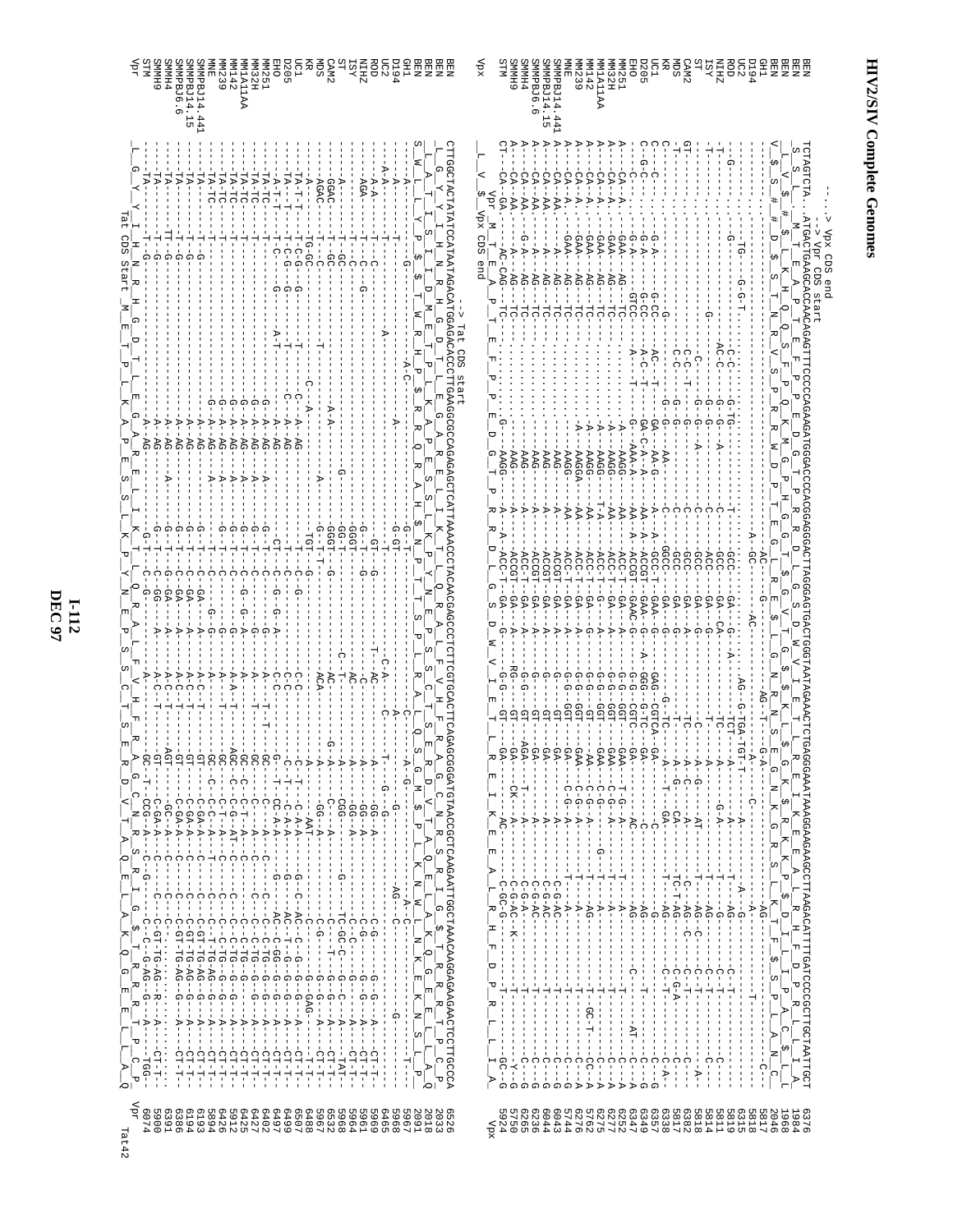| –<br>-<br>ь |  |
|-------------|--|
|-------------|--|

| 6HMMS<br><b>SUNPBJ6</b><br><b>SMMPBJ14</b><br><b>PHMMS</b><br>ЙŢ<br>ਜ਼ ਕੁ<br><b>IN251</b><br>M142<br>M239<br><b>IN32H</b><br><b>AAILAAN</b><br><b>MMPBJ11</b><br>즭                                                                                                                                                                                                                                                                                                                                                                                                                                                                                                                                                                                                    | nc2<br><b>D194</b><br>E<br><b>BEN</b><br><b>NEE</b><br>ĝ<br>$\overline{S}$<br><b>NH</b><br>Ĥ<br>ZHII<br>ğ<br>ē<br>59<br>ZMA:<br>Ğ<br><b>205</b>                                                                                                                                                                                                                                                                                                                                             | <b>194</b><br>STM<br><b>SURPBJ6</b><br>nc2<br>Ë<br>χđχ<br>ğ<br>ğ<br>NЕR<br>Ĕ<br><b>MMH44</b><br><b>SMA?</b><br>χS:<br>ŘN<br>6HMM3<br><b>MMPBJ</b><br><b>M239</b><br><b>LSZM</b><br>Σā<br>1D<br>S<br>ZHI.<br>IM32H<br>IM142<br>IAIM<br>5O<br><b>205</b><br>즴<br>ARDBJ14<br><b>LAA</b>                                                                                                                                                                                                                                                                                                                                                                                                                                                                                                                                                                                           |
|-----------------------------------------------------------------------------------------------------------------------------------------------------------------------------------------------------------------------------------------------------------------------------------------------------------------------------------------------------------------------------------------------------------------------------------------------------------------------------------------------------------------------------------------------------------------------------------------------------------------------------------------------------------------------------------------------------------------------------------------------------------------------|---------------------------------------------------------------------------------------------------------------------------------------------------------------------------------------------------------------------------------------------------------------------------------------------------------------------------------------------------------------------------------------------------------------------------------------------------------------------------------------------|--------------------------------------------------------------------------------------------------------------------------------------------------------------------------------------------------------------------------------------------------------------------------------------------------------------------------------------------------------------------------------------------------------------------------------------------------------------------------------------------------------------------------------------------------------------------------------------------------------------------------------------------------------------------------------------------------------------------------------------------------------------------------------------------------------------------------------------------------------------------------------|
| TA-TC<br>ΑŢ.<br>Ė<br>PA.<br>A.<br>AT.<br>ΡA<br>ᄓ                                                                                                                                                                                                                                                                                                                                                                                                                                                                                                                                                                                                                                                                                                                      | A-<br>$-AGA-$<br>$L - L - KL$<br>TA-<br>i<br>⊢<br><b>AGAC</b><br>GRAC                                                                                                                                                                                                                                                                                                                                                                                                                       | ဂု<br>$-45$<br>CA<br>Ġ<br>Ġ<br>CA--<br>S<br>∩<br>ÇÃ<br>٠m<br>πdΛ<br>È<br>Κ<br>Vpx                                                                                                                                                                                                                                                                                                                                                                                                                                                                                                                                                                                                                                                                                                                                                                                              |
| Ω<br>ଜ<br>Ω<br>G.                                                                                                                                                                                                                                                                                                                                                                                                                                                                                                                                                                                                                                                                                                                                                     | TTGGCTACTATATCCATAATAGACATGGAG<br>DS-90<br>i<br>SC<br><u>C</u> -ე<br><u>ှ</u><br>ġ<br>á<br>ò<br>C                                                                                                                                                                                                                                                                                                                                                                                           | Vpx CDS<br>CDS<br><b>GAA</b><br>GAA<br><b>GAA</b><br><b>GAA-</b><br><b>GAA-</b><br>$G - A$ .<br>GAA<br>ႁ<br>HG-<br>AC-CAG<br>end<br>Ħ<br>$-AC$<br>cDS<br>PA<br>5Ŕ<br>PA<br>PA<br>RG<br>RG<br>AG<br>PA<br>RG<br>57<br>end<br>G-9-T<br>GTCC<br>ဂ<br>၁<br>-TC                                                                                                                                                                                                                                                                                                                                                                                                                                                                                                                                                                                                                     |
|                                                                                                                                                                                                                                                                                                                                                                                                                                                                                                                                                                                                                                                                                                                                                                       | <b>LTGAAG</b>                                                                                                                                                                                                                                                                                                                                                                                                                                                                               | AC-1<br>AC-<br>ှ<br>ှု<br>Ω                                                                                                                                                                                                                                                                                                                                                                                                                                                                                                                                                                                                                                                                                                                                                                                                                                                    |
| $A--AG$<br>-- AG<br>$-AC$<br>$-AA$<br>.<br>RG<br>ŘG.<br>ikG<br>i<br>€<br>AG.<br>ÄG.<br>ÄG.<br>⊅                                                                                                                                                                                                                                                                                                                                                                                                                                                                                                                                                                                                                                                                       | $\tilde{A}$<br>₹<br>$-AA$<br>$-4G$<br>RG                                                                                                                                                                                                                                                                                                                                                                                                                                                    | $GA-C-A-$<br>$-59$<br>ଋ<br>$AA-A$<br>-AAGG<br>$-AA-C$<br>$-AA$<br><b>AAG</b><br><b>AAG</b><br><b>AAG</b><br>AAGGA<br><b>AAGG</b><br><b>AAGG</b><br>AAGG.<br>ω<br>AAGG.<br>AAG.<br><b>AAG</b><br>PPLAS<br>H<br>⊅<br>ᡃᡉ                                                                                                                                                                                                                                                                                                                                                                                                                                                                                                                                                                                                                                                          |
| Ω                                                                                                                                                                                                                                                                                                                                                                                                                                                                                                                                                                                                                                                                                                                                                                     | 30GCCAGAGAGCTCATTAAAACCCTACAACGAGCCCTCTCT<br>89<br>-- 11<br>cccr<br>-<br>-<br>-<br>-<br>GGGT.<br>TGT-<br>ĠT-<br>Q<br>Ġ                                                                                                                                                                                                                                                                                                                                                                      | G.<br>ACC-T<br><b>CCGT</b><br>7<br>1<br>1<br><b>CCCLT</b><br>cccr                                                                                                                                                                                                                                                                                                                                                                                                                                                                                                                                                                                                                                                                                                                                                                                                              |
| ဂု<br>ဂု<br>၂<br>⋒<br>C                                                                                                                                                                                                                                                                                                                                                                                                                                                                                                                                                                                                                                                                                                                                               | $-AC$<br>ACA-<br>AC-<br>$AC-$<br>ں<br>م                                                                                                                                                                                                                                                                                                                                                                                                                                                     | QA.<br>ĠA.<br>ç<br>PD.<br>-VD<br>GAAC-<br><b>GAA</b><br>੮<br>ω<br>G-G<br>ω<br>Φ<br>ଢ଼<br>ω<br>ଢ଼<br>Φ<br>ဂ္<br>Ģ<br>Ö<br>Ģ<br>AG-<br>ဂ္ဂ်<br>Ω                                                                                                                                                                                                                                                                                                                                                                                                                                                                                                                                                                                                                                                                                                                                 |
| ♭<br>$-50 - 1 - 1$<br>$-1.5 -$<br>AGT-<br>$-1.5 -$<br>$-$ G<br>L $ \cdots$<br>$-4L -$<br>$-90 - 0 - 0$<br>-90-<br>-0--095<br>$-90 - 0 - -$<br>$-5C -$<br>-ac--<br>¦≂<br>'ဂ                                                                                                                                                                                                                                                                                                                                                                                                                                                                                                                                                                                            | LCGTGCACTTCA<br>∩<br>G<br>ų.<br>ငှ<br>ъ<br>J.<br>부<br>$\dot{P}$<br>$-4-$<br>$\sum_{i=1}^{n}$<br>$\sum_{i=1}^{n}$<br>$\overline{Y}$<br>$A - G -$<br>₩<br>$A -$<br>ှ<br>$\Gamma$<br>$\mathbb{Y}$<br>(ဂ<br>ω<br>J.<br>-1<br>$\mathbf{I}$                                                                                                                                                                                                                                                       | ĠGT<br><b>GGT</b><br>CGTCA<br>Ŕ<br>$-55$<br><b>AAA-</b><br>$-AA-$<br>--AA-<br><b>AAA</b> -<br>$-4-$<br><b>当上!</b><br>$-4$<br>44<br>رما<br>¦≂<br>₩<br>$\tilde{A}$<br>₩<br>$\frac{1}{2}$<br>$\overline{A}$<br>۳<br>$\mathbb{F}$<br>$\overline{A}$<br>A-<br>$\overline{A}$<br>$\mathbf{I}$<br>$\mathbf{I}$<br>$\blacksquare$<br>$-\Delta$<br>$-5$<br>$A - G -$<br>$-A$ -<br>$-5$<br>$\dot{P}$<br>$-4-$<br>ຸດ<br>.<br>'ဂ<br>'n<br>Ħ<br>I.<br>J.<br>×<br>$\blacksquare$<br>$\blacksquare$                                                                                                                                                                                                                                                                                                                                                                                           |
| Þ<br>$\mathbf{I}$<br>$\mathbf{I}$<br>J.<br>H.<br>т<br>-1<br>л.<br>O.<br>$\overline{1}$<br>¦<<br>$CCG--A-$<br>C-GA-<br>$C-GA-RA$<br>$C-GA-A$<br>$C-GA-RA$<br>C-C--<br>C-T--<br>C-G--<br>C-T--<br>ှ<br> <br>c-<br>-<br>-<br>-<br>-<br>-<br>Þ,<br>д<br>$\frac{1}{1}$<br>$-4-$<br>₩<br>А<br>А<br>А<br>$-4$<br>$-14$<br>ъ<br>А<br>⋗<br>Ŧ<br>Ŧ<br>l.<br>l<br>I<br>Ţ<br>п<br>$\blacksquare$<br>'c۵<br>$\mathsf I$<br>Ö<br>Ω<br>م.<br>أ<br>C<br>C<br>$\Gamma$<br>ς-<br>$\Gamma$<br>$\Gamma$<br>Ω<br>Q<br>$\frac{1}{1}$<br>റ<br>Ţ<br>J.<br>ŧ<br>$\mathbf{I}$<br>ŧ<br>$\frac{1}{1}$<br>ਂਸ਼<br>L                                                                                                                                                                                 | $-1 - 1 -$<br>$-6 - -$<br>þ<br>Ĥ<br>부<br>Σ,<br>J.<br>Ω<br>$\prec$<br>$C - A - A$<br>Դ - - -<br>- -<br>-- 990<br>$-GG--A-$<br>$\blacksquare$<br>$-99 - 9 -$<br>$C - A - A$<br>$\mathbb{C}-\mathbb{A}-\mathbb{A}-\mathbb{C}$<br>.<br>-- ១១-<br>$-50 -$<br>Ġ<br>'n.<br>л<br>ဂူ<br>z<br>$-2A$ T-<br>H<br>ত'<br>ъ<br>$\overline{P}$<br>$\overline{Y}$<br>₩<br>Ŧ<br>ъ<br>⊢<br>$\overline{\phantom{a}}$<br>л<br>$\mathbf I$<br>CΟ<br>O<br>₩<br>J<br>J.<br>发<br>$\mathbf{I}$<br>$\blacksquare$<br>п | ڹ<br>+<br>ဂှ<br>$-L-C--D$<br>م<br>т<br>C<br>$\Omega$<br>$C - G -$<br>$\Omega$<br>C-G--<br>CK-<br>부<br>z<br>п<br>Ή<br>$-9$<br>$-5$<br>$-9-7$<br>٠m<br>J.<br>ု<br>--CA-<br>л<br>$-6A-$<br>$-4 - 5 -$<br>$\mathbb{I}$<br>J,<br>л<br>×<br>$-AC$ --<br>$\Gamma$ AT<br>₩<br>$\overline{A}$<br>$\mathbb{A}$<br>$\overline{Y}$<br>RC<br>A-<br>$\overline{A}$<br>A-<br>$A -$<br>A-<br>$A -$<br>$A -$<br>$A -$<br>$\overline{A}$<br>п<br>Ω<br>ନ୍ଦ<br>ှ<br>$\overline{1}$<br>'n<br>ï<br>'n<br>J.<br>'ਸ਼<br>$\overline{1}$<br>л<br>H.<br>'n<br>'n<br>ဂု<br>J<br>J.<br>×<br>ŗω.<br>I<br>$\blacksquare$<br>L.<br>п<br>Ъ<br>ъ<br>J.<br>л<br>$\mathbf{I}$<br>-1<br>$\overline{1}$                                                                                                                                                                                                              |
| 'n<br>$\mathsf I$<br>ဂု<br>J.<br>ł<br>$\frac{1}{1}$<br>$\frac{1}{4}$<br>$\frac{1}{1}$<br>$\frac{1}{1}$<br>ł<br>Ή<br>-1<br>$\overline{1}$<br>H.<br>$\mathbf{I}$<br>⊨<br>ּוֹמְמְׁי<br>       <br>       <br>$\frac{1}{2}$<br>$\frac{1}{1}$<br>↷<br>Ω<br>Ω<br>$C = -1$<br>$\frac{1}{2}$<br>∩<br>L<br>$\mathbf I$<br>$\begin{array}{c} \hline \end{array}$<br>'ဂ<br>L<br>$\mathbb{I}$<br>$\blacksquare$<br>$\blacksquare$<br>л<br>₻<br>$\mathbf{I}$<br>Ċ-i<br>$\frac{1}{2}$<br>ن<br>ن<br>C-GT-TG-AG-<br>$\Gamma$<br>C-GT-TG-AG-<br>$\Gamma$<br>$\frac{1}{2}$<br>$\Gamma$<br>ဂု<br>၂<br>'n<br>×<br>$C$ --G-AG-<br>$\begin{array}{c} \vdots \\ \vdots \\ \vdots \\ \vdots \end{array}$<br>$T - T G - AG - \cdots$<br>$C - TG - -$<br>C-TG--<br>C-TG--<br>C-TG--<br>Η<br>jО. | CGGGATGTAACCGCTCAAGAATTGGCTAAACAAGGAGAAGAACTCCTTGCCCA<br>ဂု<br>$\Omega$<br>$\mathbf I$<br>Ω<br>E<br><u>ှ</u><br>z<br>$-5G-$<br>н<br>$\Gamma$<br>F<br>Ξ<br>$\frac{1}{4}$<br>$\overline{A}$<br>$-4C-1$<br>ດ<br>$\overline{\phantom{a}}$<br>$\mathbf{I}$<br>$AC--T--$<br>$AC = -C = -G -$<br>ኌ<br>rc-ac-c<br>ن<br>ن<br>$\frac{1}{\sqrt{2}}$<br>- 9-C<br>$\Gamma$<br>C-<br>C-G-<br>Ω<br>F<br>$C$ – $C$<br>٠m<br>×<br>į<br>C<br>z<br>C-GG--<br>H<br>$-1$<br>įО.<br>J.<br>မှု<br>т                | GGAAATAAGAAGAAGAAG CUTAAGA CATTTOAGA COOCTTGOATATTGO<br>Ť<br>ن<br>ا<br>$TC-T-AC-$<br>ᡃ<br>부<br>부<br>۲I<br>İ<br>부<br>Ĥ<br>부<br>부<br>부<br>т.<br>부<br>л.<br>ن<br>ا<br>C-GC-G-<br>$C - G - A -$<br>$C - G - AC - C -$<br>$C - G - AC - C -$<br>$C - G - AC - -$<br>F<br>Ļ<br>$-\Delta$ – $-$<br>F<br>Έ<br>$\mathbf{I}$<br>$\mathbf{I}$<br>л<br>л<br>л<br>т<br>$-9-AC$<br>٠m<br>$\mathsf I$<br>I<br>$-56 - -$<br>$-2G - -$<br>$- - 5G - -$<br>$\mathbf{I}$<br>ı<br>$-{\bf V}-$<br>$\overline{\mathbb{Y}}_{-}$<br>ţ<br>$-\Delta -$<br>$-96-$<br>$-9G -$<br>$-9C -$<br>$-9G -$<br>₩<br>$-AC$ .<br>$-\Delta -$<br>'ਸ਼<br>₩<br>$A -$<br>$A - -$<br>$\blacksquare$<br>J.<br>L.<br>AG<br>ဂှ<br>İΩ.<br>$\Omega$<br>$\Omega$<br>H,<br>Έ<br>'n<br>$\overline{1}$<br>J.<br>$\blacksquare$<br>$\blacksquare$<br>J.<br>L.<br>Ģ<br>Ģ<br>K-<br>Ή<br>J.<br>J.<br>1<br>ш<br>뇌<br>'n<br>F<br>F<br>wτ |
| $C - TG - -G - -$<br>¦≂<br>'က<br>$\cdot$<br>ω<br>ဂ္<br>ဂ္<br>∩<br>Þξ<br>$\vdots$<br>-1<br>-1<br>л.<br>л.<br>Þ<br>Ģ<br>주<br>$\vdots$<br>ဂု<br>ဂ္<br>ဂှ<br>ဂု<br>ဂု<br>ω<br>Φ<br>ဂ္<br>'ਸ<br>Þ<br>$\cdot$<br>$\ddot{\phantom{0}}$<br>$\mathbf{I}$<br>H<br>$\overline{r}$<br>$\cdot$<br>$\overline{Y}$<br>⊅<br>⋗<br>⋗<br>⊅<br>⋗<br>⊅<br>ъ<br>Þ<br>⋗<br>$\cdot$<br>F<br>J.<br>$\cdot$<br>$\ddot{\phantom{0}}$<br>ď<br>۲<br>J.                                                                                                                                                                                                                                                                                                                                             | ₩<br>ຸດ<br>J.<br>Ħ<br>ဂ္<br>⋒<br>ଋ<br>ଋ<br>ଋ<br>$\Gamma$<br>ဂု<br>ଋ<br>⋒<br>ഹ<br>₩<br>$\mathbf{I}$<br>÷<br>ı<br>т<br>-1<br>л.<br>-1<br>E<br>Ω<br>ဂ္<br>ဂု<br>CAG-<br>Φ<br>Φ<br>Ö<br>ဂု<br>ဂ္<br>₩<br>J.<br>ø<br>J<br>I<br>þ<br>ω<br>J.<br>H<br>ъ<br>ъ<br>⋗<br>$\rightarrow$<br>⋗<br>⊅<br>⊅<br>ъ<br>⋗<br>'n<br>T<br>F<br>ω<br>ᡃ<br>п<br>F<br>F                                                                                                                                               | 'n,<br>Έ<br>$\Gamma$<br>--1----<br>$C - G - A -$<br>$\Gamma$<br>Ω<br>Ω<br>Ω<br>G<br>Ω<br>J,<br>л.<br>ł<br>$\mathbf{I}$<br>ŧ<br>-1<br>Ι.<br>$\mathbf{I}$<br>Ρ.<br>ᡃᠣ<br>Ĥ<br>٣<br>Н<br>н<br>н<br>н<br>н<br>Η<br>н<br>н<br>H<br>$-1$<br>부<br>년<br>н<br>н<br>н<br>н<br>H<br>Ρ.<br>Í<br>J.<br>J.<br>$\mathbf{I}$<br>$\overline{1}$<br>L.<br>$\frac{1}{1}$<br>I.<br>부<br>'ਸ<br>'ਸ<br><b>GC-7----</b><br>Ъ<br>J<br>J,<br>$- - 2T - -$<br>J.<br>Þ<br>F<br>л<br>H.<br>'n<br>$\overline{1}$<br>$\overline{\phantom{a}}$<br>ъ<br>Ή<br>Έ<br>I<br>$\blacksquare$<br>'nΩ<br>$\begin{array}{c} \end{array}$<br>z                                                                                                                                                                                                                                                                             |
| CT-<br>$\vdots$<br>CT-T-<br>CT-<br>$C T - T -$<br>CT-T-<br>CT-T-<br>CT-T-<br>CH-1-<br>CT-T-<br>CT-T-<br>-TGG.<br>'n,<br>'≖<br>Ĥ<br>$\ddot{\phantom{0}}$<br>Ĥ<br>'n,<br>$\cdot$<br>ю.<br>дđЛ<br>Tat42                                                                                                                                                                                                                                                                                                                                                                                                                                                                                                                                                                  | CT-T-<br>CT-T-<br>CT-<br>$-1 - 1 -$<br>CT-T-<br>$-1 - 1 -$<br>CT-T-<br>CT-T-<br>$CL - L$<br>$\frac{1}{1}$<br>$-LAT$<br>Ω<br>Ъ<br>Ė<br>д<br>д<br>ю<br>ס סמטמטר המגשת הגבוה המאסמטמטר הסמטמטר המאס<br>סטמטמטר המאסמטמטמטמטמטמטמטר האסרטמטמר<br>סטמטמטר המגשת האסרטמטמטמטמטמטר ה                                                                                                                                                                                                               | Ή<br>GC-<br>$C -$<br>$CC - -R$<br>Q<br>Ω<br>Ω<br>Ω<br>Ω<br>$\Gamma$<br>Ω<br>Ω<br>$\Gamma$<br>Ω<br>Ω<br>$C - A -$<br>Ω<br>Ω<br>ှ<br>Ω<br>÷<br>Þ<br>Ť<br>$\frac{1}{1}$<br>$\frac{1}{1}$<br>$\frac{1}{1}$<br>T<br>ဂု<br>$\frac{1}{1}$<br>ŧ<br>$\frac{1}{1}$<br>ŧ<br>$\frac{1}{1}$<br>л.<br>-1<br>л<br>А<br>$\mathbf{I}$<br>$\mathbf{I}$<br>O.<br>J.<br>⋗<br>⊅<br>$\frac{1}{2}$<br>$\frac{1}{2}$<br>$\forall$<br>$\mathbbmss{}$<br>$\frac{1}{\Omega}$<br>႕<br>ှု ပု<br>Ġ<br>Þ<br>Ġ<br>Ġ<br>Ή<br>⋒<br>⋒<br>$x\bar{d}\Lambda$                                                                                                                                                                                                                                                                                                                                                        |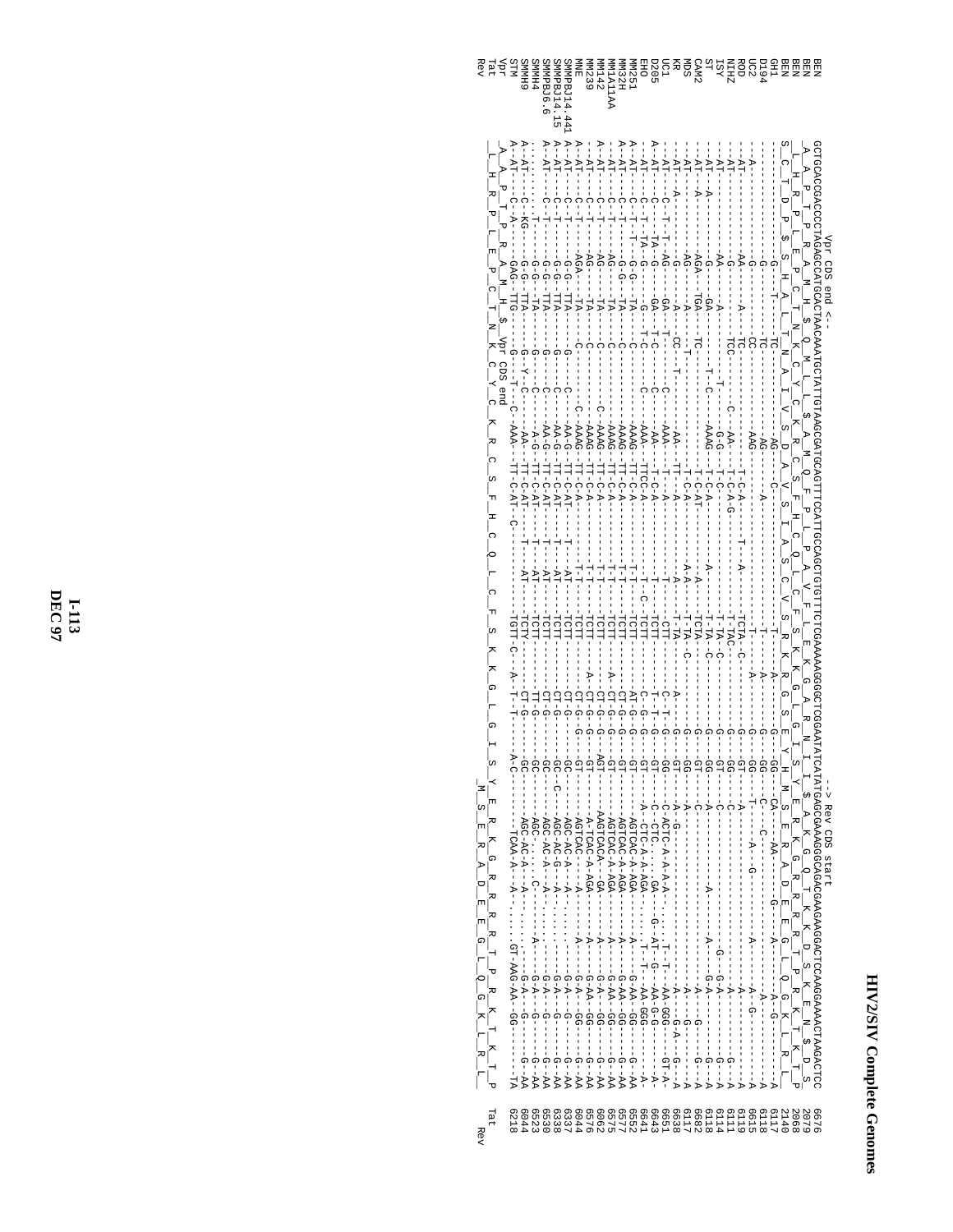| Rev                  | <u>M S E R A D E E C L Q G K L R L R L</u>                                                                                                                                                                                                                                                                                                                                                                                                                                                                                                                                  | Rev                     |
|----------------------|-----------------------------------------------------------------------------------------------------------------------------------------------------------------------------------------------------------------------------------------------------------------------------------------------------------------------------------------------------------------------------------------------------------------------------------------------------------------------------------------------------------------------------------------------------------------------------|-------------------------|
| Tat                  | R │P │⊔ │P │U │P │N │N<br>$\frac{\kappa-\mathbf{c}-\mathbf{v}}{\mathbf{c}-\mathbf{v}-\mathbf{c}-\mathbf{v}-\mathbf{v}-\mathbf{c}-\mathbf{c}-\mathbf{v}-\mathbf{c}-\mathbf{v}-\mathbf{c}-\mathbf{v}-\mathbf{c}-\mathbf{v}-\mathbf{c}-\mathbf{v}-\mathbf{c}-\mathbf{v}-\mathbf{c}-\mathbf{v}}$                                                                                                                                                                                                                                                                                | Tat                     |
|                      | $I = R - R - R - R - R$ CDS end                                                                                                                                                                                                                                                                                                                                                                                                                                                                                                                                             | Δpr                     |
| 6218                 | P - - A コ - - - - - O - - P - - - - - - - - Q P Q - - - コ コ Q - - - - - -<br>$-6 - - -$<br>TGTT-C<br>- A - - T - - T - - - -                                                                                                                                                                                                                                                                                                                                                                                                                                                | <b>STM</b>              |
| 6044                 | $-\Delta A--T T--T T-0\\$<br>TCTY                                                                                                                                                                                                                                                                                                                                                                                                                                                                                                                                           | <b>GHMMS</b>            |
| 6523                 | --A-G--TT-C-AT<br>TCTT                                                                                                                                                                                                                                                                                                                                                                                                                                                                                                                                                      | <b>PHMMS</b>            |
| 6530                 | $A - -RT$<br>$-1 - 0 - 0 - 0 - 17R -$<br>-- 2-2 - C -- TT - C - AT<br>$\frac{1}{1}$<br>$-7T$<br>TCTT<br>-01-G-<br>$\begin{bmatrix} 1 & 1 \\ 1 & 1 \\ 1 & 1 \end{bmatrix}$                                                                                                                                                                                                                                                                                                                                                                                                   |                         |
|                      | $A--AT$ -<br>--AA-G--TT-C-AT<br>$-15$<br>-TCTT<br>$-1 - 3 - 4 - 0 - 1$                                                                                                                                                                                                                                                                                                                                                                                                                                                                                                      | SMMPBJ14.1<br>SMMPBJ6.6 |
| 6337                 | $-7 - 6$ T-<br>-- 2-2 - C -- TT - C - AT<br>- AT.<br>-TCTT<br>$-1 - 9 - 5 - 5 - 1$<br>$\begin{bmatrix} 1 & 1 \\ 1 & 1 \\ 1 & 1 \end{bmatrix}$                                                                                                                                                                                                                                                                                                                                                                                                                               | SMMPBJ14                |
| 6044                 | $A - -RT$<br>$-C--T----RGA---TA--$<br>-AAAG--TT-C-A-<br>ーローロ<br>-TCTT<br>$-1 - 9 - 9 - 12 - 1$                                                                                                                                                                                                                                                                                                                                                                                                                                                                              | 自<br>日                  |
|                      | $-74T-$<br>$-RAA=1T-T-T-0$<br>トローロー<br>-TCTT                                                                                                                                                                                                                                                                                                                                                                                                                                                                                                                                |                         |
| 60676                | $A - -R$ T-<br>$\frac{1}{2}$<br>--rerr<br>---0--0--0---<br>$AGT---$                                                                                                                                                                                                                                                                                                                                                                                                                                                                                                         | MIN142<br>MM239         |
| 6575<br>6575         | $-2T-$<br>-AAAG-<br>--TT-C-A<br>--rorr<br>$A - C T - G - -G - -1$                                                                                                                                                                                                                                                                                                                                                                                                                                                                                                           | M1A11AA                 |
|                      | $A = -AT$<br>$-AAAG---TT-C-A-$<br>--rerr                                                                                                                                                                                                                                                                                                                                                                                                                                                                                                                                    | AM32H                   |
|                      | $A - -A T$<br>- - AAAG- - TT-C-A-<br>$-1 - 2I - G - -G - -$                                                                                                                                                                                                                                                                                                                                                                                                                                                                                                                 | TSZMW                   |
|                      | <b>F--C--FCTI</b><br>$-1 - 9 - 9 - 0 - 0 - 0$                                                                                                                                                                                                                                                                                                                                                                                                                                                                                                                               | <b>CHE</b>              |
|                      | $--\textbf{A} \textbf{A}--\textbf{I}--\textbf{T}-\textbf{C}-\textbf{A} \label{eq:1}$<br>--rcrr<br>$-11 - 11 - 00 - 11$                                                                                                                                                                                                                                                                                                                                                                                                                                                      | 502                     |
|                      | $- - - CTT$                                                                                                                                                                                                                                                                                                                                                                                                                                                                                                                                                                 | JC1                     |
|                      | - - AA - - - - - - - A -<br>T-TA:                                                                                                                                                                                                                                                                                                                                                                                                                                                                                                                                           | $\beta$                 |
| 6682<br>6117<br>6638 | $-A - A - -$<br>コーコアー                                                                                                                                                                                                                                                                                                                                                                                                                                                                                                                                                       |                         |
|                      | T-C-AI<br>-TCTA-                                                                                                                                                                                                                                                                                                                                                                                                                                                                                                                                                            |                         |
| 6118                 | -- 21--- 2 -- --<br>------<br>--1-14-16                                                                                                                                                                                                                                                                                                                                                                                                                                                                                                                                     |                         |
| 61114<br>6114        | $-XI$<br>-1-14--C-                                                                                                                                                                                                                                                                                                                                                                                                                                                                                                                                                          |                         |
|                      | -- TA-<br>-----0----                                                                                                                                                                                                                                                                                                                                                                                                                                                                                                                                                        |                         |
| 6119                 | $-KI$ -<br>$-4$                                                                                                                                                                                                                                                                                                                                                                                                                                                                                                                                                             |                         |
| 6615                 | --A---<br>--- PAG---                                                                                                                                                                                                                                                                                                                                                                                                                                                                                                                                                        |                         |
| 61117<br>6118        | -<br>-- 0<br>- -                                                                                                                                                                                                                                                                                                                                                                                                                                                                                                                                                            |                         |
|                      |                                                                                                                                                                                                                                                                                                                                                                                                                                                                                                                                                                             |                         |
| 2140                 | $P = 5 - 1$<br>$\frac{1}{\sqrt{1-\alpha}}$ o $\frac{1}{\sqrt{1-\alpha}}$ o $\frac{1}{\sqrt{1-\alpha}}$ o $\frac{1}{\sqrt{1-\alpha}}$ o $\frac{1}{\sqrt{1-\alpha}}$ o $\frac{1}{\sqrt{1-\alpha}}$ o $\frac{1}{\sqrt{1-\alpha}}$ o $\frac{1}{\sqrt{1-\alpha}}$ o $\frac{1}{\sqrt{1-\alpha}}$ o $\frac{1}{\sqrt{1-\alpha}}$ o $\frac{1}{\sqrt{1-\alpha}}$ o $\frac{1}{\sqrt{1-\alpha}}$ o $\frac{1}{\sqrt{1-\alpha}}$ o<br>$M = S = E = R - R - D = E - G = L - Q = K - L - R$                                                                                                 |                         |
| 8902                 | $-$ H $-c$ $-$ L $-c$ $-$ F<br> <br> <br> <br> <br>א<br>ה<br>ק                                                                                                                                                                                                                                                                                                                                                                                                                                                                                                              | <b>REA</b><br>REA       |
| 2079                 | $\frac{1}{\sqrt{1-x^2}}\frac{1}{\sqrt{1-x^2}}\frac{1}{\sqrt{1-x^2}}\frac{1}{\sqrt{1-x^2}}\frac{1}{\sqrt{1-x^2}}\frac{1}{\sqrt{1-x^2}}\frac{1}{\sqrt{1-x^2}}\frac{1}{\sqrt{1-x^2}}\frac{1}{\sqrt{1-x^2}}\frac{1}{\sqrt{1-x^2}}\frac{1}{\sqrt{1-x^2}}\frac{1}{\sqrt{1-x^2}}\frac{1}{\sqrt{1-x^2}}\frac{1}{\sqrt{1-x^2}}\frac{1}{\sqrt{1-x^2}}\frac{1}{\sqrt{1-x^2}}\frac{1}{\sqrt{1-x^2$<br>$L = E - E - E - E$<br>$I = \frac{3}{2}$ $I = \frac{N}{2}$ $I = \frac{N}{2}$ $I = \frac{N}{2}$ $I = \frac{N}{2}$ $I = \frac{N}{2}$ $I = \frac{N}{2}$ $I = \frac{N}{2}$<br> <br>°ا |                         |
| 6676                 | ATAASEOTAASESEAAAASTOTTTEJTEJTEJTEJSA JA VALITEJA SUURISTATISTI VALISTA ATAA SUURISTOTAASEOTAASEOTAATAA JA SUU<br>ATAASEOTAASEOTAA JA OLI SUURISTA JA SUURISTA JA SUURISTA JA SUURISTA JA SUURISTOTAA JA SUURISTOTAA JA SUURISTU<br>TCATATGAGCGAAAGGCAGACGAAGAAGGACTCCAAGGAAAACTAAGACTCC                                                                                                                                                                                                                                                                                    | <b>BEN</b>              |
|                      | --> Rev CDS start                                                                                                                                                                                                                                                                                                                                                                                                                                                                                                                                                           |                         |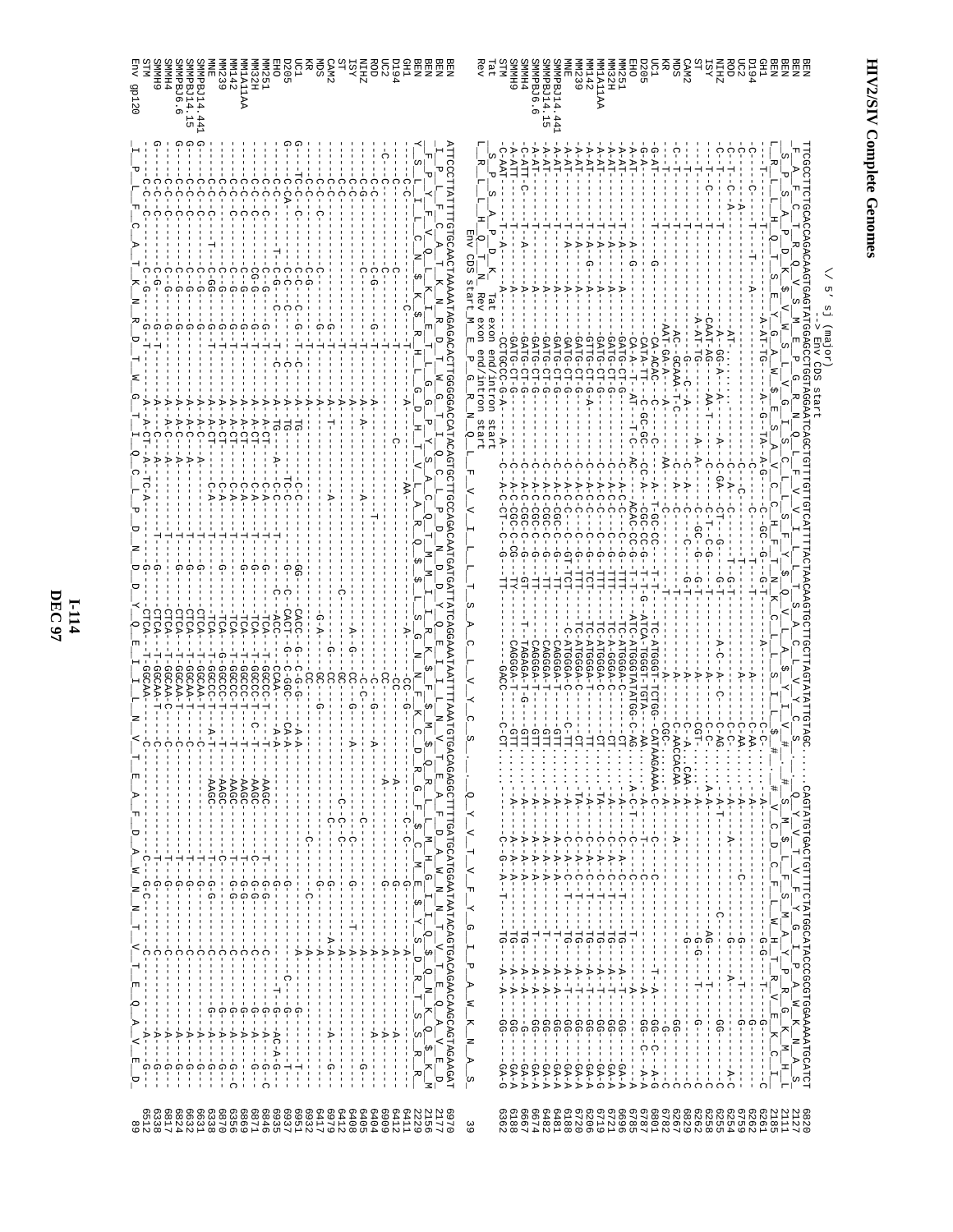|--|--|

| ъ<br>⊲<br>固<br>ဂူ<br>p,                                                                                                                                                                                                                                                                                                                                                                                                                                    | ⊲<br>Ω<br>н<br>Ħ<br>Ю                                                                                  | Ξ<br>ଋ<br>z<br>C<br>z<br>Η                                       | ⋗<br>F<br>Έ<br>ъ<br>Q<br>J.                                          | Η<br>Ħ               | RADEE                              | CTCA        | ⋒                                             | HC-                                    |                                        |                          | ဂု                        | ∩<br>IJ<br>∩<br>∩                       | Env<br>ЙM.<br><b>GP120</b> |
|------------------------------------------------------------------------------------------------------------------------------------------------------------------------------------------------------------------------------------------------------------------------------------------------------------------------------------------------------------------------------------------------------------------------------------------------------------|--------------------------------------------------------------------------------------------------------|------------------------------------------------------------------|----------------------------------------------------------------------|----------------------|------------------------------------|-------------|-----------------------------------------------|----------------------------------------|----------------------------------------|--------------------------|---------------------------|-----------------------------------------|----------------------------|
| ⊅<br>၀ ၀                                                                                                                                                                                                                                                                                                                                                                                                                                                   | ↷                                                                                                      | ဂု                                                               | н<br>$\mathbf{I}$                                                    |                      | T-GGCAA-T                          | <b>TOA</b>  | н<br>ଢ଼                                       | ኌ                                      |                                        | ດ                        | စှ                        | ∩                                       | <b>GHNWIS</b>              |
| ⊅                                                                                                                                                                                                                                                                                                                                                                                                                                                          | ↷                                                                                                      | Ω                                                                | н<br>$\blacksquare$                                                  |                      | L-GGCAA-                           | CTCA        |                                               | А                                      | $A - A$<br>C                           | ⋒                        | Φ                         | ∩                                       | <b>PHMMS</b>               |
| ⋗<br>ဂ္                                                                                                                                                                                                                                                                                                                                                                                                                                                    | Q                                                                                                      | Ω<br>л.                                                          | н<br>-11                                                             |                      |                                    | HOT         | H<br>Ω                                        | ъ                                      |                                        | ⋒                        | Ω                         | ∩                                       | MMPBJ6                     |
| ъ<br>ע<br>$\mathbf{I}$<br>Φ<br>Ω<br>1                                                                                                                                                                                                                                                                                                                                                                                                                      | Ω<br>Q<br>$\mathbf{I}$                                                                                 | ဂု                                                               | н<br>$\overline{\phantom{a}}$<br>$\mathbf{I}$                        |                      | T-GGCAA-<br>GGCAA-                 | <b>TCA</b>  | H<br>H<br>$\mathbf{I}$<br>Ω<br>⋒              | А                                      | $A-C-$                                 | ⋒<br>⋒                   | ြ  <br>ဝှ ဝှ              | ∩<br>↷<br>∩                             | <b>LUBBUT</b><br>SMMPBJ14  |
| 1<br>ъ<br>ω                                                                                                                                                                                                                                                                                                                                                                                                                                                | ↷<br>т<br>Ω                                                                                            | 1<br>Ω<br>ဂု<br>Ω<br>л                                           | AAGC.<br>н<br>н<br>$\mathsf I$                                       |                      | F-GGCCC-                           | CTCA<br>TCA | H<br>1                                        | ု                                      | $A-CT$                                 | ⋒                        | ∩                         | ∩<br>J.<br>റ                            | 롭                          |
| ⋗<br>ଋ                                                                                                                                                                                                                                                                                                                                                                                                                                                     | G<br>⋒                                                                                                 |                                                                  | AAGC.<br>Ω<br>$\overline{1}$                                         |                      | -၁၁၁၁၁၁                            | TCA         | H<br>⋒                                        | ု<br>ь                                 | A-CT                                   | ⋒                        | Ω<br>$\frac{1}{6}$        | ∩                                       | M239                       |
| ⊅<br>ω<br>∩                                                                                                                                                                                                                                                                                                                                                                                                                                                | ↷<br>Ω                                                                                                 | ဂှ<br>Ω                                                          | AAGC-<br>н<br>$\mathbf{I}$                                           |                      | T-GGCCC-                           | TCA-        | н                                             | C-A                                    | $A-CT-$                                | ഹ                        |                           | Ω<br>∩<br>റ                             | W142                       |
| $\mathbf{I}$<br>⋗                                                                                                                                                                                                                                                                                                                                                                                                                                          | Ω<br>$\mathbf{I}$<br>$\blacksquare$<br>Ω<br>$\mathbf{I}$                                               | $\blacksquare$<br>$\Omega$<br>Ω                                  | AAGC-<br>$\mathbf{I}$<br>н<br>$\mathbf{I}$                           |                      | -၁၁၁၁၁၁                            | TCA         | H<br>⋒                                        | $C - A$                                | $A-CT-$                                | ⋒                        | $-\frac{1}{6}$            | ∩<br>∩<br>÷<br>∩                        | MILAINA                    |
| $\overline{\phantom{a}}$<br>⊅<br>ł<br>J<br>ω                                                                                                                                                                                                                                                                                                                                                                                                               | ∩<br>ł<br>ଋ                                                                                            | п<br>ဂှ<br>ଋ<br>J.<br>п                                          | AAGC-<br>J.<br>$\overline{\phantom{a}}$<br>п<br>Q<br>J.              | п                    | GGCCC                              | TCA-        | H<br>л<br>⋒                                   | $C - A$                                | $A-CT-$                                | ⋒                        | CG-G-                     | ∩<br>∩<br>∩                             | <b>IN32H</b>               |
| ⊅<br>I<br>ω<br>1<br>∩                                                                                                                                                                                                                                                                                                                                                                                                                                      | Ω<br>Ω                                                                                                 | $\Omega$                                                         | AAGC-<br>$\mathbf{I}$                                                |                      | -၁၁၁၁၁၁                            | TCA         | ⋒                                             | $C - A$                                | A-CT-                                  | ⋒                        | ဂှ                        | I<br>∩<br>∩                             | <b>IN251</b>               |
| $AC-A-G-$                                                                                                                                                                                                                                                                                                                                                                                                                                                  | $\frac{1}{1}$<br>Ω                                                                                     | ဂှ                                                               |                                                                      |                      |                                    | C<br>ACC    | н                                             | $\overline{P}$<br>$\frac{1}{2}$        | FG.                                    | ∩<br>Ċ                   | Ω<br>$\frac{1}{\Omega}$   |                                         | JЕ                         |
| н<br>$\overline{\phantom{a}}$                                                                                                                                                                                                                                                                                                                                                                                                                              | ှ<br>ഹ                                                                                                 | Ω                                                                |                                                                      |                      | -999-2                             | CACT        | ဂ္                                            | TC-C                                   | 유                                      | ↷<br>Ω                   | $\frac{1}{\Omega}$        | ∩                                       | 502                        |
| $\mathbf{I}$<br>Ĥ                                                                                                                                                                                                                                                                                                                                                                                                                                          | ъ<br>$\blacksquare$<br>$\mathbf{I}$<br>$\blacksquare$<br>ດ                                             |                                                                  |                                                                      |                      | <u>ဂုံ</u><br>ဂု                   | ACC         |                                               | ∩<br>↷                                 | 5g                                     | ↷<br>ဂု<br>Ω             | ( )<br>$\frac{1}{2}$      | ∩<br>∩                                  | ē                          |
|                                                                                                                                                                                                                                                                                                                                                                                                                                                            | ⊅<br>л                                                                                                 | п<br>C<br>I                                                      | Ω<br>J.                                                              |                      |                                    |             |                                               |                                        |                                        |                          | စှ                        | I.                                      |                            |
|                                                                                                                                                                                                                                                                                                                                                                                                                                                            | $\triangleright$                                                                                       | റ<br>-1                                                          |                                                                      |                      | ó<br>Ω                             | ဂု          |                                               |                                        |                                        | ဂု                       |                           | ∩<br>∩<br>Ω                             | €                          |
| ъ<br>ł<br>$\frac{1}{\Omega}$                                                                                                                                                                                                                                                                                                                                                                                                                               | ֎<br>⋗<br>J.<br>л                                                                                      | Ω<br>л<br>л                                                      | Ω<br>J.<br>л                                                         |                      | ဂု                                 |             |                                               |                                        |                                        |                          |                           | ∩<br>т.<br>∩                            | <b>SMA2</b>                |
|                                                                                                                                                                                                                                                                                                                                                                                                                                                            | ⋗                                                                                                      |                                                                  | ု<br>Ω<br>л.<br>Ö                                                    |                      |                                    |             |                                               |                                        |                                        |                          |                           | ∩                                       | Ĥ                          |
|                                                                                                                                                                                                                                                                                                                                                                                                                                                            | ⋗<br>$\blacksquare$                                                                                    | $\overline{1}$<br>ဂု<br>$\frac{1}{1}$                            | $\mathbf{I}$<br>Ω<br>1<br>$\mathbf{I}$                               |                      |                                    |             |                                               |                                        |                                        |                          |                           | G<br>T<br>∩                             | χS:                        |
| φ                                                                                                                                                                                                                                                                                                                                                                                                                                                          | J.<br>⋗<br>J.                                                                                          |                                                                  | G<br>л                                                               |                      |                                    |             |                                               |                                        | ⊅                                      |                          |                           | က်                                      | ZHIN                       |
| ⊅                                                                                                                                                                                                                                                                                                                                                                                                                                                          | $\mathbf I$<br>⊅                                                                                       | $\blacksquare$                                                   |                                                                      |                      |                                    |             |                                               |                                        |                                        |                          |                           | Ω                                       | вор                        |
| ъ<br>J.                                                                                                                                                                                                                                                                                                                                                                                                                                                    | ⋗                                                                                                      | Ω<br>л                                                           | ⋗<br>T                                                               |                      |                                    |             |                                               |                                        |                                        |                          |                           | I,                                      | LC2                        |
| ъ                                                                                                                                                                                                                                                                                                                                                                                                                                                          | ⋗                                                                                                      | Ω                                                                | Þ                                                                    |                      |                                    |             |                                               |                                        |                                        |                          |                           |                                         | <b>194</b>                 |
|                                                                                                                                                                                                                                                                                                                                                                                                                                                            | ъ                                                                                                      | Φ<br>$\mathbf{I}$                                                | $\overline{C}$<br>ု                                                  |                      |                                    |             |                                               |                                        |                                        |                          |                           |                                         | CH <sub>1</sub>            |
| Ю<br>ŗω.<br>'nΔ<br>ੌਨ<br>≍<br>ਂਸ਼<br>z                                                                                                                                                                                                                                                                                                                                                                                                                     | ัผ<br>-02<br>∀<br>Ö<br>ਂਸ਼<br>z<br>×<br>īω                                                             | Ω<br>E<br>٠m<br>Ю                                                | ヵ<br>้ฉ<br>ਜ਼<br>٠m<br>∩<br>Z                                        | О<br>₩               | 먹                                  |             |                                               | ∩                                      |                                        |                          | Ω                         | ŋ<br>Δ                                  | <b>REN</b><br><b>NER</b>   |
| ъ<br>⊲<br>ø<br>∀                                                                                                                                                                                                                                                                                                                                                                                                                                           | ⊲<br>⊣<br>Ħ<br>ю                                                                                       | ź.<br>z<br>z                                                     | CAGAGGCTTTTGATGCATGGAATAATACAGTGACAGAACAAGCAGTAGAAGAT<br>먹<br>∀<br>ъ | Η<br>Ħ               |                                    | ᠸ           |                                               | ∩                                      |                                        |                          |                           |                                         | <b>NHE</b><br>ĔN           |
|                                                                                                                                                                                                                                                                                                                                                                                                                                                            |                                                                                                        |                                                                  |                                                                      |                      |                                    |             |                                               |                                        | end/intron<br>uozint<br>start<br>start | axon<br>exon<br>end/     | p<br>Η<br>z<br>Rev<br>Tat | c٥<br>ᡃᠣ<br>F<br>ับ<br>⊏<br>н<br>Ψ<br>Ö | Rev<br>Lat                 |
| ន់ ន់<br>$\overline{\phantom{a}}$<br>$D - KD -$                                                                                                                                                                                                                                                                                                                                                                                                            | $\blacksquare$<br>⋗<br>$\mathbf{I}$<br>ъ<br>$\mathbf{I}$                                               | ⊅<br>л<br>н<br>$\mathbf I$<br>J.<br>п<br>능                       | Ω<br>Ω<br>$\mathbf{I}$                                               | Ω−Ω<br>Ω             | GACC                               |             | ∩                                             | ∩<br>$\frac{1}{2}$<br>ှ                | $G - A - -$                            | cerecc                   |                           | TAA.                                    | STN                        |
| $A - A$                                                                                                                                                                                                                                                                                                                                                                                                                                                    | ⋗<br>т<br>⋗<br>$\mathbf{I}$                                                                            | ኌ<br>ᄓ                                                           | ٢<br>⊅<br>п                                                          | G∏                   |                                    |             | cgc-<br>∩<br>ή                                |                                        | Ω                                      | <b>GATG-CT-</b>          |                           |                                         | <b>GHNWS</b>               |
| ្តុំ ក្នុ<br>$\blacksquare$<br>$A - A$                                                                                                                                                                                                                                                                                                                                                                                                                     | л<br>⊅<br>л.<br>Þ                                                                                      | ক্র<br>능                                                         | ⋗<br>⊅<br>⊅<br>$\mathbf{I}$                                          | GTT                  | LAGAGA-T-<br>G                     | $\Omega$    | c-cec-<br>C<br>л<br>Ω                         | ∩<br>Ţ<br>$\frac{1}{2}$                |                                        | S-TG-CT-G                | ۲                         | 2-ITA-2<br>부<br>ъ                       | <b>PHNMS</b>               |
| $A-A$                                                                                                                                                                                                                                                                                                                                                                                                                                                      | ⋗<br>$\mathbf{I}$<br>ъ                                                                                 | J.<br>н                                                          | 1                                                                    | GΙ.                  | <b>ZAGGGA-</b>                     | 녑           | --aac-<br>Ω<br>J                              | $\lambda$ -                            |                                        | S-TG-CT-G                |                           | $A - A T$                               | MMPBJ6.                    |
| Ġ<br>$\blacksquare$<br>J.<br>$GA - A$<br>$A - A$                                                                                                                                                                                                                                                                                                                                                                                                           | ⋗<br>⋗<br>J.<br>$\mathbf{I}$<br>ъ<br>⋗<br>$\blacksquare$                                               | ⊅<br>ъ<br>부<br>부                                                 | ъ<br>ъ<br>л<br>$\blacksquare$<br>J                                   | СLIJ                 | CAGGGA-T<br>CAGGGA-T               |             | A-C-CGC-C--<br>c-cac-<br>$C -$<br>Ω<br>Ω<br>녑 | ł<br>$\overline{A}$                    |                                        | GATG-CT-G<br>SATG-CT-G   | ⋗                         | A-AT.<br>AT                             | <b>MMPBJ11</b>             |
| និង<br>$A - A$                                                                                                                                                                                                                                                                                                                                                                                                                                             | ⋗<br>$\mathbf{I}$<br>闩                                                                                 | ∩<br>⊣<br>5g                                                     | ⋗                                                                    |                      | ATGGGA-C                           |             | GT-TCT                                        | $\frac{1}{1}$<br>$A-C-C$               |                                        | GATG-CT-G                | ኌ                         | $\Delta - \Delta T$<br>⊅                | MMPBJ14<br>喜               |
| J.<br>$A - A$                                                                                                                                                                                                                                                                                                                                                                                                                                              | J.<br>л<br>⋗<br>L.<br>J                                                                                | ∩<br>J<br>т<br>н<br>л<br>л<br>님                                  | TA-<br>∩<br>т<br>t                                                   |                      | ATGGGA-<br>n                       |             | Ω<br>ု<br>Ω                                   | Ť<br>$\frac{A}{A}$<br>ု                |                                        | S-LO-SLVE                |                           | $A - A T$<br>ł                          | AM239                      |
| ភ្នំ<br>ភូមិ<br>$A-AD$                                                                                                                                                                                                                                                                                                                                                                                                                                     | ⋗<br>л.<br>н                                                                                           | 0<br>н<br>ᄓ                                                      | ⋗<br>∩<br>⊅<br>-1                                                    |                      | ATGGGA-T                           |             | Ω<br>Ω<br>FC.                                 | $\lambda$ -<br>ှ                       | $G - A -$                              | GTTG-CT-                 | Ω                         | $A-$<br>RT                              | IM142                      |
| $\blacksquare$<br>$GA-G$                                                                                                                                                                                                                                                                                                                                                                                                                                   | Ť.<br>$\overline{1}$<br>Α-<br>Η<br>$\mathbf{I}$                                                        | ↷<br>$\frac{1}{4}$<br>부<br>$\mathbf{I}$<br>능                     | $-{\bf \Sigma}{\bf A}-$<br>∩<br>$\mathbf{I}$<br>⊅<br>$\mathsf I$     |                      | ATGGGA-C                           |             | ဂု                                            | $\frac{1}{1}$<br>$\overline{A}$<br>C-C | SATG-CT-G-C                            |                          |                           | ٣<br>RT<br>⊅                            | <b>AALLAN</b>              |
| ន់ ន់<br>$\mathbf{I}$<br>$A - AB - A$                                                                                                                                                                                                                                                                                                                                                                                                                      | j.<br>J.<br>⋗<br>$\mathbf{I}$<br>н<br>J.<br>$\mathbf{I}$                                               | ↷<br>ł<br>부<br>J.<br>л<br>님                                      | $\mathbb{Y}_{-}$<br>Ω<br>ł<br>⊅<br>÷                                 |                      | A-GGGA-C                           |             | ω                                             | ł<br>$A-C-C-C$                         |                                        | SATG-CT-G                | Þ<br>ক্র                  | $A - A T$<br>ł                          | <b>IN32H</b>               |
| සි<br>$\frac{1}{1}$<br>$\overline{\phantom{a}}$<br>$\overline{\phantom{a}}$<br>$-6A$<br>⋗                                                                                                                                                                                                                                                                                                                                                                  | $\overline{1}$<br>⋗<br>$\mathbf{I}$<br>н<br>$\mathbf{I}$                                               | ↷<br>$\frac{1}{1}$<br>н<br>$\overline{1}$<br>$\blacksquare$<br>유 | $\mathbf{I}$<br>Y<br>$\blacksquare$<br>$\mathbf{I}$<br>$\mathbf I$   |                      | <b>ATGGGA-C</b>                    |             | c-c---                                        | $\overline{A}$                         | ⋒                                      | <b>GATG-CT-</b>          |                           | FA<br>$\frac{1}{1}$<br>ъ                | <b>IN251</b>               |
| ш<br>⊅                                                                                                                                                                                                                                                                                                                                                                                                                                                     | ⋗<br>J.                                                                                                | ↷<br>I<br>부                                                      | $\overline{A}$<br>C-T<br>$\mathbf{I}$<br>п<br>Ω<br>л                 | $\vdots$<br>$\vdots$ | ATGGGTATATGG-C-                    |             | ACAC-CC-<br>Ω                                 | G<br>J.                                | $-10$<br>けい                            | $-2A - A - T - -T -$     | $\frac{1}{\Omega}$        | ₹-<br>AT-<br>⊅                          | Ë                          |
| $-55 -$<br>$-55 -$<br>Ò<br>$\mathsf I$<br>$\begin{array}{c} \rule{0pt}{2.5ex} \rule{0pt}{2.5ex} \rule{0pt}{2.5ex} \rule{0pt}{2.5ex} \rule{0pt}{2.5ex} \rule{0pt}{2.5ex} \rule{0pt}{2.5ex} \rule{0pt}{2.5ex} \rule{0pt}{2.5ex} \rule{0pt}{2.5ex} \rule{0pt}{2.5ex} \rule{0pt}{2.5ex} \rule{0pt}{2.5ex} \rule{0pt}{2.5ex} \rule{0pt}{2.5ex} \rule{0pt}{2.5ex} \rule{0pt}{2.5ex} \rule{0pt}{2.5ex} \rule{0pt}{2.5ex} \rule{0$<br>f.<br>$A - A$<br>А<br>Ţ<br>⋒ | $\mathbf I$<br>부<br>Þ<br>Þ<br>$\overline{1}$                                                           | ↷<br>∩<br>$\overline{1}$                                         | স্<br>$\mathbf{I}$                                                   | <b>AGAAAA-C</b>      | RCA-TGGGT-TGTA<br>ATGGGT-TCTGG--CA |             | T-GC-CC-<br>-cac-cc-                          | $CC - A -$<br>$A -$                    | ACAC-<br>C-GC-GC<br>G<br>∩             | -TT-ATA-                 | ဂူ                        | G-A<br>-TA-2                            | 502<br>ρ                   |
| Ω<br>↷                                                                                                                                                                                                                                                                                                                                                                                                                                                     |                                                                                                        |                                                                  | A                                                                    |                      |                                    |             |                                               |                                        |                                        |                          |                           |                                         |                            |
| $-55-$<br>↷                                                                                                                                                                                                                                                                                                                                                                                                                                                |                                                                                                        |                                                                  | $\mathbb{A}^{-}$<br>⋗                                                | C-AA<br>CACAA--      |                                    |             |                                               | ∩<br>∩                                 | GCAAA-T-C-                             | $AC - -$                 |                           |                                         | ₿                          |
| ↷                                                                                                                                                                                                                                                                                                                                                                                                                                                          | Ω                                                                                                      |                                                                  | $\overline{Y}$                                                       | ု<br>CAA-            | $\mathbb{A}$                       | -1-5        | Ö                                             | ٢                                      | Ω<br>ኔ                                 |                          |                           | 부                                       | <b>CAM2</b>                |
| ⋒<br>п<br>↷                                                                                                                                                                                                                                                                                                                                                                                                                                                | ⋒<br>ω<br>-1<br>н                                                                                      |                                                                  | A-                                                                   | CGT.                 |                                    | ဂု          | 6                                             |                                        |                                        |                          |                           |                                         | 3                          |
| ↷                                                                                                                                                                                                                                                                                                                                                                                                                                                          | Ì,<br>л<br>т<br>년                                                                                      | 9G                                                               | $\mathbb{A}^-$<br>$\mathbb{F}$                                       | c-c-                 | ⋗                                  |             | ု<br>Ω                                        |                                        |                                        | $-154$<br>$\mathbb{R}^2$ |                           | Q                                       | <b>IST</b>                 |
| 8<br>$\mathbf{I}$<br>$\overline{1}$<br>$\overline{A}$<br>∩<br>∩                                                                                                                                                                                                                                                                                                                                                                                            | $\overline{1}$<br>$\frac{1}{2}$                                                                        | G<br>$\mathsf I$                                                 | $\mathrm{A}\text{-}\mathrm{T}$<br>A-<br>$\mathbf{I}$<br>⋗            | $C - RG$             | $A-C$<br>$\overline{A}$<br>Ò       | ဂ<br>႕      | ဂု                                            | $-52 -$                                |                                        | ငှ                       |                           | $\frac{1}{2}$                           | ZHIN                       |
| ဂူ<br>$\overline{\phantom{a}}$                                                                                                                                                                                                                                                                                                                                                                                                                             | Ω<br>Ω<br>п<br>п<br>п<br>부<br>$\overline{\phantom{a}}$<br>$\mathbf I$<br>J<br>$\overline{\phantom{a}}$ | C<br>п                                                           | ř<br>п<br>п                                                          | $C-C$ –<br>C-AA      | ъ                                  | ဂု          |                                               |                                        |                                        |                          |                           | $C -$                                   | ROD<br>nc2                 |
| ⋒                                                                                                                                                                                                                                                                                                                                                                                                                                                          |                                                                                                        |                                                                  | ⋗                                                                    | C-Az                 |                                    |             |                                               |                                        |                                        |                          |                           | Ω                                       | <b>194</b>                 |
| Ω<br>∩                                                                                                                                                                                                                                                                                                                                                                                                                                                     | G-G<br>т<br>÷                                                                                          |                                                                  | $\mathbb{F}$                                                         | ု                    |                                    | ဂု          |                                               | A-G                                    | TA-                                    | <b>A-AT-TG</b>           |                           |                                         | СHI.                       |
| Ω                                                                                                                                                                                                                                                                                                                                                                                                                                                          | Έ<br>固                                                                                                 | 먹<br>Σ                                                           | ⊲<br>Ω<br>Έ<br>Ω                                                     |                      |                                    |             |                                               |                                        |                                        |                          |                           |                                         | <b>BEN</b>                 |
| z<br>z<br>כל<br>Ξ<br>īω.<br>⊢<br>GOOGOOGOOGOOGOOGOOGOOGOONNA                                                                                                                                                                                                                                                                                                                                                                                               | ≺<br>ᡃᠣ<br>Ю.<br>ъ<br>뇌<br>z,<br>ଇ                                                                     | $\prec$<br>Ŧ<br>먹<br>ω<br>≤<br><u>ဂ</u>                          | $\pm$<br>Ю<br>Ï۵<br>К<br>z<br>⊲<br>w<br>ŧ                            | ∩<br>īω              |                                    |             |                                               |                                        |                                        |                          |                           | U<br>퍽                                  | <b>NHE</b><br>ŘN           |
|                                                                                                                                                                                                                                                                                                                                                                                                                                                            |                                                                                                        |                                                                  | CAGTATGTGACTGTTTTCTATGGCATACCGCGTGGGAAAAATGCATCT                     |                      |                                    |             |                                               |                                        |                                        |                          |                           |                                         | ĔN                         |
|                                                                                                                                                                                                                                                                                                                                                                                                                                                            |                                                                                                        |                                                                  |                                                                      |                      |                                    |             |                                               |                                        | SŒ<br>start                            | Env                      |                           |                                         |                            |
|                                                                                                                                                                                                                                                                                                                                                                                                                                                            |                                                                                                        |                                                                  |                                                                      |                      |                                    |             |                                               |                                        |                                        | reciem                   |                           |                                         |                            |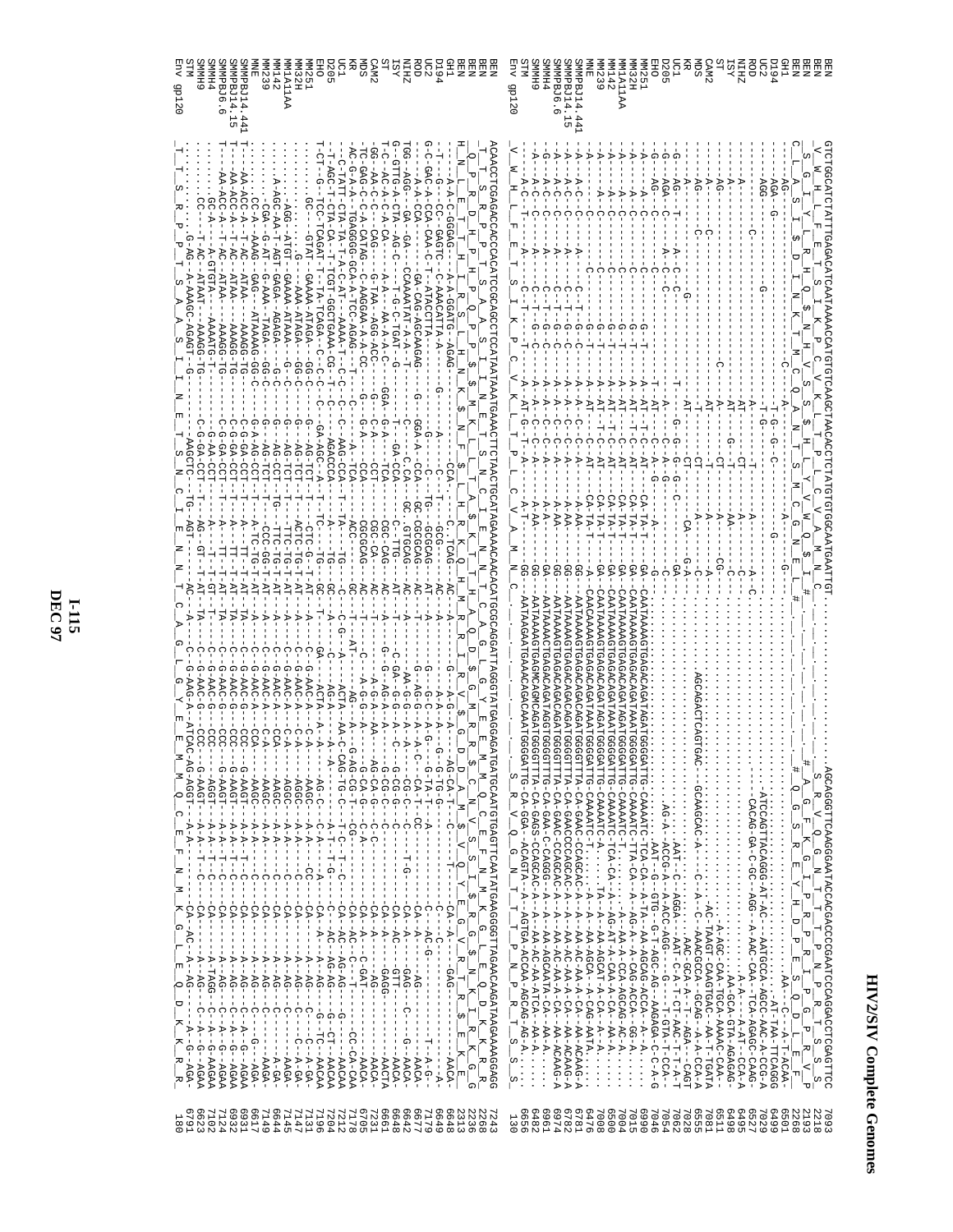| $^{\circ}$<br>$\circ$          | s<br>þ<br>'n<br>년<br> <br>$F-M$<br>k<br> <br>വ<br> <br>F<br>님<br>$\overline{\circ}$<br>¦o<br>$R_{\rm}-R_{\rm}$                                                                                                                                                                                                                                | dz rd5                       |
|--------------------------------|-----------------------------------------------------------------------------------------------------------------------------------------------------------------------------------------------------------------------------------------------------------------------------------------------------------------------------------------------|------------------------------|
| 649                            | AGCTC<br>- AG-AGGT---A-A----<br>I<br>f.<br>$- - C A - - AC - - A - - AC - -$<br>$---A---G---AG---A$                                                                                                                                                                                                                                           |                              |
| 299                            | --G-AAGT---A-A-A--T--C----CA------A--AG---C--A--A---                                                                                                                                                                                                                                                                                          | <b>MMN</b>                   |
| 710<br>N                       | A-GTGT:<br>---AGGT---<br>A – A – – T – – C – – – – C A – – – – – –<br>A – A – – T – – C – – – – C A – – – – – –<br>A – A – – T – – C – – – – C A – – – – – – – –<br>A-TAGG--C--A--G-AAGAA                                                                                                                                                     |                              |
| 693:<br>4                      | $I'-MC$<br>$-5 - AAGT -$<br>$A - AG - -C$<br>$A - AG - -$<br>C<br>J - - A - - G - - AUAA<br>2 - - A - - G - - AGAA<br>2 - - A - - G - - AGAA                                                                                                                                                                                                  | MMPBJ6                       |
| 693                            | ACC-A-<br>1-AC<br>G-GA-CCT<br>TAT-T<br>G-AAC<br>リアアリ<br>$\mathbf{I}$<br>--G-AAGT<br>$-1 - 1 - 0 - 0 - 1$<br>$\mathbf{A}-\mathbf{A}--\mathbf{T}--\mathbf{C}--$<br>$---CA------$<br>$-5 - -5 - -55$                                                                                                                                             | <b>LAQMM</b><br><b>MPB</b> . |
|                                | $A-BC-C$<br>-PAAC-<br>$-RAGC--$<br>$A - A - - -$<br>$- - - - - - - - - - - - - - - -$<br>$G--AGA-$                                                                                                                                                                                                                                            |                              |
|                                | -452<br>-AG-TCT<br>$G-T-T$<br>-DAAC-<br>AAGC-<br>$\begin{aligned} &-A-AA-+C---\\ &-A-BA---C---\\ &-A-AA--C--C--G-\\ &-A--AA--&\\ \end{aligned}$<br>$-AAGA-$                                                                                                                                                                                   | 68 Z N                       |
|                                | TAT<br>T<br>G-AAC-<br><b>AAGC</b><br>ł<br>$\frac{1}{1}$                                                                                                                                                                                                                                                                                       | $-42$                        |
|                                | AG-TCT<br>C-TG-T-AT<br>⊅<br>-DAAC-<br>$-999V$                                                                                                                                                                                                                                                                                                 | AAIIAA                       |
|                                | -AG-TCT<br>ACTC-TG-T-AT<br>Þ<br>-DAAC-<br>$-900C$<br>$-{\bf A}-{\bf A}-$<br>Ĵ.<br>$-2 - 1$<br>$- - C A - - - -$<br>$- - \mathbf{A} - \mathbf{A} \mathbf{G} - - \mathbf{C}$<br>$\begin{aligned} R- &-R G---C----C--A-G\\ R- &-R G--------R R G--\\ R- &-R G----------R R G-A\\ R- &-R G----------R R G-A\\ \end{aligned}$                      | HZ SH                        |
|                                | -- AG-TCT<br>$---AAGC---$<br>$A - A - - - C C - - - - C A - - - - - - - C - - C$<br>$\frac{1}{1}$<br>Ġ-<br>$A-GA-$                                                                                                                                                                                                                            |                              |
|                                | $GA-AGC--A$<br>--<br>54<br>8<br>$- - 2G - C - - -$<br>$C - A - - - - - A - - - - CA - - A - - - - - C - - - - - C - - A A C A A$                                                                                                                                                                                                              |                              |
| $\overline{a}$                 | -AGACCCA<br>--<br>54<br>$A--------$<br>Ť<br>$\texttt{A-T--T--G----C---A-C--A}\texttt{C--A-G----C--A}\texttt{A}\texttt{C}\texttt{A}\texttt{A}$                                                                                                                                                                                                 |                              |
| 71170<br>7211<br>N             | AAG-CCA<br>$-1$<br>ACTA<br>2AG-TG-C---T-C--T-C---CA--AC--AG-AG---G---<br><b>---AACAA</b>                                                                                                                                                                                                                                                      |                              |
|                                | LGAGGGG-GC<br>アームーコロロームGAG<br>-TCA<br>ACC-<br>⊕<br>$-5C - 7 - -1 - -1$<br>CG-<br>$\begin{array}{c} \begin{array}{c} \begin{array}{c} \begin{array}{c} \end{array} \\ \begin{array}{c} \end{array} \\ \begin{array}{c} \end{array} \\ \begin{array}{c} \end{array} \end{array} \end{array} \end{array}$<br>--CC-CA-CAA                         |                              |
| œч                             | $A-CCC-$<br>CGCGCAG<br>AC<br>$-G - CA - G - - - -$<br>C-A------<br>Ť<br>ţ<br>AACA-                                                                                                                                                                                                                                                            |                              |
| 723.                           | AGG-ACC-<br>CGC-CA-<br>$-AC - CA - G - - -$                                                                                                                                                                                                                                                                                                   |                              |
| 999                            | GC-CAG<br>--0-00-0---<br>$C----------\\ CA------\\ GAGG----------\\ RACTA$                                                                                                                                                                                                                                                                    |                              |
| 664<br>${}^{\circ}$            | $GTTG - A - CTA - - \ldots$<br>TGAT--<br>GA-CCA<br>TTG-<br>--9-09-0-<br>$C -$<br>$\begin{array}{c} \begin{array}{c} \begin{array}{c} \begin{array}{c} \end{array} \\ \begin{array}{c} \end{array} \\ \begin{array}{c} \end{array} \\ \begin{array}{c} \end{array} \\ \begin{array}{c} \end{array} \end{array} \end{array}$<br>$---CA---AC---$ |                              |
|                                | AGG-<br>$-AT - A - A - -$<br>GTGCAG<br>$-CG-C---$<br>$C -$<br>$-1 - T - G - - - - - C A - - A - - - - - G A G - - - C - - - - - G - - A A C A -$                                                                                                                                                                                              |                              |
| 7179<br>6677<br>6642           | $A - A - CC$<br>CAG-AGCAAGAG--<br>$\frac{1}{1}$<br>C-CGCGCAG<br>ţ<br>AACA-                                                                                                                                                                                                                                                                    | 9                            |
|                                | GAC-<br>$\overline{A}$<br>CCA-CAA-<br><b>GCAG</b><br>۲I<br>ا<br>$A-G--$                                                                                                                                                                                                                                                                       | ß                            |
| 664.<br>$\circ$                | ဂု<br>$\frac{1}{1}$<br>$- - - - - -$                                                                                                                                                                                                                                                                                                          |                              |
| 664<br>$\infty$                | $A - A -$<br>AGAG<br>$-56-2A-T--$<br>$\frac{1}{2}$<br>$-1 - 1$<br>--CA--A------GAG----<br>$-{\bf A}{\bf A}{\bf C}{\bf A}$                                                                                                                                                                                                                     |                              |
| 231<br>$\omega$                | p¦<br>ל<br>ל<br>¦≍<br>ŗΩ.<br>¦<<br> <br>면<br>ပြ<br>$\frac{1}{\sqrt{2}}$<br>ļ,<br> <br>¦⊣<br>$R = 5 - E$<br>ķ<br>'n                                                                                                                                                                                                                            |                              |
| 2236                           | ⊹∾<br>$\frac{1}{2}$<br>$\mathbb{R}^{\mathbb{Z}}$<br>$\frac{1}{\infty}$<br>$\frac{1}{2}$<br>$\frac{1}{2}$<br>$R_0$ $ \epsilon$ $ \epsilon$<br>$N-K-L$<br> <br> X<br> X<br> <br>വ<br> <br>බ                                                                                                                                                     |                              |
|                                | ¦o<br>ļ<br>Q<br>모 모.<br>Ļ<br> <br> -<br> -<br>lo.<br>l<br>U<br>  K_K_R<br>ہا<br>"                                                                                                                                                                                                                                                             | 胃以                           |
| 226<br>N<br>43<br>$\infty$     | \CAACCTCGAGACCACCACATTCCGCAGCCTCCATAATAAAGTTCAAACTTCTAACTGCATAGAAAACAACAACGAGGAGGATTAGGGTATGGAAAGAGAGA<br>CATGCAATGTGAGTTCAATATGAAGGGGTTAGAACAAGATAAGAAAGGAGGG<br>¦≍<br>$\frac{1}{N} \frac{1}{S} - \frac{N}{T} \frac{M}{N}$<br>Į.                                                                                                             | REN                          |
|                                | $R_T = 5 - 5$<br>∾¦                                                                                                                                                                                                                                                                                                                           |                              |
| 665.<br>$\circ$                | റ<br>F<br>$\mathbb{F}$<br>Ω<br>G<br>$3ATTG-CA-GGA--ACAGTA--A--AGTGA-ACCAR-AGCAG-AG--A--\ldots$<br>ِ م<br>þ<br>$V_Q = G_Q$ $K_Q = T$<br>╶┖╌╹╌<br>$\frac{N-1}{\sigma}$                                                                                                                                                                          | ÄU<br>02130                  |
| 648                            | $A-C$<br>A<br>Ö<br>$A - AA$ .                                                                                                                                                                                                                                                                                                                 | <b>GHMM</b>                  |
|                                | ŗ<br>$\begin{array}{lll} \exists TTTG - CA - GAA - C - CAGGG - A - A - A - AAGCAATA - CA - AAA - A & \cdot & \cdot & \cdot \end{array}$                                                                                                                                                                                                       |                              |
| 647887<br>647899<br>69789<br>4 | $\overline{Y}$<br>Ω<br>$A-AA-$                                                                                                                                                                                                                                                                                                                | MMPBJ6                       |
| $\mathsf{N}$                   | $\overline{A}$<br>Ω<br>$A - AA$                                                                                                                                                                                                                                                                                                               | <b>LAGNIN</b>                |
| Н                              | $\begin{array}{l} \texttt{TTTTA}-\texttt{CA}-\texttt{GAAC}-\texttt{CCAGCAC-A--A--A--A-A-C-A--A--A--A-ACAAC-A}\\ \texttt{TTTTA--CA-AACACACCCGACCA-C-A--A--A--A-A--A--A--A-ACAAC-A}\\ \end{array}$                                                                                                                                              | <b>TLBBJ1</b>                |
|                                | $A-C$<br>Φ                                                                                                                                                                                                                                                                                                                                    |                              |
| Q                              | C<br>Φ<br><b>CA-TA-</b><br>3ATTG-CAAAATC-ATA--A--AA-AGCAT-A-CA--A--A<br>3ATTG-CAAAATC-T-A--A--AA-AGCA--A-CAG-AATA                                                                                                                                                                                                                             |                              |
| 5501<br>$^{\circ}$             | Ω<br>CA-TA-T                                                                                                                                                                                                                                                                                                                                  | 39                           |
| $\circ$                        | ∩<br>Φ<br>$AT -$<br>CA-TA-T<br>$3ATTG-CRAATC-TCCA-CA-AA-AG-AT-A-CAA-A-CA-AAA-A.$                                                                                                                                                                                                                                                              | 4142                         |
| 700<br>4                       | 3ATTG-CAAAATC-T-A--AA-A-CCA-AGCAG-AC-A                                                                                                                                                                                                                                                                                                        |                              |
| 5991<br>UЛ                     | $AT = -$<br>CA-TA-T<br>$3ATTG-CAAATATC-TTA-CA--A--AG-A--A-CAG-ACCA--GG--A.$                                                                                                                                                                                                                                                                   | 132H                         |
| $\circ$                        | ATA<br>$3ATTG-CAAAATC-TCA-CA-CA-A-TA-AA-AGCAG-ACCA--A--A-. \ . \ . \ .$                                                                                                                                                                                                                                                                       |                              |
|                                | $\frac{1}{2}$<br>- $AAP - C = -CTP - C - T - A = C-P - A = -C - C - C - A - C - C - A - C$                                                                                                                                                                                                                                                    |                              |
| 7062<br>7054<br>7046           | $AGA-$                                                                                                                                                                                                                                                                                                                                        |                              |
|                                | RG<br>$\ldots \ldots \ldots \ldots \ldots$                                                                                                                                                                                                                                                                                                    |                              |
| 702<br>$\infty$                | $\frac{1}{2}$<br>G-A                                                                                                                                                                                                                                                                                                                          |                              |
| <b>GS5</b><br>UЛ               | G                                                                                                                                                                                                                                                                                                                                             |                              |
|                                | $\frac{1}{2}$<br>AT-                                                                                                                                                                                                                                                                                                                          |                              |
| 64499<br>1955<br>1981          |                                                                                                                                                                                                                                                                                                                                               |                              |
|                                |                                                                                                                                                                                                                                                                                                                                               |                              |
|                                | $\vdots$                                                                                                                                                                                                                                                                                                                                      |                              |
| <b>259</b><br>J                | $\frac{1}{1}$<br>CACAG-GA-C-GC--AGG--A-AAC-CAA--TCA-AGAGC-CAAG-                                                                                                                                                                                                                                                                               | ğ                            |
| 702<br>O                       | $AGG-$                                                                                                                                                                                                                                                                                                                                        | nc2                          |
| 679<br>O                       | $\ldots \cdot \text{ATCCAGTTACAGG} - \text{AT-RCT} \cdot \ldots \cdot \ldots \cdot \ldots \cdot - \text{AT-RCTGCG-AAC-A-TCCGG-A} \cdot \text{ATCAGG}$                                                                                                                                                                                         |                              |
|                                |                                                                                                                                                                                                                                                                                                                                               |                              |
| 2268<br>8501                   | ю<br>$\Gamma$<br>ှု<br> ¤<br> <br>$\frac{1}{\sigma}$<br>F<br>ь<br>'n                                                                                                                                                                                                                                                                          |                              |
| 219.00<br>ω                    | ¦≠<br>፞ቝ<br>"ן<br>ק"ב<br>$\frac{K_{\rm{c}}}{R_{\rm{c}}}\frac{G_{\rm{c}}}{E_{\rm{c}}}\frac{1}{Y_{\rm{c}}}\frac{P_{\rm{c}}}{E}$<br>¦≂<br>$\begin{array}{r} \mathbf{P} - \mathbf{P} - \mathbf{P} - \mathbf{P} \\ \mathbf{P} - \mathbf{P} - \mathbf{E} - \mathbf{S} - \mathbf{Q} \end{array}$<br>$-5$<br>능<br>$\frac{1}{2}$<br>╵╍                 |                              |
|                                | ŗω.<br>k<br>$\frac{1}{\sqrt{2}}$<br>¦o<br>$-9 - N$<br>ļ,<br>Ļ,<br>ļ,<br>$P = N_P P$<br> <br> H<br> -<br> <br>თ<br> <br>დ<br> <br>დ                                                                                                                                                                                                            |                              |
| 709.<br>$\infty$ $\omega$      | . AGCAGGGTTCAAGGGAATACCACGACCCCGAATCCCAGGACCTCGAGTTCC                                                                                                                                                                                                                                                                                         |                              |
|                                |                                                                                                                                                                                                                                                                                                                                               |                              |

**I-115 DEC 97**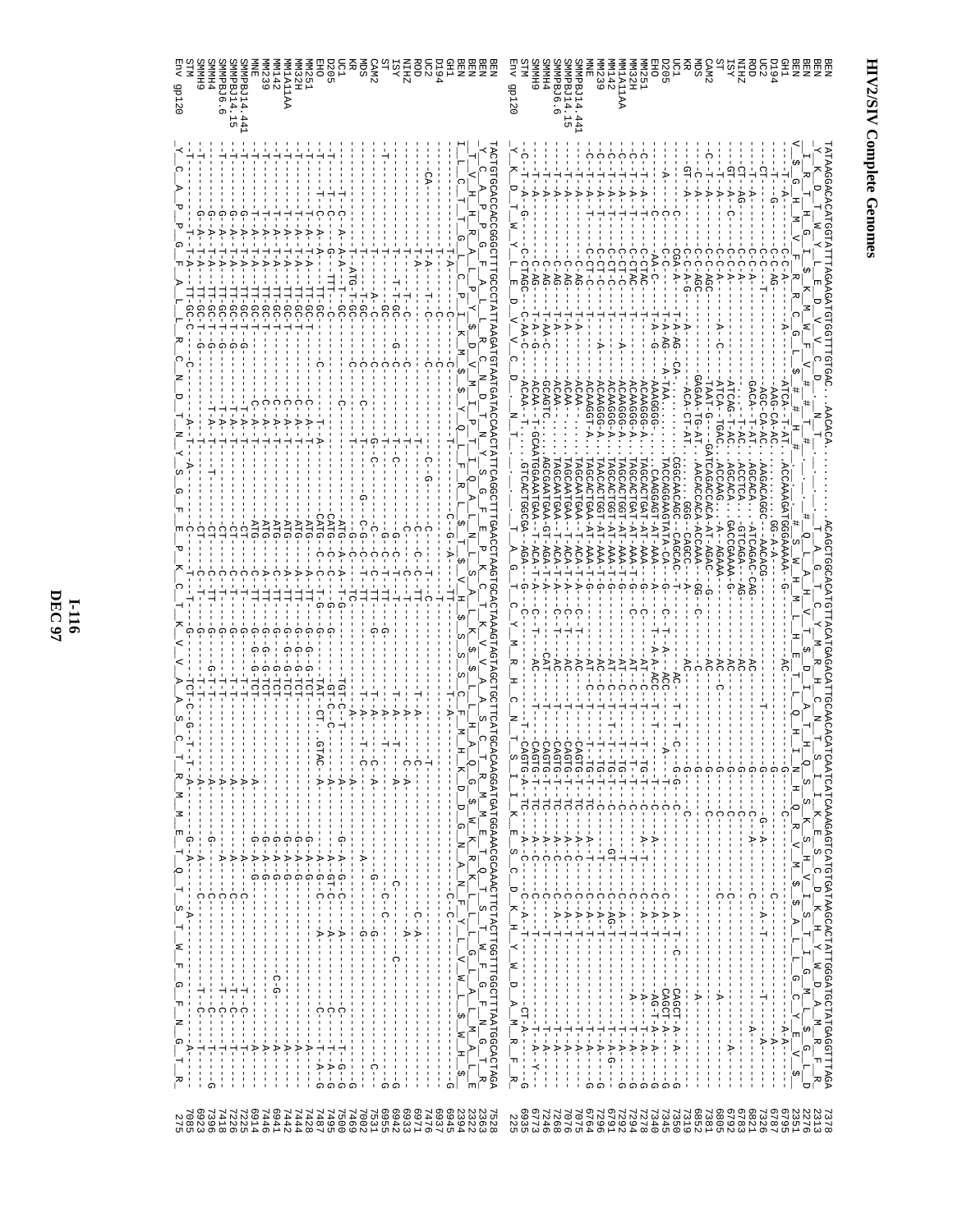#### **L-116<br>DEC 97**

| <b>GP120</b><br>RCTGTGCACCACCGGCTTTGCCCTATTAGATGTAAGGATGATGATGCACCACTTTCAGGCTTTGAACCTAAGTGCACTAAAGTAGTAGTGCTTCATGCA<br>C<br>J<br>م<br>בד<br>S<br>⊢<br>੮<br>$\overline{r}$<br>AG.<br>۴<br>∀−<br>⊅<br>ငှ<br>⋒<br>⋒<br>⋒<br>⋒<br>Φ<br>כל<br>⊅<br>ດ<br>$-55 - A -$<br>$A-A-C$<br>-CT-C<br>-42-C<br>-GT-C<br>$\frac{1}{2}$<br>CTAC<br>IJ<br>CT-i<br>CTAC <sup>-</sup><br>Þ<br>A---T--GC<br>CTAGC<br>- AG-<br>$-26$<br><b>ATG-T-GC</b><br>$-26$<br>$-100$<br>-AGC·<br>-AGC<br>$-AC$<br>∩<br>$A-G$<br>⊅<br>------<br>RG<br>দ্ৰ<br>Q<br>$\frac{1}{1}$<br>Δ<br>11-00-1-<br><b>PT-GC-T--G</b><br><b>TT-GC-T--G</b><br>D--1-00-11<br>11-00-11<br>11-0C-1-<br>IT-GC-T-<br>FT-GC-<br>ローロ<br>H-90-T<br>$A = -$<br>T-GC.<br>7-9C<br>ត់<br>∪<br>G<br>ה<br>ל<br>ה<br>י<br>ים<br>ל<br>C-AA-C<br>D--A--G<br>$L - AA - C$<br>$T - A - T$<br>$T - A - T$<br>$L - A - -G$<br>$-5-7-7$<br>⊲<br>τn<br>$A - A G$<br>₩<br>⋞<br>$\frac{1}{1}$<br>Ω<br>Ω<br>੮<br>Q<br>റ<br>Ω<br>∩<br>CA-<br>∩<br>Ω<br>∩<br>z<br><b>AGAA-TG-AT</b><br>$ACAA--$<br>$ACAA--$<br>GCAGTC<br><b>ACAAGGG-A</b><br>$\text{ACA-A}$ --<br>$ACAA$ --<br>ACAAGGT-<br><b>GACA--</b><br>$ACAA$ --<br>ACAAGGG-A<br>RCAAGGG-A<br>RCAAGGG-A<br><b>PRAAGGGG</b><br>ATCA<br><b>ATCAG-T-AC</b><br><b>KRAGGG-</b><br><b>TAAT</b><br>ACA-C'<br>RGC-C<br><b>AAG-AS-AC</b><br>Α<br>$T - R$<br>ł<br>$\frac{1}{1}$<br>コーピ<br>7 – 7<br>ъ<br>⊅<br>⊅<br>$A-A$<br>IA-1<br>TGAC<br>$2 - 21$<br>CAATGGAAATGAA--<br>GATCAGACCACA-<br>∩<br>C<br>AGCGAATGAA-GT-<br><b><i>TAGCAATGAA-</i></b><br>AACACTGGT-AA-AAA-T<br>GGCAACAGC-<br>GTCACTGGCGA-<br>AGCAATGAA<br>AACACCACA-ACCAAA--<br>RCCAAAGATGGAAAA-<br>'n<br>AAGGAGA-TAT-AAA<br>CTGAT-TAT-AAA<br>CATG<br>CATG<br><b>ATG</b><br><b>ATG</b><br>GACCGAAAA-G<br>ATG<br><b>ATG</b><br><b>ATG</b><br><b>ATG</b><br>ATG<br>ں<br>م<br>Ġ<br>Ġ<br>G<br>AT-AGAC--<br><b>ATCAGAC-CAG</b><br>ု<br>ငှ<br>Ω<br>ω<br>T-ACA-<br>CAGCAC--<br>CAGCC-<br>$ACA-T-$<br>$AGA--$<br>$ACA-T-$<br>AAA<br>AAA<br>ACACG<br>AGA<br>7 AA - T<br>AGA.<br><b>AAAA</b><br>Q<br>C<br>ゼ<br>ຸດ<br>$-AC$<br>$-90-$<br>ω<br>녑<br>녑<br>녑<br>T-G<br>녑<br>Ŕ<br>L<br>G<br>ှု<br>∩<br>Ò<br>Ò<br>∩<br>∩<br>⋒<br>⋒<br>⋒<br>റ<br>ດ<br>ଜ<br>c<br>⋒<br>⋒<br>ω<br>⋒<br>Ω<br>G.<br>CΩ<br>$-AC$<br>Š<br>Ř<br>ਸ਼<br>$AC-$<br>$-LN$<br>$A - ACC$<br>₽<br>⊅<br>AT-<br>74 – –<br>⊅<br>AT-<br>'n<br>--<br>101<br>o<br>P⊂<br>G-1C1<br>G-TC.<br>G-TCT<br>∩<br>a−Ω<br>ż<br>RC<br>191-C<br>∩<br>∩<br>∩<br>⊅<br>ኌ<br>$\frac{5}{1}$<br>þ<br>$-A$<br>T-PIE<br>1-DIE<br>$-L - 5L5$<br>$G$ TG-T-<br><b>C-T-T-TC</b><br>ن<br>ڊ<br>RAGGATGATGAAAACGCAAACTTCTACTTGGTTTGGCTTTAATGGCACTAAA<br>$TG-T-$<br>C--<br>$C = -A$<br>C--<br>보<br><b>TG-T-TC</b><br>$-1 - 2 -$<br>п<br>л<br>$T - 51$<br>۲<br>ا<br>ငှ<br>႕<br>ដុ<br>Ġ<br>$\frac{1}{1}$<br>ł<br>-ם<br>-פ<br>Ω<br>Ω<br>Ω<br>Ω<br>Ω<br>Ω<br>Ω<br>ʻz<br>$\frac{1}{1}$<br>$\frac{1}{1}$<br>$\frac{1}{1}$<br>¦≂<br>$\blacksquare$<br>$\overline{1}$<br>$\mathbf{I}$<br>J.<br>ŧ<br>I<br>ł<br>$\frac{1}{1}$<br>$\blacksquare$<br>ł<br>ł<br>I.<br>$\frac{1}{2}$<br>$\ddot{P}$<br>'က<br>מ'<br>$\overline{Y}$<br>$\overline{r}$<br>$\sum_{i=1}^{n}$<br>$\frac{1}{2}$<br>$\lambda$ -<br>$\lambda$ -<br>$\overline{A}$<br>⋗<br>$A -$<br>$A -$<br>부<br>부<br>л.<br>п<br>ı<br>부<br>н<br>$\mathbf{I}$<br>п<br>Ō<br>$-1 - 10$<br>$-L-C$<br>Ξ<br>¦≍<br>-TC<br>-TC<br>-TC<br>I<br>$\frac{1}{\Omega}$<br>$\frac{1}{1}$<br>į∿<br>J.<br>$\overline{1}$<br>ŗΩ.<br>$\mathbf{I}$<br>$\stackrel{1}{\circ}$<br>$\overline{\phantom{a}}$<br>$\mathbf{I}$<br>J.<br>ł<br>ł<br>Έ<br>Ò<br>Ò<br>Ò<br>ю<br>Q<br>↷<br>!≍<br>∩<br>×<br>I<br>$\begin{array}{c} \end{array}$<br>$\frac{1}{1}$<br>C<br>$\begin{array}{c} \hline \end{array}$<br>I.<br>$\mathsf I$<br>$\frac{1}{4}$<br>$\overline{\phantom{a}}$<br>Ť<br>Ť<br>G<br>Ω<br>Ω<br>∩<br>Ω<br>G<br>$\mathbf{I}$<br>ิ่≤<br>×<br>J,<br>J.<br>$\blacksquare$<br>L.<br>$\blacksquare$<br>л<br>$\mathbf{I}$<br>$\blacksquare$<br>$\overline{1}$<br>Ť<br>J.<br>$\frac{1}{1}$<br>$\frac{1}{1}$<br>$\mathbf{I}$<br>T<br><u> ဂ</u><br>ົດ<br>ᆽ<br>I<br>J.<br>J.<br>H<br>$\blacksquare$<br>л<br>-1<br>$\overline{1}$<br>$\blacksquare$<br>п<br>¦≔<br>Þ<br>$\mathbf I$<br>$\mathbf{I}$<br>ı<br>×<br>÷<br>⊢<br>ِ co<br>ဂု<br>Ω<br>$\Gamma$<br><u>ဂ</u><br>$A$ – –<br>$A -$<br>$-4$<br>$-\nabla$<br>$A$ --<br>$A - -$<br>$\lambda$ -<br>$\mathbb{A}$<br>I<br>ъ<br>Ω<br>ဂု<br>Φ<br>ဂု<br>$A--T--A$<br>$- - 5L - -$<br>z<br>Ĵ.<br>$\mathbf{I}$<br>п<br>ł<br>$\frac{1}{1}$<br>ŧ<br>ł<br>$\mathbf{I}$<br>ŧ<br>л<br>ł<br>ł<br>H<br>מ'<br>$\mathbf I$<br>Ė<br>Έ<br>⊅<br>Þ<br>Þ<br>ъ<br>ъ<br>ъ<br>ъ<br>$A -$<br>$A -$<br>ъ<br>$A -$<br>ъ<br>ъ<br>Þ<br>₩<br>$\frac{1}{2}$<br>G<br>C<br>C<br>C<br>C<br>부<br>$\frac{1}{1}$<br>보<br>z<br>Ŧ<br>Ī<br>'n.<br>$\blacksquare$<br>J<br>$\mathbf{I}$<br>ł<br>$\frac{1}{1}$<br>$\frac{1}{1}$<br>$- - - - -$ C<br>ъ<br>$\overline{\phantom{a}}$<br>$\frac{1}{1}$<br>Ţ<br>$\mathsf I$<br>Ť<br>J,<br>þ<br>'n<br>$\overline{1}$<br>$\blacksquare$<br>J.<br>J.<br>$\blacksquare$<br>$\overline{\phantom{a}}$<br>п<br>п<br>$\mathbf{I}$<br>п<br>л<br>п<br>л<br>'<<br>Φ<br>ω<br>ဂှ<br>$\dot{P}$<br>ဂု<br>ဂှ<br>ဂု<br>$-15$<br><u>ဂု</u><br>×<br>J.<br>I<br>$\overline{\phantom{a}}$<br>п<br>Þ,<br>ł<br>Ť<br>م-<br>أ<br>ł<br>$\frac{1}{1}$<br>$\frac{1}{1}$<br>f,<br>ł<br>$\frac{1}{1}$<br>$\frac{1}{1}$<br>ł<br>$\frac{1}{1}$<br>ŧ<br>$\frac{1}{1}$<br>ł<br>w<br>`A<br>Η<br>J.<br>$\mathbf{I}$<br>J.<br>$\overline{1}$<br>л<br>л<br>л<br>$\mathbf{I}$<br>$\blacksquare$<br>п<br>C<br>$\Omega$<br>$\Omega$<br>Q<br>C<br>$\overline{1}$<br>I<br>Þ<br>C<br>$\Omega$<br>$C--\mathbf{A}--\mathbf{T}--\mathbf{T}--$<br>$-1 - \mathbf{A} - \mathbf{T} -$<br>-C--A--T----<br>-C--AG-T----<br>Q<br>Q<br>$\frac{1}{2}$<br>$\frac{1}{2}$<br>$C--\mathbf{A}--\mathbf{T}-$<br>C<br>Q<br>Q<br>∩<br>م<br>-<br>Ω<br>↷<br>↷<br>J.<br>∩<br>Ω<br>Ŧ<br>$\frac{1}{1}$<br>T<br>$\begin{array}{c} \end{array}$<br>$\begin{array}{c} \rule{0pt}{2.5ex} \rule{0pt}{2.5ex} \rule{0pt}{2.5ex} \rule{0pt}{2.5ex} \rule{0pt}{2.5ex} \rule{0pt}{2.5ex} \rule{0pt}{2.5ex} \rule{0pt}{2.5ex} \rule{0pt}{2.5ex} \rule{0pt}{2.5ex} \rule{0pt}{2.5ex} \rule{0pt}{2.5ex} \rule{0pt}{2.5ex} \rule{0pt}{2.5ex} \rule{0pt}{2.5ex} \rule{0pt}{2.5ex} \rule{0pt}{2.5ex} \rule{0pt}{2.5ex} \rule{0pt}{2.5ex} \rule{0$<br>$\sf I$<br>$\frac{1}{1}$<br>Ť<br>Ï<br>I<br>ł<br>Ï<br>$\,$ I<br>Ï<br>$\frac{1}{1}$<br>$- -A - -$<br>$\frac{1}{1}$<br>$\begin{array}{c} \end{array}$<br>٠m<br>$- -A - -$<br>I<br>ł<br>ו<br>מ<br>k<br>$\overline{1}$<br>L.<br>J.<br>J.<br>$\mathbf{I}$<br>$\overline{1}$<br>J.<br>$\overline{1}$<br>$-C--A-$<br>$\mathbb{I}$<br>J.<br>J.<br>J.<br>Þ<br>$\mathbf{A}=-\mathbf{T}-$<br>$\mathbf{A}=-\mathbf{T}-$<br>$-\mathbf{L}--\mathbf{V}$<br>$-4-$<br>ω,<br>$A--T--$<br>$A -$<br>$\Gamma$<br>ု<br>л<br>$\mathbf{I}$<br>$\mathbf{I}$<br>л.<br>т<br>$\mathbf{I}$<br>1<br>$\mathbf{I}$<br>л<br>ļ,<br>≺<br>$-1 - 1 -$<br>$-4-7-$<br>$-4-7-$<br>⊅<br>$\frac{1}{14}$<br>-1<br>$\frac{1}{14}$<br>L<br>þ<br>$\overline{1}$<br>$\mathbf{I}$<br>$\overline{1}$<br>$\blacksquare$<br>$\overline{\phantom{a}}$<br>д<br>F<br>$-1 - 1 - 1$<br>ဂူ<br>$\sum_{i=1}^{n}$<br>$\lambda$ -<br>ဂု<br>$\mathbf{I}$<br>부<br>부<br>$\overline{1}$<br>н<br>$\overline{\mathbb{R}}$<br>$\mathsf I$<br>⊢<br>$\mathbf{I}$<br>$\mathbf{I}$<br>F<br>k<br>$\mathbf I$<br>$\overline{\phantom{a}}$<br>$\mathbf{I}$<br>J<br>I<br>J.<br>I<br>ຸດ<br>J.<br>$\blacksquare$<br>п<br>I<br>J.<br>J.<br>$\blacksquare$<br>$\mathbf{I}$<br>$\overline{1}$<br>J.<br>$\blacksquare$<br>J.<br>J.<br>л<br>$\prec$<br>$\mathbf{p}_{\mathbf{q}}$<br>ု<br>ı<br>k<br>က်<br>F<br>J,<br>Ξ<br>$\Omega$<br>Ω<br>$\frac{1}{1}$<br>$\mathbf{I}$<br>$\frac{1}{1}$<br>$\mathbf{I}$<br>Ъ<br>י<br>ה<br>z<br>۲<br>ا<br>۲<br>ا<br>Ω<br>⊅<br>$\texttt{CACT-A--A--}$<br>$-1$<br>۲I<br>İ<br>$-{\mathbf A}{\mathbf G} - {\mathbf T} - {\mathbf A} - -{\mathbf A}$<br>CAGCT-<br>$A--T--A$<br>$\lambda$ -<br>$A -$<br>$A -$<br>$-1$<br>Q<br>$\frac{1}{1}$<br>J.<br>$\blacksquare$<br>1<br>J<br>۱۳<br>$\mathbb{A}$ $\mathbb{A}$<br>$\overline{\phantom{a}}$<br>п<br>F<br>C<br>C<br>G<br>C<br>C<br>Ω<br>Ή<br>$CT - A -$<br>Ω<br>Ω<br>٠W<br>к<br>J.<br>T<br>Ţ<br>I<br>I<br>I<br>ł<br>I<br>$\frac{1}{1}$<br>ł<br>$\frac{1}{1}$<br>ł<br>t<br>J.<br>I<br>I<br>$\frac{1}{1}$<br>g<br>$\mathbf{I}$<br>$\overline{\phantom{a}}$<br>J.<br>1<br>$\overline{1}$<br>л<br>л<br>1<br>п<br>∣<br>⊀∿<br>Σ<br>$\overline{A}$<br>$\overline{P}$<br>$T - A - -T$<br>$T - A -$<br>$T - A -$<br>$T - A -$<br>$T - A -$<br>$\mathbb{T} - \mathbb{A} - \mathbb{T}$<br>$F - 7$<br>A-,<br>$\mathbf{I}$<br>ı<br>D-A-A<br>۲<br>ا<br>J.<br>부<br>H<br>z<br>Þ<br>Ţ<br>$\overline{\phantom{a}}$<br>$\begin{array}{c} \hline \end{array}$<br>$\overline{\phantom{a}}$<br>I<br>J<br>¦റ<br>¦¤<br>$\frac{1}{1}$<br>ŧ<br>$\frac{1}{1}$<br>부<br>$\blacksquare$<br>$\mathbf{I}$<br>I<br>$\overline{\phantom{a}}$<br>A-<br>A-<br>$\mathbb{F}$<br>п<br>'ဂ<br>$\frac{1}{\lambda}$<br>$\ddot{\vec{r}}$<br>$\ddot{\mathbf{r}}$<br>$\ddot{\vec{r}}$<br>$\ddot{\tau}$<br>$\sum_{i=1}^{n}$<br>$T - A - -$<br>ኳ<br>Þ<br>$\ddot{\vec{r}}$<br>Ĥ<br>$\frac{1}{2}$<br>$D - -C - -C$<br>부<br>I<br>⊲<br>Έ<br>Ī.<br>T<br>ï<br>д<br>'≖<br>$\overline{1}$<br>J.<br>J.<br>$\blacksquare$<br>л<br>$\mathbf{I}$<br>J.<br>$\overline{C}$<br>$\mathbf{I}$<br>J.<br>$\overline{1}$<br>л<br>J.<br>$\blacksquare$<br>л<br>J.<br>J.<br>J.<br>I<br>J.<br>J.<br>л<br>п<br>۳<br>$\overline{A}$<br>片<br>$\mathbf{I}$<br>л<br>$\overline{1}$<br>л<br>л<br>J,<br>к<br>п<br>$\mathbf{I}$<br>ł<br>-1<br>ı<br>∣<br>∹∿<br>$\overline{1}$<br>$\mathbf I$<br>٠m<br>J<br>$\mathbf{I}$<br>J.<br>1<br>л<br>J,<br>л<br>¦≂<br>$\mathbb{R}^+$<br>$\frac{1}{\mathsf{Q}}$<br>ፊ<br>Έ<br>⋒<br>⋒<br>ഹ<br>দা<br><u>ດ ດ</u><br>ഹ<br>∩<br>ഹ<br>⋒<br>⋒<br>ഩ<br>ଇ<br>ଋ<br>п<br>ഩ |  |  |
|---------------------------------------------------------------------------------------------------------------------------------------------------------------------------------------------------------------------------------------------------------------------------------------------------------------------------------------------------------------------------------------------------------------------------------------------------------------------------------------------------------------------------------------------------------------------------------------------------------------------------------------------------------------------------------------------------------------------------------------------------------------------------------------------------------------------------------------------------------------------------------------------------------------------------------------------------------------------------------------------------------------------------------------------------------------------------------------------------------------------------------------------------------------------------------------------------------------------------------------------------------------------------------------------------------------------------------------------------------------------------------------------------------------------------------------------------------------------------------------------------------------------------------------------------------------------------------------------------------------------------------------------------------------------------------------------------------------------------------------------------------------------------------------------------------------------------------------------------------------------------------------------------------------------------------------------------------------------------------------------------------------------------------------------------------------------------------------------------------------------------------------------------------------------------------------------------------------------------------------------------------------------------------------------------------------------------------------------------------------------------------------------------------------------------------------------------------------------------------------------------------------------------------------------------------------------------------------------------------------------------------------------------------------------------------------------------------------------------------------------------------------------------------------------------------------------------------------------------------------------------------------------------------------------------------------------------------------------------------------------------------------------------------------------------------------------------------------------------------------------------------------------------------------------------------------------------------------------------------------------------------------------------------------------------------------------------------------------------------------------------------------------------------------------------------------------------------------------------------------------------------------------------------------------------------------------------------------------------------------------------------------------------------------------------------------------------------------------------------------------------------------------------------------------------------------------------------------------------------------------------------------------------------------------------------------------------------------------------------------------------------------------------------------------------------------------------------------------------------------------------------------------------------------------------------------------------------------------------------------------------------------------------------------------------------------------------------------------------------------------------------------------------------------------------------------------------------------------------------------------------------------------------------------------------------------------------------------------------------------------------------------------------------------------------------------------------------------------------------------------------------------------------------------------------------------------------------------------------------------------------------------------------------------------------------------------------------------------------------------------------------------------------------------------------------------------------------------------------------------------------------------------------------------------------------------------------------------------------------------------------------------------------------------------------------------------------------------------------------------------------------------------------------------------------------------------------------------------------------------------------------------------------------------------------------------------------------------------------------------------------------------------------------------------------------------------------------------------------------------------------------------------------------------------------------------------------------------------------------------------------------------------------------------------------------------------------------------------------------------------------------------------------------------------------------------------------------------------------------------------------------------------------------------------------------------------------------------------------------------------------------------------------------------------------------------------------------------------------------------------------------------------------------------------------------------------------------------------------------------------------------------------------------------------------------------------------------------------------------------------------------------------------------------------------------------------------------------------------------------------------------------------------------------------------------------------------------------------------------------------------------------------------------------------------------------------------------------------------------------------------------------------------------------------------------------------------------------------------------------------------------------------------------------------------------------------------------------------------------------------------------------------------------------------------------------------------------------------------------------------------------------------------------------------------------------------------------------------------------------------------------------------------------------------------------------------------------------------------------------------------------------------------------------------------------------------------------------------------------------------------------------------------------------------------------------------------------------------------------------------------------------------------------------------------------------------------------------------------------------------------------------------------------------------------------------------------------------------------------------------------------------------------------------------------------------------------------------------------------------------------------------------------------------------------------------------------------------------------------------------------------------------------------------------------------------------------------------------------------------------------------------------------------------------------------------------------------------------------------------------------------------------------------------------------------------------------------------------------------------------------------------------------------------------------------------------------------------------------------------------------------------------------------------------------------------------------------------------------------------------------------------------------------------------------------------------------------------------------------------------------------------------------------------------------------------------------------------------------------------------------------------------------------------------------------------------------------------------------------------------------------------------------------------------------------------------------------------------------------------------------------------------------------------------------------------------------------------------------------------------------------------------------------------------------------------------------------------------------------------------------------------------|--|--|
|                                                                                                                                                                                                                                                                                                                                                                                                                                                                                                                                                                                                                                                                                                                                                                                                                                                                                                                                                                                                                                                                                                                                                                                                                                                                                                                                                                                                                                                                                                                                                                                                                                                                                                                                                                                                                                                                                                                                                                                                                                                                                                                                                                                                                                                                                                                                                                                                                                                                                                                                                                                                                                                                                                                                                                                                                                                                                                                                                                                                                                                                                                                                                                                                                                                                                                                                                                                                                                                                                                                                                                                                                                                                                                                                                                                                                                                                                                                                                                                                                                                                                                                                                                                                                                                                                                                                                                                                                                                                                                                                                                                                                                                                                                                                                                                                                                                                                                                                                                                                                                                                                                                                                                                                                                                                                                                                                                                                                                                                                                                                                                                                                                                                                                                                                                                                                                                                                                                                                                                                                                                                                                                                                                                                                                                                                                                                                                                                                                                                                                                                                                                                                                                                                                                                                                                                                                                                                                                                                                                                                                                                                                                                                                                                                                                                                                                                                                                                                                                                                                                                                                                                                                                                                                                                                                                                                                                                                                                                                                                                                                                                                                                                                                                                                                                                                                                                                                                                                                                                                                                                                                                                                                                                                                                                                                                                                                                                                                                                                                                                                                                                                                                                                                                                                                                                                                                                                                                                                                                                                                                                                                                                                                                                                                                                                                     |  |  |
|                                                                                                                                                                                                                                                                                                                                                                                                                                                                                                                                                                                                                                                                                                                                                                                                                                                                                                                                                                                                                                                                                                                                                                                                                                                                                                                                                                                                                                                                                                                                                                                                                                                                                                                                                                                                                                                                                                                                                                                                                                                                                                                                                                                                                                                                                                                                                                                                                                                                                                                                                                                                                                                                                                                                                                                                                                                                                                                                                                                                                                                                                                                                                                                                                                                                                                                                                                                                                                                                                                                                                                                                                                                                                                                                                                                                                                                                                                                                                                                                                                                                                                                                                                                                                                                                                                                                                                                                                                                                                                                                                                                                                                                                                                                                                                                                                                                                                                                                                                                                                                                                                                                                                                                                                                                                                                                                                                                                                                                                                                                                                                                                                                                                                                                                                                                                                                                                                                                                                                                                                                                                                                                                                                                                                                                                                                                                                                                                                                                                                                                                                                                                                                                                                                                                                                                                                                                                                                                                                                                                                                                                                                                                                                                                                                                                                                                                                                                                                                                                                                                                                                                                                                                                                                                                                                                                                                                                                                                                                                                                                                                                                                                                                                                                                                                                                                                                                                                                                                                                                                                                                                                                                                                                                                                                                                                                                                                                                                                                                                                                                                                                                                                                                                                                                                                                                                                                                                                                                                                                                                                                                                                                                                                                                                                                                                     |  |  |
|                                                                                                                                                                                                                                                                                                                                                                                                                                                                                                                                                                                                                                                                                                                                                                                                                                                                                                                                                                                                                                                                                                                                                                                                                                                                                                                                                                                                                                                                                                                                                                                                                                                                                                                                                                                                                                                                                                                                                                                                                                                                                                                                                                                                                                                                                                                                                                                                                                                                                                                                                                                                                                                                                                                                                                                                                                                                                                                                                                                                                                                                                                                                                                                                                                                                                                                                                                                                                                                                                                                                                                                                                                                                                                                                                                                                                                                                                                                                                                                                                                                                                                                                                                                                                                                                                                                                                                                                                                                                                                                                                                                                                                                                                                                                                                                                                                                                                                                                                                                                                                                                                                                                                                                                                                                                                                                                                                                                                                                                                                                                                                                                                                                                                                                                                                                                                                                                                                                                                                                                                                                                                                                                                                                                                                                                                                                                                                                                                                                                                                                                                                                                                                                                                                                                                                                                                                                                                                                                                                                                                                                                                                                                                                                                                                                                                                                                                                                                                                                                                                                                                                                                                                                                                                                                                                                                                                                                                                                                                                                                                                                                                                                                                                                                                                                                                                                                                                                                                                                                                                                                                                                                                                                                                                                                                                                                                                                                                                                                                                                                                                                                                                                                                                                                                                                                                                                                                                                                                                                                                                                                                                                                                                                                                                                                                                     |  |  |
|                                                                                                                                                                                                                                                                                                                                                                                                                                                                                                                                                                                                                                                                                                                                                                                                                                                                                                                                                                                                                                                                                                                                                                                                                                                                                                                                                                                                                                                                                                                                                                                                                                                                                                                                                                                                                                                                                                                                                                                                                                                                                                                                                                                                                                                                                                                                                                                                                                                                                                                                                                                                                                                                                                                                                                                                                                                                                                                                                                                                                                                                                                                                                                                                                                                                                                                                                                                                                                                                                                                                                                                                                                                                                                                                                                                                                                                                                                                                                                                                                                                                                                                                                                                                                                                                                                                                                                                                                                                                                                                                                                                                                                                                                                                                                                                                                                                                                                                                                                                                                                                                                                                                                                                                                                                                                                                                                                                                                                                                                                                                                                                                                                                                                                                                                                                                                                                                                                                                                                                                                                                                                                                                                                                                                                                                                                                                                                                                                                                                                                                                                                                                                                                                                                                                                                                                                                                                                                                                                                                                                                                                                                                                                                                                                                                                                                                                                                                                                                                                                                                                                                                                                                                                                                                                                                                                                                                                                                                                                                                                                                                                                                                                                                                                                                                                                                                                                                                                                                                                                                                                                                                                                                                                                                                                                                                                                                                                                                                                                                                                                                                                                                                                                                                                                                                                                                                                                                                                                                                                                                                                                                                                                                                                                                                                                                     |  |  |
|                                                                                                                                                                                                                                                                                                                                                                                                                                                                                                                                                                                                                                                                                                                                                                                                                                                                                                                                                                                                                                                                                                                                                                                                                                                                                                                                                                                                                                                                                                                                                                                                                                                                                                                                                                                                                                                                                                                                                                                                                                                                                                                                                                                                                                                                                                                                                                                                                                                                                                                                                                                                                                                                                                                                                                                                                                                                                                                                                                                                                                                                                                                                                                                                                                                                                                                                                                                                                                                                                                                                                                                                                                                                                                                                                                                                                                                                                                                                                                                                                                                                                                                                                                                                                                                                                                                                                                                                                                                                                                                                                                                                                                                                                                                                                                                                                                                                                                                                                                                                                                                                                                                                                                                                                                                                                                                                                                                                                                                                                                                                                                                                                                                                                                                                                                                                                                                                                                                                                                                                                                                                                                                                                                                                                                                                                                                                                                                                                                                                                                                                                                                                                                                                                                                                                                                                                                                                                                                                                                                                                                                                                                                                                                                                                                                                                                                                                                                                                                                                                                                                                                                                                                                                                                                                                                                                                                                                                                                                                                                                                                                                                                                                                                                                                                                                                                                                                                                                                                                                                                                                                                                                                                                                                                                                                                                                                                                                                                                                                                                                                                                                                                                                                                                                                                                                                                                                                                                                                                                                                                                                                                                                                                                                                                                                                                     |  |  |
|                                                                                                                                                                                                                                                                                                                                                                                                                                                                                                                                                                                                                                                                                                                                                                                                                                                                                                                                                                                                                                                                                                                                                                                                                                                                                                                                                                                                                                                                                                                                                                                                                                                                                                                                                                                                                                                                                                                                                                                                                                                                                                                                                                                                                                                                                                                                                                                                                                                                                                                                                                                                                                                                                                                                                                                                                                                                                                                                                                                                                                                                                                                                                                                                                                                                                                                                                                                                                                                                                                                                                                                                                                                                                                                                                                                                                                                                                                                                                                                                                                                                                                                                                                                                                                                                                                                                                                                                                                                                                                                                                                                                                                                                                                                                                                                                                                                                                                                                                                                                                                                                                                                                                                                                                                                                                                                                                                                                                                                                                                                                                                                                                                                                                                                                                                                                                                                                                                                                                                                                                                                                                                                                                                                                                                                                                                                                                                                                                                                                                                                                                                                                                                                                                                                                                                                                                                                                                                                                                                                                                                                                                                                                                                                                                                                                                                                                                                                                                                                                                                                                                                                                                                                                                                                                                                                                                                                                                                                                                                                                                                                                                                                                                                                                                                                                                                                                                                                                                                                                                                                                                                                                                                                                                                                                                                                                                                                                                                                                                                                                                                                                                                                                                                                                                                                                                                                                                                                                                                                                                                                                                                                                                                                                                                                                                                     |  |  |
|                                                                                                                                                                                                                                                                                                                                                                                                                                                                                                                                                                                                                                                                                                                                                                                                                                                                                                                                                                                                                                                                                                                                                                                                                                                                                                                                                                                                                                                                                                                                                                                                                                                                                                                                                                                                                                                                                                                                                                                                                                                                                                                                                                                                                                                                                                                                                                                                                                                                                                                                                                                                                                                                                                                                                                                                                                                                                                                                                                                                                                                                                                                                                                                                                                                                                                                                                                                                                                                                                                                                                                                                                                                                                                                                                                                                                                                                                                                                                                                                                                                                                                                                                                                                                                                                                                                                                                                                                                                                                                                                                                                                                                                                                                                                                                                                                                                                                                                                                                                                                                                                                                                                                                                                                                                                                                                                                                                                                                                                                                                                                                                                                                                                                                                                                                                                                                                                                                                                                                                                                                                                                                                                                                                                                                                                                                                                                                                                                                                                                                                                                                                                                                                                                                                                                                                                                                                                                                                                                                                                                                                                                                                                                                                                                                                                                                                                                                                                                                                                                                                                                                                                                                                                                                                                                                                                                                                                                                                                                                                                                                                                                                                                                                                                                                                                                                                                                                                                                                                                                                                                                                                                                                                                                                                                                                                                                                                                                                                                                                                                                                                                                                                                                                                                                                                                                                                                                                                                                                                                                                                                                                                                                                                                                                                                                                     |  |  |
|                                                                                                                                                                                                                                                                                                                                                                                                                                                                                                                                                                                                                                                                                                                                                                                                                                                                                                                                                                                                                                                                                                                                                                                                                                                                                                                                                                                                                                                                                                                                                                                                                                                                                                                                                                                                                                                                                                                                                                                                                                                                                                                                                                                                                                                                                                                                                                                                                                                                                                                                                                                                                                                                                                                                                                                                                                                                                                                                                                                                                                                                                                                                                                                                                                                                                                                                                                                                                                                                                                                                                                                                                                                                                                                                                                                                                                                                                                                                                                                                                                                                                                                                                                                                                                                                                                                                                                                                                                                                                                                                                                                                                                                                                                                                                                                                                                                                                                                                                                                                                                                                                                                                                                                                                                                                                                                                                                                                                                                                                                                                                                                                                                                                                                                                                                                                                                                                                                                                                                                                                                                                                                                                                                                                                                                                                                                                                                                                                                                                                                                                                                                                                                                                                                                                                                                                                                                                                                                                                                                                                                                                                                                                                                                                                                                                                                                                                                                                                                                                                                                                                                                                                                                                                                                                                                                                                                                                                                                                                                                                                                                                                                                                                                                                                                                                                                                                                                                                                                                                                                                                                                                                                                                                                                                                                                                                                                                                                                                                                                                                                                                                                                                                                                                                                                                                                                                                                                                                                                                                                                                                                                                                                                                                                                                                                                     |  |  |
|                                                                                                                                                                                                                                                                                                                                                                                                                                                                                                                                                                                                                                                                                                                                                                                                                                                                                                                                                                                                                                                                                                                                                                                                                                                                                                                                                                                                                                                                                                                                                                                                                                                                                                                                                                                                                                                                                                                                                                                                                                                                                                                                                                                                                                                                                                                                                                                                                                                                                                                                                                                                                                                                                                                                                                                                                                                                                                                                                                                                                                                                                                                                                                                                                                                                                                                                                                                                                                                                                                                                                                                                                                                                                                                                                                                                                                                                                                                                                                                                                                                                                                                                                                                                                                                                                                                                                                                                                                                                                                                                                                                                                                                                                                                                                                                                                                                                                                                                                                                                                                                                                                                                                                                                                                                                                                                                                                                                                                                                                                                                                                                                                                                                                                                                                                                                                                                                                                                                                                                                                                                                                                                                                                                                                                                                                                                                                                                                                                                                                                                                                                                                                                                                                                                                                                                                                                                                                                                                                                                                                                                                                                                                                                                                                                                                                                                                                                                                                                                                                                                                                                                                                                                                                                                                                                                                                                                                                                                                                                                                                                                                                                                                                                                                                                                                                                                                                                                                                                                                                                                                                                                                                                                                                                                                                                                                                                                                                                                                                                                                                                                                                                                                                                                                                                                                                                                                                                                                                                                                                                                                                                                                                                                                                                                                                                     |  |  |
|                                                                                                                                                                                                                                                                                                                                                                                                                                                                                                                                                                                                                                                                                                                                                                                                                                                                                                                                                                                                                                                                                                                                                                                                                                                                                                                                                                                                                                                                                                                                                                                                                                                                                                                                                                                                                                                                                                                                                                                                                                                                                                                                                                                                                                                                                                                                                                                                                                                                                                                                                                                                                                                                                                                                                                                                                                                                                                                                                                                                                                                                                                                                                                                                                                                                                                                                                                                                                                                                                                                                                                                                                                                                                                                                                                                                                                                                                                                                                                                                                                                                                                                                                                                                                                                                                                                                                                                                                                                                                                                                                                                                                                                                                                                                                                                                                                                                                                                                                                                                                                                                                                                                                                                                                                                                                                                                                                                                                                                                                                                                                                                                                                                                                                                                                                                                                                                                                                                                                                                                                                                                                                                                                                                                                                                                                                                                                                                                                                                                                                                                                                                                                                                                                                                                                                                                                                                                                                                                                                                                                                                                                                                                                                                                                                                                                                                                                                                                                                                                                                                                                                                                                                                                                                                                                                                                                                                                                                                                                                                                                                                                                                                                                                                                                                                                                                                                                                                                                                                                                                                                                                                                                                                                                                                                                                                                                                                                                                                                                                                                                                                                                                                                                                                                                                                                                                                                                                                                                                                                                                                                                                                                                                                                                                                                                                     |  |  |
|                                                                                                                                                                                                                                                                                                                                                                                                                                                                                                                                                                                                                                                                                                                                                                                                                                                                                                                                                                                                                                                                                                                                                                                                                                                                                                                                                                                                                                                                                                                                                                                                                                                                                                                                                                                                                                                                                                                                                                                                                                                                                                                                                                                                                                                                                                                                                                                                                                                                                                                                                                                                                                                                                                                                                                                                                                                                                                                                                                                                                                                                                                                                                                                                                                                                                                                                                                                                                                                                                                                                                                                                                                                                                                                                                                                                                                                                                                                                                                                                                                                                                                                                                                                                                                                                                                                                                                                                                                                                                                                                                                                                                                                                                                                                                                                                                                                                                                                                                                                                                                                                                                                                                                                                                                                                                                                                                                                                                                                                                                                                                                                                                                                                                                                                                                                                                                                                                                                                                                                                                                                                                                                                                                                                                                                                                                                                                                                                                                                                                                                                                                                                                                                                                                                                                                                                                                                                                                                                                                                                                                                                                                                                                                                                                                                                                                                                                                                                                                                                                                                                                                                                                                                                                                                                                                                                                                                                                                                                                                                                                                                                                                                                                                                                                                                                                                                                                                                                                                                                                                                                                                                                                                                                                                                                                                                                                                                                                                                                                                                                                                                                                                                                                                                                                                                                                                                                                                                                                                                                                                                                                                                                                                                                                                                                                                     |  |  |
|                                                                                                                                                                                                                                                                                                                                                                                                                                                                                                                                                                                                                                                                                                                                                                                                                                                                                                                                                                                                                                                                                                                                                                                                                                                                                                                                                                                                                                                                                                                                                                                                                                                                                                                                                                                                                                                                                                                                                                                                                                                                                                                                                                                                                                                                                                                                                                                                                                                                                                                                                                                                                                                                                                                                                                                                                                                                                                                                                                                                                                                                                                                                                                                                                                                                                                                                                                                                                                                                                                                                                                                                                                                                                                                                                                                                                                                                                                                                                                                                                                                                                                                                                                                                                                                                                                                                                                                                                                                                                                                                                                                                                                                                                                                                                                                                                                                                                                                                                                                                                                                                                                                                                                                                                                                                                                                                                                                                                                                                                                                                                                                                                                                                                                                                                                                                                                                                                                                                                                                                                                                                                                                                                                                                                                                                                                                                                                                                                                                                                                                                                                                                                                                                                                                                                                                                                                                                                                                                                                                                                                                                                                                                                                                                                                                                                                                                                                                                                                                                                                                                                                                                                                                                                                                                                                                                                                                                                                                                                                                                                                                                                                                                                                                                                                                                                                                                                                                                                                                                                                                                                                                                                                                                                                                                                                                                                                                                                                                                                                                                                                                                                                                                                                                                                                                                                                                                                                                                                                                                                                                                                                                                                                                                                                                                                                     |  |  |
|                                                                                                                                                                                                                                                                                                                                                                                                                                                                                                                                                                                                                                                                                                                                                                                                                                                                                                                                                                                                                                                                                                                                                                                                                                                                                                                                                                                                                                                                                                                                                                                                                                                                                                                                                                                                                                                                                                                                                                                                                                                                                                                                                                                                                                                                                                                                                                                                                                                                                                                                                                                                                                                                                                                                                                                                                                                                                                                                                                                                                                                                                                                                                                                                                                                                                                                                                                                                                                                                                                                                                                                                                                                                                                                                                                                                                                                                                                                                                                                                                                                                                                                                                                                                                                                                                                                                                                                                                                                                                                                                                                                                                                                                                                                                                                                                                                                                                                                                                                                                                                                                                                                                                                                                                                                                                                                                                                                                                                                                                                                                                                                                                                                                                                                                                                                                                                                                                                                                                                                                                                                                                                                                                                                                                                                                                                                                                                                                                                                                                                                                                                                                                                                                                                                                                                                                                                                                                                                                                                                                                                                                                                                                                                                                                                                                                                                                                                                                                                                                                                                                                                                                                                                                                                                                                                                                                                                                                                                                                                                                                                                                                                                                                                                                                                                                                                                                                                                                                                                                                                                                                                                                                                                                                                                                                                                                                                                                                                                                                                                                                                                                                                                                                                                                                                                                                                                                                                                                                                                                                                                                                                                                                                                                                                                                                                     |  |  |
|                                                                                                                                                                                                                                                                                                                                                                                                                                                                                                                                                                                                                                                                                                                                                                                                                                                                                                                                                                                                                                                                                                                                                                                                                                                                                                                                                                                                                                                                                                                                                                                                                                                                                                                                                                                                                                                                                                                                                                                                                                                                                                                                                                                                                                                                                                                                                                                                                                                                                                                                                                                                                                                                                                                                                                                                                                                                                                                                                                                                                                                                                                                                                                                                                                                                                                                                                                                                                                                                                                                                                                                                                                                                                                                                                                                                                                                                                                                                                                                                                                                                                                                                                                                                                                                                                                                                                                                                                                                                                                                                                                                                                                                                                                                                                                                                                                                                                                                                                                                                                                                                                                                                                                                                                                                                                                                                                                                                                                                                                                                                                                                                                                                                                                                                                                                                                                                                                                                                                                                                                                                                                                                                                                                                                                                                                                                                                                                                                                                                                                                                                                                                                                                                                                                                                                                                                                                                                                                                                                                                                                                                                                                                                                                                                                                                                                                                                                                                                                                                                                                                                                                                                                                                                                                                                                                                                                                                                                                                                                                                                                                                                                                                                                                                                                                                                                                                                                                                                                                                                                                                                                                                                                                                                                                                                                                                                                                                                                                                                                                                                                                                                                                                                                                                                                                                                                                                                                                                                                                                                                                                                                                                                                                                                                                                                                     |  |  |
|                                                                                                                                                                                                                                                                                                                                                                                                                                                                                                                                                                                                                                                                                                                                                                                                                                                                                                                                                                                                                                                                                                                                                                                                                                                                                                                                                                                                                                                                                                                                                                                                                                                                                                                                                                                                                                                                                                                                                                                                                                                                                                                                                                                                                                                                                                                                                                                                                                                                                                                                                                                                                                                                                                                                                                                                                                                                                                                                                                                                                                                                                                                                                                                                                                                                                                                                                                                                                                                                                                                                                                                                                                                                                                                                                                                                                                                                                                                                                                                                                                                                                                                                                                                                                                                                                                                                                                                                                                                                                                                                                                                                                                                                                                                                                                                                                                                                                                                                                                                                                                                                                                                                                                                                                                                                                                                                                                                                                                                                                                                                                                                                                                                                                                                                                                                                                                                                                                                                                                                                                                                                                                                                                                                                                                                                                                                                                                                                                                                                                                                                                                                                                                                                                                                                                                                                                                                                                                                                                                                                                                                                                                                                                                                                                                                                                                                                                                                                                                                                                                                                                                                                                                                                                                                                                                                                                                                                                                                                                                                                                                                                                                                                                                                                                                                                                                                                                                                                                                                                                                                                                                                                                                                                                                                                                                                                                                                                                                                                                                                                                                                                                                                                                                                                                                                                                                                                                                                                                                                                                                                                                                                                                                                                                                                                                                     |  |  |
|                                                                                                                                                                                                                                                                                                                                                                                                                                                                                                                                                                                                                                                                                                                                                                                                                                                                                                                                                                                                                                                                                                                                                                                                                                                                                                                                                                                                                                                                                                                                                                                                                                                                                                                                                                                                                                                                                                                                                                                                                                                                                                                                                                                                                                                                                                                                                                                                                                                                                                                                                                                                                                                                                                                                                                                                                                                                                                                                                                                                                                                                                                                                                                                                                                                                                                                                                                                                                                                                                                                                                                                                                                                                                                                                                                                                                                                                                                                                                                                                                                                                                                                                                                                                                                                                                                                                                                                                                                                                                                                                                                                                                                                                                                                                                                                                                                                                                                                                                                                                                                                                                                                                                                                                                                                                                                                                                                                                                                                                                                                                                                                                                                                                                                                                                                                                                                                                                                                                                                                                                                                                                                                                                                                                                                                                                                                                                                                                                                                                                                                                                                                                                                                                                                                                                                                                                                                                                                                                                                                                                                                                                                                                                                                                                                                                                                                                                                                                                                                                                                                                                                                                                                                                                                                                                                                                                                                                                                                                                                                                                                                                                                                                                                                                                                                                                                                                                                                                                                                                                                                                                                                                                                                                                                                                                                                                                                                                                                                                                                                                                                                                                                                                                                                                                                                                                                                                                                                                                                                                                                                                                                                                                                                                                                                                                                     |  |  |
|                                                                                                                                                                                                                                                                                                                                                                                                                                                                                                                                                                                                                                                                                                                                                                                                                                                                                                                                                                                                                                                                                                                                                                                                                                                                                                                                                                                                                                                                                                                                                                                                                                                                                                                                                                                                                                                                                                                                                                                                                                                                                                                                                                                                                                                                                                                                                                                                                                                                                                                                                                                                                                                                                                                                                                                                                                                                                                                                                                                                                                                                                                                                                                                                                                                                                                                                                                                                                                                                                                                                                                                                                                                                                                                                                                                                                                                                                                                                                                                                                                                                                                                                                                                                                                                                                                                                                                                                                                                                                                                                                                                                                                                                                                                                                                                                                                                                                                                                                                                                                                                                                                                                                                                                                                                                                                                                                                                                                                                                                                                                                                                                                                                                                                                                                                                                                                                                                                                                                                                                                                                                                                                                                                                                                                                                                                                                                                                                                                                                                                                                                                                                                                                                                                                                                                                                                                                                                                                                                                                                                                                                                                                                                                                                                                                                                                                                                                                                                                                                                                                                                                                                                                                                                                                                                                                                                                                                                                                                                                                                                                                                                                                                                                                                                                                                                                                                                                                                                                                                                                                                                                                                                                                                                                                                                                                                                                                                                                                                                                                                                                                                                                                                                                                                                                                                                                                                                                                                                                                                                                                                                                                                                                                                                                                                                                     |  |  |
|                                                                                                                                                                                                                                                                                                                                                                                                                                                                                                                                                                                                                                                                                                                                                                                                                                                                                                                                                                                                                                                                                                                                                                                                                                                                                                                                                                                                                                                                                                                                                                                                                                                                                                                                                                                                                                                                                                                                                                                                                                                                                                                                                                                                                                                                                                                                                                                                                                                                                                                                                                                                                                                                                                                                                                                                                                                                                                                                                                                                                                                                                                                                                                                                                                                                                                                                                                                                                                                                                                                                                                                                                                                                                                                                                                                                                                                                                                                                                                                                                                                                                                                                                                                                                                                                                                                                                                                                                                                                                                                                                                                                                                                                                                                                                                                                                                                                                                                                                                                                                                                                                                                                                                                                                                                                                                                                                                                                                                                                                                                                                                                                                                                                                                                                                                                                                                                                                                                                                                                                                                                                                                                                                                                                                                                                                                                                                                                                                                                                                                                                                                                                                                                                                                                                                                                                                                                                                                                                                                                                                                                                                                                                                                                                                                                                                                                                                                                                                                                                                                                                                                                                                                                                                                                                                                                                                                                                                                                                                                                                                                                                                                                                                                                                                                                                                                                                                                                                                                                                                                                                                                                                                                                                                                                                                                                                                                                                                                                                                                                                                                                                                                                                                                                                                                                                                                                                                                                                                                                                                                                                                                                                                                                                                                                                                                     |  |  |
|                                                                                                                                                                                                                                                                                                                                                                                                                                                                                                                                                                                                                                                                                                                                                                                                                                                                                                                                                                                                                                                                                                                                                                                                                                                                                                                                                                                                                                                                                                                                                                                                                                                                                                                                                                                                                                                                                                                                                                                                                                                                                                                                                                                                                                                                                                                                                                                                                                                                                                                                                                                                                                                                                                                                                                                                                                                                                                                                                                                                                                                                                                                                                                                                                                                                                                                                                                                                                                                                                                                                                                                                                                                                                                                                                                                                                                                                                                                                                                                                                                                                                                                                                                                                                                                                                                                                                                                                                                                                                                                                                                                                                                                                                                                                                                                                                                                                                                                                                                                                                                                                                                                                                                                                                                                                                                                                                                                                                                                                                                                                                                                                                                                                                                                                                                                                                                                                                                                                                                                                                                                                                                                                                                                                                                                                                                                                                                                                                                                                                                                                                                                                                                                                                                                                                                                                                                                                                                                                                                                                                                                                                                                                                                                                                                                                                                                                                                                                                                                                                                                                                                                                                                                                                                                                                                                                                                                                                                                                                                                                                                                                                                                                                                                                                                                                                                                                                                                                                                                                                                                                                                                                                                                                                                                                                                                                                                                                                                                                                                                                                                                                                                                                                                                                                                                                                                                                                                                                                                                                                                                                                                                                                                                                                                                                                                     |  |  |
|                                                                                                                                                                                                                                                                                                                                                                                                                                                                                                                                                                                                                                                                                                                                                                                                                                                                                                                                                                                                                                                                                                                                                                                                                                                                                                                                                                                                                                                                                                                                                                                                                                                                                                                                                                                                                                                                                                                                                                                                                                                                                                                                                                                                                                                                                                                                                                                                                                                                                                                                                                                                                                                                                                                                                                                                                                                                                                                                                                                                                                                                                                                                                                                                                                                                                                                                                                                                                                                                                                                                                                                                                                                                                                                                                                                                                                                                                                                                                                                                                                                                                                                                                                                                                                                                                                                                                                                                                                                                                                                                                                                                                                                                                                                                                                                                                                                                                                                                                                                                                                                                                                                                                                                                                                                                                                                                                                                                                                                                                                                                                                                                                                                                                                                                                                                                                                                                                                                                                                                                                                                                                                                                                                                                                                                                                                                                                                                                                                                                                                                                                                                                                                                                                                                                                                                                                                                                                                                                                                                                                                                                                                                                                                                                                                                                                                                                                                                                                                                                                                                                                                                                                                                                                                                                                                                                                                                                                                                                                                                                                                                                                                                                                                                                                                                                                                                                                                                                                                                                                                                                                                                                                                                                                                                                                                                                                                                                                                                                                                                                                                                                                                                                                                                                                                                                                                                                                                                                                                                                                                                                                                                                                                                                                                                                                                     |  |  |
|                                                                                                                                                                                                                                                                                                                                                                                                                                                                                                                                                                                                                                                                                                                                                                                                                                                                                                                                                                                                                                                                                                                                                                                                                                                                                                                                                                                                                                                                                                                                                                                                                                                                                                                                                                                                                                                                                                                                                                                                                                                                                                                                                                                                                                                                                                                                                                                                                                                                                                                                                                                                                                                                                                                                                                                                                                                                                                                                                                                                                                                                                                                                                                                                                                                                                                                                                                                                                                                                                                                                                                                                                                                                                                                                                                                                                                                                                                                                                                                                                                                                                                                                                                                                                                                                                                                                                                                                                                                                                                                                                                                                                                                                                                                                                                                                                                                                                                                                                                                                                                                                                                                                                                                                                                                                                                                                                                                                                                                                                                                                                                                                                                                                                                                                                                                                                                                                                                                                                                                                                                                                                                                                                                                                                                                                                                                                                                                                                                                                                                                                                                                                                                                                                                                                                                                                                                                                                                                                                                                                                                                                                                                                                                                                                                                                                                                                                                                                                                                                                                                                                                                                                                                                                                                                                                                                                                                                                                                                                                                                                                                                                                                                                                                                                                                                                                                                                                                                                                                                                                                                                                                                                                                                                                                                                                                                                                                                                                                                                                                                                                                                                                                                                                                                                                                                                                                                                                                                                                                                                                                                                                                                                                                                                                                                                                     |  |  |
|                                                                                                                                                                                                                                                                                                                                                                                                                                                                                                                                                                                                                                                                                                                                                                                                                                                                                                                                                                                                                                                                                                                                                                                                                                                                                                                                                                                                                                                                                                                                                                                                                                                                                                                                                                                                                                                                                                                                                                                                                                                                                                                                                                                                                                                                                                                                                                                                                                                                                                                                                                                                                                                                                                                                                                                                                                                                                                                                                                                                                                                                                                                                                                                                                                                                                                                                                                                                                                                                                                                                                                                                                                                                                                                                                                                                                                                                                                                                                                                                                                                                                                                                                                                                                                                                                                                                                                                                                                                                                                                                                                                                                                                                                                                                                                                                                                                                                                                                                                                                                                                                                                                                                                                                                                                                                                                                                                                                                                                                                                                                                                                                                                                                                                                                                                                                                                                                                                                                                                                                                                                                                                                                                                                                                                                                                                                                                                                                                                                                                                                                                                                                                                                                                                                                                                                                                                                                                                                                                                                                                                                                                                                                                                                                                                                                                                                                                                                                                                                                                                                                                                                                                                                                                                                                                                                                                                                                                                                                                                                                                                                                                                                                                                                                                                                                                                                                                                                                                                                                                                                                                                                                                                                                                                                                                                                                                                                                                                                                                                                                                                                                                                                                                                                                                                                                                                                                                                                                                                                                                                                                                                                                                                                                                                                                                                     |  |  |
|                                                                                                                                                                                                                                                                                                                                                                                                                                                                                                                                                                                                                                                                                                                                                                                                                                                                                                                                                                                                                                                                                                                                                                                                                                                                                                                                                                                                                                                                                                                                                                                                                                                                                                                                                                                                                                                                                                                                                                                                                                                                                                                                                                                                                                                                                                                                                                                                                                                                                                                                                                                                                                                                                                                                                                                                                                                                                                                                                                                                                                                                                                                                                                                                                                                                                                                                                                                                                                                                                                                                                                                                                                                                                                                                                                                                                                                                                                                                                                                                                                                                                                                                                                                                                                                                                                                                                                                                                                                                                                                                                                                                                                                                                                                                                                                                                                                                                                                                                                                                                                                                                                                                                                                                                                                                                                                                                                                                                                                                                                                                                                                                                                                                                                                                                                                                                                                                                                                                                                                                                                                                                                                                                                                                                                                                                                                                                                                                                                                                                                                                                                                                                                                                                                                                                                                                                                                                                                                                                                                                                                                                                                                                                                                                                                                                                                                                                                                                                                                                                                                                                                                                                                                                                                                                                                                                                                                                                                                                                                                                                                                                                                                                                                                                                                                                                                                                                                                                                                                                                                                                                                                                                                                                                                                                                                                                                                                                                                                                                                                                                                                                                                                                                                                                                                                                                                                                                                                                                                                                                                                                                                                                                                                                                                                                                                     |  |  |
|                                                                                                                                                                                                                                                                                                                                                                                                                                                                                                                                                                                                                                                                                                                                                                                                                                                                                                                                                                                                                                                                                                                                                                                                                                                                                                                                                                                                                                                                                                                                                                                                                                                                                                                                                                                                                                                                                                                                                                                                                                                                                                                                                                                                                                                                                                                                                                                                                                                                                                                                                                                                                                                                                                                                                                                                                                                                                                                                                                                                                                                                                                                                                                                                                                                                                                                                                                                                                                                                                                                                                                                                                                                                                                                                                                                                                                                                                                                                                                                                                                                                                                                                                                                                                                                                                                                                                                                                                                                                                                                                                                                                                                                                                                                                                                                                                                                                                                                                                                                                                                                                                                                                                                                                                                                                                                                                                                                                                                                                                                                                                                                                                                                                                                                                                                                                                                                                                                                                                                                                                                                                                                                                                                                                                                                                                                                                                                                                                                                                                                                                                                                                                                                                                                                                                                                                                                                                                                                                                                                                                                                                                                                                                                                                                                                                                                                                                                                                                                                                                                                                                                                                                                                                                                                                                                                                                                                                                                                                                                                                                                                                                                                                                                                                                                                                                                                                                                                                                                                                                                                                                                                                                                                                                                                                                                                                                                                                                                                                                                                                                                                                                                                                                                                                                                                                                                                                                                                                                                                                                                                                                                                                                                                                                                                                                                     |  |  |
|                                                                                                                                                                                                                                                                                                                                                                                                                                                                                                                                                                                                                                                                                                                                                                                                                                                                                                                                                                                                                                                                                                                                                                                                                                                                                                                                                                                                                                                                                                                                                                                                                                                                                                                                                                                                                                                                                                                                                                                                                                                                                                                                                                                                                                                                                                                                                                                                                                                                                                                                                                                                                                                                                                                                                                                                                                                                                                                                                                                                                                                                                                                                                                                                                                                                                                                                                                                                                                                                                                                                                                                                                                                                                                                                                                                                                                                                                                                                                                                                                                                                                                                                                                                                                                                                                                                                                                                                                                                                                                                                                                                                                                                                                                                                                                                                                                                                                                                                                                                                                                                                                                                                                                                                                                                                                                                                                                                                                                                                                                                                                                                                                                                                                                                                                                                                                                                                                                                                                                                                                                                                                                                                                                                                                                                                                                                                                                                                                                                                                                                                                                                                                                                                                                                                                                                                                                                                                                                                                                                                                                                                                                                                                                                                                                                                                                                                                                                                                                                                                                                                                                                                                                                                                                                                                                                                                                                                                                                                                                                                                                                                                                                                                                                                                                                                                                                                                                                                                                                                                                                                                                                                                                                                                                                                                                                                                                                                                                                                                                                                                                                                                                                                                                                                                                                                                                                                                                                                                                                                                                                                                                                                                                                                                                                                                                     |  |  |
|                                                                                                                                                                                                                                                                                                                                                                                                                                                                                                                                                                                                                                                                                                                                                                                                                                                                                                                                                                                                                                                                                                                                                                                                                                                                                                                                                                                                                                                                                                                                                                                                                                                                                                                                                                                                                                                                                                                                                                                                                                                                                                                                                                                                                                                                                                                                                                                                                                                                                                                                                                                                                                                                                                                                                                                                                                                                                                                                                                                                                                                                                                                                                                                                                                                                                                                                                                                                                                                                                                                                                                                                                                                                                                                                                                                                                                                                                                                                                                                                                                                                                                                                                                                                                                                                                                                                                                                                                                                                                                                                                                                                                                                                                                                                                                                                                                                                                                                                                                                                                                                                                                                                                                                                                                                                                                                                                                                                                                                                                                                                                                                                                                                                                                                                                                                                                                                                                                                                                                                                                                                                                                                                                                                                                                                                                                                                                                                                                                                                                                                                                                                                                                                                                                                                                                                                                                                                                                                                                                                                                                                                                                                                                                                                                                                                                                                                                                                                                                                                                                                                                                                                                                                                                                                                                                                                                                                                                                                                                                                                                                                                                                                                                                                                                                                                                                                                                                                                                                                                                                                                                                                                                                                                                                                                                                                                                                                                                                                                                                                                                                                                                                                                                                                                                                                                                                                                                                                                                                                                                                                                                                                                                                                                                                                                                                     |  |  |
|                                                                                                                                                                                                                                                                                                                                                                                                                                                                                                                                                                                                                                                                                                                                                                                                                                                                                                                                                                                                                                                                                                                                                                                                                                                                                                                                                                                                                                                                                                                                                                                                                                                                                                                                                                                                                                                                                                                                                                                                                                                                                                                                                                                                                                                                                                                                                                                                                                                                                                                                                                                                                                                                                                                                                                                                                                                                                                                                                                                                                                                                                                                                                                                                                                                                                                                                                                                                                                                                                                                                                                                                                                                                                                                                                                                                                                                                                                                                                                                                                                                                                                                                                                                                                                                                                                                                                                                                                                                                                                                                                                                                                                                                                                                                                                                                                                                                                                                                                                                                                                                                                                                                                                                                                                                                                                                                                                                                                                                                                                                                                                                                                                                                                                                                                                                                                                                                                                                                                                                                                                                                                                                                                                                                                                                                                                                                                                                                                                                                                                                                                                                                                                                                                                                                                                                                                                                                                                                                                                                                                                                                                                                                                                                                                                                                                                                                                                                                                                                                                                                                                                                                                                                                                                                                                                                                                                                                                                                                                                                                                                                                                                                                                                                                                                                                                                                                                                                                                                                                                                                                                                                                                                                                                                                                                                                                                                                                                                                                                                                                                                                                                                                                                                                                                                                                                                                                                                                                                                                                                                                                                                                                                                                                                                                                                                     |  |  |
|                                                                                                                                                                                                                                                                                                                                                                                                                                                                                                                                                                                                                                                                                                                                                                                                                                                                                                                                                                                                                                                                                                                                                                                                                                                                                                                                                                                                                                                                                                                                                                                                                                                                                                                                                                                                                                                                                                                                                                                                                                                                                                                                                                                                                                                                                                                                                                                                                                                                                                                                                                                                                                                                                                                                                                                                                                                                                                                                                                                                                                                                                                                                                                                                                                                                                                                                                                                                                                                                                                                                                                                                                                                                                                                                                                                                                                                                                                                                                                                                                                                                                                                                                                                                                                                                                                                                                                                                                                                                                                                                                                                                                                                                                                                                                                                                                                                                                                                                                                                                                                                                                                                                                                                                                                                                                                                                                                                                                                                                                                                                                                                                                                                                                                                                                                                                                                                                                                                                                                                                                                                                                                                                                                                                                                                                                                                                                                                                                                                                                                                                                                                                                                                                                                                                                                                                                                                                                                                                                                                                                                                                                                                                                                                                                                                                                                                                                                                                                                                                                                                                                                                                                                                                                                                                                                                                                                                                                                                                                                                                                                                                                                                                                                                                                                                                                                                                                                                                                                                                                                                                                                                                                                                                                                                                                                                                                                                                                                                                                                                                                                                                                                                                                                                                                                                                                                                                                                                                                                                                                                                                                                                                                                                                                                                                                                     |  |  |
|                                                                                                                                                                                                                                                                                                                                                                                                                                                                                                                                                                                                                                                                                                                                                                                                                                                                                                                                                                                                                                                                                                                                                                                                                                                                                                                                                                                                                                                                                                                                                                                                                                                                                                                                                                                                                                                                                                                                                                                                                                                                                                                                                                                                                                                                                                                                                                                                                                                                                                                                                                                                                                                                                                                                                                                                                                                                                                                                                                                                                                                                                                                                                                                                                                                                                                                                                                                                                                                                                                                                                                                                                                                                                                                                                                                                                                                                                                                                                                                                                                                                                                                                                                                                                                                                                                                                                                                                                                                                                                                                                                                                                                                                                                                                                                                                                                                                                                                                                                                                                                                                                                                                                                                                                                                                                                                                                                                                                                                                                                                                                                                                                                                                                                                                                                                                                                                                                                                                                                                                                                                                                                                                                                                                                                                                                                                                                                                                                                                                                                                                                                                                                                                                                                                                                                                                                                                                                                                                                                                                                                                                                                                                                                                                                                                                                                                                                                                                                                                                                                                                                                                                                                                                                                                                                                                                                                                                                                                                                                                                                                                                                                                                                                                                                                                                                                                                                                                                                                                                                                                                                                                                                                                                                                                                                                                                                                                                                                                                                                                                                                                                                                                                                                                                                                                                                                                                                                                                                                                                                                                                                                                                                                                                                                                                                                     |  |  |
|                                                                                                                                                                                                                                                                                                                                                                                                                                                                                                                                                                                                                                                                                                                                                                                                                                                                                                                                                                                                                                                                                                                                                                                                                                                                                                                                                                                                                                                                                                                                                                                                                                                                                                                                                                                                                                                                                                                                                                                                                                                                                                                                                                                                                                                                                                                                                                                                                                                                                                                                                                                                                                                                                                                                                                                                                                                                                                                                                                                                                                                                                                                                                                                                                                                                                                                                                                                                                                                                                                                                                                                                                                                                                                                                                                                                                                                                                                                                                                                                                                                                                                                                                                                                                                                                                                                                                                                                                                                                                                                                                                                                                                                                                                                                                                                                                                                                                                                                                                                                                                                                                                                                                                                                                                                                                                                                                                                                                                                                                                                                                                                                                                                                                                                                                                                                                                                                                                                                                                                                                                                                                                                                                                                                                                                                                                                                                                                                                                                                                                                                                                                                                                                                                                                                                                                                                                                                                                                                                                                                                                                                                                                                                                                                                                                                                                                                                                                                                                                                                                                                                                                                                                                                                                                                                                                                                                                                                                                                                                                                                                                                                                                                                                                                                                                                                                                                                                                                                                                                                                                                                                                                                                                                                                                                                                                                                                                                                                                                                                                                                                                                                                                                                                                                                                                                                                                                                                                                                                                                                                                                                                                                                                                                                                                                                                     |  |  |
|                                                                                                                                                                                                                                                                                                                                                                                                                                                                                                                                                                                                                                                                                                                                                                                                                                                                                                                                                                                                                                                                                                                                                                                                                                                                                                                                                                                                                                                                                                                                                                                                                                                                                                                                                                                                                                                                                                                                                                                                                                                                                                                                                                                                                                                                                                                                                                                                                                                                                                                                                                                                                                                                                                                                                                                                                                                                                                                                                                                                                                                                                                                                                                                                                                                                                                                                                                                                                                                                                                                                                                                                                                                                                                                                                                                                                                                                                                                                                                                                                                                                                                                                                                                                                                                                                                                                                                                                                                                                                                                                                                                                                                                                                                                                                                                                                                                                                                                                                                                                                                                                                                                                                                                                                                                                                                                                                                                                                                                                                                                                                                                                                                                                                                                                                                                                                                                                                                                                                                                                                                                                                                                                                                                                                                                                                                                                                                                                                                                                                                                                                                                                                                                                                                                                                                                                                                                                                                                                                                                                                                                                                                                                                                                                                                                                                                                                                                                                                                                                                                                                                                                                                                                                                                                                                                                                                                                                                                                                                                                                                                                                                                                                                                                                                                                                                                                                                                                                                                                                                                                                                                                                                                                                                                                                                                                                                                                                                                                                                                                                                                                                                                                                                                                                                                                                                                                                                                                                                                                                                                                                                                                                                                                                                                                                                                     |  |  |
|                                                                                                                                                                                                                                                                                                                                                                                                                                                                                                                                                                                                                                                                                                                                                                                                                                                                                                                                                                                                                                                                                                                                                                                                                                                                                                                                                                                                                                                                                                                                                                                                                                                                                                                                                                                                                                                                                                                                                                                                                                                                                                                                                                                                                                                                                                                                                                                                                                                                                                                                                                                                                                                                                                                                                                                                                                                                                                                                                                                                                                                                                                                                                                                                                                                                                                                                                                                                                                                                                                                                                                                                                                                                                                                                                                                                                                                                                                                                                                                                                                                                                                                                                                                                                                                                                                                                                                                                                                                                                                                                                                                                                                                                                                                                                                                                                                                                                                                                                                                                                                                                                                                                                                                                                                                                                                                                                                                                                                                                                                                                                                                                                                                                                                                                                                                                                                                                                                                                                                                                                                                                                                                                                                                                                                                                                                                                                                                                                                                                                                                                                                                                                                                                                                                                                                                                                                                                                                                                                                                                                                                                                                                                                                                                                                                                                                                                                                                                                                                                                                                                                                                                                                                                                                                                                                                                                                                                                                                                                                                                                                                                                                                                                                                                                                                                                                                                                                                                                                                                                                                                                                                                                                                                                                                                                                                                                                                                                                                                                                                                                                                                                                                                                                                                                                                                                                                                                                                                                                                                                                                                                                                                                                                                                                                                                                     |  |  |
|                                                                                                                                                                                                                                                                                                                                                                                                                                                                                                                                                                                                                                                                                                                                                                                                                                                                                                                                                                                                                                                                                                                                                                                                                                                                                                                                                                                                                                                                                                                                                                                                                                                                                                                                                                                                                                                                                                                                                                                                                                                                                                                                                                                                                                                                                                                                                                                                                                                                                                                                                                                                                                                                                                                                                                                                                                                                                                                                                                                                                                                                                                                                                                                                                                                                                                                                                                                                                                                                                                                                                                                                                                                                                                                                                                                                                                                                                                                                                                                                                                                                                                                                                                                                                                                                                                                                                                                                                                                                                                                                                                                                                                                                                                                                                                                                                                                                                                                                                                                                                                                                                                                                                                                                                                                                                                                                                                                                                                                                                                                                                                                                                                                                                                                                                                                                                                                                                                                                                                                                                                                                                                                                                                                                                                                                                                                                                                                                                                                                                                                                                                                                                                                                                                                                                                                                                                                                                                                                                                                                                                                                                                                                                                                                                                                                                                                                                                                                                                                                                                                                                                                                                                                                                                                                                                                                                                                                                                                                                                                                                                                                                                                                                                                                                                                                                                                                                                                                                                                                                                                                                                                                                                                                                                                                                                                                                                                                                                                                                                                                                                                                                                                                                                                                                                                                                                                                                                                                                                                                                                                                                                                                                                                                                                                                                                     |  |  |
|                                                                                                                                                                                                                                                                                                                                                                                                                                                                                                                                                                                                                                                                                                                                                                                                                                                                                                                                                                                                                                                                                                                                                                                                                                                                                                                                                                                                                                                                                                                                                                                                                                                                                                                                                                                                                                                                                                                                                                                                                                                                                                                                                                                                                                                                                                                                                                                                                                                                                                                                                                                                                                                                                                                                                                                                                                                                                                                                                                                                                                                                                                                                                                                                                                                                                                                                                                                                                                                                                                                                                                                                                                                                                                                                                                                                                                                                                                                                                                                                                                                                                                                                                                                                                                                                                                                                                                                                                                                                                                                                                                                                                                                                                                                                                                                                                                                                                                                                                                                                                                                                                                                                                                                                                                                                                                                                                                                                                                                                                                                                                                                                                                                                                                                                                                                                                                                                                                                                                                                                                                                                                                                                                                                                                                                                                                                                                                                                                                                                                                                                                                                                                                                                                                                                                                                                                                                                                                                                                                                                                                                                                                                                                                                                                                                                                                                                                                                                                                                                                                                                                                                                                                                                                                                                                                                                                                                                                                                                                                                                                                                                                                                                                                                                                                                                                                                                                                                                                                                                                                                                                                                                                                                                                                                                                                                                                                                                                                                                                                                                                                                                                                                                                                                                                                                                                                                                                                                                                                                                                                                                                                                                                                                                                                                                                                     |  |  |
|                                                                                                                                                                                                                                                                                                                                                                                                                                                                                                                                                                                                                                                                                                                                                                                                                                                                                                                                                                                                                                                                                                                                                                                                                                                                                                                                                                                                                                                                                                                                                                                                                                                                                                                                                                                                                                                                                                                                                                                                                                                                                                                                                                                                                                                                                                                                                                                                                                                                                                                                                                                                                                                                                                                                                                                                                                                                                                                                                                                                                                                                                                                                                                                                                                                                                                                                                                                                                                                                                                                                                                                                                                                                                                                                                                                                                                                                                                                                                                                                                                                                                                                                                                                                                                                                                                                                                                                                                                                                                                                                                                                                                                                                                                                                                                                                                                                                                                                                                                                                                                                                                                                                                                                                                                                                                                                                                                                                                                                                                                                                                                                                                                                                                                                                                                                                                                                                                                                                                                                                                                                                                                                                                                                                                                                                                                                                                                                                                                                                                                                                                                                                                                                                                                                                                                                                                                                                                                                                                                                                                                                                                                                                                                                                                                                                                                                                                                                                                                                                                                                                                                                                                                                                                                                                                                                                                                                                                                                                                                                                                                                                                                                                                                                                                                                                                                                                                                                                                                                                                                                                                                                                                                                                                                                                                                                                                                                                                                                                                                                                                                                                                                                                                                                                                                                                                                                                                                                                                                                                                                                                                                                                                                                                                                                                                                     |  |  |
|                                                                                                                                                                                                                                                                                                                                                                                                                                                                                                                                                                                                                                                                                                                                                                                                                                                                                                                                                                                                                                                                                                                                                                                                                                                                                                                                                                                                                                                                                                                                                                                                                                                                                                                                                                                                                                                                                                                                                                                                                                                                                                                                                                                                                                                                                                                                                                                                                                                                                                                                                                                                                                                                                                                                                                                                                                                                                                                                                                                                                                                                                                                                                                                                                                                                                                                                                                                                                                                                                                                                                                                                                                                                                                                                                                                                                                                                                                                                                                                                                                                                                                                                                                                                                                                                                                                                                                                                                                                                                                                                                                                                                                                                                                                                                                                                                                                                                                                                                                                                                                                                                                                                                                                                                                                                                                                                                                                                                                                                                                                                                                                                                                                                                                                                                                                                                                                                                                                                                                                                                                                                                                                                                                                                                                                                                                                                                                                                                                                                                                                                                                                                                                                                                                                                                                                                                                                                                                                                                                                                                                                                                                                                                                                                                                                                                                                                                                                                                                                                                                                                                                                                                                                                                                                                                                                                                                                                                                                                                                                                                                                                                                                                                                                                                                                                                                                                                                                                                                                                                                                                                                                                                                                                                                                                                                                                                                                                                                                                                                                                                                                                                                                                                                                                                                                                                                                                                                                                                                                                                                                                                                                                                                                                                                                                                                     |  |  |
|                                                                                                                                                                                                                                                                                                                                                                                                                                                                                                                                                                                                                                                                                                                                                                                                                                                                                                                                                                                                                                                                                                                                                                                                                                                                                                                                                                                                                                                                                                                                                                                                                                                                                                                                                                                                                                                                                                                                                                                                                                                                                                                                                                                                                                                                                                                                                                                                                                                                                                                                                                                                                                                                                                                                                                                                                                                                                                                                                                                                                                                                                                                                                                                                                                                                                                                                                                                                                                                                                                                                                                                                                                                                                                                                                                                                                                                                                                                                                                                                                                                                                                                                                                                                                                                                                                                                                                                                                                                                                                                                                                                                                                                                                                                                                                                                                                                                                                                                                                                                                                                                                                                                                                                                                                                                                                                                                                                                                                                                                                                                                                                                                                                                                                                                                                                                                                                                                                                                                                                                                                                                                                                                                                                                                                                                                                                                                                                                                                                                                                                                                                                                                                                                                                                                                                                                                                                                                                                                                                                                                                                                                                                                                                                                                                                                                                                                                                                                                                                                                                                                                                                                                                                                                                                                                                                                                                                                                                                                                                                                                                                                                                                                                                                                                                                                                                                                                                                                                                                                                                                                                                                                                                                                                                                                                                                                                                                                                                                                                                                                                                                                                                                                                                                                                                                                                                                                                                                                                                                                                                                                                                                                                                                                                                                                                                     |  |  |
|                                                                                                                                                                                                                                                                                                                                                                                                                                                                                                                                                                                                                                                                                                                                                                                                                                                                                                                                                                                                                                                                                                                                                                                                                                                                                                                                                                                                                                                                                                                                                                                                                                                                                                                                                                                                                                                                                                                                                                                                                                                                                                                                                                                                                                                                                                                                                                                                                                                                                                                                                                                                                                                                                                                                                                                                                                                                                                                                                                                                                                                                                                                                                                                                                                                                                                                                                                                                                                                                                                                                                                                                                                                                                                                                                                                                                                                                                                                                                                                                                                                                                                                                                                                                                                                                                                                                                                                                                                                                                                                                                                                                                                                                                                                                                                                                                                                                                                                                                                                                                                                                                                                                                                                                                                                                                                                                                                                                                                                                                                                                                                                                                                                                                                                                                                                                                                                                                                                                                                                                                                                                                                                                                                                                                                                                                                                                                                                                                                                                                                                                                                                                                                                                                                                                                                                                                                                                                                                                                                                                                                                                                                                                                                                                                                                                                                                                                                                                                                                                                                                                                                                                                                                                                                                                                                                                                                                                                                                                                                                                                                                                                                                                                                                                                                                                                                                                                                                                                                                                                                                                                                                                                                                                                                                                                                                                                                                                                                                                                                                                                                                                                                                                                                                                                                                                                                                                                                                                                                                                                                                                                                                                                                                                                                                                                                     |  |  |
|                                                                                                                                                                                                                                                                                                                                                                                                                                                                                                                                                                                                                                                                                                                                                                                                                                                                                                                                                                                                                                                                                                                                                                                                                                                                                                                                                                                                                                                                                                                                                                                                                                                                                                                                                                                                                                                                                                                                                                                                                                                                                                                                                                                                                                                                                                                                                                                                                                                                                                                                                                                                                                                                                                                                                                                                                                                                                                                                                                                                                                                                                                                                                                                                                                                                                                                                                                                                                                                                                                                                                                                                                                                                                                                                                                                                                                                                                                                                                                                                                                                                                                                                                                                                                                                                                                                                                                                                                                                                                                                                                                                                                                                                                                                                                                                                                                                                                                                                                                                                                                                                                                                                                                                                                                                                                                                                                                                                                                                                                                                                                                                                                                                                                                                                                                                                                                                                                                                                                                                                                                                                                                                                                                                                                                                                                                                                                                                                                                                                                                                                                                                                                                                                                                                                                                                                                                                                                                                                                                                                                                                                                                                                                                                                                                                                                                                                                                                                                                                                                                                                                                                                                                                                                                                                                                                                                                                                                                                                                                                                                                                                                                                                                                                                                                                                                                                                                                                                                                                                                                                                                                                                                                                                                                                                                                                                                                                                                                                                                                                                                                                                                                                                                                                                                                                                                                                                                                                                                                                                                                                                                                                                                                                                                                                                                                     |  |  |
|                                                                                                                                                                                                                                                                                                                                                                                                                                                                                                                                                                                                                                                                                                                                                                                                                                                                                                                                                                                                                                                                                                                                                                                                                                                                                                                                                                                                                                                                                                                                                                                                                                                                                                                                                                                                                                                                                                                                                                                                                                                                                                                                                                                                                                                                                                                                                                                                                                                                                                                                                                                                                                                                                                                                                                                                                                                                                                                                                                                                                                                                                                                                                                                                                                                                                                                                                                                                                                                                                                                                                                                                                                                                                                                                                                                                                                                                                                                                                                                                                                                                                                                                                                                                                                                                                                                                                                                                                                                                                                                                                                                                                                                                                                                                                                                                                                                                                                                                                                                                                                                                                                                                                                                                                                                                                                                                                                                                                                                                                                                                                                                                                                                                                                                                                                                                                                                                                                                                                                                                                                                                                                                                                                                                                                                                                                                                                                                                                                                                                                                                                                                                                                                                                                                                                                                                                                                                                                                                                                                                                                                                                                                                                                                                                                                                                                                                                                                                                                                                                                                                                                                                                                                                                                                                                                                                                                                                                                                                                                                                                                                                                                                                                                                                                                                                                                                                                                                                                                                                                                                                                                                                                                                                                                                                                                                                                                                                                                                                                                                                                                                                                                                                                                                                                                                                                                                                                                                                                                                                                                                                                                                                                                                                                                                                                                     |  |  |
|                                                                                                                                                                                                                                                                                                                                                                                                                                                                                                                                                                                                                                                                                                                                                                                                                                                                                                                                                                                                                                                                                                                                                                                                                                                                                                                                                                                                                                                                                                                                                                                                                                                                                                                                                                                                                                                                                                                                                                                                                                                                                                                                                                                                                                                                                                                                                                                                                                                                                                                                                                                                                                                                                                                                                                                                                                                                                                                                                                                                                                                                                                                                                                                                                                                                                                                                                                                                                                                                                                                                                                                                                                                                                                                                                                                                                                                                                                                                                                                                                                                                                                                                                                                                                                                                                                                                                                                                                                                                                                                                                                                                                                                                                                                                                                                                                                                                                                                                                                                                                                                                                                                                                                                                                                                                                                                                                                                                                                                                                                                                                                                                                                                                                                                                                                                                                                                                                                                                                                                                                                                                                                                                                                                                                                                                                                                                                                                                                                                                                                                                                                                                                                                                                                                                                                                                                                                                                                                                                                                                                                                                                                                                                                                                                                                                                                                                                                                                                                                                                                                                                                                                                                                                                                                                                                                                                                                                                                                                                                                                                                                                                                                                                                                                                                                                                                                                                                                                                                                                                                                                                                                                                                                                                                                                                                                                                                                                                                                                                                                                                                                                                                                                                                                                                                                                                                                                                                                                                                                                                                                                                                                                                                                                                                                                                                     |  |  |
|                                                                                                                                                                                                                                                                                                                                                                                                                                                                                                                                                                                                                                                                                                                                                                                                                                                                                                                                                                                                                                                                                                                                                                                                                                                                                                                                                                                                                                                                                                                                                                                                                                                                                                                                                                                                                                                                                                                                                                                                                                                                                                                                                                                                                                                                                                                                                                                                                                                                                                                                                                                                                                                                                                                                                                                                                                                                                                                                                                                                                                                                                                                                                                                                                                                                                                                                                                                                                                                                                                                                                                                                                                                                                                                                                                                                                                                                                                                                                                                                                                                                                                                                                                                                                                                                                                                                                                                                                                                                                                                                                                                                                                                                                                                                                                                                                                                                                                                                                                                                                                                                                                                                                                                                                                                                                                                                                                                                                                                                                                                                                                                                                                                                                                                                                                                                                                                                                                                                                                                                                                                                                                                                                                                                                                                                                                                                                                                                                                                                                                                                                                                                                                                                                                                                                                                                                                                                                                                                                                                                                                                                                                                                                                                                                                                                                                                                                                                                                                                                                                                                                                                                                                                                                                                                                                                                                                                                                                                                                                                                                                                                                                                                                                                                                                                                                                                                                                                                                                                                                                                                                                                                                                                                                                                                                                                                                                                                                                                                                                                                                                                                                                                                                                                                                                                                                                                                                                                                                                                                                                                                                                                                                                                                                                                                                                     |  |  |
|                                                                                                                                                                                                                                                                                                                                                                                                                                                                                                                                                                                                                                                                                                                                                                                                                                                                                                                                                                                                                                                                                                                                                                                                                                                                                                                                                                                                                                                                                                                                                                                                                                                                                                                                                                                                                                                                                                                                                                                                                                                                                                                                                                                                                                                                                                                                                                                                                                                                                                                                                                                                                                                                                                                                                                                                                                                                                                                                                                                                                                                                                                                                                                                                                                                                                                                                                                                                                                                                                                                                                                                                                                                                                                                                                                                                                                                                                                                                                                                                                                                                                                                                                                                                                                                                                                                                                                                                                                                                                                                                                                                                                                                                                                                                                                                                                                                                                                                                                                                                                                                                                                                                                                                                                                                                                                                                                                                                                                                                                                                                                                                                                                                                                                                                                                                                                                                                                                                                                                                                                                                                                                                                                                                                                                                                                                                                                                                                                                                                                                                                                                                                                                                                                                                                                                                                                                                                                                                                                                                                                                                                                                                                                                                                                                                                                                                                                                                                                                                                                                                                                                                                                                                                                                                                                                                                                                                                                                                                                                                                                                                                                                                                                                                                                                                                                                                                                                                                                                                                                                                                                                                                                                                                                                                                                                                                                                                                                                                                                                                                                                                                                                                                                                                                                                                                                                                                                                                                                                                                                                                                                                                                                                                                                                                                                                     |  |  |
|                                                                                                                                                                                                                                                                                                                                                                                                                                                                                                                                                                                                                                                                                                                                                                                                                                                                                                                                                                                                                                                                                                                                                                                                                                                                                                                                                                                                                                                                                                                                                                                                                                                                                                                                                                                                                                                                                                                                                                                                                                                                                                                                                                                                                                                                                                                                                                                                                                                                                                                                                                                                                                                                                                                                                                                                                                                                                                                                                                                                                                                                                                                                                                                                                                                                                                                                                                                                                                                                                                                                                                                                                                                                                                                                                                                                                                                                                                                                                                                                                                                                                                                                                                                                                                                                                                                                                                                                                                                                                                                                                                                                                                                                                                                                                                                                                                                                                                                                                                                                                                                                                                                                                                                                                                                                                                                                                                                                                                                                                                                                                                                                                                                                                                                                                                                                                                                                                                                                                                                                                                                                                                                                                                                                                                                                                                                                                                                                                                                                                                                                                                                                                                                                                                                                                                                                                                                                                                                                                                                                                                                                                                                                                                                                                                                                                                                                                                                                                                                                                                                                                                                                                                                                                                                                                                                                                                                                                                                                                                                                                                                                                                                                                                                                                                                                                                                                                                                                                                                                                                                                                                                                                                                                                                                                                                                                                                                                                                                                                                                                                                                                                                                                                                                                                                                                                                                                                                                                                                                                                                                                                                                                                                                                                                                                                                     |  |  |
|                                                                                                                                                                                                                                                                                                                                                                                                                                                                                                                                                                                                                                                                                                                                                                                                                                                                                                                                                                                                                                                                                                                                                                                                                                                                                                                                                                                                                                                                                                                                                                                                                                                                                                                                                                                                                                                                                                                                                                                                                                                                                                                                                                                                                                                                                                                                                                                                                                                                                                                                                                                                                                                                                                                                                                                                                                                                                                                                                                                                                                                                                                                                                                                                                                                                                                                                                                                                                                                                                                                                                                                                                                                                                                                                                                                                                                                                                                                                                                                                                                                                                                                                                                                                                                                                                                                                                                                                                                                                                                                                                                                                                                                                                                                                                                                                                                                                                                                                                                                                                                                                                                                                                                                                                                                                                                                                                                                                                                                                                                                                                                                                                                                                                                                                                                                                                                                                                                                                                                                                                                                                                                                                                                                                                                                                                                                                                                                                                                                                                                                                                                                                                                                                                                                                                                                                                                                                                                                                                                                                                                                                                                                                                                                                                                                                                                                                                                                                                                                                                                                                                                                                                                                                                                                                                                                                                                                                                                                                                                                                                                                                                                                                                                                                                                                                                                                                                                                                                                                                                                                                                                                                                                                                                                                                                                                                                                                                                                                                                                                                                                                                                                                                                                                                                                                                                                                                                                                                                                                                                                                                                                                                                                                                                                                                                                     |  |  |
|                                                                                                                                                                                                                                                                                                                                                                                                                                                                                                                                                                                                                                                                                                                                                                                                                                                                                                                                                                                                                                                                                                                                                                                                                                                                                                                                                                                                                                                                                                                                                                                                                                                                                                                                                                                                                                                                                                                                                                                                                                                                                                                                                                                                                                                                                                                                                                                                                                                                                                                                                                                                                                                                                                                                                                                                                                                                                                                                                                                                                                                                                                                                                                                                                                                                                                                                                                                                                                                                                                                                                                                                                                                                                                                                                                                                                                                                                                                                                                                                                                                                                                                                                                                                                                                                                                                                                                                                                                                                                                                                                                                                                                                                                                                                                                                                                                                                                                                                                                                                                                                                                                                                                                                                                                                                                                                                                                                                                                                                                                                                                                                                                                                                                                                                                                                                                                                                                                                                                                                                                                                                                                                                                                                                                                                                                                                                                                                                                                                                                                                                                                                                                                                                                                                                                                                                                                                                                                                                                                                                                                                                                                                                                                                                                                                                                                                                                                                                                                                                                                                                                                                                                                                                                                                                                                                                                                                                                                                                                                                                                                                                                                                                                                                                                                                                                                                                                                                                                                                                                                                                                                                                                                                                                                                                                                                                                                                                                                                                                                                                                                                                                                                                                                                                                                                                                                                                                                                                                                                                                                                                                                                                                                                                                                                                                                     |  |  |
|                                                                                                                                                                                                                                                                                                                                                                                                                                                                                                                                                                                                                                                                                                                                                                                                                                                                                                                                                                                                                                                                                                                                                                                                                                                                                                                                                                                                                                                                                                                                                                                                                                                                                                                                                                                                                                                                                                                                                                                                                                                                                                                                                                                                                                                                                                                                                                                                                                                                                                                                                                                                                                                                                                                                                                                                                                                                                                                                                                                                                                                                                                                                                                                                                                                                                                                                                                                                                                                                                                                                                                                                                                                                                                                                                                                                                                                                                                                                                                                                                                                                                                                                                                                                                                                                                                                                                                                                                                                                                                                                                                                                                                                                                                                                                                                                                                                                                                                                                                                                                                                                                                                                                                                                                                                                                                                                                                                                                                                                                                                                                                                                                                                                                                                                                                                                                                                                                                                                                                                                                                                                                                                                                                                                                                                                                                                                                                                                                                                                                                                                                                                                                                                                                                                                                                                                                                                                                                                                                                                                                                                                                                                                                                                                                                                                                                                                                                                                                                                                                                                                                                                                                                                                                                                                                                                                                                                                                                                                                                                                                                                                                                                                                                                                                                                                                                                                                                                                                                                                                                                                                                                                                                                                                                                                                                                                                                                                                                                                                                                                                                                                                                                                                                                                                                                                                                                                                                                                                                                                                                                                                                                                                                                                                                                                                                     |  |  |
|                                                                                                                                                                                                                                                                                                                                                                                                                                                                                                                                                                                                                                                                                                                                                                                                                                                                                                                                                                                                                                                                                                                                                                                                                                                                                                                                                                                                                                                                                                                                                                                                                                                                                                                                                                                                                                                                                                                                                                                                                                                                                                                                                                                                                                                                                                                                                                                                                                                                                                                                                                                                                                                                                                                                                                                                                                                                                                                                                                                                                                                                                                                                                                                                                                                                                                                                                                                                                                                                                                                                                                                                                                                                                                                                                                                                                                                                                                                                                                                                                                                                                                                                                                                                                                                                                                                                                                                                                                                                                                                                                                                                                                                                                                                                                                                                                                                                                                                                                                                                                                                                                                                                                                                                                                                                                                                                                                                                                                                                                                                                                                                                                                                                                                                                                                                                                                                                                                                                                                                                                                                                                                                                                                                                                                                                                                                                                                                                                                                                                                                                                                                                                                                                                                                                                                                                                                                                                                                                                                                                                                                                                                                                                                                                                                                                                                                                                                                                                                                                                                                                                                                                                                                                                                                                                                                                                                                                                                                                                                                                                                                                                                                                                                                                                                                                                                                                                                                                                                                                                                                                                                                                                                                                                                                                                                                                                                                                                                                                                                                                                                                                                                                                                                                                                                                                                                                                                                                                                                                                                                                                                                                                                                                                                                                                                                     |  |  |
|                                                                                                                                                                                                                                                                                                                                                                                                                                                                                                                                                                                                                                                                                                                                                                                                                                                                                                                                                                                                                                                                                                                                                                                                                                                                                                                                                                                                                                                                                                                                                                                                                                                                                                                                                                                                                                                                                                                                                                                                                                                                                                                                                                                                                                                                                                                                                                                                                                                                                                                                                                                                                                                                                                                                                                                                                                                                                                                                                                                                                                                                                                                                                                                                                                                                                                                                                                                                                                                                                                                                                                                                                                                                                                                                                                                                                                                                                                                                                                                                                                                                                                                                                                                                                                                                                                                                                                                                                                                                                                                                                                                                                                                                                                                                                                                                                                                                                                                                                                                                                                                                                                                                                                                                                                                                                                                                                                                                                                                                                                                                                                                                                                                                                                                                                                                                                                                                                                                                                                                                                                                                                                                                                                                                                                                                                                                                                                                                                                                                                                                                                                                                                                                                                                                                                                                                                                                                                                                                                                                                                                                                                                                                                                                                                                                                                                                                                                                                                                                                                                                                                                                                                                                                                                                                                                                                                                                                                                                                                                                                                                                                                                                                                                                                                                                                                                                                                                                                                                                                                                                                                                                                                                                                                                                                                                                                                                                                                                                                                                                                                                                                                                                                                                                                                                                                                                                                                                                                                                                                                                                                                                                                                                                                                                                                                                     |  |  |
|                                                                                                                                                                                                                                                                                                                                                                                                                                                                                                                                                                                                                                                                                                                                                                                                                                                                                                                                                                                                                                                                                                                                                                                                                                                                                                                                                                                                                                                                                                                                                                                                                                                                                                                                                                                                                                                                                                                                                                                                                                                                                                                                                                                                                                                                                                                                                                                                                                                                                                                                                                                                                                                                                                                                                                                                                                                                                                                                                                                                                                                                                                                                                                                                                                                                                                                                                                                                                                                                                                                                                                                                                                                                                                                                                                                                                                                                                                                                                                                                                                                                                                                                                                                                                                                                                                                                                                                                                                                                                                                                                                                                                                                                                                                                                                                                                                                                                                                                                                                                                                                                                                                                                                                                                                                                                                                                                                                                                                                                                                                                                                                                                                                                                                                                                                                                                                                                                                                                                                                                                                                                                                                                                                                                                                                                                                                                                                                                                                                                                                                                                                                                                                                                                                                                                                                                                                                                                                                                                                                                                                                                                                                                                                                                                                                                                                                                                                                                                                                                                                                                                                                                                                                                                                                                                                                                                                                                                                                                                                                                                                                                                                                                                                                                                                                                                                                                                                                                                                                                                                                                                                                                                                                                                                                                                                                                                                                                                                                                                                                                                                                                                                                                                                                                                                                                                                                                                                                                                                                                                                                                                                                                                                                                                                                                                                     |  |  |
|                                                                                                                                                                                                                                                                                                                                                                                                                                                                                                                                                                                                                                                                                                                                                                                                                                                                                                                                                                                                                                                                                                                                                                                                                                                                                                                                                                                                                                                                                                                                                                                                                                                                                                                                                                                                                                                                                                                                                                                                                                                                                                                                                                                                                                                                                                                                                                                                                                                                                                                                                                                                                                                                                                                                                                                                                                                                                                                                                                                                                                                                                                                                                                                                                                                                                                                                                                                                                                                                                                                                                                                                                                                                                                                                                                                                                                                                                                                                                                                                                                                                                                                                                                                                                                                                                                                                                                                                                                                                                                                                                                                                                                                                                                                                                                                                                                                                                                                                                                                                                                                                                                                                                                                                                                                                                                                                                                                                                                                                                                                                                                                                                                                                                                                                                                                                                                                                                                                                                                                                                                                                                                                                                                                                                                                                                                                                                                                                                                                                                                                                                                                                                                                                                                                                                                                                                                                                                                                                                                                                                                                                                                                                                                                                                                                                                                                                                                                                                                                                                                                                                                                                                                                                                                                                                                                                                                                                                                                                                                                                                                                                                                                                                                                                                                                                                                                                                                                                                                                                                                                                                                                                                                                                                                                                                                                                                                                                                                                                                                                                                                                                                                                                                                                                                                                                                                                                                                                                                                                                                                                                                                                                                                                                                                                                                                     |  |  |
|                                                                                                                                                                                                                                                                                                                                                                                                                                                                                                                                                                                                                                                                                                                                                                                                                                                                                                                                                                                                                                                                                                                                                                                                                                                                                                                                                                                                                                                                                                                                                                                                                                                                                                                                                                                                                                                                                                                                                                                                                                                                                                                                                                                                                                                                                                                                                                                                                                                                                                                                                                                                                                                                                                                                                                                                                                                                                                                                                                                                                                                                                                                                                                                                                                                                                                                                                                                                                                                                                                                                                                                                                                                                                                                                                                                                                                                                                                                                                                                                                                                                                                                                                                                                                                                                                                                                                                                                                                                                                                                                                                                                                                                                                                                                                                                                                                                                                                                                                                                                                                                                                                                                                                                                                                                                                                                                                                                                                                                                                                                                                                                                                                                                                                                                                                                                                                                                                                                                                                                                                                                                                                                                                                                                                                                                                                                                                                                                                                                                                                                                                                                                                                                                                                                                                                                                                                                                                                                                                                                                                                                                                                                                                                                                                                                                                                                                                                                                                                                                                                                                                                                                                                                                                                                                                                                                                                                                                                                                                                                                                                                                                                                                                                                                                                                                                                                                                                                                                                                                                                                                                                                                                                                                                                                                                                                                                                                                                                                                                                                                                                                                                                                                                                                                                                                                                                                                                                                                                                                                                                                                                                                                                                                                                                                                                                     |  |  |
|                                                                                                                                                                                                                                                                                                                                                                                                                                                                                                                                                                                                                                                                                                                                                                                                                                                                                                                                                                                                                                                                                                                                                                                                                                                                                                                                                                                                                                                                                                                                                                                                                                                                                                                                                                                                                                                                                                                                                                                                                                                                                                                                                                                                                                                                                                                                                                                                                                                                                                                                                                                                                                                                                                                                                                                                                                                                                                                                                                                                                                                                                                                                                                                                                                                                                                                                                                                                                                                                                                                                                                                                                                                                                                                                                                                                                                                                                                                                                                                                                                                                                                                                                                                                                                                                                                                                                                                                                                                                                                                                                                                                                                                                                                                                                                                                                                                                                                                                                                                                                                                                                                                                                                                                                                                                                                                                                                                                                                                                                                                                                                                                                                                                                                                                                                                                                                                                                                                                                                                                                                                                                                                                                                                                                                                                                                                                                                                                                                                                                                                                                                                                                                                                                                                                                                                                                                                                                                                                                                                                                                                                                                                                                                                                                                                                                                                                                                                                                                                                                                                                                                                                                                                                                                                                                                                                                                                                                                                                                                                                                                                                                                                                                                                                                                                                                                                                                                                                                                                                                                                                                                                                                                                                                                                                                                                                                                                                                                                                                                                                                                                                                                                                                                                                                                                                                                                                                                                                                                                                                                                                                                                                                                                                                                                                                                     |  |  |
|                                                                                                                                                                                                                                                                                                                                                                                                                                                                                                                                                                                                                                                                                                                                                                                                                                                                                                                                                                                                                                                                                                                                                                                                                                                                                                                                                                                                                                                                                                                                                                                                                                                                                                                                                                                                                                                                                                                                                                                                                                                                                                                                                                                                                                                                                                                                                                                                                                                                                                                                                                                                                                                                                                                                                                                                                                                                                                                                                                                                                                                                                                                                                                                                                                                                                                                                                                                                                                                                                                                                                                                                                                                                                                                                                                                                                                                                                                                                                                                                                                                                                                                                                                                                                                                                                                                                                                                                                                                                                                                                                                                                                                                                                                                                                                                                                                                                                                                                                                                                                                                                                                                                                                                                                                                                                                                                                                                                                                                                                                                                                                                                                                                                                                                                                                                                                                                                                                                                                                                                                                                                                                                                                                                                                                                                                                                                                                                                                                                                                                                                                                                                                                                                                                                                                                                                                                                                                                                                                                                                                                                                                                                                                                                                                                                                                                                                                                                                                                                                                                                                                                                                                                                                                                                                                                                                                                                                                                                                                                                                                                                                                                                                                                                                                                                                                                                                                                                                                                                                                                                                                                                                                                                                                                                                                                                                                                                                                                                                                                                                                                                                                                                                                                                                                                                                                                                                                                                                                                                                                                                                                                                                                                                                                                                                                                     |  |  |
|                                                                                                                                                                                                                                                                                                                                                                                                                                                                                                                                                                                                                                                                                                                                                                                                                                                                                                                                                                                                                                                                                                                                                                                                                                                                                                                                                                                                                                                                                                                                                                                                                                                                                                                                                                                                                                                                                                                                                                                                                                                                                                                                                                                                                                                                                                                                                                                                                                                                                                                                                                                                                                                                                                                                                                                                                                                                                                                                                                                                                                                                                                                                                                                                                                                                                                                                                                                                                                                                                                                                                                                                                                                                                                                                                                                                                                                                                                                                                                                                                                                                                                                                                                                                                                                                                                                                                                                                                                                                                                                                                                                                                                                                                                                                                                                                                                                                                                                                                                                                                                                                                                                                                                                                                                                                                                                                                                                                                                                                                                                                                                                                                                                                                                                                                                                                                                                                                                                                                                                                                                                                                                                                                                                                                                                                                                                                                                                                                                                                                                                                                                                                                                                                                                                                                                                                                                                                                                                                                                                                                                                                                                                                                                                                                                                                                                                                                                                                                                                                                                                                                                                                                                                                                                                                                                                                                                                                                                                                                                                                                                                                                                                                                                                                                                                                                                                                                                                                                                                                                                                                                                                                                                                                                                                                                                                                                                                                                                                                                                                                                                                                                                                                                                                                                                                                                                                                                                                                                                                                                                                                                                                                                                                                                                                                                                     |  |  |
|                                                                                                                                                                                                                                                                                                                                                                                                                                                                                                                                                                                                                                                                                                                                                                                                                                                                                                                                                                                                                                                                                                                                                                                                                                                                                                                                                                                                                                                                                                                                                                                                                                                                                                                                                                                                                                                                                                                                                                                                                                                                                                                                                                                                                                                                                                                                                                                                                                                                                                                                                                                                                                                                                                                                                                                                                                                                                                                                                                                                                                                                                                                                                                                                                                                                                                                                                                                                                                                                                                                                                                                                                                                                                                                                                                                                                                                                                                                                                                                                                                                                                                                                                                                                                                                                                                                                                                                                                                                                                                                                                                                                                                                                                                                                                                                                                                                                                                                                                                                                                                                                                                                                                                                                                                                                                                                                                                                                                                                                                                                                                                                                                                                                                                                                                                                                                                                                                                                                                                                                                                                                                                                                                                                                                                                                                                                                                                                                                                                                                                                                                                                                                                                                                                                                                                                                                                                                                                                                                                                                                                                                                                                                                                                                                                                                                                                                                                                                                                                                                                                                                                                                                                                                                                                                                                                                                                                                                                                                                                                                                                                                                                                                                                                                                                                                                                                                                                                                                                                                                                                                                                                                                                                                                                                                                                                                                                                                                                                                                                                                                                                                                                                                                                                                                                                                                                                                                                                                                                                                                                                                                                                                                                                                                                                                                                     |  |  |
|                                                                                                                                                                                                                                                                                                                                                                                                                                                                                                                                                                                                                                                                                                                                                                                                                                                                                                                                                                                                                                                                                                                                                                                                                                                                                                                                                                                                                                                                                                                                                                                                                                                                                                                                                                                                                                                                                                                                                                                                                                                                                                                                                                                                                                                                                                                                                                                                                                                                                                                                                                                                                                                                                                                                                                                                                                                                                                                                                                                                                                                                                                                                                                                                                                                                                                                                                                                                                                                                                                                                                                                                                                                                                                                                                                                                                                                                                                                                                                                                                                                                                                                                                                                                                                                                                                                                                                                                                                                                                                                                                                                                                                                                                                                                                                                                                                                                                                                                                                                                                                                                                                                                                                                                                                                                                                                                                                                                                                                                                                                                                                                                                                                                                                                                                                                                                                                                                                                                                                                                                                                                                                                                                                                                                                                                                                                                                                                                                                                                                                                                                                                                                                                                                                                                                                                                                                                                                                                                                                                                                                                                                                                                                                                                                                                                                                                                                                                                                                                                                                                                                                                                                                                                                                                                                                                                                                                                                                                                                                                                                                                                                                                                                                                                                                                                                                                                                                                                                                                                                                                                                                                                                                                                                                                                                                                                                                                                                                                                                                                                                                                                                                                                                                                                                                                                                                                                                                                                                                                                                                                                                                                                                                                                                                                                                                     |  |  |
|                                                                                                                                                                                                                                                                                                                                                                                                                                                                                                                                                                                                                                                                                                                                                                                                                                                                                                                                                                                                                                                                                                                                                                                                                                                                                                                                                                                                                                                                                                                                                                                                                                                                                                                                                                                                                                                                                                                                                                                                                                                                                                                                                                                                                                                                                                                                                                                                                                                                                                                                                                                                                                                                                                                                                                                                                                                                                                                                                                                                                                                                                                                                                                                                                                                                                                                                                                                                                                                                                                                                                                                                                                                                                                                                                                                                                                                                                                                                                                                                                                                                                                                                                                                                                                                                                                                                                                                                                                                                                                                                                                                                                                                                                                                                                                                                                                                                                                                                                                                                                                                                                                                                                                                                                                                                                                                                                                                                                                                                                                                                                                                                                                                                                                                                                                                                                                                                                                                                                                                                                                                                                                                                                                                                                                                                                                                                                                                                                                                                                                                                                                                                                                                                                                                                                                                                                                                                                                                                                                                                                                                                                                                                                                                                                                                                                                                                                                                                                                                                                                                                                                                                                                                                                                                                                                                                                                                                                                                                                                                                                                                                                                                                                                                                                                                                                                                                                                                                                                                                                                                                                                                                                                                                                                                                                                                                                                                                                                                                                                                                                                                                                                                                                                                                                                                                                                                                                                                                                                                                                                                                                                                                                                                                                                                                                                     |  |  |
|                                                                                                                                                                                                                                                                                                                                                                                                                                                                                                                                                                                                                                                                                                                                                                                                                                                                                                                                                                                                                                                                                                                                                                                                                                                                                                                                                                                                                                                                                                                                                                                                                                                                                                                                                                                                                                                                                                                                                                                                                                                                                                                                                                                                                                                                                                                                                                                                                                                                                                                                                                                                                                                                                                                                                                                                                                                                                                                                                                                                                                                                                                                                                                                                                                                                                                                                                                                                                                                                                                                                                                                                                                                                                                                                                                                                                                                                                                                                                                                                                                                                                                                                                                                                                                                                                                                                                                                                                                                                                                                                                                                                                                                                                                                                                                                                                                                                                                                                                                                                                                                                                                                                                                                                                                                                                                                                                                                                                                                                                                                                                                                                                                                                                                                                                                                                                                                                                                                                                                                                                                                                                                                                                                                                                                                                                                                                                                                                                                                                                                                                                                                                                                                                                                                                                                                                                                                                                                                                                                                                                                                                                                                                                                                                                                                                                                                                                                                                                                                                                                                                                                                                                                                                                                                                                                                                                                                                                                                                                                                                                                                                                                                                                                                                                                                                                                                                                                                                                                                                                                                                                                                                                                                                                                                                                                                                                                                                                                                                                                                                                                                                                                                                                                                                                                                                                                                                                                                                                                                                                                                                                                                                                                                                                                                                                                     |  |  |
|                                                                                                                                                                                                                                                                                                                                                                                                                                                                                                                                                                                                                                                                                                                                                                                                                                                                                                                                                                                                                                                                                                                                                                                                                                                                                                                                                                                                                                                                                                                                                                                                                                                                                                                                                                                                                                                                                                                                                                                                                                                                                                                                                                                                                                                                                                                                                                                                                                                                                                                                                                                                                                                                                                                                                                                                                                                                                                                                                                                                                                                                                                                                                                                                                                                                                                                                                                                                                                                                                                                                                                                                                                                                                                                                                                                                                                                                                                                                                                                                                                                                                                                                                                                                                                                                                                                                                                                                                                                                                                                                                                                                                                                                                                                                                                                                                                                                                                                                                                                                                                                                                                                                                                                                                                                                                                                                                                                                                                                                                                                                                                                                                                                                                                                                                                                                                                                                                                                                                                                                                                                                                                                                                                                                                                                                                                                                                                                                                                                                                                                                                                                                                                                                                                                                                                                                                                                                                                                                                                                                                                                                                                                                                                                                                                                                                                                                                                                                                                                                                                                                                                                                                                                                                                                                                                                                                                                                                                                                                                                                                                                                                                                                                                                                                                                                                                                                                                                                                                                                                                                                                                                                                                                                                                                                                                                                                                                                                                                                                                                                                                                                                                                                                                                                                                                                                                                                                                                                                                                                                                                                                                                                                                                                                                                                                                     |  |  |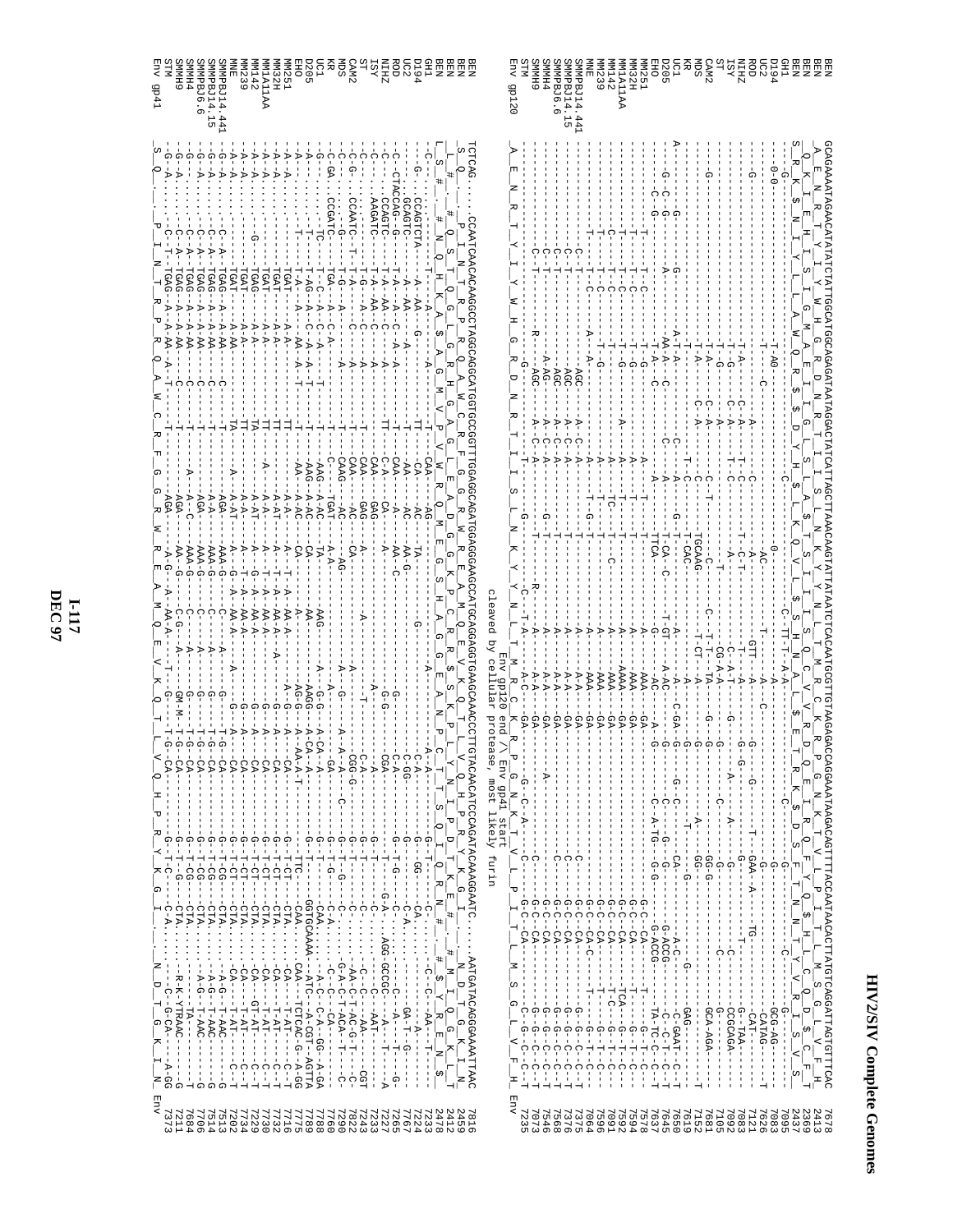#### **F-117**<br>DEC 97

|                                 |                          |                                                                                                                                                                                                                                                                                                                                                                                                                                                                 |                                                 |                                     |                       |                                        |         |                        |                                                        |                                            |                                                                                                                                                                   |                                                          |           |              |             |                                                |                                                                                                                                                                                                                                                                                                                                                                                                                                                                   |                                                 |               |                                |                                                               |               | PCTCAG                                                  |                       |                            |                                                  |                                                                                 |                                       |                     |                                           |                                                                |          |               |                                                                                                                                                                                                                                                                                                                                           |          |                                                                                                                                                                                                                                                                                                                                                                                                                          |                                     |                                                                     |                                                                   |                     |                                                                                            |               |                |                            |                                                         |                                              |                                                |                                                          |               |                               |                                 |
|---------------------------------|--------------------------|-----------------------------------------------------------------------------------------------------------------------------------------------------------------------------------------------------------------------------------------------------------------------------------------------------------------------------------------------------------------------------------------------------------------------------------------------------------------|-------------------------------------------------|-------------------------------------|-----------------------|----------------------------------------|---------|------------------------|--------------------------------------------------------|--------------------------------------------|-------------------------------------------------------------------------------------------------------------------------------------------------------------------|----------------------------------------------------------|-----------|--------------|-------------|------------------------------------------------|-------------------------------------------------------------------------------------------------------------------------------------------------------------------------------------------------------------------------------------------------------------------------------------------------------------------------------------------------------------------------------------------------------------------------------------------------------------------|-------------------------------------------------|---------------|--------------------------------|---------------------------------------------------------------|---------------|---------------------------------------------------------|-----------------------|----------------------------|--------------------------------------------------|---------------------------------------------------------------------------------|---------------------------------------|---------------------|-------------------------------------------|----------------------------------------------------------------|----------|---------------|-------------------------------------------------------------------------------------------------------------------------------------------------------------------------------------------------------------------------------------------------------------------------------------------------------------------------------------------|----------|--------------------------------------------------------------------------------------------------------------------------------------------------------------------------------------------------------------------------------------------------------------------------------------------------------------------------------------------------------------------------------------------------------------------------|-------------------------------------|---------------------------------------------------------------------|-------------------------------------------------------------------|---------------------|--------------------------------------------------------------------------------------------|---------------|----------------|----------------------------|---------------------------------------------------------|----------------------------------------------|------------------------------------------------|----------------------------------------------------------|---------------|-------------------------------|---------------------------------|
|                                 |                          |                                                                                                                                                                                                                                                                                                                                                                                                                                                                 |                                                 |                                     |                       |                                        |         |                        |                                                        |                                            |                                                                                                                                                                   |                                                          | -GA       |              | ត់          |                                                |                                                                                                                                                                                                                                                                                                                                                                                                                                                                   |                                                 |               |                                |                                                               |               |                                                         |                       | 固<br>z                     |                                                  |                                                                                 |                                       |                     |                                           |                                                                |          |               |                                                                                                                                                                                                                                                                                                                                           |          |                                                                                                                                                                                                                                                                                                                                                                                                                          |                                     | ∩                                                                   |                                                                   |                     |                                                                                            |               |                |                            |                                                         | ଇ                                            |                                                | $0 - 0$                                                  |               |                               |                                 |
|                                 |                          |                                                                                                                                                                                                                                                                                                                                                                                                                                                                 |                                                 |                                     |                       |                                        |         |                        |                                                        |                                            |                                                                                                                                                                   | HC-                                                      | CGATC-    |              | CAATC       | <b>AAGATC</b>                                  | CAGTC                                                                                                                                                                                                                                                                                                                                                                                                                                                             | CCAG--G                                         | GCAGTC        | AGTCTA                         |                                                               |               |                                                         |                       |                            |                                                  |                                                                                 |                                       |                     |                                           |                                                                |          | Ω             |                                                                                                                                                                                                                                                                                                                                           |          |                                                                                                                                                                                                                                                                                                                                                                                                                          |                                     | Φ                                                                   | Ģ                                                                 |                     |                                                                                            |               |                |                            |                                                         |                                              |                                                |                                                          |               |                               |                                 |
|                                 |                          |                                                                                                                                                                                                                                                                                                                                                                                                                                                                 |                                                 |                                     |                       |                                        |         |                        |                                                        |                                            |                                                                                                                                                                   |                                                          |           |              | G.          |                                                |                                                                                                                                                                                                                                                                                                                                                                                                                                                                   |                                                 |               |                                |                                                               |               |                                                         |                       |                            |                                                  |                                                                                 | Ω                                     |                     |                                           |                                                                | ↷        | C             | ↷                                                                                                                                                                                                                                                                                                                                         | C        |                                                                                                                                                                                                                                                                                                                                                                                                                          |                                     |                                                                     |                                                                   |                     |                                                                                            |               |                |                            |                                                         |                                              |                                                |                                                          |               |                               |                                 |
|                                 |                          |                                                                                                                                                                                                                                                                                                                                                                                                                                                                 |                                                 |                                     |                       |                                        |         |                        |                                                        |                                            |                                                                                                                                                                   | 0                                                        |           |              |             |                                                |                                                                                                                                                                                                                                                                                                                                                                                                                                                                   | ု                                               | PA            |                                |                                                               |               |                                                         |                       | ε                          |                                                  |                                                                                 |                                       |                     |                                           |                                                                |          |               |                                                                                                                                                                                                                                                                                                                                           |          |                                                                                                                                                                                                                                                                                                                                                                                                                          |                                     |                                                                     |                                                                   |                     |                                                                                            |               |                |                            |                                                         |                                              |                                                |                                                          |               |                               |                                 |
|                                 |                          |                                                                                                                                                                                                                                                                                                                                                                                                                                                                 | A-AA                                            | A-AA                                | ъ                     | $A-A$                                  |         |                        |                                                        |                                            |                                                                                                                                                                   |                                                          | م−4−      |              |             |                                                |                                                                                                                                                                                                                                                                                                                                                                                                                                                                   |                                                 |               |                                |                                                               |               |                                                         |                       | ດ<br>G.                    |                                                  | RG                                                                              |                                       |                     | RG                                        |                                                                | φ        |               | ଋ                                                                                                                                                                                                                                                                                                                                         | - 1<br>Р | - 1<br>1-                                                                                                                                                                                                                                                                                                                                                                                                                | $T - A -$                           | $AA-A-$                                                             | $A - T - A -$                                                     |                     | $T - R$                                                                                    | $L - A -$     | Ω              | ଋ                          | -A-1                                                    |                                              |                                                |                                                          |               |                               |                                 |
| ∩                               | ∩                        | ∩                                                                                                                                                                                                                                                                                                                                                                                                                                                               |                                                 |                                     |                       |                                        |         |                        |                                                        |                                            |                                                                                                                                                                   |                                                          |           |              |             |                                                |                                                                                                                                                                                                                                                                                                                                                                                                                                                                   |                                                 |               |                                |                                                               |               |                                                         |                       | U                          | AGC                                              |                                                                                 | <b>AGC</b>                            | AGC                 |                                           |                                                                |          |               |                                                                                                                                                                                                                                                                                                                                           |          |                                                                                                                                                                                                                                                                                                                                                                                                                          | ∩                                   |                                                                     |                                                                   |                     |                                                                                            |               |                |                            |                                                         |                                              | ∩                                              |                                                          |               |                               |                                 |
|                                 |                          |                                                                                                                                                                                                                                                                                                                                                                                                                                                                 |                                                 | УI                                  |                       |                                        |         |                        |                                                        |                                            |                                                                                                                                                                   |                                                          |           |              |             |                                                |                                                                                                                                                                                                                                                                                                                                                                                                                                                                   |                                                 |               |                                |                                                               |               |                                                         |                       |                            |                                                  |                                                                                 |                                       |                     |                                           |                                                                |          |               |                                                                                                                                                                                                                                                                                                                                           |          |                                                                                                                                                                                                                                                                                                                                                                                                                          |                                     |                                                                     |                                                                   |                     |                                                                                            |               |                |                            |                                                         |                                              |                                                |                                                          |               |                               |                                 |
| AGA                             | $A$ – –                  | AGA                                                                                                                                                                                                                                                                                                                                                                                                                                                             | AGA<br>٣                                        |                                     | A-                    |                                        | $A - A$ |                        | ٣                                                      | $AA -$                                     | <b>AAG</b>                                                                                                                                                        | <b>AAG</b>                                               | ဂု<br>¦   | CAAG         | CAA         | CAA<br>CAA                                     | C-A                                                                                                                                                                                                                                                                                                                                                                                                                                                               | CAA                                             |               |                                |                                                               |               |                                                         |                       |                            |                                                  |                                                                                 |                                       |                     |                                           |                                                                |          |               |                                                                                                                                                                                                                                                                                                                                           |          |                                                                                                                                                                                                                                                                                                                                                                                                                          |                                     |                                                                     |                                                                   | ( )                 | ∩                                                                                          |               |                |                            |                                                         |                                              |                                                |                                                          |               |                               |                                 |
|                                 |                          |                                                                                                                                                                                                                                                                                                                                                                                                                                                                 |                                                 | $\mathbb{A}-\mathbb{A}$ T           |                       | $\mathbb{L} \mathbb{V}$ – $\mathbb{V}$ |         |                        | ∀−                                                     | $A - AC$                                   | $A - AC$                                                                                                                                                          | A-AC                                                     | TAAT      | RC           |             | OAG                                            |                                                                                                                                                                                                                                                                                                                                                                                                                                                                   |                                                 |               |                                |                                                               |               |                                                         |                       |                            | ω                                                |                                                                                 |                                       |                     |                                           |                                                                |          |               |                                                                                                                                                                                                                                                                                                                                           |          |                                                                                                                                                                                                                                                                                                                                                                                                                          |                                     |                                                                     |                                                                   |                     |                                                                                            |               |                |                            |                                                         |                                              |                                                |                                                          |               |                               |                                 |
| PA---G<br>ଢ଼                    | $D - YYY$                | <b>AAA-G</b>                                                                                                                                                                                                                                                                                                                                                                                                                                                    | <b>AAA-G</b><br><b>PAA-G</b>                    |                                     |                       |                                        |         |                        |                                                        | CA-                                        |                                                                                                                                                                   |                                                          | $A - A -$ |              | CA          | $\mathbb{A}$                                   |                                                                                                                                                                                                                                                                                                                                                                                                                                                                   | AA-                                             | AA-G          |                                |                                                               |               |                                                         |                       |                            |                                                  |                                                                                 |                                       |                     |                                           |                                                                |          | C             |                                                                                                                                                                                                                                                                                                                                           |          |                                                                                                                                                                                                                                                                                                                                                                                                                          | TCA-                                | -CA-                                                                |                                                                   | -CAC-               | CCAAG-                                                                                     | ှ             |                |                            |                                                         |                                              |                                                |                                                          |               |                               |                                 |
|                                 |                          |                                                                                                                                                                                                                                                                                                                                                                                                                                                                 |                                                 | $-AA - A$                           | AA-A                  | $A - AA - A$                           | $AA-A$  | $AA-A$                 | $-AA-AA$                                               | ր-                                         | À.                                                                                                                                                                | <b>AAG</b>                                               |           |              |             |                                                |                                                                                                                                                                                                                                                                                                                                                                                                                                                                   |                                                 |               |                                |                                                               |               |                                                         | cleaved by cellular   | $\forall$                  |                                                  |                                                                                 |                                       |                     |                                           |                                                                |          |               |                                                                                                                                                                                                                                                                                                                                           |          |                                                                                                                                                                                                                                                                                                                                                                                                                          | ଢ଼                                  | $-5-$                                                               |                                                                   |                     |                                                                                            |               |                |                            |                                                         |                                              |                                                |                                                          |               |                               |                                 |
|                                 |                          |                                                                                                                                                                                                                                                                                                                                                                                                                                                                 |                                                 |                                     |                       |                                        |         |                        |                                                        |                                            |                                                                                                                                                                   |                                                          |           |              |             |                                                |                                                                                                                                                                                                                                                                                                                                                                                                                                                                   |                                                 |               |                                |                                                               |               |                                                         | Env                   |                            |                                                  |                                                                                 |                                       |                     |                                           |                                                                |          | AAA           |                                                                                                                                                                                                                                                                                                                                           |          | AAA                                                                                                                                                                                                                                                                                                                                                                                                                      |                                     |                                                                     |                                                                   |                     | コーロー                                                                                       |               | CG-A-          |                            |                                                         |                                              |                                                |                                                          |               |                               |                                 |
| <b>GM-M-</b>                    | ⋒                        |                                                                                                                                                                                                                                                                                                                                                                                                                                                                 |                                                 |                                     |                       |                                        |         |                        |                                                        |                                            | 5A                                                                                                                                                                |                                                          |           |              |             |                                                | G.                                                                                                                                                                                                                                                                                                                                                                                                                                                                |                                                 |               |                                |                                                               |               |                                                         | ap12                  |                            | P.<br>P                                          | P                                                                               | PD                                    | P                   | P                                         | ç                                                              | AAA<br>P | P             |                                                                                                                                                                                                                                                                                                                                           | ሥላላ<br>P |                                                                                                                                                                                                                                                                                                                                                                                                                          | RC                                  |                                                                     | GA                                                                |                     |                                                                                            | ö             |                |                            |                                                         |                                              |                                                |                                                          |               |                               |                                 |
| B                               |                          |                                                                                                                                                                                                                                                                                                                                                                                                                                                                 | $-50-$                                          |                                     |                       |                                        |         |                        |                                                        |                                            |                                                                                                                                                                   |                                                          |           |              |             |                                                |                                                                                                                                                                                                                                                                                                                                                                                                                                                                   |                                                 |               |                                |                                                               |               | ⊲<br>$\mathbf{K}$                                       | prote<br>end          | ď                          |                                                  |                                                                                 |                                       |                     |                                           |                                                                |          |               |                                                                                                                                                                                                                                                                                                                                           |          |                                                                                                                                                                                                                                                                                                                                                                                                                          |                                     |                                                                     |                                                                   |                     |                                                                                            |               |                |                            | ှု                                                      |                                              |                                                |                                                          |               |                               | O                               |
| $-CA -$                         | $-CD$ -                  | $-CA$ -                                                                                                                                                                                                                                                                                                                                                                                                                                                         | $-CA$ -                                         | $-CA---$                            | $\,$ I                | $-CA--$                                | $-CA -$ | $-QA$ - $-$<br>$\,$ I  | $-CA---$<br>$\begin{array}{c} 1 \\ 1 \\ 1 \end{array}$ | $A - A - T - - -$<br>$\frac{1}{1}$         | $-1$ $-1$ $-1$ $-1$ $-1$                                                                                                                                          | $  A$ $ -$<br>$\begin{array}{c} 1 \\ 1 \\ 1 \end{array}$ | $-45 -$   | $--A--$      | $CGC-G - -$ | $C - A = -$<br>$- - - - - - -$<br>$\mathbb{I}$ | $CGA - -$                                                                                                                                                                                                                                                                                                                                                                                                                                                         | $C - A - - -$<br>$\begin{array}{c} \end{array}$ | $C - G G - -$ | $C - A - - -$<br>$\frac{1}{1}$ | $-4$<br>$\mathbf I$<br>$\blacksquare$<br>$\overline{1}$       | H<br>eļ<br>'s | ¦o<br>g<br>Ξ                                            | Env gp41 start        | 'ဂ<br>þ                    | $-G - -C - -A - -$                               | $A - -$<br>Ť.                                                                   | Ţ<br>L.<br>$\mathbb{I}$<br>ł          |                     |                                           |                                                                |          |               |                                                                                                                                                                                                                                                                                                                                           |          | $\mathsf I$                                                                                                                                                                                                                                                                                                                                                                                                              |                                     | ŧ<br>$\Gamma$                                                       |                                                                   |                     | $\mathbb{I}$                                                                               |               | $\sf I$<br>C-- | $-P$                       | ł                                                       | $\blacksquare$<br><u>ဂု</u><br>$\frac{1}{1}$ | I.<br>L.<br>$\mathbb{I}$<br>Ţ<br>$\frac{1}{1}$ | $\mathbf{I}$                                             | $-1$          | ¦≂<br>k<br>'n.                | þ                               |
|                                 |                          |                                                                                                                                                                                                                                                                                                                                                                                                                                                                 |                                                 |                                     |                       |                                        |         |                        |                                                        | $\blacksquare$<br>$\frac{1}{1}$            |                                                                                                                                                                   |                                                          |           |              |             |                                                | $\frac{1}{2}$<br>$\frac{1}{2}$<br>$\frac{1}{2}$<br>$\frac{1}{2}$<br>$\frac{1}{2}$<br>$\frac{1}{2}$<br>$\frac{1}{2}$<br>$\frac{1}{2}$<br>$\frac{1}{2}$<br>$\frac{1}{2}$<br>$\frac{1}{2}$<br>$\frac{1}{2}$<br>$\frac{1}{2}$<br>$\frac{1}{2}$<br>$\frac{1}{2}$<br>$\frac{1}{2}$<br>$\frac{1}{2}$<br>$\frac{1}{2}$<br>$\frac{1}{2}$<br>$\frac{1}{2}$<br>                                                                                                              |                                                 |               |                                |                                                               | o,            | ¦o<br>Ήσ<br>$\frac{1}{\pi}$<br>Έ<br>≺                   | se, most likely furin | ×<br>H<br>⊲                |                                                  | $\mathbb{I}$                                                                    | $\frac{1}{1}$                         | $\mathsf I$         | ŧ                                         |                                                                |          |               | $\begin{smallmatrix} 1 & 1 & 1 \\ 1 & 1 & 1 \\ 1 & 1 & 1 \\ 1 & 1 & 1 \\ 1 & 1 & 1 \\ 1 & 1 & 1 \\ 1 & 1 & 1 \\ 1 & 1 & 1 \\ 1 & 1 & 1 \\ 1 & 1 & 1 \\ 1 & 1 & 1 \\ 1 & 1 & 1 \\ 1 & 1 & 1 \\ 1 & 1 & 1 \\ 1 & 1 & 1 \\ 1 & 1 & 1 \\ 1 & 1 & 1 \\ 1 & 1 & 1 \\ 1 & 1 & 1 \\ 1 & 1 & 1 \\ 1 & 1 & 1 \\ 1 & 1 & 1 \\ 1 & 1 & 1 & 1 \\ 1 & $ |          |                                                                                                                                                                                                                                                                                                                                                                                                                          | $- - C - - A - T G - - - G - G - -$ |                                                                     |                                                                   | $-1$ $-1$ $-1$ $-1$ | $---A---$                                                                                  |               |                |                            | $\mathbb I$                                             |                                              |                                                | J.<br>$\frac{1}{1}$                                      |               | þ,<br>ι<br>Ω                  | ₩<br>Ö                          |
| G--T-C-<br>$G - T - G - -$      | --00--                   |                                                                                                                                                                                                                                                                                                                                                                                                                                                                 |                                                 |                                     |                       |                                        |         |                        |                                                        | TTC--<br>$\blacksquare$<br>$\blacksquare$  |                                                                                                                                                                   |                                                          |           |              |             |                                                |                                                                                                                                                                                                                                                                                                                                                                                                                                                                   |                                                 |               |                                |                                                               | þ<br>¦¤       | TACAACATCCCAGATACAAAGGAATC<br>Ч<br>$ K_{\rm{LO}}$<br>চা |                       | Þ<br>Ρ.                    | $-1 - C - - -$<br>$\mathbb{I}$<br>п.<br>- 1      | $\frac{1}{1}$<br>$\blacksquare$                                                 | $- - - - - - -$<br>$\mathsf I$<br>- 1 | Ļ<br>$\overline{1}$ | $\Gamma$<br>$\mathbb{I}$<br>$\frac{1}{4}$ | $\blacksquare$                                                 | Ť        | $\frac{1}{1}$ |                                                                                                                                                                                                                                                                                                                                           |          |                                                                                                                                                                                                                                                                                                                                                                                                                          |                                     |                                                                     |                                                                   |                     |                                                                                            |               |                |                            |                                                         |                                              |                                                | $\Gamma$<br>$\frac{1}{2}$<br>$\mathbf{I}$<br>$\mathsf I$ | ှု            | g<br>A                        | 'n<br>К<br>þ                    |
| CTA.<br>$C-A.$                  | CTA.<br>$\ddot{\ddot{}}$ | $\begin{split} \mathcal{L}_{\text{1}}\mathcal{L}_{\text{2}}\mathcal{L}_{\text{3}}\mathcal{L}_{\text{4}}\mathcal{L}_{\text{5}}\mathcal{L}_{\text{6}}\mathcal{L}_{\text{7}}\mathcal{L}_{\text{8}}\mathcal{L}_{\text{9}}\mathcal{L}_{\text{1}}\mathcal{L}_{\text{1}}\mathcal{L}_{\text{1}}\mathcal{L}_{\text{1}}\mathcal{L}_{\text{1}}\mathcal{L}_{\text{1}}\mathcal{L}_{\text{1}}\mathcal{L}_{\text{1}}\mathcal{L}_{\text{1}}\mathcal{L}_{\text{1}}\mathcal{L}_{$ |                                                 |                                     |                       |                                        |         |                        |                                                        |                                            |                                                                                                                                                                   |                                                          |           |              |             |                                                |                                                                                                                                                                                                                                                                                                                                                                                                                                                                   |                                                 |               |                                |                                                               | k<br>₩        | $\overline{\mathbb{F}}$<br>'≖                           |                       | H<br>Ή                     | $-G-C-CA----G-CA----G-CA---$                     |                                                                                 |                                       |                     |                                           |                                                                |          |               |                                                                                                                                                                                                                                                                                                                                           |          |                                                                                                                                                                                                                                                                                                                                                                                                                          |                                     |                                                                     |                                                                   |                     |                                                                                            |               |                |                            |                                                         |                                              |                                                | Ţ<br>$\frac{1}{1}$                                       |               | lz<br>I<br>k<br>۳ļ            | $\frac{1}{4}$<br>'n             |
|                                 |                          |                                                                                                                                                                                                                                                                                                                                                                                                                                                                 | Ť                                               | $-CA -$                             | $\ldots$ CA--         |                                        |         | $\ldots$ CA--          | $\dots$ $-CA$ --                                       | CAACAA---TCTCAC-G--<br>CAACAA---TCTCAC-G-- |                                                                                                                                                                   |                                                          |           |              |             |                                                |                                                                                                                                                                                                                                                                                                                                                                                                                                                                   |                                                 |               |                                |                                                               | ั≢            | '# l<br>$\mathbf{z}$<br>k,<br>p¦                        |                       | F<br>$\overline{K}$<br>ŗω. | $\begin{smallmatrix}1&&1\\1&&1\end{smallmatrix}$ |                                                                                 |                                       |                     |                                           | $G - C - C A - C - - - - - -$<br>$G - C - - C A - - - - - - -$ |          |               |                                                                                                                                                                                                                                                                                                                                           |          | $\begin{aligned} &\ddots\hspace{1.5cm}\ddots\hspace{1.5cm}\ddots\hspace{1.5cm}\ddots\hspace{1.5cm}\ddots\hspace{1.5cm}\ddots\hspace{1.5cm}\ddots\hspace{1.5cm}\ddots\hspace{1.5cm}\ddots\hspace{1.5cm}\ddots\hspace{1.5cm}\ddots\hspace{1.5cm}\ddots\hspace{1.5cm}\ddots\hspace{1.5cm}\ddots\hspace{1.5cm}\ddots\hspace{1.5cm}\ddots\hspace{1.5cm}\ddots\hspace{1.5cm}\ddots\hspace{1.5cm}\ddots\hspace{1.5cm}\ddots\hs$ |                                     | $- - - - - - - -$                                                   |                                                                   | က်<br>- - -         |                                                                                            |               |                |                            | $\frac{1}{1}$                                           |                                              |                                                | $\overline{\phantom{a}}$<br>$\mathbf{I}$                 | $\frac{1}{1}$ | k<br>$\sim$ V $\sim$ R $\sim$ | F<br>م¦                         |
| R-K-YTRAAC--<br>د آ<br>$G-CAA-$ | $-LA$ -                  | $-A-G--$<br>T-AAC--                                                                                                                                                                                                                                                                                                                                                                                                                                             | $A-G--$<br>$A-G--$<br>T-AAC--<br><b>T-AAC--</b> | ł<br>$T - RT - T$                   | $\frac{1}{1}$<br>$-1$ |                                        |         | $-1 - 2I - 2I - 1 - 1$ |                                                        |                                            |                                                                                                                                                                   |                                                          |           |              |             |                                                |                                                                                                                                                                                                                                                                                                                                                                                                                                                                   |                                                 |               |                                | $\frac{5}{C} - \frac{Y}{-C} - \frac{R}{-AA} - \frac{E}{-T-1}$ | ှို့          | Ą<br>ю<br>"ם.<br>ה                                      |                       | 'ဂ<br>- 11<br>$\mathbb H$  | $\frac{1}{2}$                                    | $\frac{1}{1}$<br>စ်စ်စ်စ်စ်စ်<br>                                               | ÷                                     |                     | $\frac{1}{1}$                             |                                                                |          |               |                                                                                                                                                                                                                                                                                                                                           |          |                                                                                                                                                                                                                                                                                                                                                                                                                          | $-27A-TC-C-C$                       |                                                                     |                                                                   | $- - GAG - -$       | -1<br>$\frac{1}{1}$                                                                        | $--GCA-RGA--$ | ဂု             | $\frac{1}{1}$              | $- - \mathbf{G} - - \mathbf{T} \mathbf{A} \mathbf{A} -$ | $\mathbf{I}$<br>$-CLAT---$                   |                                                | $-GCG-AG---$                                             | ဂူ            | J⊌.<br>Ļ,<br>$\frac{1}{2}$    | ¦o                              |
| $A -$                           | $\frac{1}{1}$            | $\frac{1}{1}$<br>ł                                                                                                                                                                                                                                                                                                                                                                                                                                              |                                                 | ł<br>$\begin{array}{c} \end{array}$ | $\mathsf I$           | ł<br>קקקקק<br>טָטָטָטְטָ               |         |                        |                                                        | $A-GG$                                     | $\mathtt{T}\texttt{---}\texttt{---GGTGCAAA} \texttt{---}\texttt{---}\texttt{ATC}\texttt{---}\texttt{---}\texttt{A}\texttt{-}\texttt{CGT}\texttt{-}\texttt{AGTTR}$ |                                                          |           |              |             |                                                | $\begin{array}{l} \begin{array}{l} \mathcal{L} \mathcal{L} \mathcal{L} \mathcal{L} \mathcal{L} \mathcal{L} \mathcal{L} \mathcal{L} \mathcal{L} \mathcal{L} \mathcal{L} \mathcal{L} \mathcal{L} \mathcal{L} \mathcal{L} \mathcal{L} \mathcal{L} \mathcal{L} \mathcal{L} \mathcal{L} \mathcal{L} \mathcal{L} \mathcal{L} \mathcal{L} \mathcal{L} \mathcal{L} \mathcal{L} \mathcal{L} \mathcal{L} \mathcal{L} \mathcal{L} \mathcal{L} \mathcal{L} \mathcal{L} \math$ |                                                 |               |                                |                                                               | F<br>¦v.      | . AATGATACAGGAAAATTAAC<br>g                             |                       | k<br>'nŋ                   |                                                  | ╎╎╎╎┆┊┆╷╹╷┙┥┙┥<br>┙┥┪┪┪┪┪┪┪┪┪┪┪┇<br>╷┥┥┥┥┥┥┥┥┥┥┥┥┥╹<br>╷┥╷┆┆┆┆┆┆╏╏╏<br>$L = -D$ |                                       |                     | 부부부<br>부부부                                |                                                                |          |               |                                                                                                                                                                                                                                                                                                                                           |          |                                                                                                                                                                                                                                                                                                                                                                                                                          | $\frac{1}{1}$<br>$\frac{1}{1}$      | $- - - - - - - - - - - - -$<br>م<br>-                               | $- - C - G \mathbf{A} \mathbf{A} \mathbf{T} - - C - - \mathbf{T}$ | ł,<br>J.            | $\frac{1}{1}$<br>$\mathsf I$<br>$\begin{array}{c} \hline \end{array}$<br>I.<br>$\mathsf I$ | ł             |                | CCGCAGA-<br>$\blacksquare$ | I<br>J.<br>$\mathbf{I}$                                 | $\overline{\phantom{a}}$                     | $---CATTAG---$<br>п<br>$\mathbb{I}$            | $\overline{1}$<br>$\frac{1}{4}$                          |               | $\frac{S}{\sim}$<br>ا<br>∾    | $\overline{a}$<br>م!<br>م<br>'n |
| සි<br>Ġ<br>TIZL<br>7373         | н<br>7684                | 부분<br>부약                                                                                                                                                                                                                                                                                                                                                                                                                                                        |                                                 |                                     |                       |                                        |         |                        |                                                        |                                            |                                                                                                                                                                   | 7760<br>7788                                             |           | 7822<br>7290 |             |                                                | 7223<br>7233<br>72343                                                                                                                                                                                                                                                                                                                                                                                                                                             | 7265                                            | 7767          |                                |                                                               |               |                                                         |                       | Ξ<br>Env                   | Ĥ<br>Н                                           | 7546<br>7073<br>7235                                                            |                                       |                     |                                           |                                                                |          |               |                                                                                                                                                                                                                                                                                                                                           |          |                                                                                                                                                                                                                                                                                                                                                                                                                          |                                     | てて てんこうしょう せんきょう しょうきょうしょう せいしょう しょうしょう しょうしょう しょうしょう しょうしょう しょうしょう |                                                                   |                     |                                                                                            |               |                | 7092<br>7105               |                                                         |                                              | н<br>7626<br>7121<br>7083                      | 7083                                                     | 7095          | 2369<br>2437                  | н                               |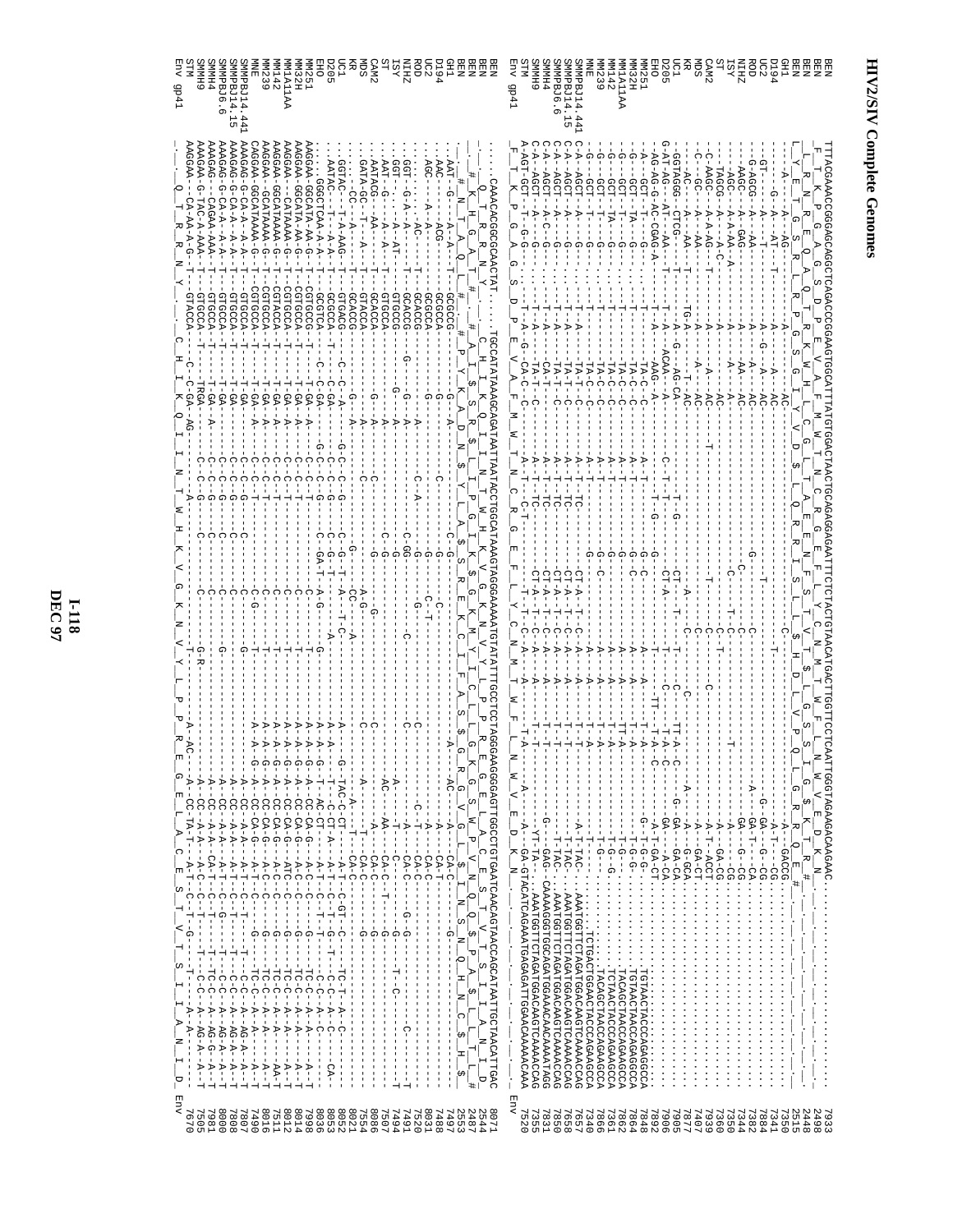#### **I-118 DEC 97**

|                                                 | P<br>þ                                                                                                                                                                                                                                                                                                                 | F                                                                                |                                                                   |             |                |                         |                 |                                                                                                     |                    |
|-------------------------------------------------|------------------------------------------------------------------------------------------------------------------------------------------------------------------------------------------------------------------------------------------------------------------------------------------------------------------------|----------------------------------------------------------------------------------|-------------------------------------------------------------------|-------------|----------------|-------------------------|-----------------|-----------------------------------------------------------------------------------------------------|--------------------|
| Env                                             | 'n<br>$-{\bf A}-{\bf T}--$<br>Ħ<br>ľΩ<br>$C - T -$<br>Ч<br>⊲<br>$\frac{1}{1}$<br>Η<br>$\frac{1}{4}$<br>ŗω.<br>$\frac{1}{1}$<br>$\,$ I<br>$\blacksquare$<br>$A - -A - - -$<br>z                                                                                                                                         | ⋒<br>$\overline{A}$<br>Ħ<br>$-1 - 1 - 1 - 1 - 1 - 1$<br>Ъ                        |                                                                   |             |                |                         |                 | YAGAA                                                                                               | 1Pd5               |
| 7505<br>7670                                    | A--CC--A-A---A-C--C--T--<br>$-1 - 1 - 1 - 0$<br>C<br>J.<br>$\mathbf{A}--\mathbf{A}\mathbf{G}-\mathbf{A}$<br>Ţ<br>$L - V$                                                                                                                                                                                               |                                                                                  |                                                                   | ∩           |                | LRGA                    | CCA             | <b>AAGAA</b><br>-G-TAC-A-AAA                                                                        | 6HMW               |
| 7981                                            | $\mathbb{I}$<br>Ω<br>$A-T--$<br>$C--T--T$<br>Ω<br>$\frac{1}{1}$<br>$A - AG - G - -$<br>$A$ --<br>Ĥ                                                                                                                                                                                                                     | $A - -1$<br>β<br>$-A$                                                            |                                                                   | Ω<br>റ      | ⋒              | 1-GA                    | CCA             | <b>AAGAG</b>                                                                                        |                    |
|                                                 | $A-T$<br>C<br>$-6-$<br>$\frac{1}{1}$<br>$\frac{1}{2}$<br>$\blacksquare$<br>C-C<br>$\frac{1}{1}$<br>$A -$<br>$AG - A - -$<br>$T = -A$                                                                                                                                                                                   | $\overline{r}$<br>$\mathbf I$<br>8<br>$-{\bf A}-{\bf A}$                         | ଜ                                                                 | Ω           | Ω              | 1-GA                    | GPGCCA--        | AAGAG-<br>G-CA-A                                                                                    | MPBJ6              |
|                                                 | $A-T--$<br>$-1 - 1 - 0$<br>c-c<br>J.<br>$\mathtt{A}--\mathtt{A}\mathtt{G}-\mathtt{A}--\mathtt{A}--\mathtt{T}$                                                                                                                                                                                                          | $A--$<br>S<br>$- -A - A$                                                         |                                                                   | Ω           | ⋒              | 1-GA                    | GTGCCA          | <b>AAGAG</b>                                                                                        | MPBJ               |
| 80101<br>0018800<br>00000<br>8000               | $A-T--C$<br>$-1$<br>$-1 - 1 - 1 - 1 - 1$<br>$C - C$<br>$\frac{1}{4}$<br>$A -$<br>$AG - A - -$<br>$-4$<br>н                                                                                                                                                                                                             | $\blacksquare$<br>$A$ – –<br>$CC--A-A$                                           |                                                                   | C           | ⋒              | <b>T-GA</b>             | <b>GTGCCA--</b> | <b>AAGAG-0-CA-A</b>                                                                                 | <b>TLARIM</b>      |
|                                                 | $-1$ - $L - V$<br>C<br>Ţ<br>т<br>$-6 - -$<br>$---2C-$<br>م<br>-<br>$A--A----$<br>$\frac{1}{1}$<br>$\mathbf{A} - \mathbf{A}$<br>н                                                                                                                                                                                       | ဂု<br>$A - CC - CA - G$                                                          |                                                                   | ငှ          |                | 1-GA                    | CGTGCCA--       | B-AAAADDD-AAAAA                                                                                     |                    |
|                                                 | $A-C$<br>Ŧ<br>C<br>$\frac{1}{1}$<br>$-5 -$<br>$-2L-2$<br>÷<br>$A - -$<br>$\sum_{i=1}^{n}$<br>$\mathbf{I}$<br>-1<br>$\frac{1}{1}$<br>$T = -A$                                                                                                                                                                           | ဂှ<br>$\overline{Y}$<br>$-CC-CA-GC$                                              |                                                                   |             | ∩              | $T-GM$                  | CCA.            | <b>AGGAA-</b><br>$D - K$ $K$ $K$ $K$                                                                | 539                |
| $\frac{5}{1}$                                   | $A-C$<br>$- -C - -$<br>$-6-1$<br>$-2C-C$<br>÷<br>$A - -A -$<br>$-2A- T$                                                                                                                                                                                                                                                | $\dot{P}$<br>$A - CC - CA - G$                                                   |                                                                   |             | ↷              | 1-GA                    | CGTACCA--       | B-AAA-GGCATAAA-G                                                                                    | 142                |
| $\sim$ 00                                       | ATC<br>Ŧ<br>C<br>Ţ<br>$-TC-$<br>Ω<br>÷<br>$A - 1$<br>$A---$<br>$\frac{1}{1}$<br>$T = -A$                                                                                                                                                                                                                               | ဂှ<br>$A$ – –1<br>CC-CA-G                                                        |                                                                   |             | റ              | <b>T-GA</b>             | FCCA-           | KADDK<br><b>ATAAAA-G</b>                                                                            | LA.<br><b>LAA</b>  |
| 8014<br>8012                                    | $A - C$<br>Ţ<br>C<br>Ţ<br>$-2C-C$<br>$\frac{1}{4}$<br>$A -$<br>А<br>T<br>$\frac{1}{1}$<br>$\frac{1}{1}$<br>$A - I$<br>Ĥ                                                                                                                                                                                                | ⊅<br>ဂှ<br>A--CC-CA-G-                                                           |                                                                   |             | ∩              | <b>T-GA</b>             | CGTGCCA-        | RGAA-GGCATA-AA-G                                                                                    | <b>I32H</b>        |
|                                                 | I<br>$A - C$<br>Ţ<br>--rc-c<br>J<br>$A -$<br>ъ<br>î,<br>$\frac{1}{4}$<br>$A - I$<br>н                                                                                                                                                                                                                                  | $\Gamma$<br>A--CC-CA-G-                                                          |                                                                   |             |                | <b>I-GA</b>             | <b>GTGCCG</b> . | -999-<br>$A-AA-G$                                                                                   |                    |
|                                                 | H<br>$A-T--$<br>$- -C$<br>J<br>$A$ – $-$<br>C<br>$\frac{1}{1}$                                                                                                                                                                                                                                                         | ဂုံ<br>н<br>$-2C-CT-1$                                                           |                                                                   | ฯ−ด<br>ๆ    |                | C-GA                    | <b>GECCA</b>    | GGGCTCAA-                                                                                           |                    |
|                                                 | $A-T$<br>$C = -T = -G = -1$<br>$D - C - C - C$<br>$- -A - -$<br>C<br>Ĩ<br>$\mathbf I$<br>CA-<br>л.                                                                                                                                                                                                                     | Ť<br>ユーーローローマーーー                                                                 | ኔ                                                                 |             | GΣ             | $-6A -$                 | GCGCCA-         | AATAC-                                                                                              |                    |
|                                                 | j<br>$A-T--$<br>$C - G T - - C - -$<br>$\mathbf{I}$<br>$-1C - 1C - 1C - 1C$<br>$\Omega$<br>$\frac{1}{1}$                                                                                                                                                                                                               | ဂု<br>TAC-C-CT--                                                                 | ή                                                                 |             |                |                         | LGACG           | <b>AAG</b>                                                                                          |                    |
|                                                 |                                                                                                                                                                                                                                                                                                                        | $A--T--T--CA-C$                                                                  |                                                                   | Š           |                | ဂု                      | <b>GRCCGG</b>   | ှဲ                                                                                                  |                    |
|                                                 | -- 1<br>--<br>$CA-C$<br>ł<br>$\mathbf{I}$<br>$\begin{bmatrix} 1 \\ 1 \\ 1 \\ 1 \end{bmatrix}$<br>$\Gamma$<br>I.<br>$\frac{1}{1}$<br>I.<br>$\frac{1}{1}$<br>J.<br>ł                                                                                                                                                     | -- A -- --<br>ţ                                                                  |                                                                   |             |                |                         | TACCA           | GATA-GC-                                                                                            |                    |
|                                                 | $-CA-C$<br>$\frac{1}{1}$<br>$\overline{1}$<br>$-1 - 0 - -1$<br>$\overline{\phantom{a}}$                                                                                                                                                                                                                                | $- -A$                                                                           |                                                                   |             |                | ဂု                      | <b>GACCA</b>    | <b>AATACG-</b>                                                                                      |                    |
| 7507<br>7508<br>7554                            | $-CCA-C$<br>$-1$<br>I<br>f,<br>I                                                                                                                                                                                                                                                                                       | --AC-----AA--                                                                    |                                                                   |             |                |                         | <b>GEGCCA</b>   |                                                                                                     |                    |
|                                                 | $\frac{1}{1}$<br>C--<br>$\frac{1}{1}$<br>$\mathbb{I}$<br>$\begin{bmatrix} 1 \\ 1 \\ 1 \\ 1 \end{bmatrix}$<br>ှ<br>Ţ<br>$\frac{1}{1}$<br>J.<br>$\frac{1}{1}$<br>н                                                                                                                                                       | $\mathbb{A}$<br>$\begin{array}{c} \end{array}$<br>$\frac{1}{4}$<br>$\frac{1}{1}$ |                                                                   |             |                |                         | recce           |                                                                                                     |                    |
|                                                 | $-CA-C$<br>Ĭ<br>$-$ -0 $-$ 0 $-$<br>$\mathbf{I}$<br>$\frac{1}{1}$<br>I<br>ł<br>ن<br>- ا<br>$\mathbf{I}$<br>$\mathsf I$<br>⊣                                                                                                                                                                                            | $\frac{1}{1}$<br>$-\mathbf{A}$                                                   |                                                                   | - ೧<br>೧    |                | Ω                       | BOROCG          | -199                                                                                                |                    |
| 80331<br>74994<br>7499                          | $\frac{1}{1}$<br>$CA-C$<br>Ŧ<br>J.<br>$\mathbb I$<br>$\mathbf{I}$<br>$\begin{smallmatrix}1&1\\1&1\end{smallmatrix}$<br>J.<br>H.<br>л                                                                                                                                                                                   | $\mathbf{I}$<br>i<br>J<br>۲<br>                                                  |                                                                   | Ω           |                |                         | <b>ACCG</b>     |                                                                                                     | 9                  |
|                                                 | $\frac{1}{1}$<br>$\mathbb{C}\mathbb{A}-\mathbb{C}--$                                                                                                                                                                                                                                                                   | f.<br>$-4$                                                                       |                                                                   | Ω           |                | ဂု                      | CGCCA           | AGC-                                                                                                | ß                  |
| $\overline{ }$<br>1488                          | ŧ<br>$CA - T - -$<br>I.<br>J.<br>J.<br>J.<br>Ť<br>J.<br>л<br>J.<br>I                                                                                                                                                                                                                                                   | ł<br>$\mathbf{A}--$                                                              |                                                                   | ∩           |                | ⋒                       |                 |                                                                                                     |                    |
|                                                 | Ω<br>$A-C$<br>$\frac{1}{1}$                                                                                                                                                                                                                                                                                            | $AC---$<br>J.<br>$-4$                                                            |                                                                   |             |                |                         | သည်             |                                                                                                     | £                  |
|                                                 | -02<br>g<br>ω,<br>z<br>j0<br>Ξ<br>z<br>'n<br>'n<br>Έ<br>'n                                                                                                                                                                                                                                                             | ਸ਼<br><u>်ဂ</u><br>⊲<br><u>်ဂ</u>                                                |                                                                   |             |                |                         |                 |                                                                                                     | BEN                |
|                                                 | ⊲<br>þ<br>o<br>ю<br>¦v<br>.<br>۳<br>፞ቝ<br>٠m<br>Ή<br>F<br>H<br>$\mathsf{H}$<br>₩                                                                                                                                                                                                                                       | ×<br>'ဂ<br>מ,<br>י<br>Ξ<br>ᡰᠸ                                                    |                                                                   |             |                |                         |                 |                                                                                                     | 厚                  |
|                                                 | 'n<br>'n<br> <br>ა<br>ļ,<br>l<br>S<br>A<br>.<br>נט<br>Ή<br>Ъ<br>Ъ<br>þ<br>'n<br>Ġ,                                                                                                                                                                                                                                     | က်<br>G<br>F<br>Ъ                                                                |                                                                   |             |                |                         |                 |                                                                                                     | BEN                |
| 8 2 2 3 2 2 3<br>0 2 3 4 6 5 7 9<br>7 4 8 7 9 7 | AGGGGAGTTGGCCTGTGAATCAACAGTAACCAGCATAATTGCTAACATTGAC                                                                                                                                                                                                                                                                   |                                                                                  | TGCCATATAAGCAGATAATTAATACCTGGCATAAAGTAGGAAAAATGTATATTTGCCTCCTAGGG |             |                |                         |                 | CAAACACSCGCAACTAT                                                                                   | ğ                  |
|                                                 | $\frac{1}{2}$<br>$\frac{1}{1}$                                                                                                                                                                                                                                                                                         |                                                                                  |                                                                   |             |                |                         |                 |                                                                                                     | FПУ<br><b>GP41</b> |
| Env                                             | $--A--GA-GTACATCAGAATGAGAGATTGGAAACAAAGAACAAACAAA$<br>Ά<br>z                                                                                                                                                                                                                                                           | Ξ<br>$- - - - - -$<br>$\prec$<br>Þ<br>þ                                          | ∩<br>Ö                                                            |             |                | CA-C<br>먹               | ᡃᢏ<br>ø         |                                                                                                     |                    |
| 7355<br>7520                                    | $--\mathbf{Y}\mathbf{T}-\mathbf{T}\mathbf{A}--\mathbf{A}.\mathbf{A}\mathbf{A}\mathbf{TGG}\mathbf{T}\mathbf{T}\mathbf{C}\mathbf{T}\mathbf{A}\mathbf{G}\mathbf{A}\mathbf{T}\mathbf{G}\mathbf{G}\mathbf{A}\mathbf{C}\mathbf{A}\mathbf{A}\mathbf{A}\mathbf{A}\mathbf{A}\mathbf{A}\mathbf{C}\mathbf{C}\mathbf{A}\mathbf{G}$ | $\frac{1}{1}$<br>$\begin{array}{c} \end{array}$                                  | ∩<br>Þ                                                            | CT-A        | 5d             | TA-T                    |                 | AGCT-                                                                                               | <b>GHMM</b>        |
| L<br><b>ES31</b>                                | $- - GAG - -$<br>CAAAAGGGTGCAGATGGAAACAACAAAATAGG                                                                                                                                                                                                                                                                      | $\blacksquare$<br>ှ                                                              | 0                                                                 | $C_T - A$   |                | CA-                     |                 | <b>AGCT</b>                                                                                         | PHMI <sub>b</sub>  |
|                                                 |                                                                                                                                                                                                                                                                                                                        | $\frac{1}{1}$                                                                    | ∩                                                                 | CT-A        | Ŕ              | --1-Y                   | - A - - A       | AGCT--                                                                                              | MPBJ6              |
|                                                 | T-TAC-AAATGGTTCTAGATGGACAAGTCAAAACCAG<br>T-TAC-AAATGGTTCTAGATGGACAAGTCAAAACCAG                                                                                                                                                                                                                                         | $\frac{1}{1}$                                                                    | ∩<br>⊅                                                            | CT-A        | ă              | $-L - L - L$            | $F - T$         | AGCT                                                                                                | <b>LASHI</b>       |
| 736585<br>766555<br>77665                       | $\mathtt{A}^{-}\mathtt{T}^{-}\mathtt{T}\mathtt{A}\mathtt{C}-\ldots\mathtt{A}\mathtt{A}\mathtt{A}\mathtt{T}\mathtt{G}\mathtt{G}\mathtt{T}\mathtt{T}\mathtt{C}\mathtt{T}\mathtt{A}\mathtt{G}\mathtt{A}\mathtt{C}\mathtt{A}\mathtt{A}\mathtt{A}\mathtt{A}\mathtt{A}\mathtt{C}\mathtt{C}\mathtt{A}\mathtt{G}\mathtt{G}}$   | $\frac{1}{1}$                                                                    | ∩                                                                 | ヤーユ         | ⊅              | $T - AT$                |                 | AGCT--                                                                                              | <b>MPBJ1</b>       |
|                                                 | ۲<br>ا                                                                                                                                                                                                                                                                                                                 |                                                                                  | ⊅                                                                 |             | ⊅              | $TA-C$                  |                 | -act-                                                                                               |                    |
| J<br>998                                        | 부                                                                                                                                                                                                                                                                                                                      | $\mathbb T$                                                                      |                                                                   | Ω           | ⋗              | IA-I                    |                 |                                                                                                     | 1239               |
|                                                 |                                                                                                                                                                                                                                                                                                                        | $\frac{1}{1}$                                                                    | ⊅                                                                 | Ω           | $\overline{H}$ | TA-C.<br>÷              |                 | -GCT--TA                                                                                            | 142                |
|                                                 |                                                                                                                                                                                                                                                                                                                        | $\begin{array}{c} 1 \\ 1 \\ 1 \end{array}$                                       | Þ                                                                 | ດ           | ⋗              | LA-1<br>$\mathbf{I}$    |                 |                                                                                                     | F<br><b>LAA</b>    |
|                                                 |                                                                                                                                                                                                                                                                                                                        | $\frac{1}{1}$                                                                    |                                                                   | Ω           | ₻              | IA-C--                  |                 | -402-<br>Ė                                                                                          | I32H               |
| 7777777<br>9984666<br>777777                    |                                                                                                                                                                                                                                                                                                                        | ဂု                                                                               |                                                                   | ⋒           |                | $TA-C--$                |                 |                                                                                                     |                    |
|                                                 | $\frac{1}{2}$ $\frac{1}{2}$ $\frac{1}{2}$ $\frac{1}{2}$ $\frac{1}{2}$ $\frac{1}{2}$ $\frac{1}{2}$ $\frac{1}{2}$ $\frac{1}{2}$ $\frac{1}{2}$ $\frac{1}{2}$ $\frac{1}{2}$ $\frac{1}{2}$ $\frac{1}{2}$ $\frac{1}{2}$ $\frac{1}{2}$ $\frac{1}{2}$ $\frac{1}{2}$ $\frac{1}{2}$ $\frac{1}{2}$ $\frac{1}{2}$ $\frac{1}{2}$    | $C -$<br>$\frac{1}{1}$<br>$\,$ I<br>$\frac{1}{1}$                                |                                                                   |             |                | $-554$                  |                 | AG-AG-G--<br>AC-CGAG                                                                                |                    |
|                                                 | --GA---GA-CA<br>--GA----A-CA<br>---A-T-GA-CT                                                                                                                                                                                                                                                                           | <u>ှ</u>                                                                         |                                                                   | <b>CT-A</b> |                | ACAA-<br>ኳ              | $-4-$           | AT-AG-<br>AA-                                                                                       |                    |
| 5064                                            |                                                                                                                                                                                                                                                                                                                        | $\Gamma$                                                                         |                                                                   |             |                | AG-CA                   |                 | SGTAGGG-<br>CTCG.                                                                                   |                    |
| 7877                                            |                                                                                                                                                                                                                                                                                                                        | ------------                                                                     | ု                                                                 | $-\nabla -$ |                | 1--AC                   | $TG - A -$      | $-BC$ -<br>-- AA-<br>Á                                                                              |                    |
| 7407                                            |                                                                                                                                                                                                                                                                                                                        | $\frac{1}{1}$<br>$A$ --                                                          |                                                                   |             |                | $\frac{1}{\mathcal{V}}$ |                 | $\frac{1}{2}$<br>∀−                                                                                 |                    |
| 7939                                            | $-$ -A-T--ACCT<br>$\vdots$                                                                                                                                                                                                                                                                                             | ł                                                                                |                                                                   |             |                | $-AC$                   | ь               | $-AAGC---$<br>$A-AG-$                                                                               |                    |
| 7350                                            |                                                                                                                                                                                                                                                                                                                        | $\frac{1}{1}$<br>$--A--$                                                         |                                                                   |             |                | ♪                       |                 | LAGCG-<br>ן<br>ה                                                                                    |                    |
|                                                 | $\frac{1}{1}$<br>$-CCG$                                                                                                                                                                                                                                                                                                | $\begin{array}{c} 1 \\ 1 \\ 1 \end{array}$<br>$--A--$                            |                                                                   |             |                |                         |                 | AGC---<br>$A-AA-$                                                                                   | CS<br>∑            |
| 7344                                            | $-GA---G---CG$                                                                                                                                                                                                                                                                                                         |                                                                                  |                                                                   |             |                | キャー                     | ⊅               | MGC<br>-GAG                                                                                         | ZHIN               |
| 7382                                            | $A---GA----CA \ldots$                                                                                                                                                                                                                                                                                                  |                                                                                  |                                                                   |             |                |                         |                 | AGCG-                                                                                               | g                  |
| 7884                                            | $-GA - -G - -C$<br>$\vdots$                                                                                                                                                                                                                                                                                            | J.                                                                               |                                                                   |             |                |                         | ဂှ              |                                                                                                     | ក្ល                |
| $\overline{\phantom{0}}$<br>7341                | $-cc$<br>$\vdots$<br>$\vdots$<br>$\frac{1}{2}$ : $\frac{1}{2}$ : $\frac{1}{2}$ : $\frac{1}{2}$ : $\frac{1}{2}$                                                                                                                                                                                                         | $\mathbf{I}$<br>$-1 - T - F$                                                     |                                                                   |             |                |                         |                 | -AT                                                                                                 |                    |
| 2515<br>7350                                    | o<br>-GACCG<br>ø                                                                                                                                                                                                                                                                                                       | ຸດ<br>ດ<br>'지<br>$\ddot{\vec{r}}$<br>'ਸ                                          |                                                                   |             |                |                         |                 |                                                                                                     | СHЭ<br>買           |
| 2448                                            | ₩<br>'≠                                                                                                                                                                                                                                                                                                                | ပြ<br>¦n.<br>×<br>д                                                              |                                                                   |             |                |                         |                 |                                                                                                     | 븮                  |
|                                                 | ×<br>z                                                                                                                                                                                                                                                                                                                 | z<br>$\prec$<br>'n<br>þ                                                          |                                                                   |             |                |                         |                 |                                                                                                     | 買                  |
| 7933                                            |                                                                                                                                                                                                                                                                                                                        | TTGGGTAGAAGACAAGAAC                                                              |                                                                   |             |                |                         |                 | TTACGAAACCGGGAGCAGGCTCAGACCCGGAAGTGGCATTTATGTGGACTAACTGCAGAGGAGAATTTCTCTACTGTAACATGACATTGCTTGGTTCCT |                    |
|                                                 |                                                                                                                                                                                                                                                                                                                        |                                                                                  |                                                                   |             |                |                         |                 |                                                                                                     |                    |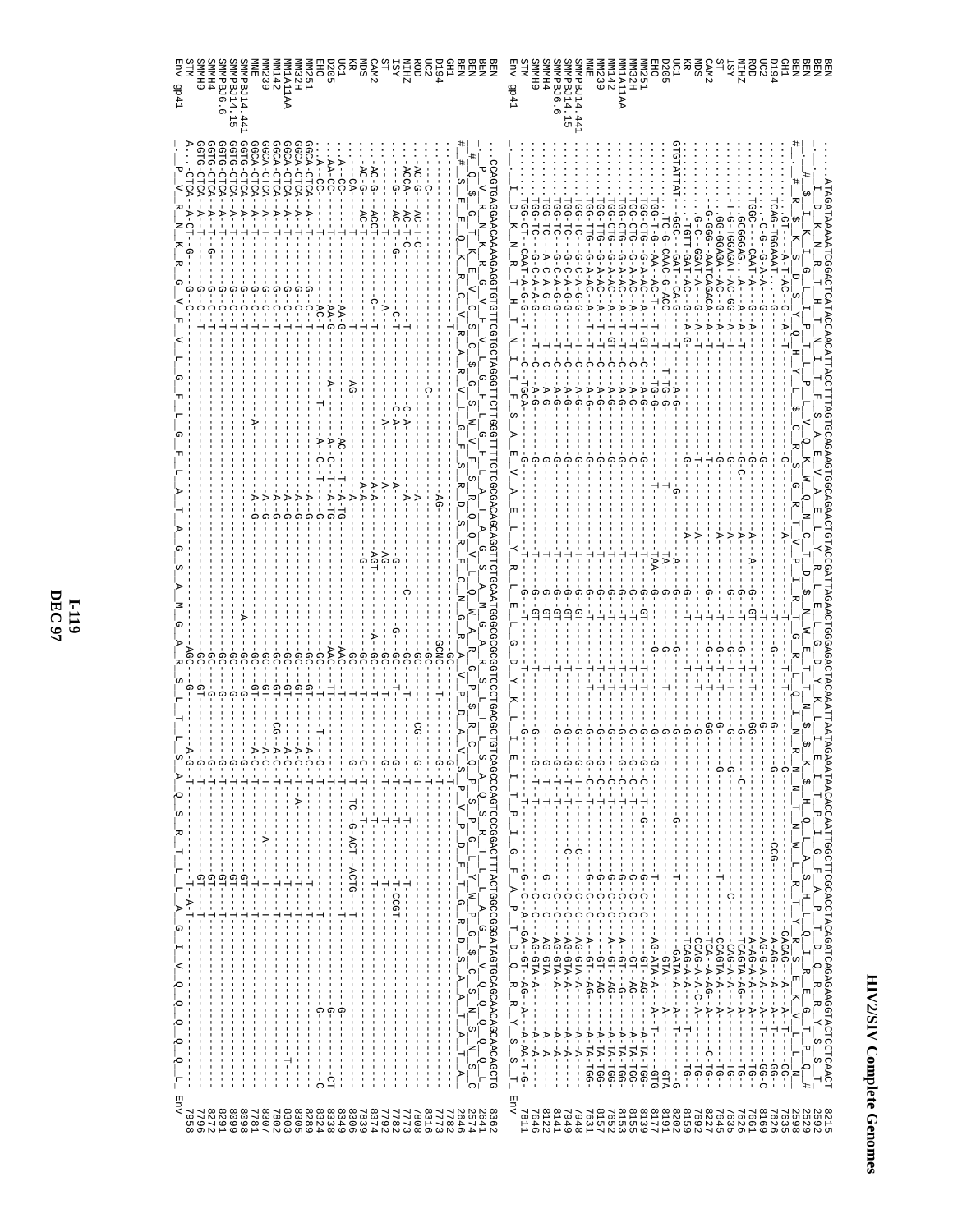### **F-119**<br>DEC 97

| GCA-CTCA<br>GCA-CTCA<br>GCA-CTCA<br>BGTG-CTCA<br>GCA-CTCA<br>GCA-CTCA<br>AA-CC<br>A--cc<br>A--CC<br>$-AC-G$<br>$AC -$<br><b>ACCA</b><br>RC-G<br>CTCA<br>-CA<br>ω.<br>R.TAGATAAAAATCGGACTCATACCAACATTACCTTTAGTGCAGAAGTGGCAGAACTGTACTGTACGATTAGAACTGGGAGACTACAAATTAAAA<br>G<br>rgg-rc<br>-12-05-<br>GG-TC<br>AC-<br>RC-<br>₽<br>–<br>⊃−<br>⊣<br>C<br>CAAT-<br><b>AATCAGAC</b><br>A-G-<br>$-5-9-$<br><b>AA-G</b><br>$D - FV$<br>ဂု<br>-- TG-G<br>Ω<br>TGCA<br><b>TG-G</b><br>∀-ı<br>$A-G$<br>٦ŋ<br>⋒<br>c-a<br>īΩ<br>চে<br>φ<br>Ω<br>Ω<br>Ω<br>⋒<br>ଇ<br>ł<br>⊲<br>۲<br>ا<br>A-<br>$\mathbb{A}^{-}$<br>$A-TG-$<br>$AG-$<br>Ġ.<br>Ω<br>G)<br>5Þ<br>Ω<br>Ω.<br>CNC<br>Ω<br>Ω<br>੮<br>-1<br>-1<br>٢<br>ř<br>٣<br>٣<br>٣<br>٣<br>PCAGCCCAGFCCCGGACTTTACTGGCCGGGATAGTGCAGCAACAGCAACAGCTG<br>FAAATAACACCAATTGGCTTCGCACCTACAGATCAGAAGGTACTCTCCTCAACT<br>ø<br>ัผ<br>$\mathbb I$<br>ω<br>Ħ<br>ဂု<br>$\frac{1}{\sqrt{2}}$<br>စုစုံစုံစုံ<br>Tipli<br>$\Omega$<br>Ω<br>Ω<br>Ω<br>$\Gamma$<br>Q<br>ဂု<br>$G - T - T -$<br>$\sum_{i=1}^{n}$<br>Ю<br>Ω<br>Ω<br>ဂု<br>Ω<br>$\frac{1}{2}$<br>Ω<br>ଋ<br>ଋ<br>Ω<br>ଋ<br>ଋ<br>Ω<br>Ω<br>ଋ<br>Ω<br>Ω<br>$\frac{1}{1}$<br>$\frac{1}{1}$<br>'n,<br>Þ<br>ŧ<br>ŧ<br>÷<br>ဂု<br>ဂု<br>ဂှ<br>ŧ<br>ŧ<br>$\frac{1}{1}$<br>ŧ<br>ŧ<br>т<br>ŧ<br>ŧ<br>H.<br>$\frac{1}{1}$<br>$\frac{1}{1}$<br>-1<br>$\frac{1}{1}$<br>÷<br>$\frac{1}{1}$<br>ł<br>л<br>÷<br>$\frac{1}{1}$<br>$\mathbf{I}$<br>-1<br>$\mathbf{I}$<br>Ъ<br>ъ<br>$\overline{1}$<br>J.<br>Ρ.<br>부<br>부<br>년<br>부<br>C<br>٠m<br>н<br>н<br>부<br>н<br>н<br>н<br>н<br>н<br>Ω<br>∩<br>Ω<br>Ω<br>∩<br>J<br>н<br>$\frac{1}{2}$<br>⊣<br>н<br>н<br>⊣<br>∩<br>'д<br>z<br>Ţ<br>$-1 - 1 - 1$<br>$\blacksquare$<br>I.<br>$\overline{\phantom{a}}$<br>$\mathbf{I}$<br>$\blacksquare$<br>$\mathbf{I}$<br>Ţ<br>$\mathsf I$<br>Ţ<br>Ť<br>Ţ<br>Ť<br>J.<br>$---LC---$<br>ł<br>Ţ<br>$\overline{\phantom{a}}$<br>Ť<br>ť<br>$\frac{1}{1}$<br>$\mathbf{I}$<br>$\frac{1}{1}$<br>$\frac{1}{1}$<br>Ť<br>Ţ<br>ł<br>Ţ.<br>$\mathbf{I}$<br>$\mathbf{I}$<br>J.<br>$\mathbf{I}$<br>J.<br>$\blacksquare$<br>1<br>ю<br>н<br>F<br>Ю<br>J.<br>$\mathbf{I}$<br>$\overline{1}$<br>J.<br>$\mathbf{I}$<br>$\mathbf{I}$<br>J.<br>п<br>J.<br>$\blacksquare$<br>т<br>л<br>$-4-$<br>$\mathbb{I}$<br>$-1$ $-1$ $-1$ $-1$ $-1$<br>$\mathbf I$<br>ŗΩ<br>Ť<br>÷<br>∶<br>Ť<br>Ť<br>$\mathbb{I}$<br>$-1$<br>Ť<br>۲I<br>T<br>Ξ<br>$\int_a$<br>۲I<br>۲I<br>T<br>۲<br>ا<br>۲,<br>J.<br>J.<br>J.<br>$\mathbf{I}$<br>J.<br>$-1$ $-1$ $-1$ $-1$<br>$-1 -$<br>п<br>J.<br>$\mathbf{I}$<br>Ť<br>'ਚ<br>$\frac{1}{2}$<br>j.<br>ับว<br>Ω<br>Ť,<br>$\mathbf{I}$<br>J.<br>$\mathbf{I}$<br>$\mathbf{I}$<br>$\mathbf{I}$<br>т<br>т<br>т<br>$\mathbf{I}$<br>л.<br>л<br>Ĥ<br>Ψ<br>$\mathbb{I}$<br>$\mathbb{I}$<br>$\mathbb{I}$<br>$\frac{1}{2}$<br>$\mathbb{I}$<br>$\mathsf I$<br>$\mathbb I$<br>L<br>$\mathbf I$<br>$\mathbb{I}$<br>I,<br>Ω<br>$\mathsf I$<br>Ю<br>$\overline{\phantom{a}}$<br>т<br>--ACT--<br>Ō<br>$\mathbb I$<br>Ţ<br>$\mathsf I$<br>Ţ<br>$\begin{array}{c} \rule{0pt}{2.5ex} \rule{0pt}{2.5ex} \rule{0pt}{2.5ex} \rule{0pt}{2.5ex} \rule{0pt}{2.5ex} \rule{0pt}{2.5ex} \rule{0pt}{2.5ex} \rule{0pt}{2.5ex} \rule{0pt}{2.5ex} \rule{0pt}{2.5ex} \rule{0pt}{2.5ex} \rule{0pt}{2.5ex} \rule{0pt}{2.5ex} \rule{0pt}{2.5ex} \rule{0pt}{2.5ex} \rule{0pt}{2.5ex} \rule{0pt}{2.5ex} \rule{0pt}{2.5ex} \rule{0pt}{2.5ex} \rule{0$<br>$\begin{array}{c} \end{array}$<br>$\mathbb I$<br>z<br>J,<br>J.<br>₩<br>Ή<br>₩<br>$\mathsf I$<br>$\blacksquare$<br>J.<br>$\blacksquare$<br>Ţ.<br>J.<br>$\blacksquare$<br>J.<br>J.<br>J.<br>$\overline{1}$<br>J.<br>$\mathbf{I}$<br>$\overline{\phantom{a}}$<br>I.<br>$\mathbf{I}$<br>J.<br>- 1<br>'ဂ<br>$\overline{A}$<br>Ή<br>$\overline{\phantom{a}}$<br>т.<br>$\frac{1}{1}$<br>л<br>1<br>$\overline{1}$<br>п<br>л<br>ł<br>п<br>л<br>$\overline{1}$<br>-1<br>-1<br>л<br>$\mathbb{I}$<br>ď.<br>$\mathbb{I}$<br>$\mathbb{I}$<br>Ξ<br>$\mathbb{I}$<br>$\overline{\phantom{a}}$<br>$\mathbf I$<br>-600<br>H<br>'ဂ<br>'ဂ<br>H<br>$\mathsf I$<br>Ω<br>Ω<br>$\blacksquare$<br>$\mathbf{I}$<br>J.<br>$\overline{\phantom{a}}$<br>$\mathbf{I}$<br>$\mathbf{I}$<br>$\blacksquare$<br>-1<br>$\mathbf{I}$<br>$\mathbf{I}$<br>$\mathsf I$<br>J.<br>$\mathbf{I}$<br>F<br>ъ<br>$\mathbf{I}$<br>Ť<br>$\frac{1}{4}$<br>J.<br>$\blacksquare$<br>J.<br>$\mathbf{I}$<br>л.<br>т<br>л.<br>л<br>л.<br>H.<br>п<br>л.<br>$\frac{1}{1}$<br>- 1<br>л.<br>$\overline{1}$<br>т<br>$\overline{1}$<br>-1<br>'nŋ<br>$\mathbb{I}$<br>$\mathbf I$<br>$\mathbf I$<br>$\mathbb I$<br>$\mathbb T$<br>$\mathbb{I}$<br>$\mathsf I$<br>$\overline{1}$<br>$\mathbf{I}$<br>$\mathsf I$<br>⊢<br>q<br>Ή<br>F<br>$-LD-$<br>ACTG----T--<br>F<br>$\mathbf{I}$<br>$\mathbb T$<br>$\mathbb I$<br>$-1.5 -$<br>$-1.5 -$<br>$-1 -$<br>$-1 - 1 -$<br>$\frac{1}{1}$<br>$\frac{1}{1}$<br>$\frac{1}{1}$<br>ł<br>$\frac{1}{4}$<br>ŗω.<br>$GT-$<br>$-12$<br>$\mathsf I$<br>$\overline{\phantom{a}}$<br>$\frac{1}{2}$<br>$\blacksquare$<br>$\mathbf{I}$<br>$\mathbf{I}$<br>$\frac{1}{1}$<br>$\mathbf{I}$<br>$\mathbf{I}$<br>J.<br>$\frac{\dot{\Omega}}{1}$<br><b>ရ ရ ရ</b><br>     <br>$\begin{smallmatrix} \Omega & \Gamma \ \Gamma & \Gamma \ \Gamma & \Gamma \end{smallmatrix}$<br>$-1$<br>$\mathbf{I}$<br>$\mathbf{I}$<br>$\frac{1}{1}$<br>$\blacksquare$<br>$\mathbf{I}$<br>J.<br>$\blacksquare$<br>-エーマーエー<br>÷,<br>Ĥ<br>ヵ<br>闩<br>부<br>부<br>$\mathbf{I}$<br>T-CCGT--<br>$\frac{1}{1}$<br>$\frac{1}{1}$<br>÷<br>부<br>H.<br>-1<br>-1<br>$\mathbf{I}$<br>- 1<br>H.<br>'∞<br>፞ፇ<br>F<br>$\mathbf I$<br>⊢<br>$\mathbf{I}$<br>Σ<br>$\frac{1}{2}$<br>$\Gamma$<br>Ξ<br>J.<br>$\blacksquare$<br>$\mathbf{I}$<br>$\blacksquare$<br>J.<br>$\mathbf{I}$<br>$\begin{array}{c} 1 \\ 0 \\ -1 \end{array}$<br>$\begin{array}{c} 0.000 \\ 1.111 \end{array}$<br>$\frac{1}{2}$<br>$\bigcap_{i=1}^{n}$<br>Ω<br>Ω<br>Ω<br>$\mathsf I$<br>$\overline{\phantom{a}}$<br>J.<br><u>(ဂ</u><br>t<br>$\frac{1}{1}$<br>Τ.<br>$\mathbf{I}$<br>$\mathbf{I}$<br>$\mathbf{I}$<br>ŧ<br>т.<br>J.<br>÷<br>ŧ<br>$\frac{1}{4}$<br>$\mathbf{I}$<br>J.<br>т<br>$\overline{1}$<br>$\overline{1}$<br>-11<br>л.<br>$\overline{1}$<br>п<br>$\overline{1}$<br>л.<br>$\blacksquare$<br><del>יט</del><br>Ъ<br>$\mathbb{I}$<br>$\mathbb{I}$<br>Ъ<br>'д<br>$\mathbb{I}$<br>$\mathbf{I}$<br>$\mathbf{I}$<br>J.<br>Ρ.<br>$\frac{1}{1}$<br>Ĥ.<br>$\frac{1}{1}$<br>$\mathbf{A}--\mathbf{G}\mathbf{A}--\mathbf{G}\mathbf{T}--\mathbf{A}\mathbf{G}--\mathbf{A}-$<br>$\Gamma$<br>$\Gamma$<br>$\frac{1}{2}$<br>$\frac{1}{2}$<br>م-<br>أ<br>$\Gamma$<br>C<br>⊢<br>н<br>н<br>н<br>۲I<br>T<br>۲<br>ا<br>$\Gamma$<br>Q<br>Q<br>Ω<br>$\vec{1}$<br>₩<br>ł<br>$\frac{1}{1}$<br>ŧ<br>$\frac{1}{1}$<br>J.<br>ţ<br>J.<br>$\frac{1}{1}$<br>$\frac{1}{1}$<br>ł<br>ł<br>$\mathbf{I}$<br>$\frac{1}{1}$<br>Ļ,<br>ш<br>- 1<br>۲ı<br>F<br>ပြ<br>î.<br>Ω<br>J.<br>'o<br>ဂ<br>$-AG-GTA-R-$<br>$-AC-CTA--$<br>$-{\bf A}{\bf G}-{\bf G}{\bf T}{\bf A}-{\bf A}-$<br>$\begin{array}{c} \end{array}$<br>$GAGAG---A---$<br>¦a<br>¦≂<br>Ō<br>$AG-GTA - A -$<br>$\mathbf{A}\mathbf{G}-\mathbf{G}\mathbf{T}\mathbf{A}-\mathbf{A}--$<br>$\mathbf{A}--\mathbf{G}\mathbf{T}--\mathbf{A}\mathbf{G}--$<br>$A - -$<br>$\mathbf{A}\mathbf{G}-\mathbf{A}\mathbf{T}\mathbf{A}-\mathbf{A}=-\mathbf{A}=-\mathbf{T}-\mathbf{T}-$<br>$TCAC - A - A - - -$<br>$TCA--A-AA--A--$<br>$\blacksquare$<br>$A$ --<br>J.<br>$\mathbf{I}$<br>CCAG-A-A-C-A--<br>$\texttt{CCAGTA-A--A--}$<br>$TCAGTA-AG--A-$<br>$A-AG-A-R-$<br>$\mathbf{A}\mathbf{G}-\mathbf{G}-\mathbf{A}-\mathbf{A}--$<br>$A - A G - - - A - -$<br>ļ,<br>$\blacksquare$<br>$--\text{GATA}-\text{A}--$<br>Ή<br>$CAG - A - A -$<br>đ<br>$- - 2C - - 2C - -$<br>$\frac{1}{1}$<br>-1<br>'n<br>$\mathbf{I}$<br>Ή<br>ŗω.<br>$GT = AG = -1$<br>$GT - AG - -$<br>$-1 - 9 - - 10$<br>$G T = -R G -$<br>$GTA$ --<br>Ω,<br>þ<br>ю<br>$\prec$<br>⊲<br>O.<br>ਸ਼<br>$\mathbb{I}$<br>ø<br>₻<br>'ਸ਼<br>Ö<br>Ö<br>₩<br>$\frac{1}{1}$<br>J.<br>ับว<br>'n<br>$\mathbf{I}$<br>H.<br>$\mathbf{I}$<br>$-1$ - $-1$ - $-1$<br>$\mathbf I$<br>$-4-1$<br>$\mathsf I$<br>$\mathsf I$<br>$\frac{1}{2}$<br>$\overline{1}$<br>$\begin{bmatrix} \mathbf{r} \\ \mathbf{r} \end{bmatrix}$<br>ю<br>₩<br>Ю<br>$\frac{1}{1}$<br>$\frac{1}{\Omega}$<br>$\blacksquare$<br>$\mathbf{I}$<br>÷<br>J.<br>$-4$ - $-1$ - $-1$<br>$-2 - -1 - - - - - 0$<br>$-\Delta -$<br>$-7$ - $-1$ - $-1$<br>z<br>ດ<br>$\Gamma$<br>$\mathbf{I}$<br>$\mathbf{I}$<br>$\blacksquare$<br>$\mathbf{I}$<br>-1<br>$\overline{1}$<br>т<br>-1<br>-1<br>$\overline{1}$<br>л<br>1<br>Η<br>$-1$ + $-1$ + $-1$<br>≤<br>$\mathsf I$<br>$\mathbb{I}$<br>$\mathbf{I}$<br>J.<br>ı<br>$\overline{\mathbf{K}}$<br>'o<br>k<br>Ö<br>$-2A-2A-1C-6-$<br>$\overline{\phantom{a}}$<br>J.<br>ł<br>$\mathbf{H}$<br>ŗω,<br>$\frac{1}{1}$<br>J.<br>$\blacksquare$<br>$\mathbf{I}$<br>J.<br>J.<br>J.<br>$\blacksquare$<br>п<br>J.<br>$\blacksquare$<br>$\mathbf{I}$<br>J.<br>$\mathbf{I}$<br>$\blacksquare$<br>$\int_{\Omega}$<br>j.<br>⋗<br>$A$ --<br>$-4$<br>$A$ --<br>$A$ --<br>A-TA-TGG-<br>A-TA-TGG-<br>A-TA-TGG-<br>A-TA-TGG-<br>A-TA-TGG-<br>A-TA-TGG-<br>$\frac{1}{1}$<br>H.<br>т<br>-1<br>л<br>H.<br>H.<br>т<br>$\mathbf{I}$<br>п<br>$A$ -<br>I<br>1<br>'o<br>α,<br>ю<br>$- - C - T G - -$<br>$\begin{array}{c} \hline \end{array}$<br>I,<br>יס<br>z<br>$\begin{array}{c} \hline \end{array}$<br>ı<br> <br>م |
|--------------------------------------------------------------------------------------------------------------------------------------------------------------------------------------------------------------------------------------------------------------------------------------------------------------------------------------------------------------------------------------------------------------------------------------------------------------------------------------------------------------------------------------------------------------------------------------------------------------------------------------------------------------------------------------------------------------------------------------------------------------------------------------------------------------------------------------------------------------------------------------------------------------------------------------------------------------------------------------------------------------------------------------------------------------------------------------------------------------------------------------------------------------------------------------------------------------------------------------------------------------------------------------------------------------------------------------------------------------------------------------------------------------------------------------------------------------------------------------------------------------------------------------------------------------------------------------------------------------------------------------------------------------------------------------------------------------------------------------------------------------------------------------------------------------------------------------------------------------------------------------------------------------------------------------------------------------------------------------------------------------------------------------------------------------------------------------------------------------------------------------------------------------------------------------------------------------------------------------------------------------------------------------------------------------------------------------------------------------------------------------------------------------------------------------------------------------------------------------------------------------------------------------------------------------------------------------------------------------------------------------------------------------------------------------------------------------------------------------------------------------------------------------------------------------------------------------------------------------------------------------------------------------------------------------------------------------------------------------------------------------------------------------------------------------------------------------------------------------------------------------------------------------------------------------------------------------------------------------------------------------------------------------------------------------------------------------------------------------------------------------------------------------------------------------------------------------------------------------------------------------------------------------------------------------------------------------------------------------------------------------------------------------------------------------------------------------------------------------------------------------------------------------------------------------------------------------------------------------------------------------------------------------------------------------------------------------------------------------------------------------------------------------------------------------------------------------------------------------------------------------------------------------------------------------------------------------------------------------------------------------------------------------------------------------------------------------------------------------------------------------------------------------------------------------------------------------------------------------------------------------------------------------------------------------------------------------------------------------------------------------------------------------------------------------------------------------------------------------------------------------------------------------------------------------------------------------------------------------------------------------------------------------------------------------------------------------------------------------------------------------------------------------------------------------------------------------------------------------------------------------------------------------------------------------------------------------------------------------------------------------------------------------------------------------------------------------------------------------------------------------------------------------------------------------------------------------------------------------------------------------------------------------------------------------------------------------------------------------------------------------------------------------------------------------------------------------------------------------------------------------------------------------------------------------------------------------------------------------------------------------------------------------------------------------------------------------------------------------------------------------------------------------------------------------------------------------------------------------------------------------------------------------------------------------------------------------------------------------------------------------------------------------------------------------------------------------------------------------------------------------------------------------------------------------------------------------------------------------------------------------------------------------------------------------------------------------------------------------------------------------------------------------------------------------------------------------------------------------------------------------------------------------------------------------------------------------------------------------------------------------------------------------------------------------------------------------------------------------------------------------------------------------------------------------------------------------------------------------------------------------------------------------------------------------------------------------------------------------------------------------------------------------------------------------------------------------------------------------------------------------------------------------------------------------------------------------------------------------------------------------------------------------------------------------------------------------------------------------------------------------------------------------------------------------------------------------------------------------------------------------------------------------------------------------------------------------------------------------------------------------------------------------------------------------------------------------------------------------------------------------------------------------------------------------------------------------------------------------------------------------------------------------------------------------------------------------------------------------------------------------------------------------------------------------------------------------------------------------------------------------------------------------------------------------------------------------------------------------------------------------------------------------------------------------------------------------------------------------------------------------------------------------------------------------------------------------------------------------------------------------------------------------------------------------------------------------------------------------------------------------------------------------------------------------------------------------------------------------------------------------------------------------------------------------------------------------------------------------------------------------------------------------------------------------------------------------------------------------------------------------------------------------|
|                                                                                                                                                                                                                                                                                                                                                                                                                                                                                                                                                                                                                                                                                                                                                                                                                                                                                                                                                                                                                                                                                                                                                                                                                                                                                                                                                                                                                                                                                                                                                                                                                                                                                                                                                                                                                                                                                                                                                                                                                                                                                                                                                                                                                                                                                                                                                                                                                                                                                                                                                                                                                                                                                                                                                                                                                                                                                                                                                                                                                                                                                                                                                                                                                                                                                                                                                                                                                                                                                                                                                                                                                                                                                                                                                                                                                                                                                                                                                                                                                                                                                                                                                                                                                                                                                                                                                                                                                                                                                                                                                                                                                                                                                                                                                                                                                                                                                                                                                                                                                                                                                                                                                                                                                                                                                                                                                                                                                                                                                                                                                                                                                                                                                                                                                                                                                                                                                                                                                                                                                                                                                                                                                                                                                                                                                                                                                                                                                                                                                                                                                                                                                                                                                                                                                                                                                                                                                                                                                                                                                                                                                                                                                                                                                                                                                                                                                                                                                                                                                                                                                                                                                                                                                                                                                                                                                                                                                                                                                                                                                                                                                                                                                                                                                                                                                                                                                                                                                                                                                                                                                                                                                                                                                                                                                                                                                                                                                                                                                                                                                                                                                                                                                                                                                                                                                      |
|                                                                                                                                                                                                                                                                                                                                                                                                                                                                                                                                                                                                                                                                                                                                                                                                                                                                                                                                                                                                                                                                                                                                                                                                                                                                                                                                                                                                                                                                                                                                                                                                                                                                                                                                                                                                                                                                                                                                                                                                                                                                                                                                                                                                                                                                                                                                                                                                                                                                                                                                                                                                                                                                                                                                                                                                                                                                                                                                                                                                                                                                                                                                                                                                                                                                                                                                                                                                                                                                                                                                                                                                                                                                                                                                                                                                                                                                                                                                                                                                                                                                                                                                                                                                                                                                                                                                                                                                                                                                                                                                                                                                                                                                                                                                                                                                                                                                                                                                                                                                                                                                                                                                                                                                                                                                                                                                                                                                                                                                                                                                                                                                                                                                                                                                                                                                                                                                                                                                                                                                                                                                                                                                                                                                                                                                                                                                                                                                                                                                                                                                                                                                                                                                                                                                                                                                                                                                                                                                                                                                                                                                                                                                                                                                                                                                                                                                                                                                                                                                                                                                                                                                                                                                                                                                                                                                                                                                                                                                                                                                                                                                                                                                                                                                                                                                                                                                                                                                                                                                                                                                                                                                                                                                                                                                                                                                                                                                                                                                                                                                                                                                                                                                                                                                                                                                                      |
|                                                                                                                                                                                                                                                                                                                                                                                                                                                                                                                                                                                                                                                                                                                                                                                                                                                                                                                                                                                                                                                                                                                                                                                                                                                                                                                                                                                                                                                                                                                                                                                                                                                                                                                                                                                                                                                                                                                                                                                                                                                                                                                                                                                                                                                                                                                                                                                                                                                                                                                                                                                                                                                                                                                                                                                                                                                                                                                                                                                                                                                                                                                                                                                                                                                                                                                                                                                                                                                                                                                                                                                                                                                                                                                                                                                                                                                                                                                                                                                                                                                                                                                                                                                                                                                                                                                                                                                                                                                                                                                                                                                                                                                                                                                                                                                                                                                                                                                                                                                                                                                                                                                                                                                                                                                                                                                                                                                                                                                                                                                                                                                                                                                                                                                                                                                                                                                                                                                                                                                                                                                                                                                                                                                                                                                                                                                                                                                                                                                                                                                                                                                                                                                                                                                                                                                                                                                                                                                                                                                                                                                                                                                                                                                                                                                                                                                                                                                                                                                                                                                                                                                                                                                                                                                                                                                                                                                                                                                                                                                                                                                                                                                                                                                                                                                                                                                                                                                                                                                                                                                                                                                                                                                                                                                                                                                                                                                                                                                                                                                                                                                                                                                                                                                                                                                                                      |
|                                                                                                                                                                                                                                                                                                                                                                                                                                                                                                                                                                                                                                                                                                                                                                                                                                                                                                                                                                                                                                                                                                                                                                                                                                                                                                                                                                                                                                                                                                                                                                                                                                                                                                                                                                                                                                                                                                                                                                                                                                                                                                                                                                                                                                                                                                                                                                                                                                                                                                                                                                                                                                                                                                                                                                                                                                                                                                                                                                                                                                                                                                                                                                                                                                                                                                                                                                                                                                                                                                                                                                                                                                                                                                                                                                                                                                                                                                                                                                                                                                                                                                                                                                                                                                                                                                                                                                                                                                                                                                                                                                                                                                                                                                                                                                                                                                                                                                                                                                                                                                                                                                                                                                                                                                                                                                                                                                                                                                                                                                                                                                                                                                                                                                                                                                                                                                                                                                                                                                                                                                                                                                                                                                                                                                                                                                                                                                                                                                                                                                                                                                                                                                                                                                                                                                                                                                                                                                                                                                                                                                                                                                                                                                                                                                                                                                                                                                                                                                                                                                                                                                                                                                                                                                                                                                                                                                                                                                                                                                                                                                                                                                                                                                                                                                                                                                                                                                                                                                                                                                                                                                                                                                                                                                                                                                                                                                                                                                                                                                                                                                                                                                                                                                                                                                                                                      |
|                                                                                                                                                                                                                                                                                                                                                                                                                                                                                                                                                                                                                                                                                                                                                                                                                                                                                                                                                                                                                                                                                                                                                                                                                                                                                                                                                                                                                                                                                                                                                                                                                                                                                                                                                                                                                                                                                                                                                                                                                                                                                                                                                                                                                                                                                                                                                                                                                                                                                                                                                                                                                                                                                                                                                                                                                                                                                                                                                                                                                                                                                                                                                                                                                                                                                                                                                                                                                                                                                                                                                                                                                                                                                                                                                                                                                                                                                                                                                                                                                                                                                                                                                                                                                                                                                                                                                                                                                                                                                                                                                                                                                                                                                                                                                                                                                                                                                                                                                                                                                                                                                                                                                                                                                                                                                                                                                                                                                                                                                                                                                                                                                                                                                                                                                                                                                                                                                                                                                                                                                                                                                                                                                                                                                                                                                                                                                                                                                                                                                                                                                                                                                                                                                                                                                                                                                                                                                                                                                                                                                                                                                                                                                                                                                                                                                                                                                                                                                                                                                                                                                                                                                                                                                                                                                                                                                                                                                                                                                                                                                                                                                                                                                                                                                                                                                                                                                                                                                                                                                                                                                                                                                                                                                                                                                                                                                                                                                                                                                                                                                                                                                                                                                                                                                                                                                      |
|                                                                                                                                                                                                                                                                                                                                                                                                                                                                                                                                                                                                                                                                                                                                                                                                                                                                                                                                                                                                                                                                                                                                                                                                                                                                                                                                                                                                                                                                                                                                                                                                                                                                                                                                                                                                                                                                                                                                                                                                                                                                                                                                                                                                                                                                                                                                                                                                                                                                                                                                                                                                                                                                                                                                                                                                                                                                                                                                                                                                                                                                                                                                                                                                                                                                                                                                                                                                                                                                                                                                                                                                                                                                                                                                                                                                                                                                                                                                                                                                                                                                                                                                                                                                                                                                                                                                                                                                                                                                                                                                                                                                                                                                                                                                                                                                                                                                                                                                                                                                                                                                                                                                                                                                                                                                                                                                                                                                                                                                                                                                                                                                                                                                                                                                                                                                                                                                                                                                                                                                                                                                                                                                                                                                                                                                                                                                                                                                                                                                                                                                                                                                                                                                                                                                                                                                                                                                                                                                                                                                                                                                                                                                                                                                                                                                                                                                                                                                                                                                                                                                                                                                                                                                                                                                                                                                                                                                                                                                                                                                                                                                                                                                                                                                                                                                                                                                                                                                                                                                                                                                                                                                                                                                                                                                                                                                                                                                                                                                                                                                                                                                                                                                                                                                                                                                                      |
|                                                                                                                                                                                                                                                                                                                                                                                                                                                                                                                                                                                                                                                                                                                                                                                                                                                                                                                                                                                                                                                                                                                                                                                                                                                                                                                                                                                                                                                                                                                                                                                                                                                                                                                                                                                                                                                                                                                                                                                                                                                                                                                                                                                                                                                                                                                                                                                                                                                                                                                                                                                                                                                                                                                                                                                                                                                                                                                                                                                                                                                                                                                                                                                                                                                                                                                                                                                                                                                                                                                                                                                                                                                                                                                                                                                                                                                                                                                                                                                                                                                                                                                                                                                                                                                                                                                                                                                                                                                                                                                                                                                                                                                                                                                                                                                                                                                                                                                                                                                                                                                                                                                                                                                                                                                                                                                                                                                                                                                                                                                                                                                                                                                                                                                                                                                                                                                                                                                                                                                                                                                                                                                                                                                                                                                                                                                                                                                                                                                                                                                                                                                                                                                                                                                                                                                                                                                                                                                                                                                                                                                                                                                                                                                                                                                                                                                                                                                                                                                                                                                                                                                                                                                                                                                                                                                                                                                                                                                                                                                                                                                                                                                                                                                                                                                                                                                                                                                                                                                                                                                                                                                                                                                                                                                                                                                                                                                                                                                                                                                                                                                                                                                                                                                                                                                                                      |
| Ή<br>$\sum_{i=1}^{n}$<br>$\overline{Y}$<br>$\overline{A}$<br>$\overline{A}$<br>F                                                                                                                                                                                                                                                                                                                                                                                                                                                                                                                                                                                                                                                                                                                                                                                                                                                                                                                                                                                                                                                                                                                                                                                                                                                                                                                                                                                                                                                                                                                                                                                                                                                                                                                                                                                                                                                                                                                                                                                                                                                                                                                                                                                                                                                                                                                                                                                                                                                                                                                                                                                                                                                                                                                                                                                                                                                                                                                                                                                                                                                                                                                                                                                                                                                                                                                                                                                                                                                                                                                                                                                                                                                                                                                                                                                                                                                                                                                                                                                                                                                                                                                                                                                                                                                                                                                                                                                                                                                                                                                                                                                                                                                                                                                                                                                                                                                                                                                                                                                                                                                                                                                                                                                                                                                                                                                                                                                                                                                                                                                                                                                                                                                                                                                                                                                                                                                                                                                                                                                                                                                                                                                                                                                                                                                                                                                                                                                                                                                                                                                                                                                                                                                                                                                                                                                                                                                                                                                                                                                                                                                                                                                                                                                                                                                                                                                                                                                                                                                                                                                                                                                                                                                                                                                                                                                                                                                                                                                                                                                                                                                                                                                                                                                                                                                                                                                                                                                                                                                                                                                                                                                                                                                                                                                                                                                                                                                                                                                                                                                                                                                                                                                                                                                                     |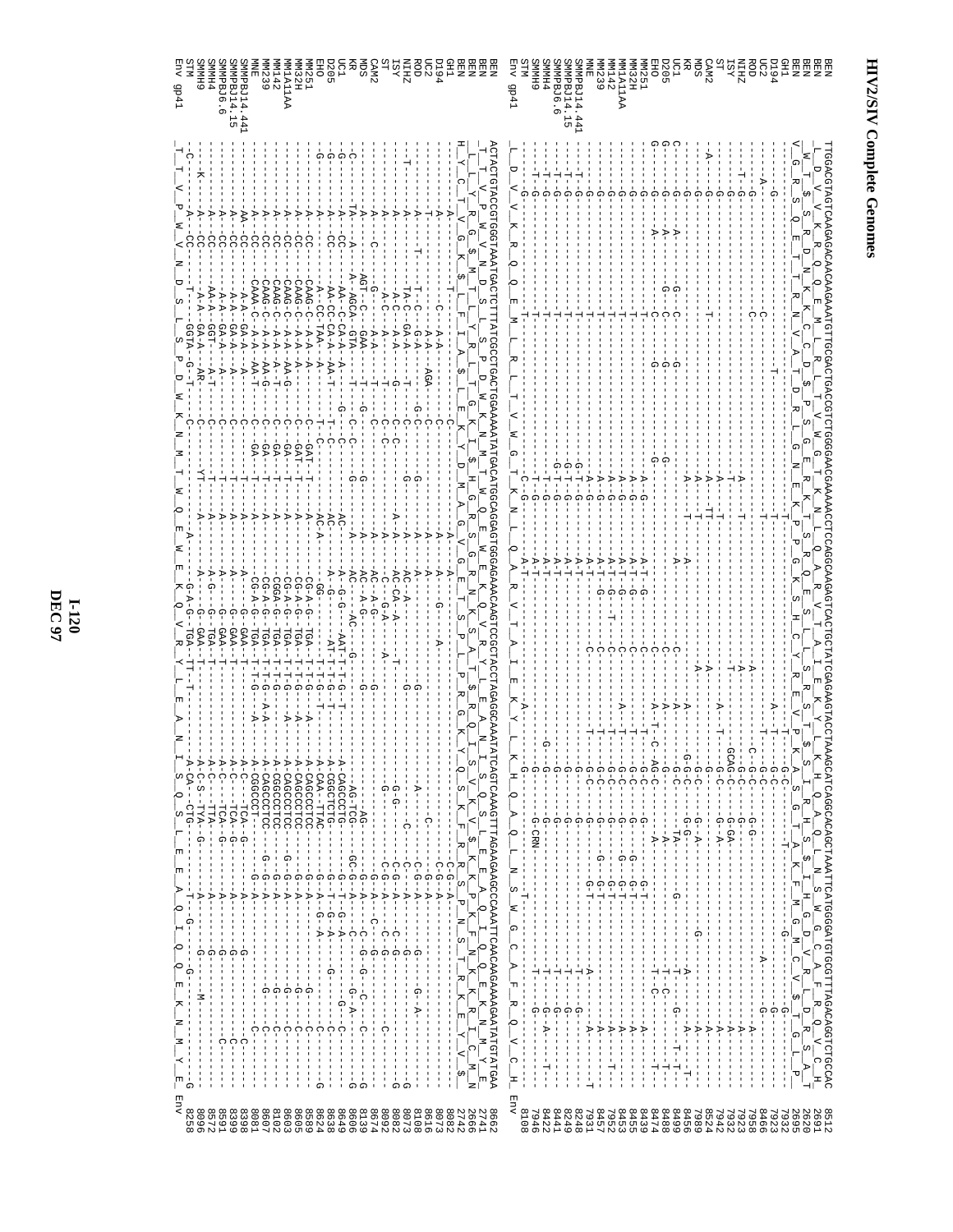| -1<br>$\overline{1}$<br>$\mathbf{I}$<br>Ω<br>ଋ<br>Ω<br>ଜ<br>$\blacksquare$<br>1<br>$\mathbf{I}$<br>Ω<br>$\dot{P}$<br>$\dot{P}$<br>$\Gamma$<br>⋒<br>J<br>J.<br>$\blacksquare$<br>$\overline{1}$<br>$\mathbf{I}$<br>∩<br>റ<br>∩<br>∩<br>↷<br>റ<br>I,<br>-1<br>п<br>т<br>-1<br>L<br>л.<br>л.<br>Ω<br>Ω<br>Ω | ω<br>ဂှ<br>$\mathbf{I}$<br>÷<br>⊢<br>⋗<br>$\lambda$<br>⊅                                                                                                                                                                                                                                                                                                                                                                      |                                                    | $A-C$            |                        |                      |             |                     |   |                       |                     | Š      |          |
|----------------------------------------------------------------------------------------------------------------------------------------------------------------------------------------------------------------------------------------------------------------------------------------------------------|-------------------------------------------------------------------------------------------------------------------------------------------------------------------------------------------------------------------------------------------------------------------------------------------------------------------------------------------------------------------------------------------------------------------------------|----------------------------------------------------|------------------|------------------------|----------------------|-------------|---------------------|---|-----------------------|---------------------|--------|----------|
|                                                                                                                                                                                                                                                                                                          |                                                                                                                                                                                                                                                                                                                                                                                                                               | $-LL -$                                            | A<br>G           |                        | -TGA-                |             |                     |   |                       |                     | င္ပ်   |          |
|                                                                                                                                                                                                                                                                                                          |                                                                                                                                                                                                                                                                                                                                                                                                                               | I.<br>J.<br>$-TCA---G-$<br>$TCA--$                 | ř<br>A<br>U<br>G |                        | -GAA.<br><b>GAA</b>  |             |                     |   | GA-A                  | $A - A$             | ç<br>Ğ |          |
|                                                                                                                                                                                                                                                                                                          |                                                                                                                                                                                                                                                                                                                                                                                                                               | $\mathbf{I}$<br>$TCA--$                            | ř<br>G           | <b>GAA</b>             |                      |             |                     |   | $A - A$               | $A - A$             | S      |          |
|                                                                                                                                                                                                                                                                                                          | <u>ဂ</u><br>⊅                                                                                                                                                                                                                                                                                                                                                                                                                 | A-CGGCCCCT-<br>I<br>л                              |                  | TGA--                  | CG-A-G               |             | $-69-$              |   | -- AA-T               | CAAA-C              | Ğ      |          |
|                                                                                                                                                                                                                                                                                                          | п<br>Ω<br>j<br>J.<br>ဂု<br>⊅                                                                                                                                                                                                                                                                                                                                                                                                  | A-CAGCCCTCC<br>1                                   |                  | TGA.<br>ငှ<br>F        | G-A-G                |             | È                   |   | $D - \nabla \nabla -$ | CAAG-C              | S      |          |
|                                                                                                                                                                                                                                                                                                          | $\overline{1}$<br>$\mathbf{I}$<br>$\begin{array}{c} \rule{0pt}{2.5ex} \rule{0pt}{2.5ex} \rule{0pt}{2.5ex} \rule{0pt}{2.5ex} \rule{0pt}{2.5ex} \rule{0pt}{2.5ex} \rule{0pt}{2.5ex} \rule{0pt}{2.5ex} \rule{0pt}{2.5ex} \rule{0pt}{2.5ex} \rule{0pt}{2.5ex} \rule{0pt}{2.5ex} \rule{0pt}{2.5ex} \rule{0pt}{2.5ex} \rule{0pt}{2.5ex} \rule{0pt}{2.5ex} \rule{0pt}{2.5ex} \rule{0pt}{2.5ex} \rule{0pt}{2.5ex} \rule{0$<br>ဂု<br>⋗ | A-ceecccrcc<br>$\frac{1}{1}$                       |                  | $TGA--$<br>-1-1-G      | CGGA-G               |             | $-52 -$             |   | $A - -$               | CAAG-C              | Ğ      |          |
|                                                                                                                                                                                                                                                                                                          | $\mathbf{I}$<br>ဂူ<br>ှ<br>$A -$                                                                                                                                                                                                                                                                                                                                                                                              | A-CAGCCCTCC<br>л.                                  |                  | <b>HGA--T-T-G</b><br>ゼ | CG-A-G               |             | $-5B-$              |   | $-4-4$<br>$-4A-G$     | CAAG-C              | S      |          |
|                                                                                                                                                                                                                                                                                                          | ଋ<br>D                                                                                                                                                                                                                                                                                                                                                                                                                        | A-CAGCCCTCC                                        |                  | TGA-<br>-1-1-G<br>⋗    | $CG - A - G$         |             | <b>GAT</b>          |   |                       | CAAG-C              | Ğ      |          |
|                                                                                                                                                                                                                                                                                                          | ဂု<br>⊅<br>J.                                                                                                                                                                                                                                                                                                                                                                                                                 | A-CAGCCCTCC<br>л                                   |                  | TGA--<br>コーユーロ         | $CG - A - G$         |             | CAT-                |   | $-AA-R$<br>۱İ         | CAAG-C              | -cc-   |          |
| ω<br>1<br>⊅<br>J.<br>∩<br>л.                                                                                                                                                                                                                                                                             | Ģ<br>ı<br>ъ                                                                                                                                                                                                                                                                                                                                                                                                                   | CAA-<br>-TTAC                                      | ∀−               | ∟<br>ה                 |                      | AC-A        |                     |   | $\overline{A}$        | A--CC-TAA           |        |          |
| ှ<br>A-<br>Ω<br>J,<br>п<br>∩<br>I                                                                                                                                                                                                                                                                        | ဂု<br>I                                                                                                                                                                                                                                                                                                                                                                                                                       | A-CGGCTCTG                                         |                  | -<br>D-L-L-L-D         | $\frac{1}{1}$        | AC-         | ∩                   |   | $-AA-$                | $AA-CC-CA-A$        | S      |          |
| ω<br>ł<br>⋗<br>I.<br>ဂု<br>$\overline{\phantom{a}}$<br>$\mathbf{I}$<br>∩<br>1                                                                                                                                                                                                                            | ω                                                                                                                                                                                                                                                                                                                                                                                                                             | A-CAGCCCTG<br>J                                    |                  | - AAT-T-T-G            | $-5 - 9$             | $AC-$       | ∩                   |   | $\overline{A}$        | $A - C - C - A - A$ | S      |          |
| ı.<br>Ω<br>$\mathbf{I}$<br>$\overline{1}$<br>$\mathbf{I}$<br>$G - -A - -D$                                                                                                                                                                                                                               | $\blacksquare$<br>$-9 - 39$<br>ъ<br>$\mathbf{I}$                                                                                                                                                                                                                                                                                                                                                                              | AG-TCG-                                            |                  |                        |                      |             | ∩                   |   |                       | AGCA--GTA           |        |          |
| л<br>Ω<br>л.<br>Ω<br>ţ<br>ဂု<br>л<br>J.<br>۲,<br>п<br>I,<br>$\mathbf{I}$<br>↷<br>-1                                                                                                                                                                                                                      | J.<br>л<br>Ω<br>J.<br>D                                                                                                                                                                                                                                                                                                                                                                                                       | $BG-$                                              |                  | Φ                      | $-4-9$               |             |                     |   | $-6AA-$               | AGT--C-             |        |          |
| ဂု<br>ດ                                                                                                                                                                                                                                                                                                  | Ω                                                                                                                                                                                                                                                                                                                                                                                                                             |                                                    |                  |                        | $A-G$                |             |                     |   |                       |                     |        |          |
| G<br>ŧ<br>Ω<br>I.<br>ု                                                                                                                                                                                                                                                                                   | --9-2                                                                                                                                                                                                                                                                                                                                                                                                                         | ဂု<br>л                                            |                  |                        | – – – – 5– A         |             | Ö                   | ∩ | $\overline{Y}$        | $-2-C-$             |        |          |
| G<br>т.<br>Ω<br>I.                                                                                                                                                                                                                                                                                       | Ω<br>I.<br>Ģ<br>J<br>J.<br>ъ                                                                                                                                                                                                                                                                                                                                                                                                  | ဂု<br>ဂု                                           |                  |                        | $-5A-$               |             |                     |   | $A - A$               |                     |        |          |
| ଜ<br>$\mathbf{I}$                                                                                                                                                                                                                                                                                        | C<br>$\mathbf{I}$<br>$\mathbf{I}$<br>ъ                                                                                                                                                                                                                                                                                                                                                                                        | Ω<br>$\mathbf{I}$                                  |                  |                        |                      |             |                     |   | - VD                  |                     |        |          |
| л<br>J.<br>∱<br>T<br>л<br>ш                                                                                                                                                                                                                                                                              | ш<br>⊅<br>ï                                                                                                                                                                                                                                                                                                                                                                                                                   | J.<br>$\overline{Y}$<br>I<br>I<br>J.               |                  |                        |                      |             |                     |   |                       |                     |        |          |
| Ω<br>ł<br>ဂု                                                                                                                                                                                                                                                                                             | C-G--<br>⊅                                                                                                                                                                                                                                                                                                                                                                                                                    |                                                    |                  |                        |                      |             |                     |   |                       |                     |        |          |
|                                                                                                                                                                                                                                                                                                          | $\overline{1}$<br>$\blacksquare$<br>ှ<br>$\mathbf{I}$                                                                                                                                                                                                                                                                                                                                                                         | Ω<br>ı<br>$\overline{1}$                           |                  |                        |                      |             |                     |   | AGA                   |                     |        |          |
|                                                                                                                                                                                                                                                                                                          | --9-2<br>$\mathbb{F}$                                                                                                                                                                                                                                                                                                                                                                                                         |                                                    |                  |                        |                      |             |                     |   |                       |                     |        |          |
| О<br>Ξ<br>ັດ<br>O<br>'n<br>0<br>Ъ<br>F<br>Ħ<br>π<br>z<br>Ö<br>z                                                                                                                                                                                                                                          | Ή<br>ы<br>z<br>Έ<br>īΩ,<br>ъ                                                                                                                                                                                                                                                                                                                                                                                                  | Ю<br>Ю<br>c۵<br>Ъ<br>Ю                             | īω.<br>Ξ         | Ħ                      | ø                    | ø<br>Σ<br>Ю | z                   |   | ₫<br>₩                | Ю<br>O<br>E         | ₫<br>ヵ | U<br>U   |
| ⊲                                                                                                                                                                                                                                                                                                        |                                                                                                                                                                                                                                                                                                                                                                                                                               |                                                    |                  |                        | Η                    |             | Σ<br>Ω<br>⊣         | Н |                       | z                   |        | ⊲        |
| н<br>$\mathbf{I}$<br>Ω                                                                                                                                                                                                                                                                                   | -1<br>н<br>л                                                                                                                                                                                                                                                                                                                                                                                                                  | Ω<br>-cRN-                                         | Ω<br>ഹ           |                        | Þ                    | Ω<br>⋒      | ∩                   |   |                       |                     |        | Ω        |
| $\frac{1}{1}$<br>ဂု<br>$\overline{1}$<br>$\frac{1}{2}$                                                                                                                                                                                                                                                   |                                                                                                                                                                                                                                                                                                                                                                                                                               | Ω<br>$\mathbf{I}$                                  | Ω                |                        | ¥–T                  | ⋒           |                     |   |                       |                     |        | -1<br>ი  |
| 년<br>H<br>$\mathbf{I}$<br>ł<br>ဂှ<br>J.                                                                                                                                                                                                                                                                  |                                                                                                                                                                                                                                                                                                                                                                                                                               | Ω<br>J.                                            | ଋ                |                        | $A-T$                | Ω           | a<br>F              |   |                       |                     |        | H<br>Ω   |
| 보<br>$\mathbf{I}$<br>$\blacksquare$                                                                                                                                                                                                                                                                      |                                                                                                                                                                                                                                                                                                                                                                                                                               | ဂု                                                 |                  |                        | $L - V$              |             | $\overline{1}$      |   |                       |                     |        | トーー<br>Ω |
| ဂု<br>⋒                                                                                                                                                                                                                                                                                                  |                                                                                                                                                                                                                                                                                                                                                                                                                               | Ω<br>I                                             | ଇ<br>⋒           |                        | $A-T$                | Ω           | G-T<br>$G-T$ .<br>I |   |                       |                     |        | å<br>⋒   |
| 부<br>ኌ                                                                                                                                                                                                                                                                                                   |                                                                                                                                                                                                                                                                                                                                                                                                                               |                                                    |                  |                        |                      | Ω           |                     |   |                       |                     |        |          |
| ⊅                                                                                                                                                                                                                                                                                                        | ဂု<br>н                                                                                                                                                                                                                                                                                                                                                                                                                       | ∩<br>ı<br>Ω                                        | ഹ                |                        | $T - \Delta$         | Ω           | ⊅                   |   |                       |                     |        |          |
| ⊅                                                                                                                                                                                                                                                                                                        | Ω<br>Ť<br>$\overline{\phantom{a}}$<br>؋<br>!<br>н                                                                                                                                                                                                                                                                                                                                                                             | G<br>$\mathbf{I}$<br>Ω<br>$\overline{\phantom{a}}$ | ଋ                | ∩                      | $L - V$<br>⋒         | Ω           | ⋗                   |   |                       |                     |        | ດ        |
| $\overline{r}$                                                                                                                                                                                                                                                                                           | J.<br>п<br>ဂူ<br>부                                                                                                                                                                                                                                                                                                                                                                                                            | ∩<br>H.<br>ဂု                                      | <u>ଜ</u><br>Ť.   | ∩                      | $\widetilde{H}$<br>ഹ | Ω           | ⋗                   |   |                       |                     |        |          |
| $\frac{1}{2}$                                                                                                                                                                                                                                                                                            | $\blacksquare$<br>ဂှ<br>$\blacksquare$<br>$\mathbf{I}$<br>$-1 - 5 -$                                                                                                                                                                                                                                                                                                                                                          | Ω<br>$\mathbf{I}$<br>ଋ<br>$\mathbf{I}$             | $\frac{1}{1}$    | Ω                      | A-T-<br>Ω            | ⋒           | ⊅                   |   |                       |                     |        |          |
| п<br>$\overline{r}$                                                                                                                                                                                                                                                                                      | J,<br>$\overline{\phantom{a}}$<br>$\mathbf{I}$<br>$\frac{1}{2}$<br>$\overline{\phantom{a}}$<br>ဂု<br>н<br>л                                                                                                                                                                                                                                                                                                                   | Ω<br>ш<br>п<br>ଋ<br>J.<br>л                        | ဂု               | ↷                      | $A-T-$<br>Ω          |             |                     |   |                       |                     |        |          |
|                                                                                                                                                                                                                                                                                                          | ဂု<br>н                                                                                                                                                                                                                                                                                                                                                                                                                       | റ<br>-1<br>Ω<br>$\mathsf I$                        | ဂ္               | Ω                      | $A-T-$<br>ω          |             |                     |   |                       |                     |        |          |
| $\frac{1}{1}$<br>∩                                                                                                                                                                                                                                                                                       | Þ<br>ï                                                                                                                                                                                                                                                                                                                                                                                                                        | ∩<br>$\mathbf{I}$<br>$\blacksquare$                | $AG-1$           | ∩<br>⊅                 |                      |             |                     |   | ଋ                     |                     | ⊅      | ⋒        |
| н<br>I<br>п<br>Q                                                                                                                                                                                                                                                                                         | Þ                                                                                                                                                                                                                                                                                                                                                                                                                             | л                                                  | Ω                | Ω                      |                      |             | G.                  |   | Ω                     | ႁ<br>C              | ⊅      |          |
| 부<br>$\mathbf{I}$<br>ဂှ<br>н<br>T                                                                                                                                                                                                                                                                        | TA-<br>Ω                                                                                                                                                                                                                                                                                                                                                                                                                      | G<br>$\mathbf{I}$<br>L,                            | ဂူ               |                        |                      |             |                     |   | ଜ                     | ဂု<br>C             | ⊅      | ດ        |
| п<br>ъ<br>J.<br>ш                                                                                                                                                                                                                                                                                        |                                                                                                                                                                                                                                                                                                                                                                                                                               | Ω<br>H.<br>$-9 - 0$                                | ဂု<br>ဂ္         |                        |                      |             |                     |   |                       |                     |        |          |
| ဂု<br>$\mathbf{I}$<br>÷<br>⊢                                                                                                                                                                                                                                                                             | ⊅                                                                                                                                                                                                                                                                                                                                                                                                                             | л.<br>Ω<br>$\frac{1}{1}$                           | ନ<br>ଠ           | ኳ                      |                      |             |                     |   |                       |                     |        |          |
| п<br>$\overline{r}$                                                                                                                                                                                                                                                                                      |                                                                                                                                                                                                                                                                                                                                                                                                                               | п                                                  | ဂု               |                        |                      |             |                     |   |                       |                     |        | ଋ        |
| $\overline{r}$                                                                                                                                                                                                                                                                                           | А                                                                                                                                                                                                                                                                                                                                                                                                                             | G<br>т<br>Ω<br>Ť                                   | ဂူ               |                        |                      |             | ኌ                   |   |                       |                     |        | Ω        |
| $\overline{A}$                                                                                                                                                                                                                                                                                           |                                                                                                                                                                                                                                                                                                                                                                                                                               | Ω<br>J<br>ଜ<br>-GA                                 | CAG-C            |                        |                      |             |                     |   |                       |                     |        | G        |
| I<br>$\frac{1}{2}$                                                                                                                                                                                                                                                                                       |                                                                                                                                                                                                                                                                                                                                                                                                                               | Т<br>Ω<br>I<br>т                                   | G-0              |                        |                      |             |                     |   |                       |                     |        | Ω        |
| $\overline{\phantom{a}}$<br>Þ                                                                                                                                                                                                                                                                            | ı                                                                                                                                                                                                                                                                                                                                                                                                                             | Ω<br>1<br>Ω<br>နှ                                  | ဂ္               |                        |                      |             |                     |   |                       |                     |        |          |
| $\mathbb{F}$<br>t<br>л                                                                                                                                                                                                                                                                                   |                                                                                                                                                                                                                                                                                                                                                                                                                               | Ω<br>H.                                            | $\frac{0}{1}$    |                        |                      |             |                     |   |                       |                     |        |          |
| Ω                                                                                                                                                                                                                                                                                                        |                                                                                                                                                                                                                                                                                                                                                                                                                               | -1                                                 |                  |                        |                      |             |                     |   |                       |                     |        |          |
| Ω<br>G.                                                                                                                                                                                                                                                                                                  |                                                                                                                                                                                                                                                                                                                                                                                                                               | ↷                                                  | े<br>≎<br>ଋ      |                        |                      |             |                     |   |                       |                     |        |          |
| Е                                                                                                                                                                                                                                                                                                        |                                                                                                                                                                                                                                                                                                                                                                                                                               |                                                    |                  |                        |                      |             |                     |   |                       |                     |        |          |
| ൧<br><u>ရ</u><br>Έ<br>z<br>⊲<br>∩<br>₩<br>⋞<br>٣<br>₹,<br>Έ<br>E<br>ਂਸ਼<br><u>ັດ</u><br>מט'                                                                                                                                                                                                              | 'c۵<br>٠m<br>ŋ<br>ェ<br>Ξ                                                                                                                                                                                                                                                                                                                                                                                                      | C<br>₩<br><u>ຸດ</u>                                | ን                | ∩                      | Ω<br>CΩ              | ᡃ<br>τ      |                     |   |                       |                     | ю      | m        |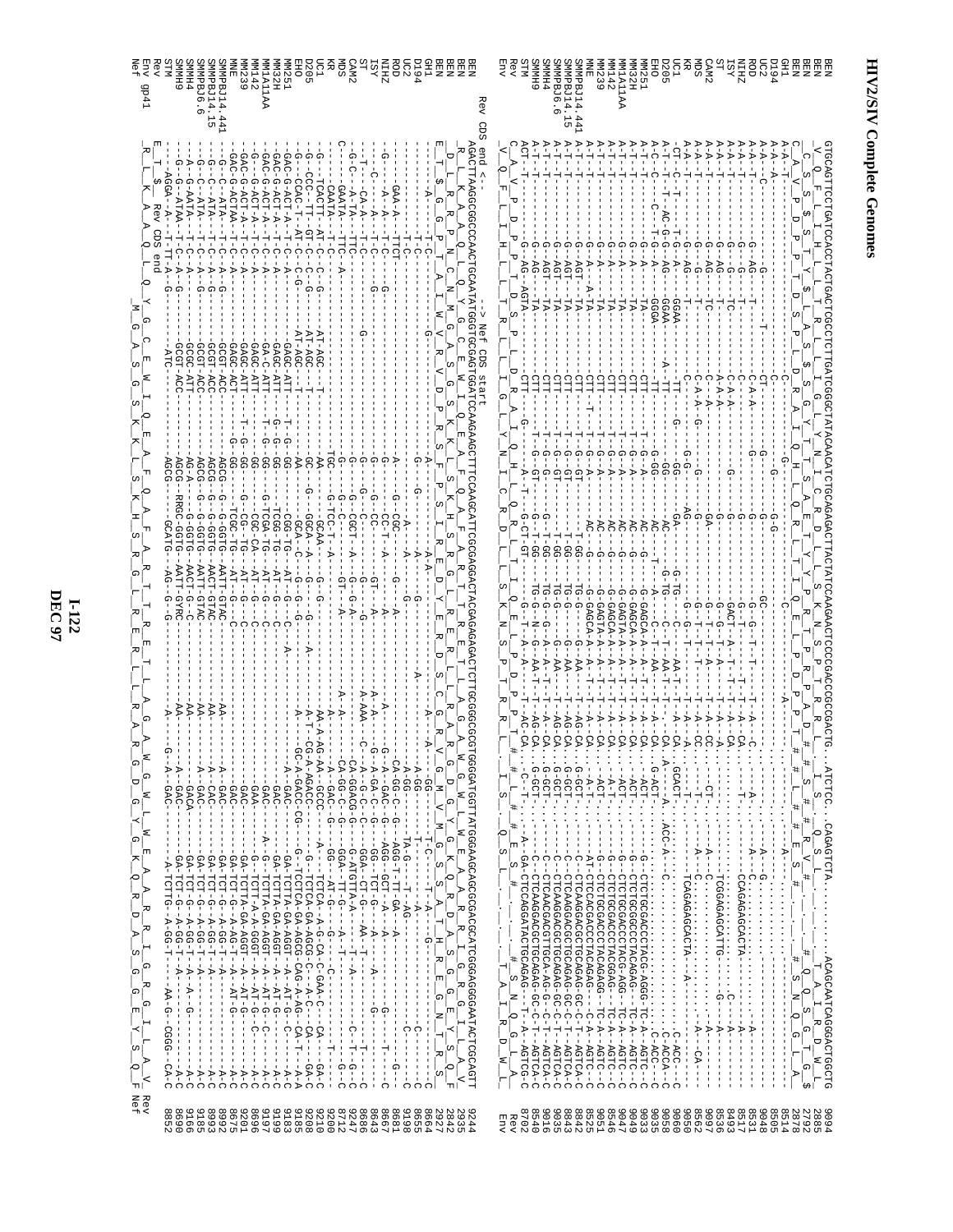| ╾<br>î | ь |
|--------|---|
|--------|---|

| בים בין בין בין הים בין בין הים בין בין הים בין בין הים בין בין הים בין בין הים בין בין בין בין בין בין בין בי<br>$\frac{1}{\mathbf{R}}\frac{\mathbf{R}}{\mathbf{L}}\frac{\mathbf{R}}{\mathbf{L}}\frac{\mathbf{R}}{\mathbf{L}}\frac{\mathbf{R}}{\mathbf{L}}\frac{\mathbf{R}}{\mathbf{L}}\frac{\mathbf{R}}{\mathbf{L}}\frac{\mathbf{R}}{\mathbf{L}}\frac{\mathbf{R}}{\mathbf{L}}\frac{\mathbf{R}}{\mathbf{L}}\frac{\mathbf{R}}{\mathbf{L}}\frac{\mathbf{R}}{\mathbf{L}}\frac{\mathbf{R}}{\mathbf{L}}\frac{\mathbf{R}}{\mathbf{L}}\frac{\mathbf{R}}{\mathbf{L}}\frac{\mathbf{R}}{\mathbf{L$<br>E_T_S_Rev CDS end<br>$\mathbb{M} = \mathbb{A} - \mathbb{S} - \mathbb{S} - \mathbb{S} - \mathbb{S} - \mathbb{S} - \mathbb{S} - \mathbb{S} - \mathbb{S} - \mathbb{S} - \mathbb{S} - \mathbb{S} - \mathbb{S} - \mathbb{S} - \mathbb{S} - \mathbb{S} - \mathbb{S} - \mathbb{S} - \mathbb{S} - \mathbb{S} - \mathbb{S} - \mathbb{S} - \mathbb{S} - \mathbb{S} - \mathbb{S} - \mathbb{S} - \mathbb{S} - \mathbb{S} - \mathbb{S} - \mathbb{S} - \mathbb$<br>-------- | Net | EPde and | Rev | STM | <b>GHMMS</b> | <b>PHININS</b> |  |
|------------------------------------------------------------------------------------------------------------------------------------------------------------------------------------------------------------------------------------------------------------------------------------------------------------------------------------------------------------------------------------------------------------------------------------------------------------------------------------------------------------------------------------------------------------------------------------------------------------------------------------------------------------------------------------------------------------------------------------------------------------------------------------------------------------------------------------------------------------------------------------------------------------------------------------------------------------------------------------------------------------------------------------------------------------|-----|----------|-----|-----|--------------|----------------|--|
|                                                                                                                                                                                                                                                                                                                                                                                                                                                                                                                                                                                                                                                                                                                                                                                                                                                                                                                                                                                                                                                            |     |          |     |     |              |                |  |
|                                                                                                                                                                                                                                                                                                                                                                                                                                                                                                                                                                                                                                                                                                                                                                                                                                                                                                                                                                                                                                                            |     |          |     |     |              |                |  |
|                                                                                                                                                                                                                                                                                                                                                                                                                                                                                                                                                                                                                                                                                                                                                                                                                                                                                                                                                                                                                                                            |     |          |     |     |              |                |  |
|                                                                                                                                                                                                                                                                                                                                                                                                                                                                                                                                                                                                                                                                                                                                                                                                                                                                                                                                                                                                                                                            |     |          |     |     |              |                |  |

|                      |                                                                                                                                                                                                                                                                                                                                                                                                                       |                        |                                                           |                                                                                                                                                                                                                                                                                                                                                                                                                  |                   | ⊢<br>G<br>Rey CDS end                                                                | Rev               |
|----------------------|-----------------------------------------------------------------------------------------------------------------------------------------------------------------------------------------------------------------------------------------------------------------------------------------------------------------------------------------------------------------------------------------------------------------------|------------------------|-----------------------------------------------------------|------------------------------------------------------------------------------------------------------------------------------------------------------------------------------------------------------------------------------------------------------------------------------------------------------------------------------------------------------------------------------------------------------------------|-------------------|--------------------------------------------------------------------------------------|-------------------|
|                      |                                                                                                                                                                                                                                                                                                                                                                                                                       | $-G - -A - -GAC - -$   | $-V-$                                                     | --GCATG---AG---G--G                                                                                                                                                                                                                                                                                                                                                                                              |                   | $AGGA - -A - -T-T-T- A - -G -$                                                       | <b>NLIS</b>       |
| 8696                 | -----GA-I'C'I'-G--A-GG-I'--AA--------------A--C<br>-----A-TCTTG--A-GG-I'---AA-G--CGGG-C-CA-C                                                                                                                                                                                                                                                                                                                          | - - - - - GAC- - - - - |                                                           | AGCG--RRGC-GGTG--AATT-GYRC                                                                                                                                                                                                                                                                                                                                                                                       |                   | -G--G--ATAA--T-C--A--G-                                                              | <b>GHMMS</b>      |
| 916                  |                                                                                                                                                                                                                                                                                                                                                                                                                       |                        | - AA<br>- AA -<br>- AA -                                  | AG-A-------G-GGTG--AACT-C--C                                                                                                                                                                                                                                                                                                                                                                                     | -GCGC-ATT         | $-{\bf A}--{\bf G}-{\bf A}{\bf A}{\bf T}{\bf A}--{\bf T}-{\bf T}-{\bf C}--{\bf A}--$ | <b>PHMMS</b>      |
| 918                  |                                                                                                                                                                                                                                                                                                                                                                                                                       |                        |                                                           | AGCG--C--G-GGTG--AATT-GTAC                                                                                                                                                                                                                                                                                                                                                                                       | -GCGT-ACC         | -G--C--ATA---T-C--A--G-                                                              | <b>SMMPBJ6.6</b>  |
| :668                 |                                                                                                                                                                                                                                                                                                                                                                                                                       | I                      | $-AA-$                                                    | -AGCG--G--G-GETG--AACT-CTAC                                                                                                                                                                                                                                                                                                                                                                                      | -GCGT-ACC         | -G--C--ATA---T-C--A--                                                                | SMMPBJ14.15       |
| 7668                 |                                                                                                                                                                                                                                                                                                                                                                                                                       |                        | -44-                                                      | $-AGCG---G--G-GGTC--ATT-GTAC--$                                                                                                                                                                                                                                                                                                                                                                                  | -GCGT-ACC         | -G--C--ATA----F-C--A--G-                                                             | SMMPBJ14.44       |
| 5675                 |                                                                                                                                                                                                                                                                                                                                                                                                                       |                        |                                                           |                                                                                                                                                                                                                                                                                                                                                                                                                  | -GAGC-ACT         | - GAC-0-ACTAA--T-0--A-                                                               | 白<br>区            |
| .026                 |                                                                                                                                                                                                                                                                                                                                                                                                                       |                        |                                                           | - 1-1-0-100-                                                                                                                                                                                                                                                                                                                                                                                                     | -GAGC-ATT         | $- - G A C - G - A C T - A - - T - C - - A - -$                                      | MM239             |
| 9698                 |                                                                                                                                                                                                                                                                                                                                                                                                                       | -----------            |                                                           |                                                                                                                                                                                                                                                                                                                                                                                                                  | -GAGC-ATT         |                                                                                      | MM142             |
| 919                  |                                                                                                                                                                                                                                                                                                                                                                                                                       |                        |                                                           |                                                                                                                                                                                                                                                                                                                                                                                                                  | -GA-C-ATT         | $- G A C - G - A C T - A - - T - C - - A -$                                          | AAILAIM           |
| 9199                 |                                                                                                                                                                                                                                                                                                                                                                                                                       |                        |                                                           | TCGG-TG---AT--G---C-                                                                                                                                                                                                                                                                                                                                                                                             | -GAGC-ATT         | -GAC-G-ACT-A--T-C--A--                                                               | HZ EMW            |
| 918.                 |                                                                                                                                                                                                                                                                                                                                                                                                                       |                        |                                                           | --CGG-TG---AT--G-----A                                                                                                                                                                                                                                                                                                                                                                                           | -GAGC-ATT         | $-GAC-G-G-RCT-A--T-C--A--$                                                           | <b>MM251</b>      |
| 92218<br>9226<br>918 | -GC-A-GACC-CG-----G--ICCTCA-GA-AGCG-CAG-A-AG--A-A-A-A-A-A-A                                                                                                                                                                                                                                                                                                                                                           |                        | $---+$                                                    |                                                                                                                                                                                                                                                                                                                                                                                                                  | -AT-AGC---T       |                                                                                      | <b>CHE</b>        |
|                      |                                                                                                                                                                                                                                                                                                                                                                                                                       |                        | $-1 - 2 - 1 - 1 -$                                        |                                                                                                                                                                                                                                                                                                                                                                                                                  | -H1-1000-1-1-     |                                                                                      |                   |
|                      |                                                                                                                                                                                                                                                                                                                                                                                                                       |                        | $- \Delta \mathbf{A} - \mathbf{A} - i$                    |                                                                                                                                                                                                                                                                                                                                                                                                                  | <b>AT-AGC</b>     | -G---TCACTT--AT-C--G                                                                 |                   |
| 020                  |                                                                                                                                                                                                                                                                                                                                                                                                                       |                        | $--A---$                                                  | -0-100-1--2----                                                                                                                                                                                                                                                                                                                                                                                                  |                   |                                                                                      |                   |
| 92471                |                                                                                                                                                                                                                                                                                                                                                                                                                       |                        | $-A--A---A---$                                            |                                                                                                                                                                                                                                                                                                                                                                                                                  |                   | --GAATA---TTC--A----                                                                 |                   |
|                      |                                                                                                                                                                                                                                                                                                                                                                                                                       |                        |                                                           |                                                                                                                                                                                                                                                                                                                                                                                                                  |                   | --G-C----A-TA---TTC--                                                                |                   |
| 9898                 |                                                                                                                                                                                                                                                                                                                                                                                                                       |                        | $--\mathbf{A}-\mathbf{A}\mathbf{A}\mathbf{A}--\mathbf{A}$ |                                                                                                                                                                                                                                                                                                                                                                                                                  |                   |                                                                                      |                   |
| 964.                 | -G--A-GA-C--G-----CG--ICG--ICT-G-----A-----A-----G-------                                                                                                                                                                                                                                                                                                                                                             |                        | $-1$ - $-1$ - $-1$                                        |                                                                                                                                                                                                                                                                                                                                                                                                                  |                   | - - - - - -<br>ဂု                                                                    |                   |
| 998                  |                                                                                                                                                                                                                                                                                                                                                                                                                       |                        |                                                           |                                                                                                                                                                                                                                                                                                                                                                                                                  |                   | G-------A--A--T-C-<br>$- - - - - - - -$                                              |                   |
| :898                 |                                                                                                                                                                                                                                                                                                                                                                                                                       |                        |                                                           |                                                                                                                                                                                                                                                                                                                                                                                                                  |                   | --GAA-A----TTCT                                                                      |                   |
| 9198                 |                                                                                                                                                                                                                                                                                                                                                                                                                       |                        |                                                           |                                                                                                                                                                                                                                                                                                                                                                                                                  |                   | --1--C-                                                                              |                   |
| 398                  |                                                                                                                                                                                                                                                                                                                                                                                                                       |                        |                                                           |                                                                                                                                                                                                                                                                                                                                                                                                                  |                   |                                                                                      |                   |
| ,998                 |                                                                                                                                                                                                                                                                                                                                                                                                                       |                        |                                                           | --- A - A - --                                                                                                                                                                                                                                                                                                                                                                                                   |                   | - - - A - - - - - - - H - C - -                                                      |                   |
| 2927                 | $\frac{1}{\sqrt{1-\mu}}\frac{1}{\sqrt{1-\mu}}\frac{1}{\sqrt{1-\mu}}\frac{1}{\sqrt{1-\mu}}\frac{1}{\sqrt{1-\mu}}\frac{1}{\sqrt{1-\mu}}\frac{1}{\sqrt{1-\mu}}\frac{1}{\sqrt{1-\mu}}\frac{1}{\sqrt{1-\mu}}\frac{1}{\sqrt{1-\mu}}\frac{1}{\sqrt{1-\mu}}\frac{1}{\sqrt{1-\mu}}\frac{1}{\sqrt{1-\mu}}\frac{1}{\sqrt{1-\mu}}\frac{1}{\sqrt{1-\mu}}\frac{1}{\sqrt{1-\mu}}\frac{1}{\sqrt{1-\mu}}\frac{1}{\sqrt{1-\mu}}\frac{1$ |                        |                                                           | $T = \frac{1}{2} - \frac{1}{2} - \frac{1}{2} - \frac{1}{2} - \frac{1}{2} - \frac{1}{2} - \frac{1}{2} - \frac{1}{2} - \frac{1}{2} - \frac{1}{2} - \frac{1}{2} - \frac{1}{2} - \frac{1}{2} - \frac{1}{2} - \frac{1}{2} - \frac{1}{2} - \frac{1}{2} - \frac{1}{2} - \frac{1}{2} - \frac{1}{2} - \frac{1}{2} - \frac{1}{2} - \frac{1}{2} - \frac{1}{2} - \frac{1}{2} - \frac{1}{2} - \frac{1}{2} - \frac$<br>FU<br>D |                   |                                                                                      | <b>REN</b>        |
| 2842                 |                                                                                                                                                                                                                                                                                                                                                                                                                       |                        |                                                           |                                                                                                                                                                                                                                                                                                                                                                                                                  |                   |                                                                                      | <b>BEN</b>        |
| 2935                 |                                                                                                                                                                                                                                                                                                                                                                                                                       |                        |                                                           |                                                                                                                                                                                                                                                                                                                                                                                                                  |                   |                                                                                      | <b>BEN</b>        |
| $-524$               | FTGGGAATGGTATGGGAAGCAGCGGACGAATCGGAGGAGGGAATACTCGCAGTT                                                                                                                                                                                                                                                                                                                                                                |                        |                                                           |                                                                                                                                                                                                                                                                                                                                                                                                                  | --> Nef CDS start | cDS end <--                                                                          | <b>BEN</b><br>Rev |
|                      |                                                                                                                                                                                                                                                                                                                                                                                                                       |                        |                                                           |                                                                                                                                                                                                                                                                                                                                                                                                                  |                   |                                                                                      |                   |
| Rev<br>Ent           |                                                                                                                                                                                                                                                                                                                                                                                                                       |                        |                                                           |                                                                                                                                                                                                                                                                                                                                                                                                                  |                   |                                                                                      | Rev<br>Env        |
|                      |                                                                                                                                                                                                                                                                                                                                                                                                                       |                        |                                                           |                                                                                                                                                                                                                                                                                                                                                                                                                  |                   |                                                                                      |                   |

| Env                                                                                                                                                                                                                                                                                                                                                                                                                                                                               | Rev                           | <b>STM</b>                                                                            | <b>GHMMS</b>                                                                                       | <b>PHMMS</b>                                                                                                    | <b>SURERVIS</b>                                                                                                                                                                |                                                                                   | <b>PILEBUNS</b>                                                                  |                                                                        | AM239                                                                                                                                                                                                                                                                                                                                                                                                                                                                                                                                                                                                                               | IM142                                                                         | AAILAIM                                                                                                                                                                                                                                         | <b>IN32H</b>                                                                                                                                                       | <b>M251</b>                                                                             | <b>CHI</b>                                                                                                                                                                                                                                                                                                                                                                                                                             |                |                                  |                                                                                                                                                                                                     |                                     |                                                               |                                                                                                              |                                                                                              |                                                                                                                                        |                       |                                                       | 00<br>1970 HARA SERICIS<br>1970 HARA SERICIS<br>1970 HARA SERICIS                                                                                                                                                                                                                                                                                                                                                                                                                                                        |                                                                    | <b>BEN</b><br>REN                                                                                                                                                                                                             |                                                                                                                                                                                                                                                                                                                                                                                                      | BEN                                                                                                                                                                                                                                                                                                                           |
|-----------------------------------------------------------------------------------------------------------------------------------------------------------------------------------------------------------------------------------------------------------------------------------------------------------------------------------------------------------------------------------------------------------------------------------------------------------------------------------|-------------------------------|---------------------------------------------------------------------------------------|----------------------------------------------------------------------------------------------------|-----------------------------------------------------------------------------------------------------------------|--------------------------------------------------------------------------------------------------------------------------------------------------------------------------------|-----------------------------------------------------------------------------------|----------------------------------------------------------------------------------|------------------------------------------------------------------------|-------------------------------------------------------------------------------------------------------------------------------------------------------------------------------------------------------------------------------------------------------------------------------------------------------------------------------------------------------------------------------------------------------------------------------------------------------------------------------------------------------------------------------------------------------------------------------------------------------------------------------------|-------------------------------------------------------------------------------|-------------------------------------------------------------------------------------------------------------------------------------------------------------------------------------------------------------------------------------------------|--------------------------------------------------------------------------------------------------------------------------------------------------------------------|-----------------------------------------------------------------------------------------|----------------------------------------------------------------------------------------------------------------------------------------------------------------------------------------------------------------------------------------------------------------------------------------------------------------------------------------------------------------------------------------------------------------------------------------|----------------|----------------------------------|-----------------------------------------------------------------------------------------------------------------------------------------------------------------------------------------------------|-------------------------------------|---------------------------------------------------------------|--------------------------------------------------------------------------------------------------------------|----------------------------------------------------------------------------------------------|----------------------------------------------------------------------------------------------------------------------------------------|-----------------------|-------------------------------------------------------|--------------------------------------------------------------------------------------------------------------------------------------------------------------------------------------------------------------------------------------------------------------------------------------------------------------------------------------------------------------------------------------------------------------------------------------------------------------------------------------------------------------------------|--------------------------------------------------------------------|-------------------------------------------------------------------------------------------------------------------------------------------------------------------------------------------------------------------------------|------------------------------------------------------------------------------------------------------------------------------------------------------------------------------------------------------------------------------------------------------------------------------------------------------------------------------------------------------------------------------------------------------|-------------------------------------------------------------------------------------------------------------------------------------------------------------------------------------------------------------------------------------------------------------------------------------------------------------------------------|
| $\sum_{i=1}^{N}$<br> <br> <br> <br>$\frac{Q-R-L-L-T-L-Q-E}{R-D-L-L-S-K-N}$<br>$\frac{1}{N-2} = \frac{p}{p} - \frac{p}{p} - \frac{p}{p} - \frac{p}{p} - \frac{p}{p} - \frac{p}{p} - \frac{p}{p} - \frac{p}{p} - \frac{p}{p} - \frac{p}{p} - \frac{p}{p} - \frac{p}{p} - \frac{p}{p} - \frac{p}{p} - \frac{p}{p} - \frac{p}{p} - \frac{p}{p} - \frac{p}{p} - \frac{p}{p} - \frac{p}{p} - \frac{p}{p} - \frac{p}{p} - \frac{p}{p} - \frac{p}{p} - \frac{p}{p} - \frac{p}{p} - \frac$ | $\frac{1}{\sqrt{1-\mu}}$<br>0 | $-G--A-G--AGT-A$<br>エー・ーー マーーロ<br>. -C--T-. . -A--GA-CTCCAGGATACTGCAGAG--T-A--AGTCG-C | $A-T$<br>--G--T-GG-----TG-G--N--AA-T--AA-T-AG-CA.<br>G-GCT -----CTCAAGGACGCTGCAGAG-GC-C-T--AGTCA-C | $A-T--T$<br>-G--AGT<br>-crr<br>--1-1-0--0--<br>-G--T-GG<br>. . G-GCT-. ------CTCAACGACGTTGCA-AG-G--C-T--AGTCA-C | $A-T-T$<br>-G--AGI<br>- 41---<br>-<br>112<br>$1 - 1 - 1 - 1 - 1 - 1$<br>.G-GCT-------C-CICAAGGACGCTGCAGAG-GC-C-T--AGTCA-C<br>.G-GCT-------C-CICAAGGACGCTGCAGAG-GC-C-T--AGTCA-C | $A-T$ -<br>-G--AGT<br>- - - - - - -<br>ID--0--I-<br>--TG-G------G--AA------AG-CA. | $A-T$ -T<br>-0--20H---HZ-<br>-crr<br>-- 1-1-0-- 10<br>TG-G----C--AA-----T-AG-CA. | $A-T-T$<br>--0---------------<br>-- CI-1-1-1-1-1-1-1-2<br>$-AC----C--$ | $A-T$<br>$-L--D--L--$<br>$\begin{aligned} &\qquad \qquad -G-GAGG(A-A-A-A-I-I-I-A-CA \ . \\ &\qquad \qquad -G-GAGGTA-A-I-A-I-I-I-I-A-CA \ . \\ &\qquad \qquad -G-GAGG(A-A-I-I-I-I-I-I-I-I-I-CA \ . \end{aligned}$<br>$\begin{split} \texttt{C}^{-1} & \texttt{C}^{-1} \texttt{C}^{-1} \texttt{C}^{-1} \texttt{C}^{-1} \texttt{C}^{-1} \texttt{C}^{-1} \texttt{C}^{-1} \texttt{C}^{-1} \texttt{C}^{-1} \texttt{C}^{-1} \texttt{C}^{-1} \texttt{C}^{-1} \texttt{C}^{-1} \texttt{C}^{-1} \texttt{C}^{-1} \texttt{C}^{-1} \texttt{C}^{-1} \texttt{C}^{-1} \texttt{C}^{-1} \texttt{C}^{-1} \texttt{C}^{-1} \texttt{C}^{-1} \texttt{C}^{-$ | $A-T$ -<br>$-G--A-----TA--$<br>-<br>110<br>$-1$ --9- $-1$ -1<br>$-AC$ .<br>ငှ | $\rm A-T$ –<br>ļ<br>-crr<br>$-1 - 1 - 0 - 0 - 0 - 0 - 0 - 0$<br>$-AC$ .<br>နှ<br>$\begin{aligned} &-G-GAGGCA-A-2A-1T-1T-A-2A-CA\,,\\ &-G-GAGTRA-A-2A-1T-1T-2A-CA\,, \end{aligned}$<br>. --ACT-. . ------G--CTCTGCGACCCTACG-AGG--TC-A--AGTC<br>İ | $A-T$ -<br>--G--A------TA-<br>--G--A------TA-<br>$-1$ --9- $-1$<br>$-AC$<br>$\frac{1}{\Omega}$<br>-ACT------G--CTCTGCGGCCTACAGAG---TC-A-AGTC<br>$\frac{1}{\alpha}$ | $A-T$ -<br>$- - - - - - - - - -$<br>TA--<br>-cr<br>$-L--D--H-$<br>$-36$<br>$-1 - 0 - 1$ | $A-C$<br>-1-0---<br>$A - - - - GGGI$<br>$-26-$<br>$\begin{aligned} -G-T-1G&=-1-C-T-1 \\ -G&=-1-C-T-1 \\ -T&=-1-C-T-1 \\ -T&=-1-C-T-1 \\ -T&=-1-C-T-1 \\ -T&=-1-C-T-1 \\ -T&=-1-C-T-1 \\ -T&=-1-C-T-1 \\ -T&=-1-C-T-1 \\ -T&=-1-C-T-1 \\ -T&=-1-C-T-1 \\ -T&=-1-C-T-1 \\ -T&=-1-C-T-1 \\ -T&=-1-C-T-1 \\ -T&=-1-C-T-1 \\ -T&=-1-C-T-1 \\ -T&=-1-C-T-1 \\ -T&=-1-C-T-1 \\ -T&=-1-C-T-1 \\ -T&=-1-C-T-1 \\ -T&=-1-C-T-1 \\ -$<br>$C-PCT-$ | $A-T$<br>-GGAZ | - C1-- C-- 1-<br>-GGAZ<br>------ | アーヤーーローーー<br>--G--AG--<br>ڹ<br>!<br>ה<br>-<br>-<br>$AG-$<br>$\begin{split} & -G - T - T - A - A - - -T - A - C \\ & -G - T - T - T - - -T - A - C \\ & -G - G - T - T - T - -T - A - A \end{split}$ | アーピートー<br>$\frac{1}{1}$<br>$-C-A-A$ | $A - T - T - T -$<br>--G--AG--<br>$-1C-$<br>--A---D<br>$-GB-$ | アーピートーロー<br>--0--AG--<br>$\frac{1}{1}$<br>$-{\bf A}-{\bf A}-{\bf A}-\cdots$<br>$\frac{1}{1}$<br>$---A---A$ . | $A - A - -T$<br>$\frac{1}{1}$<br>$-C-A-A$<br>- GACT - - A - - T - - T - - T<br>$-$ A $-$ CA. | $A - T - T - T -$<br>$-1$ - $-1$<br>$\begin{array}{c} 1 \\ -1 \\ 1 \end{array}$<br>$\Gamma--\Gamma--\Delta--\Delta-{\cal O}\Lambda\,.$ | $A - R - T - T - T -$ | $A - A - - -C$<br>$-1 - 12 - 1$<br>$-1$ - $-0$ - $-1$ | $A - A - -A - -$<br>$-1$<br>$-1$ - $-6$ - $-1$<br>$-9 - 9 -$<br>$\begin{split} & \begin{minipage}{0.99\textwidth} \begin{tabular}{ c c } \hline \multicolumn{1}{ c }{0.99\textwidth} \begin{tabular}{ c c } \hline \multicolumn{1}{ c }{0.99\textwidth} \begin{tabular}{ c c } \hline \multicolumn{1}{ c }{0.99\textwidth} \begin{tabular}{ c c } \hline \multicolumn{1}{ c }{0.99\textwidth} \begin{tabular}{ c c } \hline \multicolumn{1}{ c }{0.99\textwidth} \begin{tabular}{ c c } \hline \multicolumn{1}{ c }{0.9$ | $\frac{C-A-A-V}{A-A--T--}$<br>$- - - - - - - - -$<br>$- - - - - -$ | $\begin{array}{c c c c c} \hline c&=&b&=&d&=&d&\\ \hline \end{array}$<br>$R = 2 - 1 - 0 - 1 - 0 - 1 - 0 - 1 - 0 - 1 - 0 - 1$<br>$\begin{array}{c}\n\mathbf{L} & \mathbf{P} & \mathbf{P} & \mathbf{P}\n\end{array}$<br>$F = T$ | þ<br>$\frac{1}{\infty}$<br>Ω<br>נט<br>י<br>- 14   - 14   - 14   - 15   - 15   - 15  <br>$T-T$ $\approx$ $T$<br> <br>ლ<br> <br> -<br> <br> <br> <br> <br>$\overline{N}$ $\overline{N}$ $\overline{N}$ $\overline{N}$ $\overline{D}$<br>$\alpha = \frac{a-1}{2}$ . The $\alpha = \frac{a-1}{2}$ in $\alpha = \frac{a-1}{2}$ in $\alpha = \frac{1}{2}$<br>$L = C - R - D - L$<br>א'<br>י<br>$\nu$ $\nu$ | l<br>M<br>. ATCTCC CAGAGTCTA ACAGCAATCAGGGACTGGCTG<br>$+\frac{1}{\sqrt{1+\frac{1}{n}}} = \frac{1}{\sqrt{1+\frac{1}{n}}}\sum_{i=1}^{n} -\frac{1}{\sqrt{1+\frac{1}{n}}}\sum_{i=1}^{n} -\frac{1}{\sqrt{1+\frac{1}{n}}}\sum_{i=1}^{n} -\frac{1}{\sqrt{1+\frac{1}{n}}}\sum_{i=1}^{n} -\frac{1}{\sqrt{1+\frac{1}{n}}}\sum_{i=1}^{n$ |
| Env                                                                                                                                                                                                                                                                                                                                                                                                                                                                               | Rev                           | 3702                                                                                  | 3540                                                                                               | 9106                                                                                                            |                                                                                                                                                                                | 8843                                                                              | 8842                                                                             | 90525                                                                  |                                                                                                                                                                                                                                                                                                                                                                                                                                                                                                                                                                                                                                     |                                                                               | 90449<br>90446<br>8546                                                                                                                                                                                                                          |                                                                                                                                                                    |                                                                                         | 908<br>0033<br>0033                                                                                                                                                                                                                                                                                                                                                                                                                    |                | 9080                             |                                                                                                                                                                                                     | 2958                                |                                                               | 8536                                                                                                         | 8493                                                                                         | 1138                                                                                                                                   | 9048<br>8531          |                                                       | 9505                                                                                                                                                                                                                                                                                                                                                                                                                                                                                                                     | 9514                                                               | 2792<br>2878                                                                                                                                                                                                                  |                                                                                                                                                                                                                                                                                                                                                                                                      | <b>2885</b><br>$-606$                                                                                                                                                                                                                                                                                                         |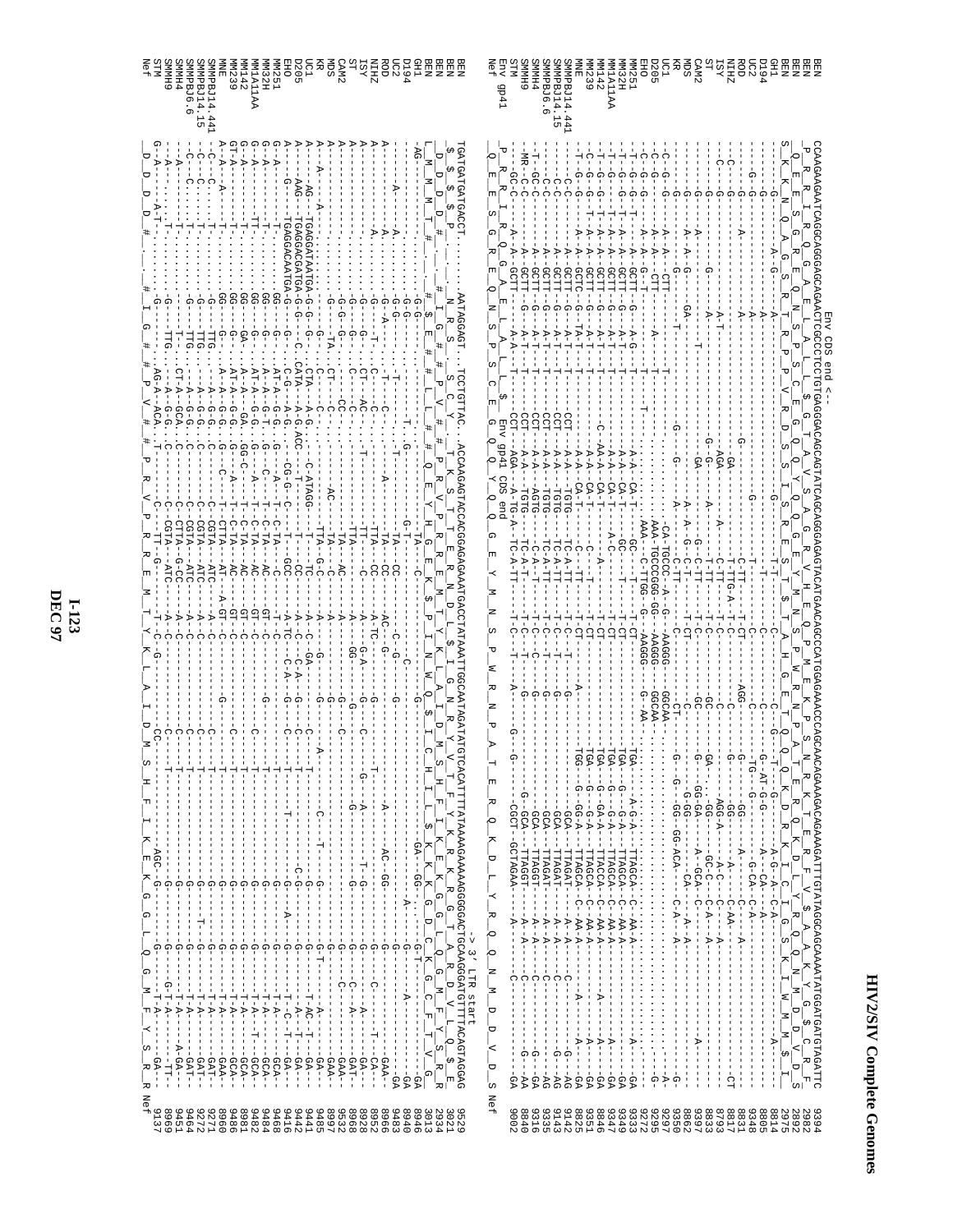| 1CZ<br>MMPBJ6<br>ğ<br>Ĕ<br>Ĕ<br>ğ<br><b>MMPB</b><br>59<br>XS.<br>Ĕ<br>6HMM<br>IM239<br>AAILAIM<br>IN32H<br><b>ZMA</b><br>ZHT.<br>194<br>Ę<br>Z<br>6HMW<br><b>PHMM</b><br>M239<br><b>M142</b><br>L <sub>3</sub> <sub>ZM</sub><br><b>205</b><br><b>MMPB</b><br><b>MMPB.</b><br>S05<br><b>PHMIN</b><br>M32H<br><b>TLBBJ1</b><br>MPBJ<br>LAI<br>1142<br>251<br>dp41<br><b>LAA</b>                                                                                                                                                                                                                                                                                                                                                                                                                                                                                                                                                                                                                                                                                                                                                                                                                                                                                                                                                                                                                                                                                                                                                                                                                                                                                                                                                                                                                                                                                                                                                                                                                                                                                                                                                                                                                                                                                                                                                                                                                                                                                                                                                                                                                                                                                                                                          | ZHIN<br>ğ<br><b>ZMA!</b><br>$\overline{55}$<br>ā<br><b>4610</b><br>Ë<br>59<br>Ë                                                                                                                                                                                                                                                                                                                                                                                                                                                                                                                                                                                                                                                                          |
|------------------------------------------------------------------------------------------------------------------------------------------------------------------------------------------------------------------------------------------------------------------------------------------------------------------------------------------------------------------------------------------------------------------------------------------------------------------------------------------------------------------------------------------------------------------------------------------------------------------------------------------------------------------------------------------------------------------------------------------------------------------------------------------------------------------------------------------------------------------------------------------------------------------------------------------------------------------------------------------------------------------------------------------------------------------------------------------------------------------------------------------------------------------------------------------------------------------------------------------------------------------------------------------------------------------------------------------------------------------------------------------------------------------------------------------------------------------------------------------------------------------------------------------------------------------------------------------------------------------------------------------------------------------------------------------------------------------------------------------------------------------------------------------------------------------------------------------------------------------------------------------------------------------------------------------------------------------------------------------------------------------------------------------------------------------------------------------------------------------------------------------------------------------------------------------------------------------------------------------------------------------------------------------------------------------------------------------------------------------------------------------------------------------------------------------------------------------------------------------------------------------------------------------------------------------------------------------------------------------------------------------------------------------------------------------------------------------------|----------------------------------------------------------------------------------------------------------------------------------------------------------------------------------------------------------------------------------------------------------------------------------------------------------------------------------------------------------------------------------------------------------------------------------------------------------------------------------------------------------------------------------------------------------------------------------------------------------------------------------------------------------------------------------------------------------------------------------------------------------|
| <b>GATGATGATGACCT</b><br>년<br>Ω<br>চা<br>⋒<br>AAG.<br>∀−<br>団<br>īΩ                                                                                                                                                                                                                                                                                                                                                                                                                                                                                                                                                                                                                                                                                                                                                                                                                                                                                                                                                                                                                                                                                                                                                                                                                                                                                                                                                                                                                                                                                                                                                                                                                                                                                                                                                                                                                                                                                                                                                                                                                                                                                                                                                                                                                                                                                                                                                                                                                                                                                                                                                                                                                                                    |                                                                                                                                                                                                                                                                                                                                                                                                                                                                                                                                                                                                                                                                                                                                                          |
| $-9 - 0 - 5$<br>GG.<br><b>AATAGGAGT.</b><br>ء−9−ء<br>-<br>Ω<br>ດ<br>ດ<br>$-4-$<br>n<br>ᡃ                                                                                                                                                                                                                                                                                                                                                                                                                                                                                                                                                                                                                                                                                                                                                                                                                                                                                                                                                                                                                                                                                                                                                                                                                                                                                                                                                                                                                                                                                                                                                                                                                                                                                                                                                                                                                                                                                                                                                                                                                                                                                                                                                                                                                                                                                                                                                                                                                                                                                                                                                                                                                               |                                                                                                                                                                                                                                                                                                                                                                                                                                                                                                                                                                                                                                                                                                                                                          |
| TCCTGTTAC<br>AT-1<br>ဂ<br>ဂ<br>Env<br>ap4                                                                                                                                                                                                                                                                                                                                                                                                                                                                                                                                                                                                                                                                                                                                                                                                                                                                                                                                                                                                                                                                                                                                                                                                                                                                                                                                                                                                                                                                                                                                                                                                                                                                                                                                                                                                                                                                                                                                                                                                                                                                                                                                                                                                                                                                                                                                                                                                                                                                                                                                                                                                                                                                              |                                                                                                                                                                                                                                                                                                                                                                                                                                                                                                                                                                                                                                                                                                                                                          |
| ှ<br>cDS<br>ATAG<br>end<br>Ę-<br>Ю<br>CTTA<br>C-TA<br>-TA-<br>-TA-<br>-ATT-<br>ᅾ<br>LTA-<br>TA-<br>LL-A-AT<br>$TC - A - T T$<br>LL-A-TT<br>$\frac{1}{1}$<br>$\frac{1}{2}$                                                                                                                                                                                                                                                                                                                                                                                                                                                                                                                                                                                                                                                                                                                                                                                                                                                                                                                                                                                                                                                                                                                                                                                                                                                                                                                                                                                                                                                                                                                                                                                                                                                                                                                                                                                                                                                                                                                                                                                                                                                                                                                                                                                                                                                                                                                                                                                                                                                                                                                                              |                                                                                                                                                                                                                                                                                                                                                                                                                                                                                                                                                                                                                                                                                                                                                          |
| RCCAAGAGTACCACGAGAGAAATGACCTATAAATTGGCAATAGATA<br>$A-T-$<br>n<br>ᡃᠣ                                                                                                                                                                                                                                                                                                                                                                                                                                                                                                                                                                                                                                                                                                                                                                                                                                                                                                                                                                                                                                                                                                                                                                                                                                                                                                                                                                                                                                                                                                                                                                                                                                                                                                                                                                                                                                                                                                                                                                                                                                                                                                                                                                                                                                                                                                                                                                                                                                                                                                                                                                                                                                                    | -LLG-                                                                                                                                                                                                                                                                                                                                                                                                                                                                                                                                                                                                                                                                                                                                                    |
| ≖<br>A-<br>Ω<br>ଋ<br>ଋ<br>Ω<br>Ω<br><b>GAP</b>                                                                                                                                                                                                                                                                                                                                                                                                                                                                                                                                                                                                                                                                                                                                                                                                                                                                                                                                                                                                                                                                                                                                                                                                                                                                                                                                                                                                                                                                                                                                                                                                                                                                                                                                                                                                                                                                                                                                                                                                                                                                                                                                                                                                                                                                                                                                                                                                                                                                                                                                                                                                                                                                         |                                                                                                                                                                                                                                                                                                                                                                                                                                                                                                                                                                                                                                                                                                                                                          |
| $CGA - -$<br><b>LGA---G---G-A--</b><br>$CGA---$<br>$TGA---$<br>-- 0--0-00-7-00-7-1-<br>⊲<br>$\blacksquare$<br>ω<br>л<br>л<br>$\frac{1}{2}$<br>$\vdots$<br>c۵<br>$\vdots$<br>Ą<br>$\mathbf{I}$<br>$\blacksquare$<br>н<br>Ą<br>л<br>-1<br>т<br>л<br>Ĥ<br>Ĥ<br>Ŷ<br>н<br>н<br>۴,<br>н<br>Ĥ<br>н<br>Ĥ<br>۲Ì<br>년<br>Ξ<br>J<br>f<br><u>ှ</u><br>$\blacksquare$<br>$\blacksquare$<br>$\overline{\phantom{a}}$<br>J.<br>$\blacksquare$<br>$\blacksquare$<br>п<br>$\blacksquare$<br>$\blacksquare$<br>$-G - -GA - A - - -TTACCA - -$<br>Έ<br>℡<br>$\mathbf{I}$<br>I.<br>J.<br>$\mathbf{I}$<br>$\blacksquare$<br>$\mathbf{I}$<br>$\overline{1}$<br>л<br>$\mathbf I$<br>Ω<br>$\mathbb{I}$<br>$\mathbf I$<br>I<br>ţ<br>$\overline{\phantom{a}}$<br>IJ<br>$G$ --GCA-<br>J.<br>Ţ<br>t,<br>¦≂<br>.<br>$A-G-A$<br>J.<br>$-1 -$<br>л<br>$\overline{1}$<br>$\mathbf{I}$<br>$\blacksquare$<br>--GCA-<br><u>ဂုံ</u><br>Þ<br>⋗<br>$\mathbf I$<br>⊢<br>$\mathbf{I}$<br>Ĩ<br>T,<br>$GCA -$<br>$GCH -$<br>ဂု<br>0,<br>$\cdot$<br>$\mathbf{I}$<br>$\frac{1}{2}$<br>-02<br>$\mathbf{I}$<br>л<br>J.<br>I.<br>$\vdots$<br>×<br>$\mathbf I$<br>ł                                                                                                                                                                                                                                                                                                                                                                                                                                                                                                                                                                                                                                                                                                                                                                                                                                                                                                                                                                                                                                                                                                                                                                                                                                                                                                                                                                                                                                                                                                                                                                                                   | $\frac{1}{1}$<br>$-6A-$<br>$\frac{1}{1}$<br>$\frac{1}{1}$<br>$-G--\Delta T-G-G--$<br>k<br>$\mathbf{I}$<br>H<br>-1<br>법<br>부<br>Ö<br>₩<br>$\frac{1}{1}$<br>л<br>$\mathbf{I}$<br>$\frac{1}{1}$<br>J.<br>'n,<br>$\mathbf{I}$<br>$\mathbf{I}$<br>$\mathbf{I}$<br>H.<br>1<br>$-6A - -$<br>'≍<br>$\mathsf I$<br>--99-9<br>$-1 - 56 - -$<br>ဂု<br>Ω<br>$-AGG - A -$<br>$-00-$<br>ᅓ<br>σ<br>$\mathbb{I}$<br>O<br>-1<br>ਸ਼<br>L.<br>-1<br>$\mathbb{I}$<br>$\mathbb{I}$<br>'n<br>$\mathbf I$<br>L<br>ł<br>ł                                                                                                                                                                                                                                                        |
| $\mathbf{G} \mathbf{A}--\mathbf{G}--\mathbf{G}-\mathbf{A}--\mathbf{T}^T\mathbf{A}\mathbf{G}\mathbf{C}\mathbf{A}--\mathbf{A}\mathbf{A}-\mathbf{A}$<br>CGCT-GCTAGAA<br>GCA---TTAGAT-<br>$\cdots \cdots \cdots \cdots$<br>--TTAGGT-<br>--TTAGGT-<br>--TTAGAT-<br>ţ<br>$-6A-$<br>≍<br>-TAGAT-<br>AGC-<br>$AC--GG--$<br>TTAGCA--<br>$\mathsf I$<br>$\mathbf I$<br>$\begin{array}{c} \hline \end{array}$<br>$\mathbf I$<br>$\mathbf I$<br>ᇧ<br>TTAGCA--<br>$\mathbf{I}$<br>т<br>þ,<br>Ħ<br>$\frac{1}{1}$<br>$\mathbf I$<br>$\frac{1}{1}$<br>$- -C - G$<br>$\overline{1}$<br>$\frac{1}{1}$<br>$\begin{array}{c} \end{array}$<br>$\blacksquare$<br>$\blacksquare$<br>$\mathbf{I}$<br>$\mathbf{I}$<br>$\overline{\phantom{a}}$<br>$\mathbf{I}$<br>$\overline{1}$<br>$\blacksquare$<br>$\overline{1}$<br>ł<br>л<br>$\vdots$<br>$\mathbf{I}$<br>$\frac{1}{1}$<br>$\frac{1}{1}$<br>$\frac{1}{1}$<br>л.<br>-1<br>$\blacksquare$<br>$\frac{1}{1}$<br>л<br>1<br>J,<br>F<br>- 00<br>-<br>$\mathbb I$<br>$\overline{1}$<br>J.<br>ဂု<br>⋒<br>ଋ<br>ω<br>Ω<br>Ω<br>Ω<br>Ω<br>ଋ<br>Ω<br>ω<br>Ω<br>Ω<br>Ω<br>Ω<br>$\Gamma$<br>Ω<br>.<br>ヵ<br>$\vdots$<br>j.<br>л.<br>$\mathbf{I}$<br>л<br>$\mathbf{I}$<br>$\mathbf{I}$<br>т<br>ŧ<br>$\mathbf{I}$<br>$\frac{1}{1}$<br>$\mathbf{I}$<br>$\overline{1}$<br>က<br>$\mathbf{I}$<br>$\mathbb{I}$<br>k<br>$\mathbf I$<br>$\overline{1}$<br>ັດ<br>$- - - - - - - - -$<br>$\begin{array}{c} \rule{0.2cm}{0.15mm} \rule{0.2cm}{0.15mm} \rule{0.2cm}{0.15mm} \rule{0.2cm}{0.15mm} \rule{0.2cm}{0.15mm} \rule{0.2cm}{0.15mm} \rule{0.2cm}{0.15mm} \rule{0.2cm}{0.15mm} \rule{0.2cm}{0.15mm} \rule{0.2cm}{0.15mm} \rule{0.2cm}{0.15mm} \rule{0.2cm}{0.15mm} \rule{0.2cm}{0.15mm} \rule{0.2cm}{0.15mm} \rule{0.2cm}{0.15mm} \rule{$<br>$\mathbb{I}$<br>Ţ<br>$A -$<br>$\vdots$<br>$\mathbf I$<br>$C - A A - A$<br>$\mathbf{C}--\mathbf{A}\mathbf{A}-\mathbf{A}-$<br>$C = -\mathbf{A}\mathbf{A} - \mathbf{A} -$<br>$C -$<br>$C -$<br>$\cdot$<br>ţ<br>I<br>ຸດ<br>Ì<br>$\frac{1}{2}$<br>J.<br>J.<br>$\begin{array}{c} \end{array}$<br>$\mathbf{I}$<br>J.<br>J.<br>I<br>$\mathbf{I}$<br>$\overline{\phantom{a}}$<br>J.<br>$\overline{\phantom{a}}$<br>$\blacksquare$<br>$\frac{1}{1}$<br>п.<br>¦≂<br>ູ່ດ<br>J.<br>$\begin{bmatrix} 1 \\ 1 \\ 1 \\ 1 \end{bmatrix}$<br>$\mathbf{I}$<br>$\mathbf{I}$<br>J,<br>п<br>т<br>л<br>л<br>H.<br>$\overline{1}$<br>п<br>けー<br>$\mathbb{I}$<br>$\mathbb{I}$<br>$\frac{1}{1}$<br>$\mathbf I$<br>σ<br>$\ddot{\vec{r}}$<br>$-4-$<br>$-4$<br>$-4$<br>$-4-$<br>$AA - AA$<br>$\vdots$<br>$\mathsf I$<br>$\frac{1}{1}$<br>$\frac{1}{1}$<br>$\mathsf I$<br>$\,$ I<br>$A -$<br>$\overline{\phantom{a}}$<br>J.<br>J.<br>H,<br>$\frac{1}{4}$<br>$\mathbf{I}$<br>$\overline{\phantom{a}}$ | $- - \mathbf{A} - - \mathbf{G} \mathbf{C} \mathbf{A} -$<br>≍<br>л.<br>ł<br>$\overline{1}$<br>$A---$<br>$A--C A--$<br>$A-G--$<br>$\mathbf{I}$<br>Ĵ.<br>ਸ਼<br>$-2-C$<br>$\mathbf{I}$<br>U<br>$-5 - 5 - 5$<br>Ή<br>$A -$<br>$G - CA - -$<br>J.<br>١T<br>$\mathbf{I}$<br>$CAP -$<br>⊢<br>$A$ – $-$<br>Q<br>$\overline{\phantom{a}}$<br>$\mathsf I$<br>$\frac{1}{1}$<br>I<br>⊲<br>$\frac{1}{1}$<br>$\frac{1}{1}$<br>-1<br>К<br>$\mathsf I$<br>$C - A - - -$<br>$\Gamma$ -<br>$C - A = -$<br>Q<br>$C - A A - -$<br>C<br>ن<br>ا<br>$C - A -$<br>Ή<br>$\frac{1}{1}$<br>$\mathbf{I}$<br>J.<br>$\frac{1}{1}$<br>ብን<br>$-4-$<br>$A - -$<br>$\mathbf{I}$<br>겨<br>$-5$<br>Ω<br>$\mathbf I$<br>$\mathbf{I}$<br>Ъ<br>Ĵ<br>$\mathbf{I}$<br>$\frac{1}{4}$<br>$\mathbf{I}$ |
| TCACATTTATAAAAAAAAAAGGGGACTGCAAGGGATGTTTTACAGGGAGG<br>$AA - A -$<br>$\frac{1}{1}$<br>ŧ<br>$\frac{1}{1}$<br>$\frac{1}{1}$<br>$\frac{1}{1}$<br>ţ<br>$\begin{array}{c} 1 \\ 1 \\ 1 \end{array}$<br>Ĵ<br>Ö<br>J.<br>$\mathbf{I}$<br>J.<br>$\frac{1}{1}$<br>$\overline{\phantom{a}}$<br>f,<br>$\overline{1}$<br>V<br>ъ<br>ъ<br>$\frac{1}{2}$<br>$\cdot$<br>$\vdots$<br>$\mathbf I$<br>Q<br>⊅<br>⊅<br>.<br>Ω<br>Ω<br>Ω<br>Ω<br>Ω<br>$\Gamma$<br>$\frac{1}{2}$<br>$\Gamma$<br>$\Gamma$<br>$-1$<br>Ω<br>$G - T - -$<br>Ω<br>ဂု<br>Ω<br>9-ב------<br>ъ<br>J,<br>Ţ,<br>Ţ<br>T<br>T,<br>Ω<br>ω<br>Ω<br>∩<br><u>ဂ</u><br>∩<br>$C = -1$<br>Ω<br>$\overline{C}$<br>$\ddot{\tilde{z}}$<br>0,<br>Ţ<br>Ю<br>$\overline{\phantom{a}}$<br>J.<br>$\mathbf{I}$<br>$\frac{1}{1}$<br>$\mathbf{I}$<br>$\mathbf{I}$<br>$\frac{1}{1}$<br>$\begin{bmatrix} 1 \\ 1 \\ 1 \\ 1 \end{bmatrix}$<br>ŧ<br>$\frac{1}{1}$<br>$\frac{1}{1}$<br>- 1<br>$\blacksquare$<br>$\blacksquare$<br>J.<br>J.<br>J.<br>$\mathbf{I}$<br>$\blacksquare$<br>×<br>.<br>J.<br>$\mathbf{I}$<br>п<br>л<br>1<br>π<br>$\frac{1}{1}$<br>$\frac{1}{1}$<br>$\,$ I<br>ຸດ<br>LTR start<br>z<br>$\frac{1}{1}$<br>$\begin{array}{c} \hline \end{array}$<br>$\frac{1}{4}$<br>$\overline{1}$<br>J.<br>$\blacksquare$<br>I.<br>I.<br>$\mathbf{I}$<br>L.<br>Ť<br>I<br>$\mathbf{I}$<br>$\blacksquare$<br>$\mathbf{I}$<br>$\overline{1}$<br>$\blacksquare$<br>.<br>ູ່ດ<br>$\overline{1}$<br>$\mathbf{I}$<br>I.<br>J.<br>J<br>п<br>$\mathbf{I}$<br>$\begin{array}{c} \nabla \cdot \mathbf{C} \\ \nabla \cdot \mathbf{C} \\ \nabla \cdot \mathbf{C} \end{array}$<br>$\Omega$<br>ں آ<br>ا<br>$\Omega$<br>1<br>л<br>$\overline{1}$<br>$\mathbf{I}$<br>$\mathbf{I}$<br>C<br>$\mathbb{I}$<br>Έ<br>$G-T-A$<br>$\mathbb{I}$<br>$\mathbb I$<br>Q<br>Q<br>$\mathbf{I}$<br>I.<br>J.<br>J.<br>т<br>-1<br>л<br>3<br>Ξ<br>$\begin{array}{c} \end{array}$<br>Ŧ<br>Ţ<br>I<br>Ī<br>$\,$ I<br>I,<br>f,<br>$\,$ I<br>$-1-\mathbf{A}$ .<br>$-{\bf p} -$<br>분<br>부<br>부<br>$T - P$<br>$\Delta-\Delta$<br>$T - A = -$<br>۲<br> <br>$A---$<br>Ω<br>$F - A$<br>$\mathbb{F}-\mathbb{A}$<br>$T - R$<br>$T - A -$<br>$- - - - - - -$<br>$T - AC - -$<br>$\mathbf{I}$<br>J.<br>$\mathbf{I}$<br>ł<br>- 1<br>J.<br>A-<br>$\frac{1}{1}$<br>J.<br>⋞<br>т<br>ŋ<br>Þ<br>Þ<br>$A---$<br>p.<br>Þ<br>$A$ — — —<br>$\mathsf I$<br>$A -$<br>$\mathbf I$<br>J.<br>$C -$<br>피<br>ı<br>$\mathbf{I}$<br>$\mathbf{I}$<br>$\mathbf{I}$<br>J,<br>J.<br>$\blacksquare$<br>т.<br>J.<br>$\blacksquare$<br>$\mathbf{I}$<br>$\mathbf{I}$<br>$\mathbf{I}$<br>т<br>$\mathbf{I}$<br>H.<br>п<br>т<br>л<br>л<br>л                                                                                                                                    | RCAGAAAGACAGAAAGATTTGTATAGGCAGAAAATATGGATGATGTGATTAT<br>Ö<br>$\mathbf{I}$<br>л<br>$\frac{1}{2}$<br>$\sum_{i=1}^{n}$<br>А<br>А<br>А<br>$\overline{1}$<br>ω<br>Ъ<br>T,<br>Ţ<br>Ö<br>$\overline{1}$<br>$\mathbf{I}$<br>J.<br>л<br>т<br>л<br>z<br>$\mathbf{I}$<br>z<br>Σ<br>'ဂ<br>U<br>z<br>٠U                                                                                                                                                                                                                                                                                                                                                                                                                                                               |
| $\mathbb{I}$<br>$\mathbb{I}$<br>$\mathbb{I}$<br>$\mathbf{I}$<br>Έ<br>$-4-7-$<br>$\overline{1}$<br>I<br>f,<br>$\mathbf I$<br>$-\mathbf{y}$ – $-$<br>$-\Delta -$<br>J.<br>$-4 -$<br>$-1$<br>$\frac{1}{1}$<br>۲<br>ا<br>$T--A-A$<br>$\mathbb I$<br>$\frac{1}{1}$<br>$----GAT-$<br>$\mathsf I$<br>$\begin{array}{c} \hline \end{array}$<br>Η<br>H---QA--<br>$\overline{r}$<br>O<br>$\blacksquare$<br>п<br>т<br>J.<br>L.<br>$\mathbf{I}$<br>$\overline{1}$<br>-1<br>$\blacksquare$<br>Ţ<br>$A-GA--$<br>ï<br>⊲<br>$\mathbb{I}$<br>w<br>$\mathbb I$<br>J<br>I.<br>J,<br>т<br>⊲<br>$-6A -$<br>$-6A -$<br>$-6A -$<br>Ţ<br>$-GA -$<br>$\frac{1}{2}$<br>Ω<br>$\frac{1}{2}$<br>ଜ<br>$\overline{\phantom{a}}$<br>I<br>$\overline{\phantom{a}}$<br>$-GB-$<br>GAT-<br>$GCA -$<br>$GCA -$<br>GCA-<br>$GCA$ -<br>$GCA -$<br><b>GAA-</b><br>-AAA-<br>$-LL-$<br>GAT-<br>$GAT - -$<br><b>GAA-</b><br>$GAA$ --<br>$\overline{\phantom{a}}$<br>I<br>∽<br>$\mathbf{I}$<br>Ţ<br>$\overline{1}$<br>$\mathsf I$<br>J.<br>J.<br>J<br>J.<br>$\mathbf{I}$<br>J.<br>ď.<br>ੱਸ਼<br>$\frac{1}{1}$<br>$\frac{1}{2}$<br>ŧ<br>$\mathbf{I}$<br>$\frac{1}{1}$<br>ŧ<br>т.<br>л.<br>$\mathbf{I}$<br>$\blacksquare$<br>ı<br>$\mathbf{I}$<br>ł<br>-1<br><u>(ဂ</u><br>$\mathbf I$<br>$\mathbb{I}$<br>$\overline{1}$<br>$\mathsf I$<br>$\mathbf I$<br>$\overline{\phantom{a}}$<br>Ħ<br>P<br>P<br>P<br>AA<br><b>GA</b><br>R.<br>RG<br>B.<br>B<br>B<br>£<br>P<br>B<br>P<br>Ω<br>P<br>$\overline{A}$<br>'¤∣<br>'ഗ<br>Nef<br>שמשמשמש האירופים שמשמשמש האירופים שמשמשמש של<br>שמש רוק שמשמש הקומיטים שמשמשמש האתמש האירופים שמשמש<br>שמש רוק את האירופים האירופים שמשמש האתמש האירופים שמשמש ה                                                                                                                                                                                                                                                                                                                                                                                                                                                                                                                                                                                                                                                                                                                                                                                                                                                                                                                                                                                                                                                                          | ∪<br>z<br>$-K-$<br>h<br>I<br>$\frac{1}{1}$<br>ł<br>٢<br>J<br>⊲<br>٠W<br>₩<br>J.<br>I<br>$\overline{1}$<br>I<br>∪<br>1<br>п<br>л<br>$\blacksquare$<br>т<br>$\overline{1}$<br>$\mathbf I$<br>J<br>L<br>J,<br>'n<br>Φ<br>'က                                                                                                                                                                                                                                                                                                                                                                                                                                                                                                                                 |

I-123<br>DEC 97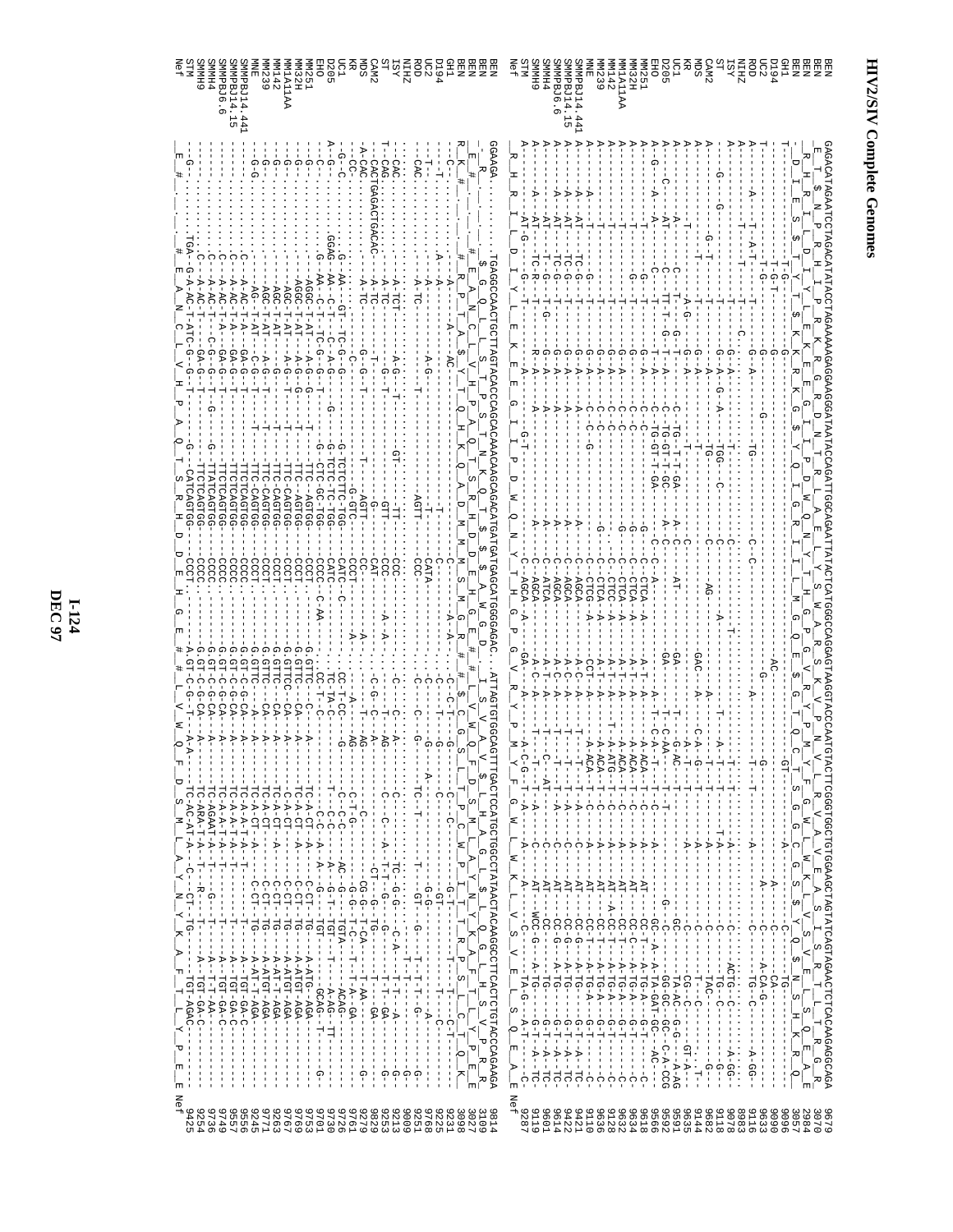| ZHIN<br>ğ<br>ÿ<br>g<br>ß<br>펹<br>ቤ<br><b>GHMIN</b><br><b>LTBRINM</b><br>MMPBJG<br><b>M32H</b><br>ISZM<br>LSZM<br>M142<br>2MA<br><b>AIMIA</b><br>AAILAA<br><b>PHMIN</b><br><b>MPBJ</b><br><b>MPBJ1</b><br>205<br><b>R239</b><br><b>GHMIN</b><br><b>Inpact</b><br>1239<br>MPBJ<br>142<br>LA1<br><b>IAA</b>                                                                                                                                                                                                                                                                                                                                                                                                                                                                                                                                                                                                                                                                                                                                                                                                                                                                                                                                                                                                                                                                                                                                                                                                                                                                                                                                                                                                                                                                                                                                                                                                                                                                                                                                                                                                                                                                                                                                                                                                                                                                                                                                                                                                                                                                                                                                                                                                                                                                                                                                                                                                                                                                                                                                                                                                                                                                                                      | ROD<br><b>P610</b><br>ZHIN<br>Ĕ<br>Ĕ<br>ō2<br>Ę<br>E<br>κs<br>50 5                                                                                                                                                                                                                                                                                                                                                                                                                                                                                                                                                                                                                                                                                                                                                                                                                                                                                                                                                                                                                                                                         |
|---------------------------------------------------------------------------------------------------------------------------------------------------------------------------------------------------------------------------------------------------------------------------------------------------------------------------------------------------------------------------------------------------------------------------------------------------------------------------------------------------------------------------------------------------------------------------------------------------------------------------------------------------------------------------------------------------------------------------------------------------------------------------------------------------------------------------------------------------------------------------------------------------------------------------------------------------------------------------------------------------------------------------------------------------------------------------------------------------------------------------------------------------------------------------------------------------------------------------------------------------------------------------------------------------------------------------------------------------------------------------------------------------------------------------------------------------------------------------------------------------------------------------------------------------------------------------------------------------------------------------------------------------------------------------------------------------------------------------------------------------------------------------------------------------------------------------------------------------------------------------------------------------------------------------------------------------------------------------------------------------------------------------------------------------------------------------------------------------------------------------------------------------------------------------------------------------------------------------------------------------------------------------------------------------------------------------------------------------------------------------------------------------------------------------------------------------------------------------------------------------------------------------------------------------------------------------------------------------------------------------------------------------------------------------------------------------------------------------------------------------------------------------------------------------------------------------------------------------------------------------------------------------------------------------------------------------------------------------------------------------------------------------------------------------------------------------------------------------------------------------------------------------------------------------------------------------------------|--------------------------------------------------------------------------------------------------------------------------------------------------------------------------------------------------------------------------------------------------------------------------------------------------------------------------------------------------------------------------------------------------------------------------------------------------------------------------------------------------------------------------------------------------------------------------------------------------------------------------------------------------------------------------------------------------------------------------------------------------------------------------------------------------------------------------------------------------------------------------------------------------------------------------------------------------------------------------------------------------------------------------------------------------------------------------------------------------------------------------------------------|
| <b>GAAGA.</b><br>$A-CAAC$ .<br>ଋ<br>Ļ<br> <br>ဂု<br>CC-<br>Ω<br>Ω<br>ω<br>ω<br>ω<br>Ω<br>Ω<br>i<br>d<br>CACTG<br>CAG<br>CAC<br>CAC<br>م<br>-<br>å<br>А<br>ъ<br>PT                                                                                                                                                                                                                                                                                                                                                                                                                                                                                                                                                                                                                                                                                                                                                                                                                                                                                                                                                                                                                                                                                                                                                                                                                                                                                                                                                                                                                                                                                                                                                                                                                                                                                                                                                                                                                                                                                                                                                                                                                                                                                                                                                                                                                                                                                                                                                                                                                                                                                                                                                                                                                                                                                                                                                                                                                                                                                                                                                                                                                                             | ଜ<br>ှု<br>∩                                                                                                                                                                                                                                                                                                                                                                                                                                                                                                                                                                                                                                                                                                                                                                                                                                                                                                                                                                                                                                                                                                                               |
| FC-<br>TC-G<br>TC-G<br>Ω<br>₩<br>ဂု<br>Ω<br>G.<br>Ω<br>ö<br>⊅<br>⋒<br>AGGC-<br>Ř<br>$-0.55$                                                                                                                                                                                                                                                                                                                                                                                                                                                                                                                                                                                                                                                                                                                                                                                                                                                                                                                                                                                                                                                                                                                                                                                                                                                                                                                                                                                                                                                                                                                                                                                                                                                                                                                                                                                                                                                                                                                                                                                                                                                                                                                                                                                                                                                                                                                                                                                                                                                                                                                                                                                                                                                                                                                                                                                                                                                                                                                                                                                                                                                                                                                   | F<br>Ω<br>ဂု                                                                                                                                                                                                                                                                                                                                                                                                                                                                                                                                                                                                                                                                                                                                                                                                                                                                                                                                                                                                                                                                                                                               |
| ローマコ<br>$L - H$<br>- AT - T<br>- IX-<br>$r - RT$<br>Š<br>FC<br>I<br>Ö<br>9-V9<br>GA-G<br>Ω<br>ດ<br>Q<br>⋗<br>$A-G$<br>$A-G$<br>변<br>Ď<br>Þ<br>₽<br>⊅<br>囨<br>Ω                                                                                                                                                                                                                                                                                                                                                                                                                                                                                                                                                                                                                                                                                                                                                                                                                                                                                                                                                                                                                                                                                                                                                                                                                                                                                                                                                                                                                                                                                                                                                                                                                                                                                                                                                                                                                                                                                                                                                                                                                                                                                                                                                                                                                                                                                                                                                                                                                                                                                                                                                                                                                                                                                                                                                                                                                                                                                                                                                                                                                                                | ω<br>⊅                                                                                                                                                                                                                                                                                                                                                                                                                                                                                                                                                                                                                                                                                                                                                                                                                                                                                                                                                                                                                                                                                                                                     |
| PGAGGCCAACTCTTAGTACACCCAGCAAACAACAGCACACATATGATGATGATGATGGCATGGGGAGAC<br>∩<br>∩<br>∩<br>ှ<br>Ω<br>ု<br>ဂ္<br>Ω<br>₩<br>POTCAGTGG<br>PC-CAGTGG<br>TCTCAGTGG<br>TCTCAGTGG<br>PCTCAGTGG<br>TCTTC-TGG<br>-CAGTGG<br>--AGTGG<br>--AGTGG<br>-TC-TGG<br>PORSTOG<br>-GC-TGG<br>-CAGTGG<br>CAGTGG<br>G-GTC<br><b>AGTT</b>                                                                                                                                                                                                                                                                                                                                                                                                                                                                                                                                                                                                                                                                                                                                                                                                                                                                                                                                                                                                                                                                                                                                                                                                                                                                                                                                                                                                                                                                                                                                                                                                                                                                                                                                                                                                                                                                                                                                                                                                                                                                                                                                                                                                                                                                                                                                                                                                                                                                                                                                                                                                                                                                                                                                                                                                                                                                                              | ດ<br>!<br>ន្ម<br>-<br>ŧ<br>TGG<br>rg-<br>1-GC<br>부<br>-<br>195<br>PD.                                                                                                                                                                                                                                                                                                                                                                                                                                                                                                                                                                                                                                                                                                                                                                                                                                                                                                                                                                                                                                                                      |
| GTT.<br>Ю<br>⋒<br>ω<br>J<br>သ<br>CCC<br>cccr<br>ccc.<br>ccc<br>သင<br>ဥ<br>cccr<br>ccc<br>SSS<br><b>CATC</b><br>CCL<br>コメコ<br>င်င<br>ဥ<br>Ħ<br>CTCC<br><b>AGCA</b><br><b>AGCA</b><br><b>AGCA</b><br>CTCA<br>ATCA<br><b>AGCA</b><br>CTCG<br>CTCA<br>CTA<br>AGCA<br>CA<br>Ω<br>∩                                                                                                                                                                                                                                                                                                                                                                                                                                                                                                                                                                                                                                                                                                                                                                                                                                                                                                                                                                                                                                                                                                                                                                                                                                                                                                                                                                                                                                                                                                                                                                                                                                                                                                                                                                                                                                                                                                                                                                                                                                                                                                                                                                                                                                                                                                                                                                                                                                                                                                                                                                                                                                                                                                                                                                                                                                                                                                                                 | H                                                                                                                                                                                                                                                                                                                                                                                                                                                                                                                                                                                                                                                                                                                                                                                                                                                                                                                                                                                                                                                                                                                                          |
| ኌ<br>⋗<br>⊅<br>⊅<br>⊅<br>ັດ<br>囨<br>ଢ଼<br>PD<br>.<br>ק<br>GTTC<br>י<br>בּב<br>GTTC-<br>GTTC<br>GTTCC-<br>GTTC-<br>GTTC-<br>$A-T$<br>$A-C$<br>$\overline{r}$<br>ccr<br>٢<br>$A-T$<br>-1<br>Q<br>ATTAGTGDGCAC<br>C-G-CA<br>C-G-CA<br>$C-TA-$<br>-G-CA<br>-9-07<br>–⊥<br>ה<br>ှု<br>Ω<br>CA<br>S<br>C<br>Ω                                                                                                                                                                                                                                                                                                                                                                                                                                                                                                                                                                                                                                                                                                                                                                                                                                                                                                                                                                                                                                                                                                                                                                                                                                                                                                                                                                                                                                                                                                                                                                                                                                                                                                                                                                                                                                                                                                                                                                                                                                                                                                                                                                                                                                                                                                                                                                                                                                                                                                                                                                                                                                                                                                                                                                                                                                                                                                       | GA.<br>RAC<br>$AC-$                                                                                                                                                                                                                                                                                                                                                                                                                                                                                                                                                                                                                                                                                                                                                                                                                                                                                                                                                                                                                                                                                                                        |
| --9-2<br>トーー<br>ု<br>$\frac{1}{1}$<br>トーー<br>ن<br>ا<br>$ACA$ --<br>$-404 -$<br>$-2L0$<br>$RCR - T - T -$<br>$ACA$ --<br>$ACA$ --<br>벅<br>먹<br>$\mathbf{\overline{K}}$<br>।<br>रू<br>$\blacksquare$<br>п<br>1<br>$- - \nabla$<br>$-LH-$<br>л<br>J.<br>ŢΩ.<br>$\mathbb I$<br>j<br>٦ŋ<br>$\mathbb{I}$<br>ز<br>راج<br>Έ<br>J.<br>ţ<br>闩<br>۲<br>۱<br>J.<br>Η<br>Ĥ.<br>$-1$<br>н<br>н<br>۲<br> <br>부<br>Ŗ<br>F<br>f<br>Ť<br>Ω<br>$\blacksquare$<br>Q<br>I<br>$\frac{1}{1}$                                                                                                                                                                                                                                                                                                                                                                                                                                                                                                                                                                                                                                                                                                                                                                                                                                                                                                                                                                                                                                                                                                                                                                                                                                                                                                                                                                                                                                                                                                                                                                                                                                                                                                                                                                                                                                                                                                                                                                                                                                                                                                                                                                                                                                                                                                                                                                                                                                                                                                                                                                                                                                                                                                                                         | ု<br>ု<br>ဂု<br>$\frac{1}{1}$<br>AC-<br>부<br>$-9-$<br>$\frac{1}{1}$<br>ŧ<br>$\frac{1}{1}$<br>٠<br>넊<br>$\mathsf I$<br>$\vdots$<br>ဂှ<br>ဌာ<br>$\mathbf{I}$<br>$\frac{1}{4}$<br>$\frac{1}{1}$<br>$\overline{1}$<br>т<br>$\mathbf{I}$<br>$\mathbb{L}$<br>'nŋ<br>L<br>$\vdots$<br>Н<br>Н<br>$\mathbb I$<br>ِ (c<br>н<br>н<br>н<br>н<br>н<br>$\frac{1}{1}$<br>$\mathbf I$<br>f<br>ੌਨ<br>J.<br>$\mathbf{I}$<br>$\begin{array}{c} \hline \end{array}$<br>$\overline{\phantom{a}}$<br>$\mathbf{I}$<br>$\blacksquare$                                                                                                                                                                                                                                                                                                                                                                                                                                                                                                                                                                                                                              |
| .<br>$TC-ARA-T- A--$<br>$TC - A - CT - -$<br>$TC - A - CT - -A -$<br>$TC--T--T--T$<br>$T - A -$<br>TC-AGAAT-A-<br>$TC - A - A -$<br>$TCL-A-FI-FI-FI-I$<br>TC-A-CT-<br>$TC - A - CT - -A -$<br>$TC - A - CT - A - -$<br>$TC - A - A - T - A - -$<br>$- - - - - - - - - -$<br>$C -$<br>$\Gamma$<br>$C -$<br>$C - A - CT - C$<br>C-T-G-<br>'w<br>ှုံ့<br>٦O<br>$\frac{1}{L}$<br>$\mathbf{I}$<br>I.<br>$-AC-AT$<br>-1<br>$\overline{1}$<br>ŧ<br>יס<br>i<br>?<br>Þ<br>$\frac{1}{2}$<br>Þ<br>ъ<br>G<br>Q<br>Ω<br>Ω<br>Q<br>Ω<br>Ē<br>$C -$<br>$\overline{1}$<br>٢ļ<br>$\blacksquare$<br>$\mathbf{I}$<br>$\mathbf{I}$<br>$\overline{\phantom{a}}$<br>$\mathbf{I}$<br>$\mathsf I$<br>$\mathbf I$<br>ŧ<br>$\mathsf I$<br>$\overline{\phantom{a}}$<br>÷<br>$\mathbf I$<br>Ť<br>$\mathbf{I}$<br>ี่≅่<br>Ξ<br>Ξ<br>$\frac{1}{1}$<br>$\mathbf{I}$<br>$C -$<br>J.<br>$\mathbf{I}$<br>$\mathbf{I}$<br>п<br>$\mathbf{I}$<br>H.<br>$\mathbf{I}$<br>1<br>$\blacksquare$<br>т.<br>C<br>$\Omega$<br>$\mathsf I$<br>$\mathbf I$<br>Q<br>$\mathbf I$<br>$\mathbf I$<br>$\mathbb{I}$<br>$\blacksquare$<br>$\mathbf{I}$<br>п<br>$\mathbf{I}$<br>$T - A - -$<br>Ъ<br>$\frac{1}{1}$<br>$\begin{bmatrix} 1 \\ 1 \\ 1 \\ 1 \end{bmatrix}$<br>$\mathbf I$<br>$\mathsf I$<br>f,<br>$\,$ I<br>$\begin{array}{c} \end{array}$<br>$\mathbf I$<br>$\,$ I<br>$\,$ I<br>J<br>J.<br>J.<br>Þ<br>F<br>ł<br>$\overline{1}$<br>J.<br>$\blacksquare$<br>J.<br>$\blacksquare$<br>$\mathbf{I}$<br>L.<br>$\blacksquare$<br>л<br>л<br>$\dot{P}$<br>÷.<br>$-4$<br>Q<br>Þ<br>Þ<br>Þ<br>$\frac{1}{2}$<br>≤<br>$A -$<br>⊅<br>↷<br>↷<br>QQ.<br>⊅<br>J.<br>$\blacksquare$<br>H.<br>л<br>1<br>'ဂ<br>ł<br>$\mathsf I$<br>$\mathsf I$<br>Ï<br>'n,<br>$\mathsf I$<br>ี่≤<br>$\mathbf{I}$<br>⋗<br>$\mathbf{I}$<br>₻<br>$\frac{1}{1}$<br>J.<br>$\mathbf{I}$<br>$\blacksquare$<br>$\overline{\phantom{a}}$<br>$\overline{\phantom{a}}$<br>J.<br>$\overline{1}$<br>J.<br>$\mathbf{I}$<br>$\mathbf{I}$<br>$\blacksquare$<br>L.<br>$\mathbf{I}$<br>$\blacksquare$<br>$\frac{1}{2}$<br>$\overline{Y}$<br>٣<br>보<br>부<br>부<br>부<br>$\mathbf{I}$<br>$\mathbf{I}$<br>$\frac{1}{4}$<br>부<br>J.<br>$\mathbf{I}$<br>п<br>J.<br>$\mathbf{I}$<br>J,<br>$\overline{1}$<br>1<br>$\frac{1}{1}$<br>$\mathbf{I}$<br>л.<br>л.<br>л.<br>F<br>ن<br>-<br>-<br>$\mathbf I$<br>$\overline{1}$<br>$\mathsf I$<br>I<br>$\mathbb{I}$<br>$\mathbb{I}$<br>$\mathbf I$<br>$\mathbb{I}$<br>$\mathbf I$<br>J.<br>∩<br>К<br>$\sf I$<br>$\mathbf I$<br>$\mathsf I$<br>$\mathbb I$<br>$\,$ I<br>$\begin{array}{c} \end{array}$<br>Ţ<br>×<br>$\mathbf{I}$<br>к                                                                                                                                                                                                                                                                                                                                                                                                                                                                                                                                                                                                                                              | t,<br>່ດ<br>-1<br>(Ω<br>Ω<br>$\prec$<br>$\frac{1}{1}$<br>$\mathsf I$<br>-1<br>z<br>п<br>Ω<br>$\ddot{\cdot}$<br>보<br>$\frac{1}{1}$<br>÷<br>$\mathbf{I}$<br>$\overline{1}$<br>$\mathbf{I}$<br>F<br>$\dot{P}$<br>$\cdot$<br>$\overline{Y}$<br>$\mathbb{A}$<br>$A-$<br>A-<br>של<br>ł<br>$\mathbb{F}$<br>Ω<br>⋞<br>$\vdots$<br>Ξ<br>L.<br>J.<br>$\mathbf{I}$<br>$\mathbf{I}$<br>$\overline{1}$<br>$\mathbf{I}$<br>$\mathbf{I}$<br>$\blacksquare$<br><u>ຸດ</u><br>$\mathbf{I}$<br>H.<br>п<br>$\mathbf{I}$<br>т<br>$\mathbf I$<br>Ħ<br>L<br>$\overline{1}$<br>$\mathbf I$<br>₩                                                                                                                                                                                                                                                                                                                                                                                                                                                                                                                                                                    |
| Σ--T-T-C----Q--<br><b>コーー カーー ーーロー</b><br>$AC--G--$<br>$-1$ - $-1$ - $-1$ - $-1$ - $-1$ - $-1$ - $-1$<br>$-9 - 0 - -$<br>$\frac{1}{2}$ $\frac{1}{2}$ $\frac{1}{2}$ $\frac{1}{2}$ $\frac{1}{2}$ $\frac{1}{2}$ $\frac{1}{2}$ $\frac{1}{2}$ $\frac{1}{2}$ $\frac{1}{2}$ $\frac{1}{2}$ $\frac{1}{2}$ $\frac{1}{2}$ $\frac{1}{2}$ $\frac{1}{2}$ $\frac{1}{2}$ $\frac{1}{2}$ $\frac{1}{2}$ $\frac{1}{2}$ $\frac{1}{2}$ $\frac{1}{2}$ $\frac{1}{2}$<br>$-9 - 50$<br>I<br>$\frac{1}{1}$<br>$\blacksquare$<br>C-CT--TG-<br>c-cr--<br>C-CT--TG-<br>C-CT--TG-<br>C-CT--TG-<br>$C-CT--TCG--$<br>$\begin{array}{c} \n\frac{1}{2} \quad \frac{1}{2} \quad \frac{1}{2} \quad \frac{1}{2} \quad \frac{1}{2} \quad \frac{1}{2} \quad \frac{1}{2} \quad \frac{1}{2} \quad \frac{1}{2} \quad \frac{1}{2} \quad \frac{1}{2} \quad \frac{1}{2} \quad \frac{1}{2} \quad \frac{1}{2} \quad \frac{1}{2} \quad \frac{1}{2} \quad \frac{1}{2} \quad \frac{1}{2} \quad \frac{1}{2} \quad \frac{1}{2} \quad \frac{1}{2} \quad \frac{1}{2} \quad \frac{1}{2} \quad \frac{1$<br>$-1 - 0 - 1$<br>$-9 - 0 - -$<br>-- 191--<br>A-<br>AT---WCC-G----<br>H<br>$\mathbb{R}^{T-}$<br>$---L\nabla$<br>$-1\Delta T$<br>$AT -$<br>ň<br>$-12-$<br>$-1 - \frac{1}{2} \mathbf{A}$ .<br>$---T\mathbf{A}$<br>$AT -$<br>j.<br>'n<br>9-1--<br>k<br>Ļ,<br>F<br>z<br>م<br>-<br>$C -$<br>$\mathsf I$<br>$\mathbf{I}$<br>Ţ<br>$\mathbf{I}$<br>1<br>J<br>ŧ<br>$\blacksquare$<br>÷<br>J.<br>⊦<br>$A-CC-T--$<br>$\mathbf{I}$<br>$\blacksquare$<br>$\frac{1}{1}$<br>$\mathbf{I}$<br>$\frac{1}{4}$<br>$\frac{1}{1}$<br>$\mathbf{I}$<br>-1<br>$\mathbf{I}$<br>-1<br>$\mathbf{I}$<br>К<br>$\prec$<br>$\mathsf I$<br>$\mathbb{I}$<br>$\mathbb{I}$<br>$\mathsf I$<br>$\mathbb{I}$<br>$\mathbb{I}$<br>к<br>$\mathsf I$<br>$\mathsf I$<br>$\mathbf{I}$<br>J.<br>Ė<br>- 인<br>구<br>Ę<br>보<br>$-1$<br>부<br>TGT-<br>$\frac{1}{1}$<br>$\frac{1}{1}$<br>$\begin{array}{c} \rule{0pt}{2.5ex} \rule{0pt}{2.5ex} \rule{0pt}{2.5ex} \rule{0pt}{2.5ex} \rule{0pt}{2.5ex} \rule{0pt}{2.5ex} \rule{0pt}{2.5ex} \rule{0pt}{2.5ex} \rule{0pt}{2.5ex} \rule{0pt}{2.5ex} \rule{0pt}{2.5ex} \rule{0pt}{2.5ex} \rule{0pt}{2.5ex} \rule{0pt}{2.5ex} \rule{0pt}{2.5ex} \rule{0pt}{2.5ex} \rule{0pt}{2.5ex} \rule{0pt}{2.5ex} \rule{0pt}{2.5ex} \rule{0$<br>$\frac{1}{4}$<br>$\frac{1}{2}$<br>čς-<br>cc-a<br>cc-c<br>$-5 - 3 - 2$<br>--1-1-<br>CC-T--<br>$cc - c - - -$<br>--1-1-00<br>'o<br>$\mathbf I$<br>I.<br>$\mathbf{I}$<br>Ά<br>'n,<br>×<br>$\mathbb{I}$<br>$\mathbf I$<br>Q<br>$\mathbf I$<br>$\mathbf I$<br>$\mathbf{I}$<br>$\mathbf{I}$<br>$\mathbb I$<br>$\mathsf I$<br>$\overline{\phantom{a}}$<br>$\,$ I<br>$\mathbb I$<br>J.<br>$\overline{1}$<br>₩<br>J.<br>$\overline{\phantom{a}}$<br>J,<br>'ဂ<br>$\blacksquare$<br>$\mathbf{I}$<br>$\mathbf{I}$<br>$\blacksquare$<br>$\mathbf{I}$<br>$\blacksquare$<br>$\mathbf{I}$<br>$\blacksquare$<br>$\mathbf{I}$<br>$\frac{1}{4}$<br>$\overline{1}$<br>J.<br>I.<br>$\mathbf{I}$<br>Ť<br>Ť<br>- 1<br>ל<br>≍<br>ъ<br>-1<br>$\mathbf{I}$<br>п<br>п                                                                                                                                                                                            | $\frac{1}{2}$ $\frac{1}{2}$ $\frac{1}{2}$ $\frac{1}{2}$ $\frac{1}{2}$ $\frac{1}{2}$ $\frac{1}{2}$ $\frac{1}{2}$ $\frac{1}{2}$ $\frac{1}{2}$ $\frac{1}{2}$ $\frac{1}{2}$ $\frac{1}{2}$ $\frac{1}{2}$ $\frac{1}{2}$ $\frac{1}{2}$ $\frac{1}{2}$ $\frac{1}{2}$ $\frac{1}{2}$ $\frac{1}{2}$ $\frac{1}{2}$ $\frac{1}{2}$<br>$\overline{Y}$<br>$\frac{1}{1}$<br>J.<br>$\frac{1}{1}$<br>A-<br>Ω,<br>п<br>Ť.<br>Ъ<br>$\mathsf I$<br>$\mathbb{I}$<br>$\frac{1}{1}$<br>۳<br>$\blacksquare$<br>$\overline{1}$<br>$\mathbf{I}$<br>$\mathbb T$<br>$\blacksquare$<br>J.<br>٠U)<br>ัผ<br>$\frac{1}{1}$<br>$\mathbf{I}$<br>$\mathbf{I}$<br>$\ddot{\cdot}$<br>4<br>$\mathbb I$<br>$\mathsf I$<br>$\mathbb{L}$<br>$\mathbb I$<br>$\mathbf{I}$<br>$\mathbf{I}$<br>$-5 - 2 - 7$<br>-<br>-- 79<br>$\begin{array}{c} \n\vdots \\ \uparrow \\ 1\n\end{array}$<br>≺<br>ن<br>ا<br>∩<br>↷<br>റ<br>∩<br>↷<br>∩<br>∩<br>$\vdots$<br>ัผ<br>$\frac{1}{1}$<br>-1<br>$\overline{1}$<br>л.<br>л.<br>$\overline{\phantom{a}}$<br>Ö<br>ŗΩ<br>$\begin{array}{c} \hline \end{array}$<br>$\blacksquare$<br>$\mathbf{I}$<br>J.<br>$\mathbf{I}$<br>⊲<br>-1<br>$\overline{1}$<br>H. |
| TTGACTCCATGCTGGCCTATAACTACAAGGCCTTCACTCTGTACCCAGAAGA<br>T-C---T--T--T-A-CA-<br>T-CA-----------<br>$\mathbf{A}--\mathbf{A}--\mathbf{B}--\mathbf{B}--\mathbf{A}--\mathbf{B}$<br>-------<br>$\mathbb{I}$<br>'д<br>A--TGT-GA-C<br>$A -$<br>$A -$<br>A--TGT-GA-C<br>A--TGT-GA-C<br>$A - A T - T - A G A -$<br>A<br>$A - A T - T - A G A - -$<br>$A - A T G T - A G A - -$<br>$A - A T G T - A G A - -$<br>$A - A T G - - A G A -$<br>ローーー ローーーー<br>$\mathbf I$<br>F<br>$-1 - 1 - 1 - 0$<br>$A-TG--$<br>$A-TG---$<br>$A-TG-A-$<br>$A-TG-A--$<br>$A-TG-A--$<br>$A-TG-A--$<br>$\mathbf{I}$<br>J.<br>$\mathbf{I}$<br>$A-TG--$<br>$A-TG--$<br>$A-TG-A---$<br>'n<br>ATGT-AGA-<br>Þ<br>먹<br>$-1 - 2 - 6 - - - - - - -$<br>$-LG-$<br>-TGT-AGAC<br>$\mathbf{I}$<br>л<br>TGT-GA-C<br>$- - \Delta - 2G - - T T - -$<br>$---ACAC - -$<br>$\mathbf{I}$<br>ัผ<br><b>H-AA-T-A-</b><br>$\mathbf{I}$<br>Έ<br>$\begin{array}{c} \rule{0.2cm}{0.15mm} \rule{0.2cm}{0.15mm} \rule{0.2cm}{0.15mm} \rule{0.2cm}{0.15mm} \rule{0.2cm}{0.15mm} \rule{0.2cm}{0.15mm} \rule{0.2cm}{0.15mm} \rule{0.2cm}{0.15mm} \rule{0.2cm}{0.15mm} \rule{0.2cm}{0.15mm} \rule{0.2cm}{0.15mm} \rule{0.2cm}{0.15mm} \rule{0.2cm}{0.15mm} \rule{0.2cm}{0.15mm} \rule{0.2cm}{0.15mm} \rule{$<br>$-1$<br>F<br>H<br>Η<br>$-5000 -$<br>$\overline{\phantom{a}}$<br>$\overline{\phantom{a}}$<br>$- - GA - -$<br>$\overline{\phantom{a}}$<br>$\blacksquare$<br>ι.<br>$\sf I$<br>$--A--$<br>F<br>F<br>ŗΩ.<br>$\overline{1}$<br>Ţ<br>$\mathbf{I}$<br>$\frac{1}{1}$<br>$\mathbf{I}$<br>$\frac{1}{1}$<br>'n,<br>÷<br>$\mathbf{I}$<br>$\mathbf I$<br>$\mathbf{I}$<br>J.<br>$\mathbf{I}$<br>⊱¦<br>C<br>$C - T - C$<br>I<br>$G - T - -$<br>$G - T - -$<br>$-1 - 1 -$<br>$-1 - 5 -$<br>$G-T--$<br>$C - T - T$<br>G-T---<br>G-1---<br>$-1 - 1 - 0$<br>'o<br>К<br>$\mathbf{\kappa}$<br>$\begin{array}{c} \hline \end{array}$<br>$\mathsf I$<br>I<br>부<br>$\begin{array}{c} \end{array}$<br>I<br>$\mathsf I$<br>$\mathsf I$<br>Ţ<br>$\,$ I<br>$\mathbf{I}$<br>A<br>$\mathbf{I}$<br>J.<br>J.<br>$\blacksquare$<br>$\mathbf{I}$<br>$\blacksquare$<br>$\overline{\phantom{a}}$<br>$\overline{\phantom{a}}$<br>$\blacksquare$<br>I,<br>$\frac{1}{1}$<br>$\overline{\phantom{a}}$<br>I<br>$\mathbf{I}$<br>$\mathbf{I}$<br>$\mathbf{I}$<br>I.<br>$\overline{\phantom{a}}$<br>$\mathbf{I}$<br>п<br>'ਚ<br>J.<br>л<br>$\blacksquare$<br>$\blacksquare$<br>$\overline{1}$<br>л<br>Д<br>ᡃᠣ<br>I<br>Þ<br>Ö<br>$A - I$<br>$A - I$<br>$A - -$<br>$A - I$<br>$\frac{1}{1}$<br>$\blacksquare$<br>J.<br>J.<br>$\mathbf{I}$<br>$\blacksquare$<br>J<br>$\blacksquare$<br>I<br>J.<br>$\mathbf{I}$<br>$\begin{array}{c} \hline \end{array}$<br>$\overline{\phantom{a}}$<br>J.<br>$\mathbf{I}$<br>$\mathbf{I}$<br>J.<br>$\overline{\phantom{a}}$<br>J.<br>I.<br>$\mathbf{I}$<br>$A$ – $-$<br>J.<br>$\begin{array}{c} \hline \end{array}$<br>$\mathbf{I}$<br>$\mathbf{I}$<br>'ᄍ<br>J.<br>$\mathbf{I}$<br>$\blacksquare$<br>Í<br>$\frac{1}{1}$<br>$\mathbf{I}$<br>п<br>$\blacksquare$<br>ł<br>$\overline{1}$<br>$\overline{1}$<br>ı<br>$\blacksquare$<br>ı<br>ţ<br>J.<br>$\mathbf{I}$<br>л<br>т<br>J.<br>H.<br>f,<br>$\overline{1}$<br>f,<br>Ħ<br>፞ቝ<br>$\mathbf I$<br>দ<br>$\mathsf I$<br>$\mathsf I$ | FACTTCGGGTGCCTGTGGAAGCTAGTATCAGTAGAACTCTCACAAGAGGCAGA<br>ŗΩ<br>'ਸ<br>A-TA-GAT-GC---AC--<br>ACTG--<br>$A - CA - G - -$<br>$-100 -$<br>'n<br>$\vdots$<br>$-TAC--$<br>$\mathbf{I}$<br>$\mathbf{I}$<br>-GG-GC--GC--C-A-CCG<br>$-\mathbb{T} \mathbf{A} - \mathbb{A}\mathbb{C}--$<br>$\blacksquare$<br>$CG - -1$<br><b>TG--</b><br>$CA-$<br>z<br>-pd-<br>.<br>F<br>'ഗ<br>خ<br>ڊ<br>$\Omega$<br>C<br>ဂု<br>ŗΩ.<br>T<br>Ť<br>$\overline{\phantom{a}}$<br>Ξ<br>п<br>Ą<br>$-9 - 0 -$<br>$\mathbb{I}$<br>Ţ<br>Ö<br>$- - \Delta - \Delta - - -$<br>$\mathbf{I}$<br>1<br>$\mathbf{I}$<br>$\blacksquare$<br>$\overline{\phantom{a}}$<br>Ά<br>L.<br>п<br>-1<br>$\begin{array}{c} \end{array}$<br>Ħ<br>$-A-GG-$<br>₩<br>$\vdots$<br>$\frac{1}{1}$<br>$\mathbf{I}$<br>Ţ<br>ຸດ<br>$\frac{1}{4}$<br>H.<br>Ъ<br>$\mathbf{I}$                                                                                                                                                                                                                                                                                                                                   |
| j<br>ဂု<br>Ω<br>HC-<br>Ŗ<br>Ŗ<br>ĿĊ<br>FC-<br>$\overline{1}$<br>$\mathsf I$<br>$\mathbf I$<br>$\sf I$<br>ဂု<br>$\begin{array}{c} \hline \end{array}$<br>Ω<br>Ω<br>ှ<br>⋝<br>¦7J<br>ု<br>ł<br>$\mathbf{I}$<br>Ť.<br>ု<br>ု<br>ှ<br>Ω<br>ု<br>ှ<br>'n<br>'ল<br>'ল<br>Nef<br>Nef<br>9256<br>9 9 9 9 9 9<br>2 9 9 9 7 7<br>9 9 9 9 9<br>$\overline{4}$<br>c)<br>Ö<br>$\sigma$<br>$\overline{u}$<br>UΠ<br>$\overline{ }$<br>$\overline{a}$<br>O<br>4<br>$\mathsf{N}$                                                                                                                                                                                                                                                                                                                                                                                                                                                                                                                                                                                                                                                                                                                                                                                                                                                                                                                                                                                                                                                                                                                                                                                                                                                                                                                                                                                                                                                                                                                                                                                                                                                                                                                                                                                                                                                                                                                                                                                                                                                                                                                                                                                                                                                                                                                                                                                                                                                                                                                                                                                                                                                                                                                                               | $A-GG--$<br>$- -A - AC$<br>$-6 - -$<br>$\Gamma$<br>$\frac{1}{2}$<br>$\vdots$<br>Ö<br>J<br>π<br>ł<br>$\mathbf{I}$<br>'n<br>606<br>8<br>00<br>00<br>00<br>00<br>367<br>$\circ$ $\circ$<br>$\overline{a}$<br>4                                                                                                                                                                                                                                                                                                                                                                                                                                                                                                                                                                                                                                                                                                                                                                                                                                                                                                                                |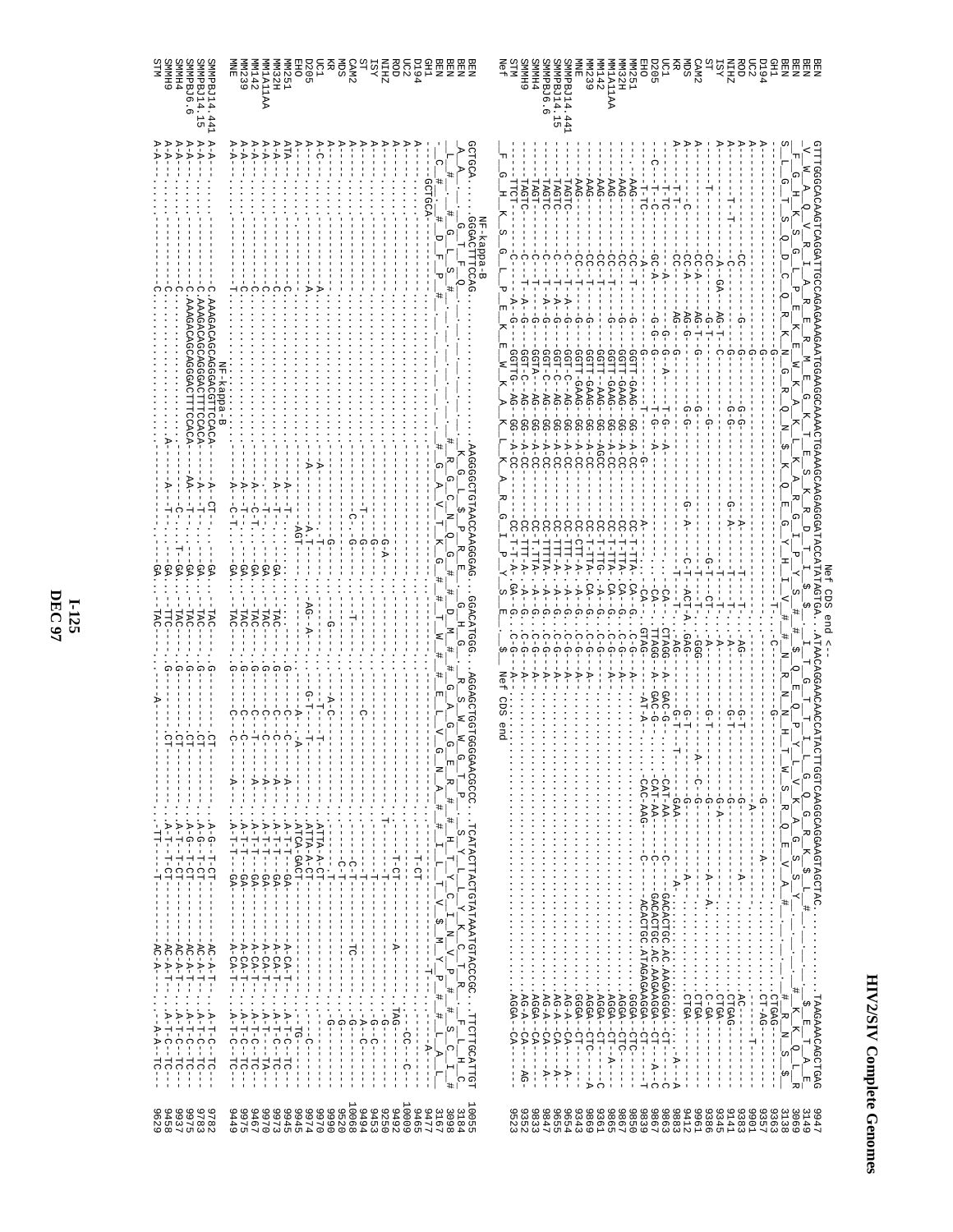| STARED 6<br><b>SMMPBJ1</b><br>SMMPBJ1<br>ZHIN<br>ROD<br><b>CHI</b><br><b>REN</b><br><b>GHMMS</b><br><b>PHININS</b><br>¥<br>nc2<br><b>194</b><br>日内区<br><b>CMAS</b><br>REN<br>€<br>ă<br>205<br>₿<br><b>IST</b><br>MN142<br>1839<br>MIAIIAA<br>HZ EMM<br>ML.<br>IN251<br>āЯ<br>ς<br>σ                                                                                                                                                                                                                                                                                                                                                                                                                                                                                                                                                                                                                                                                                                                                                                                                                                                                                                                                                                                                                                                                                                                                                                                                                                | STM<br><b>GHMMS</b><br><b>PHMMS</b><br>SMMPBJ6.6<br>3T<br><b>ZHIN</b><br>ROD<br>UC2<br><b>194</b><br>CHD<br>Net<br><b>CAM2</b><br><b>BEN</b><br>š<br>ISY<br>REN<br>日日以<br><b>LTARMIS</b><br>ATLSST14<br>ਸ਼ਿ<br><b>M251</b><br><b>IM142</b><br><b>M32H</b><br>NIAILAA<br>50Z<br>Ω<br>즴<br>M239<br>FO<br>4                                                                                                                                                                                                                                                                                                                                                                                                                                                                                                                                                                                                                                                                                                                                                                                                                                                                                                                                                                                                                                                                                                                                                                         |
|--------------------------------------------------------------------------------------------------------------------------------------------------------------------------------------------------------------------------------------------------------------------------------------------------------------------------------------------------------------------------------------------------------------------------------------------------------------------------------------------------------------------------------------------------------------------------------------------------------------------------------------------------------------------------------------------------------------------------------------------------------------------------------------------------------------------------------------------------------------------------------------------------------------------------------------------------------------------------------------------------------------------------------------------------------------------------------------------------------------------------------------------------------------------------------------------------------------------------------------------------------------------------------------------------------------------------------------------------------------------------------------------------------------------------------------------------------------------------------------------------------------------|----------------------------------------------------------------------------------------------------------------------------------------------------------------------------------------------------------------------------------------------------------------------------------------------------------------------------------------------------------------------------------------------------------------------------------------------------------------------------------------------------------------------------------------------------------------------------------------------------------------------------------------------------------------------------------------------------------------------------------------------------------------------------------------------------------------------------------------------------------------------------------------------------------------------------------------------------------------------------------------------------------------------------------------------------------------------------------------------------------------------------------------------------------------------------------------------------------------------------------------------------------------------------------------------------------------------------------------------------------------------------------------------------------------------------------------------------------------------------------|
| 4<br>UП<br>A-,<br>$A - A$ .<br>$A-$<br>$A - A$<br>$A - A$<br>$A - A$<br>$A - A$ .<br>ATA.<br><b>GTGCA</b><br>⊅<br>Q<br>⋗<br>ъ<br>∩<br>-car<br>¢<br>Ω                                                                                                                                                                                                                                                                                                                                                                                                                                                                                                                                                                                                                                                                                                                                                                                                                                                                                                                                                                                                                                                                                                                                                                                                                                                                                                                                                               | ଋ<br>-AAG<br>Ω<br>$-MQ-$<br>-AAG<br>PAG<br>TTCT-<br>TAGTC<br>TAGTC<br><b>AAG</b><br>AAG.<br>⋒<br>TAGTC<br><b>TAGTC</b><br>TAGT-<br>1--C<br>1-10-<br>T-TC-<br>ローコー<br>Ξ<br>ģ<br>Ω                                                                                                                                                                                                                                                                                                                                                                                                                                                                                                                                                                                                                                                                                                                                                                                                                                                                                                                                                                                                                                                                                                                                                                                                                                                                                                 |
| GGACTTTCCAG<br>NF-kappa-<br>IJ<br>ω<br>₫<br>Ю<br>∩                                                                                                                                                                                                                                                                                                                                                                                                                                                                                                                                                                                                                                                                                                                                                                                                                                                                                                                                                                                                                                                                                                                                                                                                                                                                                                                                                                                                                                                                 | ည<br>ο<br>Ğ<br>Ω<br>∩<br>Š<br>$GC-AP-$<br>$CC - A -$<br>∩<br>∩<br>$CC-A.$<br>ă<br>م-<br>-<br>Ω<br>Ω<br>Ω<br>Ω<br>₽<br>⊅<br>n<br>۳<br>t<br>$\mathbf{I}$<br>$\frac{1}{1}$<br>-1<br>ኔ<br>н<br>GA-<br>н<br>д<br>π<br>$\overline{A}$<br>$\mathcal{A}-$<br>Þ<br>⊅<br>団                                                                                                                                                                                                                                                                                                                                                                                                                                                                                                                                                                                                                                                                                                                                                                                                                                                                                                                                                                                                                                                                                                                                                                                                                 |
| AAAGACAGCAGGACGTTCCACA<br>GCAGGGACTTTCCACA<br>TTTCCACA                                                                                                                                                                                                                                                                                                                                                                                                                                                                                                                                                                                                                                                                                                                                                                                                                                                                                                                                                                                                                                                                                                                                                                                                                                                                                                                                                                                                                                                             | AG-T<br>PG-G<br>$AG-$<br>Þ<br>Ω<br>$\overline{C}$<br>Ω<br>ଋ<br>Ω<br>⋒<br>⋒<br>ດ<br>⋒<br>⋒<br>⋒<br><u>ဂ</u><br>ဂု<br>⋒<br>⋒<br>⋒<br><b>GGTTG</b><br>GGT-C.<br>GGT-C.<br>GGT-C---<br>CGTT-GAAG--GG--A-CC<br>GGTT-GAAG--GG--A-CC<br>CCTT-GAAG--CC<br>$-11.59$<br>Ω<br>Ω<br>Ω<br>z<br>$-0.17A -$<br>-TTPS<br>∩<br>z<br>G.<br>E<br>GAAG-<br>$-9Q-$<br>$-56-$<br>$-56$<br>$AG-$<br>G<br>ם<br>ה<br><u>ក្នុ</u><br>Η<br>Ο-ί<br>G-G<br>-9-1<br>ଢ଼                                                                                                                                                                                                                                                                                                                                                                                                                                                                                                                                                                                                                                                                                                                                                                                                                                                                                                                                                                                                                                         |
| <b>PAGGGCTAACCAAGGGAGGCA</b><br>⊅<br>Ω<br>$AA-$<br>$-V-$<br>$\mathbb{A}^{-}$<br>A-<br>٢<br>⊅<br>CT-<br>റ<br>H<br>ု<br>∩                                                                                                                                                                                                                                                                                                                                                                                                                                                                                                                                                                                                                                                                                                                                                                                                                                                                                                                                                                                                                                                                                                                                                                                                                                                                                                                                                                                            | GAAG--GG--A-CC<br>$AG - GG - - A - C$<br>$CC = -A - CC$<br>င္ပ်<br>Ġ<br>.<br>-- 60<br>-<br>GG--AGCC<br>-99<br>$-2 - 2 - CC$<br>$\frac{1}{1}$<br>$-\Delta -$<br>A-CC<br>A-CC<br>$\frac{1}{2}$<br>A-CC<br>A-CC<br>Ω<br>Ω<br>ଢ଼<br>≖                                                                                                                                                                                                                                                                                                                                                                                                                                                                                                                                                                                                                                                                                                                                                                                                                                                                                                                                                                                                                                                                                                                                                                                                                                                |
| AGT<br>∪<br>Ω<br>Ω<br>-A-5<br>저<br>Ω<br>ଢ଼<br>Ħ<br>Q<br>G<br>P<br>P<br>g<br>P<br>P                                                                                                                                                                                                                                                                                                                                                                                                                                                                                                                                                                                                                                                                                                                                                                                                                                                                                                                                                                                                                                                                                                                                                                                                                                                                                                                                                                                                                                 | CC-T-T-A<br>$CC-TTT-R-AC$<br>CC-T.TH-<br>CC-TTTTA-<br>$CC-TTT-TA-$<br>$CC-TT-T-2$<br>$CC-CTTT-AA-$<br>$-6 - T - T - R$<br>$T-TTA$<br>-DITG-<br>T-ATTA-<br>- ATRA-<br>Q<br>ဂု<br>ု<br>Nef CDS<br>T--ACT-<br>$CA-$<br>6A<br>CA-<br>CA.<br>♭<br>⊅<br>Þ<br>CΩ<br>ъ<br>⋗<br>⋗<br>CA<br>CA-<br>CA-<br>$-1.2 -$                                                                                                                                                                                                                                                                                                                                                                                                                                                                                                                                                                                                                                                                                                                                                                                                                                                                                                                                                                                                                                                                                                                                                                         |
| <b>GGACATGGG</b><br>$AG -- -$<br>-TAC<br>-TAC<br>-TAC<br>-TAC<br>-TAC<br>-TAC<br>-TAC<br>-TAC<br>⊢<br>IAC<br>IAC<br>ဂှ<br>ດ<br>െ                                                                                                                                                                                                                                                                                                                                                                                                                                                                                                                                                                                                                                                                                                                                                                                                                                                                                                                                                                                                                                                                                                                                                                                                                                                                                                                                                                                   | ⋒<br>G<br>end<br>CTAGG<br><b>LTAGG</b><br>GAG.<br>$\frac{1}{2}$<br>Ω<br>Ω<br>∩<br>C<br>Ω<br>C-G<br>$-40$<br>TAG<br>$\hat{A}$<br>∀-<br>C<br>Ω<br>⋒<br>Ne                                                                                                                                                                                                                                                                                                                                                                                                                                                                                                                                                                                                                                                                                                                                                                                                                                                                                                                                                                                                                                                                                                                                                                                                                                                                                                                          |
| <b>AGGAGCTGGTGG</b><br>ဂု<br>$A-C$<br>CΩ<br>∩<br>∩<br>∩<br>Ω<br>$\begin{array}{c} \hline \end{array}$<br>∀−<br>(ဂ<br>E<br>z<br>$\mathbf{I}$<br>J<br>H                                                                                                                                                                                                                                                                                                                                                                                                                                                                                                                                                                                                                                                                                                                                                                                                                                                                                                                                                                                                                                                                                                                                                                                                                                                                                                                                                              | ATAACAGGAACAACCATA<br>GAC-<br>GAC-G-<br>CDS<br>ن<br>ج<br>ն-1<br>$G-T$ .<br>ဂု<br>G-T.<br>ဂ္<br>end<br>۳<br>⊽<br>F<br>$\mathbb{A}$<br>z                                                                                                                                                                                                                                                                                                                                                                                                                                                                                                                                                                                                                                                                                                                                                                                                                                                                                                                                                                                                                                                                                                                                                                                                                                                                                                                                           |
| GAACGCCC<br>$1 + 1 + 1 + 1 + $<br>$-1 - 2 - 1 - 1$<br>$- - \Delta - -$<br>$-4-7-$<br>$\begin{array}{c} \begin{array}{c} \text{1} \\ \text{2} \\ \text{3} \\ \text{4} \end{array} \\ \end{array}$<br>$\begin{array}{c} \begin{array}{c} \text{1} \\ \text{2} \\ \text{3} \\ \text{4} \end{array} \end{array}$<br>$\begin{array}{c}\n1 \\ 1 \\ 1 \\ 1\n\end{array}$<br>$\begin{array}{c} \begin{array}{c} \text{1}\\ \text{2}\\ \text{3}\\ \text{4}\\ \text{5}\\ \text{6}\\ \text{7}\\ \text{8}\\ \text{9}\\ \text{10}\\ \text{11}\\ \text{12}\\ \text{13}\\ \text{14}\\ \text{16}\\ \text{17}\\ \text{18}\\ \text{19}\\ \text{19}\\ \text{19}\\ \text{19}\\ \text{19}\\ \text{19}\\ \text{19}\\ \text{19}\\ \text{19}\\ \text{19}\\ \text{19}\\ \text{19}\\ \text{19}\\ \text{19}\\ \text{19}\\ \text{19}\\ \text{19}\\ \text{19}\\ \text{19$<br>¦7J<br>$A$ ---<br>$A -$<br>$\begin{array}{cccccccccc} - & & & & & \text{ATTA}-\text{A} - \text{CT} & - & - & - \\ & - & - & & & \text{ATTA}-\text{A} - \text{CT} & - & - \\ \end{array}$<br>$\begin{array}{c}\n1 \\ 1 \\ 2\n\end{array}$<br>Ъ<br>$\frac{1}{1}$<br>$\frac{1}{1}$<br>$\begin{array}{c} 1 \\ 1 \\ 2 \end{array}$<br>ŀ٥.<br>$\frac{1}{2}$<br>#<br>#<br>$\ddot{\phantom{0}}$<br><b>ロートーーーーーーローー</b><br>$\cdot$<br>$-11 -$<br>$A-T--$<br>$A-T--$<br>$A-G--$<br>$A-G--$<br>$A-G--$<br>$A-T-T$<br>$\frac{1}{1}$<br>#<br>ĬΩ.<br>$\mathbf{I}$<br>E<br>$\overline{\phantom{a}}$<br>J.<br>Κ<br>$\mathbf{H}^2$<br>1<br>$\mathbf{I}$<br>т                        | $-1$ , $-1$ , $-1$ , $-1$ , $-1$ , $-1$<br>ຸດ<br>₹<br>י<br>מ<br>Ţ<br>--0--<br>ю<br>$- -A - -$<br>'저<br>ဂ<br>Ö<br>π<br>I<br>$\frac{1}{4}$<br>ຸດ<br>I.<br>ø<br>⋝<br>$\mathsf I$<br>ŗΩ<br>$\blacksquare$                                                                                                                                                                                                                                                                                                                                                                                                                                                                                                                                                                                                                                                                                                                                                                                                                                                                                                                                                                                                                                                                                                                                                                                                                                                                            |
| TCATACTTACTGTATAAATGTACCCGCTTCTTGCATTGT<br>$-1 - 1 - 1$<br>-------<br>$-1$ $-1$ $-1$ $-1$ $-1$<br>$-L-CT-$<br>-GT-<br>$-L-CT-$<br>エーローー<br>T-CT-<br>$T - CT -$<br>Þ<br>$\mathbf I$<br>L<br>남<br>$\overline{\mathbf{K}}$<br>B<br>ł<br>H<br>F<br>I,<br>$\,$ I<br>h<br>$\frac{1}{1}$<br>$\frac{1}{4}$<br>$\overline{1}$<br>J.<br>L.<br>$\blacksquare$<br>J.<br>$\frac{1}{1}$<br>t<br>$\mathbf{I}$<br>$\frac{1}{1}$<br>$\mathbf{I}$<br>$\prec$<br>J.<br>$\overline{\phantom{a}}$<br>J.<br>I,<br>J.<br>$\mathbf{I}$<br>Κ<br>$\frac{1}{4}$<br>į∿<br>ł.<br>$\frac{1}{1}$<br>'×<br>z<br>$\begin{array}{c} \begin{array}{c} \begin{array}{c} \begin{array}{c} \end{array} \\ \begin{array}{c} \end{array} \\ \begin{array}{c} \end{array} \\ \begin{array}{c} \end{array} \\ \begin{array}{c} \end{array} \end{array} \end{array}$<br>$\frac{1}{1}$<br>$\frac{1}{1}$<br>≍ٰ.<br>$\frac{1}{1}$<br>'n,<br>- 1                                                                                                                                                                                                                                                                                                                                                                                                                                                                                                                                                                                                                  | TTGGTCAAGGCAGGAAGTAGCTAC<br>$\begin{minipage}[c]{0.99\textwidth} \begin{picture}(10,0) \put(0,0){\vector(0,1){100}} \put(10,0){\vector(0,1){100}} \put(10,0){\vector(0,1){100}} \put(10,0){\vector(0,1){100}} \put(10,0){\vector(0,1){100}} \put(10,0){\vector(0,1){100}} \put(10,0){\vector(0,1){100}} \put(10,0){\vector(0,1){100}} \put(10,0){\vector(0,1){100}} \put(10,0){\vector(0,1){100}} \put(1$<br>$\begin{split} & \begin{array}{l} \vspace{0.5cm} \vspace{0.5cm} \vspace{0.5cm} \vspace{0.5cm} \vspace{0.5cm} \vspace{0.5cm} \vspace{0.5cm} \vspace{0.5cm} \vspace{0.5cm} \vspace{0.5cm} \vspace{0.5cm} \vspace{0.5cm} \vspace{0.5cm} \vspace{0.5cm} \vspace{0.5cm} \vspace{0.5cm} \vspace{0.5cm} \vspace{0.5cm} \vspace{0.5cm} \vspace{0.5cm} \vspace{0.5cm} \vspace{0.5cm} \vspace{0.5cm}$<br>.<br>-<br>-<br>-<br>-<br>-<br>-<br>-<br>-<br><br><br><br><br><br>!<<br>$\mathsf I$<br>'nΩ<br>C<br>I.<br>$\frac{1}{1}$<br>ኴ<br>H<br>$\begin{array}{c} \hline \end{array}$<br>$\frac{1}{2}$ : $\frac{1}{2}$ : $\frac{1}{2}$ : $\frac{1}{2}$ : $\frac{1}{2}$ : $\frac{1}{2}$ : $\frac{1}{2}$ : $\frac{1}{2}$ : $\frac{1}{2}$ : $\frac{1}{2}$ : $\frac{1}{2}$ : $\frac{1}{2}$ : $\frac{1}{2}$ : $\frac{1}{2}$ : $\frac{1}{2}$ : $\frac{1}{2}$ : $\frac{1}{2}$ : $\frac{1}{2}$ : $\frac{1$<br>₩<br>$\frac{1}{2}$ , $\frac{1}{2}$ , $\frac{1}{2}$ , $\frac{1}{2}$ , $\frac{1}{2}$ , $\frac{1}{2}$ , $\frac{1}{2}$ , $\frac{1}{2}$ , $\frac{1}{2}$ , $\frac{1}{2}$<br>$\pm$ |
| $- - \Delta - C \Delta - T - -$<br>--A-CA-T------------<br>$- - \mathbf{A} - \mathbf{C}\mathbf{A} - \mathbf{T} - \ldots$ .<br>$-1 - 2 - 2 - 1 - 1 - 1$<br>$-1 - 2C - - - - -$<br>$- - \mathbf{A} \mathbf{C} - \mathbf{A} - \mathbf{T}$<br>$-RC-R-T-$<br>$- - \mathbf{A} \mathbf{C} - \mathbf{A} - \mathbf{T} - -$<br>$         -$<br>$-AC -A -T -$<br>$-AC -A - -$<br>$-{\bf A}-{\bf C}{\bf A}-{\bf T}$<br>$-{\bf A}-{\bf C}{\bf A}-{\bf T}--$<br>$-AC - A - T$<br>⊲<br>к<br>$\frac{1}{2}$ = $\frac{1}{2}$ = $\frac{1}{2}$ = $\frac{1}{2}$ = $\frac{1}{2}$ = $\frac{1}{2}$ = $\frac{1}{2}$ = $\frac{1}{2}$ = $\frac{1}{2}$ = $\frac{1}{2}$ = $\frac{1}{2}$ = $\frac{1}{2}$ = $\frac{1}{2}$ = $\frac{1}{2}$ = $\frac{1}{2}$ = $\frac{1}{2}$ = $\frac{1}{2}$ = $\frac{1}{2}$ = $\frac{1$<br>$\frac{1}{1}$<br>$\frac{1}{1}$<br>$\frac{1}{1}$<br>H<br>п<br>п<br>ŀσ.<br>$\mathbf I$<br>$\mathbf I$<br>o<br>$\frac{1}{1}$<br>$\frac{1}{1}$<br>$\frac{1}{4}$<br>'ਸ਼<br>$\frac{1}{1}$<br>$\begin{array}{c} \begin{array}{c} \cdot \\ \cdot \\ \cdot \end{array} \\ \begin{array}{c} \cdot \\ \cdot \end{array} \end{array}$<br>$\mathbf{I}$<br>$\mathbf{I}$<br>$\frac{1}{1}$<br>$\mathbf{I}$<br>$\mathbf{I}$<br>₩<br>Ť<br>$\blacksquare$<br>$\frac{1}{1-\alpha}$<br>$\frac{1}{2}$<br>H<br>Ť<br>$\vdots$<br>$\cdots$ $\frac{1}{2}$ - $\frac{1}{2}$ - $\cdots$<br>$\pm$<br>₩<br>$A-T-\alpha$<br>$A-T-\hspace{-.05cm}\cdot\hspace{-.05cm}$<br>$A-T-C$<br>$A-T-C$<br>$\mathbf{I}$<br>#<br>'n,<br>$\frac{1}{2}$<br>$\mathbf{I}$ | ACACTGC.ATAGAGAAGGA--CT---<br>$\cdots$ -000A--CTC--<br>$\begin{array}{cccccccccc} \cdot & \text{AC}-\text{A} & - & \text{CA} & - & - \end{array}$<br>₩<br>AGGA--CTC--<br>AGGA--CT---<br>$CT - AG - - - - -$<br>CTGAG---<br>٠U.<br>×<br>J.<br>¦∞<br>E                                                                                                                                                                                                                                                                                                                                                                                                                                                                                                                                                                                                                                                                                                                                                                                                                                                                                                                                                                                                                                                                                                                                                                                                                             |
| $A-T-C---TC-$<br>$A-T-C--TC$<br>$A-T-C---TC-$<br>$\mathbf{A}-\mathbf{T}-\mathbf{T}+\mathbf{R}-\mathbf{T}$<br>$\mathbf{A} - \mathbf{T} - \mathbf{C} = -\mathbf{T}\mathbf{C} =$<br>$A-T-C--T-C--$<br>$- - \Delta - A - - \mathbb{T} C - -$<br>$-1 - 10 - 1 - 1$<br>$G - -C - -1$<br>Þ<br>$\mathbf{I}$<br>J.<br>$- -A - -$<br>Ή<br>Ω<br>C<br>'n<br>$-1C$ .<br>$-1 -$<br>$-1 -$<br>--<br>5G<br>$\frac{1}{1}$<br>$\frac{1}{1}$<br>Ъ<br>ե<br>$\frac{1}{4}$<br>$\begin{array}{c} \end{array}$<br>Í<br>$\mathbf I$<br>⊢<br>$\frac{1}{1}$<br>ł<br>$\frac{1}{1}$<br>ł<br>ı<br>$\frac{1}{1}$<br>$\overline{\phantom{a}}$<br>$\mathbf{I}$<br>$\mathbf{I}$<br>$\blacksquare$<br>$\blacksquare$<br>J.<br>$\mathbf{I}$<br>$\mathbf{I}$<br>$\mathbf{I}$<br>J.<br>'n,<br>$\blacksquare$<br>₩                                                                                                                                                                                                                                                                                                                                                                                                                                                                                                                                                                                                                                                                                                                                        | TAAGAAACAGCTGAG<br>g<br>H<br>$\circ$<br>$\frac{1}{1}$<br>מ'<br>$-9G-$<br>$\mathsf I$<br>j<br>ъ<br>$\begin{array}{c} \end{array}$<br>$-V -$<br>$\mathsf I$<br>$\begin{array}{c} 1 \\ 1 \\ 1 \end{array}$<br>$\,$ I<br>$\,$ I<br>$- -A$<br>$\,$ I<br>$\mathsf I$<br>$\mathsf I$<br>$\mathbf{I}$<br>٠m<br>$\mathbf{I}$<br>$\mathbf{I}$<br>A-<br>$\overline{\phantom{a}}$<br>Þ<br>J.<br>Þ<br>Q<br>C<br>Q<br>'ਸ਼<br>н                                                                                                                                                                                                                                                                                                                                                                                                                                                                                                                                                                                                                                                                                                                                                                                                                                                                                                                                                                                                                                                                 |
| 1000<br>1005<br>9 9 9 9 9 9 9<br>0 4 9 9 9 4 0<br>0 9 9 9 9 9 9<br>0 9 9 9 9 9 9<br>31006<br>201446<br>20256<br>997<br>944<br>946<br>ת סי<br>$\overline{a}$<br>n w o<br>UП<br>4<br>$\circ$<br>$\omega \triangleleft \infty$<br>O N Q<br>UЛ<br>J<br>400<br>ហ                                                                                                                                                                                                                                                                                                                                                                                                                                                                                                                                                                                                                                                                                                                                                                                                                                                                                                                                                                                                                                                                                                                                                                                                                                                        | $\circ$<br>G<br>$\overline{ }$                                                                                                                                                                                                                                                                                                                                                                                                                                                                                                                                                                                                                                                                                                                                                                                                                                                                                                                                                                                                                                                                                                                                                                                                                                                                                                                                                                                                                                                   |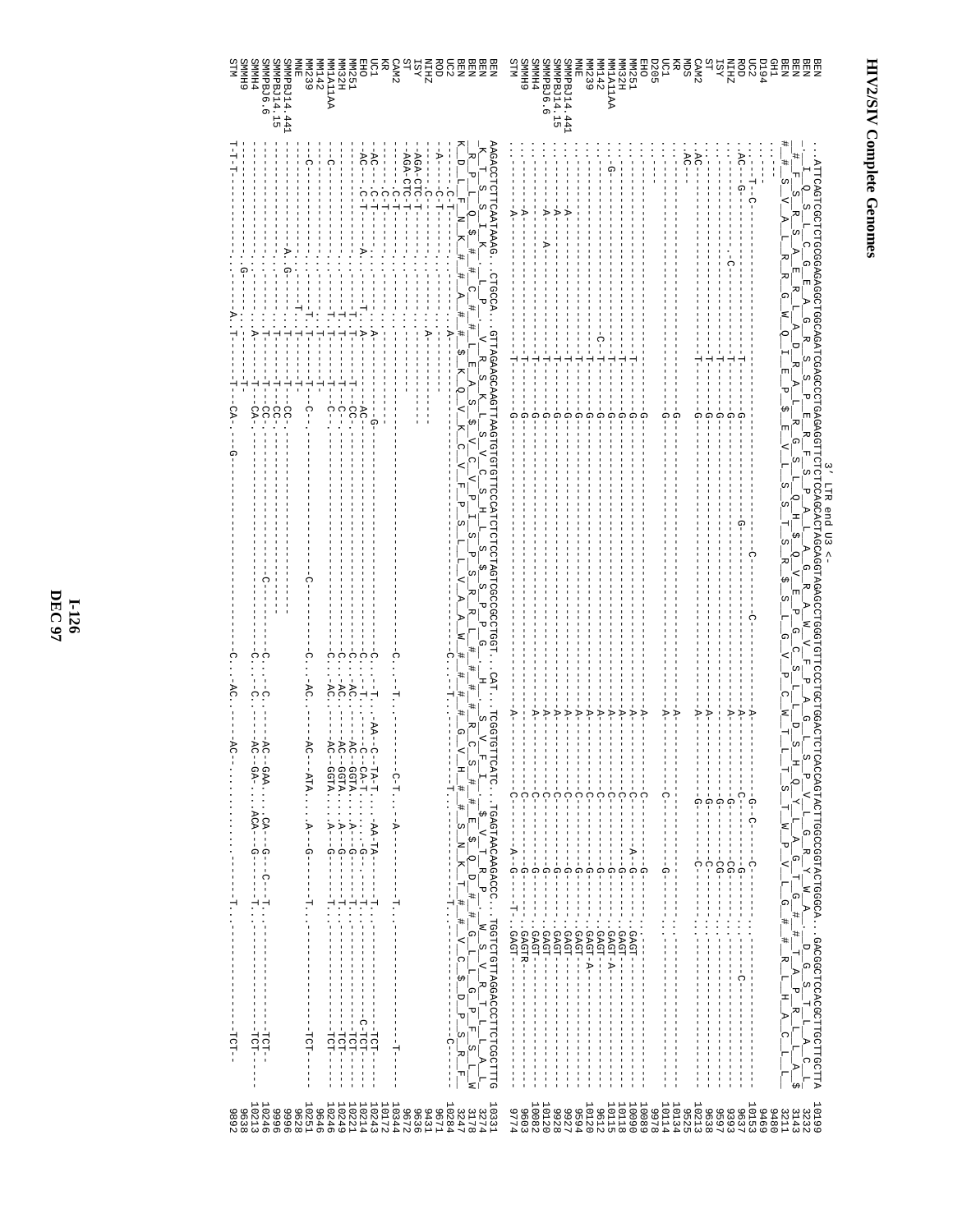| AAGACCTCTTCAATAAAG<br>÷<br>AGA-CTC-T-<br>AGA-CTC-T-<br>AC--<br>C-T-<br>C-T<br>ں<br>ד<br>י<br>ל−<br>피<br>−Ł<br>∀−<br>₽<br>. CTGCCA.<br>.GTTAGAAGCAAGTTAAGTGTGTGTTCCAATCTCCTAGTGGCGCCTGCTCCTC<br>⋒<br>CΩ<br>∩<br>∩<br>$-AC$<br>∩<br>CGGTGTT<br>ŔĊ<br>RC<br>ð<br>R<br>- -TA-T. - AA-TA--<br>--CA-T. - G--<br>--GGTA A---G--<br>'n<br>CATCTGAGTAACAAGACCCTGGTCTGTTAGGACCCTTCTCGCTTTG<br>H<br>-GAACA---G--<br>-GA-CA---G--<br>$--ATAA---G---$<br>$-GGTAA---G---$<br>Ť<br>$\begin{split} &\frac{1}{2} \left( \begin{array}{@{}c@{}} \begin{array}{@{}c@{}} \multicolumn{1}{c}{} & \multicolumn{1}{c}{} & \multicolumn{1}{c}{} & \multicolumn{1}{c}{} & \multicolumn{1}{c}{} & \multicolumn{1}{c}{} & \multicolumn{1}{c}{} & \multicolumn{1}{c}{} & \multicolumn{1}{c}{} & \multicolumn{1}{c}{} & \multicolumn{1}{c}{} & \multicolumn{1}{c}{} & \multicolumn{1}{c}{} & \multicolumn{1}{c}{} & \multicolumn{1}{c}{} & \multicolumn{1}{c}{} & \multicolumn{1$<br>$\frac{1}{1}$<br>$\overline{C}$<br>H<br>$-$ - $-$ 0 $-$ - $-$<br>İ<br>$\frac{1}{2}$<br>$\frac{1}{1}$<br>$- - - - - - - -$<br>L<br>J<br>$\frac{1}{1}$<br>$\frac{1}{1}$<br>$\frac{1}{4}$<br>$- - - - - - - -$<br>יט<br>ו<br>$-9 - -$<br>Ė.<br>$\frac{1}{2}$<br>C<br>$\,$ I<br>G<br>$\prec$<br>$\frac{1}{1}$<br>Ŧ<br>$\frac{1}{1}$<br>'#<br>$\overline{a}$<br>$\mathsf I$<br>ω<br>L<br> <br> <br> <br>⊢<br>ø<br>L<br>c--<br>≤<br>$\overline{A}$<br>$\frac{1}{1}$<br>$\frac{1}{4}$<br>$\blacksquare$<br>$\sim$ T<br>Į<br>$- - \Delta - - \mathbf{G} - -$<br>Ъ<br>ω<br>J<br>$\frac{1}{1}$<br>$-$ - $-$ - $-$ - $-$<br>$- - 00 - -$<br>$---CG---$<br>$-$ --C---<br> <br>പ<br>ļ<br>o<br>$\frac{1}{1}$<br>$\frac{1}{2}$<br>್ರ<br>ಸ<br>$\prec$<br>L,<br>$\frac{1}{4}$<br>$G$ ------<br>I,<br>$\overline{\phantom{a}}$<br>J.<br>$\mathbf{I}$<br>I.<br>Ω<br>Ļ<br>þ<br>$\begin{bmatrix} 1 & 1 & 1 & 1 \\ 1 & 1 & 1 & 1 \\ 1 & 1 & 1 & 1 \\ 1 & 1 & 1 & 1 \\ 1 & 1 & 1 & 1 \\ 1 & 1 & 1 & 1 \\ 1 & 1 & 1 & 1 \\ 1 & 1 & 1 & 1 \\ 1 & 1 & 1 & 1 \\ 1 & 1 & 1 & 1 \\ 1 & 1 & 1 & 1 \\ 1 & 1 & 1 & 1 \\ 1 & 1 & 1 & 1 & 1 \\ 1 & 1 & 1 & 1 & 1 \\ 1 & 1 & 1 & 1 & 1 \\ 1 & 1 & 1 & 1 & 1 \\ 1 & 1 & 1 & $<br>$C$ ----<br>J.<br>$\frac{1}{1}$<br>т<br>$\mathbf{I}$<br>Ĩ<br>$-\frac{1}{d}$<br>$\frac{1}{1}$<br>$\frac{1}{1}$<br>$\frac{1}{1}$<br>$\frac{1}{1}$<br>I<br>$\frac{1}{1}$<br>$\frac{1}{6}$<br>$\frac{1}{1}$<br>$\frac{1}{2}$<br>$\frac{1}{2}$<br>$\frac{1}{2}$<br>$\frac{1}{2}$ $\frac{1}{2}$ $\frac{1}{2}$ $\frac{1}{2}$ $\frac{1}{2}$ $\frac{1}{2}$<br>$\begin{array}{c} 1 \\ 1 \\ 1 \end{array}$<br>$\blacksquare$<br> <br> #<br>'≖<br>İ<br>$\frac{1}{1}$<br>$\mathbf{I}$<br>$\overline{\mathbf{a}}$<br>Ė.<br>闩<br>$\vdots$<br>$\begin{array}{cccccccccccc} \texttt{1} & \texttt{0} & \texttt{0} & \texttt{0} & \texttt{0} & \texttt{0} & \texttt{0} & \texttt{0} & \texttt{0} & \texttt{0} & \texttt{0} & \texttt{0} & \texttt{0} & \texttt{0} & \texttt{0} & \texttt{0} & \texttt{0} & \texttt{0} & \texttt{0} & \texttt{0} & \texttt{0} & \texttt{0} & \texttt{0} & \texttt{0} & \texttt{0} & \texttt{0} & \texttt{0} & \texttt{0} & \texttt{0} & \texttt{0} & \$<br>$\frac{1}{2}$<br>$\begin{array}{c} \frac{1}{2} \\ \frac{1}{2} \end{array}$<br>$\begin{array}{c} \n\cdot & \cdot \\ \cdot & \cdot \\ \cdot & \cdot\n\end{array}$<br>$-1$ $-1$ $-1$ $-1$ $-1$ $-1$ $-1$ $-1$<br>#<br>(#<br>¦#⊧<br>#<br>$N_-\leq -V_-\geq -T_-\geq L$<br>$\mathbb I$<br>$\mathsf I$<br>$\mathsf I$<br>I,<br>$\mathbf I$<br>l<br>S<br>$\alpha$<br>$\pm$<br>$\mathbf{I}$<br>$\mathsf I$<br>п<br>J.<br>J.<br>Ţ<br>$\overline{1}$<br>$\frac{1}{1}$<br>#<br>л<br>т<br>ļ,<br>H<br>$\mathbb H$<br>₩<br>$\frac{1}{4}$<br>$\frac{1}{1}$<br>$\mathbb{F}^1$<br>ا<br>به<br>፞፞<br>$\frac{1}{1}$<br>I<br>I.<br>$\frac{1}{9}$<br>¦ດ<br>'⊍<br>$\mathsf I$<br>$\frac{1}{1}$<br>$\frac{1}{1}$<br>U<br>$\mathbf{I}$<br>$\mathsf I$<br>₩<br>$-CD-LCL-$<br>$\frac{1}{1}$<br>$-LCT-$<br>ŧ<br>$-$ LCL-<br>$---LCL---$<br>$-1$ - $-1$<br>$\frac{S}{S-K-F}$<br>$\frac{1}{1}$<br>'n<br>Ή<br>$\overline{\phantom{a}}$<br>п<br>TCT-<br>LCL.<br>TCT-<br>TCT<br>$\frac{1}{\alpha}$<br>∩<br>$\frac{1}{1}$<br>þ<br>$\frac{1}{1}$<br>$\frac{1}{1}$<br>Ή<br>т<br>$\overline{1}$<br>Ъ<br>$\mathbf I$<br>$\overline{\phantom{a}}$<br>$\begin{array}{c} \end{array}$<br>Ţ<br>Η<br>ъ<br>J.<br>л<br>I.<br>$\mathbf{I}$<br>I<br>$\blacksquare$<br>J.<br>I<br>I.<br>Ť.<br>I.<br>J.<br>I | 'ਚ<br>$\prec$<br>F<br>ှိဂ<br>$\mathbb{R}$<br>ķ<br>ļ<br>ŀ,<br>'n,<br> <br>ဂ<br>Ą<br>Ъ<br>Ω | ATTCAGTCGCTCTGCGAGAGGCTGGCAGATCGAGCCTGAGAGGTTCTCTCCAGACHCHAGAGGTAGGGGAGGCTGGGTGTGGTTCCCTGCTGGTCCTCC<br>ACCAGTACTTGGCCGGTACTGGGCAGACGGCTCCACGCTTGCTTGCTTA<br>'n, |  |  |
|-----------------------------------------------------------------------------------------------------------------------------------------------------------------------------------------------------------------------------------------------------------------------------------------------------------------------------------------------------------------------------------------------------------------------------------------------------------------------------------------------------------------------------------------------------------------------------------------------------------------------------------------------------------------------------------------------------------------------------------------------------------------------------------------------------------------------------------------------------------------------------------------------------------------------------------------------------------------------------------------------------------------------------------------------------------------------------------------------------------------------------------------------------------------------------------------------------------------------------------------------------------------------------------------------------------------------------------------------------------------------------------------------------------------------------------------------------------------------------------------------------------------------------------------------------------------------------------------------------------------------------------------------------------------------------------------------------------------------------------------------------------------------------------------------------------------------------------------------------------------------------------------------------------------------------------------------------------------------------------------------------------------------------------------------------------------------------------------------------------------------------------------------------------------------------------------------------------------------------------------------------------------------------------------------------------------------------------------------------------------------------------------------------------------------------------------------------------------------------------------------------------------------------------------------------------------------------------------------------------------------------------------------------------------------------------------------------------------------------------------------------------------------------------------------------------------------------------------------------------------------------------------------------------------------------------------------------------------------------------------------------------------------------------------------------------------------------------------------------------------------------------------------------------------------------------------------------------------------------------------------------------------------------------------------------------------------------------------------------------------------------------------------------------------------------------------------------------------------------------------------------------------------------------------------------------------------------------------------------------------------------------------------------------------------------------------------------------------------------------------------------------------------------------------------------------------------------------------------------------------------------------------------------------------------------------------------------------------------------------------------------------------------------------------------------------------------------------------------------------------------------------------------------------------------------------------------------------------------------------------------------------------------------------------------------------------------------------------------------------------------------------------|-------------------------------------------------------------------------------------------|-----------------------------------------------------------------------------------------------------------------------------------------------------------------|--|--|
|                                                                                                                                                                                                                                                                                                                                                                                                                                                                                                                                                                                                                                                                                                                                                                                                                                                                                                                                                                                                                                                                                                                                                                                                                                                                                                                                                                                                                                                                                                                                                                                                                                                                                                                                                                                                                                                                                                                                                                                                                                                                                                                                                                                                                                                                                                                                                                                                                                                                                                                                                                                                                                                                                                                                                                                                                                                                                                                                                                                                                                                                                                                                                                                                                                                                                                                                                                                                                                                                                                                                                                                                                                                                                                                                                                                                                                                                                                                                                                                                                                                                                                                                                                                                                                                                                                                                                                                         |                                                                                           |                                                                                                                                                                 |  |  |
|                                                                                                                                                                                                                                                                                                                                                                                                                                                                                                                                                                                                                                                                                                                                                                                                                                                                                                                                                                                                                                                                                                                                                                                                                                                                                                                                                                                                                                                                                                                                                                                                                                                                                                                                                                                                                                                                                                                                                                                                                                                                                                                                                                                                                                                                                                                                                                                                                                                                                                                                                                                                                                                                                                                                                                                                                                                                                                                                                                                                                                                                                                                                                                                                                                                                                                                                                                                                                                                                                                                                                                                                                                                                                                                                                                                                                                                                                                                                                                                                                                                                                                                                                                                                                                                                                                                                                                                         |                                                                                           |                                                                                                                                                                 |  |  |
|                                                                                                                                                                                                                                                                                                                                                                                                                                                                                                                                                                                                                                                                                                                                                                                                                                                                                                                                                                                                                                                                                                                                                                                                                                                                                                                                                                                                                                                                                                                                                                                                                                                                                                                                                                                                                                                                                                                                                                                                                                                                                                                                                                                                                                                                                                                                                                                                                                                                                                                                                                                                                                                                                                                                                                                                                                                                                                                                                                                                                                                                                                                                                                                                                                                                                                                                                                                                                                                                                                                                                                                                                                                                                                                                                                                                                                                                                                                                                                                                                                                                                                                                                                                                                                                                                                                                                                                         |                                                                                           |                                                                                                                                                                 |  |  |
|                                                                                                                                                                                                                                                                                                                                                                                                                                                                                                                                                                                                                                                                                                                                                                                                                                                                                                                                                                                                                                                                                                                                                                                                                                                                                                                                                                                                                                                                                                                                                                                                                                                                                                                                                                                                                                                                                                                                                                                                                                                                                                                                                                                                                                                                                                                                                                                                                                                                                                                                                                                                                                                                                                                                                                                                                                                                                                                                                                                                                                                                                                                                                                                                                                                                                                                                                                                                                                                                                                                                                                                                                                                                                                                                                                                                                                                                                                                                                                                                                                                                                                                                                                                                                                                                                                                                                                                         |                                                                                           |                                                                                                                                                                 |  |  |
|                                                                                                                                                                                                                                                                                                                                                                                                                                                                                                                                                                                                                                                                                                                                                                                                                                                                                                                                                                                                                                                                                                                                                                                                                                                                                                                                                                                                                                                                                                                                                                                                                                                                                                                                                                                                                                                                                                                                                                                                                                                                                                                                                                                                                                                                                                                                                                                                                                                                                                                                                                                                                                                                                                                                                                                                                                                                                                                                                                                                                                                                                                                                                                                                                                                                                                                                                                                                                                                                                                                                                                                                                                                                                                                                                                                                                                                                                                                                                                                                                                                                                                                                                                                                                                                                                                                                                                                         |                                                                                           |                                                                                                                                                                 |  |  |
|                                                                                                                                                                                                                                                                                                                                                                                                                                                                                                                                                                                                                                                                                                                                                                                                                                                                                                                                                                                                                                                                                                                                                                                                                                                                                                                                                                                                                                                                                                                                                                                                                                                                                                                                                                                                                                                                                                                                                                                                                                                                                                                                                                                                                                                                                                                                                                                                                                                                                                                                                                                                                                                                                                                                                                                                                                                                                                                                                                                                                                                                                                                                                                                                                                                                                                                                                                                                                                                                                                                                                                                                                                                                                                                                                                                                                                                                                                                                                                                                                                                                                                                                                                                                                                                                                                                                                                                         |                                                                                           |                                                                                                                                                                 |  |  |
|                                                                                                                                                                                                                                                                                                                                                                                                                                                                                                                                                                                                                                                                                                                                                                                                                                                                                                                                                                                                                                                                                                                                                                                                                                                                                                                                                                                                                                                                                                                                                                                                                                                                                                                                                                                                                                                                                                                                                                                                                                                                                                                                                                                                                                                                                                                                                                                                                                                                                                                                                                                                                                                                                                                                                                                                                                                                                                                                                                                                                                                                                                                                                                                                                                                                                                                                                                                                                                                                                                                                                                                                                                                                                                                                                                                                                                                                                                                                                                                                                                                                                                                                                                                                                                                                                                                                                                                         |                                                                                           |                                                                                                                                                                 |  |  |
|                                                                                                                                                                                                                                                                                                                                                                                                                                                                                                                                                                                                                                                                                                                                                                                                                                                                                                                                                                                                                                                                                                                                                                                                                                                                                                                                                                                                                                                                                                                                                                                                                                                                                                                                                                                                                                                                                                                                                                                                                                                                                                                                                                                                                                                                                                                                                                                                                                                                                                                                                                                                                                                                                                                                                                                                                                                                                                                                                                                                                                                                                                                                                                                                                                                                                                                                                                                                                                                                                                                                                                                                                                                                                                                                                                                                                                                                                                                                                                                                                                                                                                                                                                                                                                                                                                                                                                                         |                                                                                           |                                                                                                                                                                 |  |  |
|                                                                                                                                                                                                                                                                                                                                                                                                                                                                                                                                                                                                                                                                                                                                                                                                                                                                                                                                                                                                                                                                                                                                                                                                                                                                                                                                                                                                                                                                                                                                                                                                                                                                                                                                                                                                                                                                                                                                                                                                                                                                                                                                                                                                                                                                                                                                                                                                                                                                                                                                                                                                                                                                                                                                                                                                                                                                                                                                                                                                                                                                                                                                                                                                                                                                                                                                                                                                                                                                                                                                                                                                                                                                                                                                                                                                                                                                                                                                                                                                                                                                                                                                                                                                                                                                                                                                                                                         |                                                                                           |                                                                                                                                                                 |  |  |
|                                                                                                                                                                                                                                                                                                                                                                                                                                                                                                                                                                                                                                                                                                                                                                                                                                                                                                                                                                                                                                                                                                                                                                                                                                                                                                                                                                                                                                                                                                                                                                                                                                                                                                                                                                                                                                                                                                                                                                                                                                                                                                                                                                                                                                                                                                                                                                                                                                                                                                                                                                                                                                                                                                                                                                                                                                                                                                                                                                                                                                                                                                                                                                                                                                                                                                                                                                                                                                                                                                                                                                                                                                                                                                                                                                                                                                                                                                                                                                                                                                                                                                                                                                                                                                                                                                                                                                                         |                                                                                           |                                                                                                                                                                 |  |  |
|                                                                                                                                                                                                                                                                                                                                                                                                                                                                                                                                                                                                                                                                                                                                                                                                                                                                                                                                                                                                                                                                                                                                                                                                                                                                                                                                                                                                                                                                                                                                                                                                                                                                                                                                                                                                                                                                                                                                                                                                                                                                                                                                                                                                                                                                                                                                                                                                                                                                                                                                                                                                                                                                                                                                                                                                                                                                                                                                                                                                                                                                                                                                                                                                                                                                                                                                                                                                                                                                                                                                                                                                                                                                                                                                                                                                                                                                                                                                                                                                                                                                                                                                                                                                                                                                                                                                                                                         |                                                                                           |                                                                                                                                                                 |  |  |
|                                                                                                                                                                                                                                                                                                                                                                                                                                                                                                                                                                                                                                                                                                                                                                                                                                                                                                                                                                                                                                                                                                                                                                                                                                                                                                                                                                                                                                                                                                                                                                                                                                                                                                                                                                                                                                                                                                                                                                                                                                                                                                                                                                                                                                                                                                                                                                                                                                                                                                                                                                                                                                                                                                                                                                                                                                                                                                                                                                                                                                                                                                                                                                                                                                                                                                                                                                                                                                                                                                                                                                                                                                                                                                                                                                                                                                                                                                                                                                                                                                                                                                                                                                                                                                                                                                                                                                                         |                                                                                           |                                                                                                                                                                 |  |  |
|                                                                                                                                                                                                                                                                                                                                                                                                                                                                                                                                                                                                                                                                                                                                                                                                                                                                                                                                                                                                                                                                                                                                                                                                                                                                                                                                                                                                                                                                                                                                                                                                                                                                                                                                                                                                                                                                                                                                                                                                                                                                                                                                                                                                                                                                                                                                                                                                                                                                                                                                                                                                                                                                                                                                                                                                                                                                                                                                                                                                                                                                                                                                                                                                                                                                                                                                                                                                                                                                                                                                                                                                                                                                                                                                                                                                                                                                                                                                                                                                                                                                                                                                                                                                                                                                                                                                                                                         |                                                                                           |                                                                                                                                                                 |  |  |
|                                                                                                                                                                                                                                                                                                                                                                                                                                                                                                                                                                                                                                                                                                                                                                                                                                                                                                                                                                                                                                                                                                                                                                                                                                                                                                                                                                                                                                                                                                                                                                                                                                                                                                                                                                                                                                                                                                                                                                                                                                                                                                                                                                                                                                                                                                                                                                                                                                                                                                                                                                                                                                                                                                                                                                                                                                                                                                                                                                                                                                                                                                                                                                                                                                                                                                                                                                                                                                                                                                                                                                                                                                                                                                                                                                                                                                                                                                                                                                                                                                                                                                                                                                                                                                                                                                                                                                                         |                                                                                           |                                                                                                                                                                 |  |  |
|                                                                                                                                                                                                                                                                                                                                                                                                                                                                                                                                                                                                                                                                                                                                                                                                                                                                                                                                                                                                                                                                                                                                                                                                                                                                                                                                                                                                                                                                                                                                                                                                                                                                                                                                                                                                                                                                                                                                                                                                                                                                                                                                                                                                                                                                                                                                                                                                                                                                                                                                                                                                                                                                                                                                                                                                                                                                                                                                                                                                                                                                                                                                                                                                                                                                                                                                                                                                                                                                                                                                                                                                                                                                                                                                                                                                                                                                                                                                                                                                                                                                                                                                                                                                                                                                                                                                                                                         |                                                                                           |                                                                                                                                                                 |  |  |
|                                                                                                                                                                                                                                                                                                                                                                                                                                                                                                                                                                                                                                                                                                                                                                                                                                                                                                                                                                                                                                                                                                                                                                                                                                                                                                                                                                                                                                                                                                                                                                                                                                                                                                                                                                                                                                                                                                                                                                                                                                                                                                                                                                                                                                                                                                                                                                                                                                                                                                                                                                                                                                                                                                                                                                                                                                                                                                                                                                                                                                                                                                                                                                                                                                                                                                                                                                                                                                                                                                                                                                                                                                                                                                                                                                                                                                                                                                                                                                                                                                                                                                                                                                                                                                                                                                                                                                                         |                                                                                           |                                                                                                                                                                 |  |  |
|                                                                                                                                                                                                                                                                                                                                                                                                                                                                                                                                                                                                                                                                                                                                                                                                                                                                                                                                                                                                                                                                                                                                                                                                                                                                                                                                                                                                                                                                                                                                                                                                                                                                                                                                                                                                                                                                                                                                                                                                                                                                                                                                                                                                                                                                                                                                                                                                                                                                                                                                                                                                                                                                                                                                                                                                                                                                                                                                                                                                                                                                                                                                                                                                                                                                                                                                                                                                                                                                                                                                                                                                                                                                                                                                                                                                                                                                                                                                                                                                                                                                                                                                                                                                                                                                                                                                                                                         |                                                                                           |                                                                                                                                                                 |  |  |
|                                                                                                                                                                                                                                                                                                                                                                                                                                                                                                                                                                                                                                                                                                                                                                                                                                                                                                                                                                                                                                                                                                                                                                                                                                                                                                                                                                                                                                                                                                                                                                                                                                                                                                                                                                                                                                                                                                                                                                                                                                                                                                                                                                                                                                                                                                                                                                                                                                                                                                                                                                                                                                                                                                                                                                                                                                                                                                                                                                                                                                                                                                                                                                                                                                                                                                                                                                                                                                                                                                                                                                                                                                                                                                                                                                                                                                                                                                                                                                                                                                                                                                                                                                                                                                                                                                                                                                                         |                                                                                           |                                                                                                                                                                 |  |  |
|                                                                                                                                                                                                                                                                                                                                                                                                                                                                                                                                                                                                                                                                                                                                                                                                                                                                                                                                                                                                                                                                                                                                                                                                                                                                                                                                                                                                                                                                                                                                                                                                                                                                                                                                                                                                                                                                                                                                                                                                                                                                                                                                                                                                                                                                                                                                                                                                                                                                                                                                                                                                                                                                                                                                                                                                                                                                                                                                                                                                                                                                                                                                                                                                                                                                                                                                                                                                                                                                                                                                                                                                                                                                                                                                                                                                                                                                                                                                                                                                                                                                                                                                                                                                                                                                                                                                                                                         |                                                                                           |                                                                                                                                                                 |  |  |
|                                                                                                                                                                                                                                                                                                                                                                                                                                                                                                                                                                                                                                                                                                                                                                                                                                                                                                                                                                                                                                                                                                                                                                                                                                                                                                                                                                                                                                                                                                                                                                                                                                                                                                                                                                                                                                                                                                                                                                                                                                                                                                                                                                                                                                                                                                                                                                                                                                                                                                                                                                                                                                                                                                                                                                                                                                                                                                                                                                                                                                                                                                                                                                                                                                                                                                                                                                                                                                                                                                                                                                                                                                                                                                                                                                                                                                                                                                                                                                                                                                                                                                                                                                                                                                                                                                                                                                                         |                                                                                           |                                                                                                                                                                 |  |  |
|                                                                                                                                                                                                                                                                                                                                                                                                                                                                                                                                                                                                                                                                                                                                                                                                                                                                                                                                                                                                                                                                                                                                                                                                                                                                                                                                                                                                                                                                                                                                                                                                                                                                                                                                                                                                                                                                                                                                                                                                                                                                                                                                                                                                                                                                                                                                                                                                                                                                                                                                                                                                                                                                                                                                                                                                                                                                                                                                                                                                                                                                                                                                                                                                                                                                                                                                                                                                                                                                                                                                                                                                                                                                                                                                                                                                                                                                                                                                                                                                                                                                                                                                                                                                                                                                                                                                                                                         |                                                                                           |                                                                                                                                                                 |  |  |
|                                                                                                                                                                                                                                                                                                                                                                                                                                                                                                                                                                                                                                                                                                                                                                                                                                                                                                                                                                                                                                                                                                                                                                                                                                                                                                                                                                                                                                                                                                                                                                                                                                                                                                                                                                                                                                                                                                                                                                                                                                                                                                                                                                                                                                                                                                                                                                                                                                                                                                                                                                                                                                                                                                                                                                                                                                                                                                                                                                                                                                                                                                                                                                                                                                                                                                                                                                                                                                                                                                                                                                                                                                                                                                                                                                                                                                                                                                                                                                                                                                                                                                                                                                                                                                                                                                                                                                                         |                                                                                           |                                                                                                                                                                 |  |  |
|                                                                                                                                                                                                                                                                                                                                                                                                                                                                                                                                                                                                                                                                                                                                                                                                                                                                                                                                                                                                                                                                                                                                                                                                                                                                                                                                                                                                                                                                                                                                                                                                                                                                                                                                                                                                                                                                                                                                                                                                                                                                                                                                                                                                                                                                                                                                                                                                                                                                                                                                                                                                                                                                                                                                                                                                                                                                                                                                                                                                                                                                                                                                                                                                                                                                                                                                                                                                                                                                                                                                                                                                                                                                                                                                                                                                                                                                                                                                                                                                                                                                                                                                                                                                                                                                                                                                                                                         |                                                                                           |                                                                                                                                                                 |  |  |
|                                                                                                                                                                                                                                                                                                                                                                                                                                                                                                                                                                                                                                                                                                                                                                                                                                                                                                                                                                                                                                                                                                                                                                                                                                                                                                                                                                                                                                                                                                                                                                                                                                                                                                                                                                                                                                                                                                                                                                                                                                                                                                                                                                                                                                                                                                                                                                                                                                                                                                                                                                                                                                                                                                                                                                                                                                                                                                                                                                                                                                                                                                                                                                                                                                                                                                                                                                                                                                                                                                                                                                                                                                                                                                                                                                                                                                                                                                                                                                                                                                                                                                                                                                                                                                                                                                                                                                                         |                                                                                           |                                                                                                                                                                 |  |  |
|                                                                                                                                                                                                                                                                                                                                                                                                                                                                                                                                                                                                                                                                                                                                                                                                                                                                                                                                                                                                                                                                                                                                                                                                                                                                                                                                                                                                                                                                                                                                                                                                                                                                                                                                                                                                                                                                                                                                                                                                                                                                                                                                                                                                                                                                                                                                                                                                                                                                                                                                                                                                                                                                                                                                                                                                                                                                                                                                                                                                                                                                                                                                                                                                                                                                                                                                                                                                                                                                                                                                                                                                                                                                                                                                                                                                                                                                                                                                                                                                                                                                                                                                                                                                                                                                                                                                                                                         |                                                                                           |                                                                                                                                                                 |  |  |
|                                                                                                                                                                                                                                                                                                                                                                                                                                                                                                                                                                                                                                                                                                                                                                                                                                                                                                                                                                                                                                                                                                                                                                                                                                                                                                                                                                                                                                                                                                                                                                                                                                                                                                                                                                                                                                                                                                                                                                                                                                                                                                                                                                                                                                                                                                                                                                                                                                                                                                                                                                                                                                                                                                                                                                                                                                                                                                                                                                                                                                                                                                                                                                                                                                                                                                                                                                                                                                                                                                                                                                                                                                                                                                                                                                                                                                                                                                                                                                                                                                                                                                                                                                                                                                                                                                                                                                                         |                                                                                           |                                                                                                                                                                 |  |  |
|                                                                                                                                                                                                                                                                                                                                                                                                                                                                                                                                                                                                                                                                                                                                                                                                                                                                                                                                                                                                                                                                                                                                                                                                                                                                                                                                                                                                                                                                                                                                                                                                                                                                                                                                                                                                                                                                                                                                                                                                                                                                                                                                                                                                                                                                                                                                                                                                                                                                                                                                                                                                                                                                                                                                                                                                                                                                                                                                                                                                                                                                                                                                                                                                                                                                                                                                                                                                                                                                                                                                                                                                                                                                                                                                                                                                                                                                                                                                                                                                                                                                                                                                                                                                                                                                                                                                                                                         |                                                                                           |                                                                                                                                                                 |  |  |
|                                                                                                                                                                                                                                                                                                                                                                                                                                                                                                                                                                                                                                                                                                                                                                                                                                                                                                                                                                                                                                                                                                                                                                                                                                                                                                                                                                                                                                                                                                                                                                                                                                                                                                                                                                                                                                                                                                                                                                                                                                                                                                                                                                                                                                                                                                                                                                                                                                                                                                                                                                                                                                                                                                                                                                                                                                                                                                                                                                                                                                                                                                                                                                                                                                                                                                                                                                                                                                                                                                                                                                                                                                                                                                                                                                                                                                                                                                                                                                                                                                                                                                                                                                                                                                                                                                                                                                                         |                                                                                           |                                                                                                                                                                 |  |  |
|                                                                                                                                                                                                                                                                                                                                                                                                                                                                                                                                                                                                                                                                                                                                                                                                                                                                                                                                                                                                                                                                                                                                                                                                                                                                                                                                                                                                                                                                                                                                                                                                                                                                                                                                                                                                                                                                                                                                                                                                                                                                                                                                                                                                                                                                                                                                                                                                                                                                                                                                                                                                                                                                                                                                                                                                                                                                                                                                                                                                                                                                                                                                                                                                                                                                                                                                                                                                                                                                                                                                                                                                                                                                                                                                                                                                                                                                                                                                                                                                                                                                                                                                                                                                                                                                                                                                                                                         |                                                                                           |                                                                                                                                                                 |  |  |
|                                                                                                                                                                                                                                                                                                                                                                                                                                                                                                                                                                                                                                                                                                                                                                                                                                                                                                                                                                                                                                                                                                                                                                                                                                                                                                                                                                                                                                                                                                                                                                                                                                                                                                                                                                                                                                                                                                                                                                                                                                                                                                                                                                                                                                                                                                                                                                                                                                                                                                                                                                                                                                                                                                                                                                                                                                                                                                                                                                                                                                                                                                                                                                                                                                                                                                                                                                                                                                                                                                                                                                                                                                                                                                                                                                                                                                                                                                                                                                                                                                                                                                                                                                                                                                                                                                                                                                                         |                                                                                           |                                                                                                                                                                 |  |  |
|                                                                                                                                                                                                                                                                                                                                                                                                                                                                                                                                                                                                                                                                                                                                                                                                                                                                                                                                                                                                                                                                                                                                                                                                                                                                                                                                                                                                                                                                                                                                                                                                                                                                                                                                                                                                                                                                                                                                                                                                                                                                                                                                                                                                                                                                                                                                                                                                                                                                                                                                                                                                                                                                                                                                                                                                                                                                                                                                                                                                                                                                                                                                                                                                                                                                                                                                                                                                                                                                                                                                                                                                                                                                                                                                                                                                                                                                                                                                                                                                                                                                                                                                                                                                                                                                                                                                                                                         |                                                                                           |                                                                                                                                                                 |  |  |
|                                                                                                                                                                                                                                                                                                                                                                                                                                                                                                                                                                                                                                                                                                                                                                                                                                                                                                                                                                                                                                                                                                                                                                                                                                                                                                                                                                                                                                                                                                                                                                                                                                                                                                                                                                                                                                                                                                                                                                                                                                                                                                                                                                                                                                                                                                                                                                                                                                                                                                                                                                                                                                                                                                                                                                                                                                                                                                                                                                                                                                                                                                                                                                                                                                                                                                                                                                                                                                                                                                                                                                                                                                                                                                                                                                                                                                                                                                                                                                                                                                                                                                                                                                                                                                                                                                                                                                                         |                                                                                           |                                                                                                                                                                 |  |  |
|                                                                                                                                                                                                                                                                                                                                                                                                                                                                                                                                                                                                                                                                                                                                                                                                                                                                                                                                                                                                                                                                                                                                                                                                                                                                                                                                                                                                                                                                                                                                                                                                                                                                                                                                                                                                                                                                                                                                                                                                                                                                                                                                                                                                                                                                                                                                                                                                                                                                                                                                                                                                                                                                                                                                                                                                                                                                                                                                                                                                                                                                                                                                                                                                                                                                                                                                                                                                                                                                                                                                                                                                                                                                                                                                                                                                                                                                                                                                                                                                                                                                                                                                                                                                                                                                                                                                                                                         |                                                                                           |                                                                                                                                                                 |  |  |
|                                                                                                                                                                                                                                                                                                                                                                                                                                                                                                                                                                                                                                                                                                                                                                                                                                                                                                                                                                                                                                                                                                                                                                                                                                                                                                                                                                                                                                                                                                                                                                                                                                                                                                                                                                                                                                                                                                                                                                                                                                                                                                                                                                                                                                                                                                                                                                                                                                                                                                                                                                                                                                                                                                                                                                                                                                                                                                                                                                                                                                                                                                                                                                                                                                                                                                                                                                                                                                                                                                                                                                                                                                                                                                                                                                                                                                                                                                                                                                                                                                                                                                                                                                                                                                                                                                                                                                                         |                                                                                           |                                                                                                                                                                 |  |  |
|                                                                                                                                                                                                                                                                                                                                                                                                                                                                                                                                                                                                                                                                                                                                                                                                                                                                                                                                                                                                                                                                                                                                                                                                                                                                                                                                                                                                                                                                                                                                                                                                                                                                                                                                                                                                                                                                                                                                                                                                                                                                                                                                                                                                                                                                                                                                                                                                                                                                                                                                                                                                                                                                                                                                                                                                                                                                                                                                                                                                                                                                                                                                                                                                                                                                                                                                                                                                                                                                                                                                                                                                                                                                                                                                                                                                                                                                                                                                                                                                                                                                                                                                                                                                                                                                                                                                                                                         |                                                                                           |                                                                                                                                                                 |  |  |
|                                                                                                                                                                                                                                                                                                                                                                                                                                                                                                                                                                                                                                                                                                                                                                                                                                                                                                                                                                                                                                                                                                                                                                                                                                                                                                                                                                                                                                                                                                                                                                                                                                                                                                                                                                                                                                                                                                                                                                                                                                                                                                                                                                                                                                                                                                                                                                                                                                                                                                                                                                                                                                                                                                                                                                                                                                                                                                                                                                                                                                                                                                                                                                                                                                                                                                                                                                                                                                                                                                                                                                                                                                                                                                                                                                                                                                                                                                                                                                                                                                                                                                                                                                                                                                                                                                                                                                                         |                                                                                           |                                                                                                                                                                 |  |  |
|                                                                                                                                                                                                                                                                                                                                                                                                                                                                                                                                                                                                                                                                                                                                                                                                                                                                                                                                                                                                                                                                                                                                                                                                                                                                                                                                                                                                                                                                                                                                                                                                                                                                                                                                                                                                                                                                                                                                                                                                                                                                                                                                                                                                                                                                                                                                                                                                                                                                                                                                                                                                                                                                                                                                                                                                                                                                                                                                                                                                                                                                                                                                                                                                                                                                                                                                                                                                                                                                                                                                                                                                                                                                                                                                                                                                                                                                                                                                                                                                                                                                                                                                                                                                                                                                                                                                                                                         |                                                                                           |                                                                                                                                                                 |  |  |
|                                                                                                                                                                                                                                                                                                                                                                                                                                                                                                                                                                                                                                                                                                                                                                                                                                                                                                                                                                                                                                                                                                                                                                                                                                                                                                                                                                                                                                                                                                                                                                                                                                                                                                                                                                                                                                                                                                                                                                                                                                                                                                                                                                                                                                                                                                                                                                                                                                                                                                                                                                                                                                                                                                                                                                                                                                                                                                                                                                                                                                                                                                                                                                                                                                                                                                                                                                                                                                                                                                                                                                                                                                                                                                                                                                                                                                                                                                                                                                                                                                                                                                                                                                                                                                                                                                                                                                                         |                                                                                           |                                                                                                                                                                 |  |  |
|                                                                                                                                                                                                                                                                                                                                                                                                                                                                                                                                                                                                                                                                                                                                                                                                                                                                                                                                                                                                                                                                                                                                                                                                                                                                                                                                                                                                                                                                                                                                                                                                                                                                                                                                                                                                                                                                                                                                                                                                                                                                                                                                                                                                                                                                                                                                                                                                                                                                                                                                                                                                                                                                                                                                                                                                                                                                                                                                                                                                                                                                                                                                                                                                                                                                                                                                                                                                                                                                                                                                                                                                                                                                                                                                                                                                                                                                                                                                                                                                                                                                                                                                                                                                                                                                                                                                                                                         |                                                                                           |                                                                                                                                                                 |  |  |
|                                                                                                                                                                                                                                                                                                                                                                                                                                                                                                                                                                                                                                                                                                                                                                                                                                                                                                                                                                                                                                                                                                                                                                                                                                                                                                                                                                                                                                                                                                                                                                                                                                                                                                                                                                                                                                                                                                                                                                                                                                                                                                                                                                                                                                                                                                                                                                                                                                                                                                                                                                                                                                                                                                                                                                                                                                                                                                                                                                                                                                                                                                                                                                                                                                                                                                                                                                                                                                                                                                                                                                                                                                                                                                                                                                                                                                                                                                                                                                                                                                                                                                                                                                                                                                                                                                                                                                                         |                                                                                           |                                                                                                                                                                 |  |  |
|                                                                                                                                                                                                                                                                                                                                                                                                                                                                                                                                                                                                                                                                                                                                                                                                                                                                                                                                                                                                                                                                                                                                                                                                                                                                                                                                                                                                                                                                                                                                                                                                                                                                                                                                                                                                                                                                                                                                                                                                                                                                                                                                                                                                                                                                                                                                                                                                                                                                                                                                                                                                                                                                                                                                                                                                                                                                                                                                                                                                                                                                                                                                                                                                                                                                                                                                                                                                                                                                                                                                                                                                                                                                                                                                                                                                                                                                                                                                                                                                                                                                                                                                                                                                                                                                                                                                                                                         |                                                                                           |                                                                                                                                                                 |  |  |
|                                                                                                                                                                                                                                                                                                                                                                                                                                                                                                                                                                                                                                                                                                                                                                                                                                                                                                                                                                                                                                                                                                                                                                                                                                                                                                                                                                                                                                                                                                                                                                                                                                                                                                                                                                                                                                                                                                                                                                                                                                                                                                                                                                                                                                                                                                                                                                                                                                                                                                                                                                                                                                                                                                                                                                                                                                                                                                                                                                                                                                                                                                                                                                                                                                                                                                                                                                                                                                                                                                                                                                                                                                                                                                                                                                                                                                                                                                                                                                                                                                                                                                                                                                                                                                                                                                                                                                                         |                                                                                           |                                                                                                                                                                 |  |  |
|                                                                                                                                                                                                                                                                                                                                                                                                                                                                                                                                                                                                                                                                                                                                                                                                                                                                                                                                                                                                                                                                                                                                                                                                                                                                                                                                                                                                                                                                                                                                                                                                                                                                                                                                                                                                                                                                                                                                                                                                                                                                                                                                                                                                                                                                                                                                                                                                                                                                                                                                                                                                                                                                                                                                                                                                                                                                                                                                                                                                                                                                                                                                                                                                                                                                                                                                                                                                                                                                                                                                                                                                                                                                                                                                                                                                                                                                                                                                                                                                                                                                                                                                                                                                                                                                                                                                                                                         |                                                                                           |                                                                                                                                                                 |  |  |
|                                                                                                                                                                                                                                                                                                                                                                                                                                                                                                                                                                                                                                                                                                                                                                                                                                                                                                                                                                                                                                                                                                                                                                                                                                                                                                                                                                                                                                                                                                                                                                                                                                                                                                                                                                                                                                                                                                                                                                                                                                                                                                                                                                                                                                                                                                                                                                                                                                                                                                                                                                                                                                                                                                                                                                                                                                                                                                                                                                                                                                                                                                                                                                                                                                                                                                                                                                                                                                                                                                                                                                                                                                                                                                                                                                                                                                                                                                                                                                                                                                                                                                                                                                                                                                                                                                                                                                                         |                                                                                           |                                                                                                                                                                 |  |  |
|                                                                                                                                                                                                                                                                                                                                                                                                                                                                                                                                                                                                                                                                                                                                                                                                                                                                                                                                                                                                                                                                                                                                                                                                                                                                                                                                                                                                                                                                                                                                                                                                                                                                                                                                                                                                                                                                                                                                                                                                                                                                                                                                                                                                                                                                                                                                                                                                                                                                                                                                                                                                                                                                                                                                                                                                                                                                                                                                                                                                                                                                                                                                                                                                                                                                                                                                                                                                                                                                                                                                                                                                                                                                                                                                                                                                                                                                                                                                                                                                                                                                                                                                                                                                                                                                                                                                                                                         |                                                                                           |                                                                                                                                                                 |  |  |
|                                                                                                                                                                                                                                                                                                                                                                                                                                                                                                                                                                                                                                                                                                                                                                                                                                                                                                                                                                                                                                                                                                                                                                                                                                                                                                                                                                                                                                                                                                                                                                                                                                                                                                                                                                                                                                                                                                                                                                                                                                                                                                                                                                                                                                                                                                                                                                                                                                                                                                                                                                                                                                                                                                                                                                                                                                                                                                                                                                                                                                                                                                                                                                                                                                                                                                                                                                                                                                                                                                                                                                                                                                                                                                                                                                                                                                                                                                                                                                                                                                                                                                                                                                                                                                                                                                                                                                                         |                                                                                           |                                                                                                                                                                 |  |  |
|                                                                                                                                                                                                                                                                                                                                                                                                                                                                                                                                                                                                                                                                                                                                                                                                                                                                                                                                                                                                                                                                                                                                                                                                                                                                                                                                                                                                                                                                                                                                                                                                                                                                                                                                                                                                                                                                                                                                                                                                                                                                                                                                                                                                                                                                                                                                                                                                                                                                                                                                                                                                                                                                                                                                                                                                                                                                                                                                                                                                                                                                                                                                                                                                                                                                                                                                                                                                                                                                                                                                                                                                                                                                                                                                                                                                                                                                                                                                                                                                                                                                                                                                                                                                                                                                                                                                                                                         |                                                                                           |                                                                                                                                                                 |  |  |
|                                                                                                                                                                                                                                                                                                                                                                                                                                                                                                                                                                                                                                                                                                                                                                                                                                                                                                                                                                                                                                                                                                                                                                                                                                                                                                                                                                                                                                                                                                                                                                                                                                                                                                                                                                                                                                                                                                                                                                                                                                                                                                                                                                                                                                                                                                                                                                                                                                                                                                                                                                                                                                                                                                                                                                                                                                                                                                                                                                                                                                                                                                                                                                                                                                                                                                                                                                                                                                                                                                                                                                                                                                                                                                                                                                                                                                                                                                                                                                                                                                                                                                                                                                                                                                                                                                                                                                                         |                                                                                           |                                                                                                                                                                 |  |  |
|                                                                                                                                                                                                                                                                                                                                                                                                                                                                                                                                                                                                                                                                                                                                                                                                                                                                                                                                                                                                                                                                                                                                                                                                                                                                                                                                                                                                                                                                                                                                                                                                                                                                                                                                                                                                                                                                                                                                                                                                                                                                                                                                                                                                                                                                                                                                                                                                                                                                                                                                                                                                                                                                                                                                                                                                                                                                                                                                                                                                                                                                                                                                                                                                                                                                                                                                                                                                                                                                                                                                                                                                                                                                                                                                                                                                                                                                                                                                                                                                                                                                                                                                                                                                                                                                                                                                                                                         |                                                                                           |                                                                                                                                                                 |  |  |
|                                                                                                                                                                                                                                                                                                                                                                                                                                                                                                                                                                                                                                                                                                                                                                                                                                                                                                                                                                                                                                                                                                                                                                                                                                                                                                                                                                                                                                                                                                                                                                                                                                                                                                                                                                                                                                                                                                                                                                                                                                                                                                                                                                                                                                                                                                                                                                                                                                                                                                                                                                                                                                                                                                                                                                                                                                                                                                                                                                                                                                                                                                                                                                                                                                                                                                                                                                                                                                                                                                                                                                                                                                                                                                                                                                                                                                                                                                                                                                                                                                                                                                                                                                                                                                                                                                                                                                                         |                                                                                           |                                                                                                                                                                 |  |  |
|                                                                                                                                                                                                                                                                                                                                                                                                                                                                                                                                                                                                                                                                                                                                                                                                                                                                                                                                                                                                                                                                                                                                                                                                                                                                                                                                                                                                                                                                                                                                                                                                                                                                                                                                                                                                                                                                                                                                                                                                                                                                                                                                                                                                                                                                                                                                                                                                                                                                                                                                                                                                                                                                                                                                                                                                                                                                                                                                                                                                                                                                                                                                                                                                                                                                                                                                                                                                                                                                                                                                                                                                                                                                                                                                                                                                                                                                                                                                                                                                                                                                                                                                                                                                                                                                                                                                                                                         |                                                                                           |                                                                                                                                                                 |  |  |
|                                                                                                                                                                                                                                                                                                                                                                                                                                                                                                                                                                                                                                                                                                                                                                                                                                                                                                                                                                                                                                                                                                                                                                                                                                                                                                                                                                                                                                                                                                                                                                                                                                                                                                                                                                                                                                                                                                                                                                                                                                                                                                                                                                                                                                                                                                                                                                                                                                                                                                                                                                                                                                                                                                                                                                                                                                                                                                                                                                                                                                                                                                                                                                                                                                                                                                                                                                                                                                                                                                                                                                                                                                                                                                                                                                                                                                                                                                                                                                                                                                                                                                                                                                                                                                                                                                                                                                                         |                                                                                           |                                                                                                                                                                 |  |  |
|                                                                                                                                                                                                                                                                                                                                                                                                                                                                                                                                                                                                                                                                                                                                                                                                                                                                                                                                                                                                                                                                                                                                                                                                                                                                                                                                                                                                                                                                                                                                                                                                                                                                                                                                                                                                                                                                                                                                                                                                                                                                                                                                                                                                                                                                                                                                                                                                                                                                                                                                                                                                                                                                                                                                                                                                                                                                                                                                                                                                                                                                                                                                                                                                                                                                                                                                                                                                                                                                                                                                                                                                                                                                                                                                                                                                                                                                                                                                                                                                                                                                                                                                                                                                                                                                                                                                                                                         |                                                                                           |                                                                                                                                                                 |  |  |